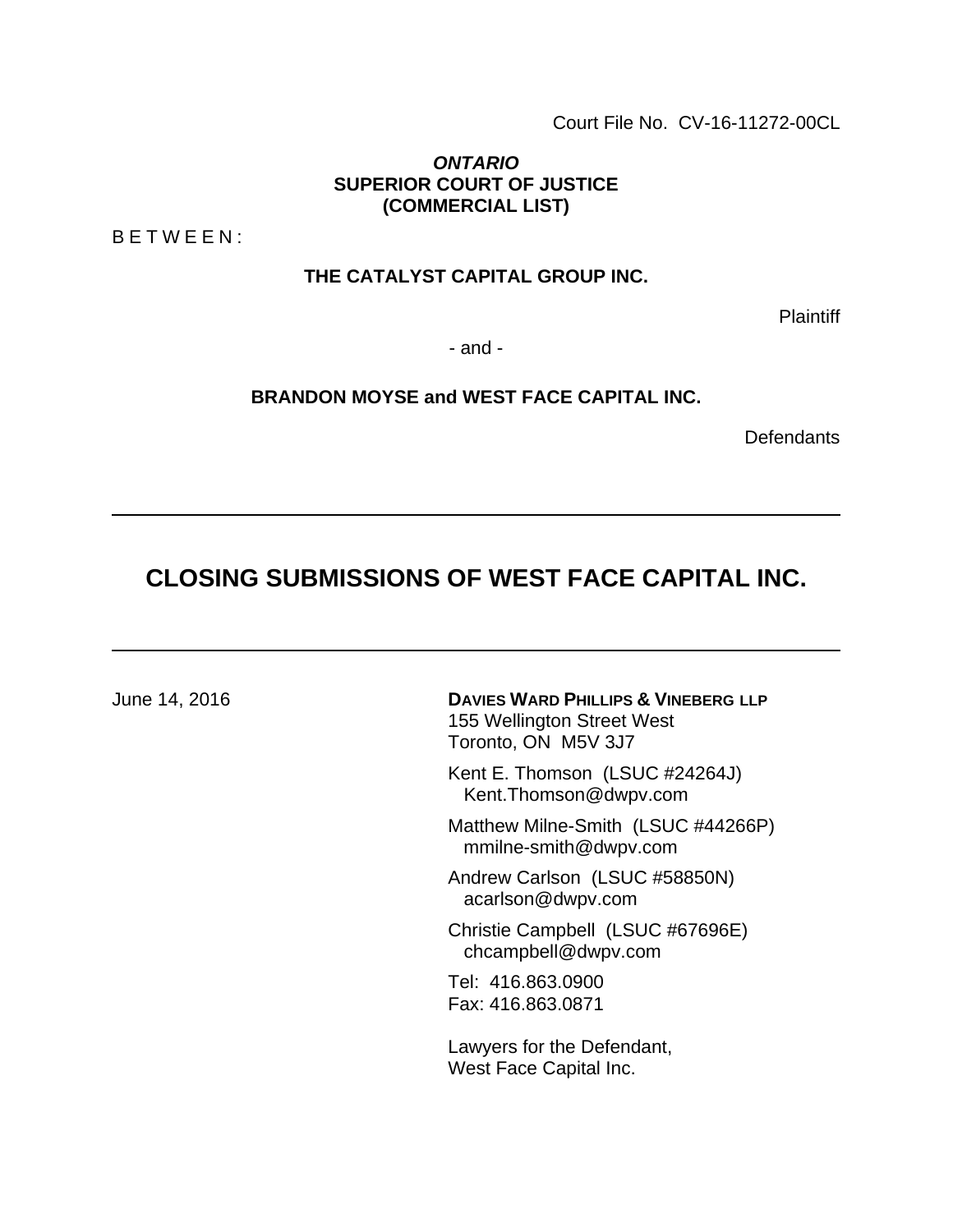Court File No. CV-16-11272-00CL

# *ONTARIO* **SUPERIOR COURT OF JUSTICE (COMMERCIAL LIST)**

<span id="page-0-0"></span>B E T W E E N :

# **THE CATALYST CAPITAL GROUP INC.**

**Plaintiff** 

- and -

### **BRANDON MOYSE and WEST FACE CAPITAL INC.**

**Defendants** 

# **CLOSING SUBMISSIONS OF WEST FACE CAPITAL INC.**

| June 14, 2016 | <b>DAVIES WARD PHILLIPS &amp; VINEBERG LLP</b><br>155 Wellington Street West<br>Toronto, ON M5V 3J7 |
|---------------|-----------------------------------------------------------------------------------------------------|
|               | Kent E. Thomson (LSUC #24264J)<br>Kent.Thomson@dwpv.com                                             |
|               | Matthew Milne-Smith (LSUC #44266P)<br>mmilne-smith@dwpv.com                                         |
|               | Andrew Carlson (LSUC #58850N)<br>acarlson@dwpv.com                                                  |
|               | Christie Campbell (LSUC #67696E)<br>chcampbell@dwpv.com                                             |
|               | Tel: 416.863.0900<br>Fax: 416.863.0871                                                              |
|               | Lawyers for the Defendant,<br>West Face Capital Inc.                                                |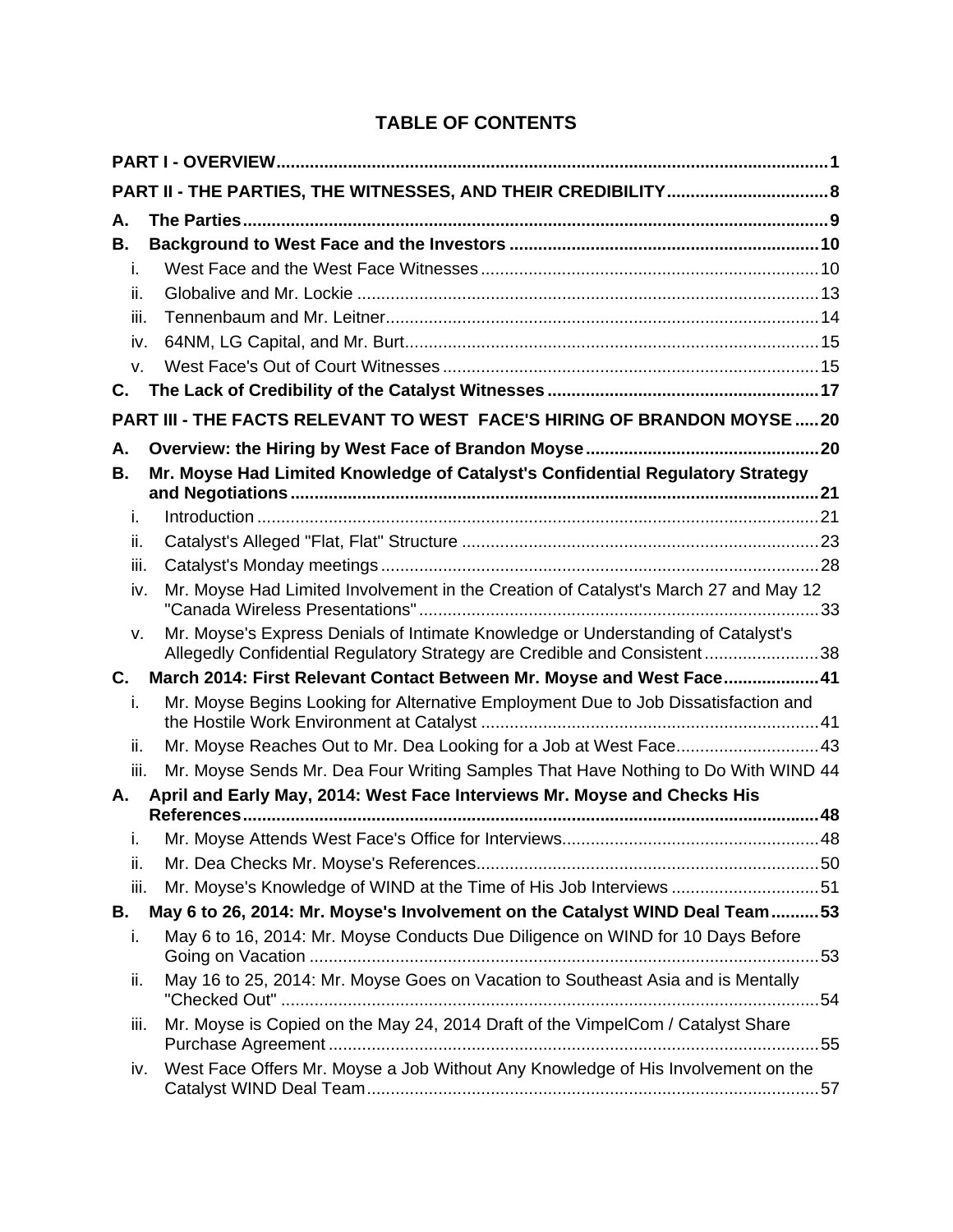# **TABLE OF CONTENTS**

<span id="page-1-0"></span>

|      | PART II - THE PARTIES, THE WITNESSES, AND THEIR CREDIBILITY 8                                                                                                |  |
|------|--------------------------------------------------------------------------------------------------------------------------------------------------------------|--|
| А.   |                                                                                                                                                              |  |
| В.   |                                                                                                                                                              |  |
| i.   |                                                                                                                                                              |  |
| ii.  |                                                                                                                                                              |  |
| iii. |                                                                                                                                                              |  |
| iv.  |                                                                                                                                                              |  |
| V.   |                                                                                                                                                              |  |
| C.   |                                                                                                                                                              |  |
|      | PART III - THE FACTS RELEVANT TO WEST FACE'S HIRING OF BRANDON MOYSE  20                                                                                     |  |
| А.   |                                                                                                                                                              |  |
| В.   | Mr. Moyse Had Limited Knowledge of Catalyst's Confidential Regulatory Strategy                                                                               |  |
|      |                                                                                                                                                              |  |
| j.   |                                                                                                                                                              |  |
| ii.  |                                                                                                                                                              |  |
| iii. |                                                                                                                                                              |  |
| iv.  | Mr. Moyse Had Limited Involvement in the Creation of Catalyst's March 27 and May 12                                                                          |  |
| V.   | Mr. Moyse's Express Denials of Intimate Knowledge or Understanding of Catalyst's<br>Allegedly Confidential Regulatory Strategy are Credible and Consistent38 |  |
| C.   | March 2014: First Relevant Contact Between Mr. Moyse and West Face41                                                                                         |  |
| İ.   | Mr. Moyse Begins Looking for Alternative Employment Due to Job Dissatisfaction and                                                                           |  |
| ii.  | Mr. Moyse Reaches Out to Mr. Dea Looking for a Job at West Face 43                                                                                           |  |
| iii. | Mr. Moyse Sends Mr. Dea Four Writing Samples That Have Nothing to Do With WIND 44                                                                            |  |
| А.   | April and Early May, 2014: West Face Interviews Mr. Moyse and Checks His                                                                                     |  |
| i.   |                                                                                                                                                              |  |
| ii.  |                                                                                                                                                              |  |
| iii. | Mr. Moyse's Knowledge of WIND at the Time of His Job Interviews 51                                                                                           |  |
| В.   | May 6 to 26, 2014: Mr. Moyse's Involvement on the Catalyst WIND Deal Team53                                                                                  |  |
| i.   | May 6 to 16, 2014: Mr. Moyse Conducts Due Diligence on WIND for 10 Days Before<br>53                                                                         |  |
| ii.  | May 16 to 25, 2014: Mr. Moyse Goes on Vacation to Southeast Asia and is Mentally                                                                             |  |
| iii. | Mr. Moyse is Copied on the May 24, 2014 Draft of the VimpelCom / Catalyst Share                                                                              |  |
| iv.  | West Face Offers Mr. Moyse a Job Without Any Knowledge of His Involvement on the                                                                             |  |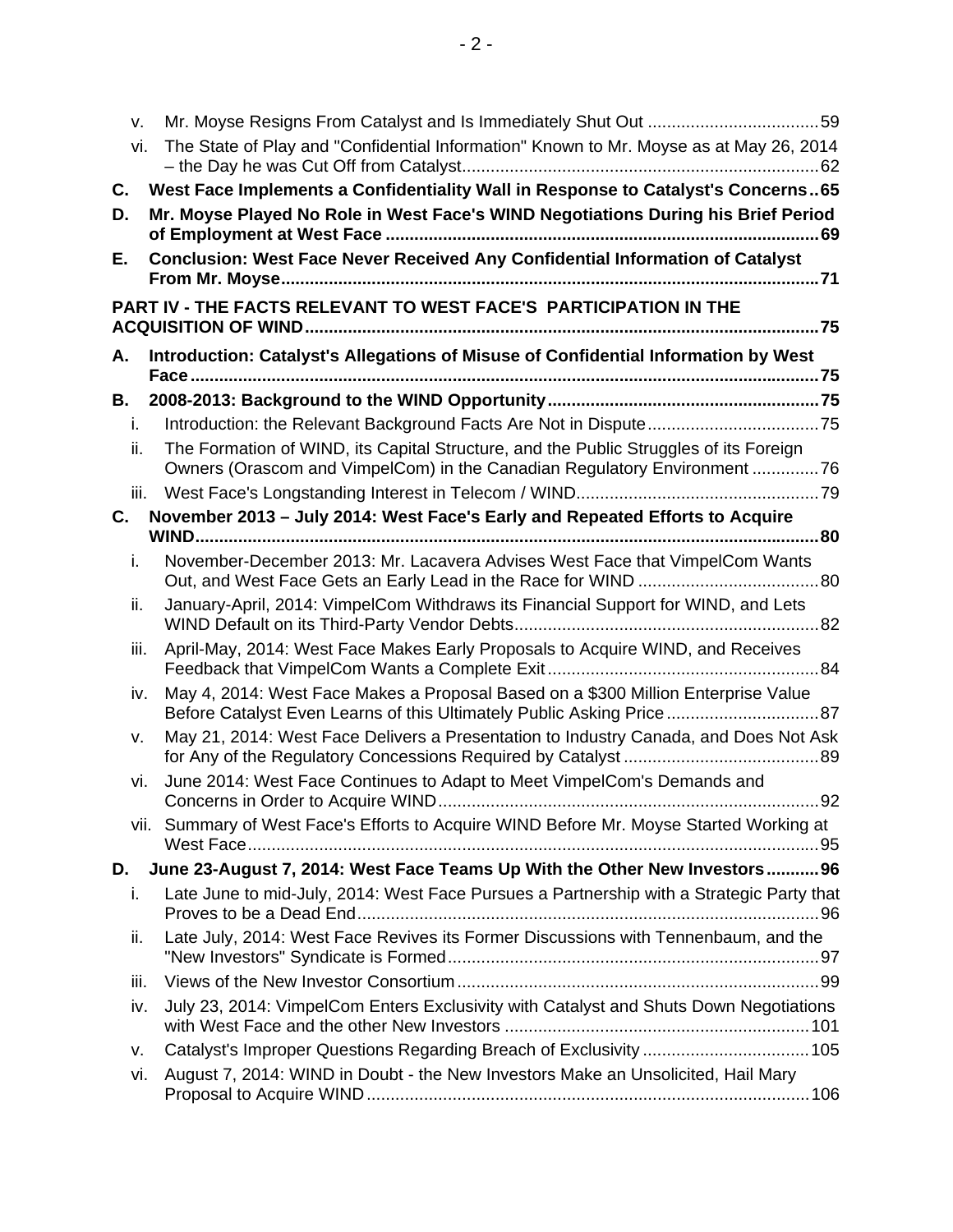<span id="page-2-0"></span>

| v.  | vi.  | The State of Play and "Confidential Information" Known to Mr. Moyse as at May 26, 2014                                                                            |
|-----|------|-------------------------------------------------------------------------------------------------------------------------------------------------------------------|
|     |      |                                                                                                                                                                   |
| C.  |      | West Face Implements a Confidentiality Wall in Response to Catalyst's Concerns65                                                                                  |
| D.  |      | Mr. Moyse Played No Role in West Face's WIND Negotiations During his Brief Period                                                                                 |
| Е.  |      | Conclusion: West Face Never Received Any Confidential Information of Catalyst                                                                                     |
|     |      | PART IV - THE FACTS RELEVANT TO WEST FACE'S PARTICIPATION IN THE                                                                                                  |
| А.  |      | Introduction: Catalyst's Allegations of Misuse of Confidential Information by West                                                                                |
| В.  |      |                                                                                                                                                                   |
| i.  |      |                                                                                                                                                                   |
| ii. |      | The Formation of WIND, its Capital Structure, and the Public Struggles of its Foreign<br>Owners (Orascom and VimpelCom) in the Canadian Regulatory Environment 76 |
|     | iii. |                                                                                                                                                                   |
| C.  |      | November 2013 - July 2014: West Face's Early and Repeated Efforts to Acquire                                                                                      |
| i.  |      | November-December 2013: Mr. Lacavera Advises West Face that VimpelCom Wants                                                                                       |
| ii. |      | January-April, 2014: VimpelCom Withdraws its Financial Support for WIND, and Lets                                                                                 |
|     | iii. | April-May, 2014: West Face Makes Early Proposals to Acquire WIND, and Receives                                                                                    |
|     | iv.  | May 4, 2014: West Face Makes a Proposal Based on a \$300 Million Enterprise Value<br>Before Catalyst Even Learns of this Ultimately Public Asking Price 87        |
| v.  |      | May 21, 2014: West Face Delivers a Presentation to Industry Canada, and Does Not Ask                                                                              |
|     | vi.  | June 2014: West Face Continues to Adapt to Meet VimpelCom's Demands and<br>92                                                                                     |
|     |      | vii. Summary of West Face's Efforts to Acquire WIND Before Mr. Moyse Started Working at                                                                           |
| D.  |      | June 23-August 7, 2014: West Face Teams Up With the Other New Investors96                                                                                         |
| i.  |      | Late June to mid-July, 2014: West Face Pursues a Partnership with a Strategic Party that                                                                          |
| ii. |      | Late July, 2014: West Face Revives its Former Discussions with Tennenbaum, and the                                                                                |
|     | iii. |                                                                                                                                                                   |
|     | iv.  | July 23, 2014: VimpelCom Enters Exclusivity with Catalyst and Shuts Down Negotiations                                                                             |
| v.  |      | Catalyst's Improper Questions Regarding Breach of Exclusivity  105                                                                                                |
|     | vi.  | August 7, 2014: WIND in Doubt - the New Investors Make an Unsolicited, Hail Mary                                                                                  |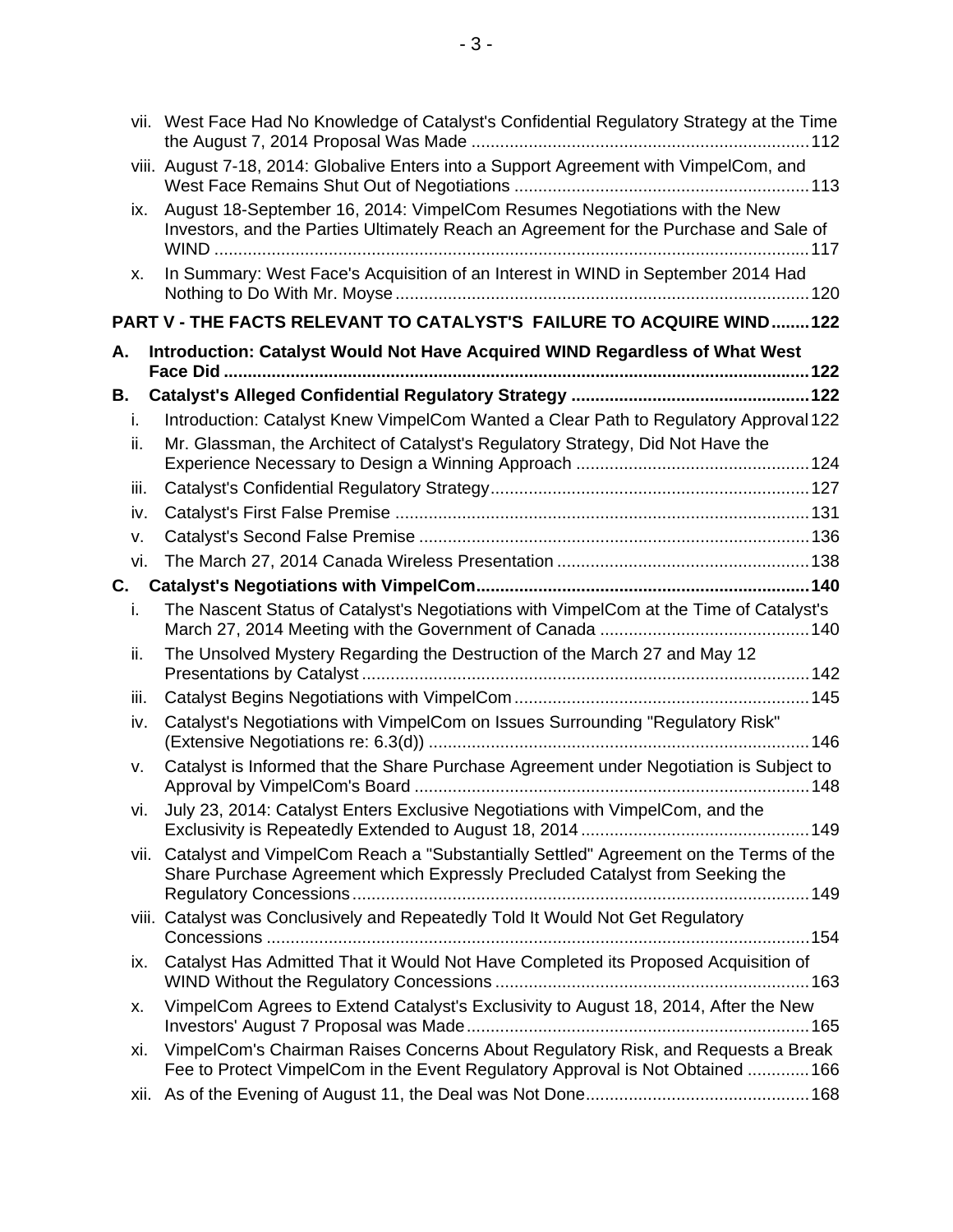|    |           | vii. West Face Had No Knowledge of Catalyst's Confidential Regulatory Strategy at the Time                                                                           |
|----|-----------|----------------------------------------------------------------------------------------------------------------------------------------------------------------------|
|    |           | viii. August 7-18, 2014: Globalive Enters into a Support Agreement with VimpelCom, and                                                                               |
|    | ix.       | August 18-September 16, 2014: VimpelCom Resumes Negotiations with the New<br>Investors, and the Parties Ultimately Reach an Agreement for the Purchase and Sale of   |
|    | х.        | In Summary: West Face's Acquisition of an Interest in WIND in September 2014 Had                                                                                     |
|    |           | PART V - THE FACTS RELEVANT TO CATALYST'S FAILURE TO ACQUIRE WIND122                                                                                                 |
| А. |           | Introduction: Catalyst Would Not Have Acquired WIND Regardless of What West                                                                                          |
|    |           |                                                                                                                                                                      |
| В. |           |                                                                                                                                                                      |
|    | i.        | Introduction: Catalyst Knew VimpelCom Wanted a Clear Path to Regulatory Approval 122                                                                                 |
|    | ii.       | Mr. Glassman, the Architect of Catalyst's Regulatory Strategy, Did Not Have the                                                                                      |
|    |           |                                                                                                                                                                      |
|    | iii.      |                                                                                                                                                                      |
|    | iv.       |                                                                                                                                                                      |
|    | v.<br>vi. |                                                                                                                                                                      |
|    | С.        |                                                                                                                                                                      |
|    | i.        | The Nascent Status of Catalyst's Negotiations with VimpelCom at the Time of Catalyst's                                                                               |
|    |           |                                                                                                                                                                      |
|    | ii.       | The Unsolved Mystery Regarding the Destruction of the March 27 and May 12                                                                                            |
|    | iii.      |                                                                                                                                                                      |
|    | iv.       | Catalyst's Negotiations with VimpelCom on Issues Surrounding "Regulatory Risk"                                                                                       |
|    | v.        | Catalyst is Informed that the Share Purchase Agreement under Negotiation is Subject to                                                                               |
|    | vi.       | July 23, 2014: Catalyst Enters Exclusive Negotiations with VimpelCom, and the                                                                                        |
|    | vii.      | Catalyst and VimpelCom Reach a "Substantially Settled" Agreement on the Terms of the<br>Share Purchase Agreement which Expressly Precluded Catalyst from Seeking the |
|    |           | viii. Catalyst was Conclusively and Repeatedly Told It Would Not Get Regulatory                                                                                      |
|    | ix.       | Catalyst Has Admitted That it Would Not Have Completed its Proposed Acquisition of                                                                                   |
|    | X.        | VimpelCom Agrees to Extend Catalyst's Exclusivity to August 18, 2014, After the New                                                                                  |
|    | xi.       | VimpelCom's Chairman Raises Concerns About Regulatory Risk, and Requests a Break<br>Fee to Protect VimpelCom in the Event Regulatory Approval is Not Obtained 166    |
|    | xii.      |                                                                                                                                                                      |
|    |           |                                                                                                                                                                      |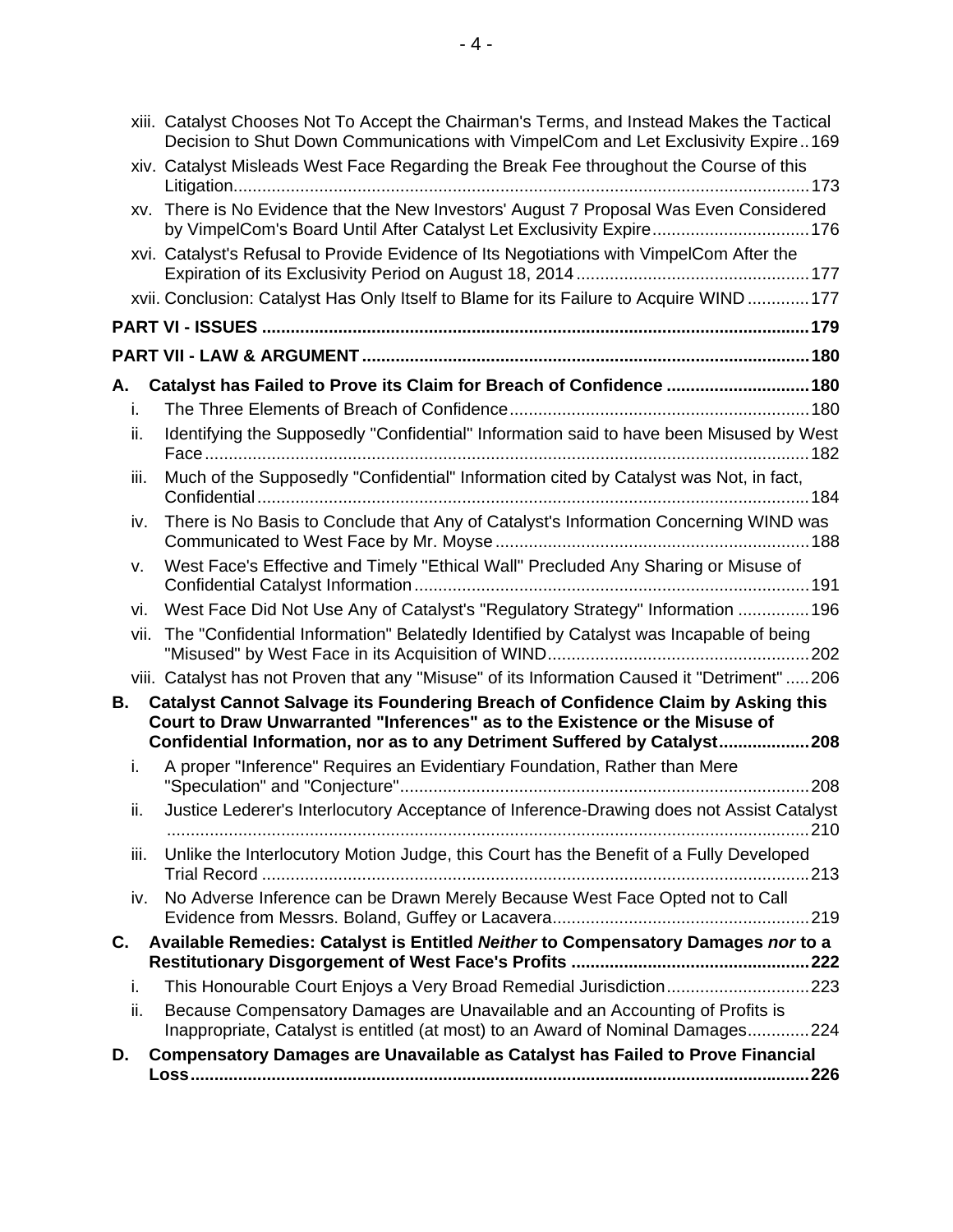<span id="page-4-0"></span>

|    |      | xiii. Catalyst Chooses Not To Accept the Chairman's Terms, and Instead Makes the Tactical<br>Decision to Shut Down Communications with VimpelCom and Let Exclusivity Expire169                                                               |
|----|------|----------------------------------------------------------------------------------------------------------------------------------------------------------------------------------------------------------------------------------------------|
|    |      | xiv. Catalyst Misleads West Face Regarding the Break Fee throughout the Course of this                                                                                                                                                       |
|    |      | xv. There is No Evidence that the New Investors' August 7 Proposal Was Even Considered<br>by VimpelCom's Board Until After Catalyst Let Exclusivity Expire 176                                                                               |
|    |      | xvi. Catalyst's Refusal to Provide Evidence of Its Negotiations with VimpelCom After the                                                                                                                                                     |
|    |      | xvii. Conclusion: Catalyst Has Only Itself to Blame for its Failure to Acquire WIND  177                                                                                                                                                     |
|    |      |                                                                                                                                                                                                                                              |
|    |      |                                                                                                                                                                                                                                              |
| А. |      | Catalyst has Failed to Prove its Claim for Breach of Confidence  180                                                                                                                                                                         |
|    | i.   |                                                                                                                                                                                                                                              |
|    | ii.  | Identifying the Supposedly "Confidential" Information said to have been Misused by West                                                                                                                                                      |
|    | iii. | Much of the Supposedly "Confidential" Information cited by Catalyst was Not, in fact,                                                                                                                                                        |
|    | iv.  | There is No Basis to Conclude that Any of Catalyst's Information Concerning WIND was                                                                                                                                                         |
|    | v.   | West Face's Effective and Timely "Ethical Wall" Precluded Any Sharing or Misuse of                                                                                                                                                           |
|    | vi.  | West Face Did Not Use Any of Catalyst's "Regulatory Strategy" Information  196                                                                                                                                                               |
|    | vii. | The "Confidential Information" Belatedly Identified by Catalyst was Incapable of being                                                                                                                                                       |
|    |      | viii. Catalyst has not Proven that any "Misuse" of its Information Caused it "Detriment"  206                                                                                                                                                |
| В. |      | Catalyst Cannot Salvage its Foundering Breach of Confidence Claim by Asking this<br>Court to Draw Unwarranted "Inferences" as to the Existence or the Misuse of<br>Confidential Information, nor as to any Detriment Suffered by Catalyst208 |
|    | i.   | A proper "Inference" Requires an Evidentiary Foundation, Rather than Mere                                                                                                                                                                    |
|    | ii.  | Justice Lederer's Interlocutory Acceptance of Inference-Drawing does not Assist Catalyst<br>.210                                                                                                                                             |
|    | iii. | Unlike the Interlocutory Motion Judge, this Court has the Benefit of a Fully Developed                                                                                                                                                       |
|    | iv.  | No Adverse Inference can be Drawn Merely Because West Face Opted not to Call                                                                                                                                                                 |
| C. |      | Available Remedies: Catalyst is Entitled Neither to Compensatory Damages nor to a                                                                                                                                                            |
|    | i.   | This Honourable Court Enjoys a Very Broad Remedial Jurisdiction223                                                                                                                                                                           |
|    | ii.  | Because Compensatory Damages are Unavailable and an Accounting of Profits is<br>Inappropriate, Catalyst is entitled (at most) to an Award of Nominal Damages224                                                                              |
| D. |      | <b>Compensatory Damages are Unavailable as Catalyst has Failed to Prove Financial</b>                                                                                                                                                        |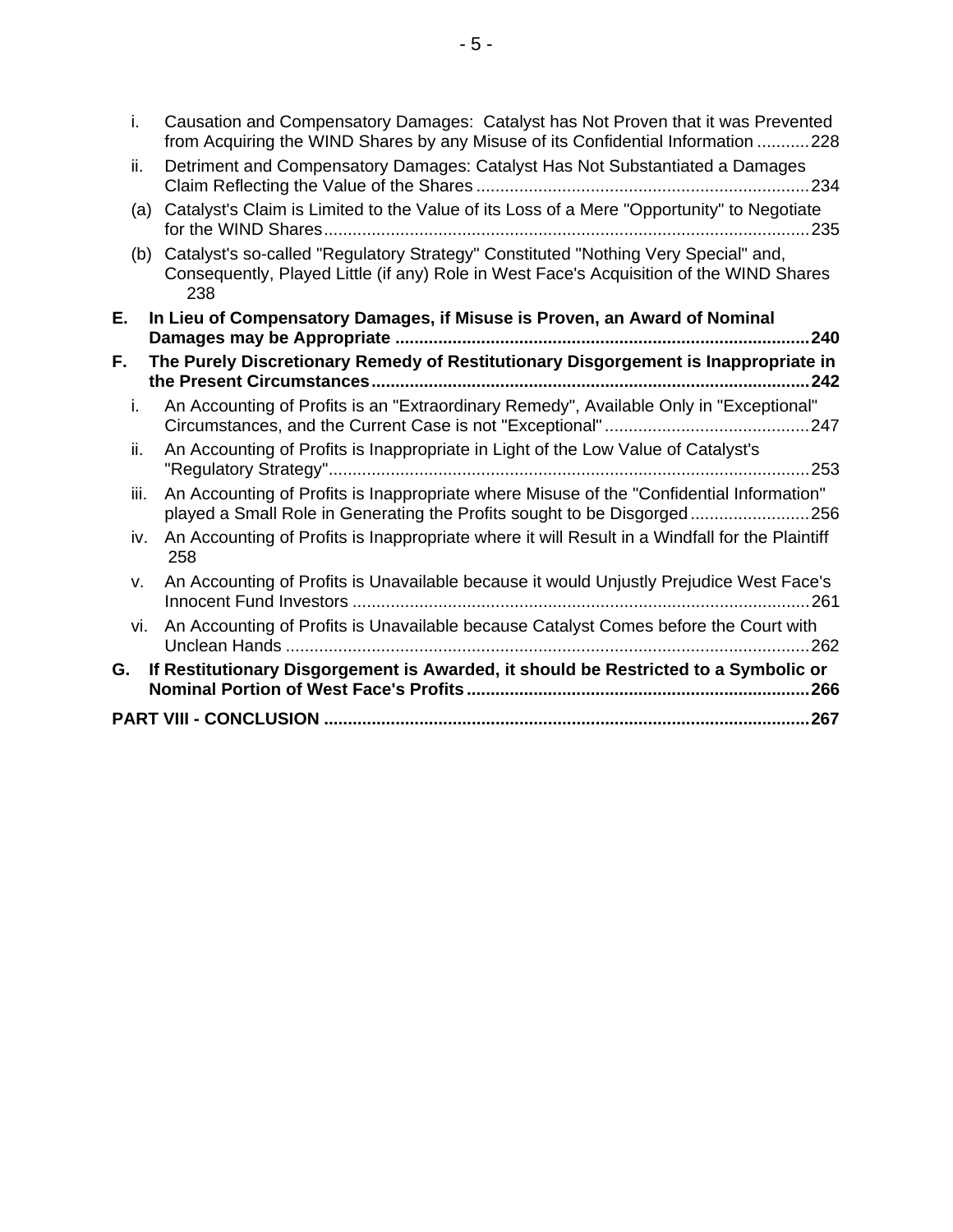| i.   | Causation and Compensatory Damages: Catalyst has Not Proven that it was Prevented<br>from Acquiring the WIND Shares by any Misuse of its Confidential Information 228                |
|------|--------------------------------------------------------------------------------------------------------------------------------------------------------------------------------------|
| ii.  | Detriment and Compensatory Damages: Catalyst Has Not Substantiated a Damages                                                                                                         |
| (a)  | Catalyst's Claim is Limited to the Value of its Loss of a Mere "Opportunity" to Negotiate                                                                                            |
| (b)  | Catalyst's so-called "Regulatory Strategy" Constituted "Nothing Very Special" and,<br>Consequently, Played Little (if any) Role in West Face's Acquisition of the WIND Shares<br>238 |
| Е.   | In Lieu of Compensatory Damages, if Misuse is Proven, an Award of Nominal                                                                                                            |
| F.   | The Purely Discretionary Remedy of Restitutionary Disgorgement is Inappropriate in                                                                                                   |
| i.   | An Accounting of Profits is an "Extraordinary Remedy", Available Only in "Exceptional"                                                                                               |
| ii.  | An Accounting of Profits is Inappropriate in Light of the Low Value of Catalyst's                                                                                                    |
| iii. | An Accounting of Profits is Inappropriate where Misuse of the "Confidential Information"<br>played a Small Role in Generating the Profits sought to be Disgorged256                  |
| iv.  | An Accounting of Profits is Inappropriate where it will Result in a Windfall for the Plaintiff<br>258                                                                                |
| v.   | An Accounting of Profits is Unavailable because it would Unjustly Prejudice West Face's                                                                                              |
| vi.  | An Accounting of Profits is Unavailable because Catalyst Comes before the Court with                                                                                                 |
| G.   | If Restitutionary Disgorgement is Awarded, it should be Restricted to a Symbolic or                                                                                                  |
|      |                                                                                                                                                                                      |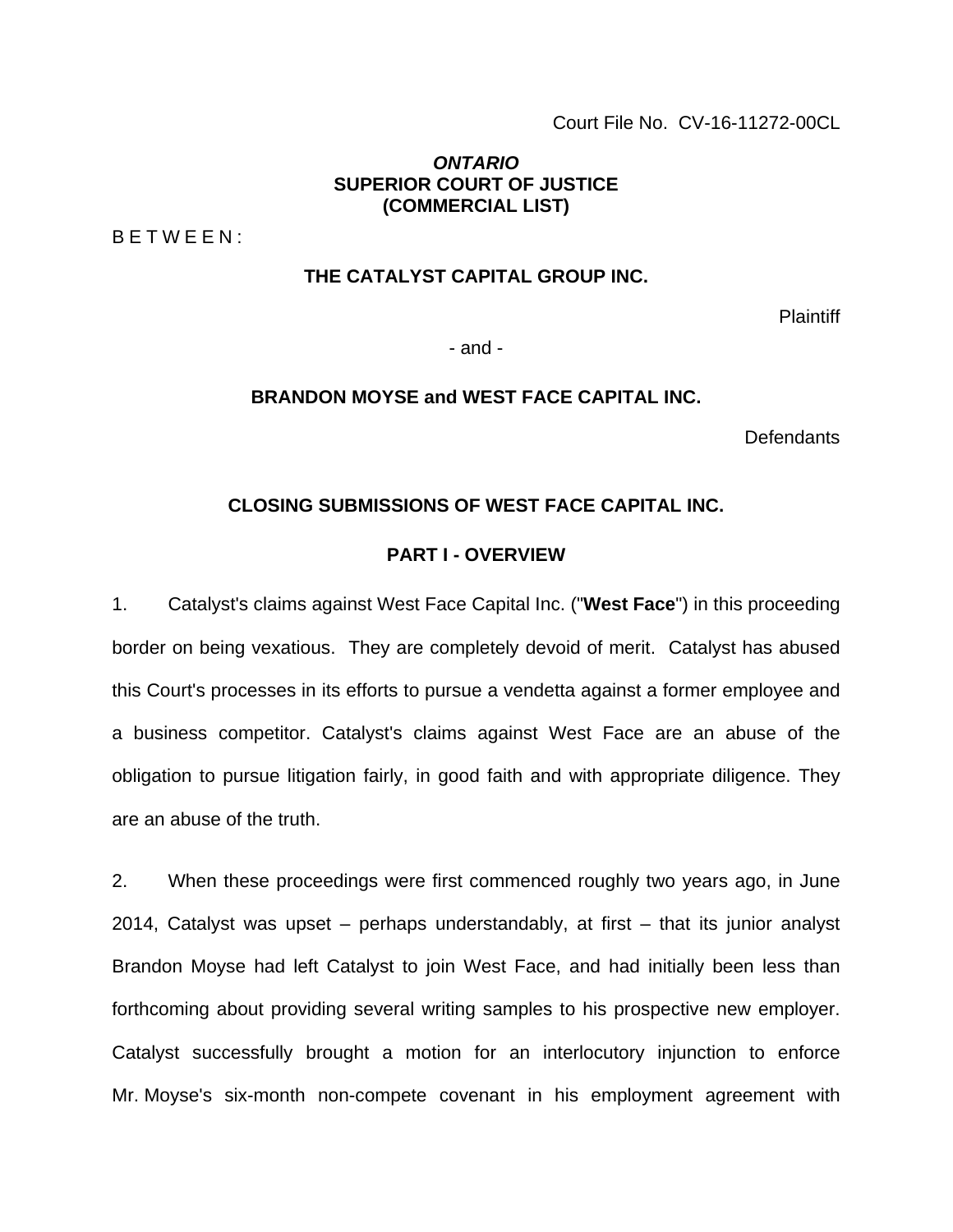Court File No. CV-16-11272-00CL

## *ONTARIO* **SUPERIOR COURT OF JUSTICE (COMMERCIAL LIST)**

<span id="page-6-0"></span>B E T W E E N :

#### **THE CATALYST CAPITAL GROUP INC.**

**Plaintiff** 

- and -

#### **BRANDON MOYSE and WEST FACE CAPITAL INC.**

**Defendants** 

#### **CLOSING SUBMISSIONS OF WEST FACE CAPITAL INC.**

#### **PART I - OVERVIEW**

1. Catalyst's claims against West Face Capital Inc. ("**West Face**") in this proceeding border on being vexatious. They are completely devoid of merit. Catalyst has abused this Court's processes in its efforts to pursue a vendetta against a former employee and a business competitor. Catalyst's claims against West Face are an abuse of the obligation to pursue litigation fairly, in good faith and with appropriate diligence. They are an abuse of the truth.

2. When these proceedings were first commenced roughly two years ago, in June 2014, Catalyst was upset – perhaps understandably, at first – that its junior analyst Brandon Moyse had left Catalyst to join West Face, and had initially been less than forthcoming about providing several writing samples to his prospective new employer. Catalyst successfully brought a motion for an interlocutory injunction to enforce Mr. Moyse's six-month non-compete covenant in his employment agreement with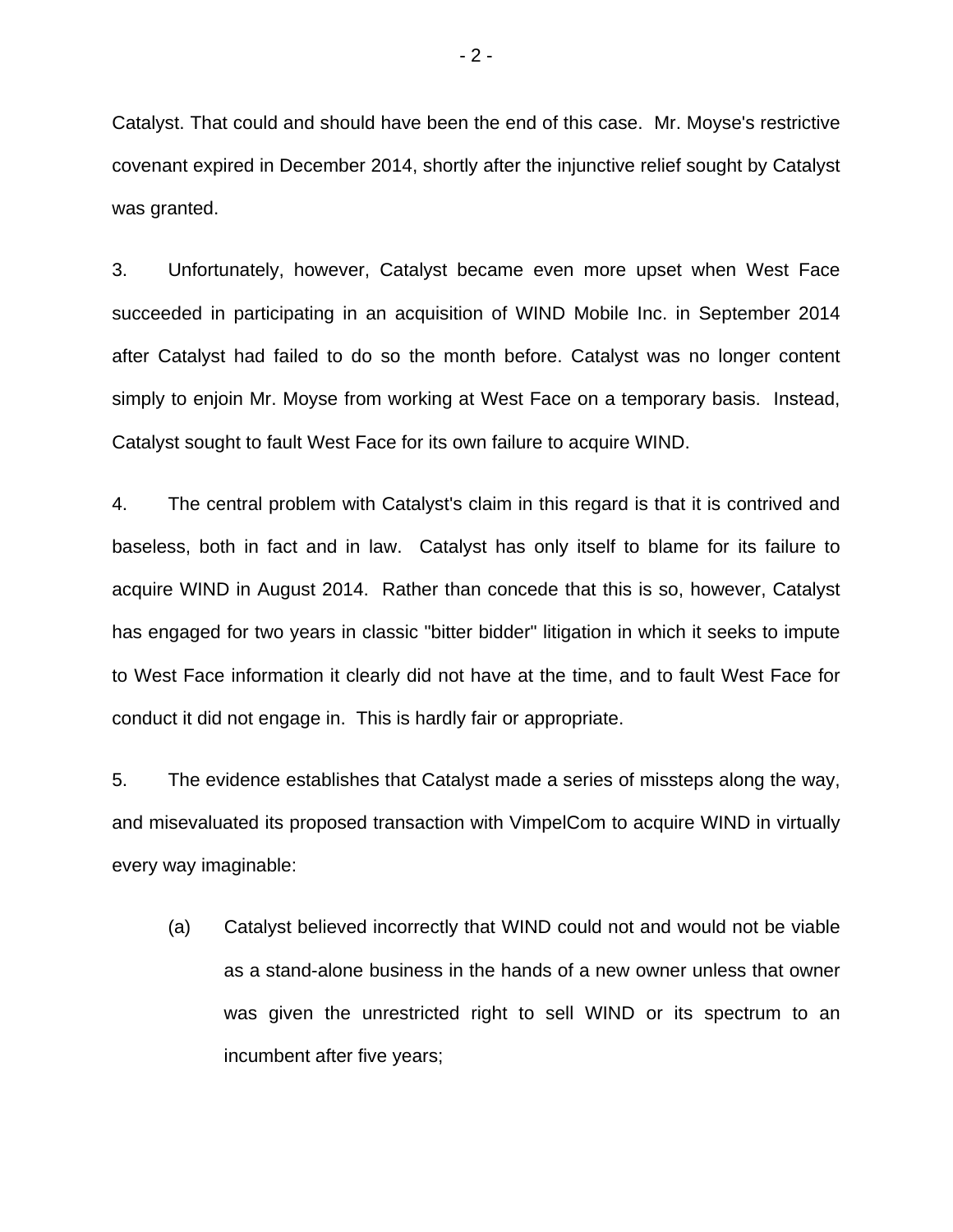Catalyst. That could and should have been the end of this case. Mr. Moyse's restrictive covenant expired in December 2014, shortly after the injunctive relief sought by Catalyst was granted.

3. Unfortunately, however, Catalyst became even more upset when West Face succeeded in participating in an acquisition of WIND Mobile Inc. in September 2014 after Catalyst had failed to do so the month before. Catalyst was no longer content simply to enjoin Mr. Moyse from working at West Face on a temporary basis. Instead, Catalyst sought to fault West Face for its own failure to acquire WIND.

4. The central problem with Catalyst's claim in this regard is that it is contrived and baseless, both in fact and in law. Catalyst has only itself to blame for its failure to acquire WIND in August 2014. Rather than concede that this is so, however, Catalyst has engaged for two years in classic "bitter bidder" litigation in which it seeks to impute to West Face information it clearly did not have at the time, and to fault West Face for conduct it did not engage in. This is hardly fair or appropriate.

5. The evidence establishes that Catalyst made a series of missteps along the way, and misevaluated its proposed transaction with VimpelCom to acquire WIND in virtually every way imaginable:

(a) Catalyst believed incorrectly that WIND could not and would not be viable as a stand-alone business in the hands of a new owner unless that owner was given the unrestricted right to sell WIND or its spectrum to an incumbent after five years;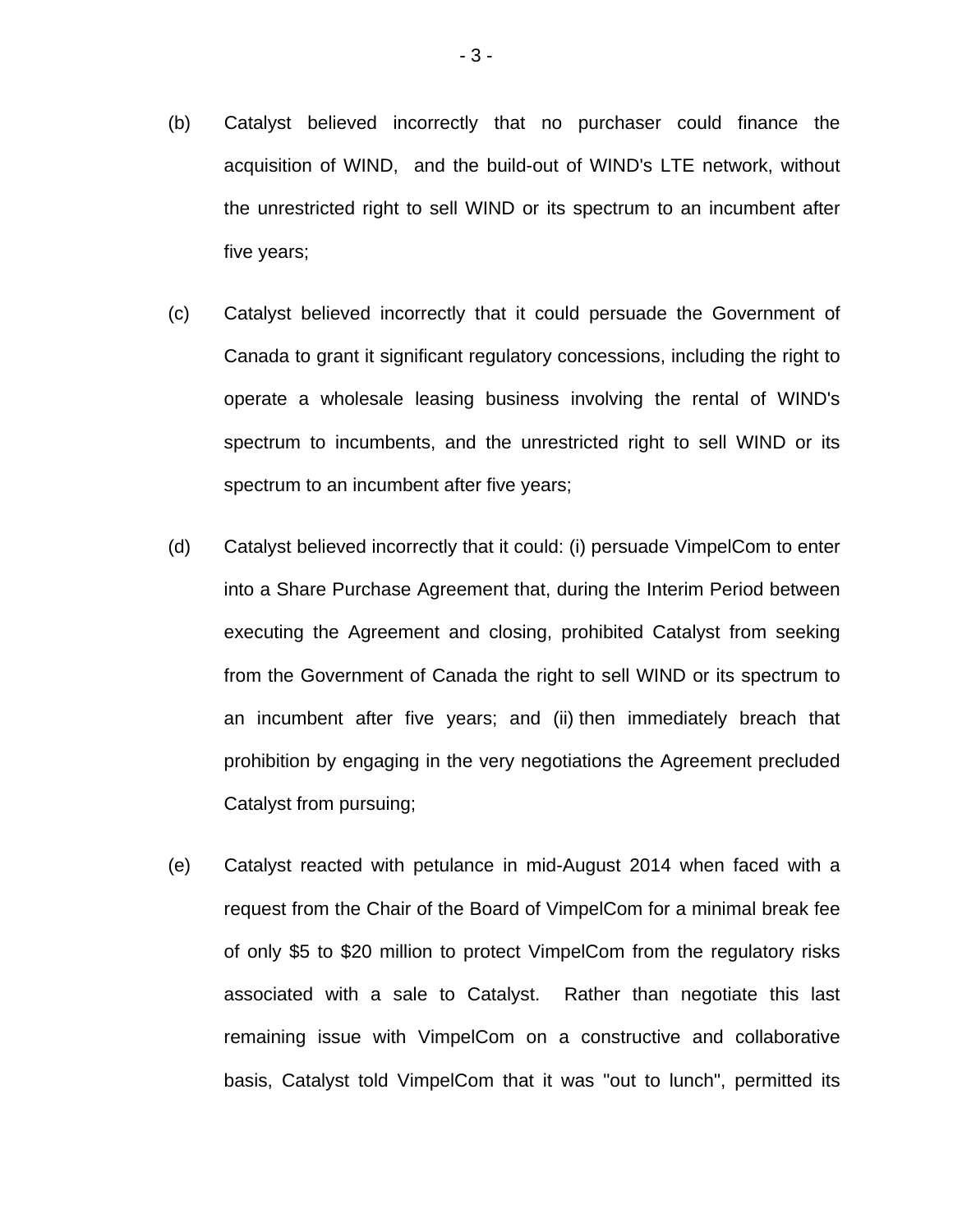- (b) Catalyst believed incorrectly that no purchaser could finance the acquisition of WIND, and the build-out of WIND's LTE network, without the unrestricted right to sell WIND or its spectrum to an incumbent after five years;
- (c) Catalyst believed incorrectly that it could persuade the Government of Canada to grant it significant regulatory concessions, including the right to operate a wholesale leasing business involving the rental of WIND's spectrum to incumbents, and the unrestricted right to sell WIND or its spectrum to an incumbent after five years;
- (d) Catalyst believed incorrectly that it could: (i) persuade VimpelCom to enter into a Share Purchase Agreement that, during the Interim Period between executing the Agreement and closing, prohibited Catalyst from seeking from the Government of Canada the right to sell WIND or its spectrum to an incumbent after five years; and (ii) then immediately breach that prohibition by engaging in the very negotiations the Agreement precluded Catalyst from pursuing;
- (e) Catalyst reacted with petulance in mid-August 2014 when faced with a request from the Chair of the Board of VimpelCom for a minimal break fee of only \$5 to \$20 million to protect VimpelCom from the regulatory risks associated with a sale to Catalyst. Rather than negotiate this last remaining issue with VimpelCom on a constructive and collaborative basis, Catalyst told VimpelCom that it was "out to lunch", permitted its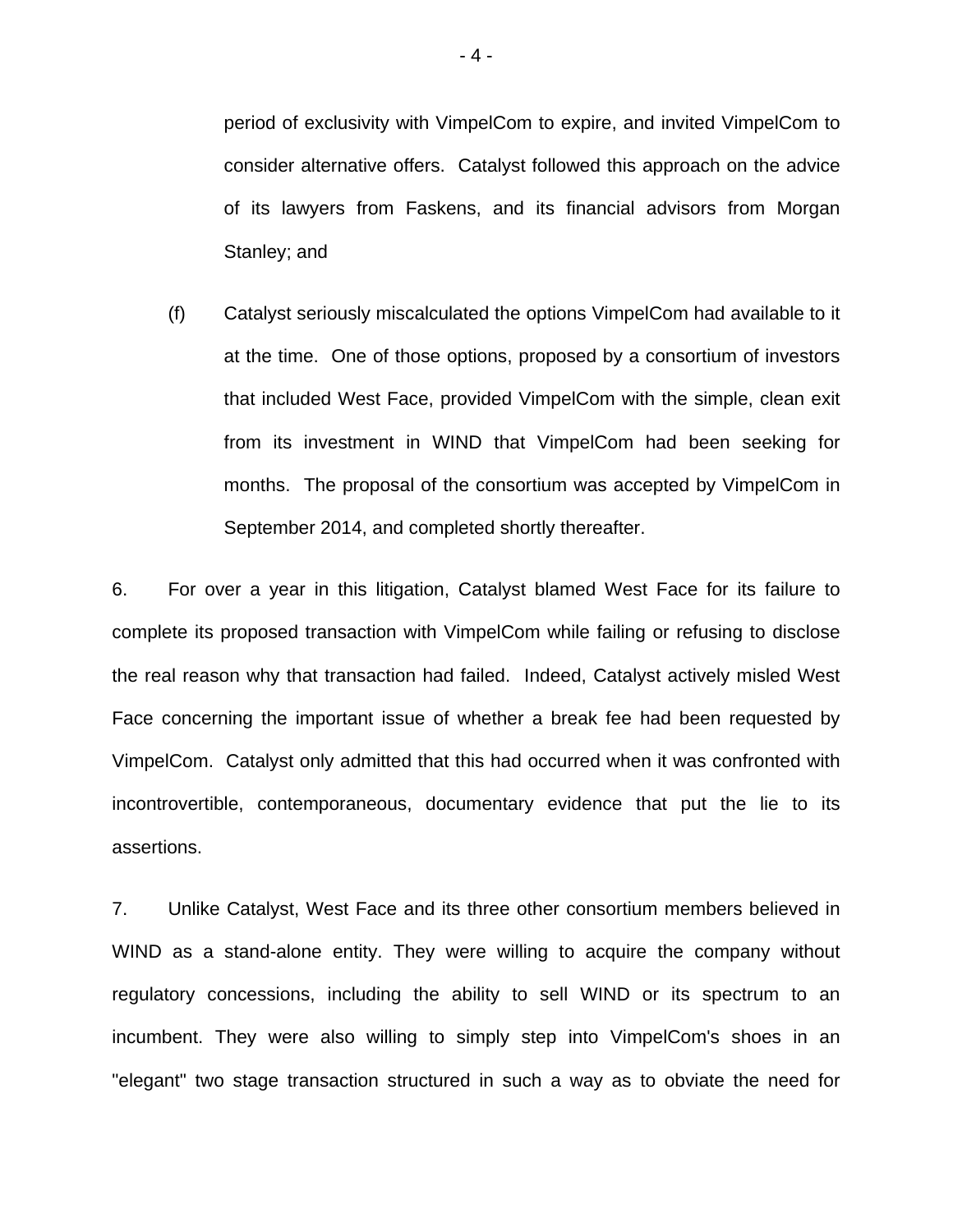period of exclusivity with VimpelCom to expire, and invited VimpelCom to consider alternative offers. Catalyst followed this approach on the advice of its lawyers from Faskens, and its financial advisors from Morgan Stanley; and

(f) Catalyst seriously miscalculated the options VimpelCom had available to it at the time. One of those options, proposed by a consortium of investors that included West Face, provided VimpelCom with the simple, clean exit from its investment in WIND that VimpelCom had been seeking for months. The proposal of the consortium was accepted by VimpelCom in September 2014, and completed shortly thereafter.

6. For over a year in this litigation, Catalyst blamed West Face for its failure to complete its proposed transaction with VimpelCom while failing or refusing to disclose the real reason why that transaction had failed. Indeed, Catalyst actively misled West Face concerning the important issue of whether a break fee had been requested by VimpelCom. Catalyst only admitted that this had occurred when it was confronted with incontrovertible, contemporaneous, documentary evidence that put the lie to its assertions.

7. Unlike Catalyst, West Face and its three other consortium members believed in WIND as a stand-alone entity. They were willing to acquire the company without regulatory concessions, including the ability to sell WIND or its spectrum to an incumbent. They were also willing to simply step into VimpelCom's shoes in an "elegant" two stage transaction structured in such a way as to obviate the need for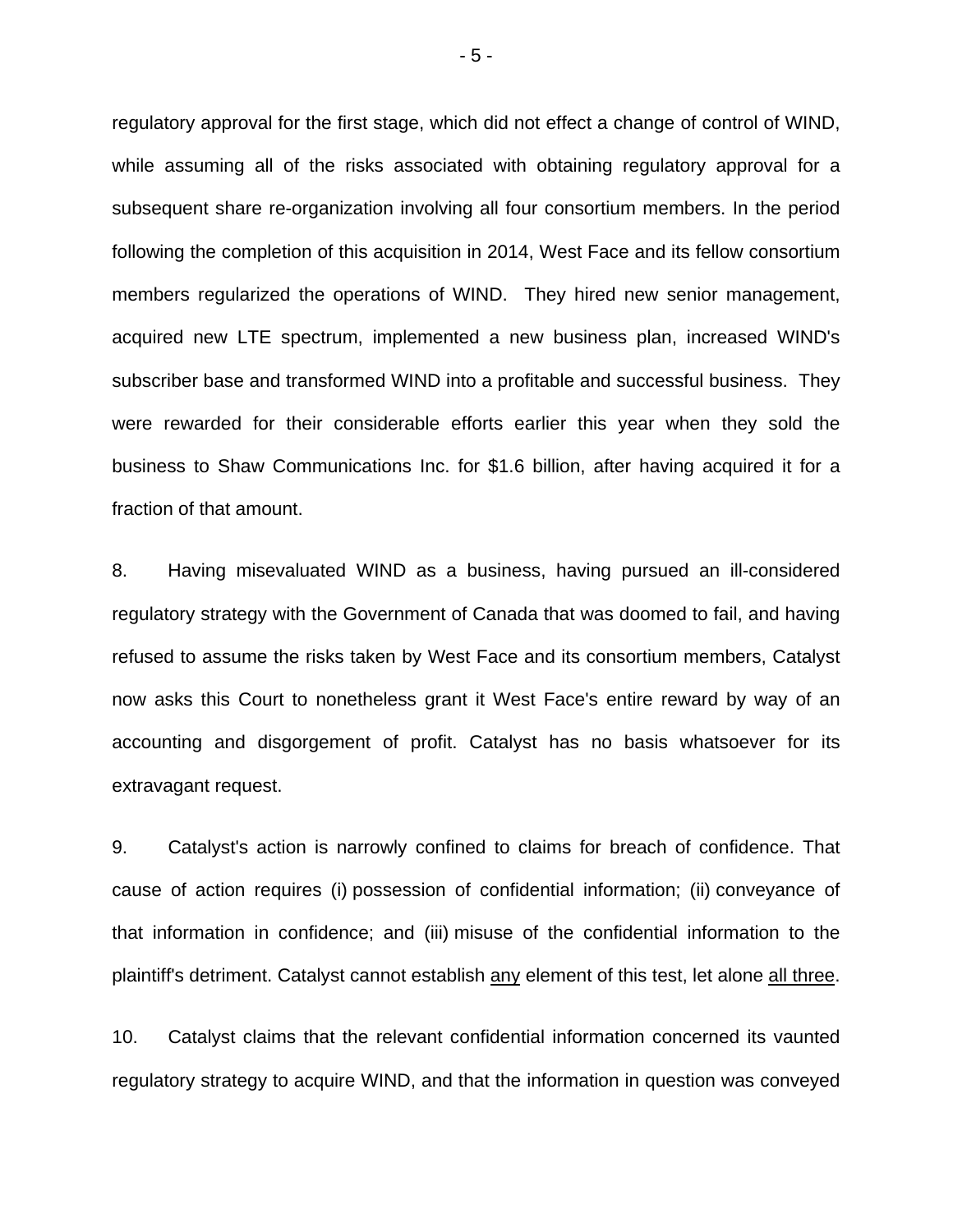regulatory approval for the first stage, which did not effect a change of control of WIND, while assuming all of the risks associated with obtaining regulatory approval for a subsequent share re-organization involving all four consortium members. In the period following the completion of this acquisition in 2014, West Face and its fellow consortium members regularized the operations of WIND. They hired new senior management, acquired new LTE spectrum, implemented a new business plan, increased WIND's subscriber base and transformed WIND into a profitable and successful business. They were rewarded for their considerable efforts earlier this year when they sold the business to Shaw Communications Inc. for \$1.6 billion, after having acquired it for a fraction of that amount.

8. Having misevaluated WIND as a business, having pursued an ill-considered regulatory strategy with the Government of Canada that was doomed to fail, and having refused to assume the risks taken by West Face and its consortium members, Catalyst now asks this Court to nonetheless grant it West Face's entire reward by way of an accounting and disgorgement of profit. Catalyst has no basis whatsoever for its extravagant request.

9. Catalyst's action is narrowly confined to claims for breach of confidence. That cause of action requires (i) possession of confidential information; (ii) conveyance of that information in confidence; and (iii) misuse of the confidential information to the plaintiff's detriment. Catalyst cannot establish any element of this test, let alone all three.

10. Catalyst claims that the relevant confidential information concerned its vaunted regulatory strategy to acquire WIND, and that the information in question was conveyed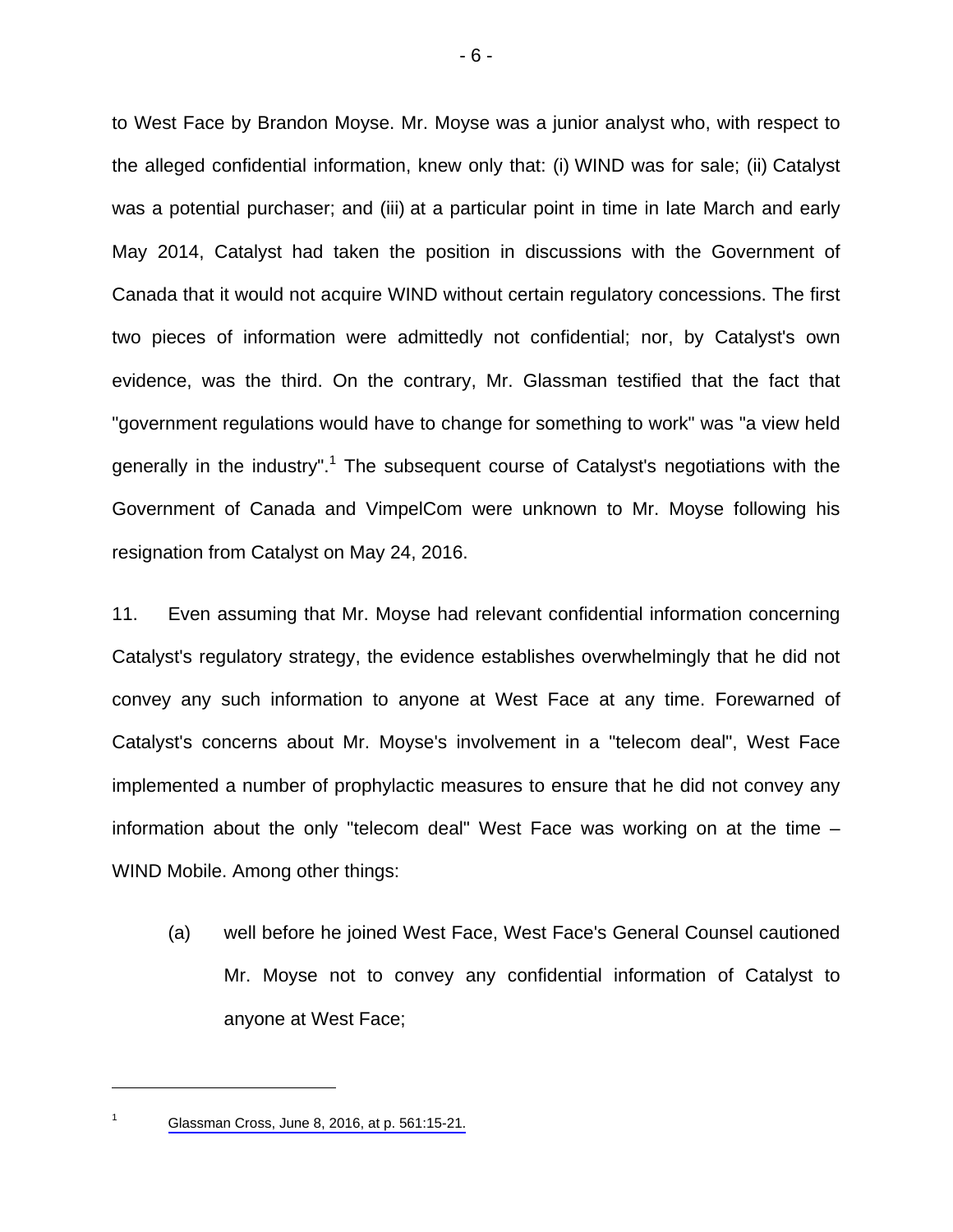to West Face by Brandon Moyse. Mr. Moyse was a junior analyst who, with respect to the alleged confidential information, knew only that: (i) WIND was for sale; (ii) Catalyst was a potential purchaser; and (iii) at a particular point in time in late March and early May 2014, Catalyst had taken the position in discussions with the Government of Canada that it would not acquire WIND without certain regulatory concessions. The first two pieces of information were admittedly not confidential; nor, by Catalyst's own evidence, was the third. On the contrary, Mr. Glassman testified that the fact that "government regulations would have to change for something to work" was "a view held generally in the industry".<sup>1</sup> The subsequent course of Catalyst's negotiations with the Government of Canada and VimpelCom were unknown to Mr. Moyse following his resignation from Catalyst on May 24, 2016.

11. Even assuming that Mr. Moyse had relevant confidential information concerning Catalyst's regulatory strategy, the evidence establishes overwhelmingly that he did not convey any such information to anyone at West Face at any time. Forewarned of Catalyst's concerns about Mr. Moyse's involvement in a "telecom deal", West Face implemented a number of prophylactic measures to ensure that he did not convey any information about the only "telecom deal" West Face was working on at the time – WIND Mobile. Among other things:

(a) well before he joined West Face, West Face's General Counsel cautioned Mr. Moyse not to convey any confidential information of Catalyst to anyone at West Face;

1

[Glassman Cross, June 8, 2016, at p. 561:15-21.](#page-1-0)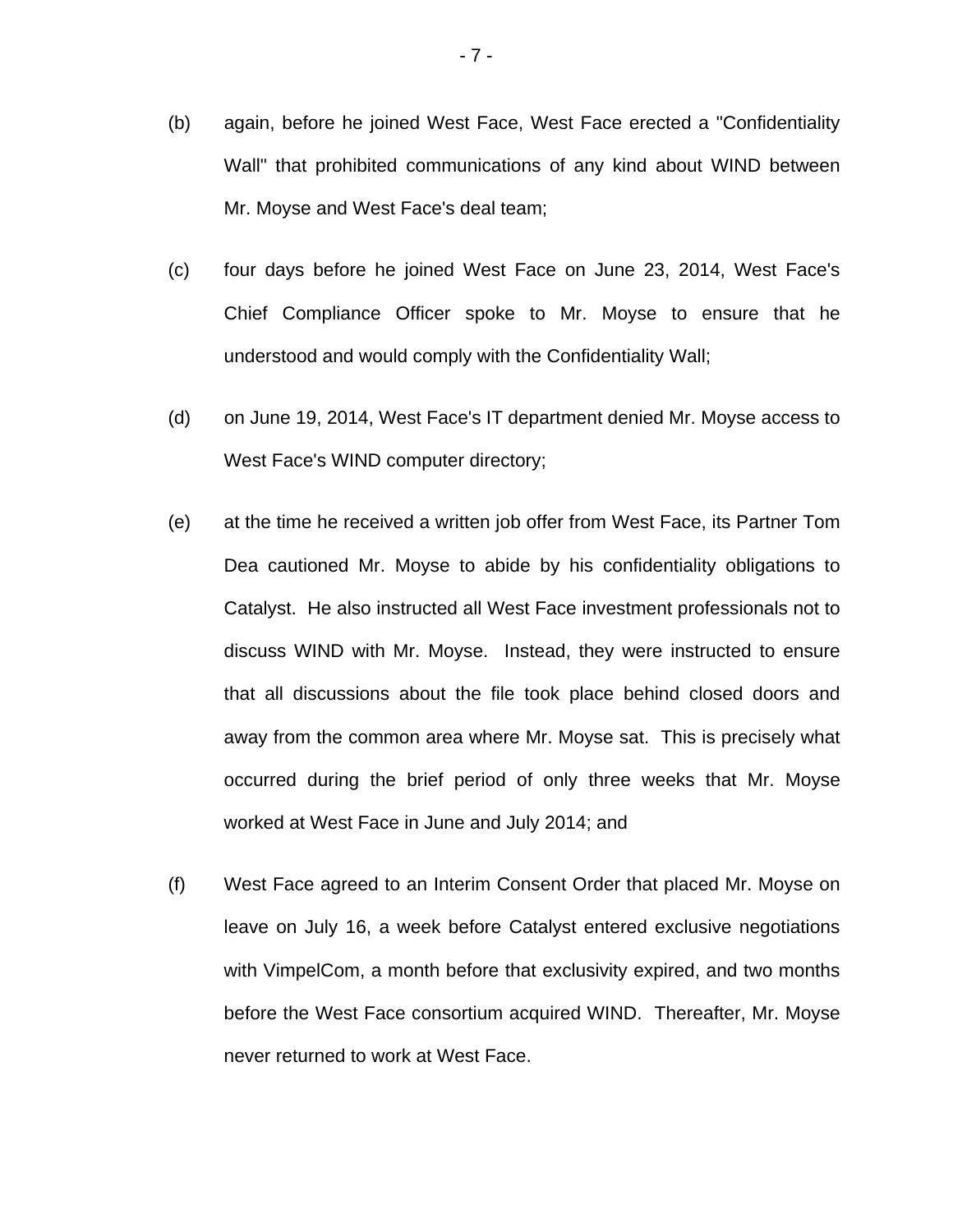- (b) again, before he joined West Face, West Face erected a "Confidentiality Wall" that prohibited communications of any kind about WIND between Mr. Moyse and West Face's deal team;
- (c) four days before he joined West Face on June 23, 2014, West Face's Chief Compliance Officer spoke to Mr. Moyse to ensure that he understood and would comply with the Confidentiality Wall;
- (d) on June 19, 2014, West Face's IT department denied Mr. Moyse access to West Face's WIND computer directory;
- (e) at the time he received a written job offer from West Face, its Partner Tom Dea cautioned Mr. Moyse to abide by his confidentiality obligations to Catalyst. He also instructed all West Face investment professionals not to discuss WIND with Mr. Moyse. Instead, they were instructed to ensure that all discussions about the file took place behind closed doors and away from the common area where Mr. Moyse sat. This is precisely what occurred during the brief period of only three weeks that Mr. Moyse worked at West Face in June and July 2014; and
- (f) West Face agreed to an Interim Consent Order that placed Mr. Moyse on leave on July 16, a week before Catalyst entered exclusive negotiations with VimpelCom, a month before that exclusivity expired, and two months before the West Face consortium acquired WIND. Thereafter, Mr. Moyse never returned to work at West Face.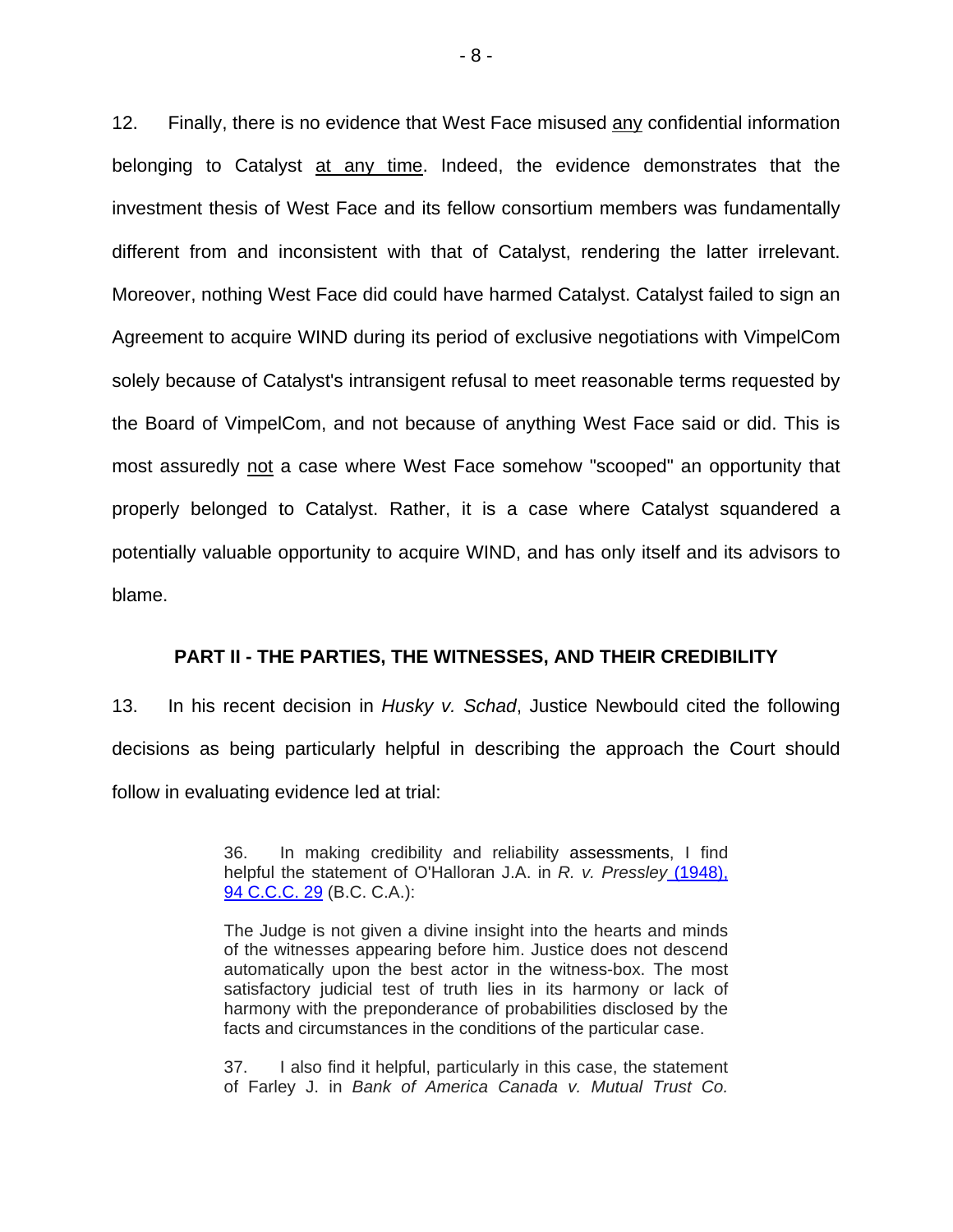12. Finally, there is no evidence that West Face misused any confidential information belonging to Catalyst at any time. Indeed, the evidence demonstrates that the investment thesis of West Face and its fellow consortium members was fundamentally different from and inconsistent with that of Catalyst, rendering the latter irrelevant. Moreover, nothing West Face did could have harmed Catalyst. Catalyst failed to sign an Agreement to acquire WIND during its period of exclusive negotiations with VimpelCom solely because of Catalyst's intransigent refusal to meet reasonable terms requested by the Board of VimpelCom, and not because of anything West Face said or did. This is most assuredly not a case where West Face somehow "scooped" an opportunity that properly belonged to Catalyst. Rather, it is a case where Catalyst squandered a potentially valuable opportunity to acquire WIND, and has only itself and its advisors to blame.

#### **PART II - THE PARTIES, THE WITNESSES, AND THEIR CREDIBILITY**

13. In his recent decision in *Husky v. Schad*, Justice Newbould cited the following decisions as being particularly helpful in describing the approach the Court should follow in evaluating evidence led at trial:

> 36. In making credibility and reliability assessments, I find helpful the statement of O'Halloran J.A. in *R. v. Pressley* (1948), 94 C.C.C. 29 (B.C. C.A.):

> The Judge is not given a divine insight into the hearts and minds of the witnesses appearing before him. Justice does not descend automatically upon the best actor in the witness-box. The most satisfactory judicial test of truth lies in its harmony or lack of harmony with the preponderance of probabilities disclosed by the facts and circumstances in the conditions of the particular case.

> 37. I also find it helpful, particularly in this case, the statement of Farley J. in *Bank of America Canada v. Mutual Trust Co.*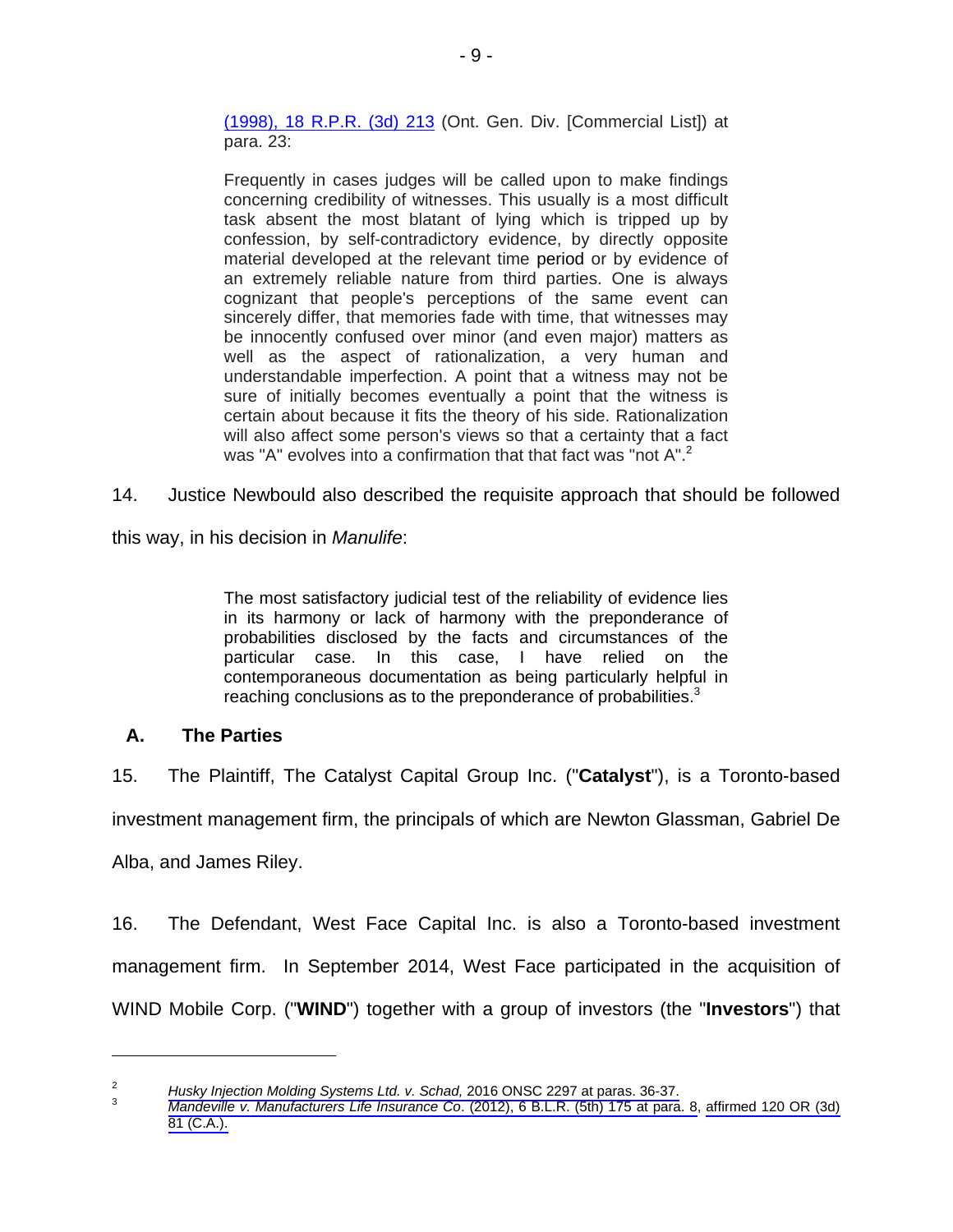(1998), 18 R.P.R. (3d) 213 (Ont. Gen. Div. [Commercial List]) at para. 23:

Frequently in cases judges will be called upon to make findings concerning credibility of witnesses. This usually is a most difficult task absent the most blatant of lying which is tripped up by confession, by self-contradictory evidence, by directly opposite material developed at the relevant time period or by evidence of an extremely reliable nature from third parties. One is always cognizant that people's perceptions of the same event can sincerely differ, that memories fade with time, that witnesses may be innocently confused over minor (and even major) matters as well as the aspect of rationalization, a very human and understandable imperfection. A point that a witness may not be sure of initially becomes eventually a point that the witness is certain about because it fits the theory of his side. Rationalization will also affect some person's views so that a certainty that a fact was "A" evolves into a confirmation that that fact was "not A".<sup>2</sup>

14. Justice Newbould also described the requisite approach that should be followed

this way, in his decision in *Manulife*:

The most satisfactory judicial test of the reliability of evidence lies in its harmony or lack of harmony with the preponderance of probabilities disclosed by the facts and circumstances of the particular case. In this case, I have relied on the contemporaneous documentation as being particularly helpful in reaching conclusions as to the preponderance of probabilities.<sup>3</sup>

# **A. The Parties**

15. The Plaintiff, The Catalyst Capital Group Inc. ("**Catalyst**"), is a Toronto-based

investment management firm, the principals of which are Newton Glassman, Gabriel De

Alba, and James Riley.

1

16. The Defendant, West Face Capital Inc. is also a Toronto-based investment management firm. In September 2014, West Face participated in the acquisition of WIND Mobile Corp. ("**WIND**") together with a group of investors (the "**Investors**") that

<sup>2</sup> <sup>2</sup> Husky Injection Molding Systems Ltd. v. Schad, 2016 ONSC 2297 at paras. 36-37.

*Mandeville v. Manufacturers Life Insurance Co*. (2012), 6 B.L.R. (5th) 175 at para. 8, [affirmed 120 OR \(3d\)](#page-0-0)  [81 \(C.A.\).](#page-0-0)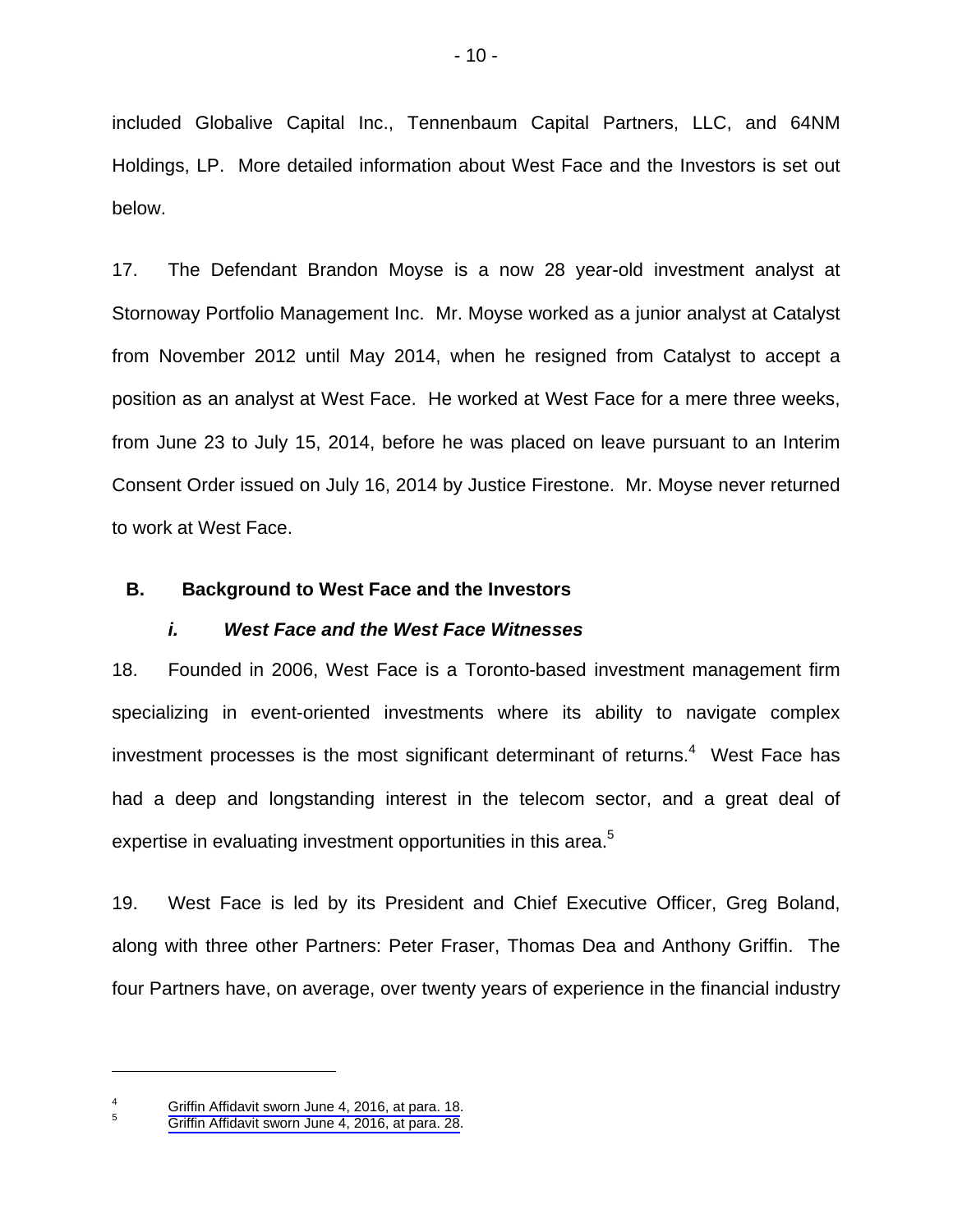included Globalive Capital Inc., Tennenbaum Capital Partners, LLC, and 64NM Holdings, LP. More detailed information about West Face and the Investors is set out below.

17. The Defendant Brandon Moyse is a now 28 year-old investment analyst at Stornoway Portfolio Management Inc. Mr. Moyse worked as a junior analyst at Catalyst from November 2012 until May 2014, when he resigned from Catalyst to accept a position as an analyst at West Face. He worked at West Face for a mere three weeks, from June 23 to July 15, 2014, before he was placed on leave pursuant to an Interim Consent Order issued on July 16, 2014 by Justice Firestone. Mr. Moyse never returned to work at West Face.

# **B. Background to West Face and the Investors**

#### *i. West Face and the West Face Witnesses*

18. Founded in 2006, West Face is a Toronto-based investment management firm specializing in event-oriented investments where its ability to navigate complex investment processes is the most significant determinant of returns. $4$  West Face has had a deep and longstanding interest in the telecom sector, and a great deal of expertise in evaluating investment opportunities in this area.<sup>5</sup>

19. West Face is led by its President and Chief Executive Officer, Greg Boland, along with three other Partners: Peter Fraser, Thomas Dea and Anthony Griffin. The four Partners have, on average, over twenty years of experience in the financial industry

<sup>4</sup> [Griffin Affidavit sworn June 4, 2016, at para. 18.](#page-1-0) 5

[Griffin Affidavit sworn June 4, 2016, at para. 28.](#page-1-0)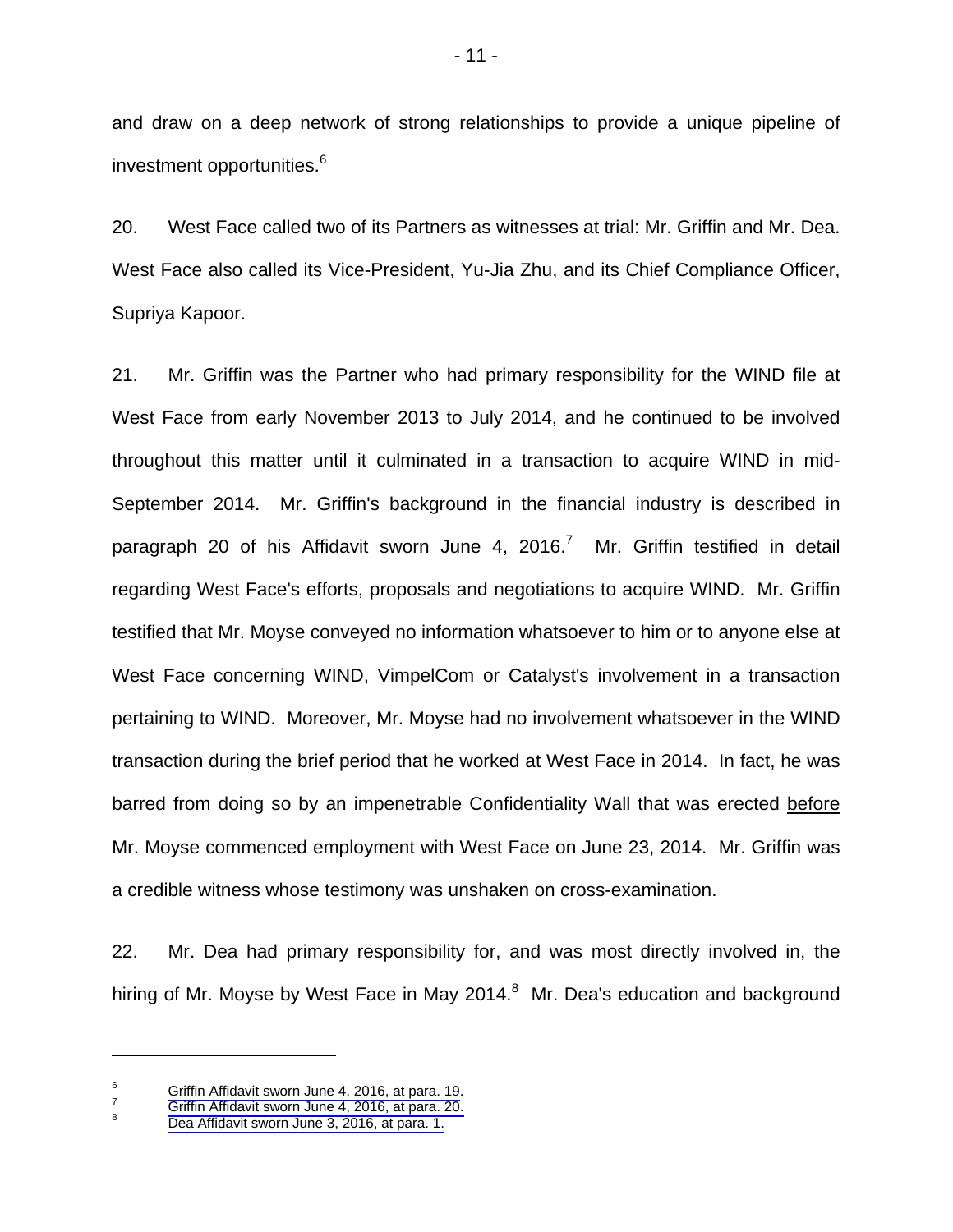and draw on a deep network of strong relationships to provide a unique pipeline of investment opportunities.<sup>6</sup>

20. West Face called two of its Partners as witnesses at trial: Mr. Griffin and Mr. Dea. West Face also called its Vice-President, Yu-Jia Zhu, and its Chief Compliance Officer, Supriya Kapoor.

21. Mr. Griffin was the Partner who had primary responsibility for the WIND file at West Face from early November 2013 to July 2014, and he continued to be involved throughout this matter until it culminated in a transaction to acquire WIND in mid-September 2014. Mr. Griffin's background in the financial industry is described in paragraph 20 of his Affidavit sworn June 4, 2016.<sup>7</sup> Mr. Griffin testified in detail regarding West Face's efforts, proposals and negotiations to acquire WIND. Mr. Griffin testified that Mr. Moyse conveyed no information whatsoever to him or to anyone else at West Face concerning WIND, VimpelCom or Catalyst's involvement in a transaction pertaining to WIND. Moreover, Mr. Moyse had no involvement whatsoever in the WIND transaction during the brief period that he worked at West Face in 2014. In fact, he was barred from doing so by an impenetrable Confidentiality Wall that was erected before Mr. Moyse commenced employment with West Face on June 23, 2014. Mr. Griffin was a credible witness whose testimony was unshaken on cross-examination.

22. Mr. Dea had primary responsibility for, and was most directly involved in, the hiring of Mr. Moyse by West Face in May 2014. $^8$  Mr. Dea's education and background

1

<sup>6</sup> [Griffin Affidavit sworn June 4, 2016, at para. 19.](#page-1-0)

<sup>7</sup> [Griffin Affidavit sworn June 4, 2016, at para. 20.](#page-1-0)

<sup>8</sup> [Dea Affidavit sworn June 3, 2016, at para. 1.](#page-0-0)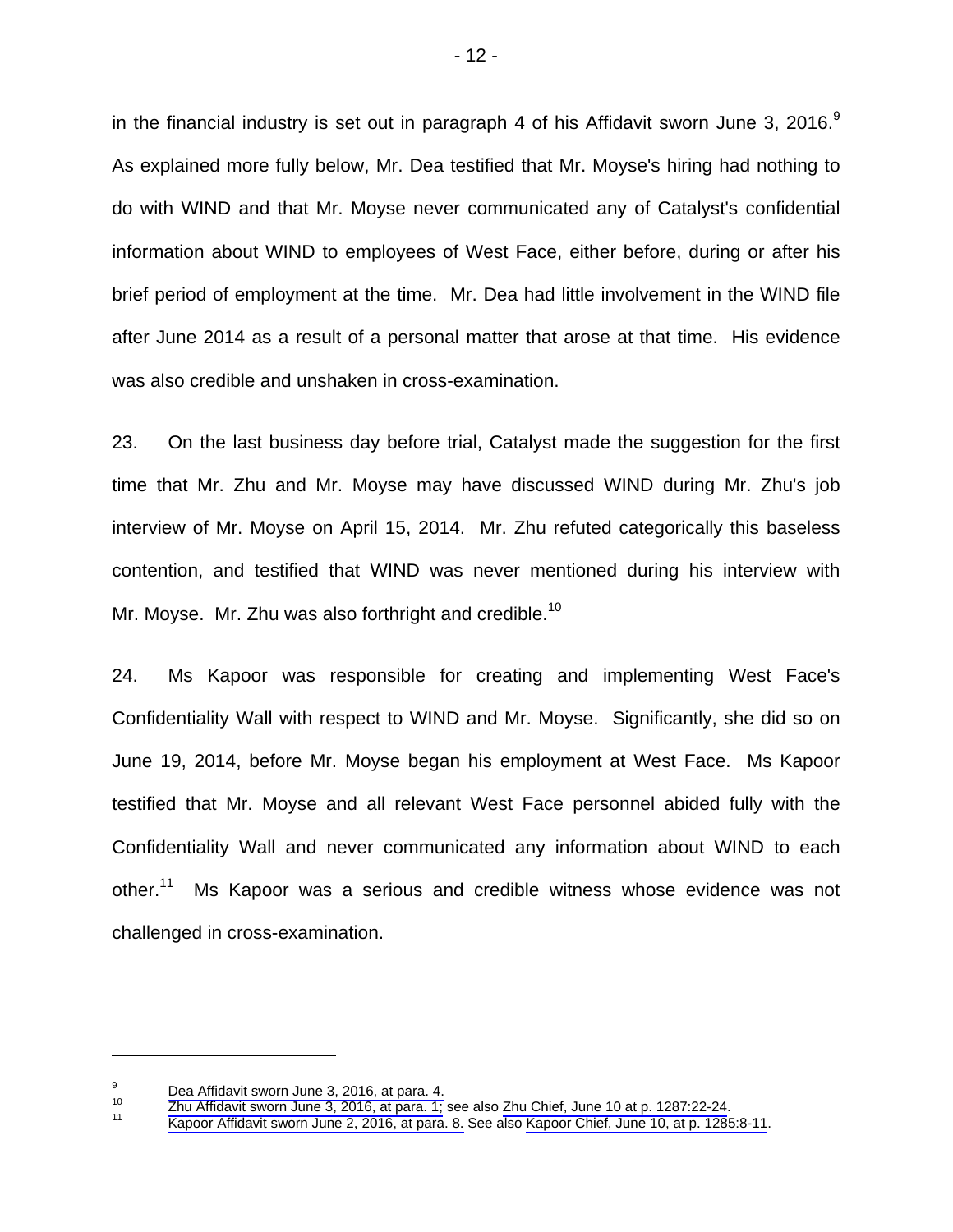in the financial industry is set out in paragraph 4 of his Affidavit sworn June 3, 2016. $9$ As explained more fully below, Mr. Dea testified that Mr. Moyse's hiring had nothing to do with WIND and that Mr. Moyse never communicated any of Catalyst's confidential information about WIND to employees of West Face, either before, during or after his brief period of employment at the time. Mr. Dea had little involvement in the WIND file after June 2014 as a result of a personal matter that arose at that time. His evidence was also credible and unshaken in cross-examination.

23. On the last business day before trial, Catalyst made the suggestion for the first time that Mr. Zhu and Mr. Moyse may have discussed WIND during Mr. Zhu's job interview of Mr. Moyse on April 15, 2014. Mr. Zhu refuted categorically this baseless contention, and testified that WIND was never mentioned during his interview with Mr. Moyse. Mr. Zhu was also forthright and credible.<sup>10</sup>

24. Ms Kapoor was responsible for creating and implementing West Face's Confidentiality Wall with respect to WIND and Mr. Moyse. Significantly, she did so on June 19, 2014, before Mr. Moyse began his employment at West Face. Ms Kapoor testified that Mr. Moyse and all relevant West Face personnel abided fully with the Confidentiality Wall and never communicated any information about WIND to each other.<sup>11</sup> Ms Kapoor was a serious and credible witness whose evidence was not challenged in cross-examination.

<sup>9</sup>

Dea Affidavit sworn June 3, 2016, at para. 4.<br><sup>10</sup> Zhu Affidavit sworn June 3, 2016, at para. 1; see also Zhu Chief, June 10 at p. 1287:22-24.

<sup>10</sup> [Zhu Affidavit sworn June 3, 2016, at para. 1;](#page-0-0) [see](#page-2-0) also [Zhu Chief, June 10 at p. 1287:22-24.](#page-1-0) 11 [Kapoor Affidavit sworn June 2, 2016, at para. 8.](#page-2-0) See [also Kapoor Chief, June 10, at p. 1285:8-11](#page-1-0).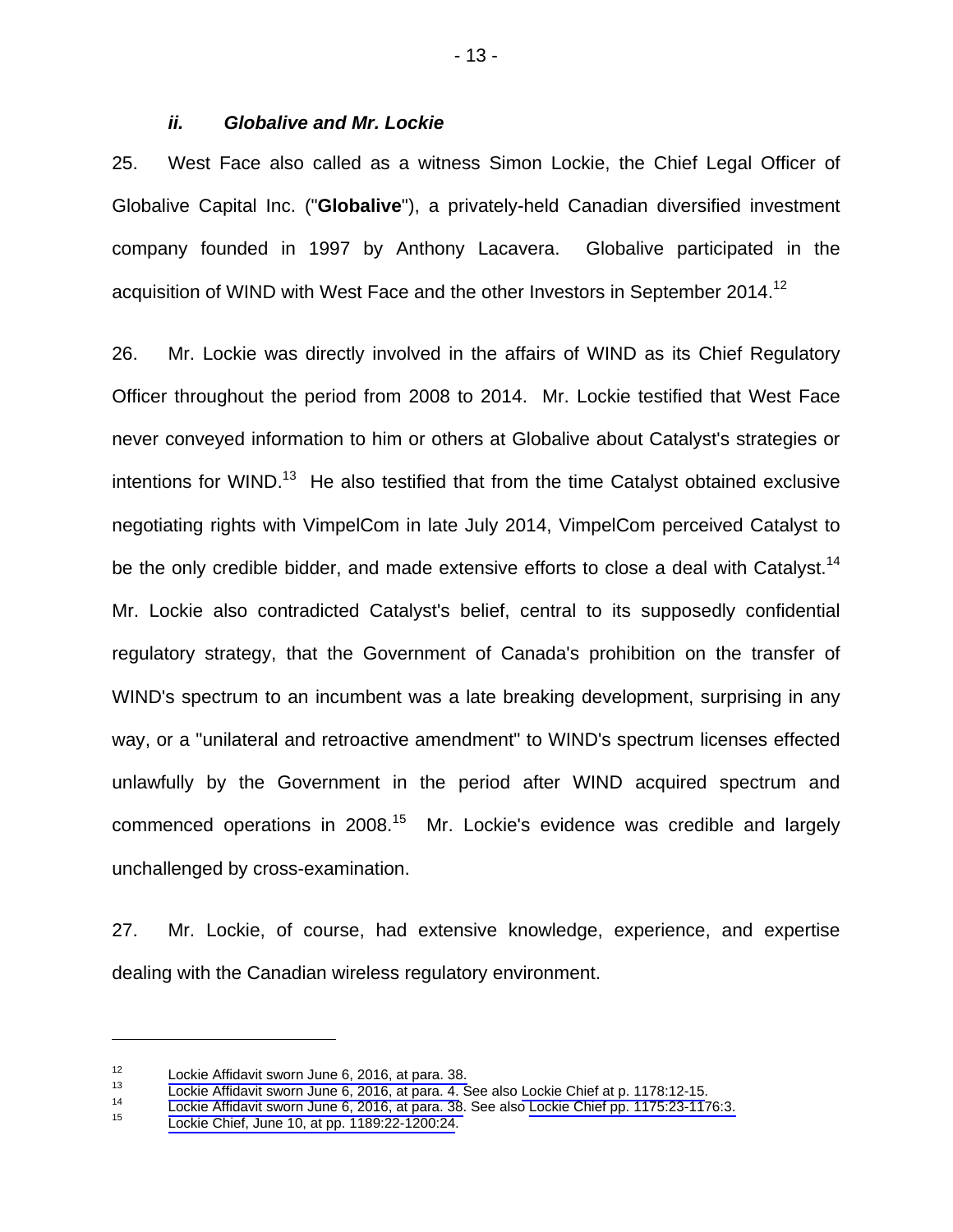#### *ii. Globalive and Mr. Lockie*

25. West Face also called as a witness Simon Lockie, the Chief Legal Officer of Globalive Capital Inc. ("**Globalive**"), a privately-held Canadian diversified investment company founded in 1997 by Anthony Lacavera. Globalive participated in the acquisition of WIND with West Face and the other Investors in September 2014.12

26. Mr. Lockie was directly involved in the affairs of WIND as its Chief Regulatory Officer throughout the period from 2008 to 2014. Mr. Lockie testified that West Face never conveyed information to him or others at Globalive about Catalyst's strategies or intentions for WIND.<sup>13</sup> He also testified that from the time Catalyst obtained exclusive negotiating rights with VimpelCom in late July 2014, VimpelCom perceived Catalyst to be the only credible bidder, and made extensive efforts to close a deal with Catalyst.<sup>14</sup> Mr. Lockie also contradicted Catalyst's belief, central to its supposedly confidential regulatory strategy, that the Government of Canada's prohibition on the transfer of WIND's spectrum to an incumbent was a late breaking development, surprising in any way, or a "unilateral and retroactive amendment" to WIND's spectrum licenses effected unlawfully by the Government in the period after WIND acquired spectrum and commenced operations in 2008.<sup>15</sup> Mr. Lockie's evidence was credible and largely unchallenged by cross-examination.

27. Mr. Lockie, of course, had extensive knowledge, experience, and expertise dealing with the Canadian wireless regulatory environment.

[Lockie Affidavit sworn June 6, 2016, at para. 38.](#page-1-0)<br> [Lockie Affidavit sworn June 6, 2016, at para. 4. S](#page-1-0)ee also Lockie Chief at p. 1178:12-15.<br>
Lockie Affidavit sworn June 6, 2016, at para. 38. See also Lockie Chief pp. 1175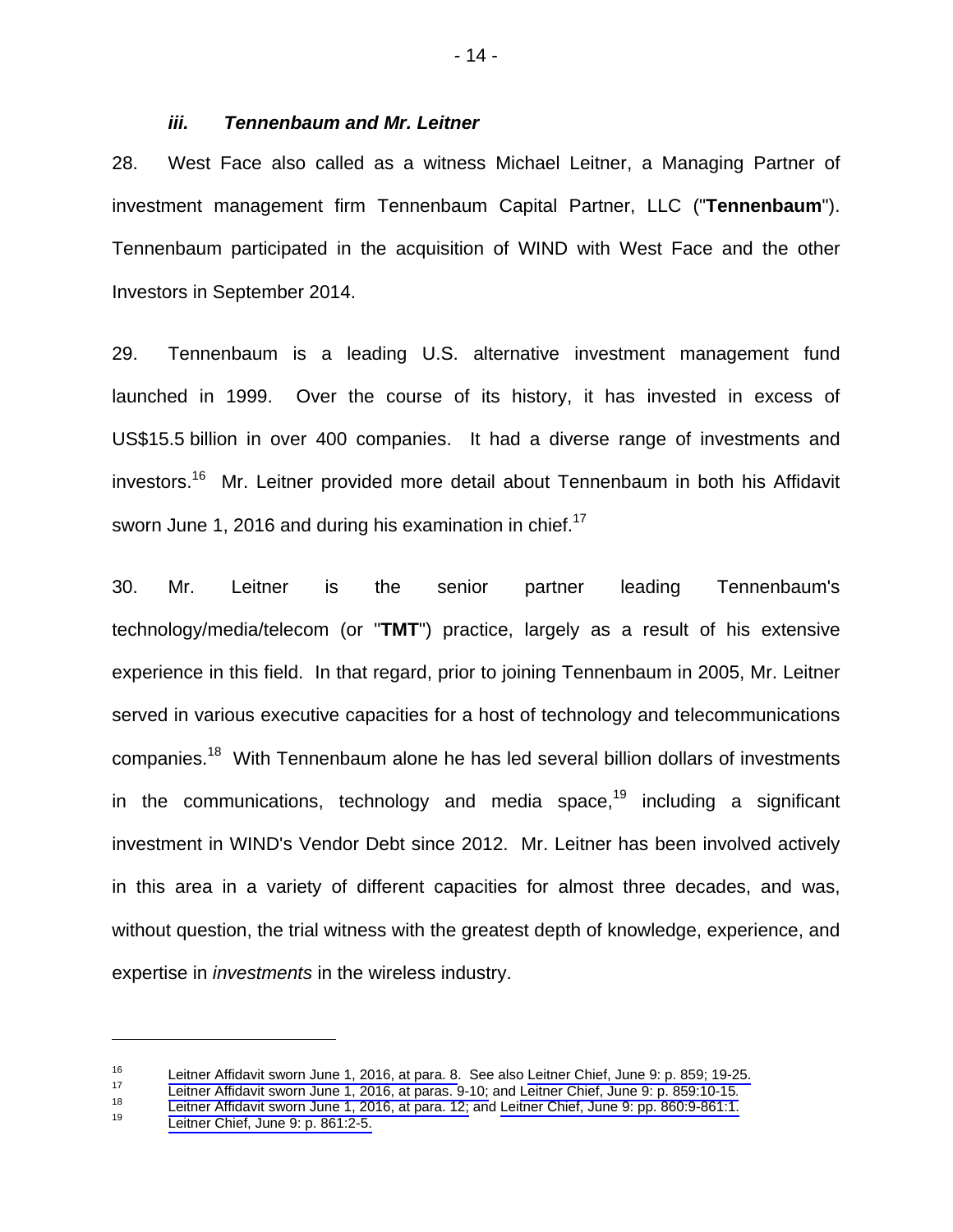#### *iii. Tennenbaum and Mr. Leitner*

28. West Face also called as a witness Michael Leitner, a Managing Partner of investment management firm Tennenbaum Capital Partner, LLC ("**Tennenbaum**"). Tennenbaum participated in the acquisition of WIND with West Face and the other Investors in September 2014.

29. Tennenbaum is a leading U.S. alternative investment management fund launched in 1999. Over the course of its history, it has invested in excess of US\$15.5 billion in over 400 companies. It had a diverse range of investments and investors.16 Mr. Leitner provided more detail about Tennenbaum in both his Affidavit sworn June 1, 2016 and during his examination in chief.<sup>17</sup>

30. Mr. Leitner is the senior partner leading Tennenbaum's technology/media/telecom (or "**TMT**") practice, largely as a result of his extensive experience in this field. In that regard, prior to joining Tennenbaum in 2005, Mr. Leitner served in various executive capacities for a host of technology and telecommunications companies.18 With Tennenbaum alone he has led several billion dollars of investments in the communications, technology and media space,<sup>19</sup> including a significant investment in WIND's Vendor Debt since 2012. Mr. Leitner has been involved actively in this area in a variety of different capacities for almost three decades, and was, without question, the trial witness with the greatest depth of knowledge, experience, and expertise in *investments* in the wireless industry.

[Leitner Affidavit sworn June 1, 2016, at para. 8. See](#page-1-0) also Leitner Chief, June 9: p. 859; 19-25.<br> [Leitner Affidavit sworn June 1, 2016, at paras. 9-10;](#page-1-0) and Leitner Chief, June 9: p. 859:10-15.<br>
Leitner Affidavit sworn Jun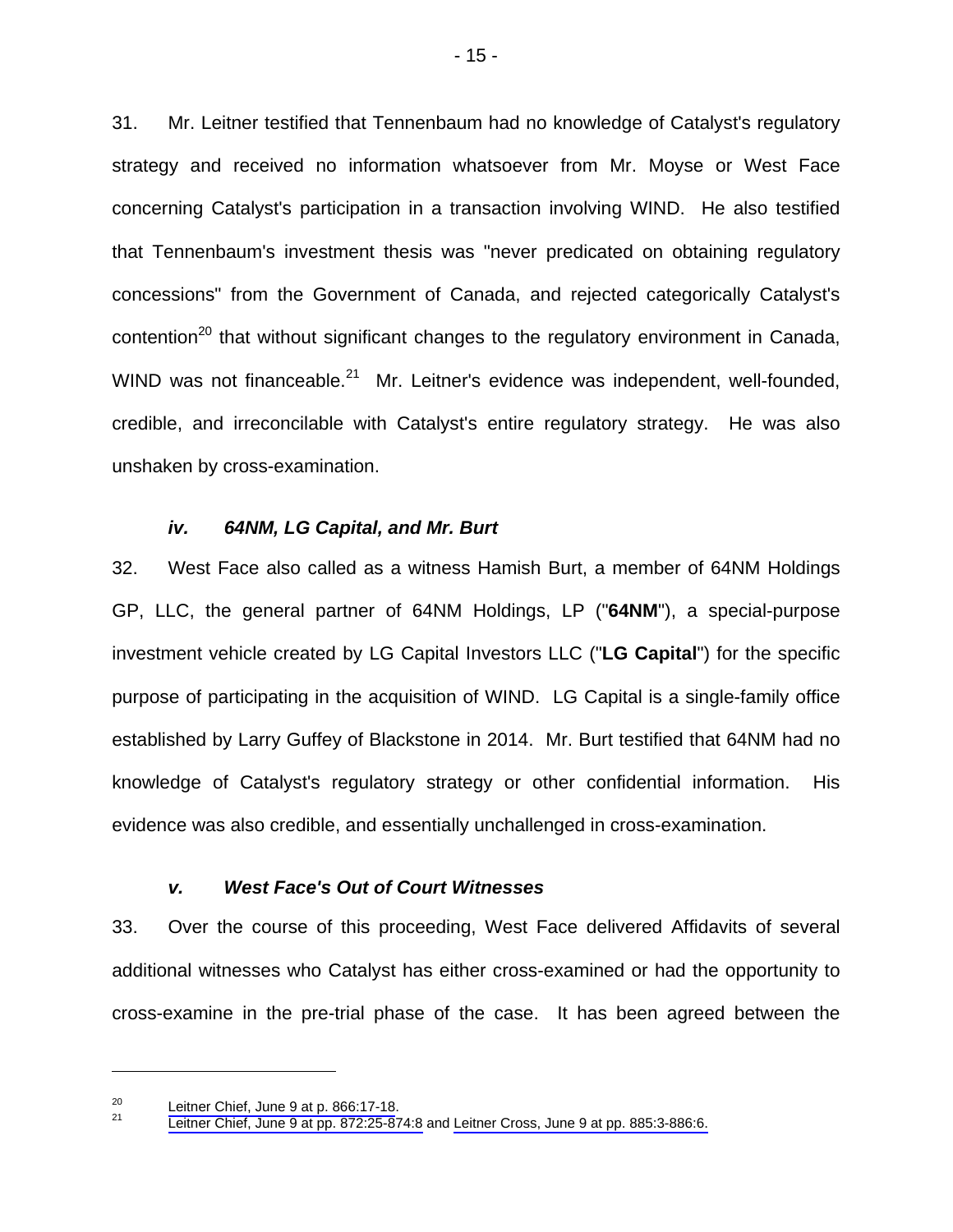31. Mr. Leitner testified that Tennenbaum had no knowledge of Catalyst's regulatory strategy and received no information whatsoever from Mr. Moyse or West Face concerning Catalyst's participation in a transaction involving WIND. He also testified that Tennenbaum's investment thesis was "never predicated on obtaining regulatory concessions" from the Government of Canada, and rejected categorically Catalyst's contention<sup>20</sup> that without significant changes to the regulatory environment in Canada, WIND was not financeable.<sup>21</sup> Mr. Leitner's evidence was independent, well-founded, credible, and irreconcilable with Catalyst's entire regulatory strategy. He was also unshaken by cross-examination.

#### *iv. 64NM, LG Capital, and Mr. Burt*

32. West Face also called as a witness Hamish Burt, a member of 64NM Holdings GP, LLC, the general partner of 64NM Holdings, LP ("**64NM**"), a special-purpose investment vehicle created by LG Capital Investors LLC ("**LG Capital**") for the specific purpose of participating in the acquisition of WIND. LG Capital is a single-family office established by Larry Guffey of Blackstone in 2014. Mr. Burt testified that 64NM had no knowledge of Catalyst's regulatory strategy or other confidential information. His evidence was also credible, and essentially unchallenged in cross-examination.

#### *v. West Face's Out of Court Witnesses*

33. Over the course of this proceeding, West Face delivered Affidavits of several additional witnesses who Catalyst has either cross-examined or had the opportunity to cross-examine in the pre-trial phase of the case. It has been agreed between the

<sup>&</sup>lt;sup>20</sup> Leitner Chief, June 9 at p. 866:17-18.<br><sup>21</sup> [Leitner Chief, June 9 at pp. 872:25-874:8](#page-1-0) and [Leitner Cross, June 9 at pp. 885:3-886:6.](#page-1-0)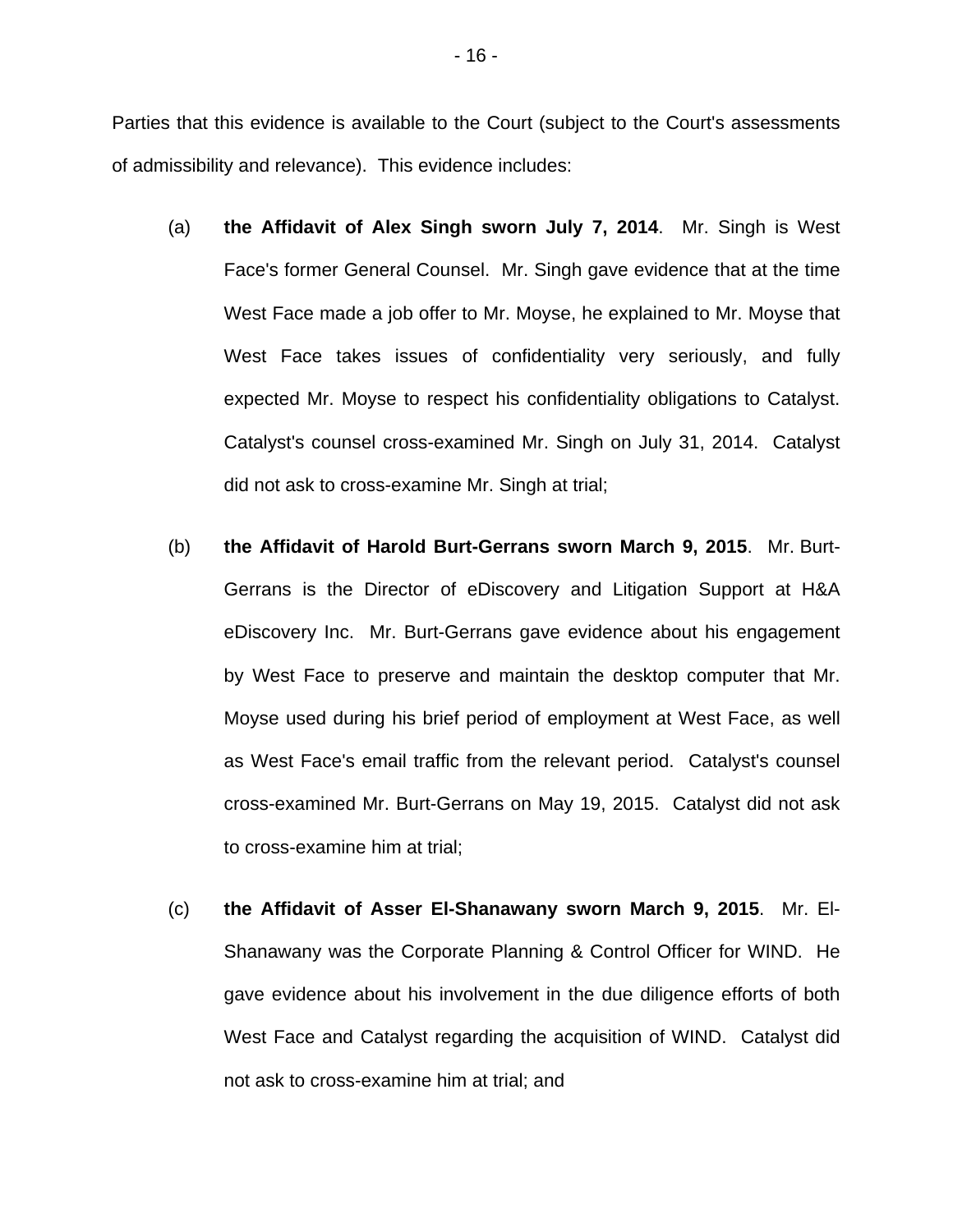Parties that this evidence is available to the Court (subject to the Court's assessments of admissibility and relevance). This evidence includes:

- (a) **the Affidavit of Alex Singh sworn July 7, 2014**. Mr. Singh is West Face's former General Counsel. Mr. Singh gave evidence that at the time West Face made a job offer to Mr. Moyse, he explained to Mr. Moyse that West Face takes issues of confidentiality very seriously, and fully expected Mr. Moyse to respect his confidentiality obligations to Catalyst. Catalyst's counsel cross-examined Mr. Singh on July 31, 2014. Catalyst did not ask to cross-examine Mr. Singh at trial;
- (b) **the Affidavit of Harold Burt-Gerrans sworn March 9, 2015**. Mr. Burt-Gerrans is the Director of eDiscovery and Litigation Support at H&A eDiscovery Inc. Mr. Burt-Gerrans gave evidence about his engagement by West Face to preserve and maintain the desktop computer that Mr. Moyse used during his brief period of employment at West Face, as well as West Face's email traffic from the relevant period. Catalyst's counsel cross-examined Mr. Burt-Gerrans on May 19, 2015. Catalyst did not ask to cross-examine him at trial;
- (c) **the Affidavit of Asser El-Shanawany sworn March 9, 2015**. Mr. El-Shanawany was the Corporate Planning & Control Officer for WIND. He gave evidence about his involvement in the due diligence efforts of both West Face and Catalyst regarding the acquisition of WIND. Catalyst did not ask to cross-examine him at trial; and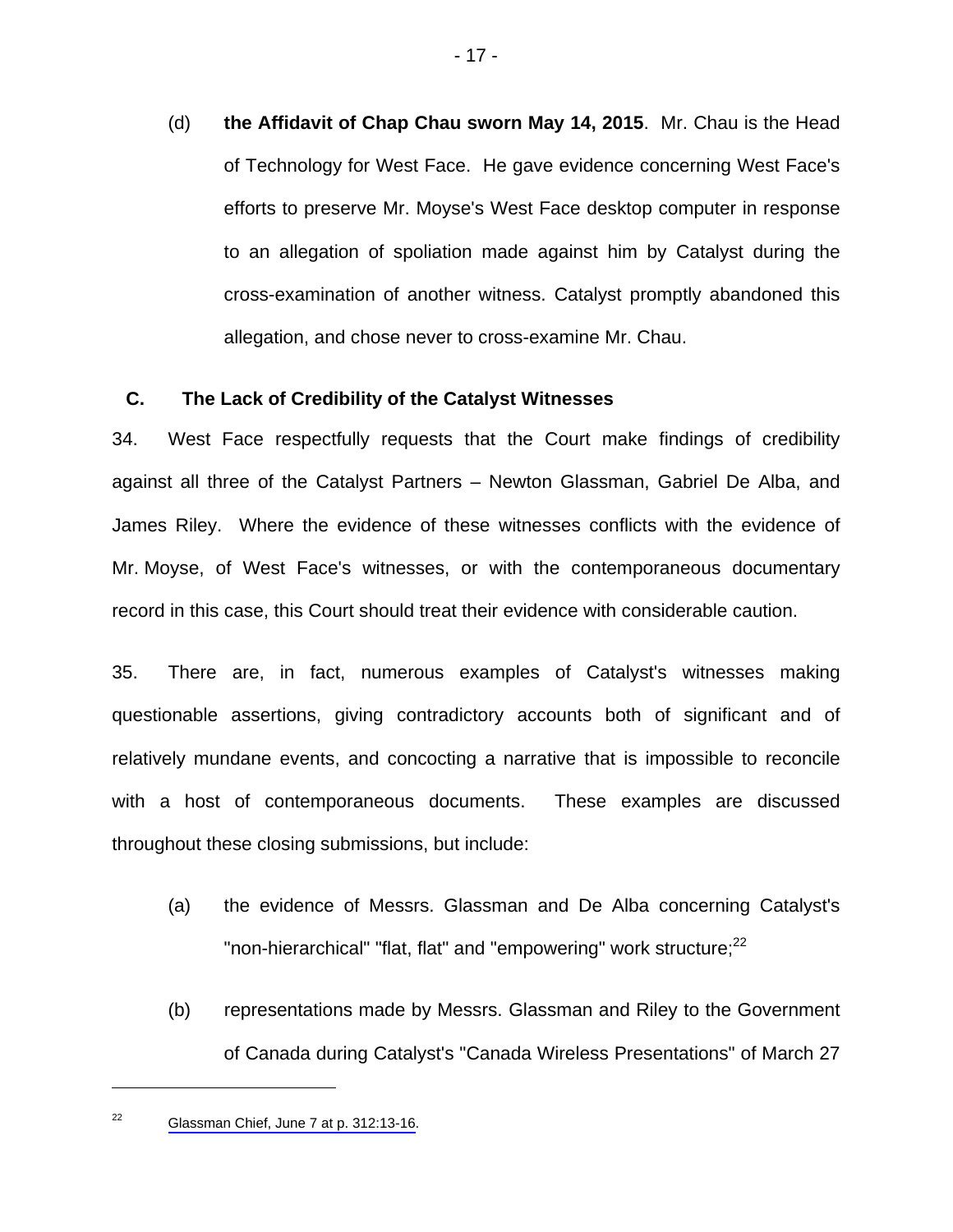(d) **the Affidavit of Chap Chau sworn May 14, 2015**. Mr. Chau is the Head of Technology for West Face. He gave evidence concerning West Face's efforts to preserve Mr. Moyse's West Face desktop computer in response to an allegation of spoliation made against him by Catalyst during the cross-examination of another witness. Catalyst promptly abandoned this allegation, and chose never to cross-examine Mr. Chau.

# **C. The Lack of Credibility of the Catalyst Witnesses**

34. West Face respectfully requests that the Court make findings of credibility against all three of the Catalyst Partners – Newton Glassman, Gabriel De Alba, and James Riley. Where the evidence of these witnesses conflicts with the evidence of Mr. Moyse, of West Face's witnesses, or with the contemporaneous documentary record in this case, this Court should treat their evidence with considerable caution.

35. There are, in fact, numerous examples of Catalyst's witnesses making questionable assertions, giving contradictory accounts both of significant and of relatively mundane events, and concocting a narrative that is impossible to reconcile with a host of contemporaneous documents. These examples are discussed throughout these closing submissions, but include:

- (a) the evidence of Messrs. Glassman and De Alba concerning Catalyst's "non-hierarchical" "flat, flat" and "empowering" work structure;<sup>22</sup>
- (b) representations made by Messrs. Glassman and Riley to the Government of Canada during Catalyst's "Canada Wireless Presentations" of March 27

<sup>22</sup> [Glassman Chief, June 7 at p. 312:13-16](#page-1-0).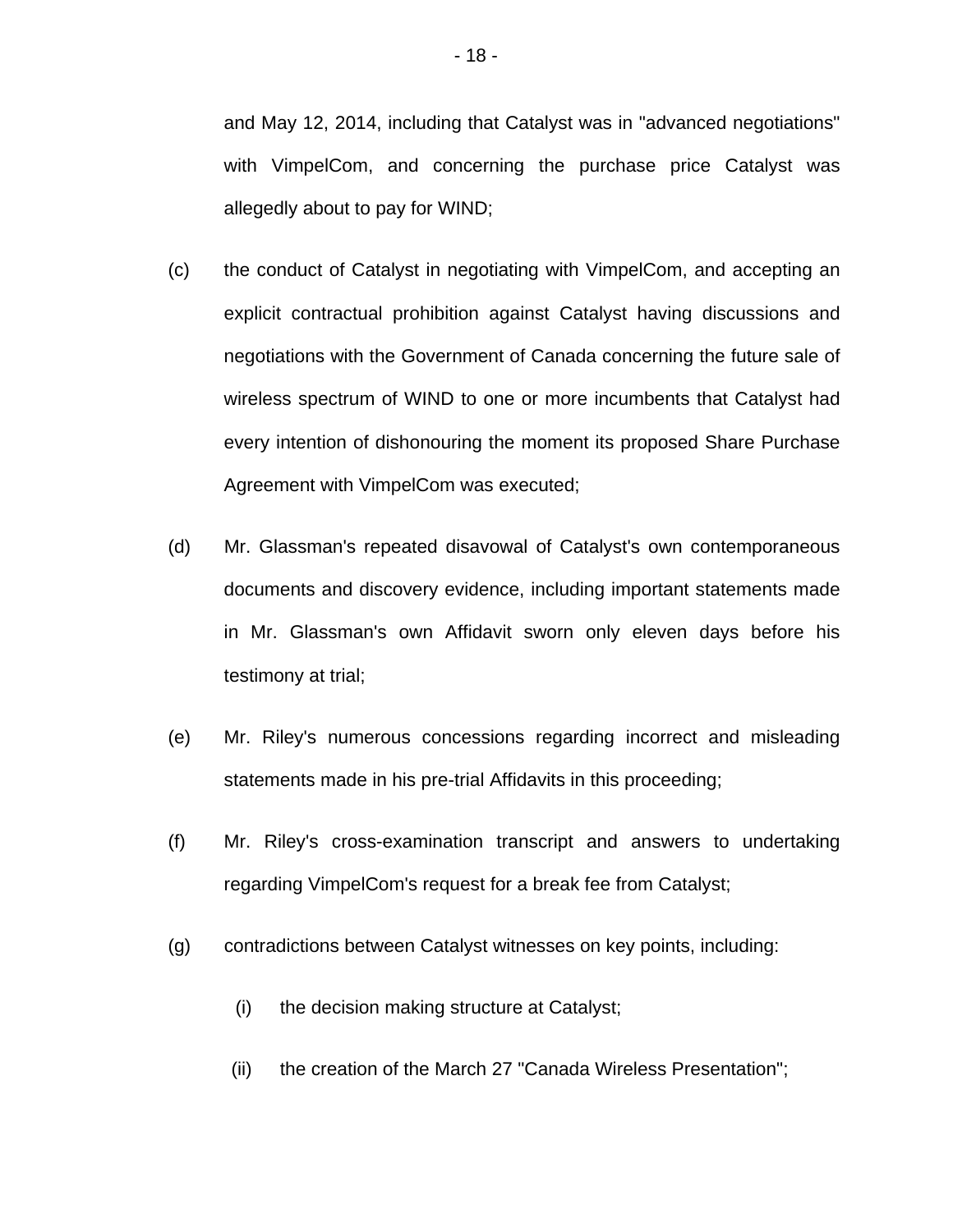and May 12, 2014, including that Catalyst was in "advanced negotiations" with VimpelCom, and concerning the purchase price Catalyst was allegedly about to pay for WIND;

- (c) the conduct of Catalyst in negotiating with VimpelCom, and accepting an explicit contractual prohibition against Catalyst having discussions and negotiations with the Government of Canada concerning the future sale of wireless spectrum of WIND to one or more incumbents that Catalyst had every intention of dishonouring the moment its proposed Share Purchase Agreement with VimpelCom was executed;
- (d) Mr. Glassman's repeated disavowal of Catalyst's own contemporaneous documents and discovery evidence, including important statements made in Mr. Glassman's own Affidavit sworn only eleven days before his testimony at trial;
- (e) Mr. Riley's numerous concessions regarding incorrect and misleading statements made in his pre-trial Affidavits in this proceeding;
- (f) Mr. Riley's cross-examination transcript and answers to undertaking regarding VimpelCom's request for a break fee from Catalyst;
- (g) contradictions between Catalyst witnesses on key points, including:
	- (i) the decision making structure at Catalyst;
	- (ii) the creation of the March 27 "Canada Wireless Presentation";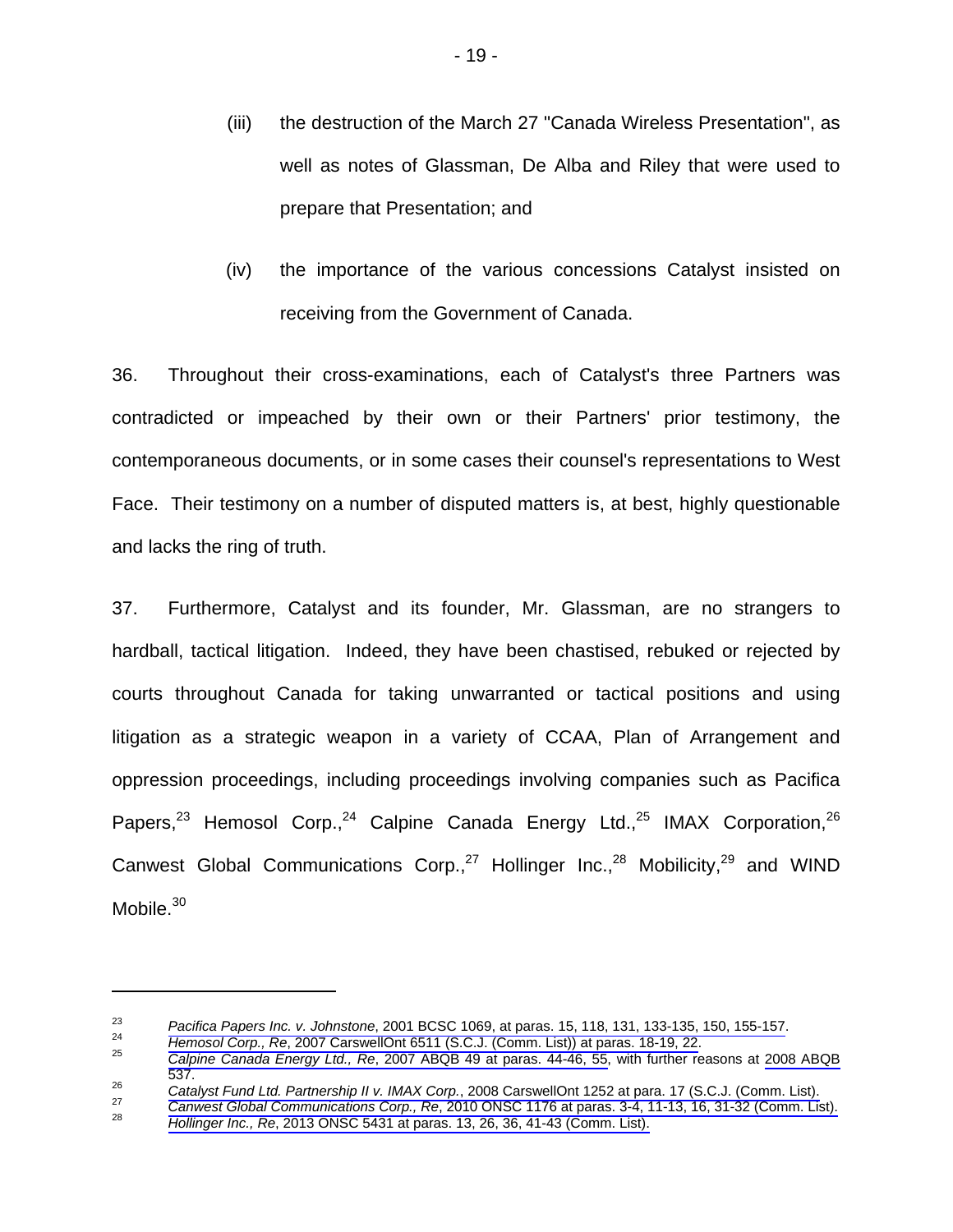- (iii) the destruction of the March 27 "Canada Wireless Presentation", as well as notes of Glassman, De Alba and Riley that were used to prepare that Presentation; and
- (iv) the importance of the various concessions Catalyst insisted on receiving from the Government of Canada.

36. Throughout their cross-examinations, each of Catalyst's three Partners was contradicted or impeached by their own or their Partners' prior testimony, the contemporaneous documents, or in some cases their counsel's representations to West Face. Their testimony on a number of disputed matters is, at best, highly questionable and lacks the ring of truth.

37. Furthermore, Catalyst and its founder, Mr. Glassman, are no strangers to hardball, tactical litigation. Indeed, they have been chastised, rebuked or rejected by courts throughout Canada for taking unwarranted or tactical positions and using litigation as a strategic weapon in a variety of CCAA, Plan of Arrangement and oppression proceedings, including proceedings involving companies such as Pacifica Papers,<sup>23</sup> Hemosol Corp.,<sup>24</sup> Calpine Canada Energy Ltd.,<sup>25</sup> IMAX Corporation,<sup>26</sup> Canwest Global Communications Corp.,<sup>27</sup> Hollinger Inc.,<sup>28</sup> Mobilicity,<sup>29</sup> and WIND Mobile $30$ 

Pacifica Papers Inc. v. Johnstone[, 2001 BCSC 1069, at paras. 15, 118, 131, 133-135, 150, 155-157.](#page-0-0)<br>
Hemosol Corp., Re[, 2007 CarswellOnt 6511 \(S.C.J. \(Comm. List\)\) at pa](#page-0-0)ras. 18-19, 22.<br>
Calpine Canada Energy Ltd., Re, 2007

<sup>537.&</sup>lt;br>
Catalyst Fund Ltd. Partnership II v. IMAX Corp., 2008 CarswellOnt 1252 at para. 17 (S.C.J. (Comm. List).<br>
Canwest Global Communications Corp., Re, 2010 ONSC 1176 at paras. 3-4, 11-13, 16, 31-32 (Comm. List).<br>
Holling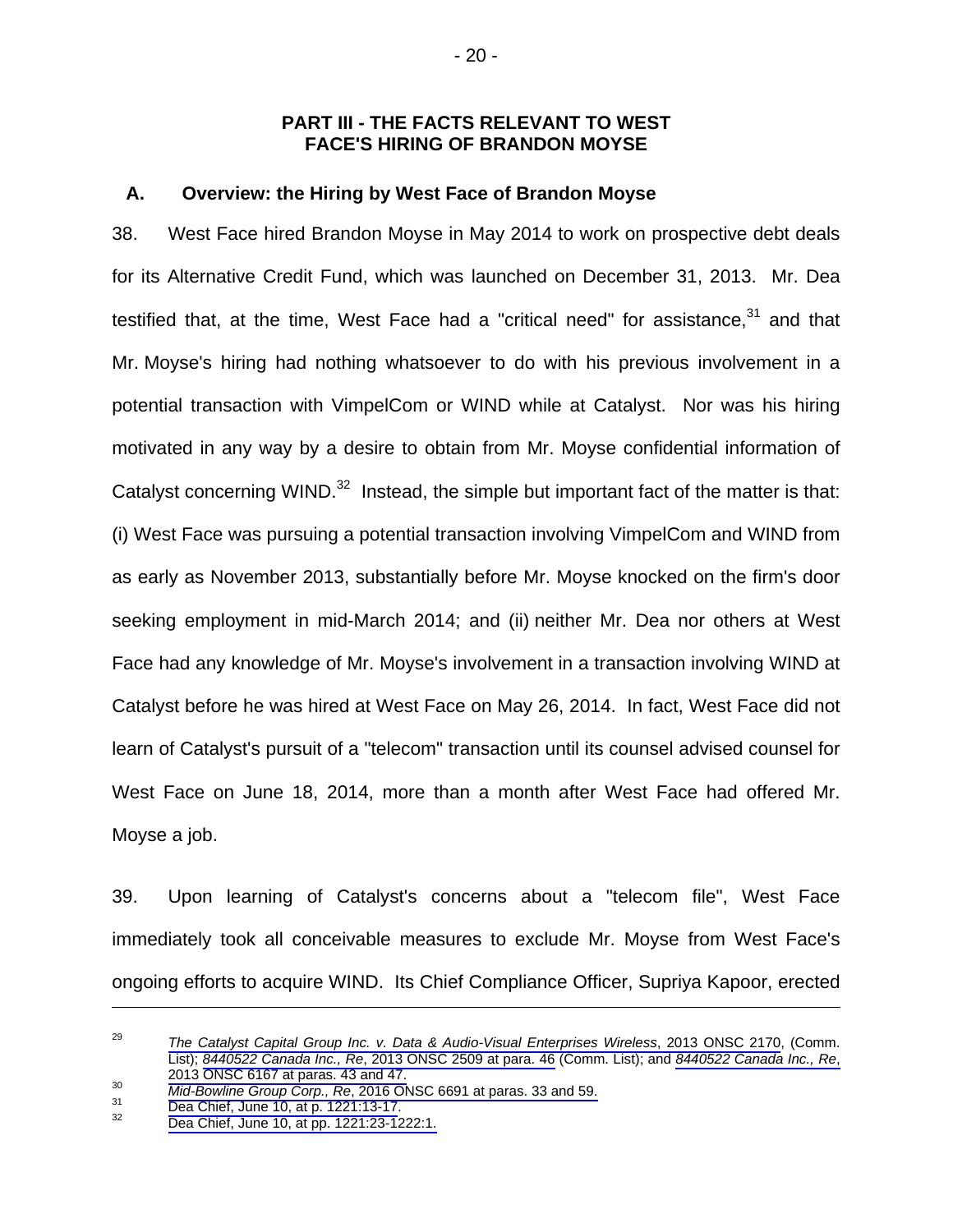## **PART III - THE FACTS RELEVANT TO WEST FACE'S HIRING OF BRANDON MOYSE**

# **A. Overview: the Hiring by West Face of Brandon Moyse**

38. West Face hired Brandon Moyse in May 2014 to work on prospective debt deals for its Alternative Credit Fund, which was launched on December 31, 2013. Mr. Dea testified that, at the time, West Face had a "critical need" for assistance, $31$  and that Mr. Moyse's hiring had nothing whatsoever to do with his previous involvement in a potential transaction with VimpelCom or WIND while at Catalyst. Nor was his hiring motivated in any way by a desire to obtain from Mr. Moyse confidential information of Catalyst concerning WIND.<sup>32</sup> Instead, the simple but important fact of the matter is that: (i) West Face was pursuing a potential transaction involving VimpelCom and WIND from as early as November 2013, substantially before Mr. Moyse knocked on the firm's door seeking employment in mid-March 2014; and (ii) neither Mr. Dea nor others at West Face had any knowledge of Mr. Moyse's involvement in a transaction involving WIND at Catalyst before he was hired at West Face on May 26, 2014. In fact, West Face did not learn of Catalyst's pursuit of a "telecom" transaction until its counsel advised counsel for West Face on June 18, 2014, more than a month after West Face had offered Mr. Moyse a job.

39. Upon learning of Catalyst's concerns about a "telecom file", West Face immediately took all conceivable measures to exclude Mr. Moyse from West Face's ongoing efforts to acquire WIND. Its Chief Compliance Officer, Supriya Kapoor, erected

<sup>29</sup> *[The Catalyst Capital Group Inc. v. Data & Audio-Visual Enterprises Wireless](#page-0-0)*, 2013 ONSC 2170, (Comm. List); *8440522 Canada Inc., Re*[, 2013 ONSC 2509 at para. 46](#page-0-0) (Comm. List); and *[8440522 Canada Inc., Re](#page-0-0)*, 2013 ONSC 6167 at paras. 43 and 47.<br>
30 *Mid-Bowline Group Corp., Re*[, 2016 ONSC 6691 at paras. 33 and 59.](#page-0-0)<br>
31 Dea Chief, June 10, at p. 1221:13-17.<br>
32 Dea Chief, June 10, at pp. 1221:23-1222:1.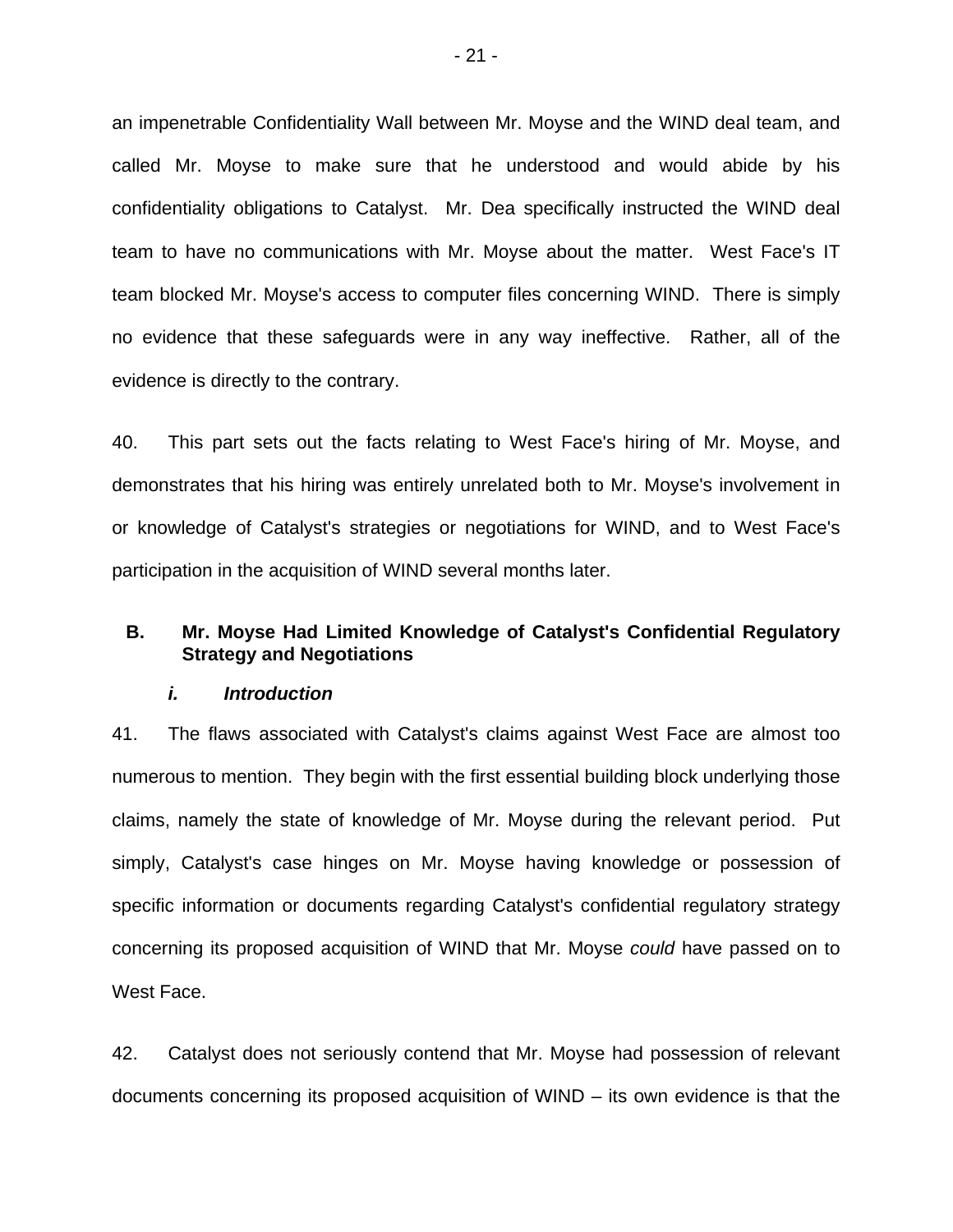an impenetrable Confidentiality Wall between Mr. Moyse and the WIND deal team, and called Mr. Moyse to make sure that he understood and would abide by his confidentiality obligations to Catalyst. Mr. Dea specifically instructed the WIND deal team to have no communications with Mr. Moyse about the matter. West Face's IT team blocked Mr. Moyse's access to computer files concerning WIND. There is simply no evidence that these safeguards were in any way ineffective. Rather, all of the evidence is directly to the contrary.

40. This part sets out the facts relating to West Face's hiring of Mr. Moyse, and demonstrates that his hiring was entirely unrelated both to Mr. Moyse's involvement in or knowledge of Catalyst's strategies or negotiations for WIND, and to West Face's participation in the acquisition of WIND several months later.

# **B. Mr. Moyse Had Limited Knowledge of Catalyst's Confidential Regulatory Strategy and Negotiations**

#### *i. Introduction*

41. The flaws associated with Catalyst's claims against West Face are almost too numerous to mention. They begin with the first essential building block underlying those claims, namely the state of knowledge of Mr. Moyse during the relevant period. Put simply, Catalyst's case hinges on Mr. Moyse having knowledge or possession of specific information or documents regarding Catalyst's confidential regulatory strategy concerning its proposed acquisition of WIND that Mr. Moyse *could* have passed on to West Face.

42. Catalyst does not seriously contend that Mr. Moyse had possession of relevant documents concerning its proposed acquisition of WIND – its own evidence is that the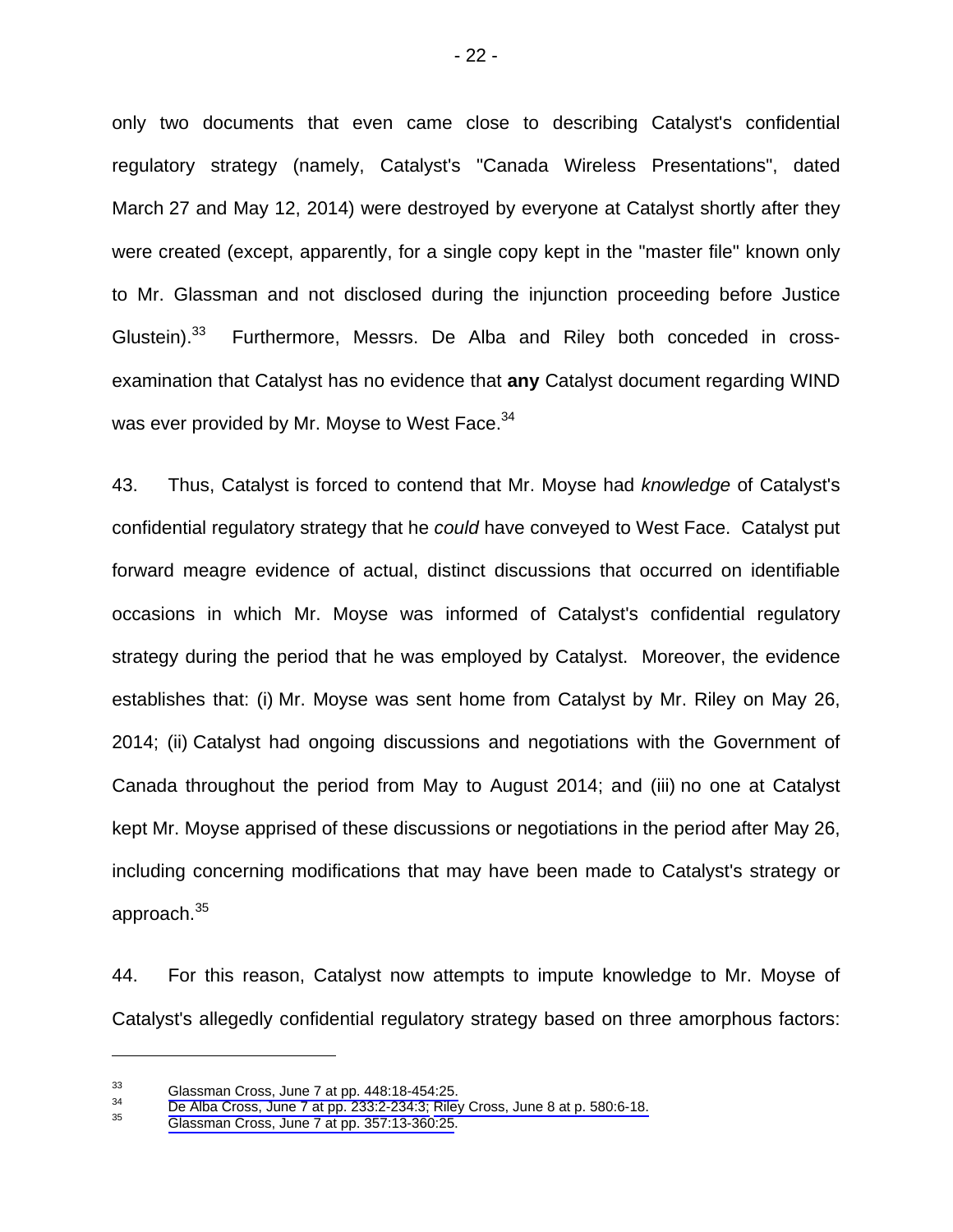only two documents that even came close to describing Catalyst's confidential regulatory strategy (namely, Catalyst's "Canada Wireless Presentations", dated March 27 and May 12, 2014) were destroyed by everyone at Catalyst shortly after they were created (except, apparently, for a single copy kept in the "master file" known only to Mr. Glassman and not disclosed during the injunction proceeding before Justice Glustein).<sup>33</sup> Furthermore, Messrs. De Alba and Riley both conceded in crossexamination that Catalyst has no evidence that **any** Catalyst document regarding WIND was ever provided by Mr. Moyse to West Face.<sup>34</sup>

43. Thus, Catalyst is forced to contend that Mr. Moyse had *knowledge* of Catalyst's confidential regulatory strategy that he *could* have conveyed to West Face. Catalyst put forward meagre evidence of actual, distinct discussions that occurred on identifiable occasions in which Mr. Moyse was informed of Catalyst's confidential regulatory strategy during the period that he was employed by Catalyst. Moreover, the evidence establishes that: (i) Mr. Moyse was sent home from Catalyst by Mr. Riley on May 26, 2014; (ii) Catalyst had ongoing discussions and negotiations with the Government of Canada throughout the period from May to August 2014; and (iii) no one at Catalyst kept Mr. Moyse apprised of these discussions or negotiations in the period after May 26, including concerning modifications that may have been made to Catalyst's strategy or approach.<sup>35</sup>

44. For this reason, Catalyst now attempts to impute knowledge to Mr. Moyse of Catalyst's allegedly confidential regulatory strategy based on three amorphous factors:

<sup>33</sup> Glassman Cross, June 7 at pp. 448:18-454:25.<br>
34 [De Alba Cross, June 7 at pp. 233:2-234:3; Riley Cross, June 8 at p. 580:6-18.](#page-1-0)<br>
35 Glassman Cross, June 7 at pp. 357:13-360:25.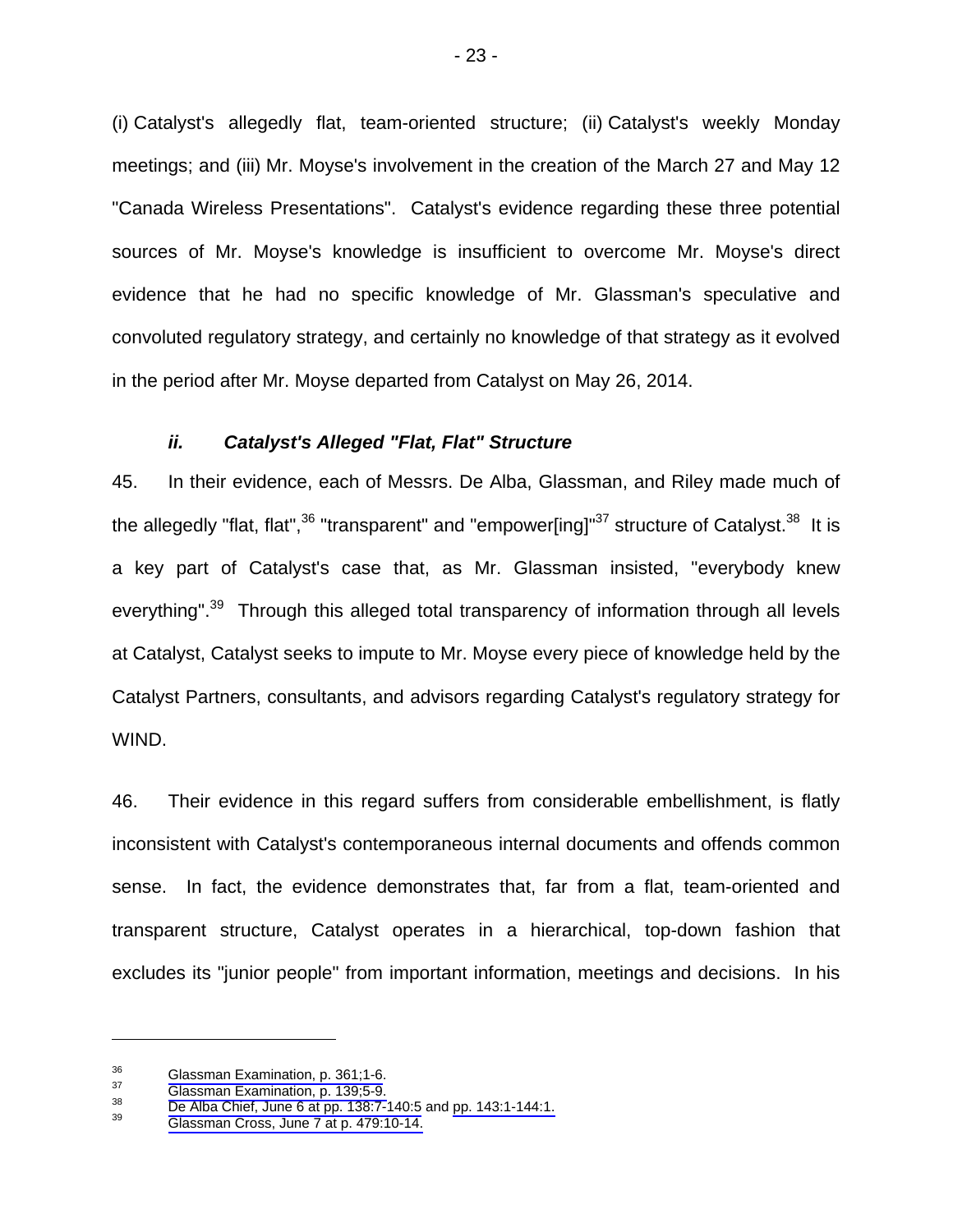(i) Catalyst's allegedly flat, team-oriented structure; (ii) Catalyst's weekly Monday meetings; and (iii) Mr. Moyse's involvement in the creation of the March 27 and May 12 "Canada Wireless Presentations". Catalyst's evidence regarding these three potential sources of Mr. Moyse's knowledge is insufficient to overcome Mr. Moyse's direct evidence that he had no specific knowledge of Mr. Glassman's speculative and convoluted regulatory strategy, and certainly no knowledge of that strategy as it evolved in the period after Mr. Moyse departed from Catalyst on May 26, 2014.

#### *ii. Catalyst's Alleged "Flat, Flat" Structure*

45. In their evidence, each of Messrs. De Alba, Glassman, and Riley made much of the allegedly "flat, flat", $36$  "transparent" and "empower[ing]" $37$  structure of Catalyst. $38$  It is a key part of Catalyst's case that, as Mr. Glassman insisted, "everybody knew everything".<sup>39</sup> Through this alleged total transparency of information through all levels at Catalyst, Catalyst seeks to impute to Mr. Moyse every piece of knowledge held by the Catalyst Partners, consultants, and advisors regarding Catalyst's regulatory strategy for WIND.

46. Their evidence in this regard suffers from considerable embellishment, is flatly inconsistent with Catalyst's contemporaneous internal documents and offends common sense. In fact, the evidence demonstrates that, far from a flat, team-oriented and transparent structure, Catalyst operates in a hierarchical, top-down fashion that excludes its "junior people" from important information, meetings and decisions. In his

<sup>&</sup>lt;sup>36</sup> Glassman Examination, p. 361;1-6.<br><sup>37</sup> Glassman Examination, p. 139;5-9.<br><sup>38</sup> [De Alba Chief, June 6 at pp. 138:7-140:5](#page-1-0) and pp. 143:1-144:1.<br><sup>39</sup> [Glassman Cross, June 7 at p. 479:10-14.](#page-1-0)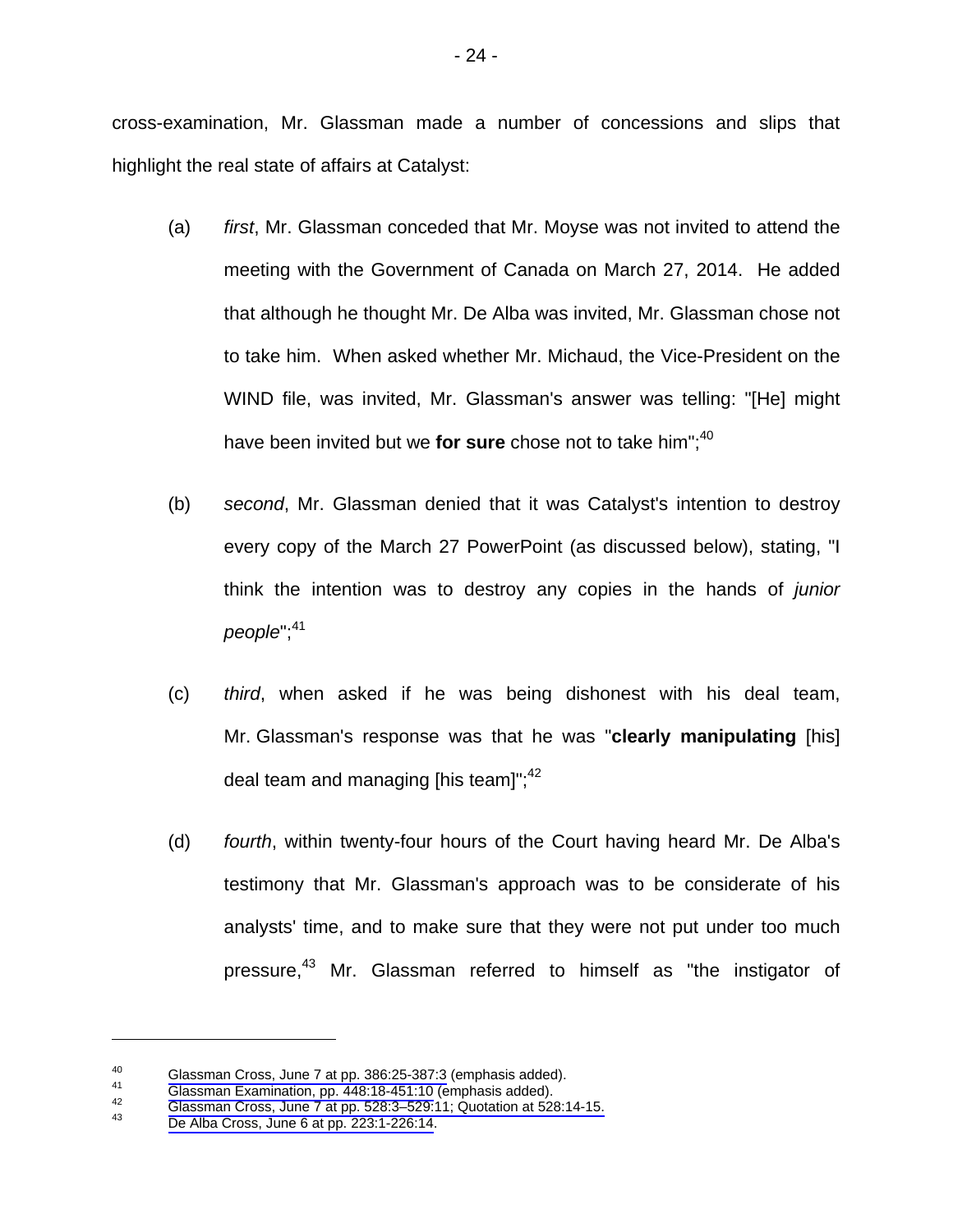cross-examination, Mr. Glassman made a number of concessions and slips that highlight the real state of affairs at Catalyst:

- (a) *first*, Mr. Glassman conceded that Mr. Moyse was not invited to attend the meeting with the Government of Canada on March 27, 2014. He added that although he thought Mr. De Alba was invited, Mr. Glassman chose not to take him. When asked whether Mr. Michaud, the Vice-President on the WIND file, was invited, Mr. Glassman's answer was telling: "[He] might have been invited but we **for sure** chose not to take him";<sup>40</sup>
- (b) *second*, Mr. Glassman denied that it was Catalyst's intention to destroy every copy of the March 27 PowerPoint (as discussed below), stating, "I think the intention was to destroy any copies in the hands of *junior*  people";<sup>41</sup>
- (c) *third*, when asked if he was being dishonest with his deal team, Mr. Glassman's response was that he was "**clearly manipulating** [his] deal team and managing [his team]"; $42$
- (d) *fourth*, within twenty-four hours of the Court having heard Mr. De Alba's testimony that Mr. Glassman's approach was to be considerate of his analysts' time, and to make sure that they were not put under too much pressure,<sup>43</sup> Mr. Glassman referred to himself as "the instigator of

<sup>&</sup>lt;sup>40</sup> [Glassman Cross, June 7 at pp. 386:25-387:3](#page-1-0) (emphasis added).<br>
<sup>41</sup> Glassman Examination, pp. 448:18-451:10 (emphasis added).<br>
<sup>42</sup> Glassman Cross, June 7 at pp. 528:3–529:11; Quotation at 528:14-15.<br>
De Alba Cross, J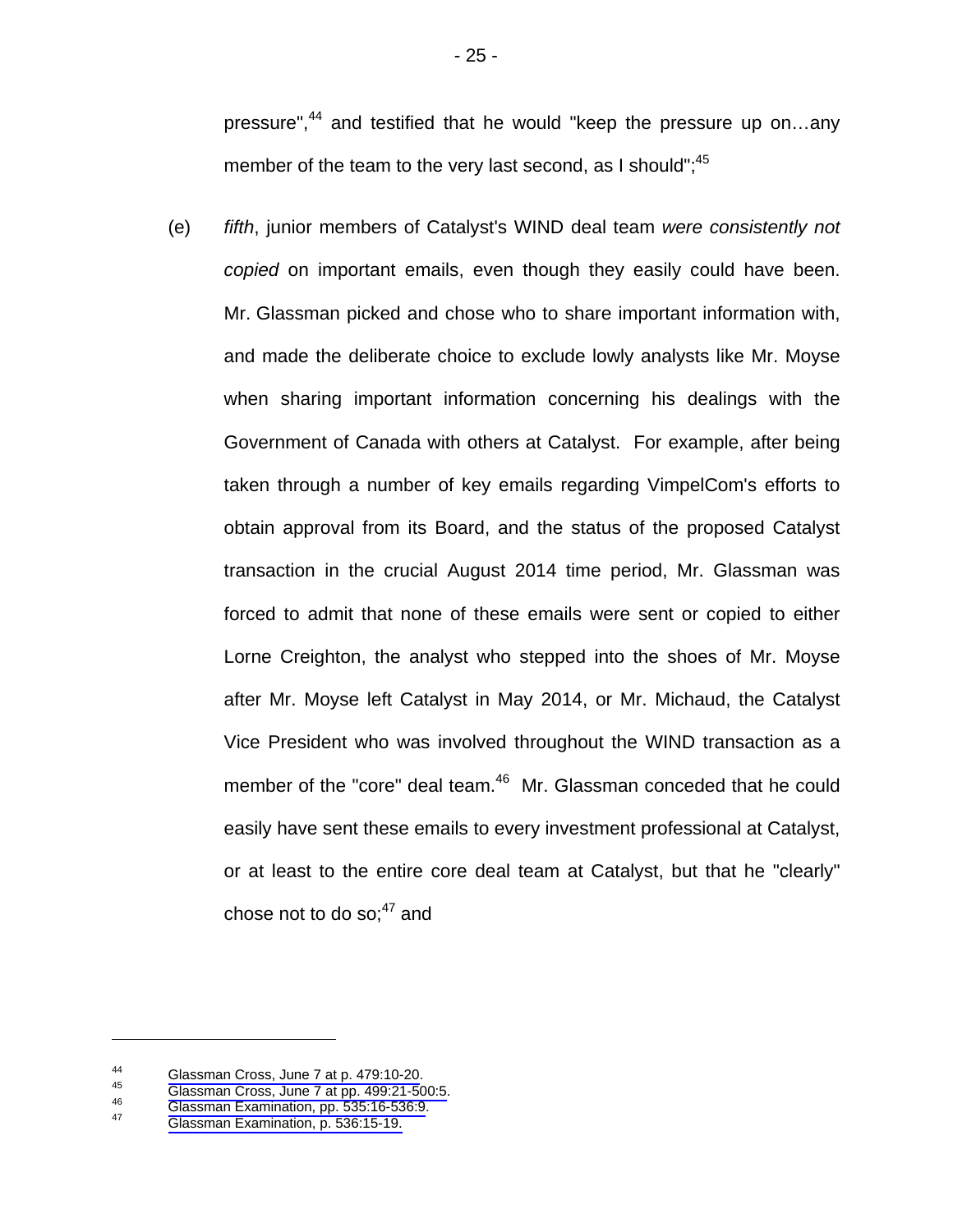pressure",<sup>44</sup> and testified that he would "keep the pressure up on...any member of the team to the very last second, as I should";  $45$ 

(e) *fifth*, junior members of Catalyst's WIND deal team *were consistently not copied* on important emails, even though they easily could have been. Mr. Glassman picked and chose who to share important information with, and made the deliberate choice to exclude lowly analysts like Mr. Moyse when sharing important information concerning his dealings with the Government of Canada with others at Catalyst. For example, after being taken through a number of key emails regarding VimpelCom's efforts to obtain approval from its Board, and the status of the proposed Catalyst transaction in the crucial August 2014 time period, Mr. Glassman was forced to admit that none of these emails were sent or copied to either Lorne Creighton, the analyst who stepped into the shoes of Mr. Moyse after Mr. Moyse left Catalyst in May 2014, or Mr. Michaud, the Catalyst Vice President who was involved throughout the WIND transaction as a member of the "core" deal team.<sup>46</sup> Mr. Glassman conceded that he could easily have sent these emails to every investment professional at Catalyst, or at least to the entire core deal team at Catalyst, but that he "clearly" chose not to do so; $47$  and

<sup>44</sup> Glassman Cross, June 7 at p. 479:10-20.<br>
46 [Glassman Cross, June 7 at pp. 499:21-500:5](#page-1-0).<br>
47 [Glassman Examination, pp. 535:16-536:9.](#page-1-0)<br>
47 Glassman Examination, p. 536:15-19.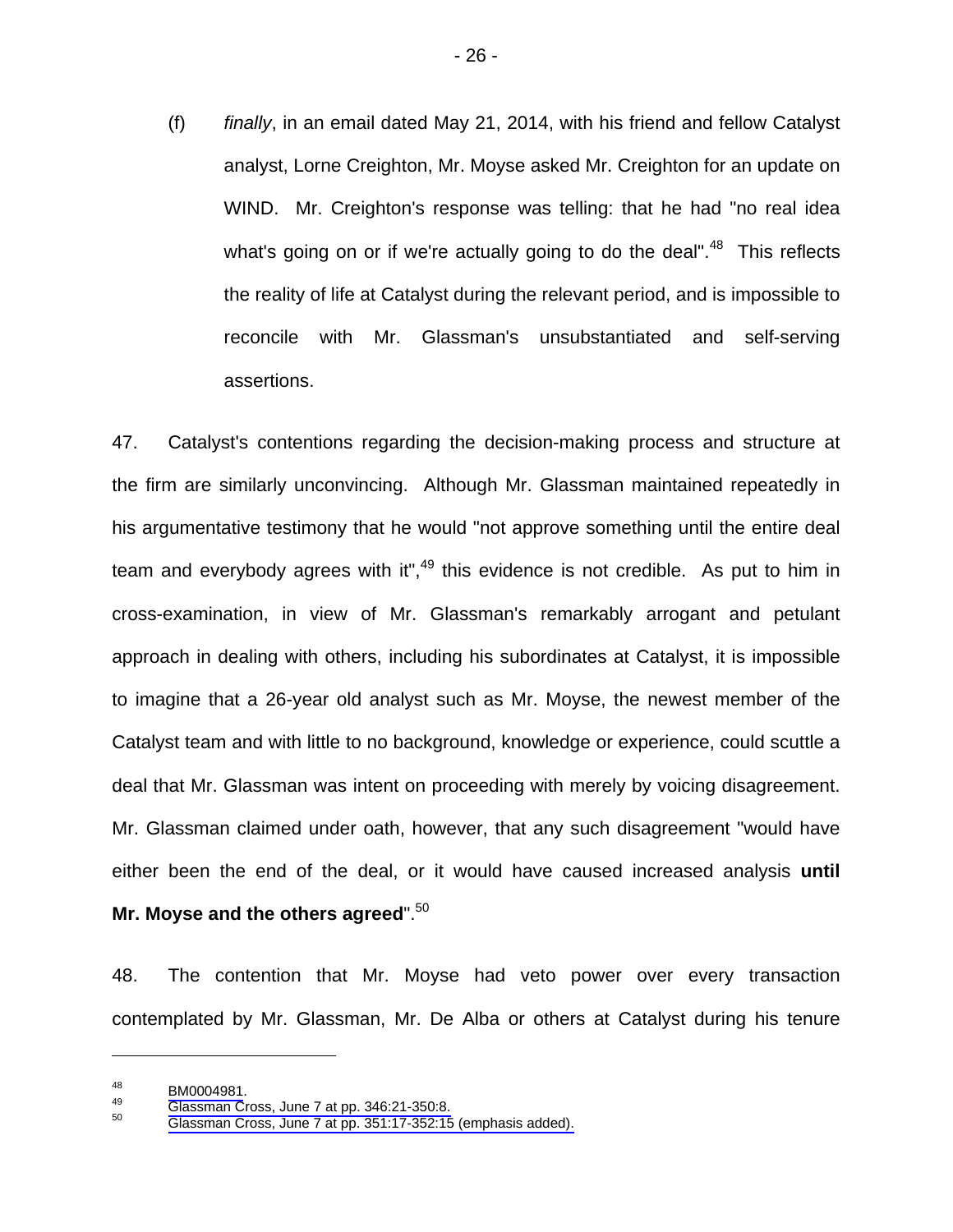(f) *finally*, in an email dated May 21, 2014, with his friend and fellow Catalyst analyst, Lorne Creighton, Mr. Moyse asked Mr. Creighton for an update on WIND. Mr. Creighton's response was telling: that he had "no real idea what's going on or if we're actually going to do the deal". $48$  This reflects the reality of life at Catalyst during the relevant period, and is impossible to reconcile with Mr. Glassman's unsubstantiated and self-serving assertions.

47. Catalyst's contentions regarding the decision-making process and structure at the firm are similarly unconvincing. Although Mr. Glassman maintained repeatedly in his argumentative testimony that he would "not approve something until the entire deal team and everybody agrees with it", $49$  this evidence is not credible. As put to him in cross-examination, in view of Mr. Glassman's remarkably arrogant and petulant approach in dealing with others, including his subordinates at Catalyst, it is impossible to imagine that a 26-year old analyst such as Mr. Moyse, the newest member of the Catalyst team and with little to no background, knowledge or experience, could scuttle a deal that Mr. Glassman was intent on proceeding with merely by voicing disagreement. Mr. Glassman claimed under oath, however, that any such disagreement "would have either been the end of the deal, or it would have caused increased analysis **until Mr. Moyse and the others agreed**".<sup>50</sup>

48. The contention that Mr. Moyse had veto power over every transaction contemplated by Mr. Glassman, Mr. De Alba or others at Catalyst during his tenure

1

<sup>48</sup> [BM0004981.](#page-0-0)<br>  $^{49}$ Glassman Cross, June 7 at pp. 346:21-350:8.<br>
50 [Glassman Cross, June 7 at pp. 351:17-352:15 \(emphasis added\).](#page-1-0)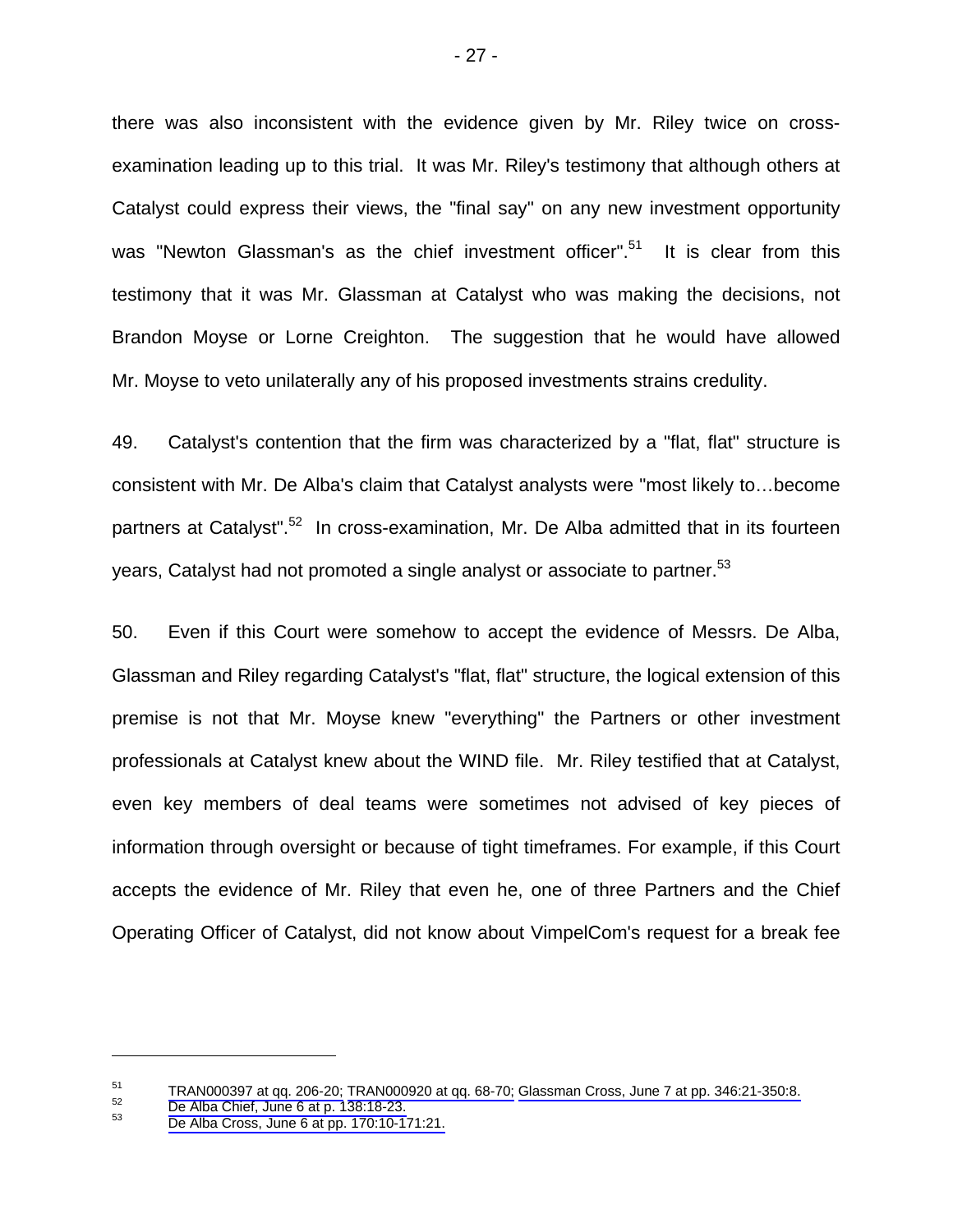there was also inconsistent with the evidence given by Mr. Riley twice on crossexamination leading up to this trial. It was Mr. Riley's testimony that although others at Catalyst could express their views, the "final say" on any new investment opportunity was "Newton Glassman's as the chief investment officer".<sup>51</sup> It is clear from this testimony that it was Mr. Glassman at Catalyst who was making the decisions, not Brandon Moyse or Lorne Creighton. The suggestion that he would have allowed Mr. Moyse to veto unilaterally any of his proposed investments strains credulity.

49. Catalyst's contention that the firm was characterized by a "flat, flat" structure is consistent with Mr. De Alba's claim that Catalyst analysts were "most likely to…become partners at Catalyst".<sup>52</sup> In cross-examination, Mr. De Alba admitted that in its fourteen years, Catalyst had not promoted a single analyst or associate to partner.<sup>53</sup>

50. Even if this Court were somehow to accept the evidence of Messrs. De Alba, Glassman and Riley regarding Catalyst's "flat, flat" structure, the logical extension of this premise is not that Mr. Moyse knew "everything" the Partners or other investment professionals at Catalyst knew about the WIND file. Mr. Riley testified that at Catalyst, even key members of deal teams were sometimes not advised of key pieces of information through oversight or because of tight timeframes. For example, if this Court accepts the evidence of Mr. Riley that even he, one of three Partners and the Chief Operating Officer of Catalyst, did not know about VimpelCom's request for a break fee

<sup>51</sup> TRAN000397 at qq. 206-20; TRAN000920 at qq. 68-70; Glassman Cross, June 7 at pp. 346:21-350:8.<br>
De Alba Chief, June 6 at p. 138:18-23.<br> [De Alba Cross, June 6 at pp. 170:10-171:21.](#page-1-0)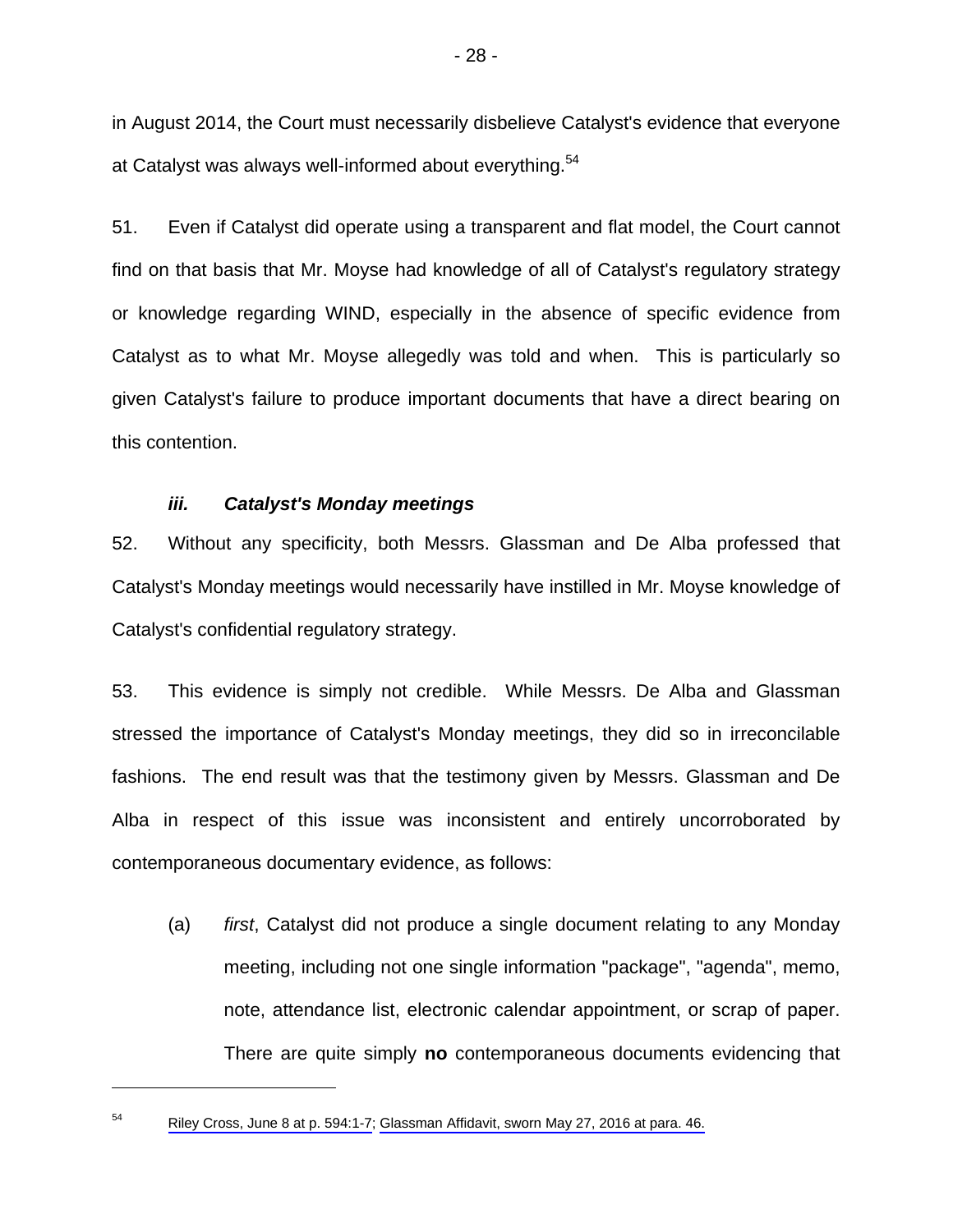in August 2014, the Court must necessarily disbelieve Catalyst's evidence that everyone at Catalyst was always well-informed about everything.<sup>54</sup>

51. Even if Catalyst did operate using a transparent and flat model, the Court cannot find on that basis that Mr. Moyse had knowledge of all of Catalyst's regulatory strategy or knowledge regarding WIND, especially in the absence of specific evidence from Catalyst as to what Mr. Moyse allegedly was told and when. This is particularly so given Catalyst's failure to produce important documents that have a direct bearing on this contention.

# *iii. Catalyst's Monday meetings*

52. Without any specificity, both Messrs. Glassman and De Alba professed that Catalyst's Monday meetings would necessarily have instilled in Mr. Moyse knowledge of Catalyst's confidential regulatory strategy.

53. This evidence is simply not credible. While Messrs. De Alba and Glassman stressed the importance of Catalyst's Monday meetings, they did so in irreconcilable fashions. The end result was that the testimony given by Messrs. Glassman and De Alba in respect of this issue was inconsistent and entirely uncorroborated by contemporaneous documentary evidence, as follows:

(a) *first*, Catalyst did not produce a single document relating to any Monday meeting, including not one single information "package", "agenda", memo, note, attendance list, electronic calendar appointment, or scrap of paper. There are quite simply **no** contemporaneous documents evidencing that

<sup>54</sup> [Riley Cross, June 8 at p. 594:1-7](#page-1-0); [Glassman Affidavit, sworn May 27, 2016 at para. 46.](#page-1-0)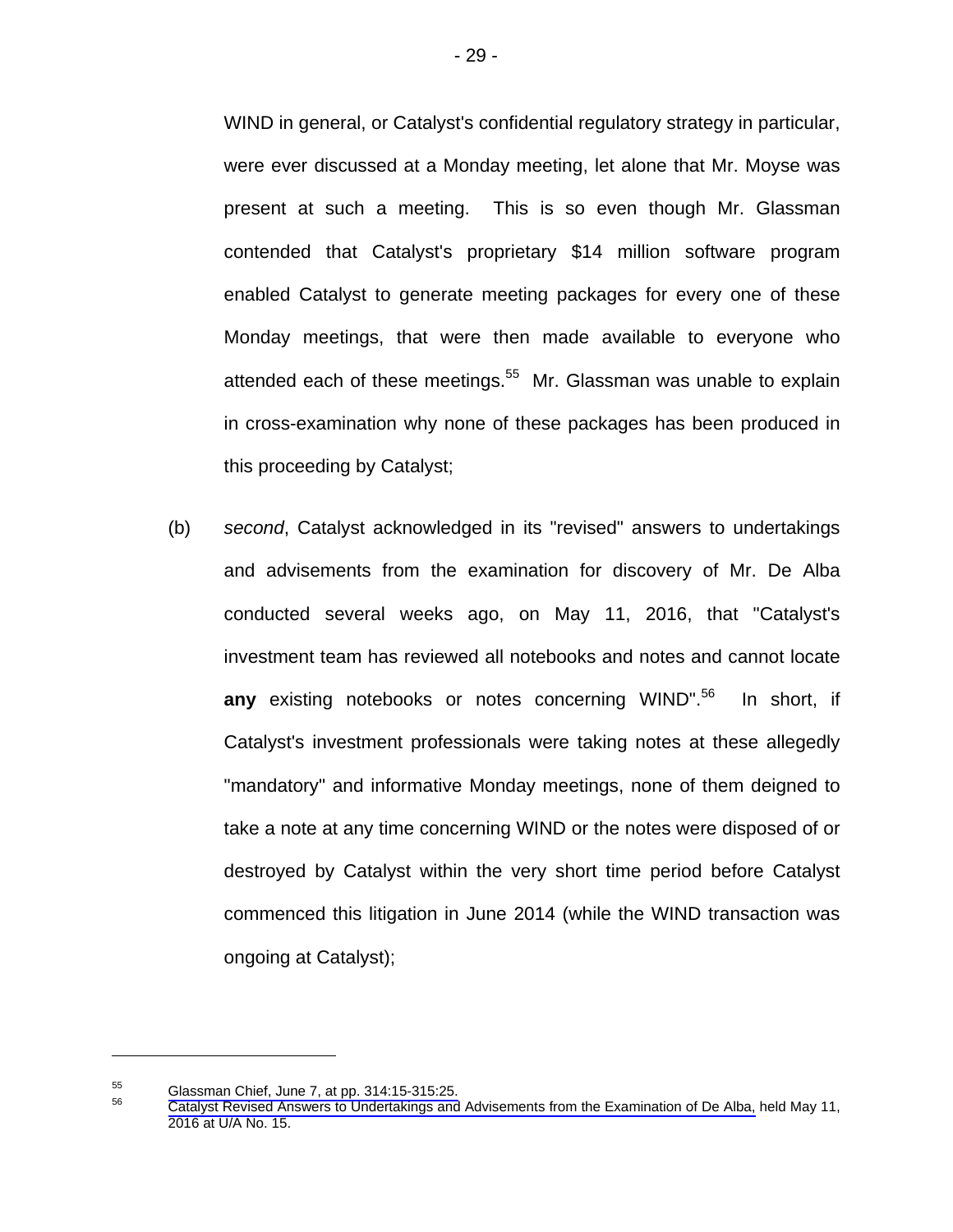WIND in general, or Catalyst's confidential regulatory strategy in particular, were ever discussed at a Monday meeting, let alone that Mr. Moyse was present at such a meeting. This is so even though Mr. Glassman contended that Catalyst's proprietary \$14 million software program enabled Catalyst to generate meeting packages for every one of these Monday meetings, that were then made available to everyone who attended each of these meetings.<sup>55</sup> Mr. Glassman was unable to explain in cross-examination why none of these packages has been produced in this proceeding by Catalyst;

(b) *second*, Catalyst acknowledged in its "revised" answers to undertakings and advisements from the examination for discovery of Mr. De Alba conducted several weeks ago, on May 11, 2016, that "Catalyst's investment team has reviewed all notebooks and notes and cannot locate **any** existing notebooks or notes concerning WIND".<sup>56</sup> In short, if Catalyst's investment professionals were taking notes at these allegedly "mandatory" and informative Monday meetings, none of them deigned to take a note at any time concerning WIND or the notes were disposed of or destroyed by Catalyst within the very short time period before Catalyst commenced this litigation in June 2014 (while the WIND transaction was ongoing at Catalyst);

<sup>&</sup>lt;sup>55</sup> Glassman Chief, June 7, at pp. 314:15-315:25.<br><sup>56</sup> [Catalyst Revised Answers to Undertakings and Advisements from the Examination of De Alba,](#page-1-0) held May 11, 2016 at U/A No. 15.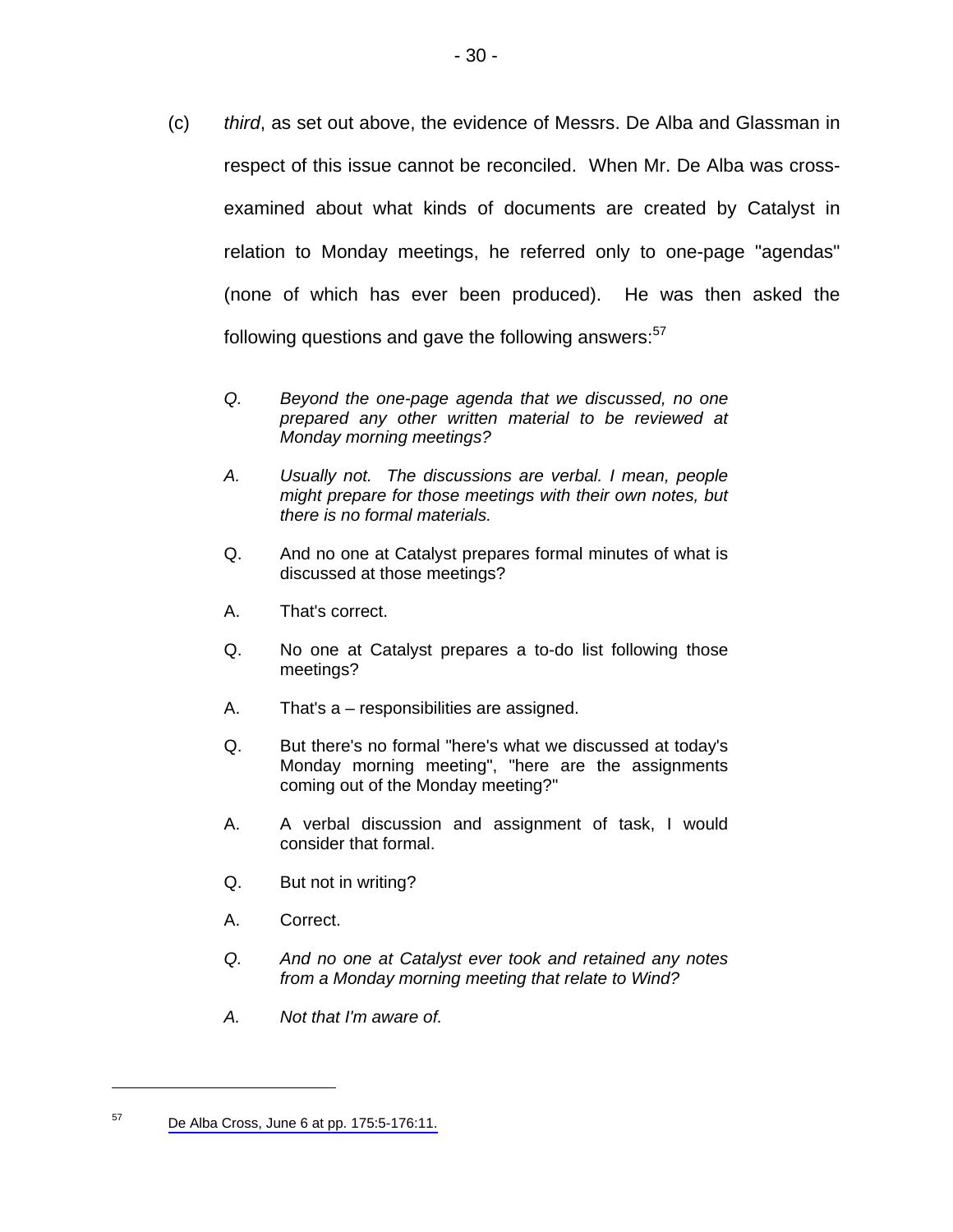- (c) *third*, as set out above, the evidence of Messrs. De Alba and Glassman in respect of this issue cannot be reconciled. When Mr. De Alba was crossexamined about what kinds of documents are created by Catalyst in relation to Monday meetings, he referred only to one-page "agendas" (none of which has ever been produced). He was then asked the following questions and gave the following answers: $57$ 
	- *Q. Beyond the one-page agenda that we discussed, no one prepared any other written material to be reviewed at Monday morning meetings?*
	- *A. Usually not. The discussions are verbal. I mean, people might prepare for those meetings with their own notes, but there is no formal materials.*
	- Q. And no one at Catalyst prepares formal minutes of what is discussed at those meetings?
	- A. That's correct.
	- Q. No one at Catalyst prepares a to-do list following those meetings?
	- A. That's a responsibilities are assigned.
	- Q. But there's no formal "here's what we discussed at today's Monday morning meeting", "here are the assignments coming out of the Monday meeting?"
	- A. A verbal discussion and assignment of task, I would consider that formal.
	- Q. But not in writing?
	- A. Correct.
	- *Q. And no one at Catalyst ever took and retained any notes from a Monday morning meeting that relate to Wind?*
	- *A. Not that I'm aware of.*

<sup>57</sup> [De Alba Cross, June 6 at pp. 175:5-176:11.](#page-1-0)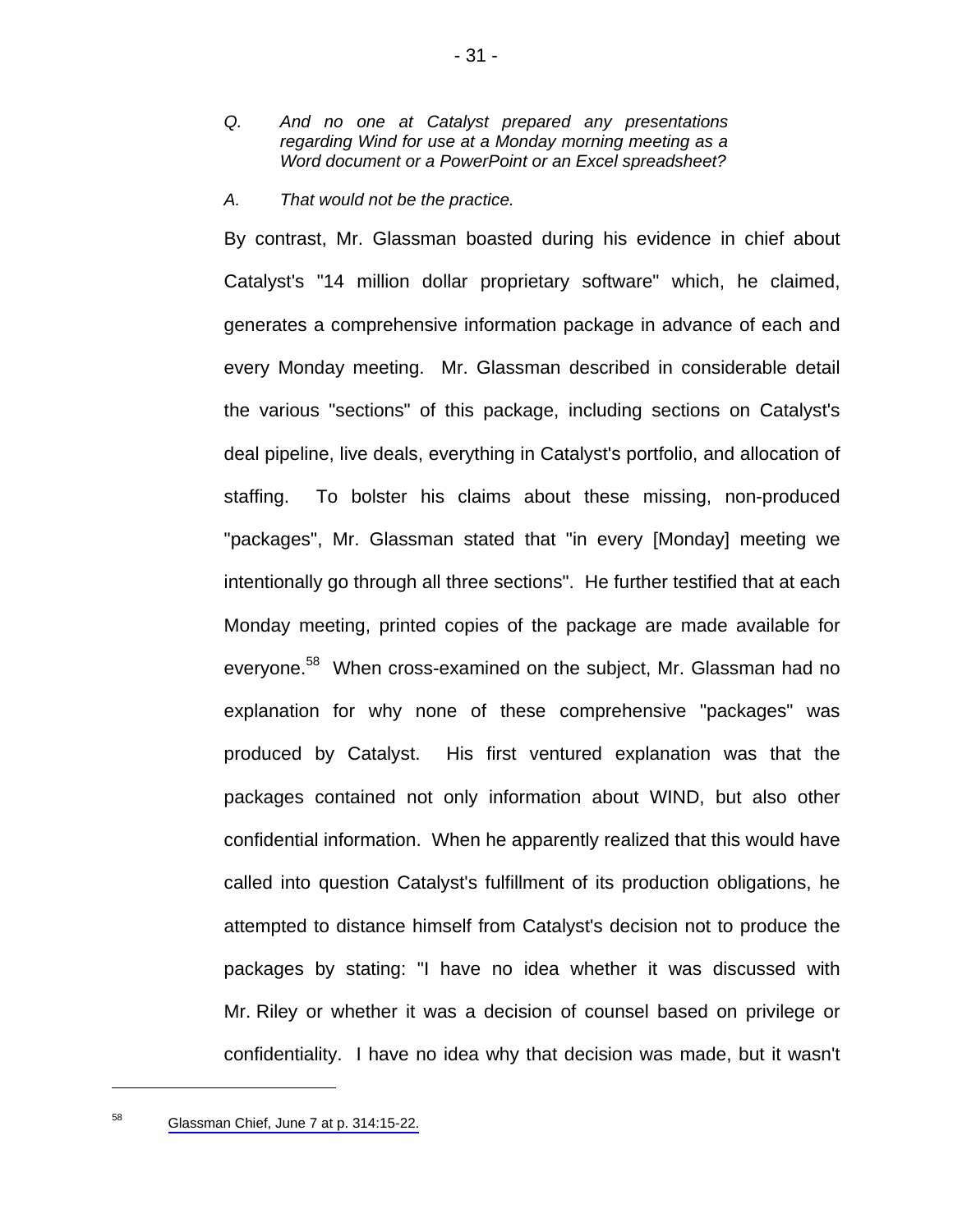- *Q. And no one at Catalyst prepared any presentations regarding Wind for use at a Monday morning meeting as a Word document or a PowerPoint or an Excel spreadsheet?*
- *A. That would not be the practice.*

By contrast, Mr. Glassman boasted during his evidence in chief about Catalyst's "14 million dollar proprietary software" which, he claimed, generates a comprehensive information package in advance of each and every Monday meeting. Mr. Glassman described in considerable detail the various "sections" of this package, including sections on Catalyst's deal pipeline, live deals, everything in Catalyst's portfolio, and allocation of staffing. To bolster his claims about these missing, non-produced "packages", Mr. Glassman stated that "in every [Monday] meeting we intentionally go through all three sections". He further testified that at each Monday meeting, printed copies of the package are made available for everyone.<sup>58</sup> When cross-examined on the subject, Mr. Glassman had no explanation for why none of these comprehensive "packages" was produced by Catalyst. His first ventured explanation was that the packages contained not only information about WIND, but also other confidential information. When he apparently realized that this would have called into question Catalyst's fulfillment of its production obligations, he attempted to distance himself from Catalyst's decision not to produce the packages by stating: "I have no idea whether it was discussed with Mr. Riley or whether it was a decision of counsel based on privilege or confidentiality. I have no idea why that decision was made, but it wasn't

<sup>&</sup>lt;sup>58</sup> Glassman Chief, June 7 at p. 314:15-22.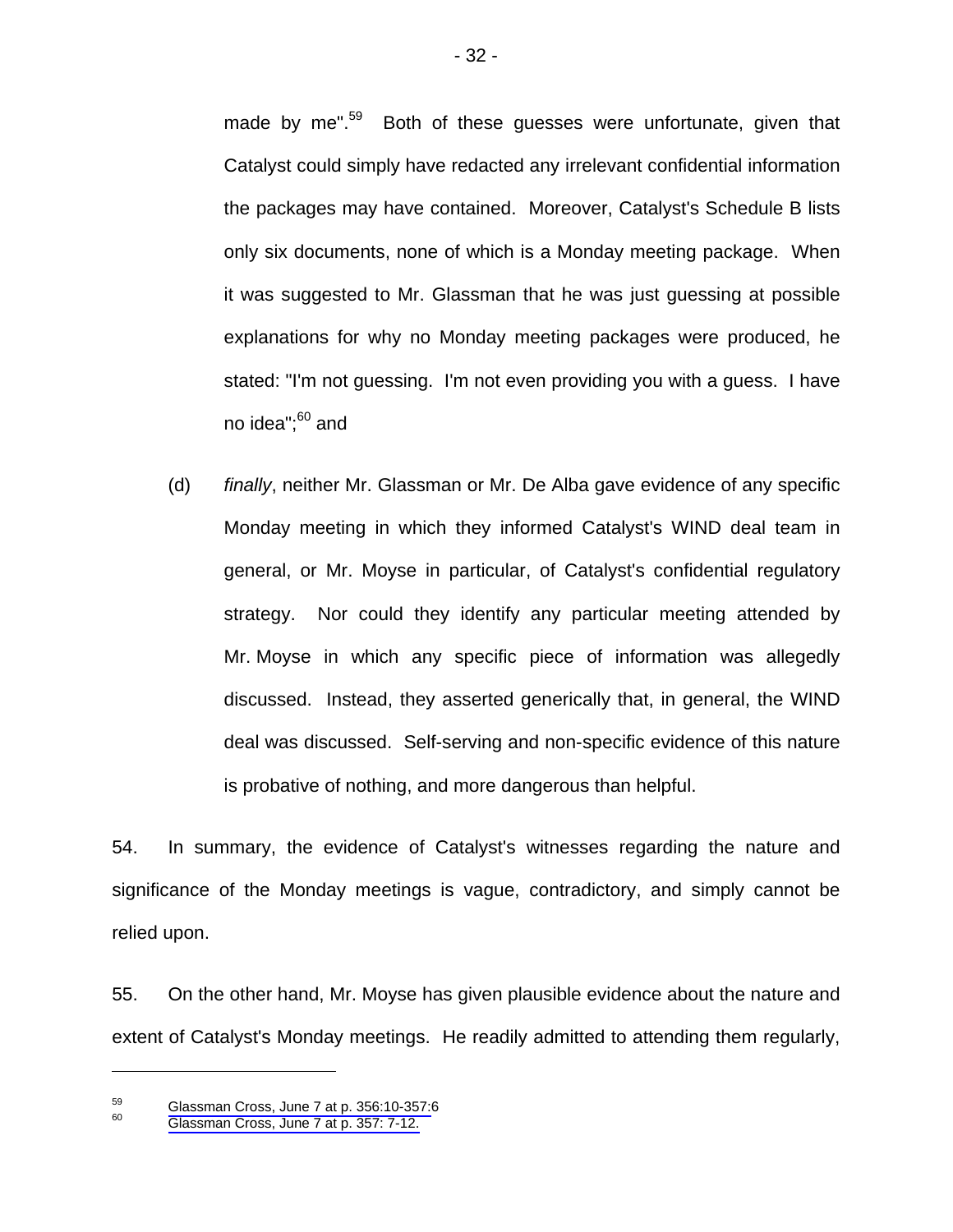made by me".<sup>59</sup> Both of these guesses were unfortunate, given that Catalyst could simply have redacted any irrelevant confidential information the packages may have contained. Moreover, Catalyst's Schedule B lists only six documents, none of which is a Monday meeting package. When it was suggested to Mr. Glassman that he was just guessing at possible explanations for why no Monday meeting packages were produced, he stated: "I'm not guessing. I'm not even providing you with a guess. I have no idea";<sup>60</sup> and

(d) *finally*, neither Mr. Glassman or Mr. De Alba gave evidence of any specific Monday meeting in which they informed Catalyst's WIND deal team in general, or Mr. Moyse in particular, of Catalyst's confidential regulatory strategy. Nor could they identify any particular meeting attended by Mr. Moyse in which any specific piece of information was allegedly discussed. Instead, they asserted generically that, in general, the WIND deal was discussed. Self-serving and non-specific evidence of this nature is probative of nothing, and more dangerous than helpful.

54. In summary, the evidence of Catalyst's witnesses regarding the nature and significance of the Monday meetings is vague, contradictory, and simply cannot be relied upon.

55. On the other hand, Mr. Moyse has given plausible evidence about the nature and extent of Catalyst's Monday meetings. He readily admitted to attending them regularly,

 $^{59}$  [Glassman Cross, June 7 at p. 356:10-357:](#page-1-0)6<br> $^{60}$  Glassman Cross, June 7 at p. 357: 7-12.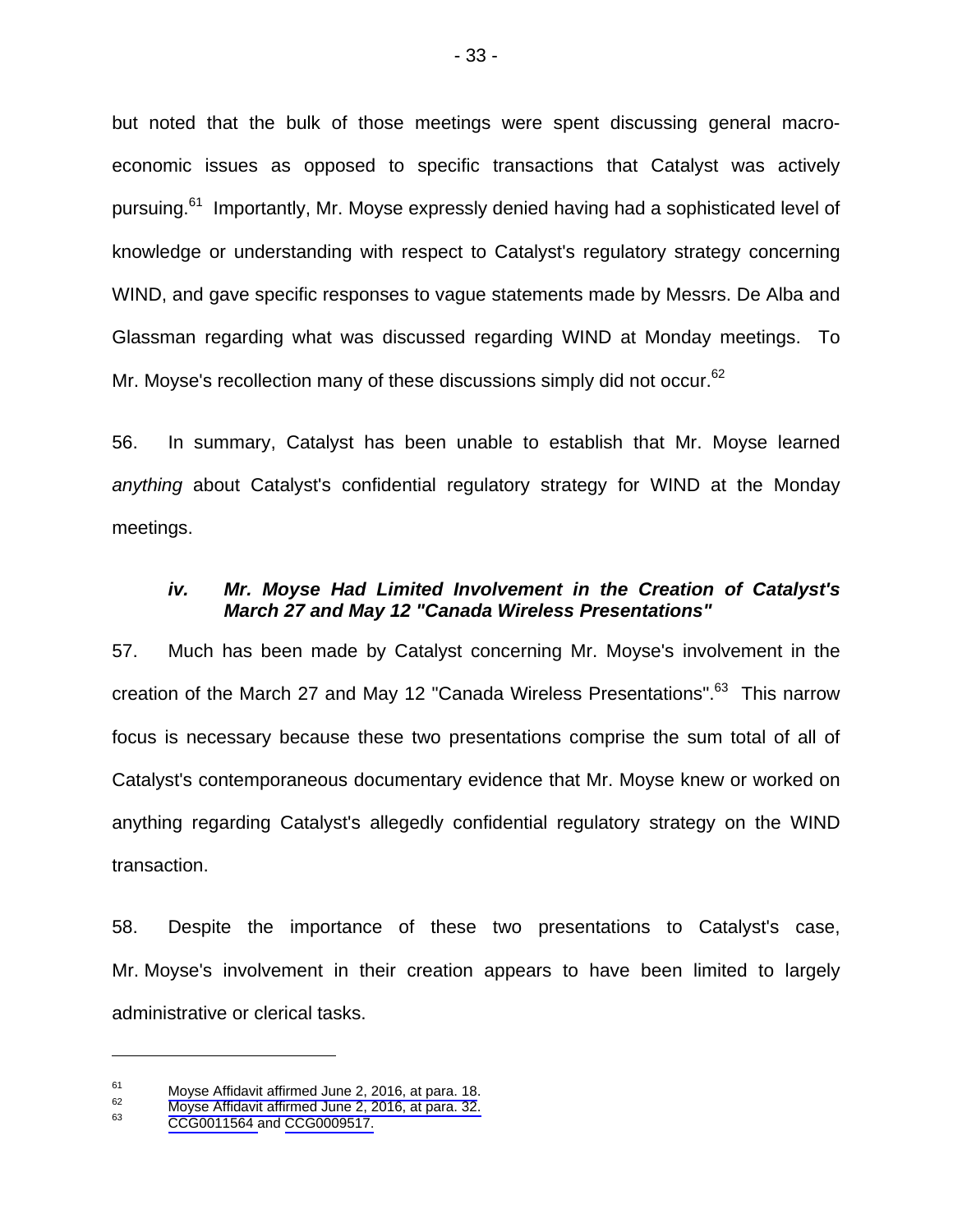but noted that the bulk of those meetings were spent discussing general macroeconomic issues as opposed to specific transactions that Catalyst was actively pursuing.61 Importantly, Mr. Moyse expressly denied having had a sophisticated level of knowledge or understanding with respect to Catalyst's regulatory strategy concerning WIND, and gave specific responses to vague statements made by Messrs. De Alba and Glassman regarding what was discussed regarding WIND at Monday meetings. To Mr. Moyse's recollection many of these discussions simply did not occur.<sup>62</sup>

56. In summary, Catalyst has been unable to establish that Mr. Moyse learned *anything* about Catalyst's confidential regulatory strategy for WIND at the Monday meetings.

### *iv. Mr. Moyse Had Limited Involvement in the Creation of Catalyst's March 27 and May 12 "Canada Wireless Presentations"*

57. Much has been made by Catalyst concerning Mr. Moyse's involvement in the creation of the March 27 and May 12 "Canada Wireless Presentations".<sup>63</sup> This narrow focus is necessary because these two presentations comprise the sum total of all of Catalyst's contemporaneous documentary evidence that Mr. Moyse knew or worked on anything regarding Catalyst's allegedly confidential regulatory strategy on the WIND transaction.

58. Despite the importance of these two presentations to Catalyst's case, Mr. Moyse's involvement in their creation appears to have been limited to largely administrative or clerical tasks.

<sup>&</sup>lt;sup>61</sup> [Moyse Affidavit affirmed June 2, 2016, at para. 18.](#page-1-0)<br>
<sup>62</sup> [Moyse Affidavit affirmed June 2, 2016, at para. 32.](#page-1-0)<br> [CCG0011564 a](#page-0-0)[nd](#page-1-0) CCG0009517.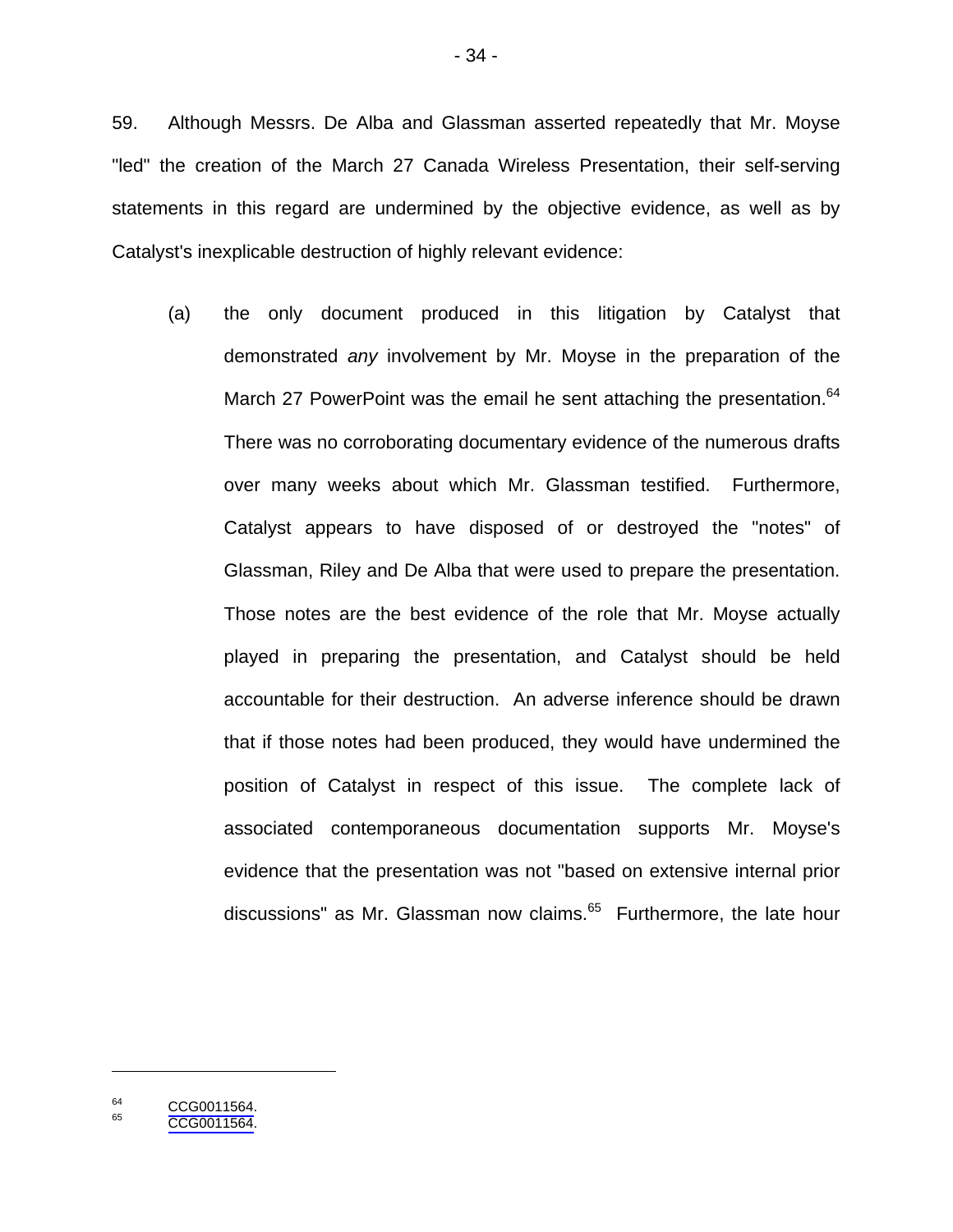59. Although Messrs. De Alba and Glassman asserted repeatedly that Mr. Moyse "led" the creation of the March 27 Canada Wireless Presentation, their self-serving statements in this regard are undermined by the objective evidence, as well as by Catalyst's inexplicable destruction of highly relevant evidence:

(a) the only document produced in this litigation by Catalyst that demonstrated *any* involvement by Mr. Moyse in the preparation of the March 27 PowerPoint was the email he sent attaching the presentation.<sup>64</sup> There was no corroborating documentary evidence of the numerous drafts over many weeks about which Mr. Glassman testified. Furthermore, Catalyst appears to have disposed of or destroyed the "notes" of Glassman, Riley and De Alba that were used to prepare the presentation. Those notes are the best evidence of the role that Mr. Moyse actually played in preparing the presentation, and Catalyst should be held accountable for their destruction. An adverse inference should be drawn that if those notes had been produced, they would have undermined the position of Catalyst in respect of this issue. The complete lack of associated contemporaneous documentation supports Mr. Moyse's evidence that the presentation was not "based on extensive internal prior discussions" as Mr. Glassman now claims.<sup>65</sup> Furthermore, the late hour

 $^{64}$  [CCG0011564.](#page-0-0)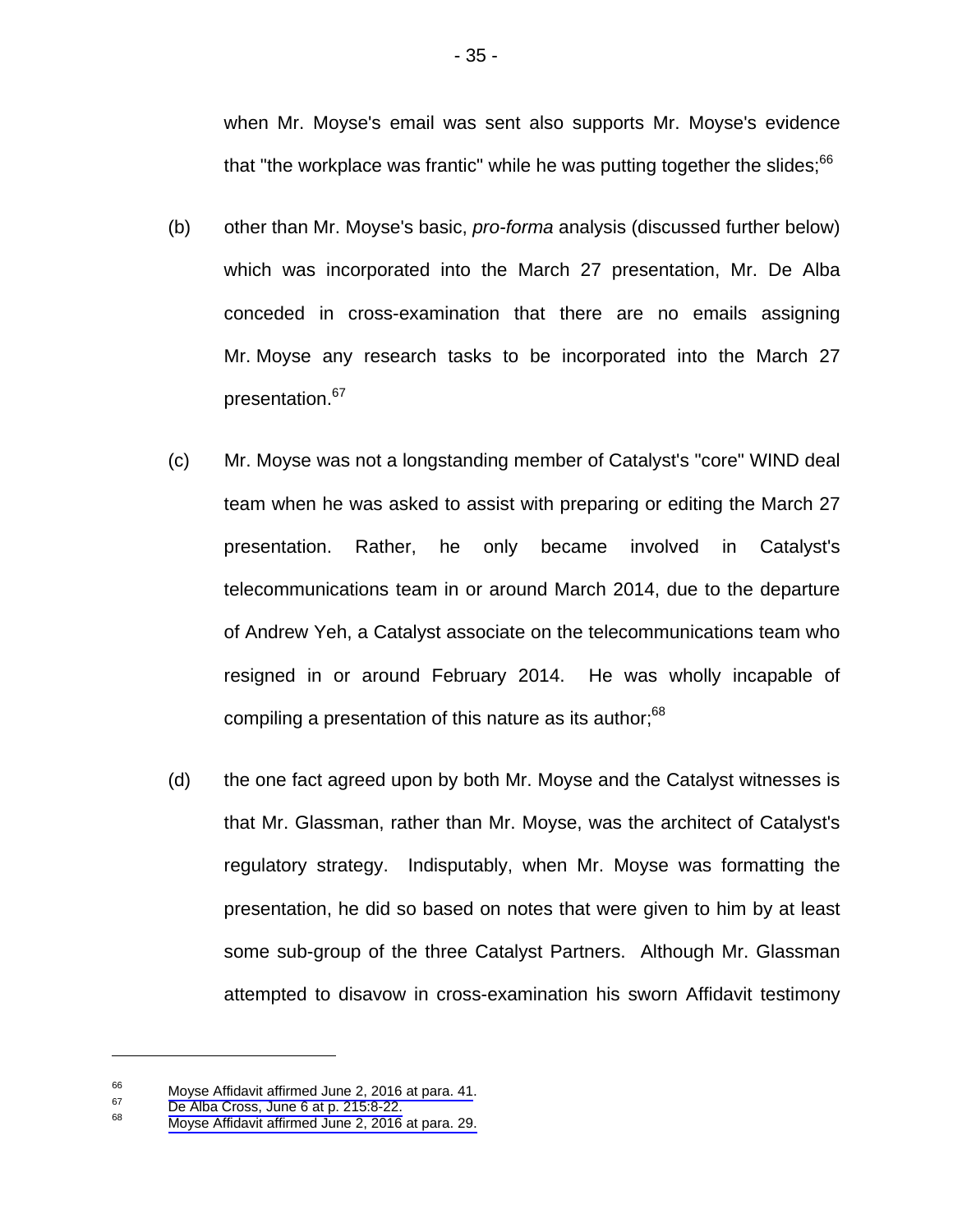when Mr. Moyse's email was sent also supports Mr. Moyse's evidence that "the workplace was frantic" while he was putting together the slides; $66$ 

- (b) other than Mr. Moyse's basic, *pro-forma* analysis (discussed further below) which was incorporated into the March 27 presentation, Mr. De Alba conceded in cross-examination that there are no emails assigning Mr. Moyse any research tasks to be incorporated into the March 27 presentation.<sup>67</sup>
- (c) Mr. Moyse was not a longstanding member of Catalyst's "core" WIND deal team when he was asked to assist with preparing or editing the March 27 presentation. Rather, he only became involved in Catalyst's telecommunications team in or around March 2014, due to the departure of Andrew Yeh, a Catalyst associate on the telecommunications team who resigned in or around February 2014. He was wholly incapable of compiling a presentation of this nature as its author; $68$
- (d) the one fact agreed upon by both Mr. Moyse and the Catalyst witnesses is that Mr. Glassman, rather than Mr. Moyse, was the architect of Catalyst's regulatory strategy. Indisputably, when Mr. Moyse was formatting the presentation, he did so based on notes that were given to him by at least some sub-group of the three Catalyst Partners. Although Mr. Glassman attempted to disavow in cross-examination his sworn Affidavit testimony

<sup>&</sup>lt;sup>66</sup> [Moyse Affidavit affirmed June 2, 2016 at para. 41](#page-1-0).<br>
<sup>67</sup> De Alba Cross, June 6 at p. 215:8-22.<br>
<sup>68</sup> Moyse Affidavit affirmed June 2, 2016 at para. 29.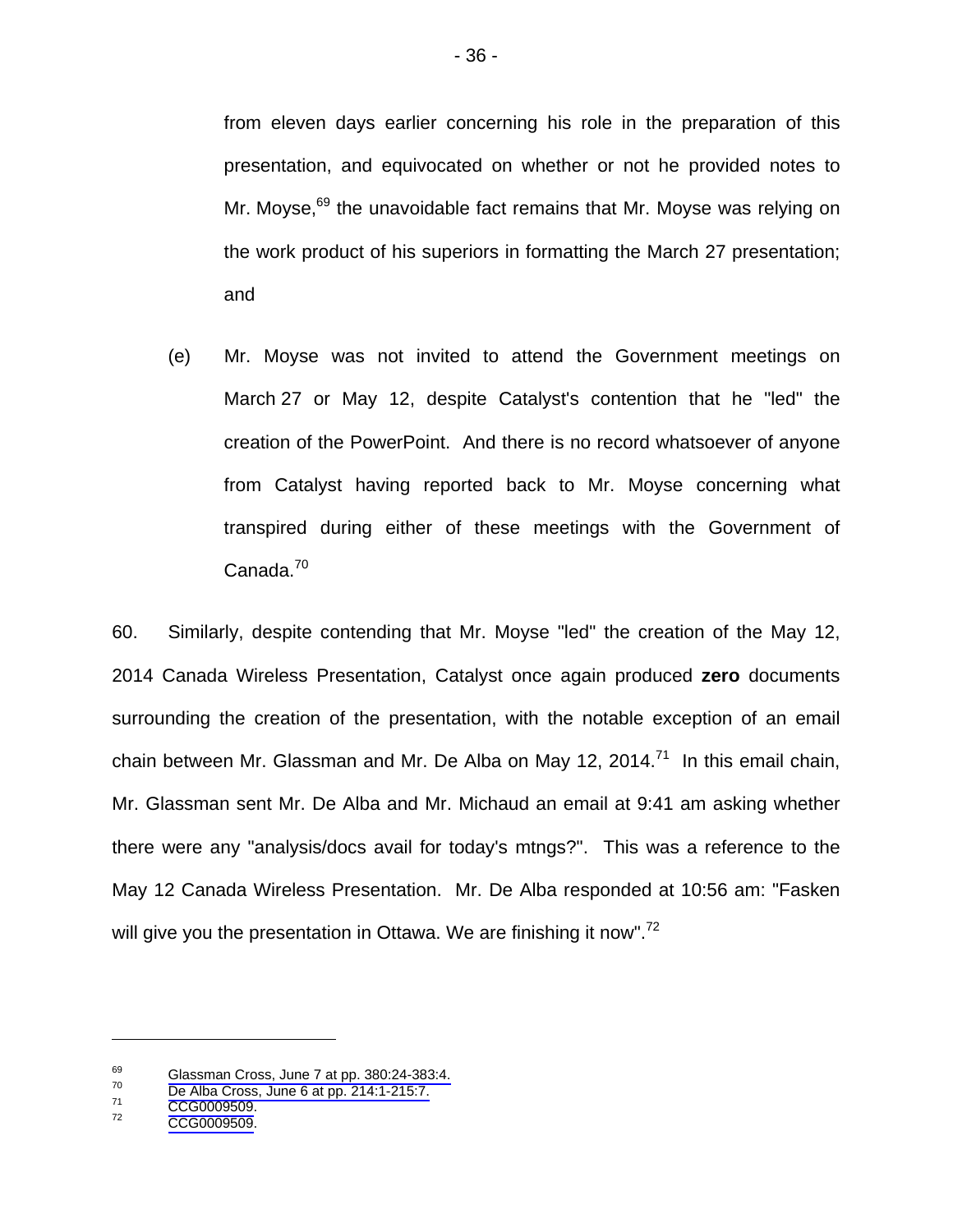from eleven days earlier concerning his role in the preparation of this presentation, and equivocated on whether or not he provided notes to Mr. Moyse,<sup>69</sup> the unavoidable fact remains that Mr. Moyse was relying on the work product of his superiors in formatting the March 27 presentation; and

(e) Mr. Moyse was not invited to attend the Government meetings on March 27 or May 12, despite Catalyst's contention that he "led" the creation of the PowerPoint. And there is no record whatsoever of anyone from Catalyst having reported back to Mr. Moyse concerning what transpired during either of these meetings with the Government of Canada.<sup>70</sup>

60. Similarly, despite contending that Mr. Moyse "led" the creation of the May 12, 2014 Canada Wireless Presentation, Catalyst once again produced **zero** documents surrounding the creation of the presentation, with the notable exception of an email chain between Mr. Glassman and Mr. De Alba on May 12, 2014.<sup>71</sup> In this email chain, Mr. Glassman sent Mr. De Alba and Mr. Michaud an email at 9:41 am asking whether there were any "analysis/docs avail for today's mtngs?". This was a reference to the May 12 Canada Wireless Presentation. Mr. De Alba responded at 10:56 am: "Fasken will give you the presentation in Ottawa. We are finishing it now".<sup>72</sup>

<sup>&</sup>lt;sup>69</sup> Glassman Cross, June 7 at pp. 380:24-383:4.<br>
<sup>70</sup> [De Alba Cross, June 6 at pp. 214:1-215:7.](#page-1-0)<br>
<sup>72</sup> [CCG0009509.](#page-0-0)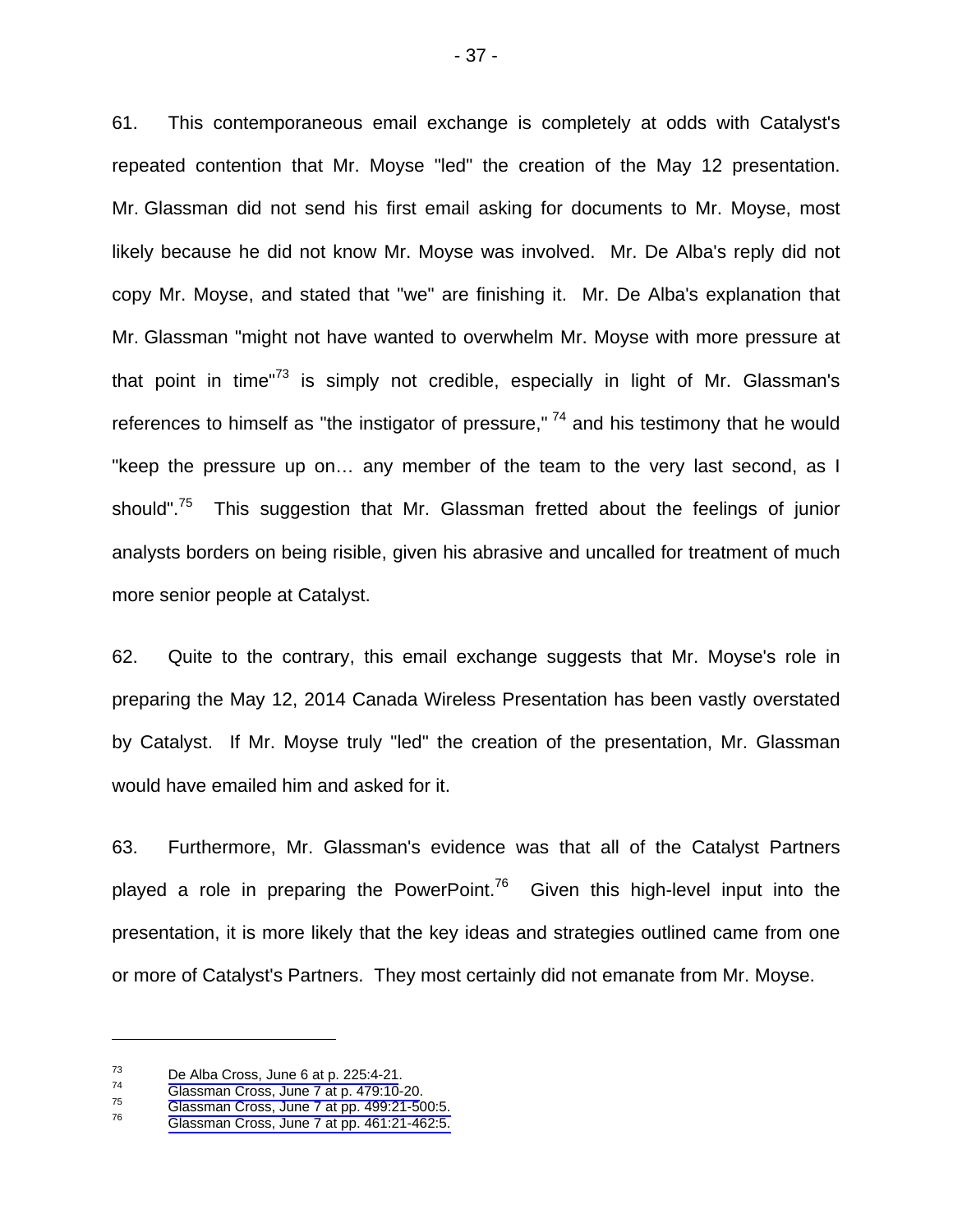61. This contemporaneous email exchange is completely at odds with Catalyst's repeated contention that Mr. Moyse "led" the creation of the May 12 presentation. Mr. Glassman did not send his first email asking for documents to Mr. Moyse, most likely because he did not know Mr. Moyse was involved. Mr. De Alba's reply did not copy Mr. Moyse, and stated that "we" are finishing it. Mr. De Alba's explanation that Mr. Glassman "might not have wanted to overwhelm Mr. Moyse with more pressure at that point in time<sup>"73</sup> is simply not credible, especially in light of Mr. Glassman's references to himself as "the instigator of pressure,"  $74$  and his testimony that he would "keep the pressure up on… any member of the team to the very last second, as I should".<sup>75</sup> This suggestion that Mr. Glassman fretted about the feelings of junior analysts borders on being risible, given his abrasive and uncalled for treatment of much more senior people at Catalyst.

62. Quite to the contrary, this email exchange suggests that Mr. Moyse's role in preparing the May 12, 2014 Canada Wireless Presentation has been vastly overstated by Catalyst. If Mr. Moyse truly "led" the creation of the presentation, Mr. Glassman would have emailed him and asked for it.

63. Furthermore, Mr. Glassman's evidence was that all of the Catalyst Partners played a role in preparing the PowerPoint.<sup>76</sup> Given this high-level input into the presentation, it is more likely that the key ideas and strategies outlined came from one or more of Catalyst's Partners. They most certainly did not emanate from Mr. Moyse.

<sup>73</sup> De Alba Cross, June 6 at p. 225:4-21.<br>
74 Glassman Cross, June 7 at p. 479:10-20.<br>
75 Glassman Cross, June 7 at pp. 499:21-500:5.<br>
76 Glassman Cross, June 7 at pp. 461:21-462:5.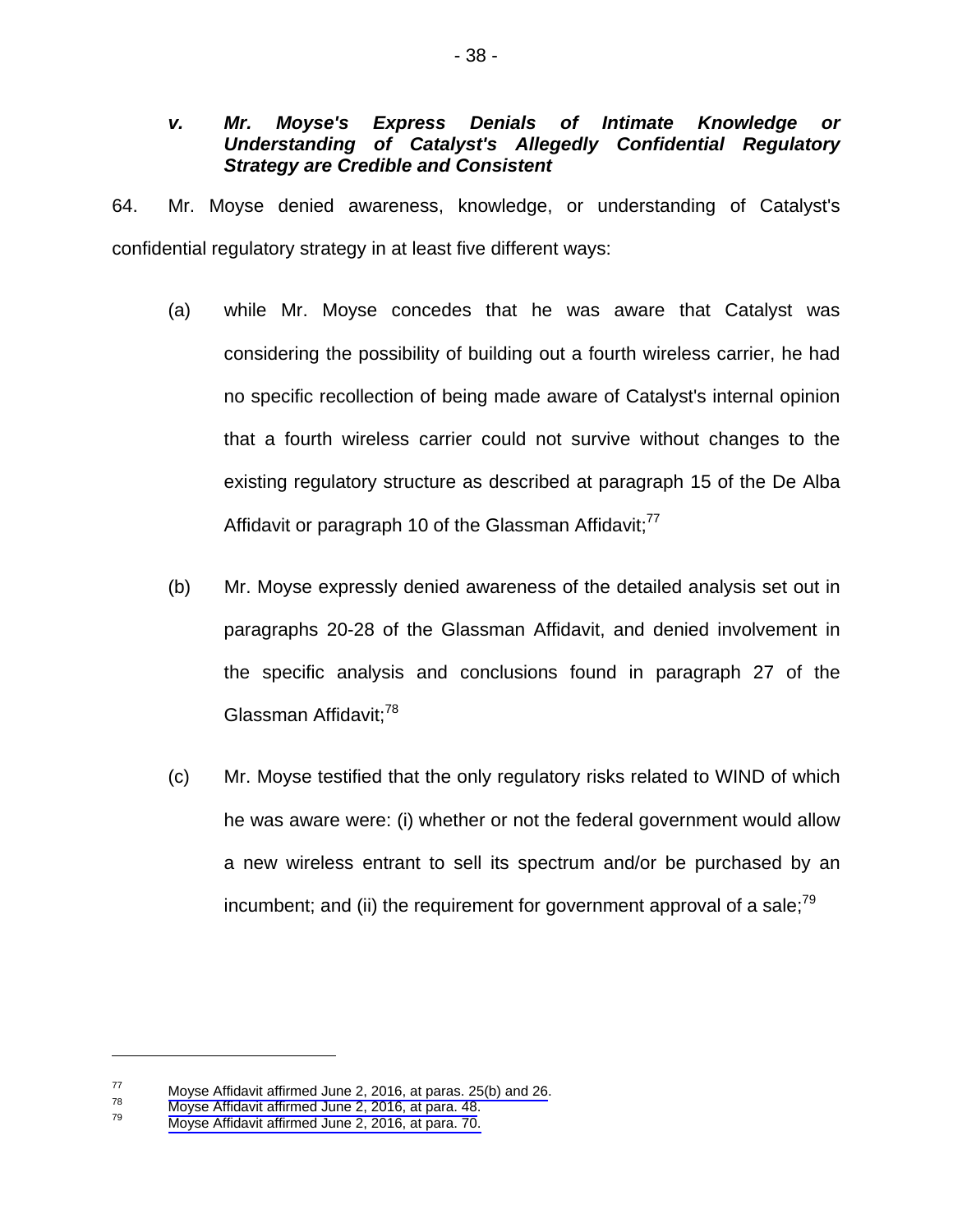## *v. Mr. Moyse's Express Denials of Intimate Knowledge or Understanding of Catalyst's Allegedly Confidential Regulatory Strategy are Credible and Consistent*

64. Mr. Moyse denied awareness, knowledge, or understanding of Catalyst's confidential regulatory strategy in at least five different ways:

- (a) while Mr. Moyse concedes that he was aware that Catalyst was considering the possibility of building out a fourth wireless carrier, he had no specific recollection of being made aware of Catalyst's internal opinion that a fourth wireless carrier could not survive without changes to the existing regulatory structure as described at paragraph 15 of the De Alba Affidavit or paragraph 10 of the Glassman Affidavit; $^{77}$
- (b) Mr. Moyse expressly denied awareness of the detailed analysis set out in paragraphs 20-28 of the Glassman Affidavit, and denied involvement in the specific analysis and conclusions found in paragraph 27 of the Glassman Affidavit;<sup>78</sup>
- (c) Mr. Moyse testified that the only regulatory risks related to WIND of which he was aware were: (i) whether or not the federal government would allow a new wireless entrant to sell its spectrum and/or be purchased by an incumbent; and (ii) the requirement for government approval of a sale; $^{79}$

<sup>77</sup> [Moyse Affidavit affirmed June 2, 2016, at paras. 25\(b\) and 26](#page-1-0).<br>
78 [Moyse Affidavit affirmed June 2, 2016, at para. 48.](#page-1-0)<br> [Moyse Affidavit affirmed June 2, 2016, at para. 70.](#page-1-0)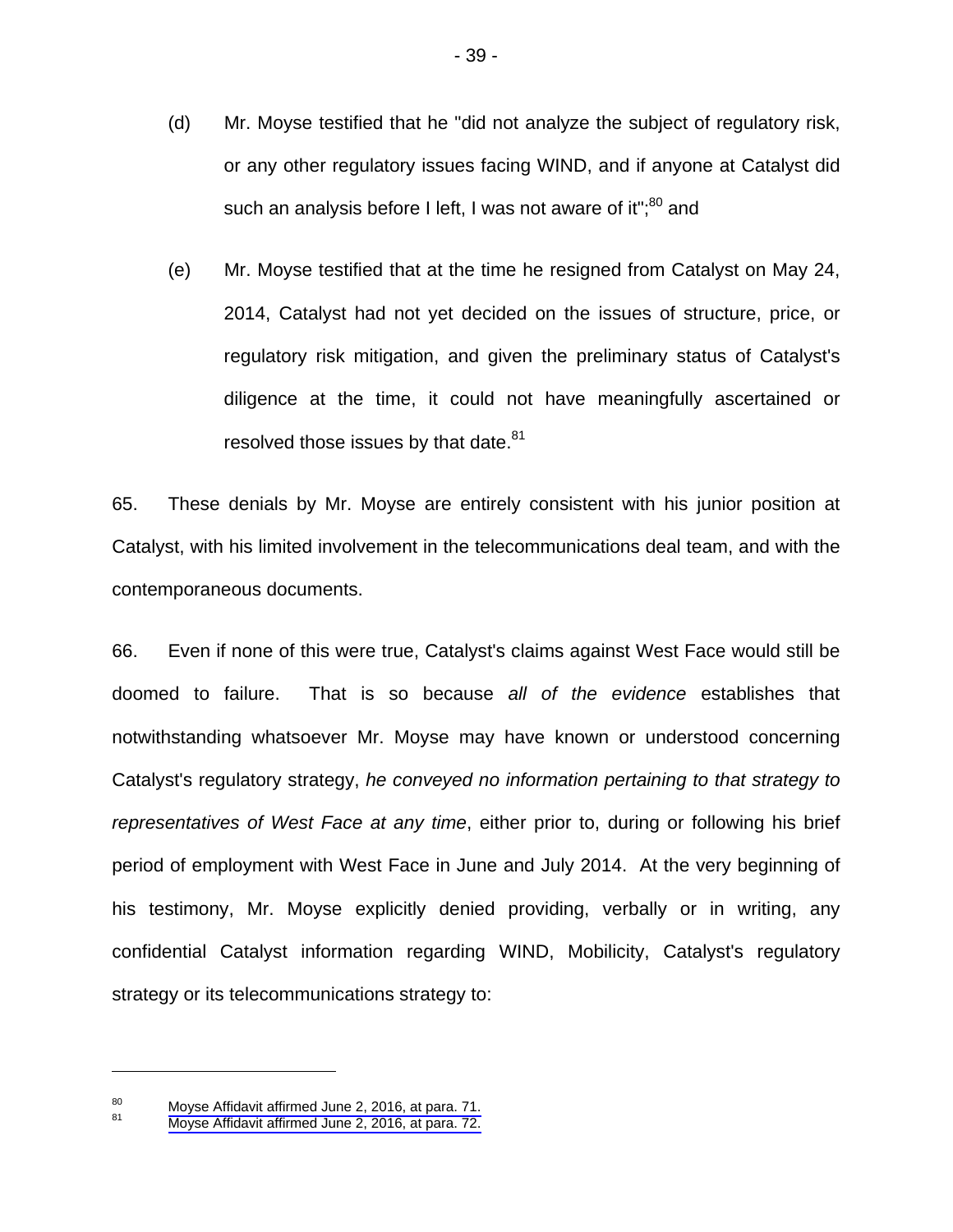- (d) Mr. Moyse testified that he "did not analyze the subject of regulatory risk, or any other regulatory issues facing WIND, and if anyone at Catalyst did such an analysis before I left, I was not aware of it";<sup>80</sup> and
- (e) Mr. Moyse testified that at the time he resigned from Catalyst on May 24, 2014, Catalyst had not yet decided on the issues of structure, price, or regulatory risk mitigation, and given the preliminary status of Catalyst's diligence at the time, it could not have meaningfully ascertained or resolved those issues by that date. $81$

65. These denials by Mr. Moyse are entirely consistent with his junior position at Catalyst, with his limited involvement in the telecommunications deal team, and with the contemporaneous documents.

66. Even if none of this were true, Catalyst's claims against West Face would still be doomed to failure. That is so because *all of the evidence* establishes that notwithstanding whatsoever Mr. Moyse may have known or understood concerning Catalyst's regulatory strategy, *he conveyed no information pertaining to that strategy to representatives of West Face at any time*, either prior to, during or following his brief period of employment with West Face in June and July 2014. At the very beginning of his testimony, Mr. Moyse explicitly denied providing, verbally or in writing, any confidential Catalyst information regarding WIND, Mobilicity, Catalyst's regulatory strategy or its telecommunications strategy to:

<sup>&</sup>lt;sup>80</sup> [Moyse Affidavit affirmed June 2, 2016, at para. 71.](#page-1-0)<br><sup>81</sup> [Moyse Affidavit affirmed June 2, 2016, at para. 72.](#page-1-0)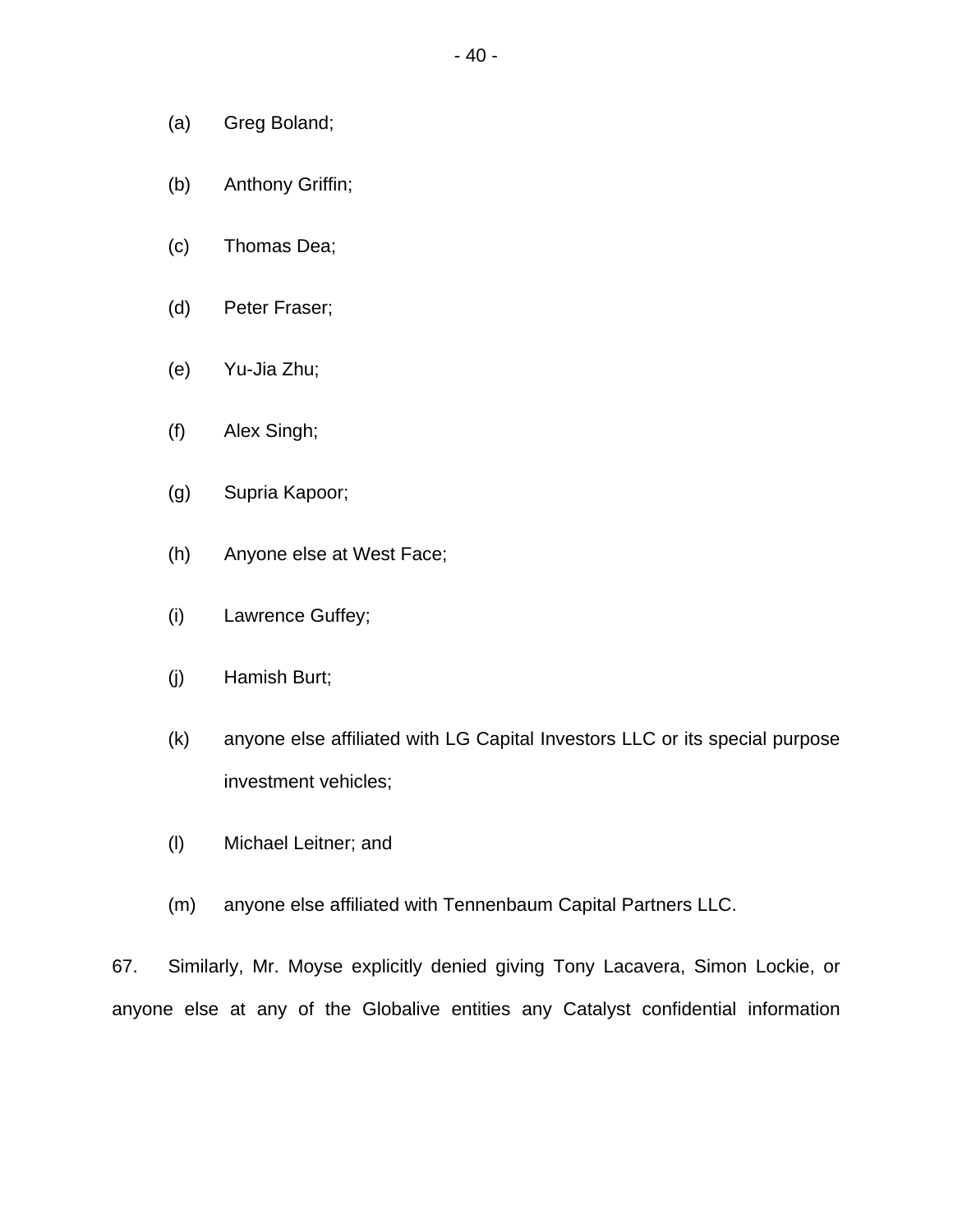- (a) Greg Boland;
- (b) Anthony Griffin;
- (c) Thomas Dea;
- (d) Peter Fraser;
- (e) Yu-Jia Zhu;
- (f) Alex Singh;
- (g) Supria Kapoor;
- (h) Anyone else at West Face;
- (i) Lawrence Guffey;
- (j) Hamish Burt;
- (k) anyone else affiliated with LG Capital Investors LLC or its special purpose investment vehicles;
- (l) Michael Leitner; and
- (m) anyone else affiliated with Tennenbaum Capital Partners LLC.

67. Similarly, Mr. Moyse explicitly denied giving Tony Lacavera, Simon Lockie, or anyone else at any of the Globalive entities any Catalyst confidential information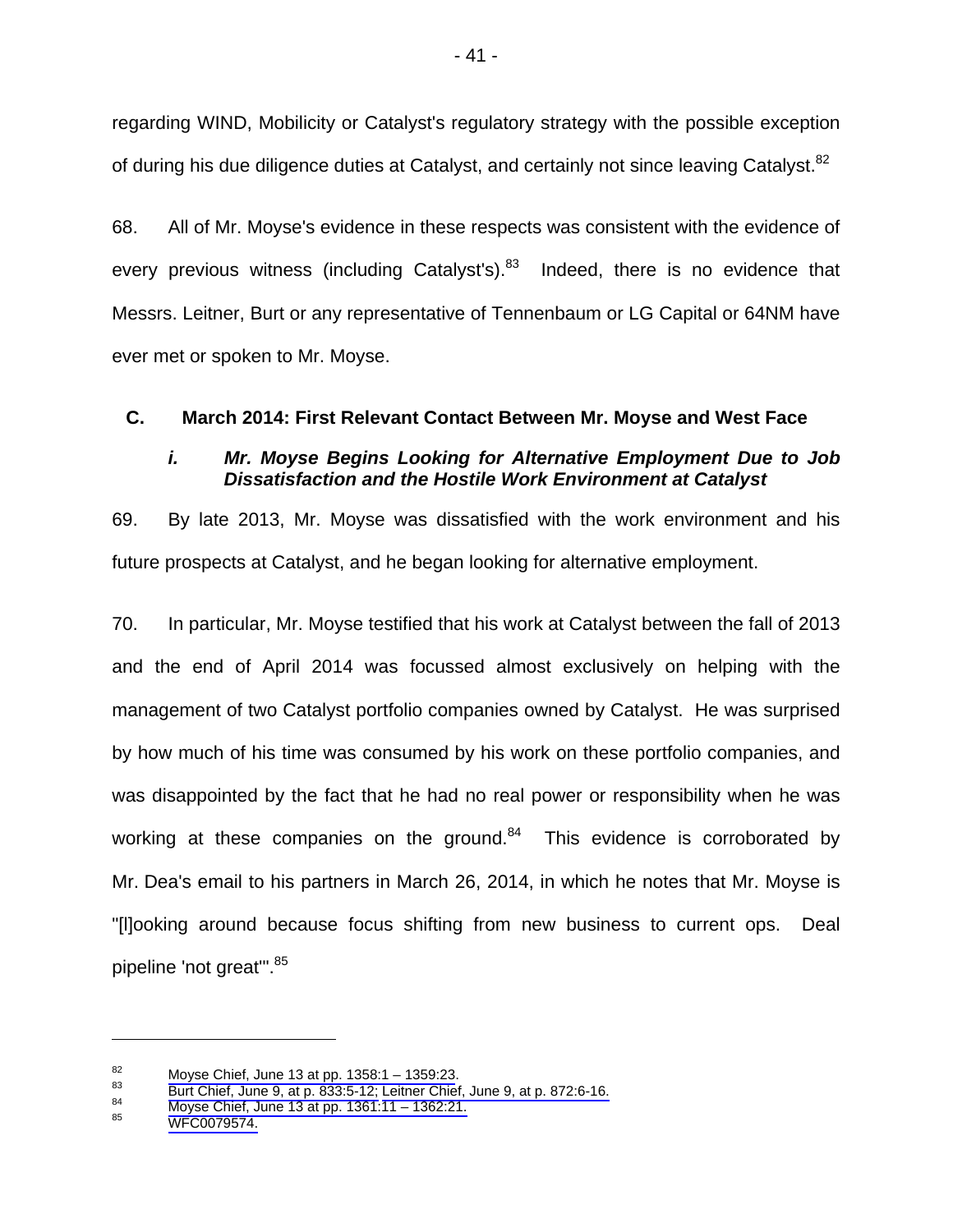regarding WIND, Mobilicity or Catalyst's regulatory strategy with the possible exception of during his due diligence duties at Catalyst, and certainly not since leaving Catalyst.<sup>82</sup>

68. All of Mr. Moyse's evidence in these respects was consistent with the evidence of every previous witness (including Catalyst's).<sup>83</sup> Indeed, there is no evidence that Messrs. Leitner, Burt or any representative of Tennenbaum or LG Capital or 64NM have ever met or spoken to Mr. Moyse.

# **C. March 2014: First Relevant Contact Between Mr. Moyse and West Face**

# *i. Mr. Moyse Begins Looking for Alternative Employment Due to Job Dissatisfaction and the Hostile Work Environment at Catalyst*

69. By late 2013, Mr. Moyse was dissatisfied with the work environment and his future prospects at Catalyst, and he began looking for alternative employment.

70. In particular, Mr. Moyse testified that his work at Catalyst between the fall of 2013 and the end of April 2014 was focussed almost exclusively on helping with the management of two Catalyst portfolio companies owned by Catalyst. He was surprised by how much of his time was consumed by his work on these portfolio companies, and was disappointed by the fact that he had no real power or responsibility when he was working at these companies on the ground. $84$  This evidence is corroborated by Mr. Dea's email to his partners in March 26, 2014, in which he notes that Mr. Moyse is "[l]ooking around because focus shifting from new business to current ops. Deal pipeline 'not great".<sup>85</sup>

<sup>82</sup> Moyse Chief, June 13 at pp. 1358:1 – 1359:23.<br>
83 Burt Chief, June 9, at p. 833:5-12; Leitner Chief, June 9, at p. 872:6-16.<br>
85 [Moyse Chief, June 13 at pp. 1361:11 – 1362:21.](#page-1-0)<br>
85 [WFC0079574.](#page-0-0)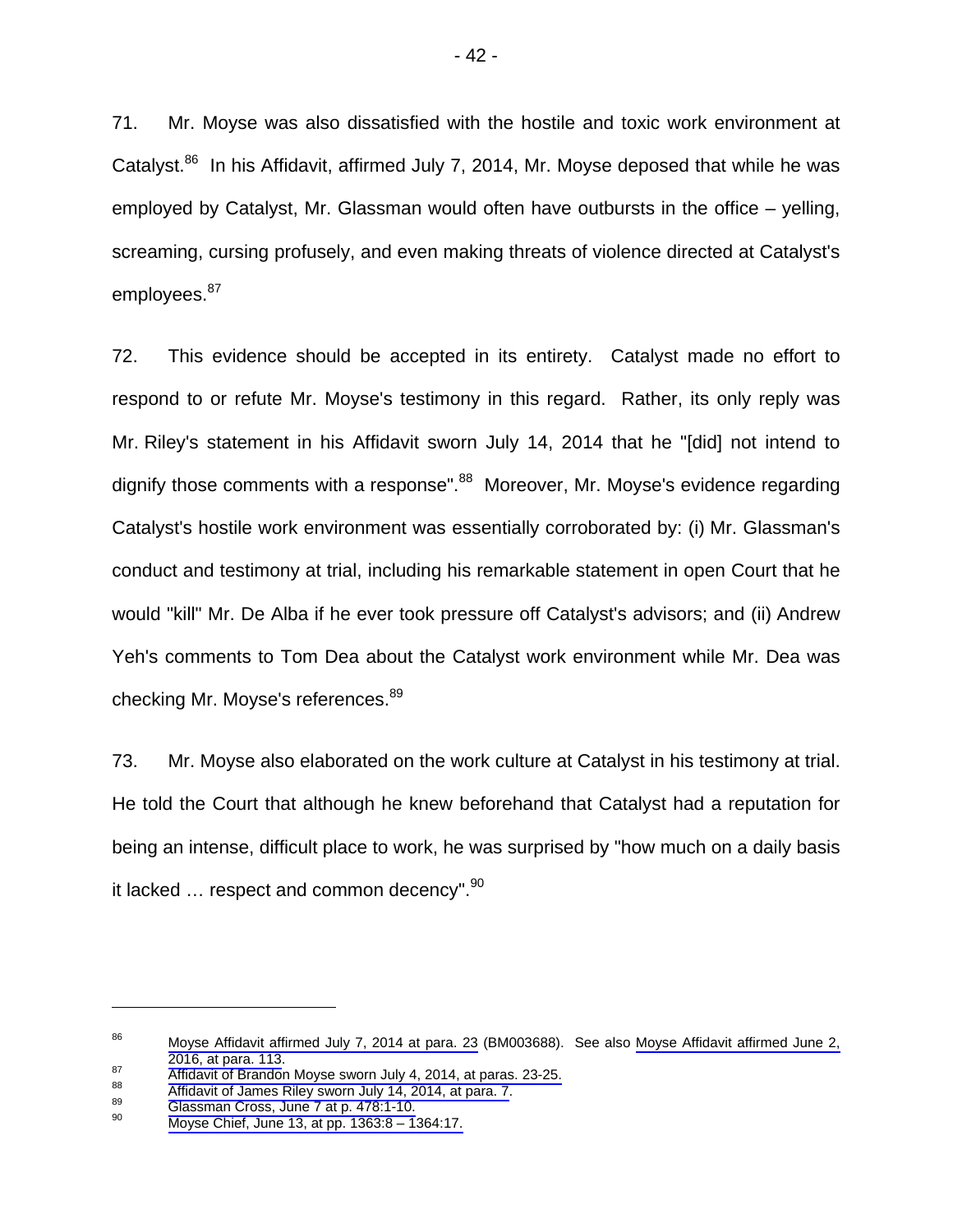71. Mr. Moyse was also dissatisfied with the hostile and toxic work environment at Catalyst.<sup>86</sup> In his Affidavit, affirmed July 7, 2014, Mr. Moyse deposed that while he was employed by Catalyst, Mr. Glassman would often have outbursts in the office – yelling, screaming, cursing profusely, and even making threats of violence directed at Catalyst's employees.<sup>87</sup>

72. This evidence should be accepted in its entirety. Catalyst made no effort to respond to or refute Mr. Moyse's testimony in this regard. Rather, its only reply was Mr. Riley's statement in his Affidavit sworn July 14, 2014 that he "[did] not intend to dignify those comments with a response".<sup>88</sup> Moreover, Mr. Moyse's evidence regarding Catalyst's hostile work environment was essentially corroborated by: (i) Mr. Glassman's conduct and testimony at trial, including his remarkable statement in open Court that he would "kill" Mr. De Alba if he ever took pressure off Catalyst's advisors; and (ii) Andrew Yeh's comments to Tom Dea about the Catalyst work environment while Mr. Dea was checking Mr. Moyse's references.<sup>89</sup>

73. Mr. Moyse also elaborated on the work culture at Catalyst in his testimony at trial. He told the Court that although he knew beforehand that Catalyst had a reputation for being an intense, difficult place to work, he was surprised by "how much on a daily basis it lacked  $\ldots$  respect and common decency".  $90$ 

<sup>86</sup> [Moyse Affidavit affirmed July 7, 2014 at para. 23](#page-1-0) (BM003688). See also [Moyse Affidavit affirmed June 2,](#page-1-0) 2016, at para. 113.<br> [Affidavit of Brandon Moyse sworn July 4, 2014, at paras. 23-25.](#page-1-0)<br> [Affidavit of James Riley sworn July 14, 2014, at para. 7](#page-1-0).<br>
Glassman Cross, June 7 at p. 478:1-10.<br>
Moyse Chief, June 13, at pp. 1363:8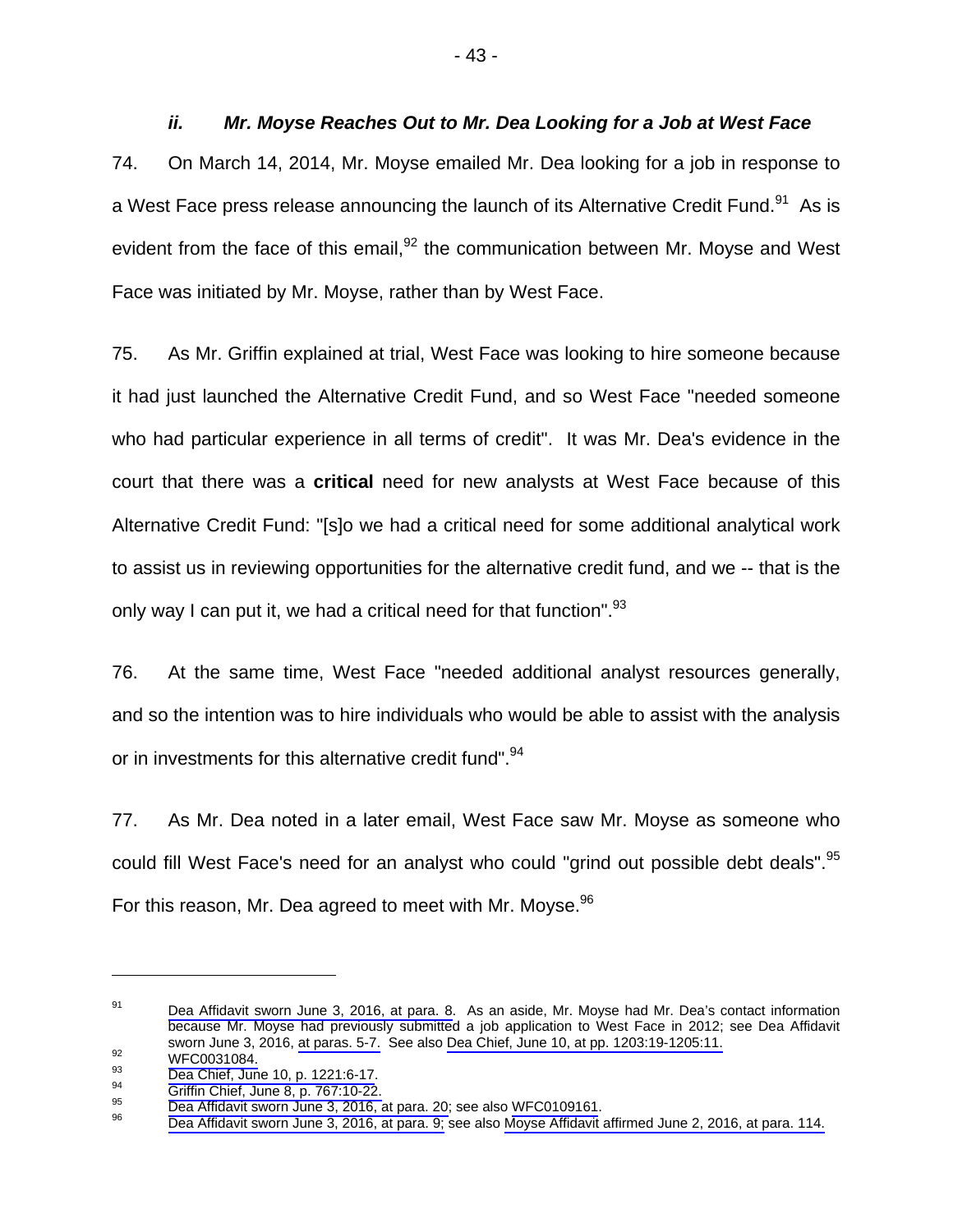*ii. Mr. Moyse Reaches Out to Mr. Dea Looking for a Job at West Face*  74. On March 14, 2014, Mr. Moyse emailed Mr. Dea looking for a job in response to a West Face press release announcing the launch of its Alternative Credit Fund.<sup>91</sup> As is evident from the face of this email,  $92$  the communication between Mr. Moyse and West Face was initiated by Mr. Moyse, rather than by West Face.

75. As Mr. Griffin explained at trial, West Face was looking to hire someone because it had just launched the Alternative Credit Fund, and so West Face "needed someone who had particular experience in all terms of credit". It was Mr. Dea's evidence in the court that there was a **critical** need for new analysts at West Face because of this Alternative Credit Fund: "[s]o we had a critical need for some additional analytical work to assist us in reviewing opportunities for the alternative credit fund, and we -- that is the only way I can put it, we had a critical need for that function".<sup>93</sup>

76. At the same time, West Face "needed additional analyst resources generally, and so the intention was to hire individuals who would be able to assist with the analysis or in investments for this alternative credit fund".<sup>94</sup>

77. As Mr. Dea noted in a later email, West Face saw Mr. Moyse as someone who could fill West Face's need for an analyst who could "grind out possible debt deals".<sup>95</sup> For this reason, Mr. Dea agreed to meet with Mr. Moyse.<sup>96</sup>

<sup>91</sup> [Dea Affidavit sworn June 3, 2016, at para. 8.](#page-2-0) As an aside, Mr. Moyse had Mr. Dea's contact information because Mr. Moyse had previously submitted a job application to West Face in 2012; see Dea Affidavit sworn June 3, 2016, at paras. 5-7. See also Dea Chief, June 10, at pp. 1203:19-1205:11.

WFC0031084.<br>
Dea Chief, June 10, p. 1221:6-17.<br>
Griffin Chief, June 8, p. 767:10-22.<br>
Dea Affidavit [sworn June 3,](#page-0-0) 2016,at para. 20; see als[o](#page-1-0) [WFC0109161.](#page-0-0)<br> [Dea Affidavit sworn June 3, 2016, at para. 9;](#page-1-0) see also Moyse Affid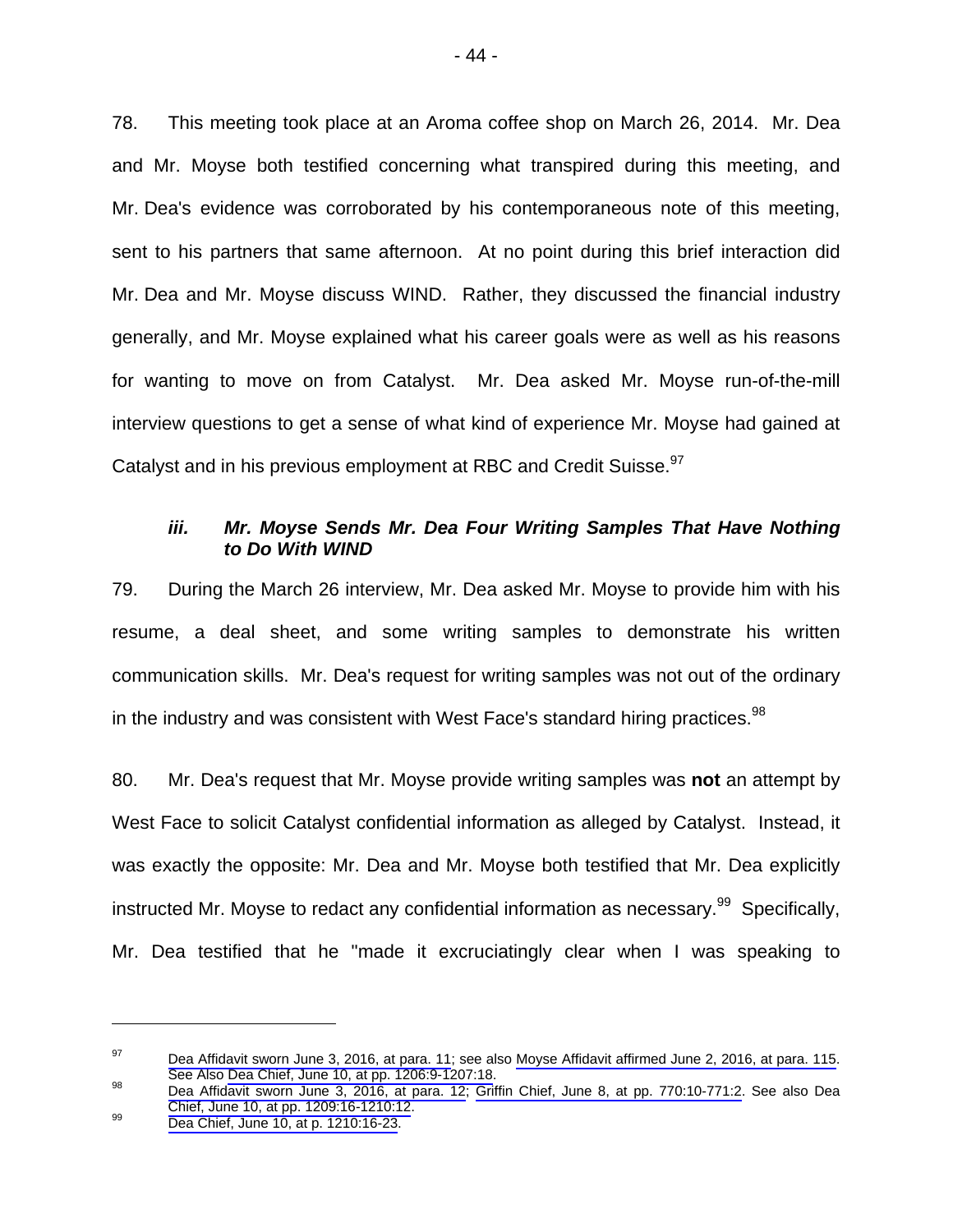78. This meeting took place at an Aroma coffee shop on March 26, 2014. Mr. Dea and Mr. Moyse both testified concerning what transpired during this meeting, and Mr. Dea's evidence was corroborated by his contemporaneous note of this meeting, sent to his partners that same afternoon. At no point during this brief interaction did Mr. Dea and Mr. Moyse discuss WIND. Rather, they discussed the financial industry generally, and Mr. Moyse explained what his career goals were as well as his reasons for wanting to move on from Catalyst. Mr. Dea asked Mr. Moyse run-of-the-mill interview questions to get a sense of what kind of experience Mr. Moyse had gained at Catalyst and in his previous employment at RBC and Credit Suisse.<sup>97</sup>

## *iii. Mr. Moyse Sends Mr. Dea Four Writing Samples That Have Nothing to Do With WIND*

79. During the March 26 interview, Mr. Dea asked Mr. Moyse to provide him with his resume, a deal sheet, and some writing samples to demonstrate his written communication skills. Mr. Dea's request for writing samples was not out of the ordinary in the industry and was consistent with West Face's standard hiring practices.  $98$ 

80. Mr. Dea's request that Mr. Moyse provide writing samples was **not** an attempt by West Face to solicit Catalyst confidential information as alleged by Catalyst. Instead, it was exactly the opposite: Mr. Dea and Mr. Moyse both testified that Mr. Dea explicitly instructed Mr. Moyse to redact any confidential information as necessary.<sup>99</sup> Specifically, Mr. Dea testified that he "made it excruciatingly clear when I was speaking to

 $^{97}$  [Dea Affidavit sworn June 3, 2016, at para. 11](#page-1-0); see also [Moyse Affidavit affirmed June 2, 2016, at para. 115](#page-1-0).

See Also Dea Chief, June 10, at pp. 1206:9-1207:18.<br>[Dea Affidavit sworn June 3, 2016, at para. 12](#page-1-0); [Griffin Chief, June 8, at pp. 770:10-771:2.](#page-1-0) See also Dea<br>Chief, June 10, at pp. 1209:16-1210:12.

Peachief, June 10, at p. 1210:16-23.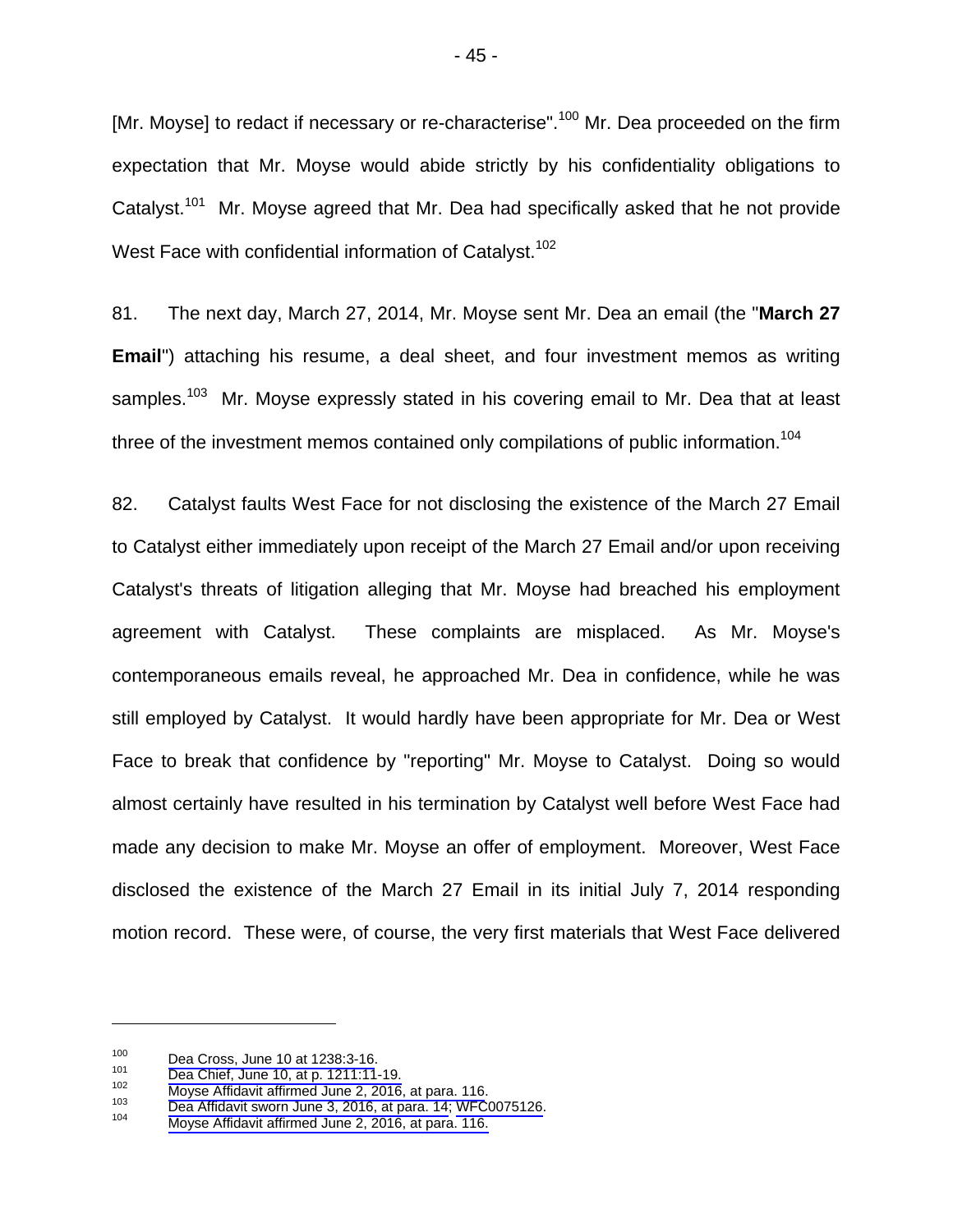[Mr. Movse] to redact if necessary or re-characterise".<sup>100</sup> Mr. Dea proceeded on the firm expectation that Mr. Moyse would abide strictly by his confidentiality obligations to Catalyst.<sup>101</sup> Mr. Moyse agreed that Mr. Dea had specifically asked that he not provide West Face with confidential information of Catalyst.<sup>102</sup>

81. The next day, March 27, 2014, Mr. Moyse sent Mr. Dea an email (the "**March 27 Email**") attaching his resume, a deal sheet, and four investment memos as writing samples.<sup>103</sup> Mr. Moyse expressly stated in his covering email to Mr. Dea that at least three of the investment memos contained only compilations of public information.<sup>104</sup>

82. Catalyst faults West Face for not disclosing the existence of the March 27 Email to Catalyst either immediately upon receipt of the March 27 Email and/or upon receiving Catalyst's threats of litigation alleging that Mr. Moyse had breached his employment agreement with Catalyst. These complaints are misplaced. As Mr. Moyse's contemporaneous emails reveal, he approached Mr. Dea in confidence, while he was still employed by Catalyst. It would hardly have been appropriate for Mr. Dea or West Face to break that confidence by "reporting" Mr. Moyse to Catalyst. Doing so would almost certainly have resulted in his termination by Catalyst well before West Face had made any decision to make Mr. Moyse an offer of employment. Moreover, West Face disclosed the existence of the March 27 Email in its initial July 7, 2014 responding motion record. These were, of course, the very first materials that West Face delivered

<sup>&</sup>lt;sup>100</sup> Dea Cross, June 10 at 1238:3-16.<br>
<sup>101</sup> Dea Chief, June 10, at p. 1211:11-19.<br>
<sup>102</sup> [Moyse Affidavit affirmed June 2, 2016, at para. 116.](#page-1-0)<br>
DeaAffidavit sworn June 3, 2016, at para. 14; [WFC0075126.](#page-0-0)<br>
<sup>104</sup> Moyse Affi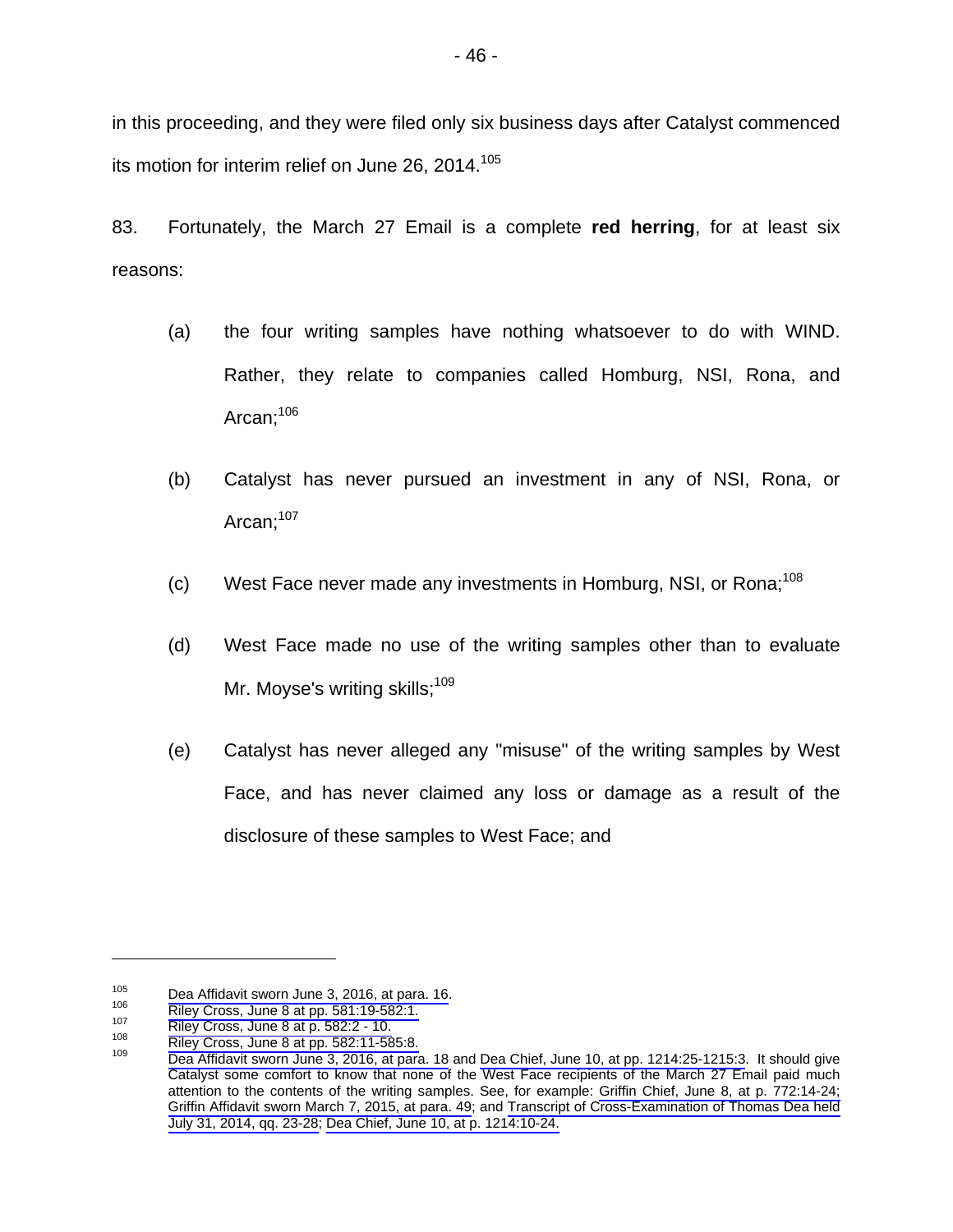in this proceeding, and they were filed only six business days after Catalyst commenced its motion for interim relief on June 26, 2014.<sup>105</sup>

83. Fortunately, the March 27 Email is a complete **red herring**, for at least six reasons:

- (a) the four writing samples have nothing whatsoever to do with WIND. Rather, they relate to companies called Homburg, NSI, Rona, and Arcan;<sup>106</sup>
- (b) Catalyst has never pursued an investment in any of NSI, Rona, or Arcan:<sup>107</sup>
- (c) West Face never made any investments in Homburg, NSI, or Rona;  $108$
- (d) West Face made no use of the writing samples other than to evaluate Mr. Moyse's writing skills;<sup>109</sup>
- (e) Catalyst has never alleged any "misuse" of the writing samples by West Face, and has never claimed any loss or damage as a result of the disclosure of these samples to West Face; and

<sup>&</sup>lt;sup>105</sup><br> [Dea Affidavit sworn June 3, 2016, at para. 16](#page-1-0).<br> [Riley Cross, June 8 at pp. 581:19-582:1.](#page-1-0)<br>
Riley Cross, June 8 at pp. 582:2 - 10.<br>
Riley Cross, June 8 at pp. 582:2 - 10.<br>
Riley Cross, June 8 at pp. 582:11-585:8.<br>
De Catalyst some comfort to know that none of the West Face recipients of the March 27 Email paid much attention to the contents of the writing samples. See, for example: [Griffin Chief, June 8, at p. 772:14-24;](#page-1-0)  [Griffin Affidavit sworn March 7, 2015, at para. 49](#page-1-0); and [Transcript of Cross-Examination of Thomas Dea held](#page-1-0)  [July 31, 2014, qq. 23-28;](#page-1-0) [Dea Chief, June 10, at p. 1214:10-24.](#page-1-0)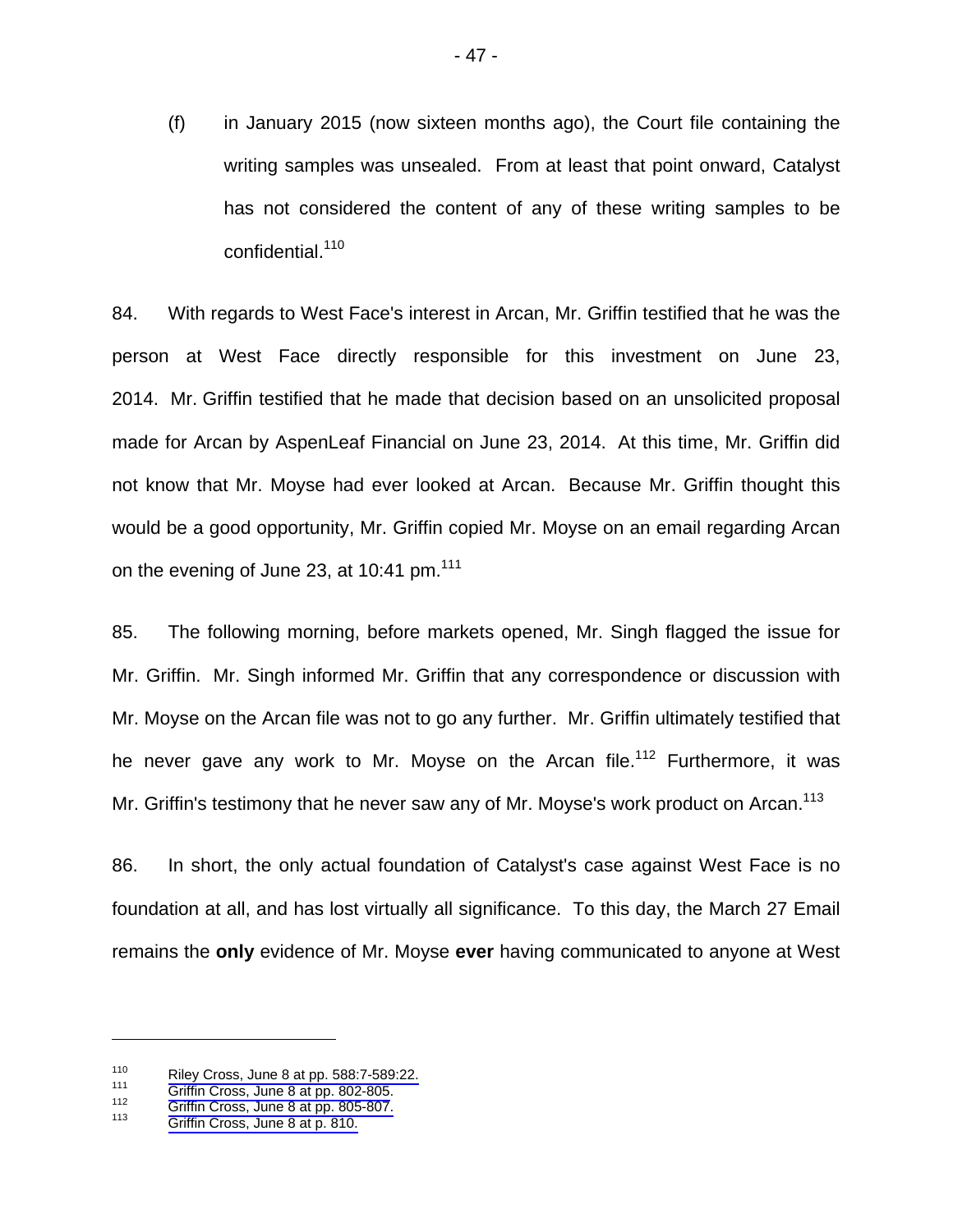(f) in January 2015 (now sixteen months ago), the Court file containing the writing samples was unsealed. From at least that point onward, Catalyst has not considered the content of any of these writing samples to be confidential.<sup>110</sup>

84. With regards to West Face's interest in Arcan, Mr. Griffin testified that he was the person at West Face directly responsible for this investment on June 23, 2014. Mr. Griffin testified that he made that decision based on an unsolicited proposal made for Arcan by AspenLeaf Financial on June 23, 2014. At this time, Mr. Griffin did not know that Mr. Moyse had ever looked at Arcan. Because Mr. Griffin thought this would be a good opportunity, Mr. Griffin copied Mr. Moyse on an email regarding Arcan on the evening of June 23, at 10:41 pm. $111$ 

85. The following morning, before markets opened, Mr. Singh flagged the issue for Mr. Griffin. Mr. Singh informed Mr. Griffin that any correspondence or discussion with Mr. Moyse on the Arcan file was not to go any further. Mr. Griffin ultimately testified that he never gave any work to Mr. Moyse on the Arcan file.<sup>112</sup> Furthermore, it was Mr. Griffin's testimony that he never saw any of Mr. Moyse's work product on Arcan.<sup>113</sup>

86. In short, the only actual foundation of Catalyst's case against West Face is no foundation at all, and has lost virtually all significance. To this day, the March 27 Email remains the **only** evidence of Mr. Moyse **ever** having communicated to anyone at West

<sup>110</sup> [Riley Cross, June 8 at pp. 588:7-589:22.](#page-1-0)<br>
111 [Griffin Cross, June 8 at pp. 802-805.](#page-1-0)<br>
113 Griffin Cross, June 8 at p. 805-807.<br>
113 Griffin Cross, June 8 at p. 810.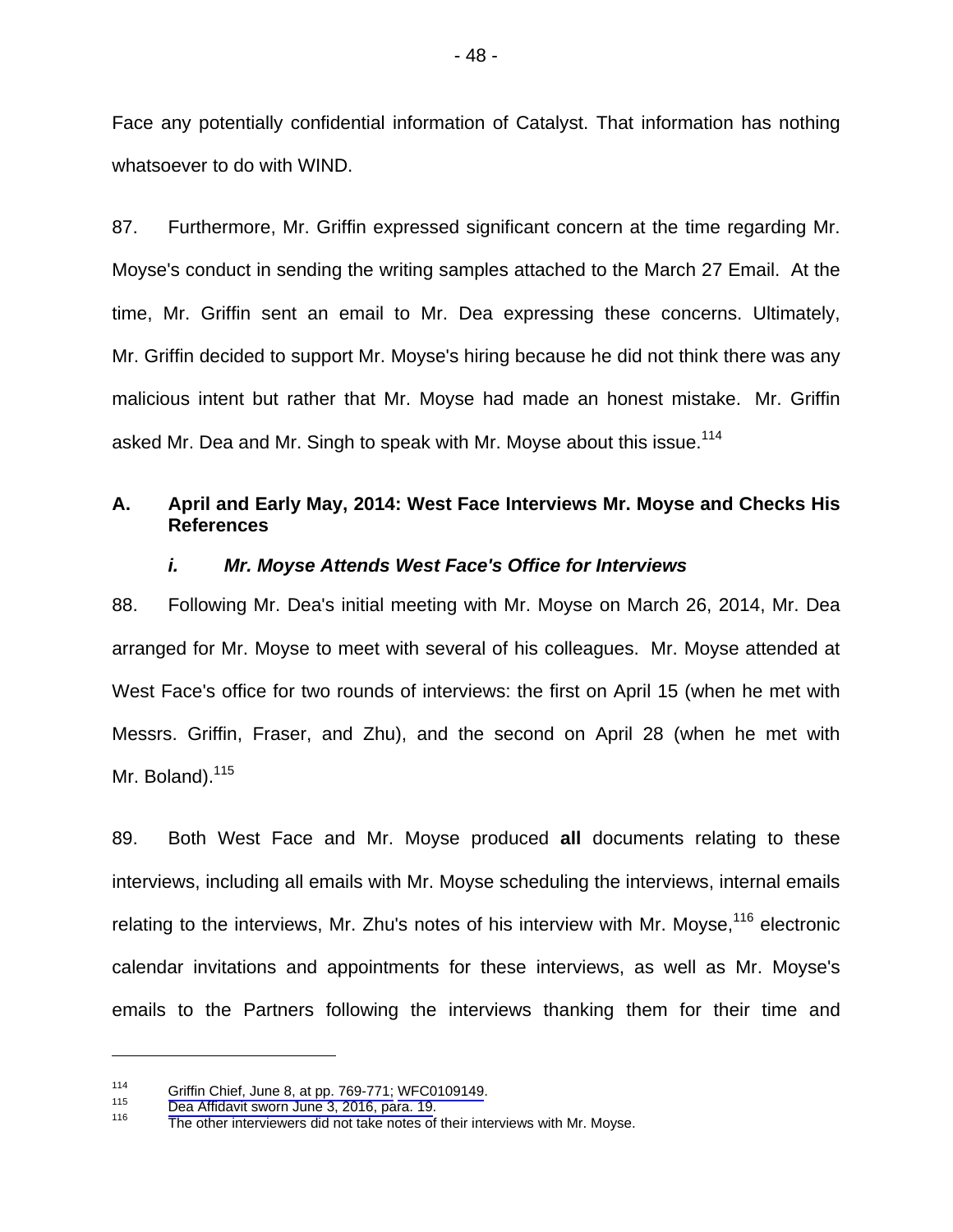Face any potentially confidential information of Catalyst. That information has nothing whatsoever to do with WIND.

87. Furthermore, Mr. Griffin expressed significant concern at the time regarding Mr. Moyse's conduct in sending the writing samples attached to the March 27 Email. At the time, Mr. Griffin sent an email to Mr. Dea expressing these concerns. Ultimately, Mr. Griffin decided to support Mr. Moyse's hiring because he did not think there was any malicious intent but rather that Mr. Moyse had made an honest mistake. Mr. Griffin asked Mr. Dea and Mr. Singh to speak with Mr. Moyse about this issue.<sup>114</sup>

# **A. April and Early May, 2014: West Face Interviews Mr. Moyse and Checks His References**

#### *i. Mr. Moyse Attends West Face's Office for Interviews*

88. Following Mr. Dea's initial meeting with Mr. Moyse on March 26, 2014, Mr. Dea arranged for Mr. Moyse to meet with several of his colleagues. Mr. Moyse attended at West Face's office for two rounds of interviews: the first on April 15 (when he met with Messrs. Griffin, Fraser, and Zhu), and the second on April 28 (when he met with Mr. Boland).<sup>115</sup>

89. Both West Face and Mr. Moyse produced **all** documents relating to these interviews, including all emails with Mr. Moyse scheduling the interviews, internal emails relating to the interviews, Mr. Zhu's notes of his interview with Mr. Moyse,  $16$  electronic calendar invitations and appointments for these interviews, as well as Mr. Moyse's emails to the Partners following the interviews thanking them for their time and

<sup>114</sup> [Griffin Chief, June 8, at pp. 769-771;](#page-1-0) [WFC0109149](#page-0-0).<br>
115 [Dea Affidavit sworn June 3, 2016, para. 19](#page-1-0).<br>
116 [The other interviewers did not take notes o](#page-1-0)f their interviews with Mr. Moyse.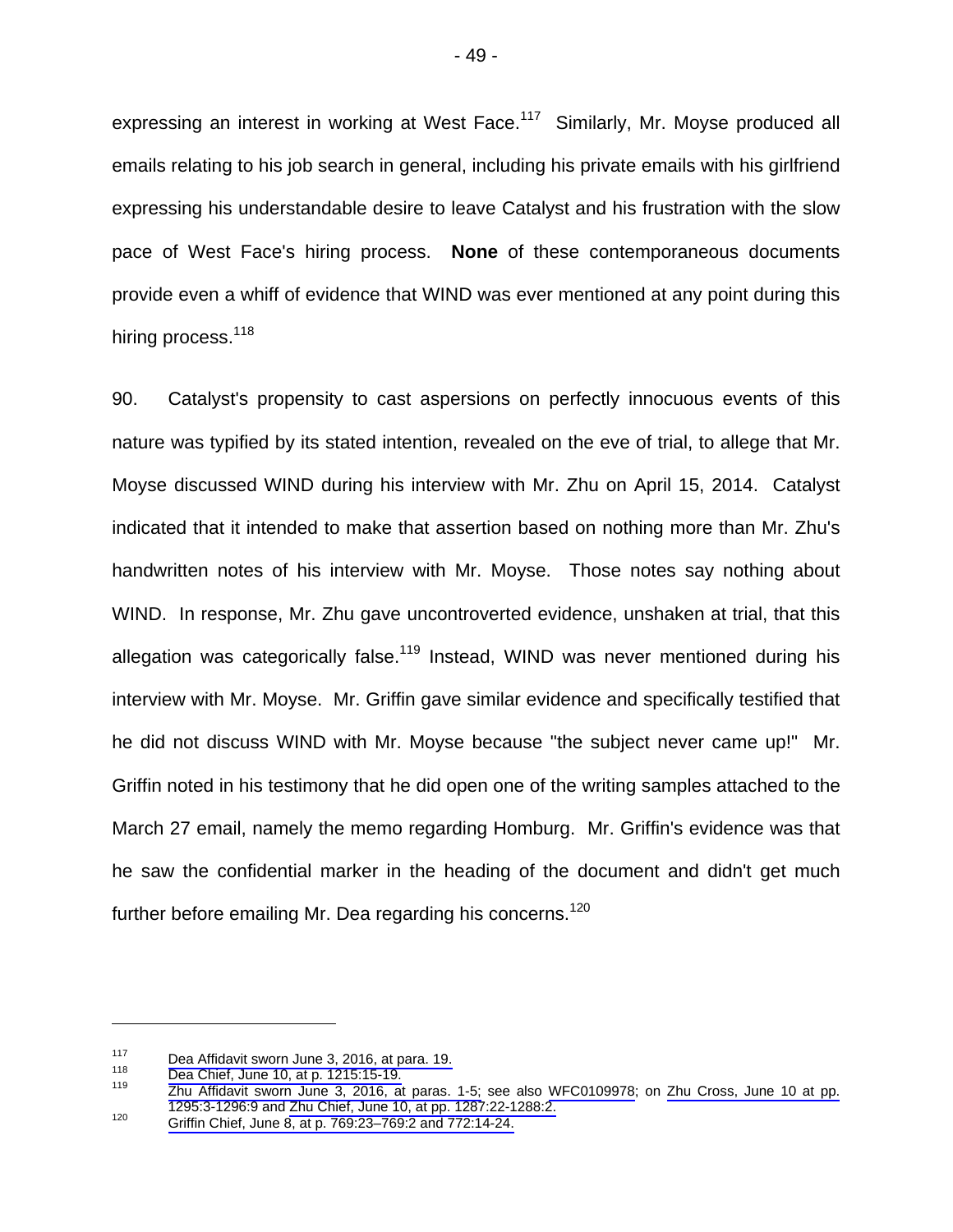expressing an interest in working at West Face.<sup>117</sup> Similarly, Mr. Moyse produced all emails relating to his job search in general, including his private emails with his girlfriend expressing his understandable desire to leave Catalyst and his frustration with the slow pace of West Face's hiring process. **None** of these contemporaneous documents provide even a whiff of evidence that WIND was ever mentioned at any point during this hiring process.<sup>118</sup>

90. Catalyst's propensity to cast aspersions on perfectly innocuous events of this nature was typified by its stated intention, revealed on the eve of trial, to allege that Mr. Moyse discussed WIND during his interview with Mr. Zhu on April 15, 2014. Catalyst indicated that it intended to make that assertion based on nothing more than Mr. Zhu's handwritten notes of his interview with Mr. Moyse. Those notes say nothing about WIND. In response, Mr. Zhu gave uncontroverted evidence, unshaken at trial, that this allegation was categorically false.<sup>119</sup> Instead, WIND was never mentioned during his interview with Mr. Moyse. Mr. Griffin gave similar evidence and specifically testified that he did not discuss WIND with Mr. Moyse because "the subject never came up!" Mr. Griffin noted in his testimony that he did open one of the writing samples attached to the March 27 email, namely the memo regarding Homburg. Mr. Griffin's evidence was that he saw the confidential marker in the heading of the document and didn't get much further before emailing Mr. Dea regarding his concerns.<sup>120</sup>

Dea Affidavit sworn June 3, 2016, at para. 19.<br>
118 [Dea Chief, June 10, at p. 1215:15-19.](#page-1-0)<br>
2huAffidavit sworn June 3, 2016, at paras. 1-5; see also [WFC0109978](#page-0-0); on Zhu Cross, June 10 at pp.<br>
1295:3-1296:9 and Zhu Chief, J

<sup>120</sup> $\frac{120}{3}$  Griffin Chief, June 8, at p. 769:23–769:2 and 772:14-24.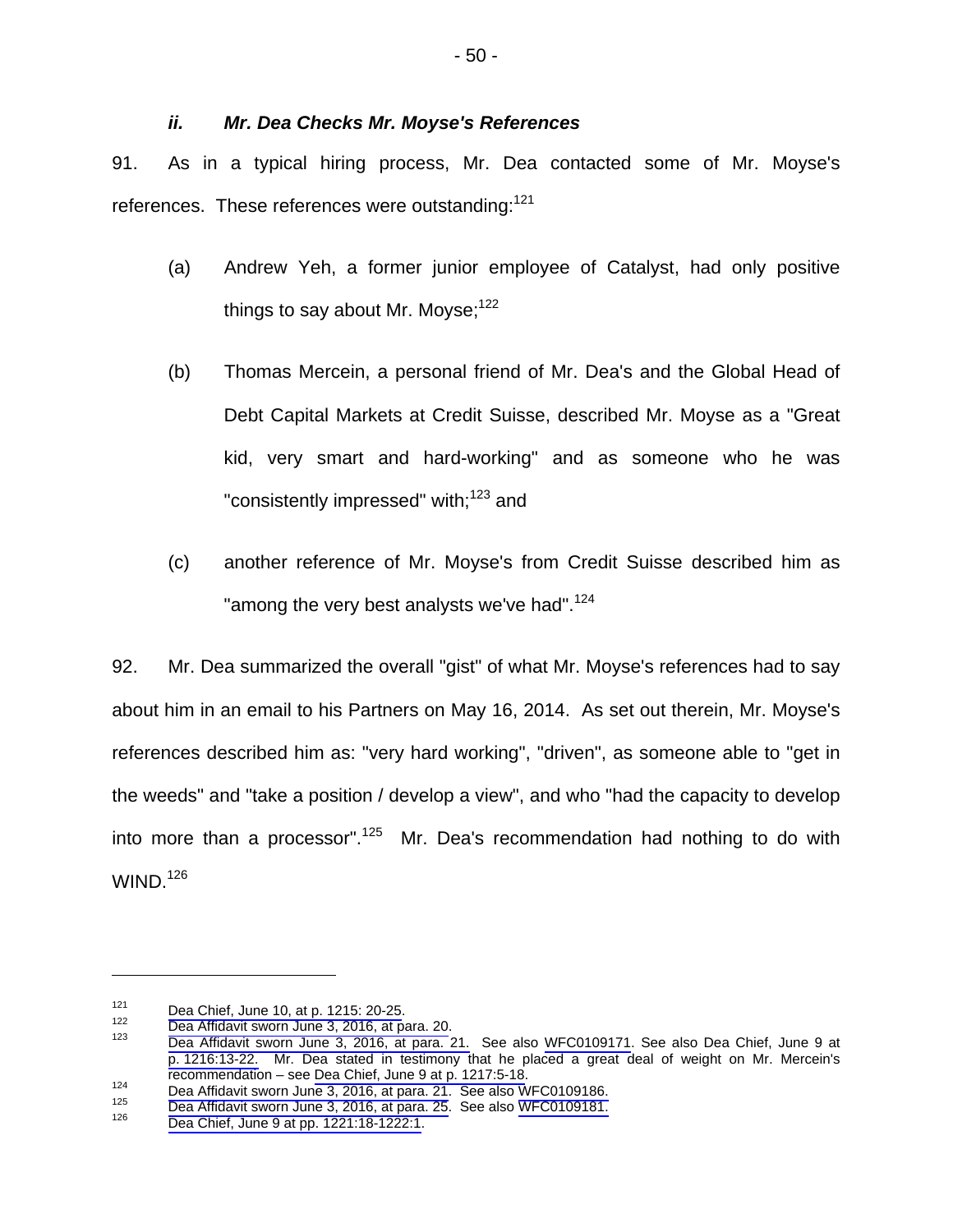#### *ii. Mr. Dea Checks Mr. Moyse's References*

91. As in a typical hiring process, Mr. Dea contacted some of Mr. Moyse's references. These references were outstanding:<sup>121</sup>

- (a) Andrew Yeh, a former junior employee of Catalyst, had only positive things to say about Mr. Moyse;  $122$
- (b) Thomas Mercein, a personal friend of Mr. Dea's and the Global Head of Debt Capital Markets at Credit Suisse, described Mr. Moyse as a "Great kid, very smart and hard-working" and as someone who he was "consistently impressed" with;<sup>123</sup> and
- (c) another reference of Mr. Moyse's from Credit Suisse described him as "among the very best analysts we've had".<sup>124</sup>

92. Mr. Dea summarized the overall "gist" of what Mr. Moyse's references had to say about him in an email to his Partners on May 16, 2014. As set out therein, Mr. Moyse's references described him as: "very hard working", "driven", as someone able to "get in the weeds" and "take a position / develop a view", and who "had the capacity to develop into more than a processor".<sup>125</sup> Mr. Dea's recommendation had nothing to do with WIND. $126$ 

<sup>121</sup> Dea Chief, June 10, at p. 1215: 20-25.<br>122 Dea Affidavit sworn June 3, 2016, at para. 20.<br>123 [Dea Affidavit sworn June 3, 2016, at para. 21.](#page-1-0) See also [WFC0109171.](#page-0-0) See also Dea Chief, June 9 at [p. 1216:13-22.](#page-1-0) Mr. Dea stated in testimony that he placed a great deal of weight on Mr. Mercein's [recommendation – see](#page-1-0) [Dea Chief, June 9 at p. 1217:5-18](#page-2-0).<br>
Dea Affidavit sworn June 3, 2016, at para[.](#page-0-0) 21. See also [WFC0109186.](#page-0-0)<br> [Dea Affidavit sworn June 3, 2016, at para. 25](#page-1-0). See also [WFC0109181.](#page-0-0)<br>
Dea Chief, June 9 at pp. 1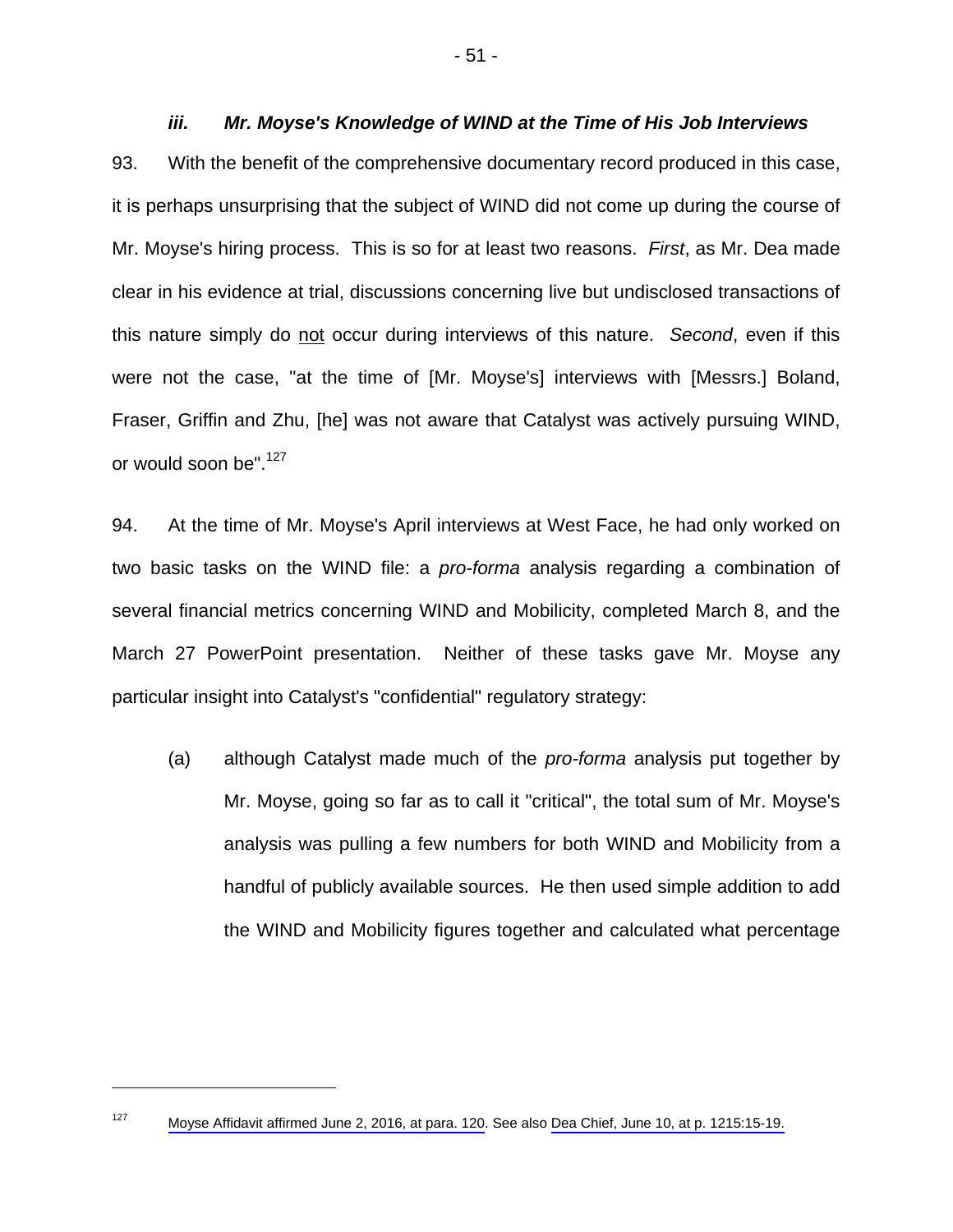#### *iii. Mr. Moyse's Knowledge of WIND at the Time of His Job Interviews*

93. With the benefit of the comprehensive documentary record produced in this case, it is perhaps unsurprising that the subject of WIND did not come up during the course of Mr. Moyse's hiring process. This is so for at least two reasons. *First*, as Mr. Dea made clear in his evidence at trial, discussions concerning live but undisclosed transactions of this nature simply do not occur during interviews of this nature. *Second*, even if this were not the case, "at the time of [Mr. Moyse's] interviews with [Messrs.] Boland, Fraser, Griffin and Zhu, [he] was not aware that Catalyst was actively pursuing WIND, or would soon be".<sup>127</sup>

94. At the time of Mr. Moyse's April interviews at West Face, he had only worked on two basic tasks on the WIND file: a *pro-forma* analysis regarding a combination of several financial metrics concerning WIND and Mobilicity, completed March 8, and the March 27 PowerPoint presentation. Neither of these tasks gave Mr. Moyse any particular insight into Catalyst's "confidential" regulatory strategy:

(a) although Catalyst made much of the *pro-forma* analysis put together by Mr. Moyse, going so far as to call it "critical", the total sum of Mr. Moyse's analysis was pulling a few numbers for both WIND and Mobilicity from a handful of publicly available sources. He then used simple addition to add the WIND and Mobilicity figures together and calculated what percentage

 $\overline{a}$ 

- 51 -

<sup>127</sup> [Moyse Affidavit affirmed June 2, 2016, at para. 120.](#page-1-0) See also [Dea Chief, June 10, at p. 1215:15-19.](#page-1-0)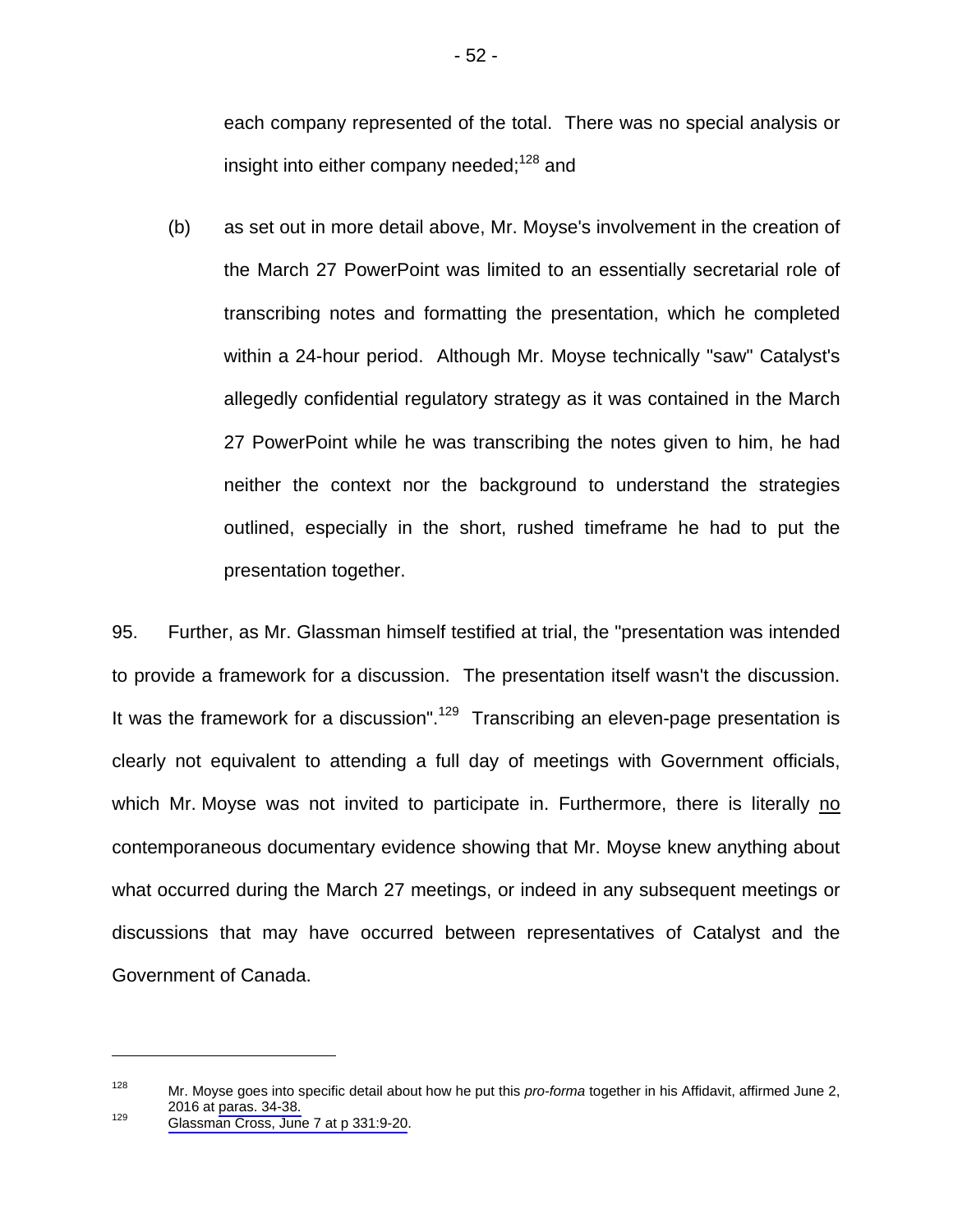each company represented of the total. There was no special analysis or insight into either company needed; $128$  and

(b) as set out in more detail above, Mr. Moyse's involvement in the creation of the March 27 PowerPoint was limited to an essentially secretarial role of transcribing notes and formatting the presentation, which he completed within a 24-hour period. Although Mr. Moyse technically "saw" Catalyst's allegedly confidential regulatory strategy as it was contained in the March 27 PowerPoint while he was transcribing the notes given to him, he had neither the context nor the background to understand the strategies outlined, especially in the short, rushed timeframe he had to put the presentation together.

95. Further, as Mr. Glassman himself testified at trial, the "presentation was intended to provide a framework for a discussion. The presentation itself wasn't the discussion. It was the framework for a discussion".<sup>129</sup> Transcribing an eleven-page presentation is clearly not equivalent to attending a full day of meetings with Government officials, which Mr. Moyse was not invited to participate in. Furthermore, there is literally no contemporaneous documentary evidence showing that Mr. Moyse knew anything about what occurred during the March 27 meetings, or indeed in any subsequent meetings or discussions that may have occurred between representatives of Catalyst and the Government of Canada.

<sup>128</sup> Mr. Moyse goes into specific detail about how he put this *pro-forma* together in his Affidavit, affirmed June 2, 2016 at paras.  $34-38$ .<br><sup>129</sup> [Glassman Cross, June 7 at p 331:9-20](#page-1-0).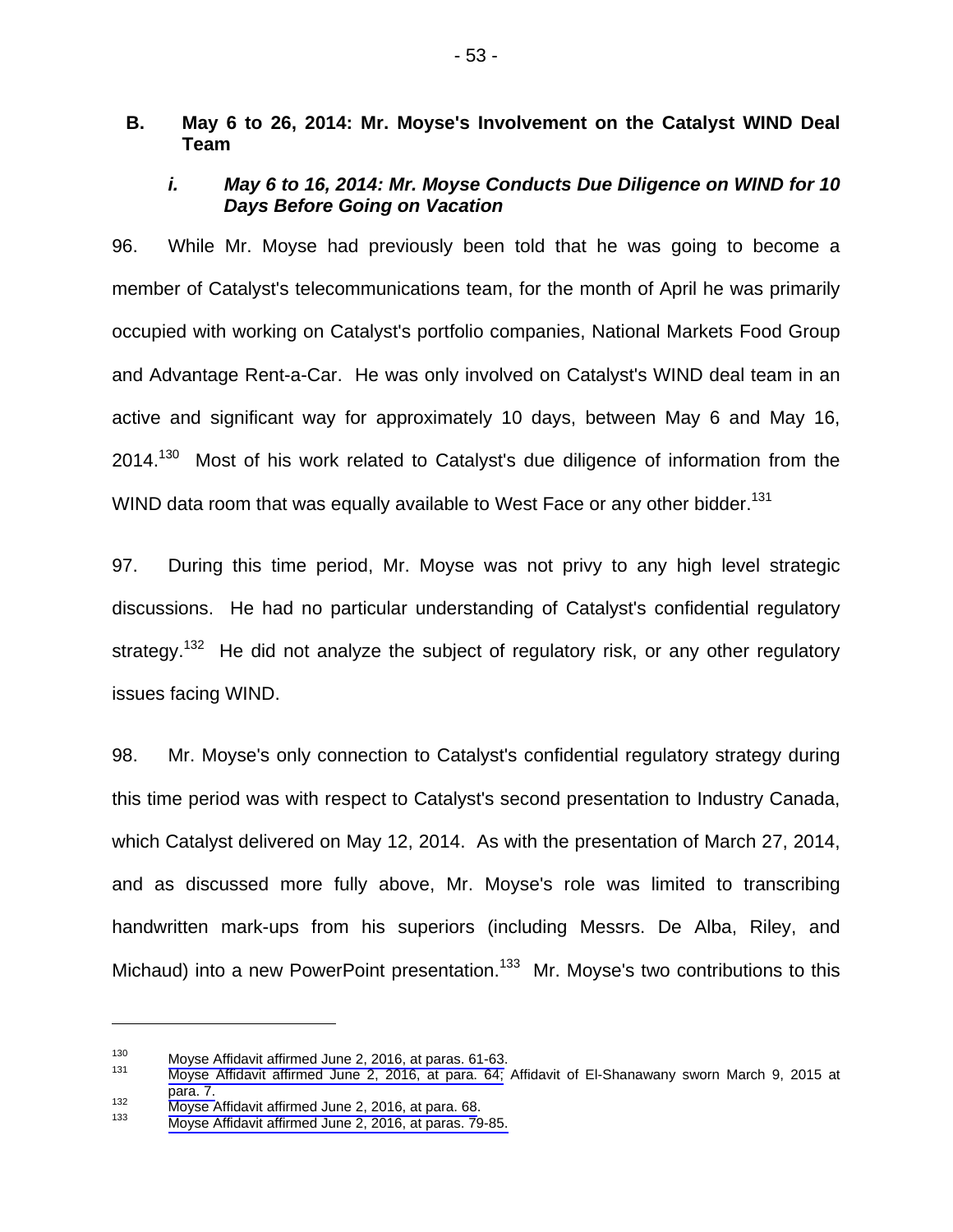## **B. May 6 to 26, 2014: Mr. Moyse's Involvement on the Catalyst WIND Deal Team**

# *i. May 6 to 16, 2014: Mr. Moyse Conducts Due Diligence on WIND for 10 Days Before Going on Vacation*

96. While Mr. Moyse had previously been told that he was going to become a member of Catalyst's telecommunications team, for the month of April he was primarily occupied with working on Catalyst's portfolio companies, National Markets Food Group and Advantage Rent-a-Car. He was only involved on Catalyst's WIND deal team in an active and significant way for approximately 10 days, between May 6 and May 16, 2014.<sup>130</sup> Most of his work related to Catalyst's due diligence of information from the WIND data room that was equally available to West Face or any other bidder.<sup>131</sup>

97. During this time period, Mr. Moyse was not privy to any high level strategic discussions. He had no particular understanding of Catalyst's confidential regulatory strategy.<sup>132</sup> He did not analyze the subject of regulatory risk, or any other regulatory issues facing WIND.

98. Mr. Moyse's only connection to Catalyst's confidential regulatory strategy during this time period was with respect to Catalyst's second presentation to Industry Canada, which Catalyst delivered on May 12, 2014. As with the presentation of March 27, 2014, and as discussed more fully above, Mr. Moyse's role was limited to transcribing handwritten mark-ups from his superiors (including Messrs. De Alba, Riley, and Michaud) into a new PowerPoint presentation.<sup>133</sup> Mr. Moyse's two contributions to this

<sup>&</sup>lt;sup>130</sup> [Moyse Affidavit affirmed June 2, 2016, at paras. 61-63](#page-1-0).<br><sup>131</sup> [Moyse Affidavit affirmed June 2, 2016, at para. 64;](#page-1-0) Affidavit of El-Shanawany sworn March 9, 2015 at para. 7.<br>132 Moyse Affidavit affirmed June 2, 2016, at para. 68.<br>133 Moyse Affidavit affirmed June 2, 2016, at paras. 79-85.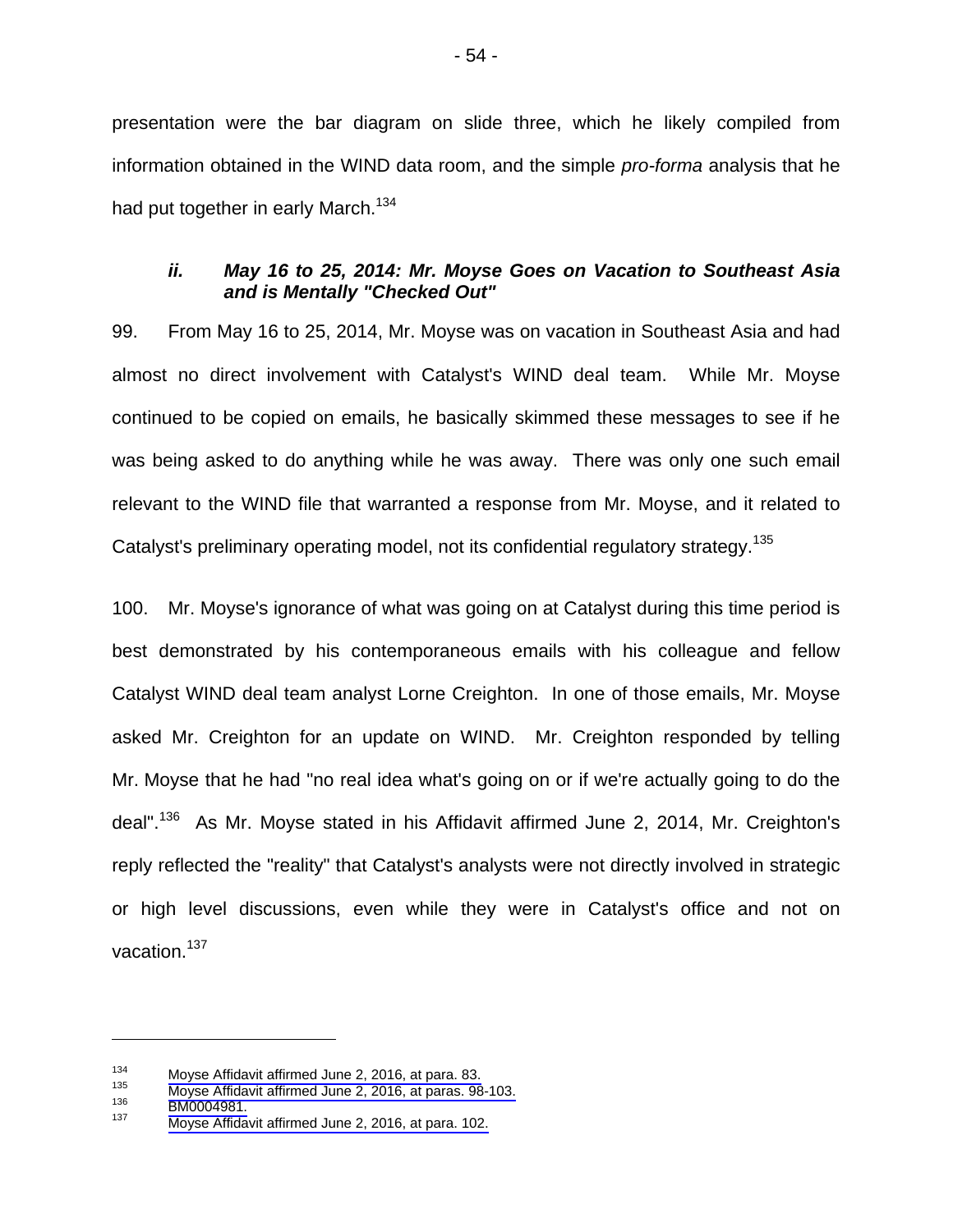presentation were the bar diagram on slide three, which he likely compiled from information obtained in the WIND data room, and the simple *pro-forma* analysis that he had put together in early March.<sup>134</sup>

## *ii. May 16 to 25, 2014: Mr. Moyse Goes on Vacation to Southeast Asia and is Mentally "Checked Out"*

99. From May 16 to 25, 2014, Mr. Moyse was on vacation in Southeast Asia and had almost no direct involvement with Catalyst's WIND deal team. While Mr. Moyse continued to be copied on emails, he basically skimmed these messages to see if he was being asked to do anything while he was away. There was only one such email relevant to the WIND file that warranted a response from Mr. Moyse, and it related to Catalyst's preliminary operating model, not its confidential regulatory strategy.<sup>135</sup>

100. Mr. Moyse's ignorance of what was going on at Catalyst during this time period is best demonstrated by his contemporaneous emails with his colleague and fellow Catalyst WIND deal team analyst Lorne Creighton. In one of those emails, Mr. Moyse asked Mr. Creighton for an update on WIND. Mr. Creighton responded by telling Mr. Moyse that he had "no real idea what's going on or if we're actually going to do the deal".<sup>136</sup> As Mr. Moyse stated in his Affidavit affirmed June 2, 2014, Mr. Creighton's reply reflected the "reality" that Catalyst's analysts were not directly involved in strategic or high level discussions, even while they were in Catalyst's office and not on vacation.<sup>137</sup>

<sup>134</sup>Moyse Affidavit affirmed June 2, 2016, at para. 83.<br>
135 Moyse Affidavit affirmed June 2, 2016, at paras. 98-103.<br>
137 [Moyse Affidavit affirmed June 2, 2016, at para. 102.](#page-1-0)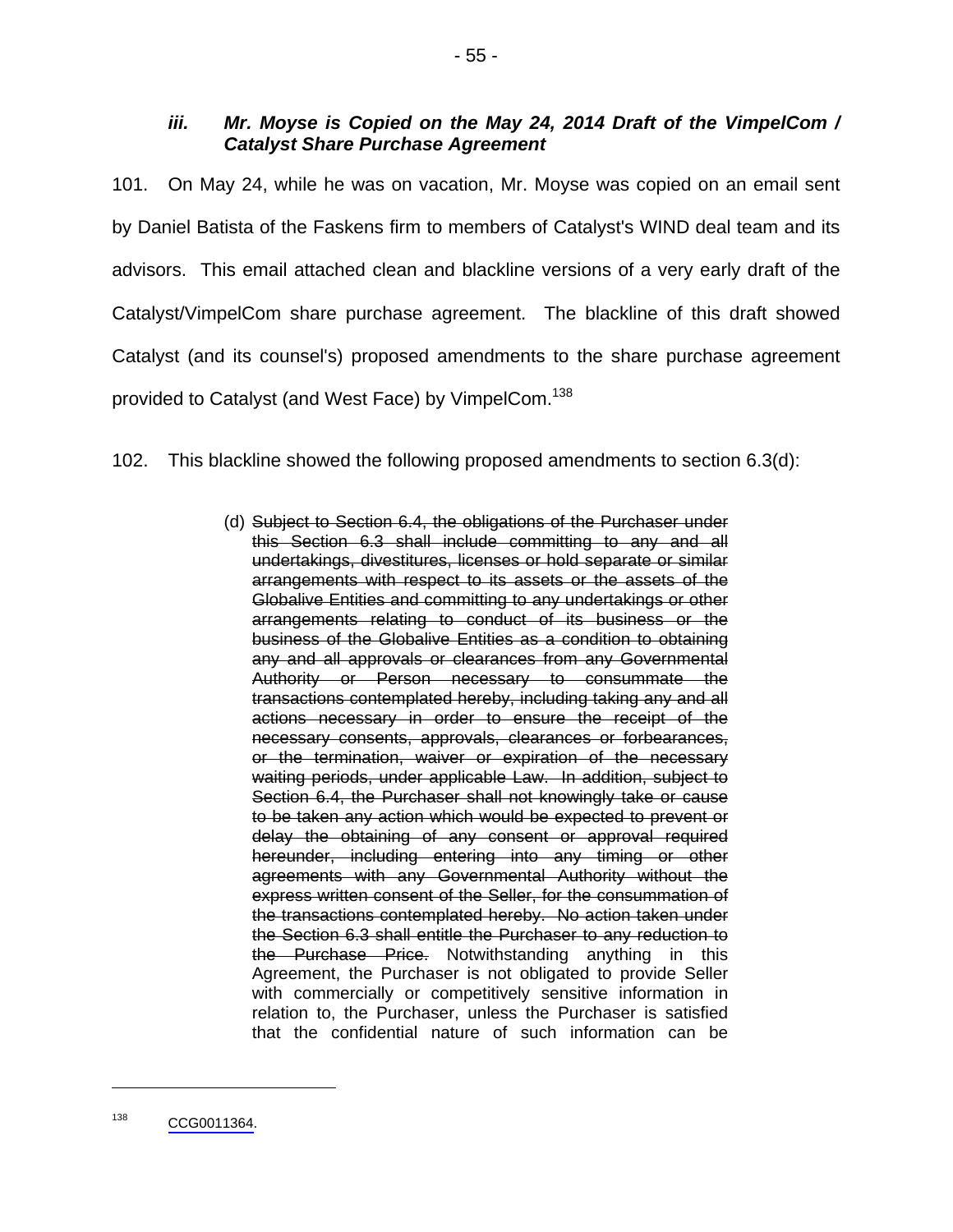## *iii. Mr. Moyse is Copied on the May 24, 2014 Draft of the VimpelCom / Catalyst Share Purchase Agreement*

101. On May 24, while he was on vacation, Mr. Moyse was copied on an email sent by Daniel Batista of the Faskens firm to members of Catalyst's WIND deal team and its advisors. This email attached clean and blackline versions of a very early draft of the Catalyst/VimpelCom share purchase agreement. The blackline of this draft showed Catalyst (and its counsel's) proposed amendments to the share purchase agreement provided to Catalyst (and West Face) by VimpelCom.<sup>138</sup>

102. This blackline showed the following proposed amendments to section 6.3(d):

(d) Subject to Section 6.4, the obligations of the Purchaser under this Section 6.3 shall include committing to any and all undertakings, divestitures, licenses or hold separate or similar arrangements with respect to its assets or the assets of the Globalive Entities and committing to any undertakings or other arrangements relating to conduct of its business or the business of the Globalive Entities as a condition to obtaining any and all approvals or clearances from any Governmental Authority or Person necessary to consummate the transactions contemplated hereby, including taking any and all actions necessary in order to ensure the receipt of the necessary consents, approvals, clearances or forbearances, or the termination, waiver or expiration of the necessary waiting periods, under applicable Law. In addition, subject to Section 6.4, the Purchaser shall not knowingly take or cause to be taken any action which would be expected to prevent or delay the obtaining of any consent or approval required hereunder, including entering into any timing or other agreements with any Governmental Authority without the express written consent of the Seller, for the consummation of the transactions contemplated hereby. No action taken under the Section 6.3 shall entitle the Purchaser to any reduction to the Purchase Price. Notwithstanding anything in this Agreement, the Purchaser is not obligated to provide Seller with commercially or competitively sensitive information in relation to, the Purchaser, unless the Purchaser is satisfied that the confidential nature of such information can be

<sup>138</sup> [CCG0011364.](#page-0-0)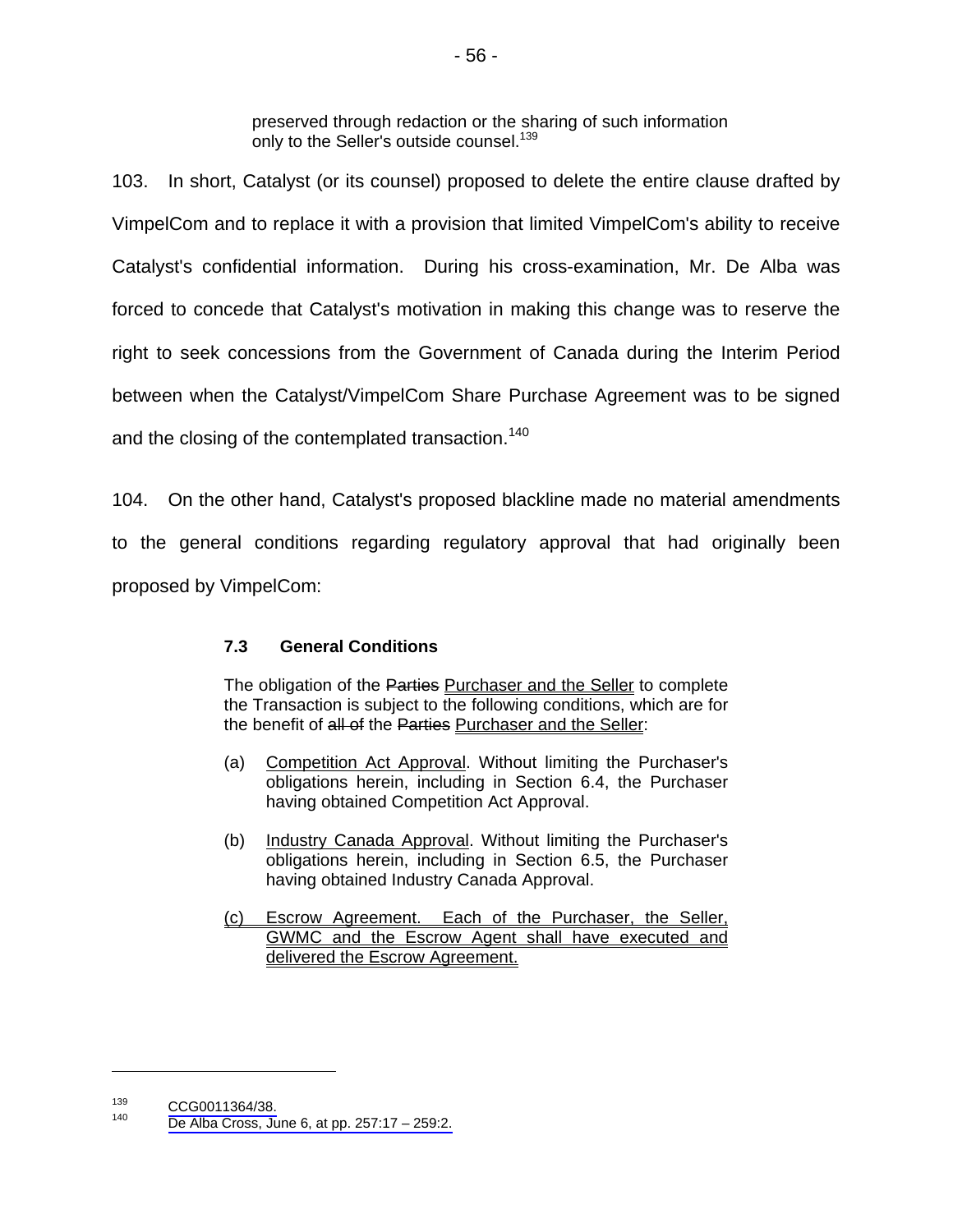preserved through redaction or the sharing of such information only to the Seller's outside counsel.<sup>139</sup>

103. In short, Catalyst (or its counsel) proposed to delete the entire clause drafted by VimpelCom and to replace it with a provision that limited VimpelCom's ability to receive Catalyst's confidential information. During his cross-examination, Mr. De Alba was forced to concede that Catalyst's motivation in making this change was to reserve the right to seek concessions from the Government of Canada during the Interim Period between when the Catalyst/VimpelCom Share Purchase Agreement was to be signed and the closing of the contemplated transaction.<sup>140</sup>

104. On the other hand, Catalyst's proposed blackline made no material amendments to the general conditions regarding regulatory approval that had originally been proposed by VimpelCom:

# **7.3 General Conditions**

The obligation of the Parties Purchaser and the Seller to complete the Transaction is subject to the following conditions, which are for the benefit of all of the Parties Purchaser and the Seller:

- (a) Competition Act Approval. Without limiting the Purchaser's obligations herein, including in Section 6.4, the Purchaser having obtained Competition Act Approval.
- (b) Industry Canada Approval. Without limiting the Purchaser's obligations herein, including in Section 6.5, the Purchaser having obtained Industry Canada Approval.
- (c) Escrow Agreement. Each of the Purchaser, the Seller, GWMC and the Escrow Agent shall have executed and delivered the Escrow Agreement.

 $139$  [CCG0011364/38.](#page-0-0)<br>
140De Alba Cross, June 6, at pp. 257:17 – 259:2.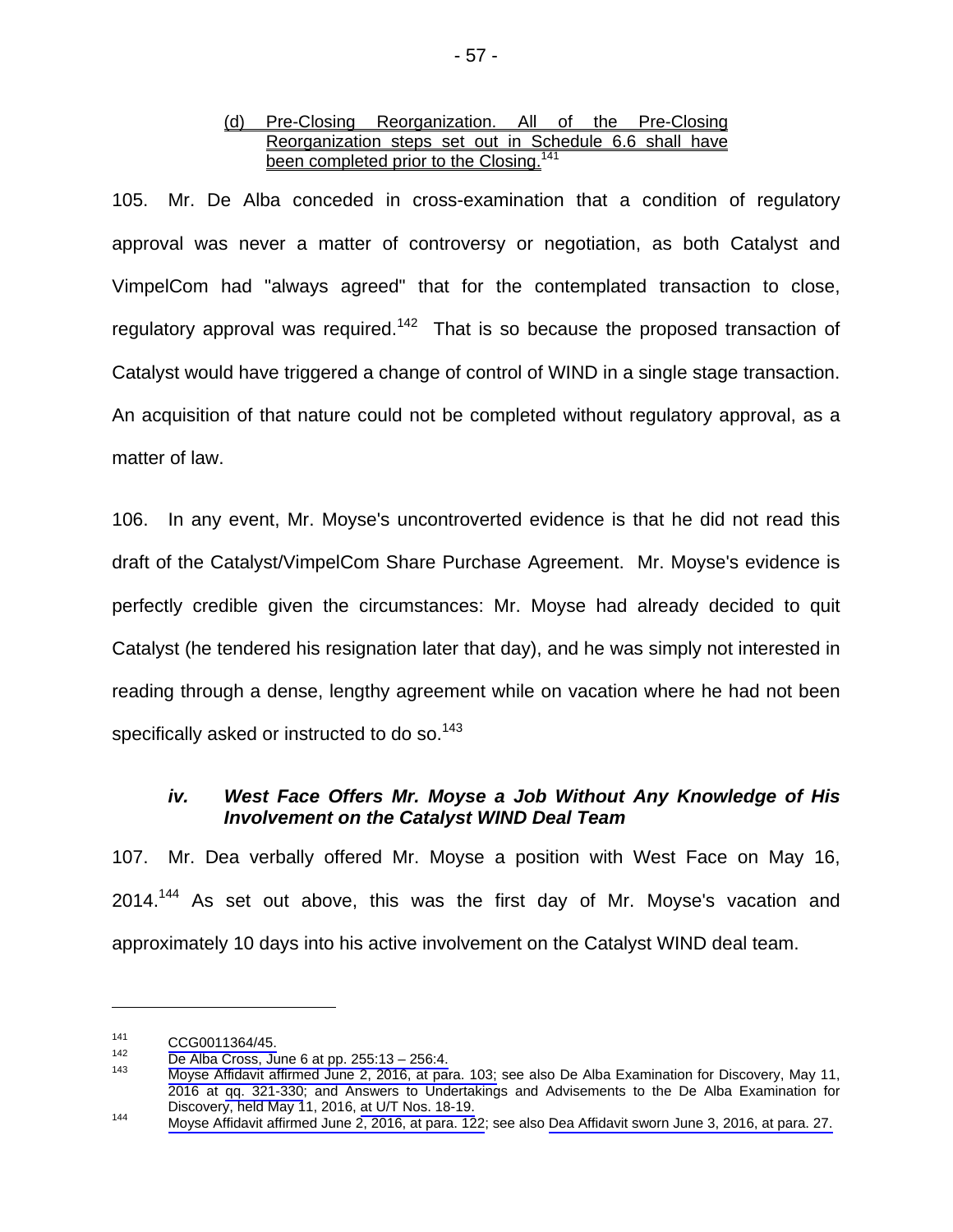#### (d) Pre-Closing Reorganization. All of the Pre-Closing Reorganization steps set out in Schedule 6.6 shall have been completed prior to the Closing.<sup>141</sup>

105. Mr. De Alba conceded in cross-examination that a condition of regulatory approval was never a matter of controversy or negotiation, as both Catalyst and VimpelCom had "always agreed" that for the contemplated transaction to close, regulatory approval was required.<sup>142</sup> That is so because the proposed transaction of Catalyst would have triggered a change of control of WIND in a single stage transaction. An acquisition of that nature could not be completed without regulatory approval, as a matter of law.

106. In any event, Mr. Moyse's uncontroverted evidence is that he did not read this draft of the Catalyst/VimpelCom Share Purchase Agreement. Mr. Moyse's evidence is perfectly credible given the circumstances: Mr. Moyse had already decided to quit Catalyst (he tendered his resignation later that day), and he was simply not interested in reading through a dense, lengthy agreement while on vacation where he had not been specifically asked or instructed to do so.<sup>143</sup>

# *iv. West Face Offers Mr. Moyse a Job Without Any Knowledge of His Involvement on the Catalyst WIND Deal Team*

107. Mr. Dea verbally offered Mr. Moyse a position with West Face on May 16,  $2014.<sup>144</sup>$  As set out above, this was the first day of Mr. Moyse's vacation and approximately 10 days into his active involvement on the Catalyst WIND deal team.

<sup>141</sup> [CCG0011364/45.](#page-0-0)<br>142De Alba Cross, June 6 at pp. 255:13 – 256:4.<br>143 [Moyse Affidavit affirmed June 2, 2016, at para. 103;](#page-1-0) see also De Alba Examination for Discovery, May 11, 2016 at [qq. 321-330](#page-1-0); and Answers to Undertakings and Advisements to the De Alba Examination for [Discovery, held May 11, 2016,](#page-1-0) [at U/T Nos. 18-19.](#page-4-0)<br><sup>144</sup>[Moyse Affidavit affirmed June 2, 2016, at para. 122;](#page-1-0) see also [Dea Affidavit sworn June 3, 2016, at para. 27.](#page-1-0)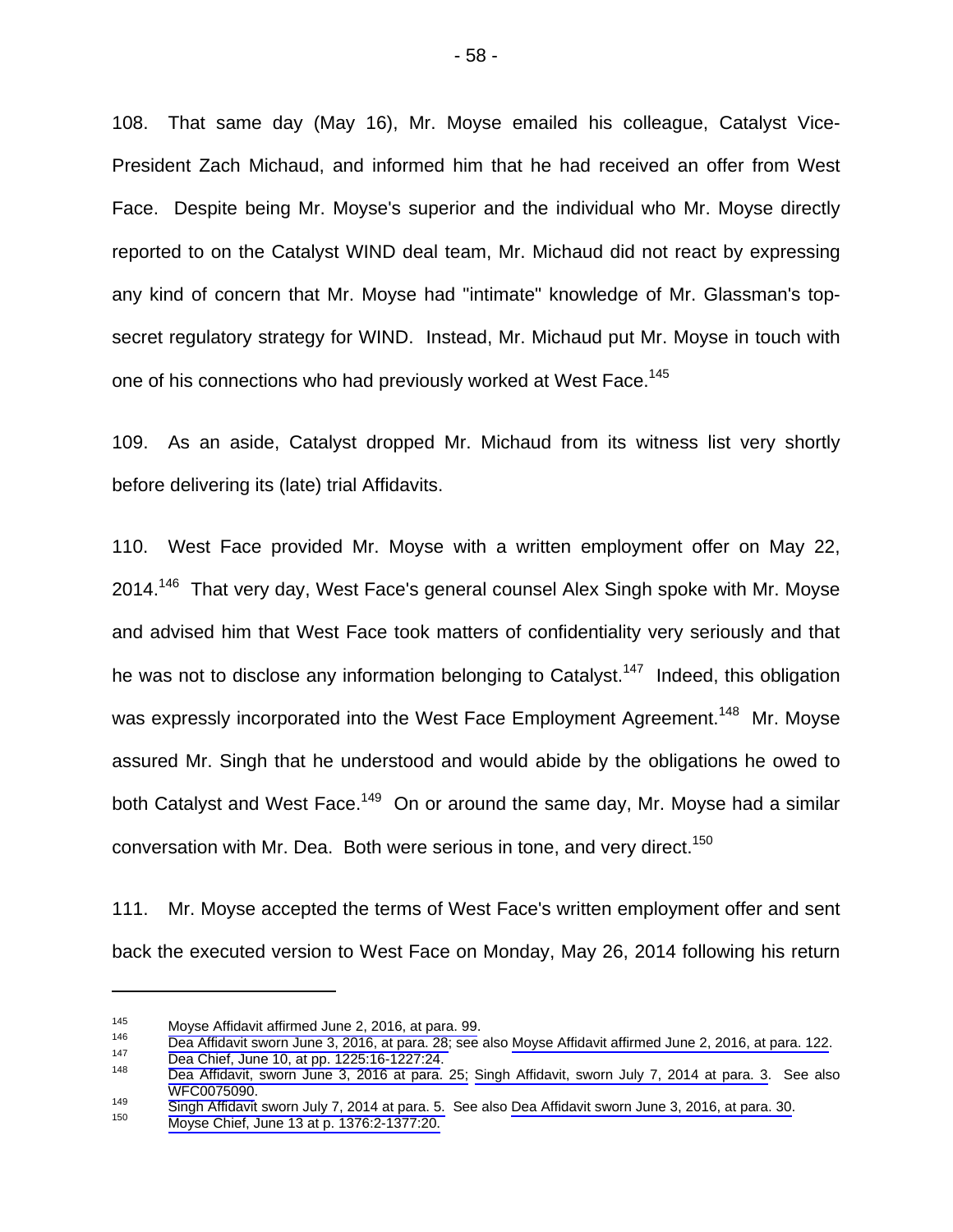108. That same day (May 16), Mr. Moyse emailed his colleague, Catalyst Vice-President Zach Michaud, and informed him that he had received an offer from West Face. Despite being Mr. Moyse's superior and the individual who Mr. Moyse directly reported to on the Catalyst WIND deal team, Mr. Michaud did not react by expressing any kind of concern that Mr. Moyse had "intimate" knowledge of Mr. Glassman's topsecret regulatory strategy for WIND. Instead, Mr. Michaud put Mr. Moyse in touch with one of his connections who had previously worked at West Face.<sup>145</sup>

109. As an aside, Catalyst dropped Mr. Michaud from its witness list very shortly before delivering its (late) trial Affidavits.

110. West Face provided Mr. Moyse with a written employment offer on May 22, 2014.<sup>146</sup> That very day, West Face's general counsel Alex Singh spoke with Mr. Moyse and advised him that West Face took matters of confidentiality very seriously and that he was not to disclose any information belonging to Catalyst.<sup>147</sup> Indeed, this obligation was expressly incorporated into the West Face Employment Agreement.<sup>148</sup> Mr. Movse assured Mr. Singh that he understood and would abide by the obligations he owed to both Catalyst and West Face.<sup>149</sup> On or around the same day, Mr. Moyse had a similar conversation with Mr. Dea. Both were serious in tone, and very direct.<sup>150</sup>

111. Mr. Moyse accepted the terms of West Face's written employment offer and sent back the executed version to West Face on Monday, May 26, 2014 following his return

[Moyse Affidavit affirmed June 2, 2016, at para. 99.](#page-1-0)<br> [Dea Affidavit sworn June 3, 2016, at para. 28](#page-1-0); see also [Moyse Affidavit affirmed June 2, 2016, at para. 122.](#page-1-0)<br>
Dea Chief, June 10, at pp. 1225:16-1227:24.<br>
Dea Affidavit,

[WFC0075090](#page-0-0).<br><sup>149</sup> Singh Affidavit sworn July 7, 2014 at para[.](#page-1-0) 5. See also [Dea Affidavit sworn June 3, 2016, at para. 30.](#page-1-0)<br><sup>150</sup> Moyse Chief, June 13 at p. 1376:2-1377:20.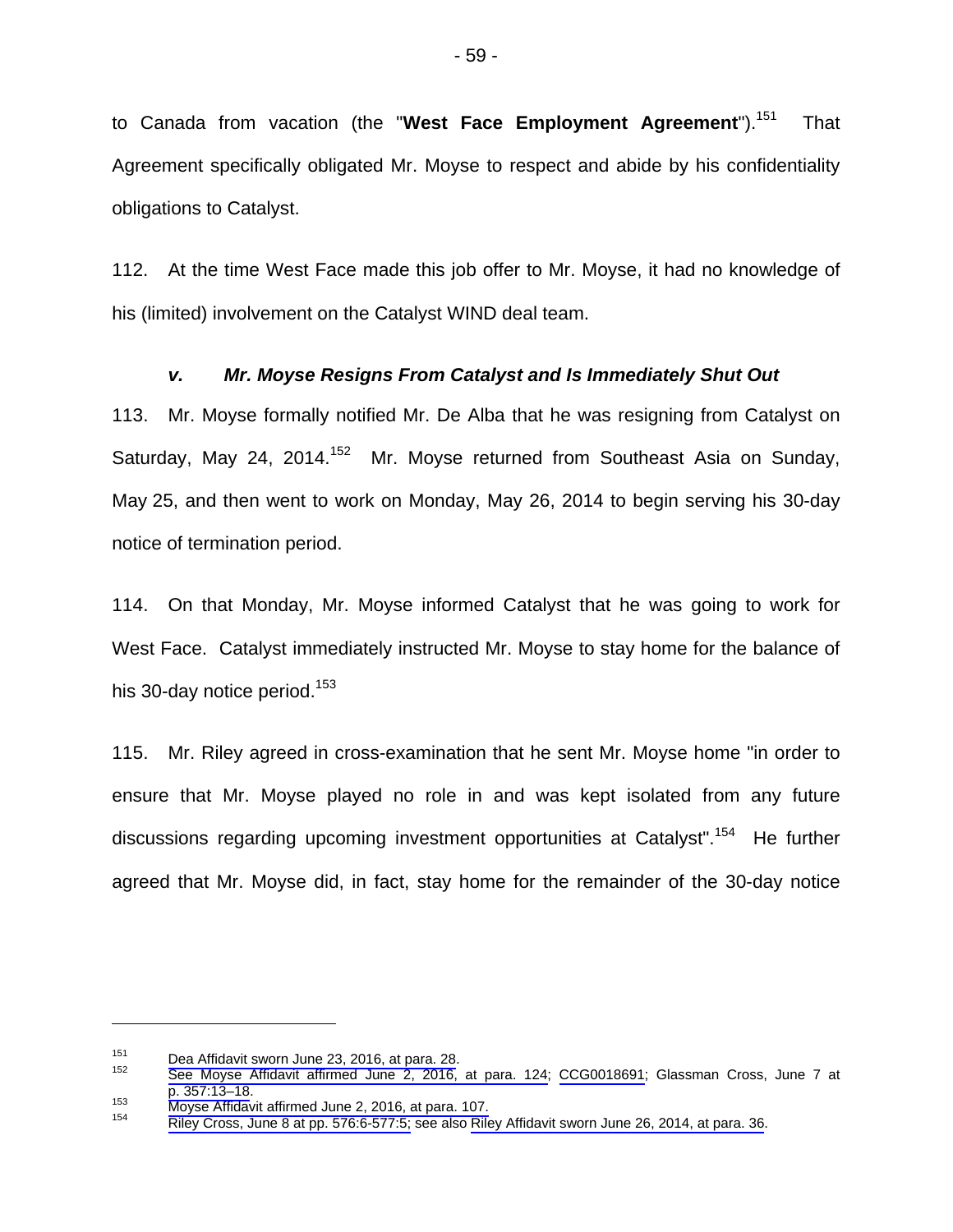to Canada from vacation (the "West Face Employment Agreement").<sup>151</sup> That Agreement specifically obligated Mr. Moyse to respect and abide by his confidentiality obligations to Catalyst.

112. At the time West Face made this job offer to Mr. Moyse, it had no knowledge of his (limited) involvement on the Catalyst WIND deal team.

# *v. Mr. Moyse Resigns From Catalyst and Is Immediately Shut Out*

113. Mr. Moyse formally notified Mr. De Alba that he was resigning from Catalyst on Saturday, May 24, 2014.<sup>152</sup> Mr. Moyse returned from Southeast Asia on Sunday, May 25, and then went to work on Monday, May 26, 2014 to begin serving his 30-day notice of termination period.

114. On that Monday, Mr. Moyse informed Catalyst that he was going to work for West Face. Catalyst immediately instructed Mr. Moyse to stay home for the balance of his 30-day notice period.<sup>153</sup>

115. Mr. Riley agreed in cross-examination that he sent Mr. Moyse home "in order to ensure that Mr. Moyse played no role in and was kept isolated from any future discussions regarding upcoming investment opportunities at Catalyst".<sup>154</sup> He further agreed that Mr. Moyse did, in fact, stay home for the remainder of the 30-day notice

<sup>151</sup> Dea Affidavit sworn June 23, 2016, at para. 28.<br>152 [See Moyse Affidavit affirmed June 2, 2016, at para. 124;](#page-1-0) [CCG0018691](#page-0-0); Glassman Cross, June 7 at p. 357:13–18.<br>153 Moyse Affidavit affirmed June 2, 2016, at para. 107.<br>154 [Riley Cross, June 8 at pp. 576:6-577:5; see also Riley Affidavit sworn June 26, 2014, at para. 36](#page-1-0).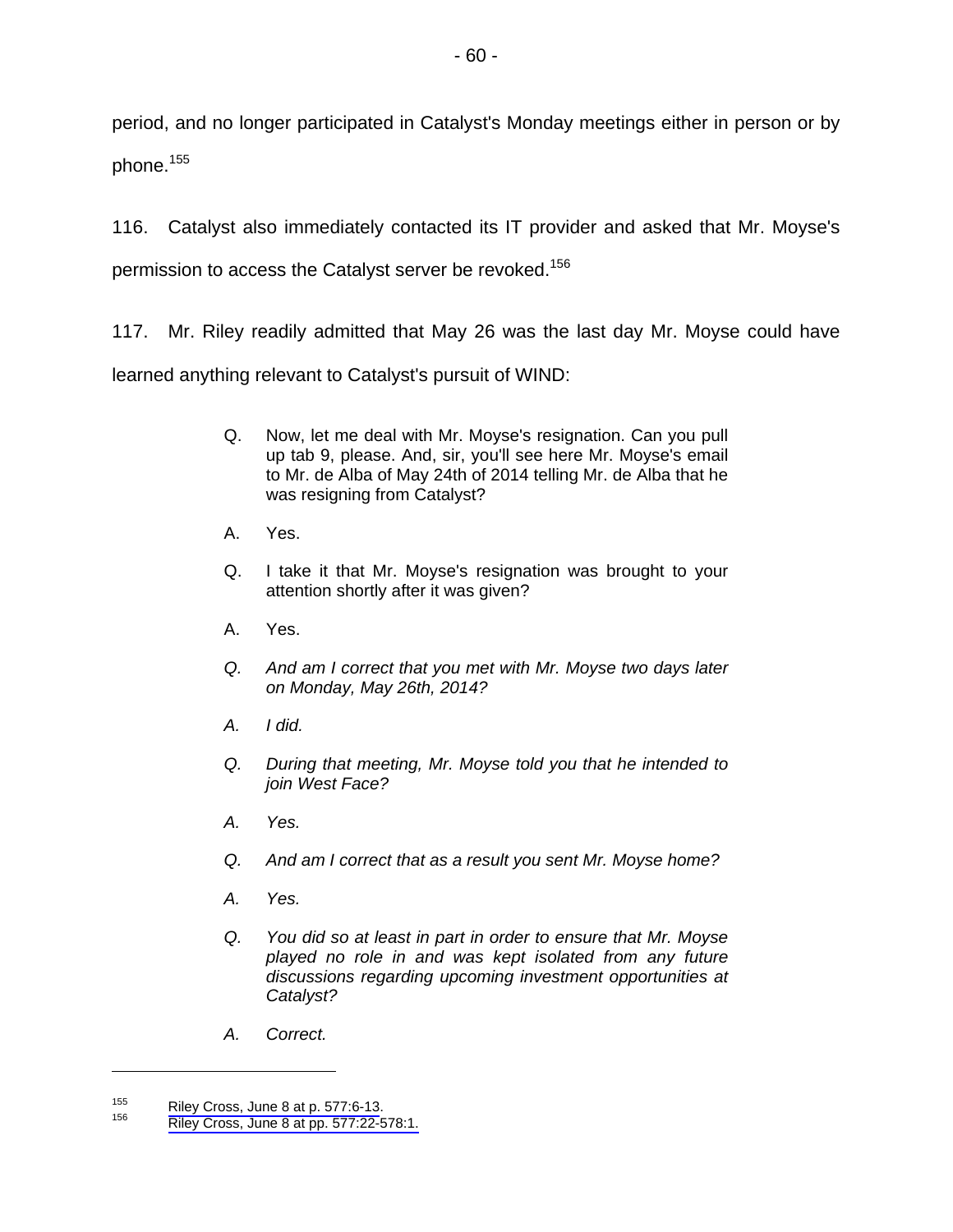period, and no longer participated in Catalyst's Monday meetings either in person or by phone.<sup>155</sup>

116. Catalyst also immediately contacted its IT provider and asked that Mr. Moyse's permission to access the Catalyst server be revoked.<sup>156</sup>

117. Mr. Riley readily admitted that May 26 was the last day Mr. Moyse could have learned anything relevant to Catalyst's pursuit of WIND:

- Q. Now, let me deal with Mr. Moyse's resignation. Can you pull up tab 9, please. And, sir, you'll see here Mr. Moyse's email to Mr. de Alba of May 24th of 2014 telling Mr. de Alba that he was resigning from Catalyst?
- A. Yes.
- Q. I take it that Mr. Moyse's resignation was brought to your attention shortly after it was given?
- A. Yes.
- *Q. And am I correct that you met with Mr. Moyse two days later on Monday, May 26th, 2014?*
- *A. I did.*
- *Q. During that meeting, Mr. Moyse told you that he intended to join West Face?*
- *A. Yes.*
- *Q. And am I correct that as a result you sent Mr. Moyse home?*
- *A. Yes.*
- *Q. You did so at least in part in order to ensure that Mr. Moyse played no role in and was kept isolated from any future discussions regarding upcoming investment opportunities at Catalyst?*
- *A. Correct.*

<sup>&</sup>lt;sup>155</sup> Riley Cross, June 8 at p. 577:6-13.<br><sup>156</sup> [Riley Cross, June 8 at pp. 577:22-578:1.](#page-1-0)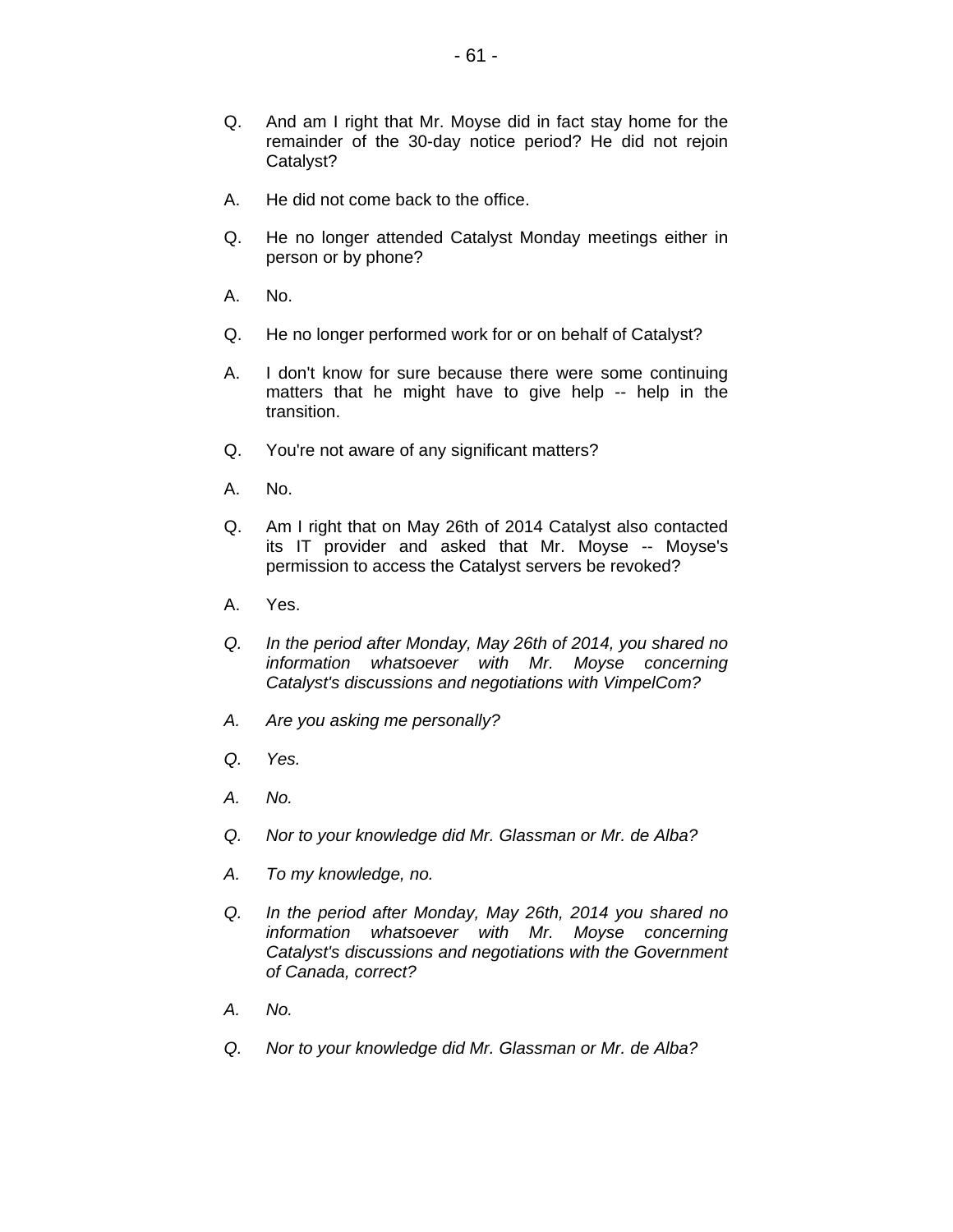- Q. And am I right that Mr. Moyse did in fact stay home for the remainder of the 30-day notice period? He did not rejoin Catalyst?
- A. He did not come back to the office.
- Q. He no longer attended Catalyst Monday meetings either in person or by phone?
- A. No.
- Q. He no longer performed work for or on behalf of Catalyst?
- A. I don't know for sure because there were some continuing matters that he might have to give help -- help in the transition.
- Q. You're not aware of any significant matters?
- A. No.
- Q. Am I right that on May 26th of 2014 Catalyst also contacted its IT provider and asked that Mr. Moyse -- Moyse's permission to access the Catalyst servers be revoked?
- A. Yes.
- *Q. In the period after Monday, May 26th of 2014, you shared no information whatsoever with Mr. Moyse concerning Catalyst's discussions and negotiations with VimpelCom?*
- *A. Are you asking me personally?*
- *Q. Yes.*
- *A. No.*
- *Q. Nor to your knowledge did Mr. Glassman or Mr. de Alba?*
- *A. To my knowledge, no.*
- *Q. In the period after Monday, May 26th, 2014 you shared no information whatsoever with Mr. Moyse concerning Catalyst's discussions and negotiations with the Government of Canada, correct?*
- *A. No.*
- *Q. Nor to your knowledge did Mr. Glassman or Mr. de Alba?*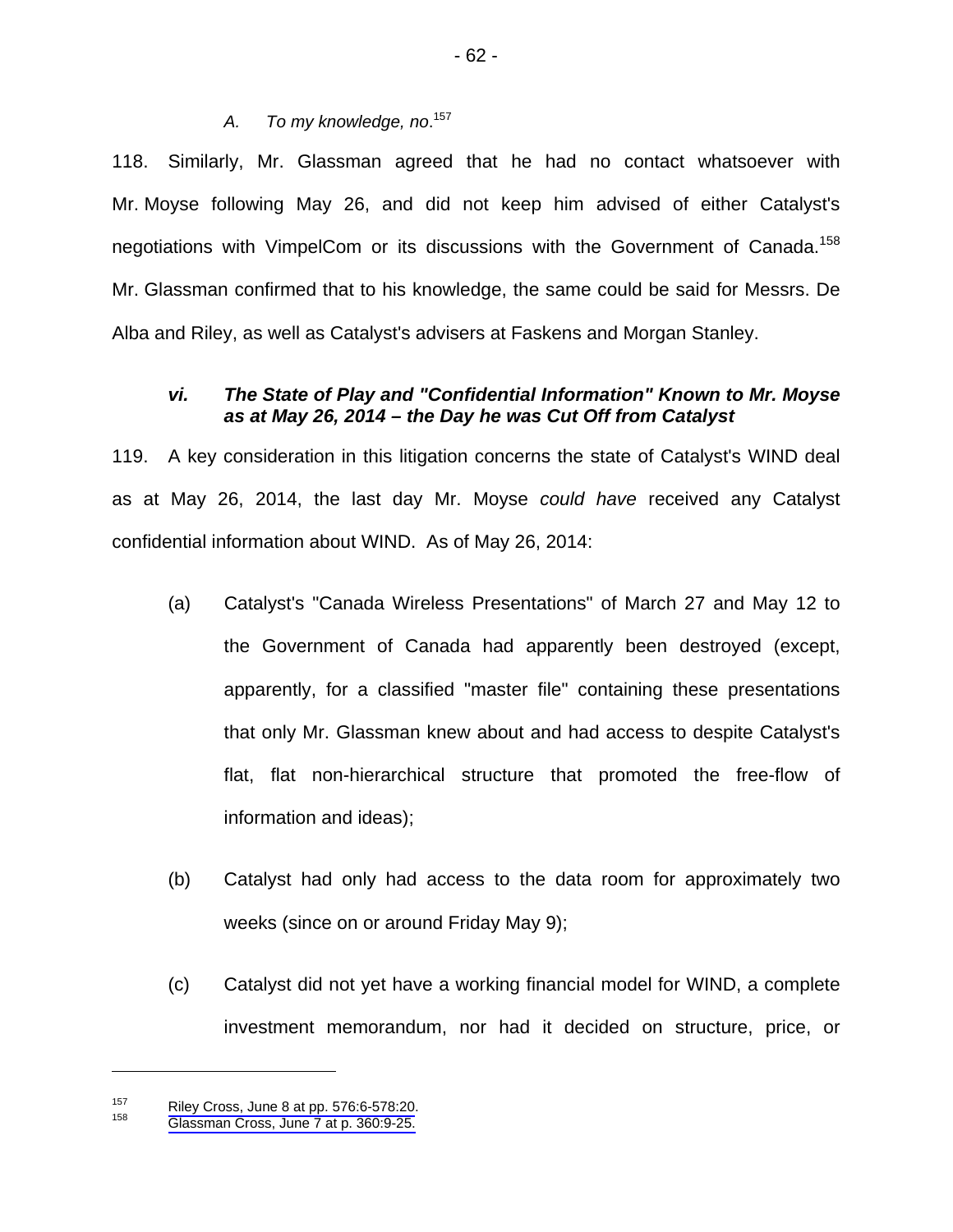#### *A. To my knowledge, no*. 157

118. Similarly, Mr. Glassman agreed that he had no contact whatsoever with Mr. Moyse following May 26, and did not keep him advised of either Catalyst's negotiations with VimpelCom or its discussions with the Government of Canada.<sup>158</sup> Mr. Glassman confirmed that to his knowledge, the same could be said for Messrs. De Alba and Riley, as well as Catalyst's advisers at Faskens and Morgan Stanley.

### *vi. The State of Play and "Confidential Information" Known to Mr. Moyse as at May 26, 2014 – the Day he was Cut Off from Catalyst*

119. A key consideration in this litigation concerns the state of Catalyst's WIND deal as at May 26, 2014, the last day Mr. Moyse *could have* received any Catalyst confidential information about WIND. As of May 26, 2014:

- (a) Catalyst's "Canada Wireless Presentations" of March 27 and May 12 to the Government of Canada had apparently been destroyed (except, apparently, for a classified "master file" containing these presentations that only Mr. Glassman knew about and had access to despite Catalyst's flat, flat non-hierarchical structure that promoted the free-flow of information and ideas);
- (b) Catalyst had only had access to the data room for approximately two weeks (since on or around Friday May 9);
- (c) Catalyst did not yet have a working financial model for WIND, a complete investment memorandum, nor had it decided on structure, price, or

<sup>&</sup>lt;sup>157</sup> [Riley Cross, June 8 at pp. 576:6-578:20.](#page-1-0)<br><sup>158</sup> [Glassman Cross, June 7 at p. 360:9-25.](#page-1-0)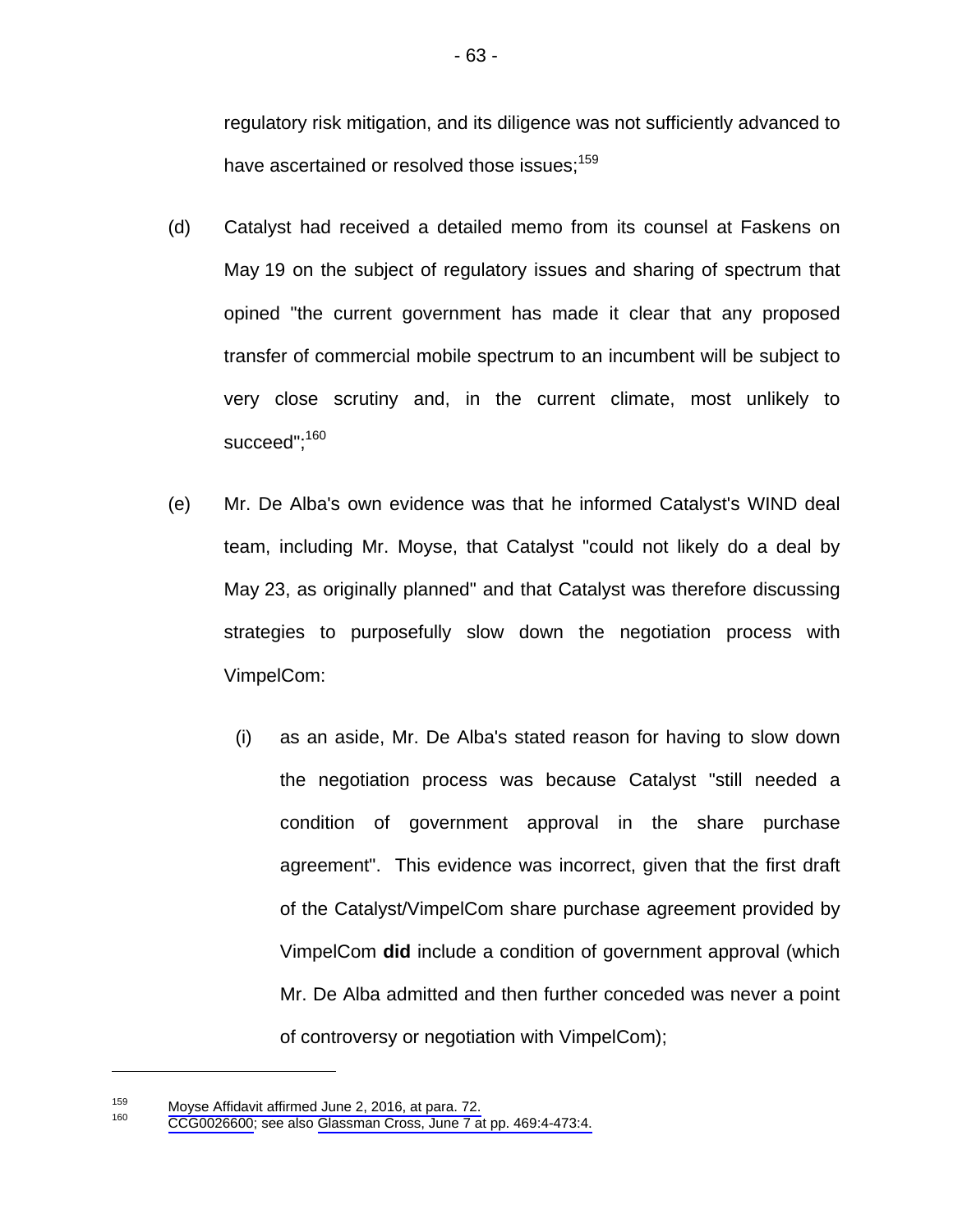regulatory risk mitigation, and its diligence was not sufficiently advanced to have ascertained or resolved those issues;<sup>159</sup>

- (d) Catalyst had received a detailed memo from its counsel at Faskens on May 19 on the subject of regulatory issues and sharing of spectrum that opined "the current government has made it clear that any proposed transfer of commercial mobile spectrum to an incumbent will be subject to very close scrutiny and, in the current climate, most unlikely to succeed";<sup>160</sup>
- (e) Mr. De Alba's own evidence was that he informed Catalyst's WIND deal team, including Mr. Moyse, that Catalyst "could not likely do a deal by May 23, as originally planned" and that Catalyst was therefore discussing strategies to purposefully slow down the negotiation process with VimpelCom:
	- (i) as an aside, Mr. De Alba's stated reason for having to slow down the negotiation process was because Catalyst "still needed a condition of government approval in the share purchase agreement". This evidence was incorrect, given that the first draft of the Catalyst/VimpelCom share purchase agreement provided by VimpelCom **did** include a condition of government approval (which Mr. De Alba admitted and then further conceded was never a point of controversy or negotiation with VimpelCom);

<sup>&</sup>lt;sup>159</sup> Moyse Affidavit affirmed June 2, 2016, at para. 72.<br><sup>160</sup> [CCG0026600](#page-0-0); see also Glassman Cross, June 7 at pp. 469:4-473:4.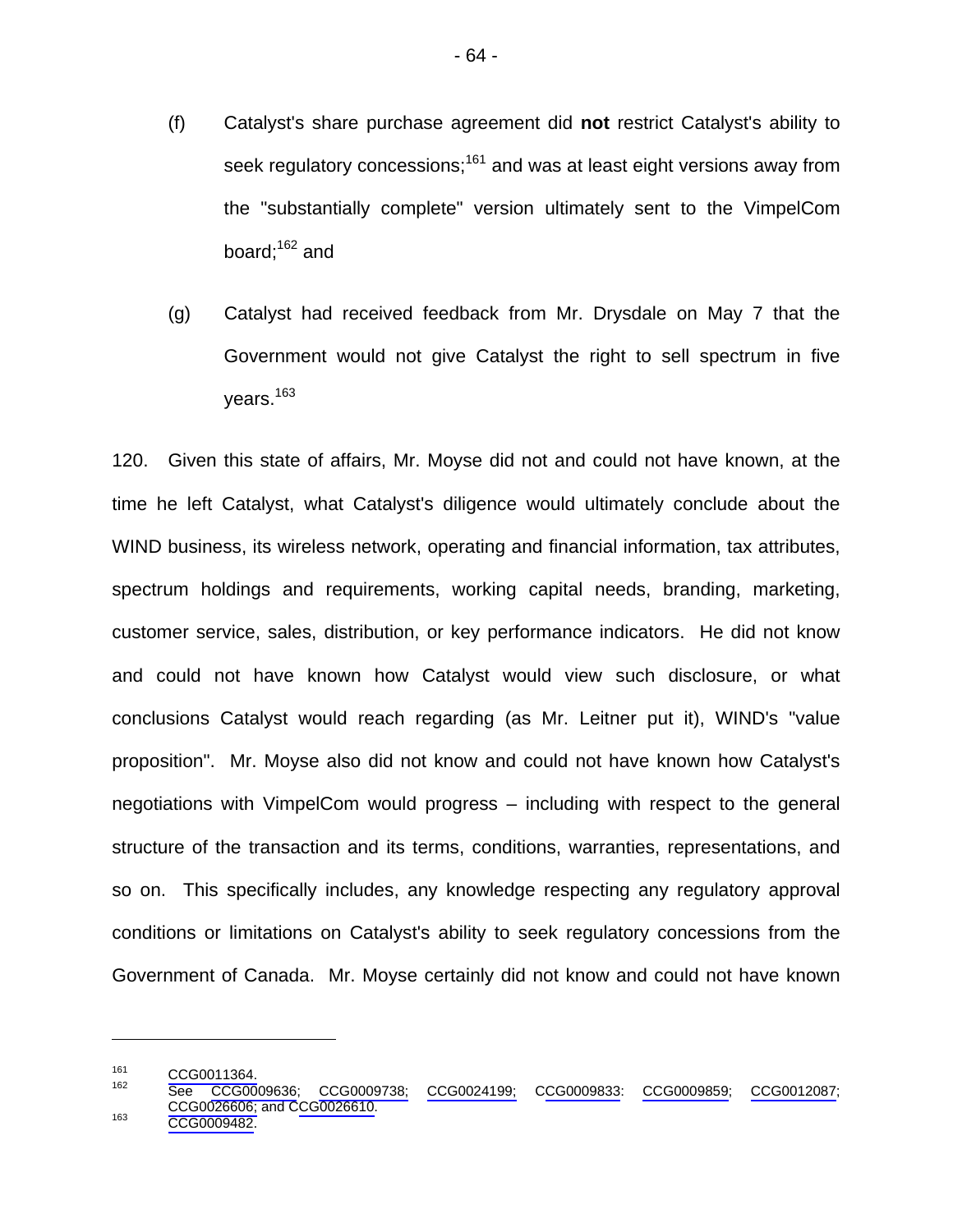- (f) Catalyst's share purchase agreement did **not** restrict Catalyst's ability to seek regulatory concessions;<sup>161</sup> and was at least eight versions away from the "substantially complete" version ultimately sent to the VimpelCom board; $162$  and
- (g) Catalyst had received feedback from Mr. Drysdale on May 7 that the Government would not give Catalyst the right to sell spectrum in five years.<sup>163</sup>

120. Given this state of affairs, Mr. Moyse did not and could not have known, at the time he left Catalyst, what Catalyst's diligence would ultimately conclude about the WIND business, its wireless network, operating and financial information, tax attributes, spectrum holdings and requirements, working capital needs, branding, marketing, customer service, sales, distribution, or key performance indicators. He did not know and could not have known how Catalyst would view such disclosure, or what conclusions Catalyst would reach regarding (as Mr. Leitner put it), WIND's "value proposition". Mr. Moyse also did not know and could not have known how Catalyst's negotiations with VimpelCom would progress – including with respect to the general structure of the transaction and its terms, conditions, warranties, representations, and so on. This specifically includes, any knowledge respecting any regulatory approval conditions or limitations on Catalyst's ability to seek regulatory concessions from the Government of Canada. Mr. Moyse certainly did not know and could not have known

<sup>161</sup> [CCG0011364.](#page-0-0) 162 See [CCG0009636;](#page-0-0) [CCG0009738; CCG0024199;](#page-0-0) [CCG0009833:](#page-0-0) [CCG0009859](#page-0-0); [CCG0012087;](#page-0-0) [CCG0026606;](#page-0-0) and C[CG0026610.](#page-0-0)<br><sup>163</sup> [CCG0009482.](#page-0-0)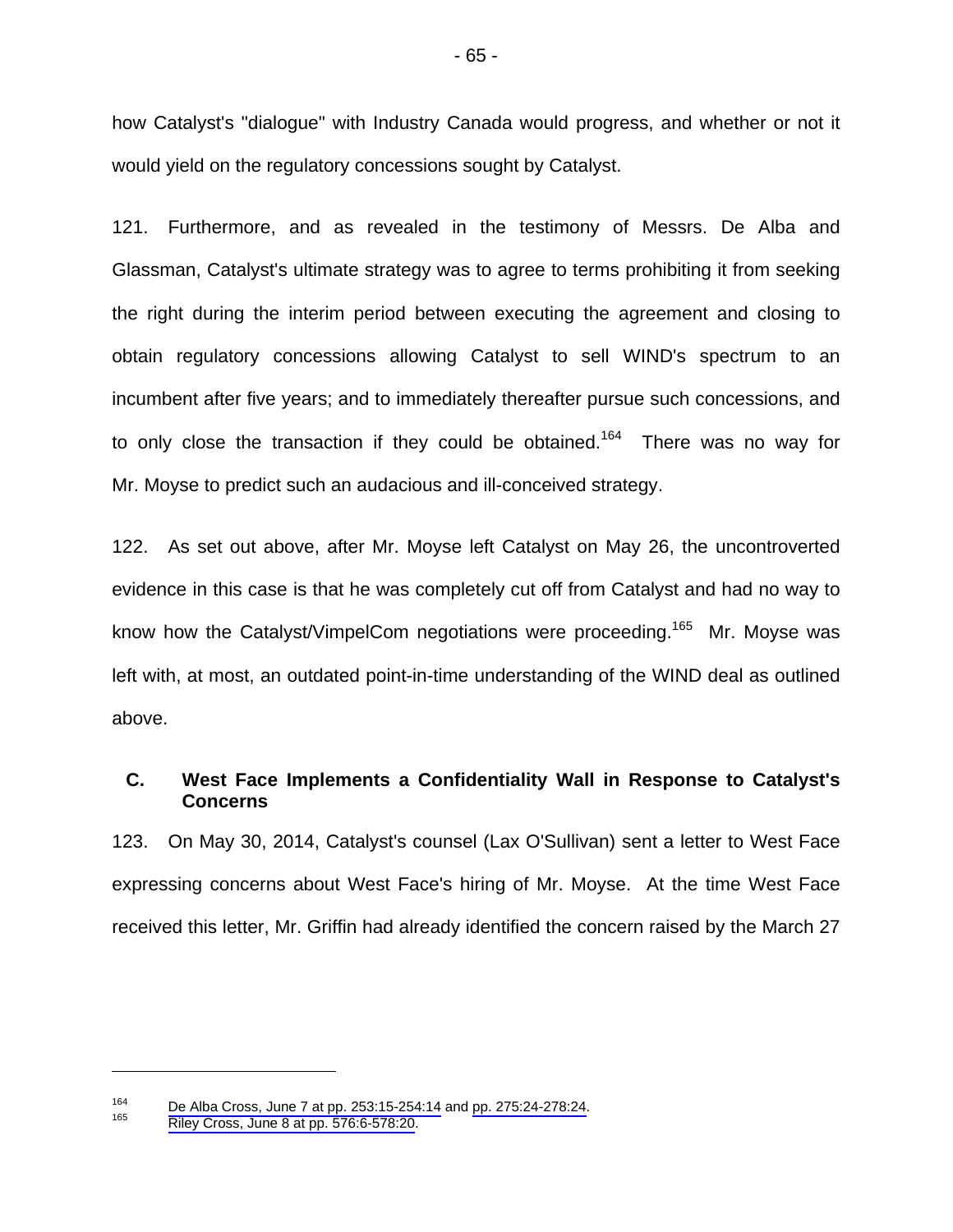how Catalyst's "dialogue" with Industry Canada would progress, and whether or not it would yield on the regulatory concessions sought by Catalyst.

121. Furthermore, and as revealed in the testimony of Messrs. De Alba and Glassman, Catalyst's ultimate strategy was to agree to terms prohibiting it from seeking the right during the interim period between executing the agreement and closing to obtain regulatory concessions allowing Catalyst to sell WIND's spectrum to an incumbent after five years; and to immediately thereafter pursue such concessions, and to only close the transaction if they could be obtained.<sup>164</sup> There was no way for Mr. Moyse to predict such an audacious and ill-conceived strategy.

122. As set out above, after Mr. Moyse left Catalyst on May 26, the uncontroverted evidence in this case is that he was completely cut off from Catalyst and had no way to know how the Catalyst/VimpelCom negotiations were proceeding.<sup>165</sup> Mr. Moyse was left with, at most, an outdated point-in-time understanding of the WIND deal as outlined above.

## **C. West Face Implements a Confidentiality Wall in Response to Catalyst's Concerns**

123. On May 30, 2014, Catalyst's counsel (Lax O'Sullivan) sent a letter to West Face expressing concerns about West Face's hiring of Mr. Moyse. At the time West Face received this letter, Mr. Griffin had already identified the concern raised by the March 27

<sup>&</sup>lt;sup>164</sup> [De Alba Cross, June 7 at pp. 253:15-254:14](#page-1-0) and [pp. 275:24-278:24.](#page-1-0)<br><sup>165</sup> Riley Cross, June 8 at pp. 576:6-578:20.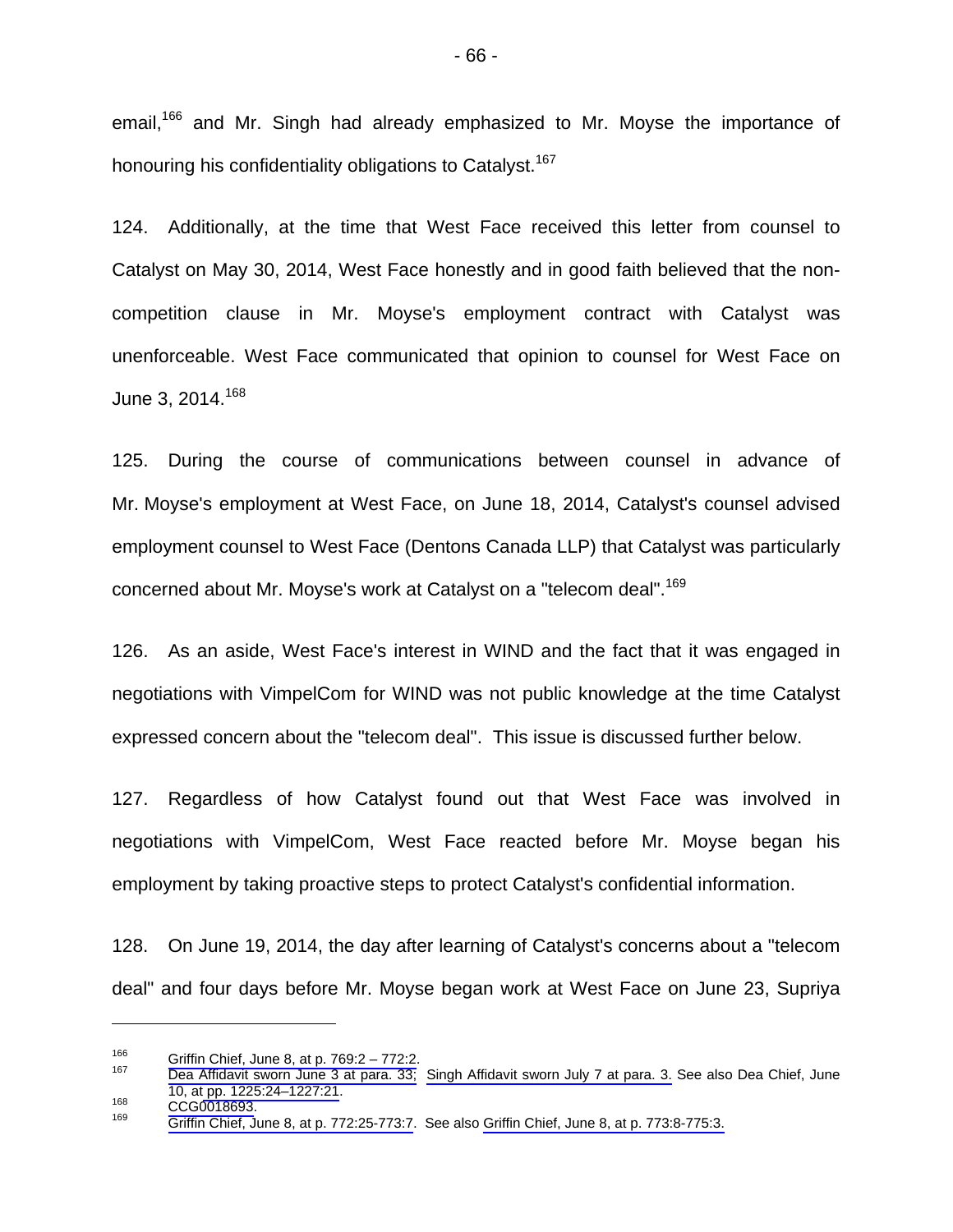email,<sup>166</sup> and Mr. Singh had already emphasized to Mr. Moyse the importance of honouring his confidentiality obligations to Catalyst.<sup>167</sup>

124. Additionally, at the time that West Face received this letter from counsel to Catalyst on May 30, 2014, West Face honestly and in good faith believed that the noncompetition clause in Mr. Moyse's employment contract with Catalyst was unenforceable. West Face communicated that opinion to counsel for West Face on June 3, 2014.<sup>168</sup>

125. During the course of communications between counsel in advance of Mr. Moyse's employment at West Face, on June 18, 2014, Catalyst's counsel advised employment counsel to West Face (Dentons Canada LLP) that Catalyst was particularly concerned about Mr. Moyse's work at Catalyst on a "telecom deal".<sup>169</sup>

126. As an aside, West Face's interest in WIND and the fact that it was engaged in negotiations with VimpelCom for WIND was not public knowledge at the time Catalyst expressed concern about the "telecom deal". This issue is discussed further below.

127. Regardless of how Catalyst found out that West Face was involved in negotiations with VimpelCom, West Face reacted before Mr. Moyse began his employment by taking proactive steps to protect Catalyst's confidential information.

128. On June 19, 2014, the day after learning of Catalyst's concerns about a "telecom deal" and four days before Mr. Moyse began work at West Face on June 23, Supriya

<sup>&</sup>lt;sup>166</sup> [Griffin Chief, June 8, at p. 769:2 – 772:2.](#page-1-0)<br><sup>167</sup> [Dea Affidavit sworn June 3 at para. 33; Singh Affidavit sworn July 7 at para. 3.](#page-1-0) See also Dea Chief, June [10, a](#page-0-0)[t pp. 1225:24–1227:21](#page-1-0).<br><sup>168</sup> [CCG0018693](#page-0-0).<br><sup>169</sup> Griffin Chief, June 8, at p[.](#page-1-0) 772:25-773:7. See also Griffin Chief, June 8, at p. 773:8-775:3.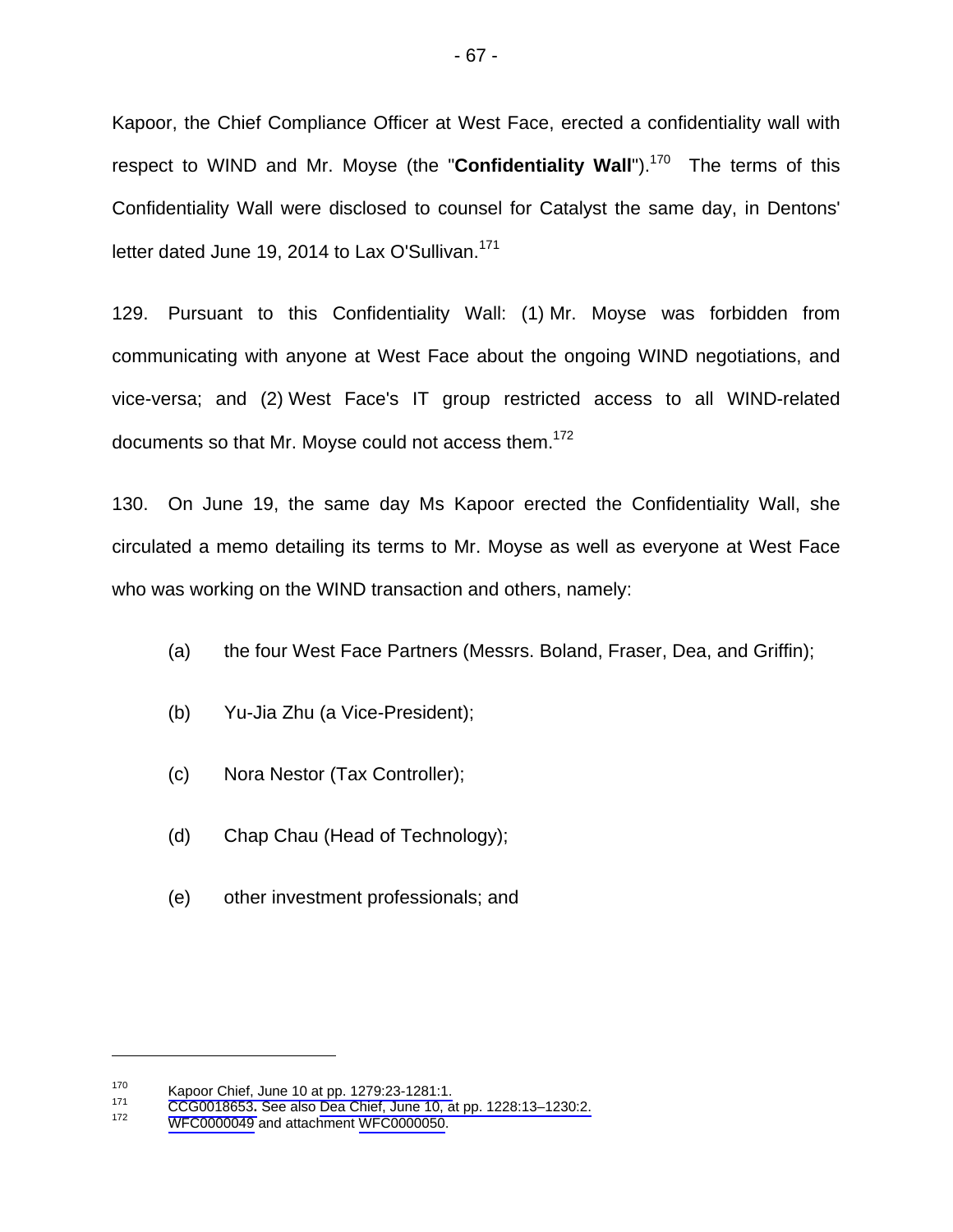Kapoor, the Chief Compliance Officer at West Face, erected a confidentiality wall with respect to WIND and Mr. Moyse (the "**Confidentiality Wall**").<sup>170</sup> The terms of this Confidentiality Wall were disclosed to counsel for Catalyst the same day, in Dentons' letter dated June 19, 2014 to Lax O'Sullivan.<sup>171</sup>

129. Pursuant to this Confidentiality Wall: (1) Mr. Moyse was forbidden from communicating with anyone at West Face about the ongoing WIND negotiations, and vice-versa; and (2) West Face's IT group restricted access to all WIND-related documents so that Mr. Moyse could not access them.<sup>172</sup>

130. On June 19, the same day Ms Kapoor erected the Confidentiality Wall, she circulated a memo detailing its terms to Mr. Moyse as well as everyone at West Face who was working on the WIND transaction and others, namely:

- (a) the four West Face Partners (Messrs. Boland, Fraser, Dea, and Griffin);
- (b) Yu-Jia Zhu (a Vice-President);
- (c) Nora Nestor (Tax Controller);
- (d) Chap Chau (Head of Technology);
- (e) other investment professionals; and

<sup>170</sup> Kapoor Chief, June 10 at pp. 1279:23-1281:1.<br>171 CCG0018653. See also [Dea Chief, June 10, at pp. 1228:13–1230:2.](#page-1-0)<br><sup>172</sup> [WFC0000049](#page-0-0) and attac[hment](#page-1-0) [WFC0000050](#page-0-0).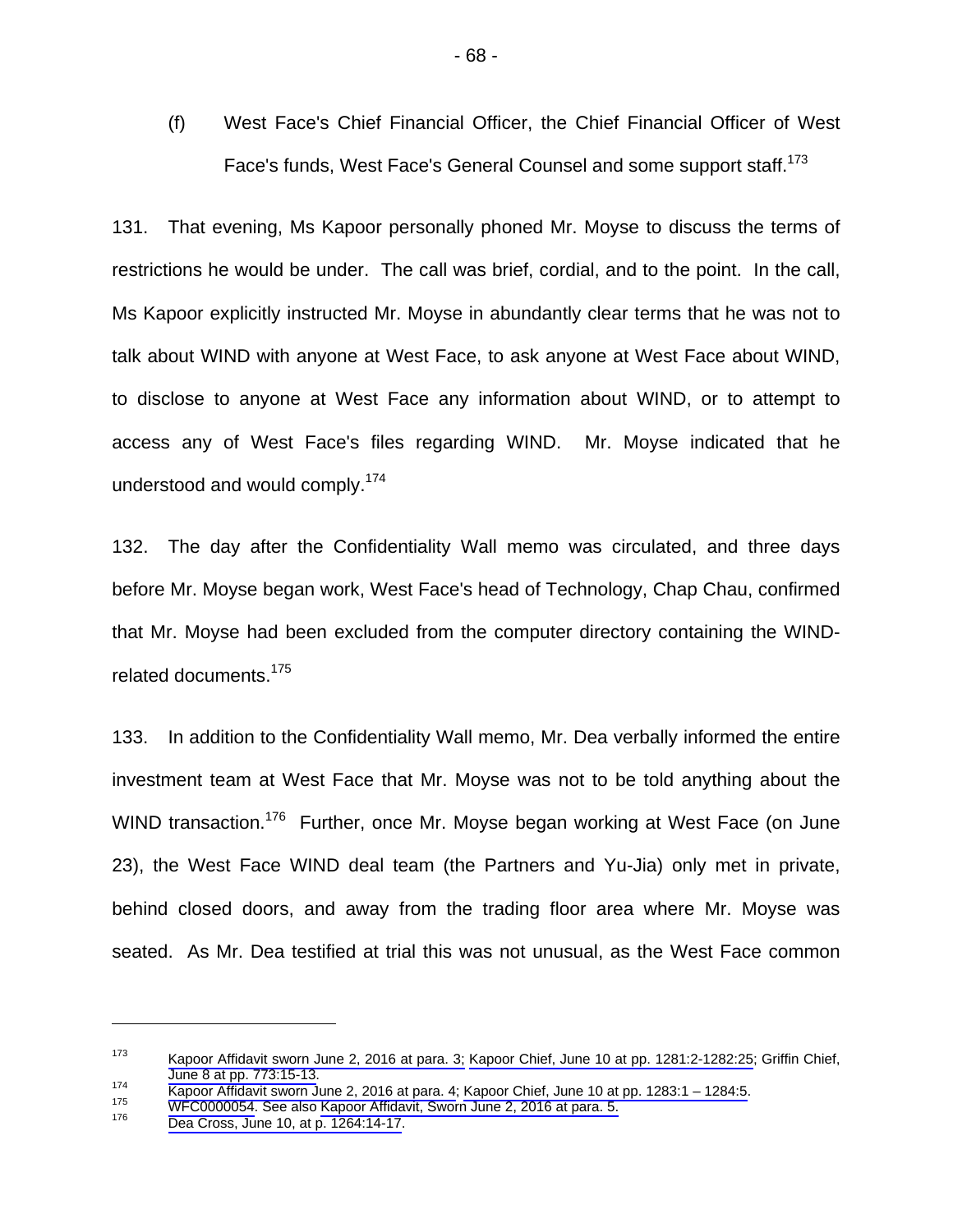(f) West Face's Chief Financial Officer, the Chief Financial Officer of West Face's funds, West Face's General Counsel and some support staff.<sup>173</sup>

131. That evening, Ms Kapoor personally phoned Mr. Moyse to discuss the terms of restrictions he would be under. The call was brief, cordial, and to the point. In the call, Ms Kapoor explicitly instructed Mr. Moyse in abundantly clear terms that he was not to talk about WIND with anyone at West Face, to ask anyone at West Face about WIND, to disclose to anyone at West Face any information about WIND, or to attempt to access any of West Face's files regarding WIND. Mr. Moyse indicated that he understood and would comply.<sup>174</sup>

132. The day after the Confidentiality Wall memo was circulated, and three days before Mr. Moyse began work, West Face's head of Technology, Chap Chau, confirmed that Mr. Moyse had been excluded from the computer directory containing the WINDrelated documents.175

133. In addition to the Confidentiality Wall memo, Mr. Dea verbally informed the entire investment team at West Face that Mr. Moyse was not to be told anything about the WIND transaction.<sup>176</sup> Further, once Mr. Moyse began working at West Face (on June 23), the West Face WIND deal team (the Partners and Yu-Jia) only met in private, behind closed doors, and away from the trading floor area where Mr. Moyse was seated. As Mr. Dea testified at trial this was not unusual, as the West Face common

<sup>173</sup> [Kapoor Affidavit sworn June 2, 2016 at para. 3; Kapoor Chief, June 10 at pp. 1281:2-1282:25](#page-1-0); Griffin Chief, June 8 at pp. 773:15-13.<br> [Kapoor Affidavit sworn June 2, 2016 at para. 4; Kapoor Chief, June 10 at pp. 1283:1 – 1284:5](#page-1-0).<br> [WFC0000054.](#page-0-0) See also Kapoor Affidavit, Sworn June 2, 2016 at para. 5.<br>
Dea Cross, June 10, at p. 1264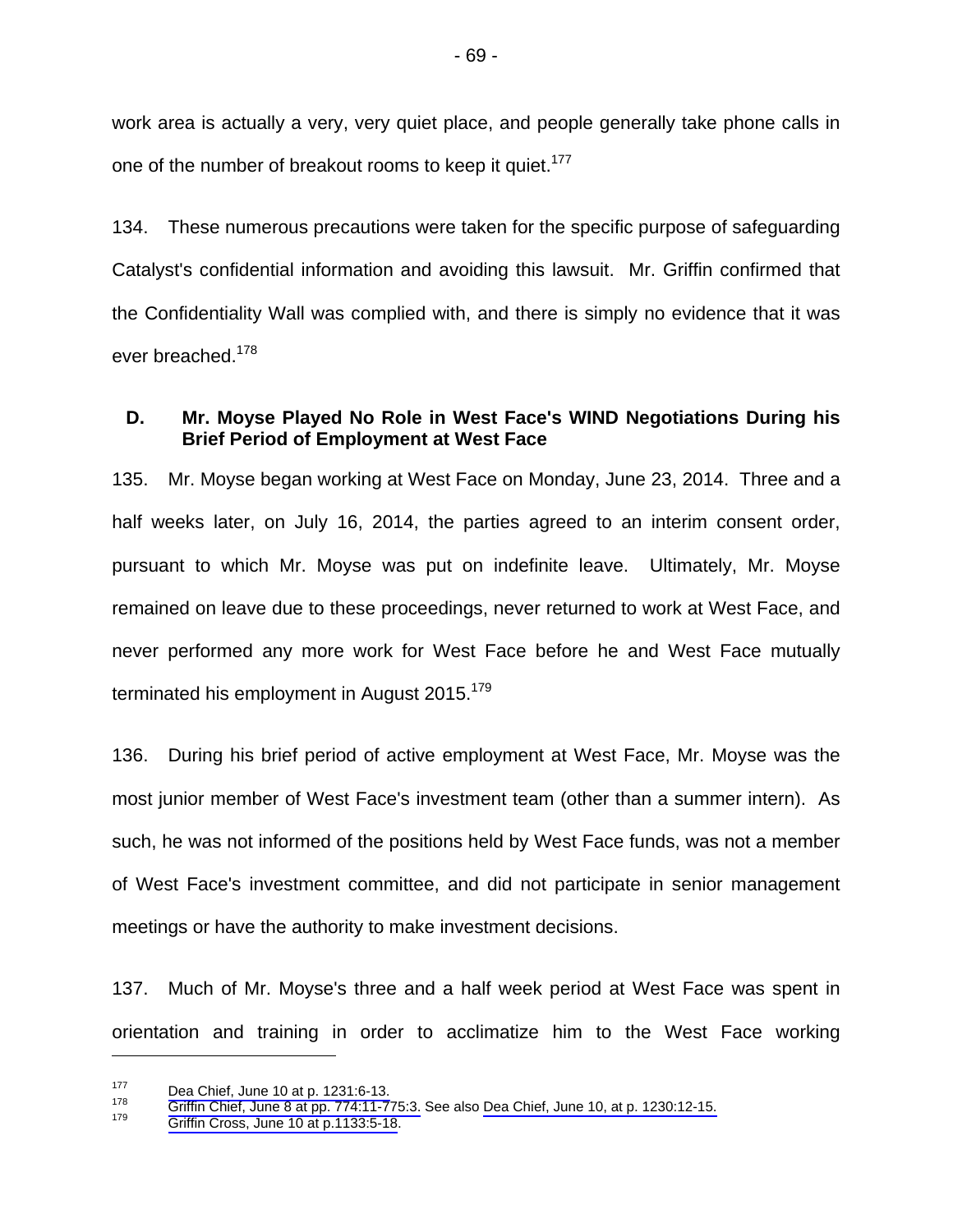work area is actually a very, very quiet place, and people generally take phone calls in one of the number of breakout rooms to keep it quiet.<sup>177</sup>

134. These numerous precautions were taken for the specific purpose of safeguarding Catalyst's confidential information and avoiding this lawsuit. Mr. Griffin confirmed that the Confidentiality Wall was complied with, and there is simply no evidence that it was ever breached.<sup>178</sup>

### **D. Mr. Moyse Played No Role in West Face's WIND Negotiations During his Brief Period of Employment at West Face**

135. Mr. Moyse began working at West Face on Monday, June 23, 2014. Three and a half weeks later, on July 16, 2014, the parties agreed to an interim consent order, pursuant to which Mr. Moyse was put on indefinite leave. Ultimately, Mr. Moyse remained on leave due to these proceedings, never returned to work at West Face, and never performed any more work for West Face before he and West Face mutually terminated his employment in August 2015.<sup>179</sup>

136. During his brief period of active employment at West Face, Mr. Moyse was the most junior member of West Face's investment team (other than a summer intern). As such, he was not informed of the positions held by West Face funds, was not a member of West Face's investment committee, and did not participate in senior management meetings or have the authority to make investment decisions.

137. Much of Mr. Moyse's three and a half week period at West Face was spent in orientation and training in order to acclimatize him to the West Face working

<sup>177</sup> Dea Chief, June 10 at p. 1231:6-13.<br>178 [Griffin Chief, June 8 at pp. 774:11-775:3.](#page-1-0) See also Dea Chief, June 10, at p. 1230:12-15.<br>179 Griffin Cross, June 10 at p.1133:5-18.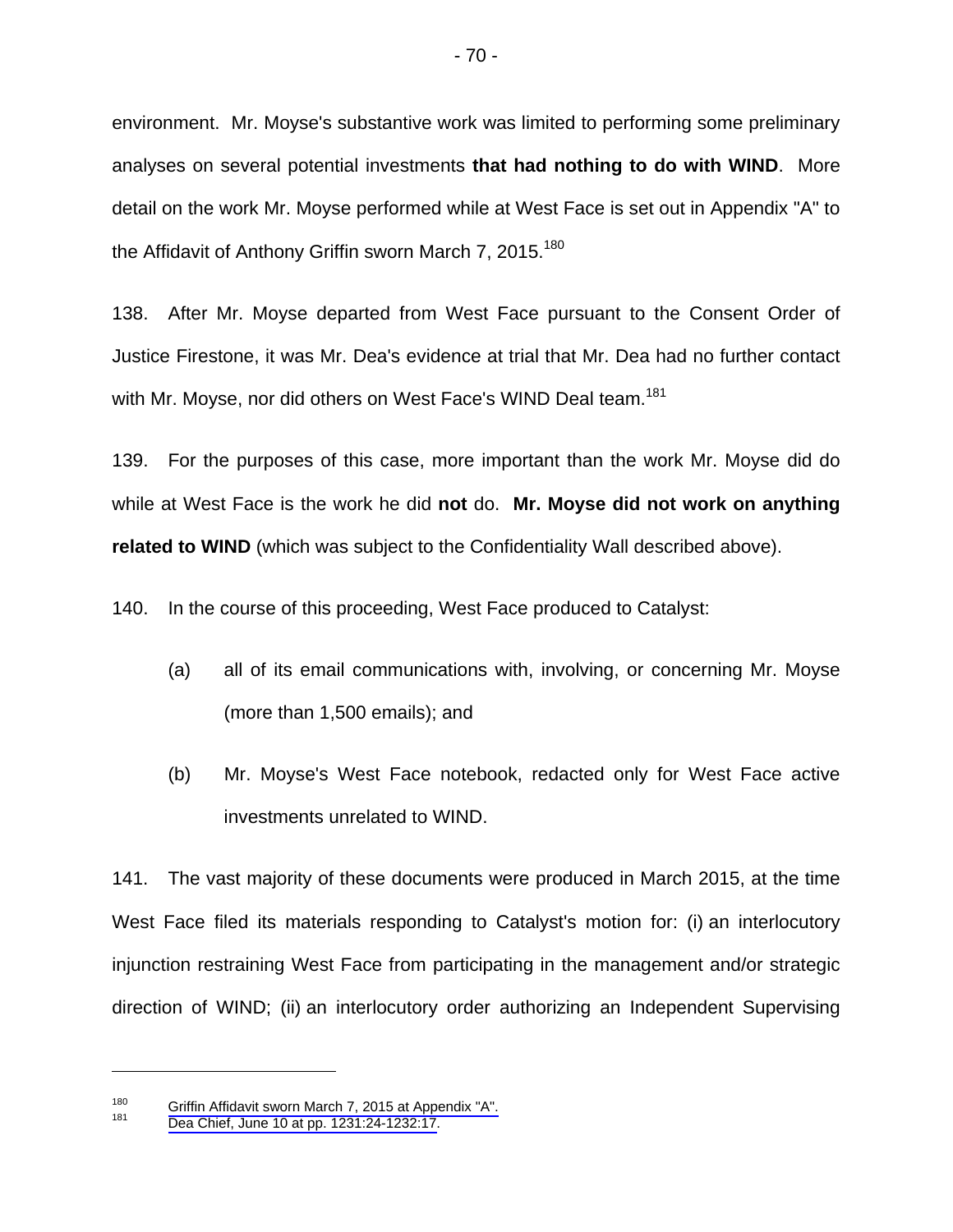environment. Mr. Moyse's substantive work was limited to performing some preliminary analyses on several potential investments **that had nothing to do with WIND**. More detail on the work Mr. Moyse performed while at West Face is set out in Appendix "A" to the Affidavit of Anthony Griffin sworn March 7, 2015.<sup>180</sup>

138. After Mr. Moyse departed from West Face pursuant to the Consent Order of Justice Firestone, it was Mr. Dea's evidence at trial that Mr. Dea had no further contact with Mr. Moyse, nor did others on West Face's WIND Deal team.<sup>181</sup>

139. For the purposes of this case, more important than the work Mr. Moyse did do while at West Face is the work he did **not** do. **Mr. Moyse did not work on anything related to WIND** (which was subject to the Confidentiality Wall described above).

140. In the course of this proceeding, West Face produced to Catalyst:

- (a) all of its email communications with, involving, or concerning Mr. Moyse (more than 1,500 emails); and
- (b) Mr. Moyse's West Face notebook, redacted only for West Face active investments unrelated to WIND.

141. The vast majority of these documents were produced in March 2015, at the time West Face filed its materials responding to Catalyst's motion for: (i) an interlocutory injunction restraining West Face from participating in the management and/or strategic direction of WIND; (ii) an interlocutory order authorizing an Independent Supervising

<sup>&</sup>lt;sup>180</sup> [Griffin Affidavit sworn March 7, 2015 at Appendix "A".](#page-1-0)<br><sup>181</sup> Dea Chief, June 10 at pp. 1231:24-1232:17.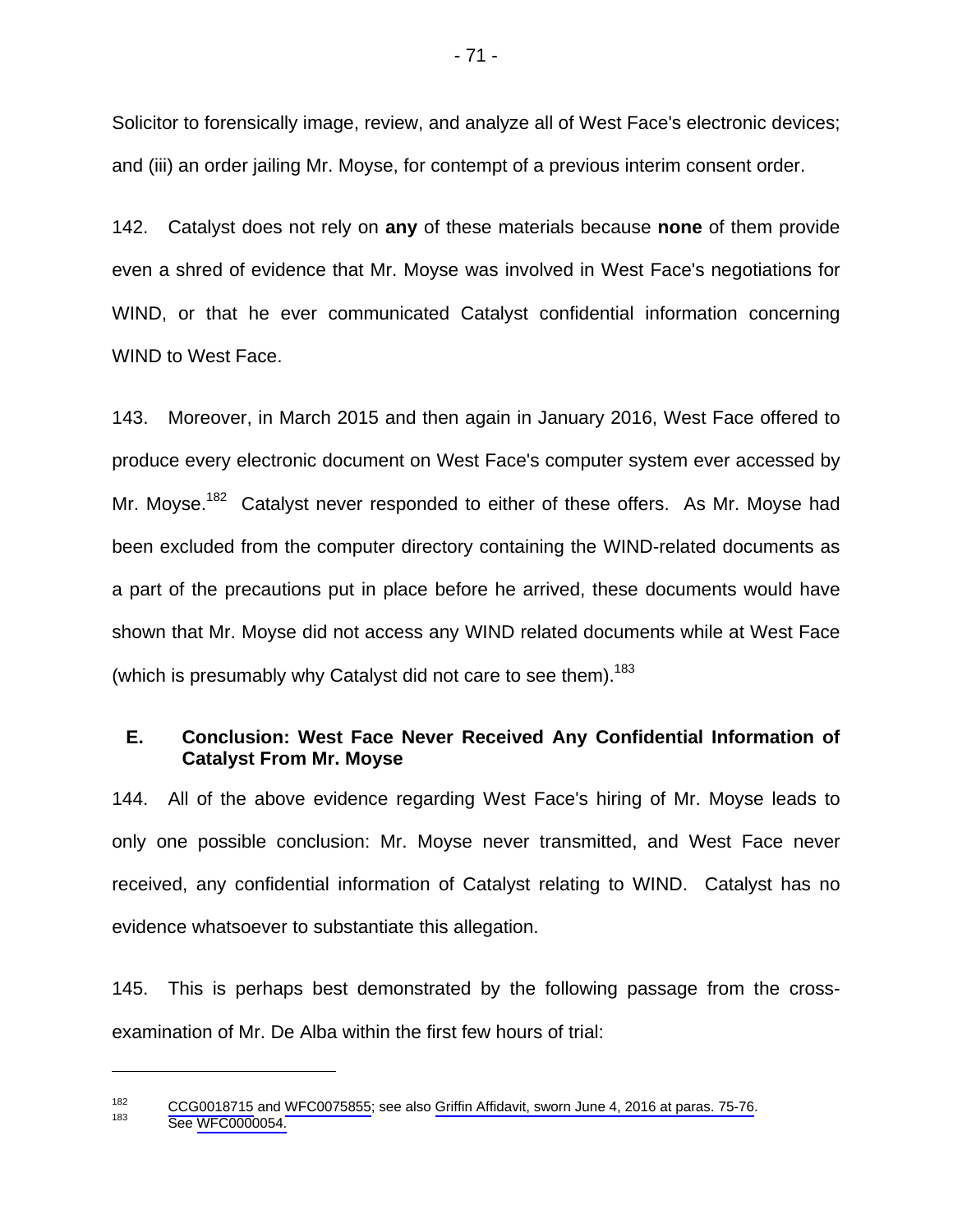Solicitor to forensically image, review, and analyze all of West Face's electronic devices; and (iii) an order jailing Mr. Moyse, for contempt of a previous interim consent order.

142. Catalyst does not rely on **any** of these materials because **none** of them provide even a shred of evidence that Mr. Moyse was involved in West Face's negotiations for WIND, or that he ever communicated Catalyst confidential information concerning WIND to West Face.

143. Moreover, in March 2015 and then again in January 2016, West Face offered to produce every electronic document on West Face's computer system ever accessed by Mr. Moyse.<sup>182</sup> Catalyst never responded to either of these offers. As Mr. Moyse had been excluded from the computer directory containing the WIND-related documents as a part of the precautions put in place before he arrived, these documents would have shown that Mr. Moyse did not access any WIND related documents while at West Face (which is presumably why Catalyst did not care to see them).<sup>183</sup>

# **E. Conclusion: West Face Never Received Any Confidential Information of Catalyst From Mr. Moyse**

144. All of the above evidence regarding West Face's hiring of Mr. Moyse leads to only one possible conclusion: Mr. Moyse never transmitted, and West Face never received, any confidential information of Catalyst relating to WIND. Catalyst has no evidence whatsoever to substantiate this allegation.

145. This is perhaps best demonstrated by the following passage from the crossexamination of Mr. De Alba within the first few hours of trial:

<sup>&</sup>lt;sup>182</sup> [CCG0018715 and WFC0075855;](#page-0-0) see also [Griffin Affidavit, sworn June 4, 2016 at paras. 75-76.](#page-1-0)<br><sup>183</sup> See WFC0000054.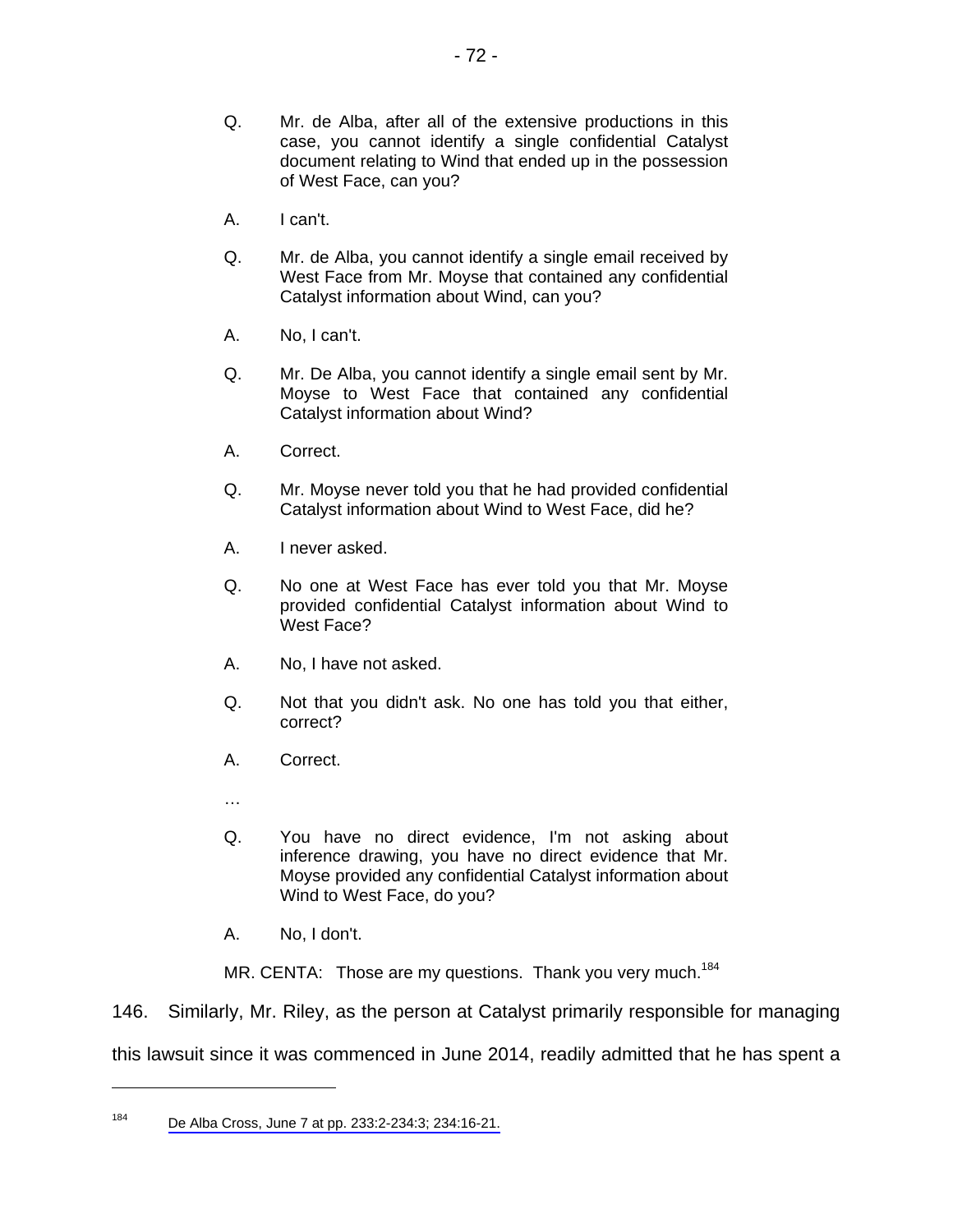- Q. Mr. de Alba, after all of the extensive productions in this case, you cannot identify a single confidential Catalyst document relating to Wind that ended up in the possession of West Face, can you?
- A. I can't.
- Q. Mr. de Alba, you cannot identify a single email received by West Face from Mr. Moyse that contained any confidential Catalyst information about Wind, can you?
- A. No, I can't.
- Q. Mr. De Alba, you cannot identify a single email sent by Mr. Moyse to West Face that contained any confidential Catalyst information about Wind?
- A. Correct.
- Q. Mr. Moyse never told you that he had provided confidential Catalyst information about Wind to West Face, did he?
- A. I never asked.
- Q. No one at West Face has ever told you that Mr. Moyse provided confidential Catalyst information about Wind to West Face?
- A. No, I have not asked.
- Q. Not that you didn't ask. No one has told you that either, correct?
- A. Correct.
- …

 $\overline{a}$ 

- Q. You have no direct evidence, I'm not asking about inference drawing, you have no direct evidence that Mr. Moyse provided any confidential Catalyst information about Wind to West Face, do you?
- A. No, I don't.

MR. CENTA: Those are my questions. Thank you very much.<sup>184</sup>

146. Similarly, Mr. Riley, as the person at Catalyst primarily responsible for managing

this lawsuit since it was commenced in June 2014, readily admitted that he has spent a

<sup>184</sup> [De Alba Cross, June 7 at pp. 233:2-234:3; 234:16-21.](#page-1-0)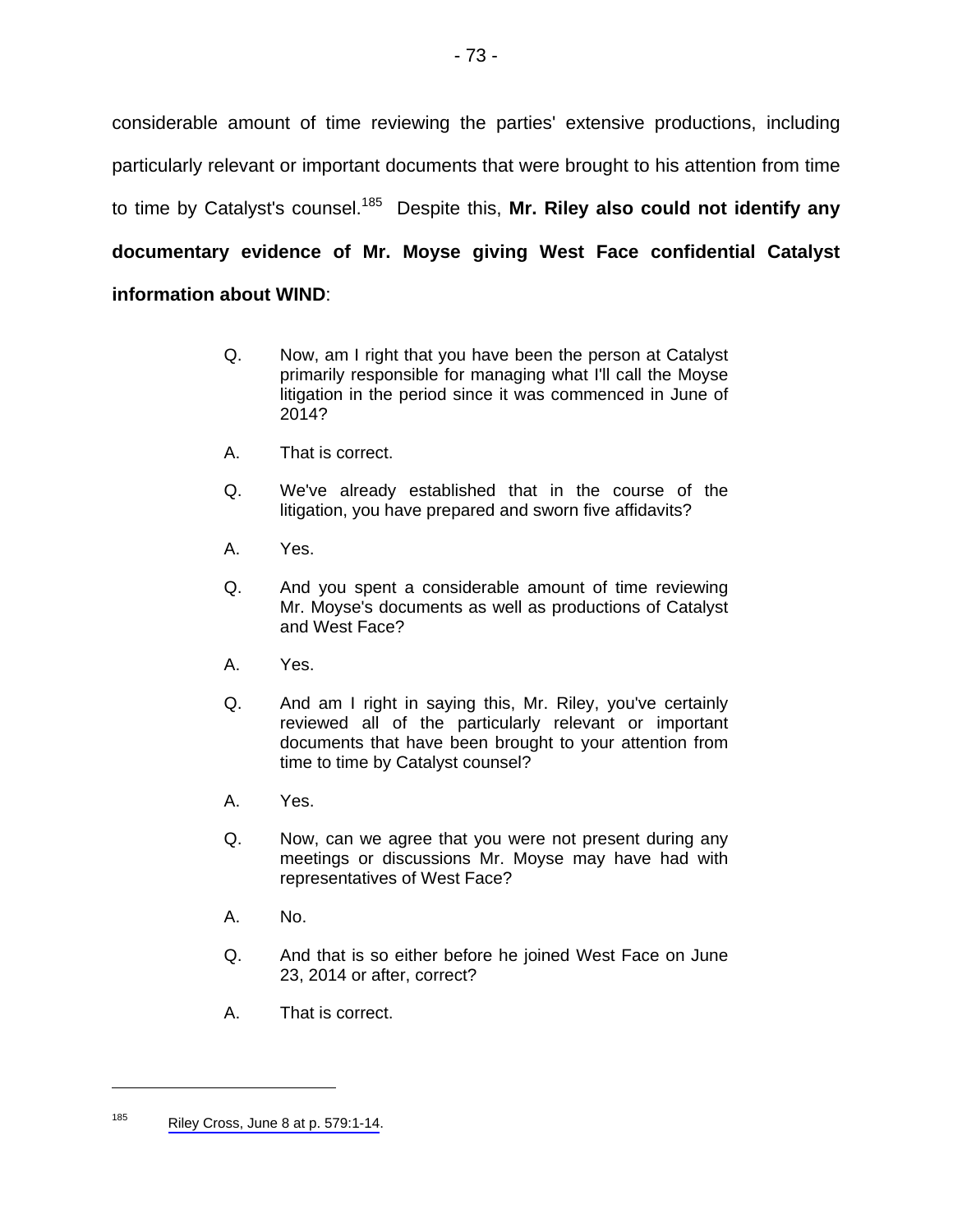considerable amount of time reviewing the parties' extensive productions, including particularly relevant or important documents that were brought to his attention from time to time by Catalyst's counsel.<sup>185</sup> Despite this, Mr. Riley also could not identify any **documentary evidence of Mr. Moyse giving West Face confidential Catalyst information about WIND**:

- Q. Now, am I right that you have been the person at Catalyst primarily responsible for managing what I'll call the Moyse litigation in the period since it was commenced in June of 2014?
- A. That is correct.
- Q. We've already established that in the course of the litigation, you have prepared and sworn five affidavits?
- A. Yes.
- Q. And you spent a considerable amount of time reviewing Mr. Moyse's documents as well as productions of Catalyst and West Face?
- A. Yes.
- Q. And am I right in saying this, Mr. Riley, you've certainly reviewed all of the particularly relevant or important documents that have been brought to your attention from time to time by Catalyst counsel?
- A. Yes.
- Q. Now, can we agree that you were not present during any meetings or discussions Mr. Moyse may have had with representatives of West Face?
- A. No.
- Q. And that is so either before he joined West Face on June 23, 2014 or after, correct?
- A. That is correct.

 $185$  [Riley Cross, June 8 at p. 579:1-14](#page-1-0).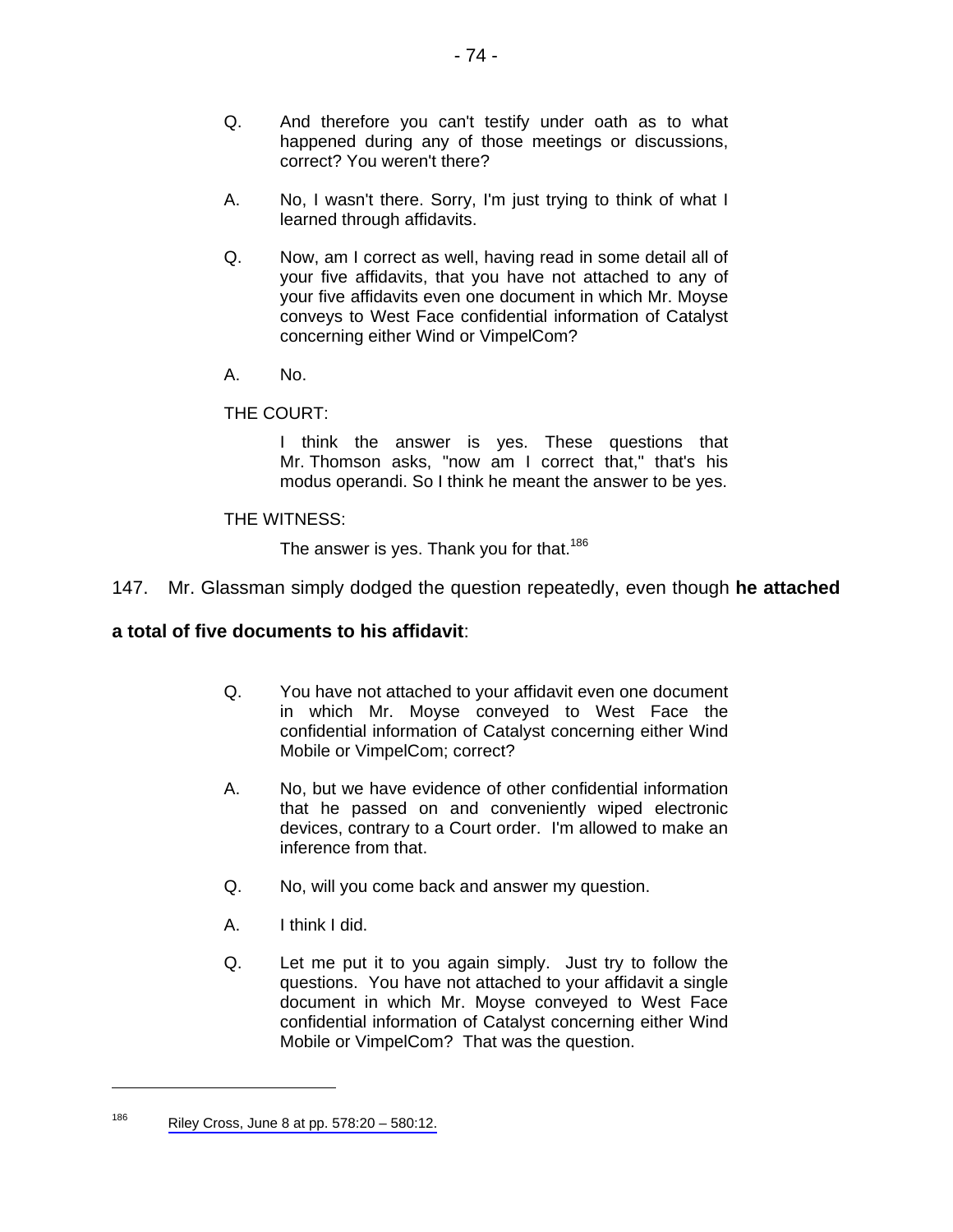- Q. And therefore you can't testify under oath as to what happened during any of those meetings or discussions, correct? You weren't there?
- A. No, I wasn't there. Sorry, I'm just trying to think of what I learned through affidavits.
- Q. Now, am I correct as well, having read in some detail all of your five affidavits, that you have not attached to any of your five affidavits even one document in which Mr. Moyse conveys to West Face confidential information of Catalyst concerning either Wind or VimpelCom?
- A. No.

## THE COURT:

 I think the answer is yes. These questions that Mr. Thomson asks, "now am I correct that," that's his modus operandi. So I think he meant the answer to be yes.

### THE WITNESS:

The answer is yes. Thank you for that.<sup>186</sup>

## 147. Mr. Glassman simply dodged the question repeatedly, even though **he attached**

## **a total of five documents to his affidavit**:

- Q. You have not attached to your affidavit even one document in which Mr. Moyse conveyed to West Face the confidential information of Catalyst concerning either Wind Mobile or VimpelCom; correct?
- A. No, but we have evidence of other confidential information that he passed on and conveniently wiped electronic devices, contrary to a Court order. I'm allowed to make an inference from that.
- Q. No, will you come back and answer my question.
- A. I think I did.
- Q. Let me put it to you again simply. Just try to follow the questions. You have not attached to your affidavit a single document in which Mr. Moyse conveyed to West Face confidential information of Catalyst concerning either Wind Mobile or VimpelCom? That was the question.

 $186$  [Riley Cross, June 8 at pp. 578:20 – 580:12.](#page-1-0)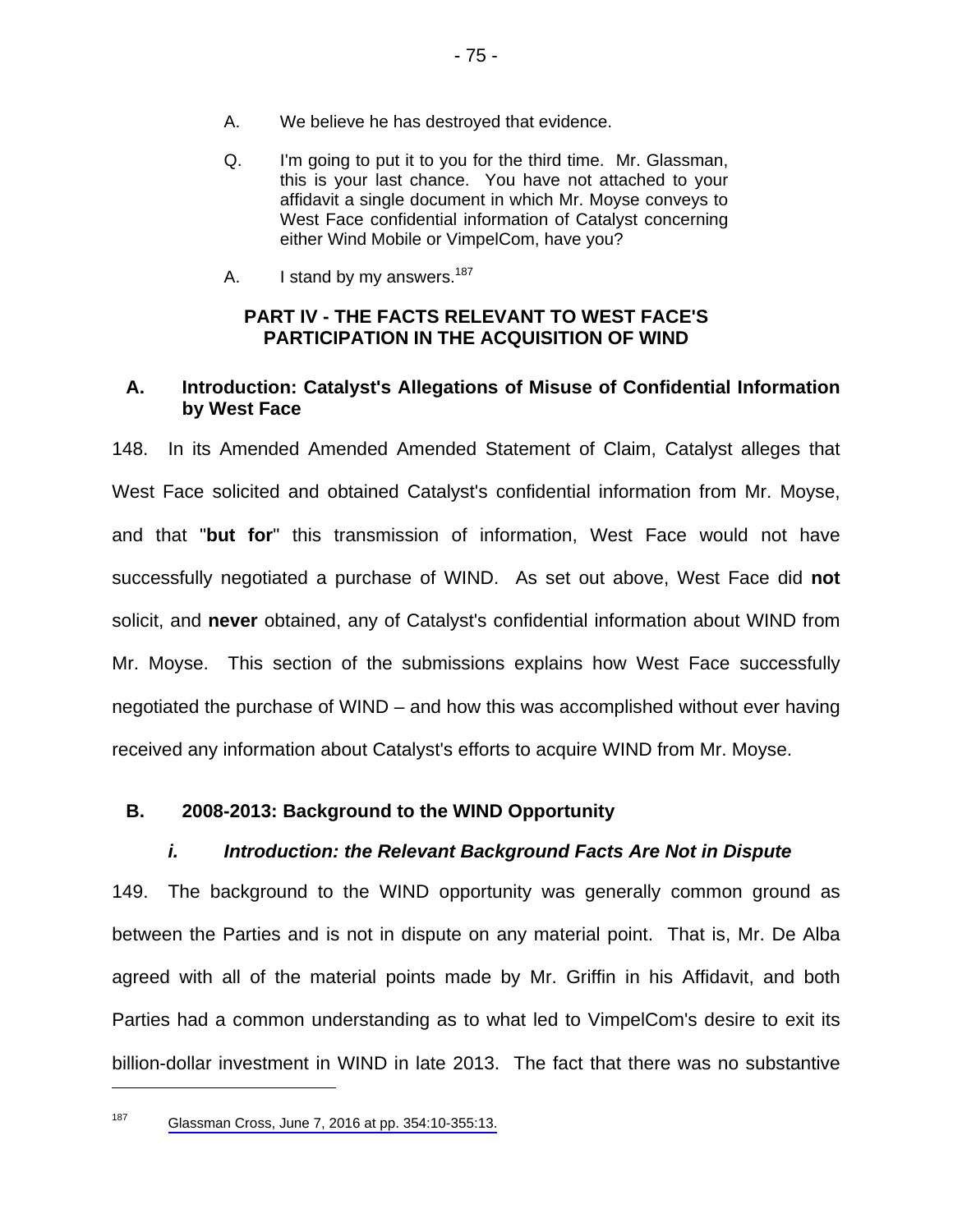- A. We believe he has destroyed that evidence.
- Q. I'm going to put it to you for the third time. Mr. Glassman, this is your last chance. You have not attached to your affidavit a single document in which Mr. Moyse conveys to West Face confidential information of Catalyst concerning either Wind Mobile or VimpelCom, have you?
- A. I stand by my answers.<sup>187</sup>

## **PART IV - THE FACTS RELEVANT TO WEST FACE'S PARTICIPATION IN THE ACQUISITION OF WIND**

# **A. Introduction: Catalyst's Allegations of Misuse of Confidential Information by West Face**

148. In its Amended Amended Amended Statement of Claim, Catalyst alleges that West Face solicited and obtained Catalyst's confidential information from Mr. Moyse, and that "**but for**" this transmission of information, West Face would not have successfully negotiated a purchase of WIND. As set out above, West Face did **not** solicit, and **never** obtained, any of Catalyst's confidential information about WIND from Mr. Moyse. This section of the submissions explains how West Face successfully negotiated the purchase of WIND – and how this was accomplished without ever having received any information about Catalyst's efforts to acquire WIND from Mr. Moyse.

## **B. 2008-2013: Background to the WIND Opportunity**

## *i. Introduction: the Relevant Background Facts Are Not in Dispute*

149. The background to the WIND opportunity was generally common ground as between the Parties and is not in dispute on any material point. That is, Mr. De Alba agreed with all of the material points made by Mr. Griffin in his Affidavit, and both Parties had a common understanding as to what led to VimpelCom's desire to exit its billion-dollar investment in WIND in late 2013. The fact that there was no substantive

<sup>187</sup> [Glassman Cross, June 7, 2016 at pp. 354:10-355:13.](#page-1-0)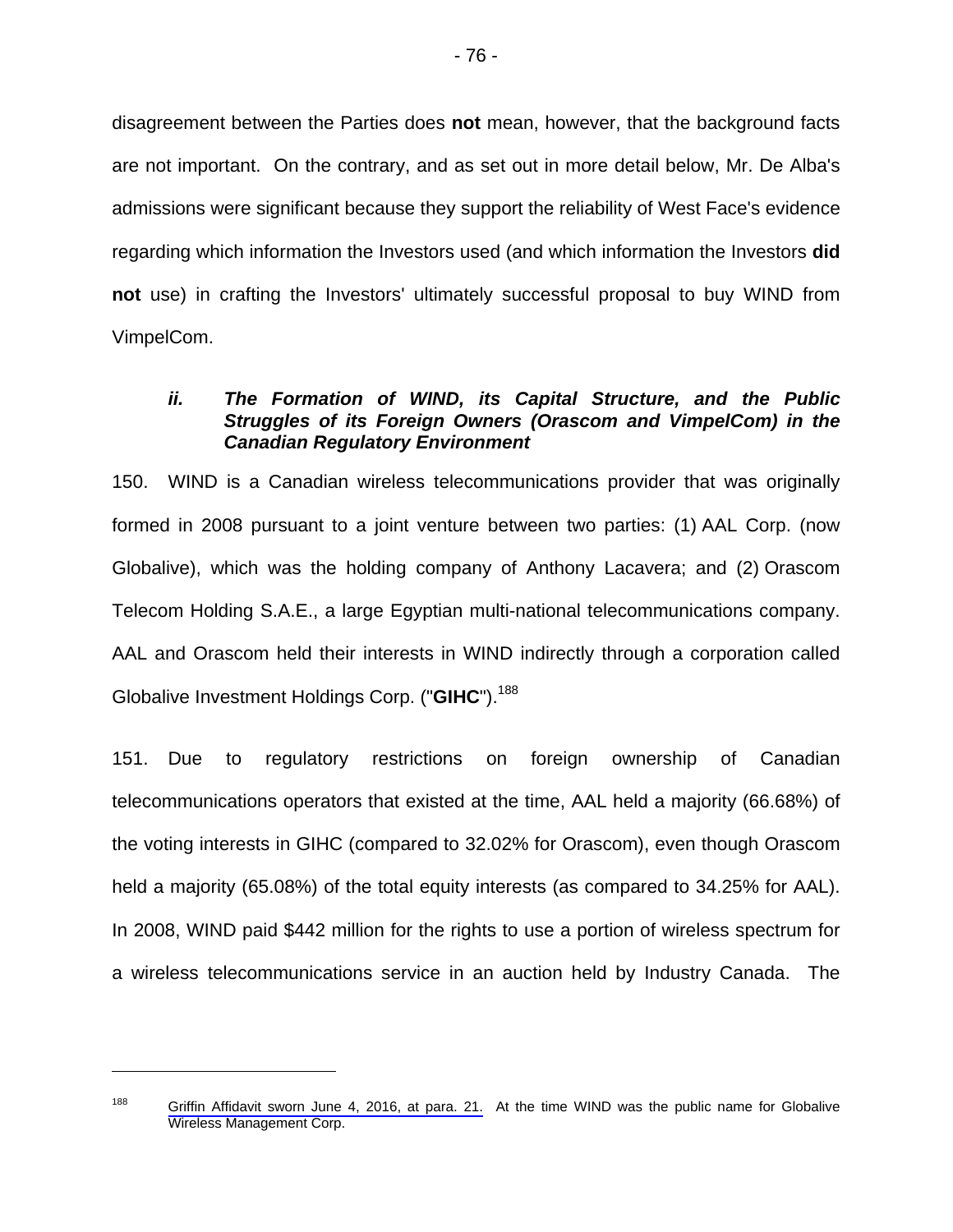disagreement between the Parties does **not** mean, however, that the background facts are not important. On the contrary, and as set out in more detail below, Mr. De Alba's admissions were significant because they support the reliability of West Face's evidence regarding which information the Investors used (and which information the Investors **did not** use) in crafting the Investors' ultimately successful proposal to buy WIND from VimpelCom.

### *ii. The Formation of WIND, its Capital Structure, and the Public Struggles of its Foreign Owners (Orascom and VimpelCom) in the Canadian Regulatory Environment*

150. WIND is a Canadian wireless telecommunications provider that was originally formed in 2008 pursuant to a joint venture between two parties: (1) AAL Corp. (now Globalive), which was the holding company of Anthony Lacavera; and (2) Orascom Telecom Holding S.A.E., a large Egyptian multi-national telecommunications company. AAL and Orascom held their interests in WIND indirectly through a corporation called Globalive Investment Holdings Corp. ("**GIHC**").<sup>188</sup>

151. Due to regulatory restrictions on foreign ownership of Canadian telecommunications operators that existed at the time, AAL held a majority (66.68%) of the voting interests in GIHC (compared to 32.02% for Orascom), even though Orascom held a majority (65.08%) of the total equity interests (as compared to 34.25% for AAL). In 2008, WIND paid \$442 million for the rights to use a portion of wireless spectrum for a wireless telecommunications service in an auction held by Industry Canada. The

<sup>&</sup>lt;sup>188</sup> [Griffin Affidavit sworn June 4, 2016, at para. 21.](#page-1-0) At the time WIND was the public name for Globalive Wireless Management Corp.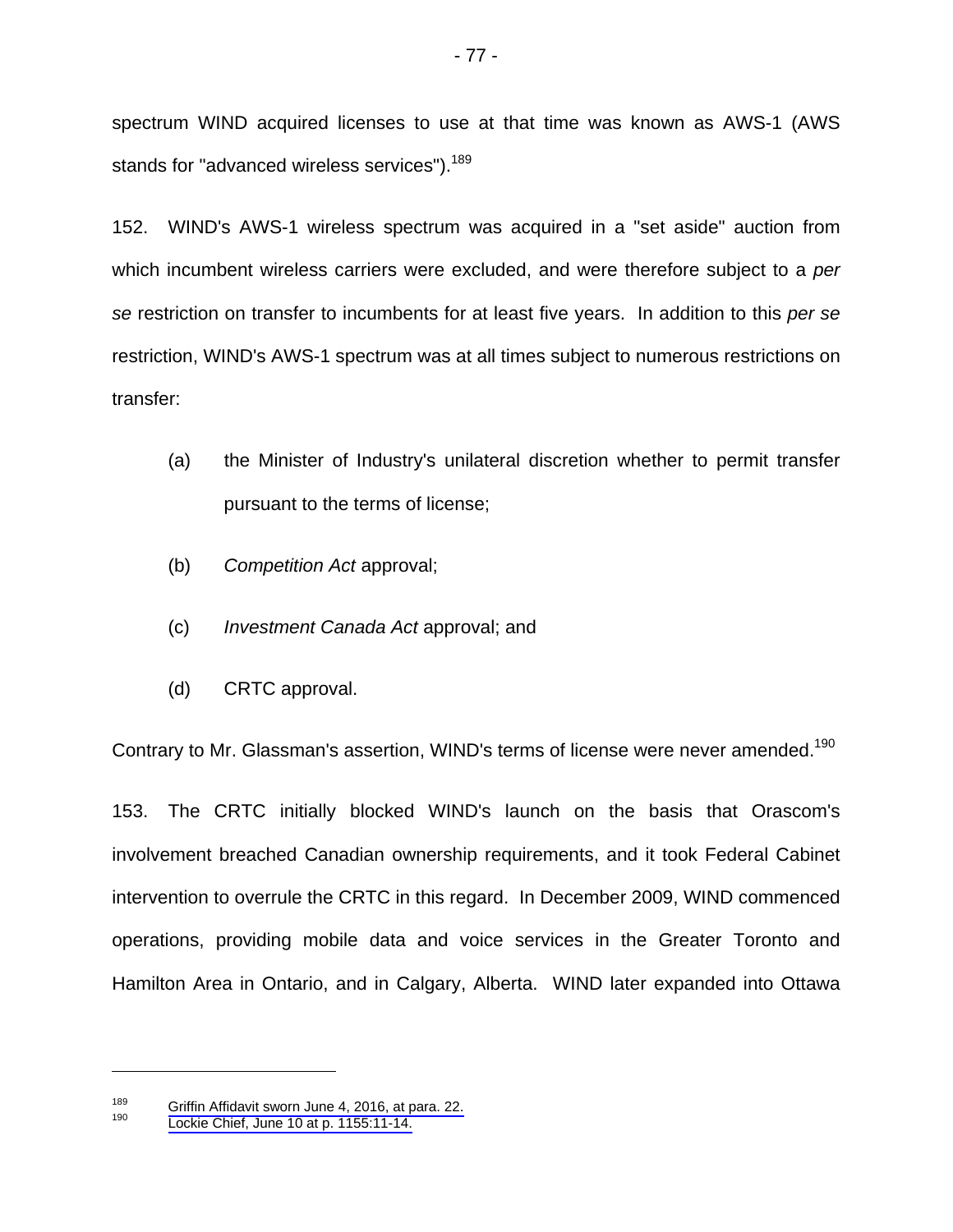spectrum WIND acquired licenses to use at that time was known as AWS-1 (AWS stands for "advanced wireless services").<sup>189</sup>

152. WIND's AWS-1 wireless spectrum was acquired in a "set aside" auction from which incumbent wireless carriers were excluded, and were therefore subject to a *per se* restriction on transfer to incumbents for at least five years. In addition to this *per se* restriction, WIND's AWS-1 spectrum was at all times subject to numerous restrictions on transfer:

- (a) the Minister of Industry's unilateral discretion whether to permit transfer pursuant to the terms of license;
- (b) *Competition Act* approval;
- (c) *Investment Canada Act* approval; and
- (d) CRTC approval.

Contrary to Mr. Glassman's assertion, WIND's terms of license were never amended.<sup>190</sup>

153. The CRTC initially blocked WIND's launch on the basis that Orascom's involvement breached Canadian ownership requirements, and it took Federal Cabinet intervention to overrule the CRTC in this regard. In December 2009, WIND commenced operations, providing mobile data and voice services in the Greater Toronto and Hamilton Area in Ontario, and in Calgary, Alberta. WIND later expanded into Ottawa

<sup>&</sup>lt;sup>189</sup> [Griffin Affidavit sworn June 4, 2016, at para. 22.](#page-1-0)<br><sup>190</sup> Lockie Chief, June 10 at p. 1155:11-14.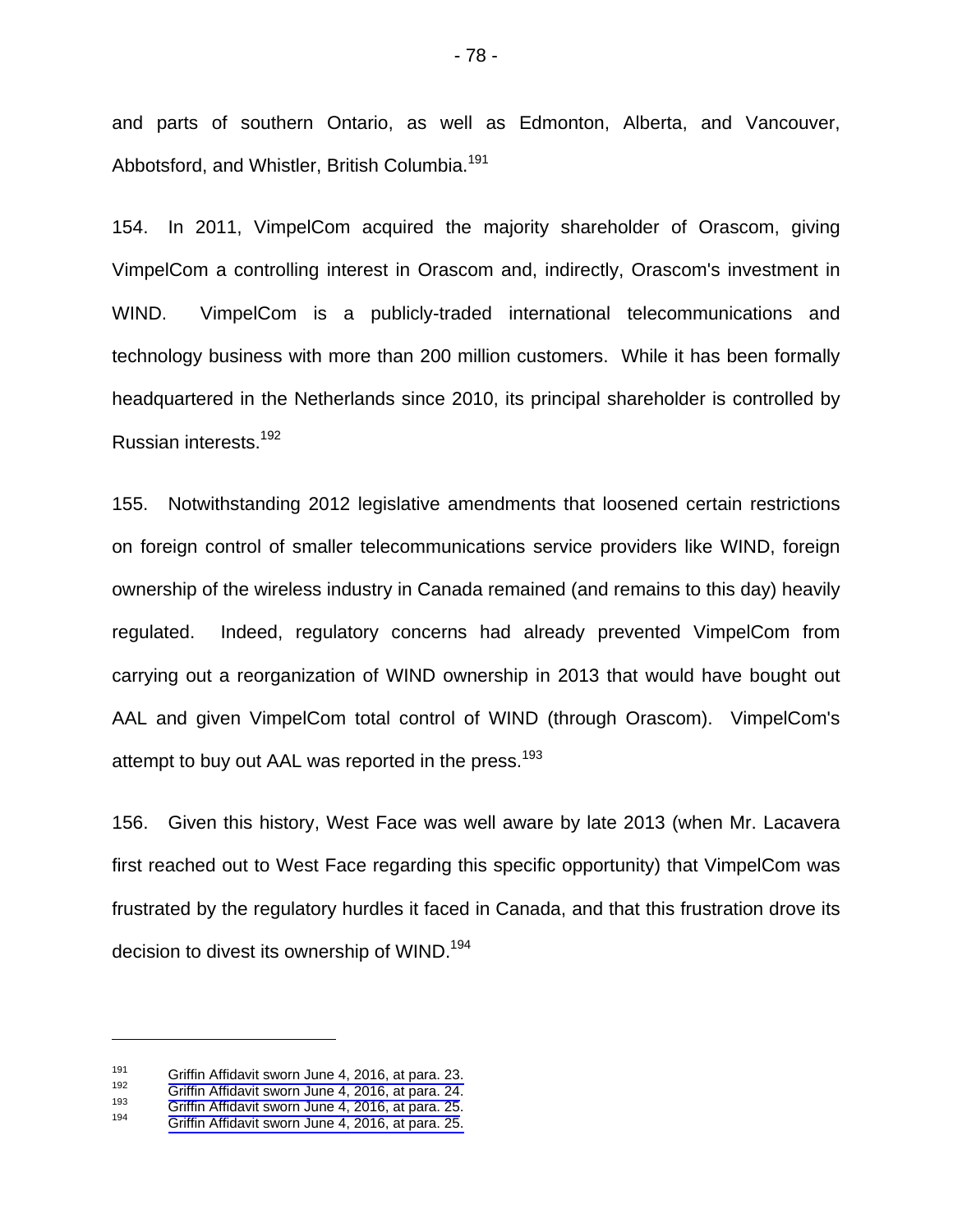and parts of southern Ontario, as well as Edmonton, Alberta, and Vancouver, Abbotsford, and Whistler, British Columbia.<sup>191</sup>

154. In 2011, VimpelCom acquired the majority shareholder of Orascom, giving VimpelCom a controlling interest in Orascom and, indirectly, Orascom's investment in WIND. VimpelCom is a publicly-traded international telecommunications and technology business with more than 200 million customers. While it has been formally headquartered in the Netherlands since 2010, its principal shareholder is controlled by Russian interests.192

155. Notwithstanding 2012 legislative amendments that loosened certain restrictions on foreign control of smaller telecommunications service providers like WIND, foreign ownership of the wireless industry in Canada remained (and remains to this day) heavily regulated. Indeed, regulatory concerns had already prevented VimpelCom from carrying out a reorganization of WIND ownership in 2013 that would have bought out AAL and given VimpelCom total control of WIND (through Orascom). VimpelCom's attempt to buy out AAL was reported in the press.<sup>193</sup>

156. Given this history, West Face was well aware by late 2013 (when Mr. Lacavera first reached out to West Face regarding this specific opportunity) that VimpelCom was frustrated by the regulatory hurdles it faced in Canada, and that this frustration drove its decision to divest its ownership of WIND.<sup>194</sup>

<sup>191</sup> [Griffin Affidavit sworn June 4, 2016, at para. 23.](#page-1-0)<br>
192 [Griffin Affidavit sworn June 4, 2016, at para. 24.](#page-1-0)<br>
194 [Griffin Affidavit sworn June 4, 2016, at para. 25.](#page-1-0)<br>
194 Griffin Affidavit sworn June 4, 2016, at para. 25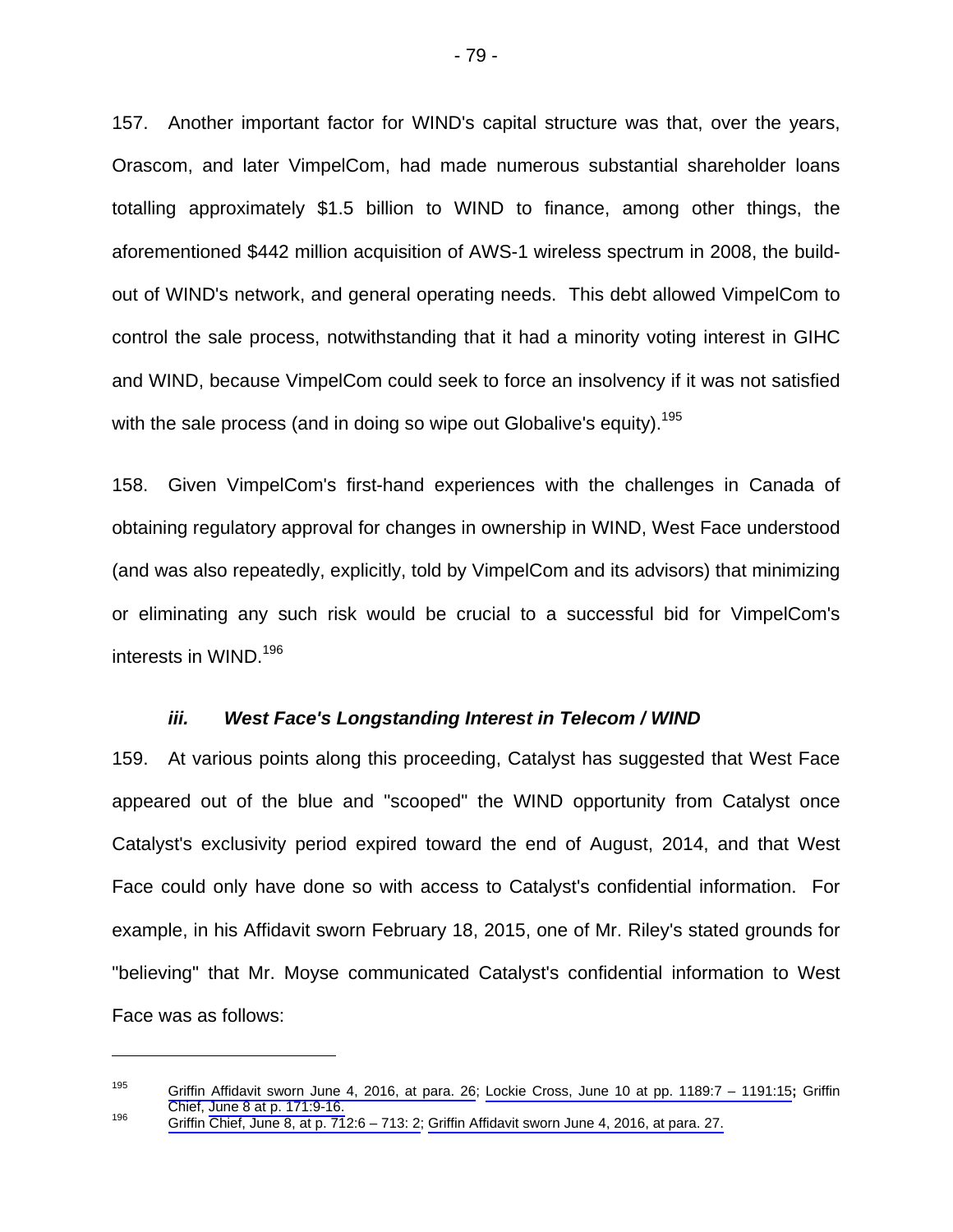157. Another important factor for WIND's capital structure was that, over the years, Orascom, and later VimpelCom, had made numerous substantial shareholder loans totalling approximately \$1.5 billion to WIND to finance, among other things, the aforementioned \$442 million acquisition of AWS-1 wireless spectrum in 2008, the buildout of WIND's network, and general operating needs. This debt allowed VimpelCom to control the sale process, notwithstanding that it had a minority voting interest in GIHC and WIND, because VimpelCom could seek to force an insolvency if it was not satisfied with the sale process (and in doing so wipe out Globalive's equity).<sup>195</sup>

158. Given VimpelCom's first-hand experiences with the challenges in Canada of obtaining regulatory approval for changes in ownership in WIND, West Face understood (and was also repeatedly, explicitly, told by VimpelCom and its advisors) that minimizing or eliminating any such risk would be crucial to a successful bid for VimpelCom's interests in WIND.<sup>196</sup>

#### *iii. West Face's Longstanding Interest in Telecom / WIND*

159. At various points along this proceeding, Catalyst has suggested that West Face appeared out of the blue and "scooped" the WIND opportunity from Catalyst once Catalyst's exclusivity period expired toward the end of August, 2014, and that West Face could only have done so with access to Catalyst's confidential information. For example, in his Affidavit sworn February 18, 2015, one of Mr. Riley's stated grounds for "believing" that Mr. Moyse communicated Catalyst's confidential information to West Face was as follows:

<sup>195</sup> [Griffin Affidavit sworn June 4, 2016, at para. 26;](#page-1-0) [Lockie Cross, June 10 at pp. 1189:7 – 1191:15](#page-1-0)**;** Griffin Chief, [June 8 at p. 171:9-16.](#page-1-0)<br><sup>196</sup> [Griffin Chief, June 8, at p. 712:6 – 713: 2](#page-1-0); [Griffin Affidavit sworn June 4, 2016, at para. 27.](#page-1-0)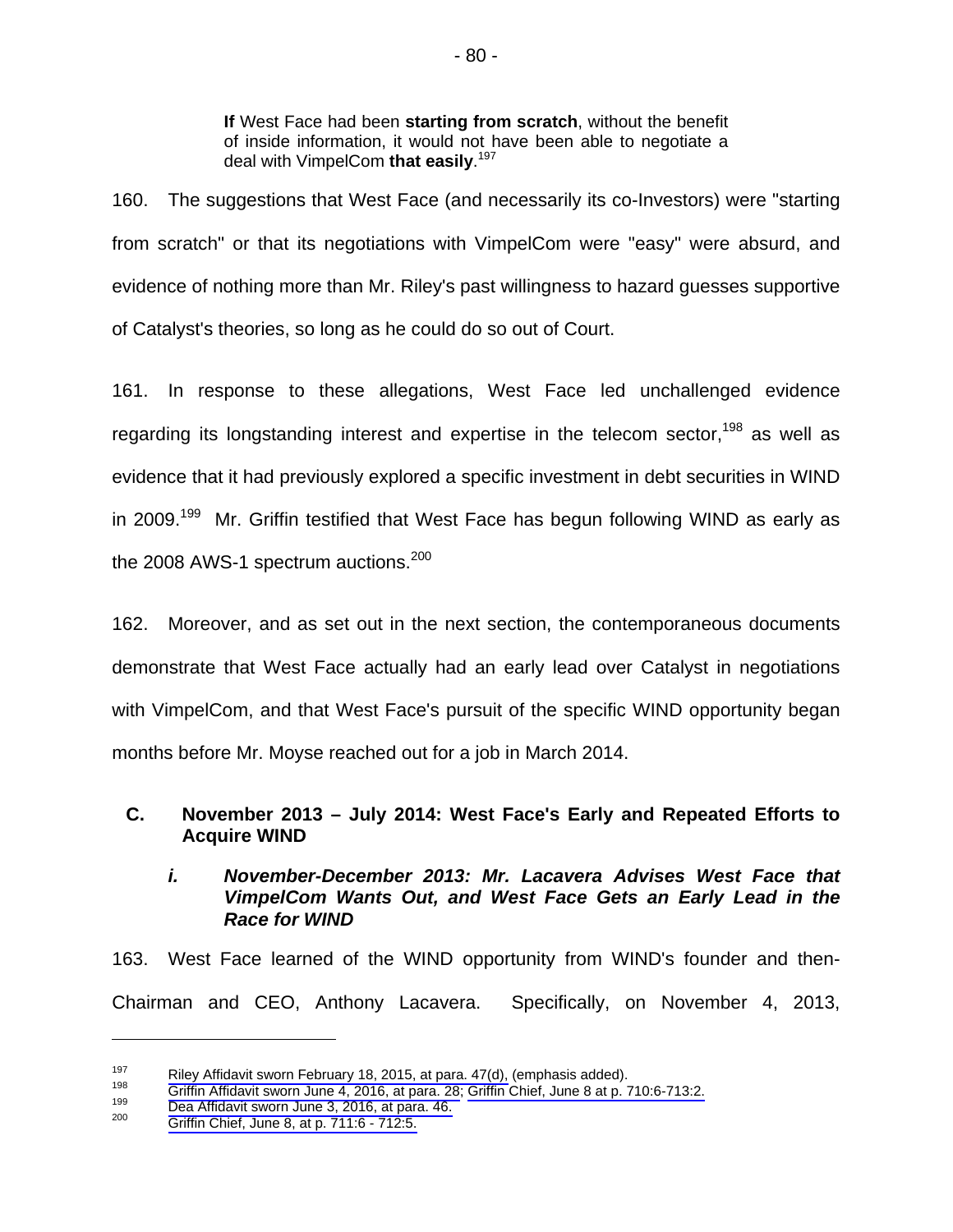**If** West Face had been **starting from scratch**, without the benefit of inside information, it would not have been able to negotiate a deal with VimpelCom **that easily**. 197

160. The suggestions that West Face (and necessarily its co-Investors) were "starting from scratch" or that its negotiations with VimpelCom were "easy" were absurd, and evidence of nothing more than Mr. Riley's past willingness to hazard guesses supportive of Catalyst's theories, so long as he could do so out of Court.

161. In response to these allegations, West Face led unchallenged evidence regarding its longstanding interest and expertise in the telecom sector,  $198$  as well as evidence that it had previously explored a specific investment in debt securities in WIND in 2009.<sup>199</sup> Mr. Griffin testified that West Face has begun following WIND as early as the 2008 AWS-1 spectrum auctions.<sup>200</sup>

162. Moreover, and as set out in the next section, the contemporaneous documents demonstrate that West Face actually had an early lead over Catalyst in negotiations with VimpelCom, and that West Face's pursuit of the specific WIND opportunity began months before Mr. Moyse reached out for a job in March 2014.

## **C. November 2013 – July 2014: West Face's Early and Repeated Efforts to Acquire WIND**

### *i. November-December 2013: Mr. Lacavera Advises West Face that VimpelCom Wants Out, and West Face Gets an Early Lead in the Race for WIND*

163. West Face learned of the WIND opportunity from WIND's founder and then-Chairman and CEO, Anthony Lacavera. Specifically, on November 4, 2013,

<sup>&</sup>lt;sup>197</sup> Riley Affidavit sworn February 18, 2015, at para. 47(d), (emphasis added).<br>
198 [Griffin Affidavit sworn June 4, 2016, at para. 28;](#page-1-0) [Griffin Chief, June 8 at p. 710:6-713:2.](#page-1-0)<br>
199 Dea Affidavit sworn June 3, 2016, at p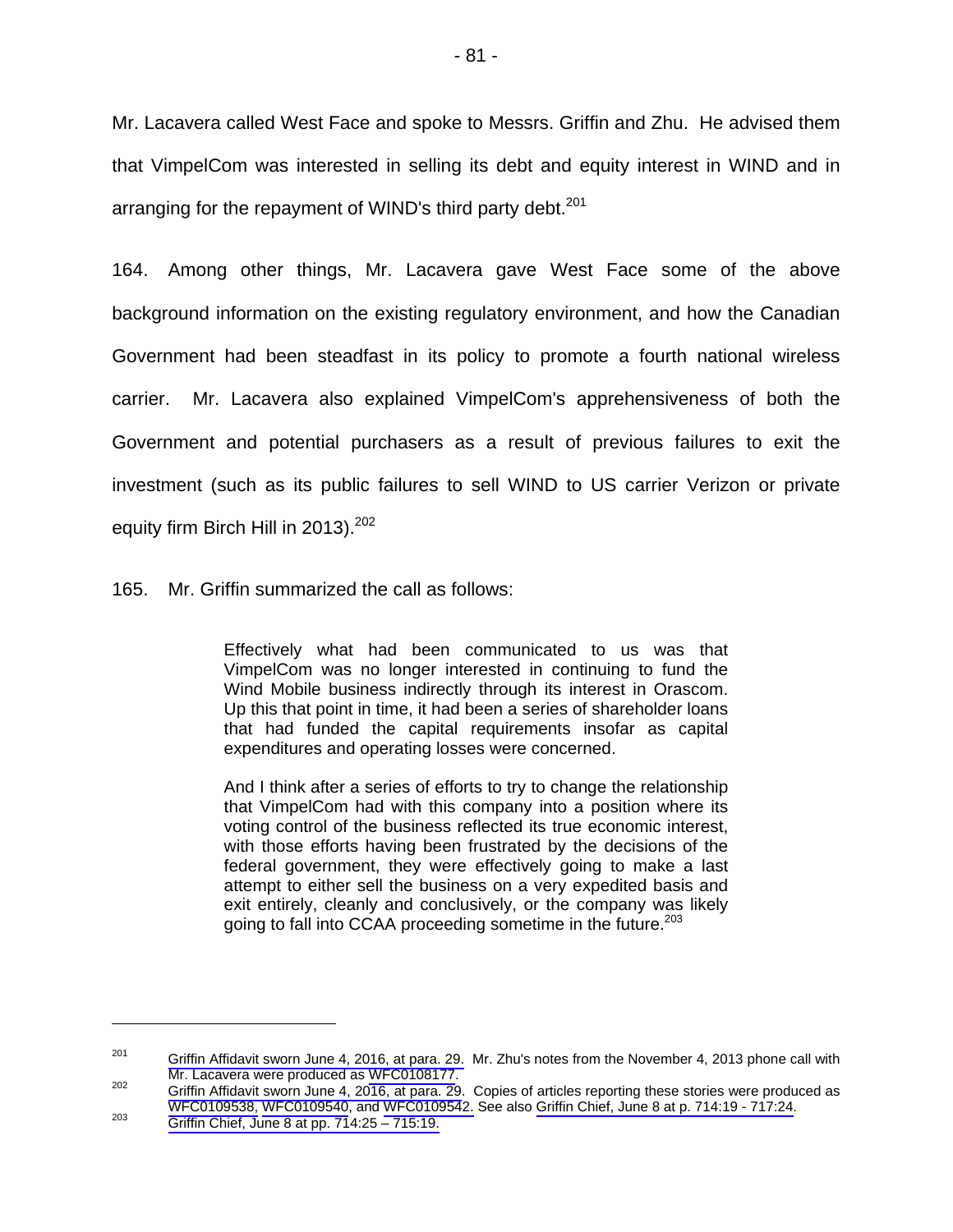Mr. Lacavera called West Face and spoke to Messrs. Griffin and Zhu. He advised them that VimpelCom was interested in selling its debt and equity interest in WIND and in arranging for the repayment of WIND's third party debt. $201$ 

164. Among other things, Mr. Lacavera gave West Face some of the above background information on the existing regulatory environment, and how the Canadian Government had been steadfast in its policy to promote a fourth national wireless carrier. Mr. Lacavera also explained VimpelCom's apprehensiveness of both the Government and potential purchasers as a result of previous failures to exit the investment (such as its public failures to sell WIND to US carrier Verizon or private equity firm Birch Hill in 2013).<sup>202</sup>

165. Mr. Griffin summarized the call as follows:

Effectively what had been communicated to us was that VimpelCom was no longer interested in continuing to fund the Wind Mobile business indirectly through its interest in Orascom. Up this that point in time, it had been a series of shareholder loans that had funded the capital requirements insofar as capital expenditures and operating losses were concerned.

And I think after a series of efforts to try to change the relationship that VimpelCom had with this company into a position where its voting control of the business reflected its true economic interest, with those efforts having been frustrated by the decisions of the federal government, they were effectively going to make a last attempt to either sell the business on a very expedited basis and exit entirely, cleanly and conclusively, or the company was likely going to fall into CCAA proceeding sometime in the future.<sup>203</sup>

 $201$  [Griffin Affidavit sworn June 4, 2016, at para. 29.](#page-1-0) Mr. Zhu's notes from the November 4, 2013 phone call with [Mr. Lacavera were produced as](#page-1-0) [WFC0108177.](#page-0-0)<br><sup>202</sup>[Griffin Affidavit sworn June 4, 2016, at para. 29.](#page-1-0) Copies of articles reporting these stories were produced as

[WFC0109538,](#page-0-0)[WFC0109540](#page-0-0)[, and](#page-1-0) [WFC0109542.](#page-0-0) See also [Griffin Chief, June 8 at p. 714:19 - 717:24.](#page-1-0)<br>
Griffin Chief, June 8 at pp. 714:25 – 715:19.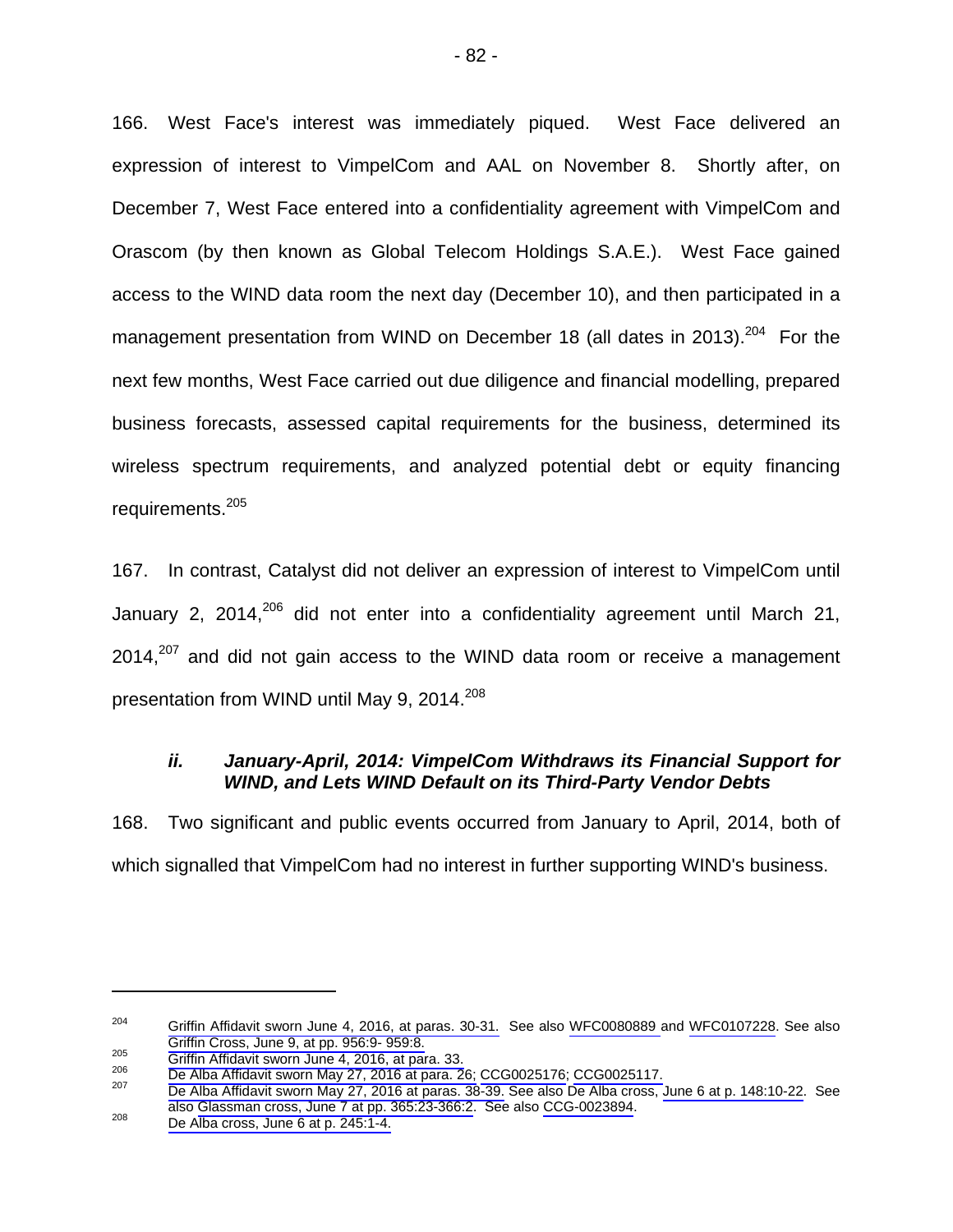166. West Face's interest was immediately piqued. West Face delivered an expression of interest to VimpelCom and AAL on November 8. Shortly after, on December 7, West Face entered into a confidentiality agreement with VimpelCom and Orascom (by then known as Global Telecom Holdings S.A.E.). West Face gained access to the WIND data room the next day (December 10), and then participated in a management presentation from WIND on December 18 (all dates in 2013).<sup>204</sup> For the next few months, West Face carried out due diligence and financial modelling, prepared business forecasts, assessed capital requirements for the business, determined its wireless spectrum requirements, and analyzed potential debt or equity financing requirements.<sup>205</sup>

167. In contrast, Catalyst did not deliver an expression of interest to VimpelCom until January 2, 2014,<sup>206</sup> did not enter into a confidentiality agreement until March 21,  $2014$ ,<sup>207</sup> and did not gain access to the WIND data room or receive a management presentation from WIND until May 9, 2014.<sup>208</sup>

# *ii. January-April, 2014: VimpelCom Withdraws its Financial Support for WIND, and Lets WIND Default on its Third-Party Vendor Debts*

168. Two significant and public events occurred from January to April, 2014, both of which signalled that VimpelCom had no interest in further supporting WIND's business.

 $204$  [Griffin Affidavit sworn June 4, 2016, at paras. 30-31.](#page-1-0) See also [WFC0080889 a](#page-0-0)nd [WFC0107228](#page-0-0). See also Griffin Cross, June 9, at pp. 956:9- 959:8.<br>
205 Griffin Affidavit sworn June 4, 2016, at para. 33.<br>
206 [De Alba Affidavit sworn May 27, 2016 at para. 26;](#page-1-0) [CCG0025176;](#page-0-0) [CCG0025117.](#page-0-0)<br>
207De Alba Affidavit sworn May 27, 2016 a

[also Glassman cross, June 7 at pp. 365:23-366:2](#page-1-0). See also [CCG-0023894](#page-0-0).<br><sup>208</sup> De Alba cross, June 6 at p. 245:1-4.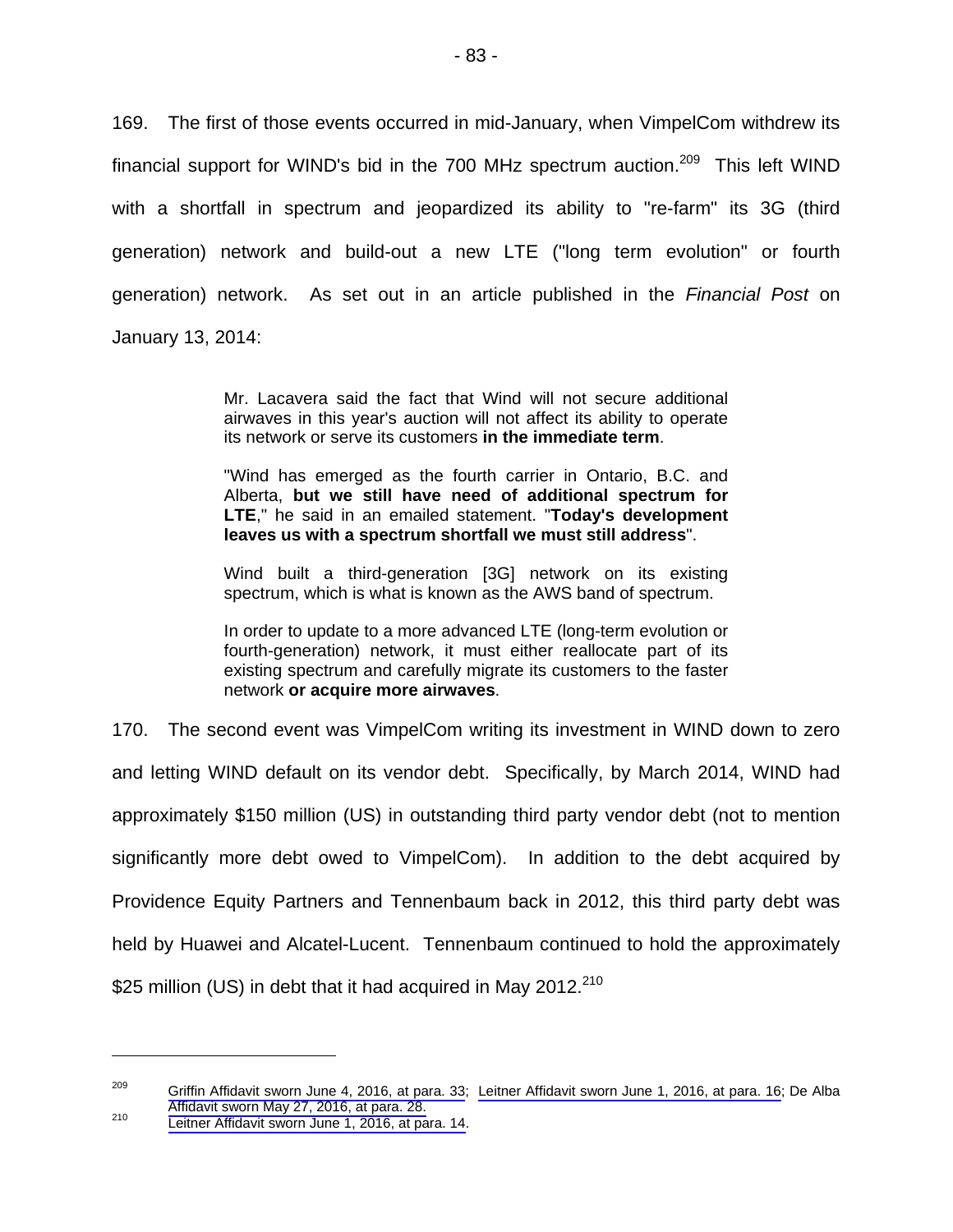169. The first of those events occurred in mid-January, when VimpelCom withdrew its financial support for WIND's bid in the 700 MHz spectrum auction. $^{209}$  This left WIND with a shortfall in spectrum and jeopardized its ability to "re-farm" its 3G (third generation) network and build-out a new LTE ("long term evolution" or fourth generation) network. As set out in an article published in the *Financial Post* on January 13, 2014:

> Mr. Lacavera said the fact that Wind will not secure additional airwaves in this year's auction will not affect its ability to operate its network or serve its customers **in the immediate term**.

> "Wind has emerged as the fourth carrier in Ontario, B.C. and Alberta, **but we still have need of additional spectrum for LTE**," he said in an emailed statement. "**Today's development leaves us with a spectrum shortfall we must still address**".

> Wind built a third-generation [3G] network on its existing spectrum, which is what is known as the AWS band of spectrum.

> In order to update to a more advanced LTE (long-term evolution or fourth-generation) network, it must either reallocate part of its existing spectrum and carefully migrate its customers to the faster network **or acquire more airwaves**.

170. The second event was VimpelCom writing its investment in WIND down to zero and letting WIND default on its vendor debt. Specifically, by March 2014, WIND had approximately \$150 million (US) in outstanding third party vendor debt (not to mention significantly more debt owed to VimpelCom). In addition to the debt acquired by Providence Equity Partners and Tennenbaum back in 2012, this third party debt was held by Huawei and Alcatel-Lucent. Tennenbaum continued to hold the approximately \$25 million (US) in debt that it had acquired in May 2012.<sup>210</sup>

<sup>&</sup>lt;sup>209</sup> [Griffin Affidavit sworn June 4, 2016, at para. 33](#page-1-0); [Leitner Affidavit sworn June 1, 2016, at para. 16](#page-1-0); De Alba<br>Affidavit sworn May 27, 2016, at para. 28.

[Affidavit sworn May 27, 2016, at para. 28.](#page-1-0) 210 [Leitner Affidavit sworn June 1, 2016, at para. 14](#page-1-0).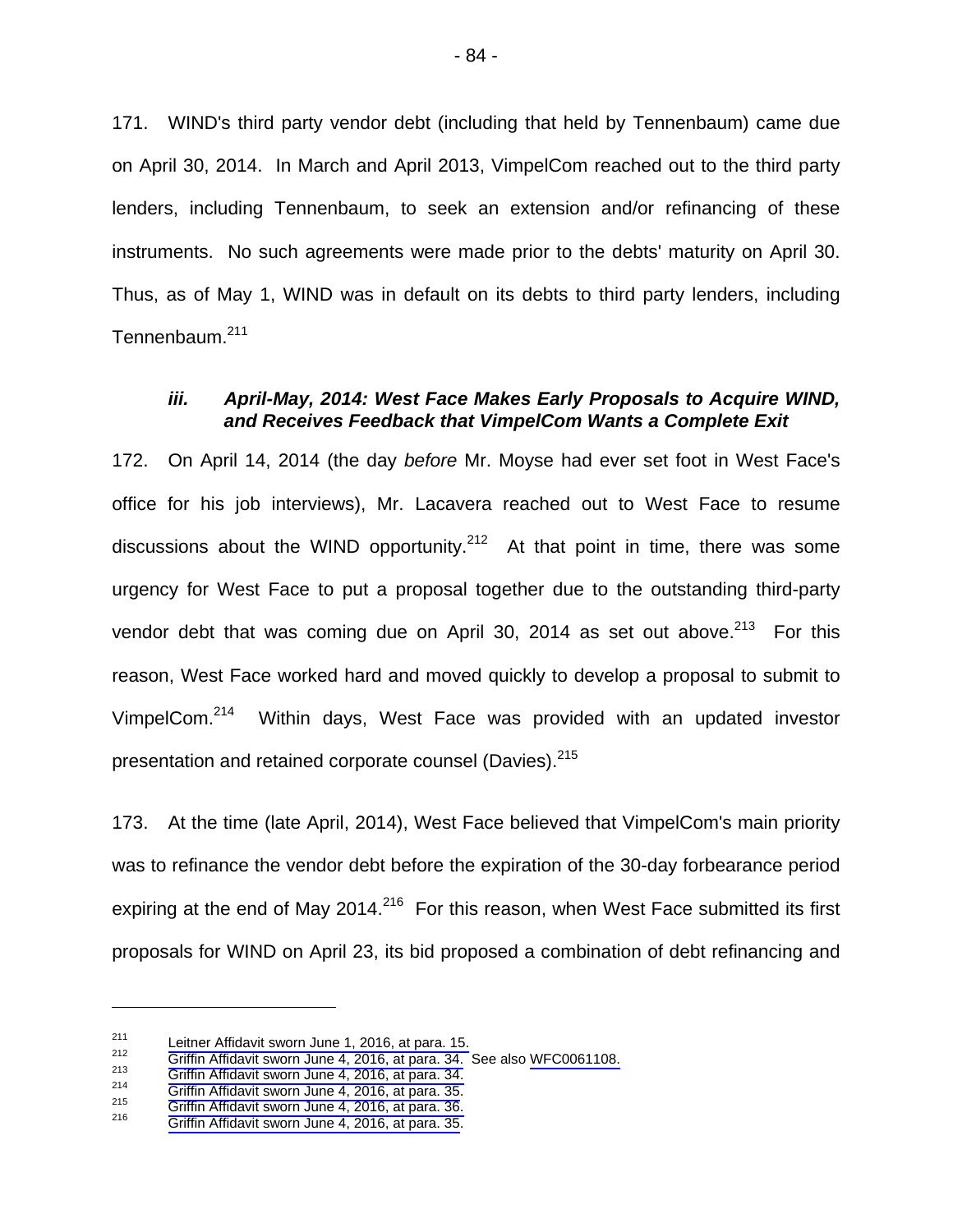171. WIND's third party vendor debt (including that held by Tennenbaum) came due on April 30, 2014. In March and April 2013, VimpelCom reached out to the third party lenders, including Tennenbaum, to seek an extension and/or refinancing of these instruments. No such agreements were made prior to the debts' maturity on April 30. Thus, as of May 1, WIND was in default on its debts to third party lenders, including Tennenbaum.211

#### *iii. April-May, 2014: West Face Makes Early Proposals to Acquire WIND, and Receives Feedback that VimpelCom Wants a Complete Exit*

172. On April 14, 2014 (the day *before* Mr. Moyse had ever set foot in West Face's office for his job interviews), Mr. Lacavera reached out to West Face to resume discussions about the WIND opportunity.<sup>212</sup> At that point in time, there was some urgency for West Face to put a proposal together due to the outstanding third-party vendor debt that was coming due on April 30, 2014 as set out above. $213$  For this reason, West Face worked hard and moved quickly to develop a proposal to submit to VimpelCom.214 Within days, West Face was provided with an updated investor presentation and retained corporate counsel (Davies).<sup>215</sup>

173. At the time (late April, 2014), West Face believed that VimpelCom's main priority was to refinance the vendor debt before the expiration of the 30-day forbearance period expiring at the end of May 2014.<sup>216</sup> For this reason, when West Face submitted its first proposals for WIND on April 23, its bid proposed a combination of debt refinancing and

<sup>211</sup> Leitner Affidavit sworn June 1, 2016, at para. 15.<br>
212 [Griffin Affidavit sworn June 4, 2016, at para. 34.](#page-1-0) See also WFC0061108.<br>
214 Griffin Affidavit sworn June 4, 2016, at para. 34.<br>
215 Griffin Affidavit sworn June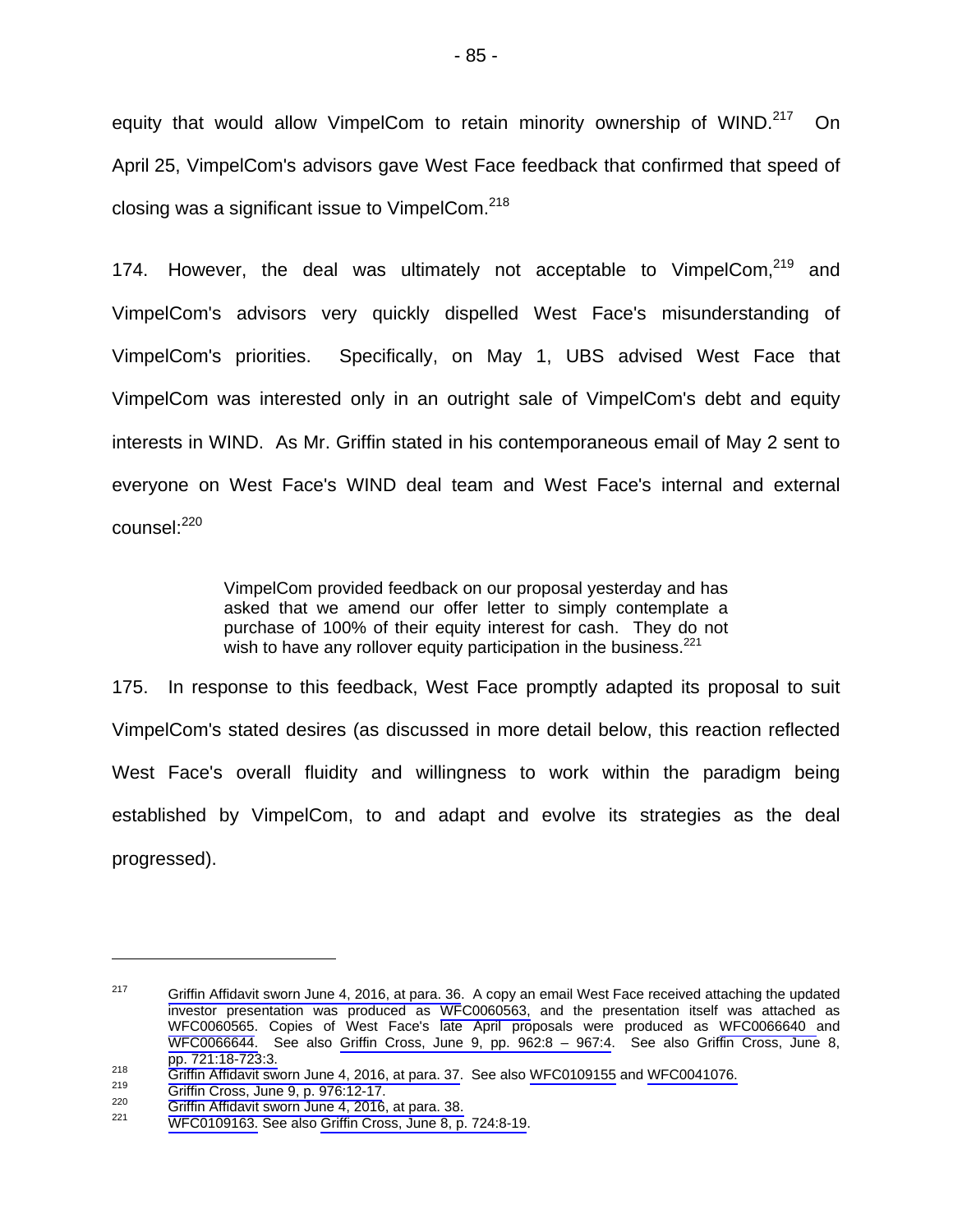equity that would allow VimpelCom to retain minority ownership of WIND.<sup>217</sup> On April 25, VimpelCom's advisors gave West Face feedback that confirmed that speed of closing was a significant issue to VimpelCom. $218$ 

174. However, the deal was ultimately not acceptable to VimpelCom.<sup>219</sup> and VimpelCom's advisors very quickly dispelled West Face's misunderstanding of VimpelCom's priorities. Specifically, on May 1, UBS advised West Face that VimpelCom was interested only in an outright sale of VimpelCom's debt and equity interests in WIND. As Mr. Griffin stated in his contemporaneous email of May 2 sent to everyone on West Face's WIND deal team and West Face's internal and external counsel:<sup>220</sup>

> VimpelCom provided feedback on our proposal yesterday and has asked that we amend our offer letter to simply contemplate a purchase of 100% of their equity interest for cash. They do not wish to have any rollover equity participation in the business. $^{221}$

175. In response to this feedback, West Face promptly adapted its proposal to suit VimpelCom's stated desires (as discussed in more detail below, this reaction reflected West Face's overall fluidity and willingness to work within the paradigm being established by VimpelCom, to and adapt and evolve its strategies as the deal progressed).

 $217$  [Griffin Affidavit sworn June 4, 2016, at para. 36](#page-1-0). A copy an email West Face received attaching the updated investor presentation was produced as [WFC0060563,](#page-0-0) and the presentation itself was attached as [WFC0060565.](#page-0-0) Copies of West Face's late April proposals were produced as [WFC0066640 a](#page-0-0)nd [WFC0066644.](#page-0-0) See also [Griffin Cross, June 9, pp. 962:8 – 967:4](#page-1-0). See also Griffin Cross, June 8,

pp. 721:18-723:3.<br>
Criffin Affidavit sworn June 4, 2016, at para. 37. See also [WFC0109155](#page-0-0) and [WFC0041076.](#page-0-0)<br>
<sup>219</sup> Griffin Cross, June 9, p. 976:12-17.<br>
<sup>220</sup> Griffin Affidavit sworn June 4, 2016, at para. 38.<br>
<sup>221</sup> WFC0109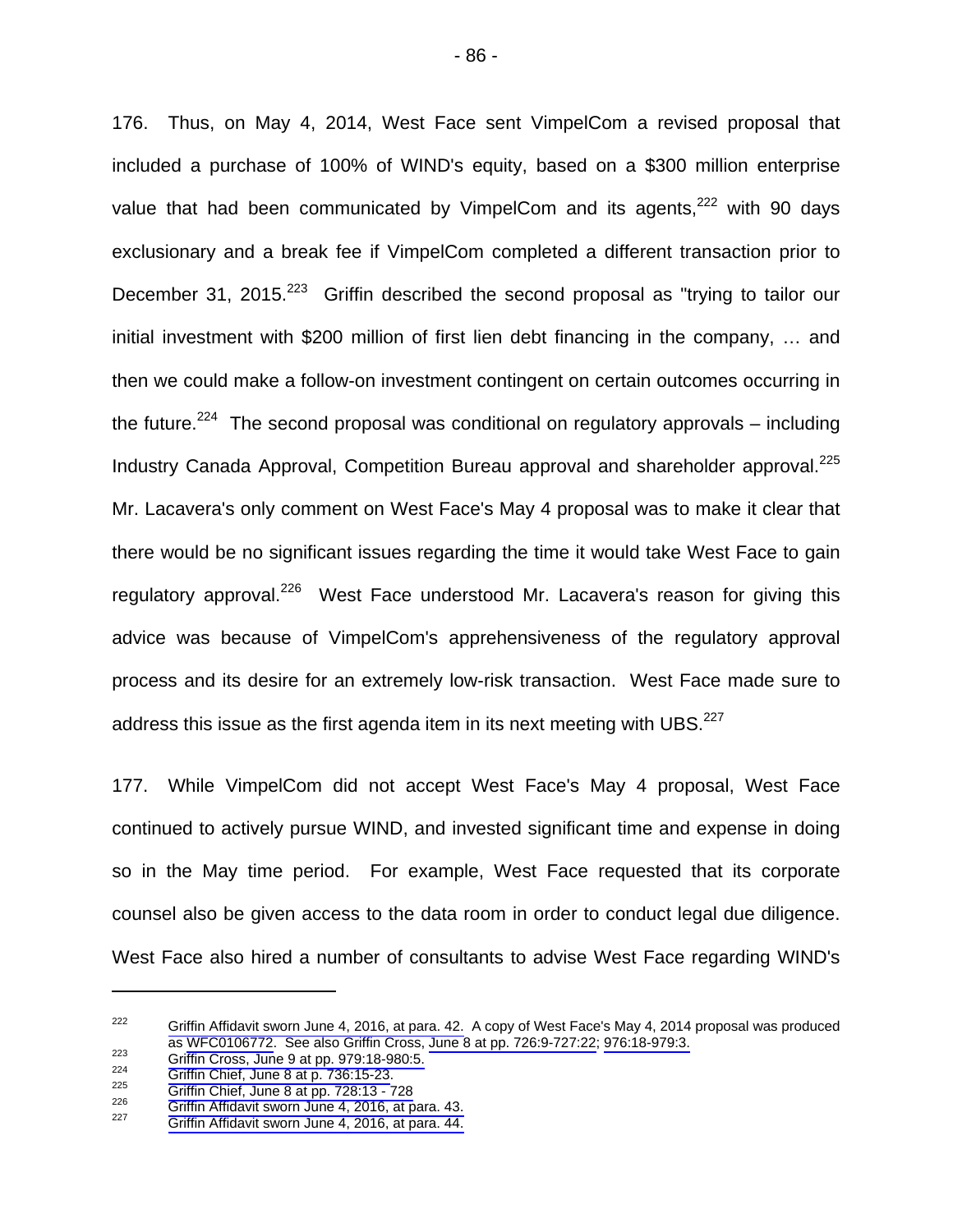176. Thus, on May 4, 2014, West Face sent VimpelCom a revised proposal that included a purchase of 100% of WIND's equity, based on a \$300 million enterprise value that had been communicated by VimpelCom and its agents, $222$  with 90 days exclusionary and a break fee if VimpelCom completed a different transaction prior to December 31, 2015.<sup>223</sup> Griffin described the second proposal as "trying to tailor our initial investment with \$200 million of first lien debt financing in the company, … and then we could make a follow-on investment contingent on certain outcomes occurring in the future.<sup>224</sup> The second proposal was conditional on regulatory approvals – including Industry Canada Approval, Competition Bureau approval and shareholder approval.<sup>225</sup> Mr. Lacavera's only comment on West Face's May 4 proposal was to make it clear that there would be no significant issues regarding the time it would take West Face to gain regulatory approval.<sup>226</sup> West Face understood Mr. Lacavera's reason for giving this advice was because of VimpelCom's apprehensiveness of the regulatory approval process and its desire for an extremely low-risk transaction. West Face made sure to address this issue as the first agenda item in its next meeting with UBS. $^{227}$ 

177. While VimpelCom did not accept West Face's May 4 proposal, West Face continued to actively pursue WIND, and invested significant time and expense in doing so in the May time period. For example, West Face requested that its corporate counsel also be given access to the data room in order to conduct legal due diligence. West Face also hired a number of consultants to advise West Face regarding WIND's

 $222$  [Griffin Affidavit sworn June 4, 2016, at para. 42.](#page-1-0) A copy of West Face's May 4, 2014 proposal was produced [as](#page-1-0) [WFC0106772.](#page-0-0) [See also Griffin Cross,](#page-1-0) [June 8 at pp. 726:9-727:22](#page-1-0); 976:18-979:3.<br>
223 [Griffin Cross, June 9 at pp. 979:18-980:5.](#page-1-0)<br>
224 Griffin Chief, June 8 at p. 736:15-23.<br>
225 Griffin Chief, June 8 at pp. 728:13 - 728<br>
2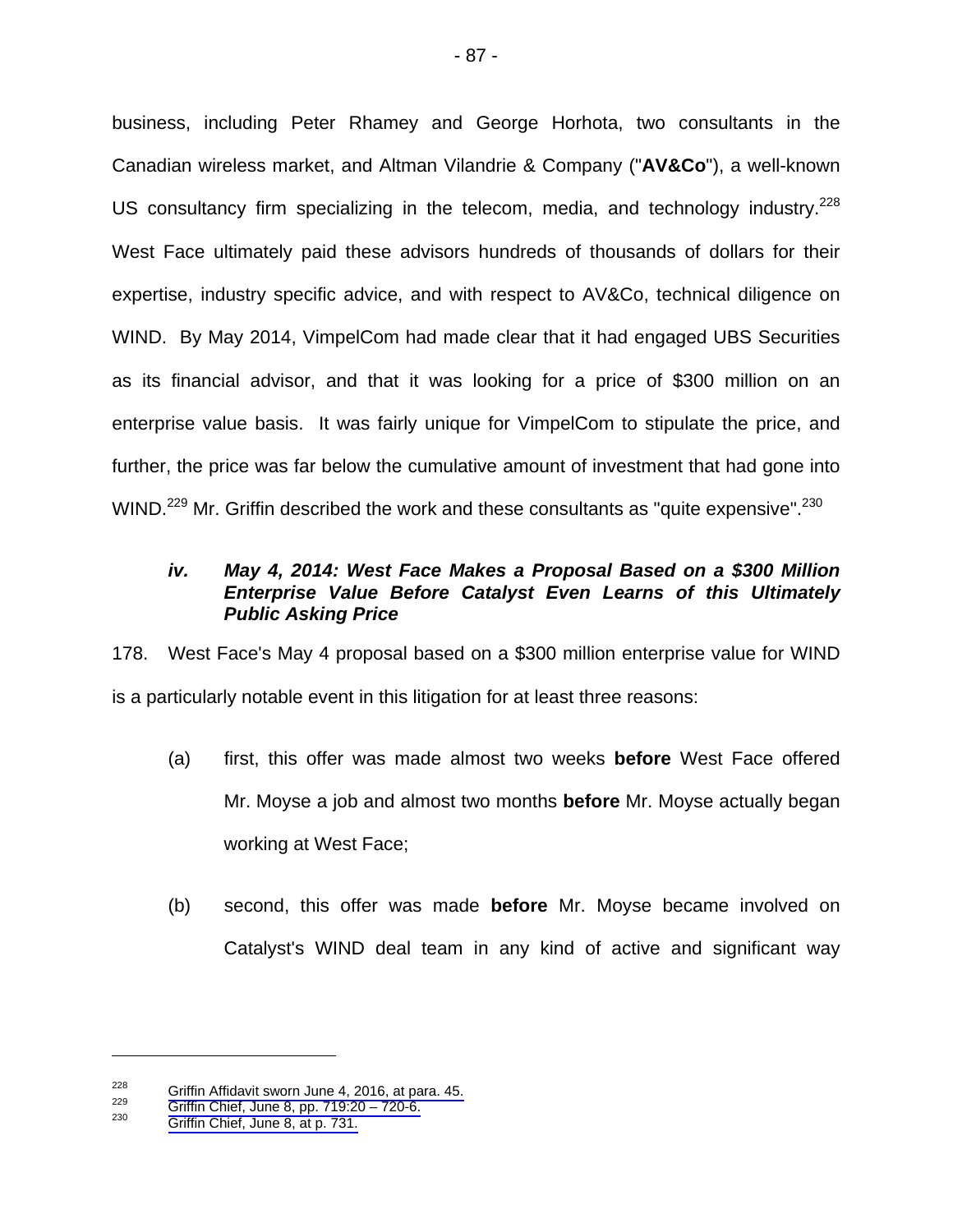business, including Peter Rhamey and George Horhota, two consultants in the Canadian wireless market, and Altman Vilandrie & Company ("**AV&Co**"), a well-known US consultancy firm specializing in the telecom, media, and technology industry.<sup>228</sup> West Face ultimately paid these advisors hundreds of thousands of dollars for their expertise, industry specific advice, and with respect to AV&Co, technical diligence on WIND. By May 2014, VimpelCom had made clear that it had engaged UBS Securities as its financial advisor, and that it was looking for a price of \$300 million on an enterprise value basis. It was fairly unique for VimpelCom to stipulate the price, and further, the price was far below the cumulative amount of investment that had gone into WIND.<sup>229</sup> Mr. Griffin described the work and these consultants as "quite expensive".<sup>230</sup>

## *iv. May 4, 2014: West Face Makes a Proposal Based on a \$300 Million Enterprise Value Before Catalyst Even Learns of this Ultimately Public Asking Price*

178. West Face's May 4 proposal based on a \$300 million enterprise value for WIND is a particularly notable event in this litigation for at least three reasons:

- (a) first, this offer was made almost two weeks **before** West Face offered Mr. Moyse a job and almost two months **before** Mr. Moyse actually began working at West Face;
- (b) second, this offer was made **before** Mr. Moyse became involved on Catalyst's WIND deal team in any kind of active and significant way

<sup>&</sup>lt;sup>228</sup> [Griffin Affidavit sworn June 4, 2016, at para. 45.](#page-1-0)<br><sup>229</sup> Griffin Chief, June 8, pp. 719:20 – 720-6.<br><sup>230</sup> Griffin Chief, June 8, at p. 731.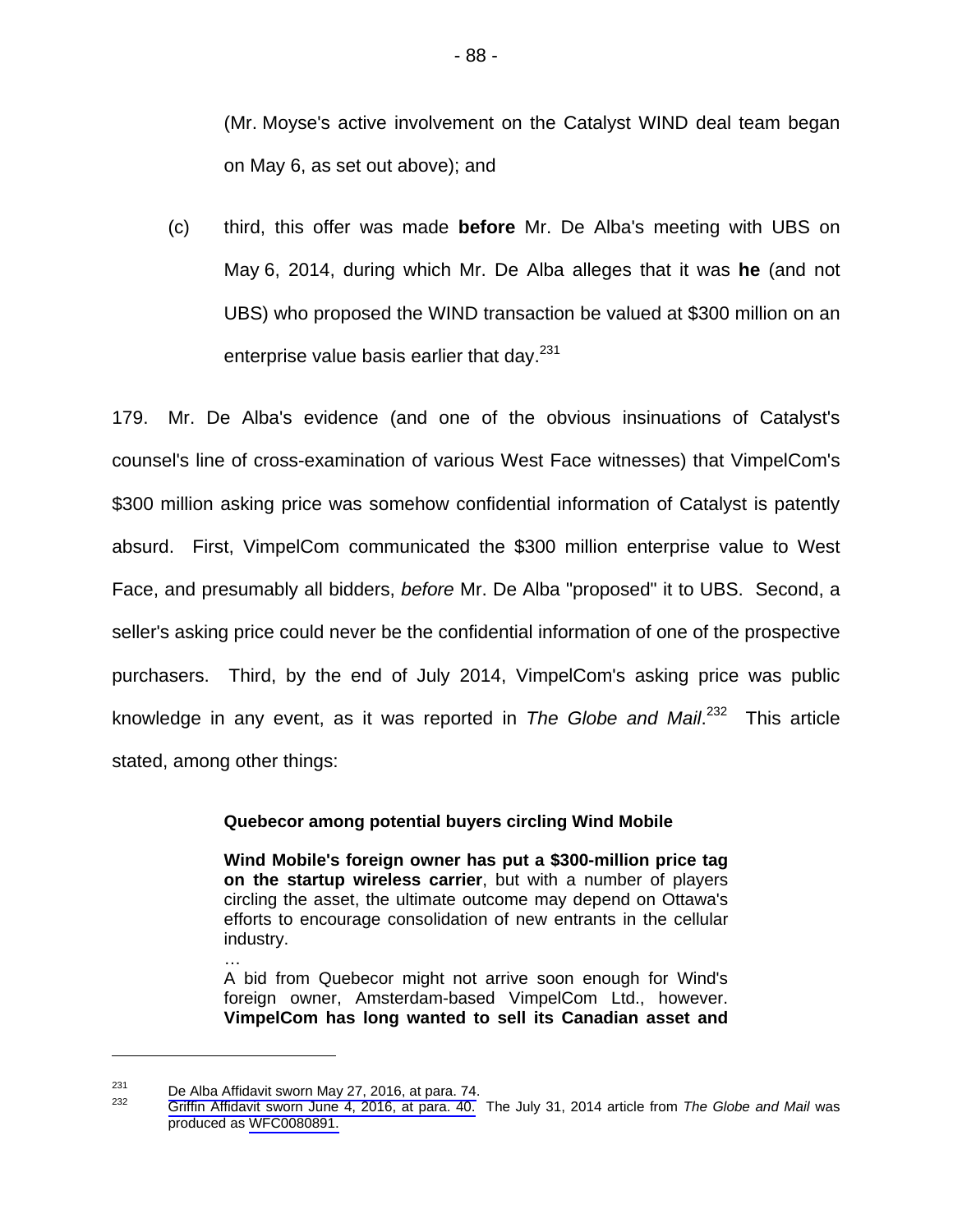(Mr. Moyse's active involvement on the Catalyst WIND deal team began on May 6, as set out above); and

(c) third, this offer was made **before** Mr. De Alba's meeting with UBS on May 6, 2014, during which Mr. De Alba alleges that it was **he** (and not UBS) who proposed the WIND transaction be valued at \$300 million on an enterprise value basis earlier that day.<sup>231</sup>

179. Mr. De Alba's evidence (and one of the obvious insinuations of Catalyst's counsel's line of cross-examination of various West Face witnesses) that VimpelCom's \$300 million asking price was somehow confidential information of Catalyst is patently absurd. First, VimpelCom communicated the \$300 million enterprise value to West Face, and presumably all bidders, *before* Mr. De Alba "proposed" it to UBS. Second, a seller's asking price could never be the confidential information of one of the prospective purchasers. Third, by the end of July 2014, VimpelCom's asking price was public knowledge in any event, as it was reported in *The Globe and Mail*. 232 This article stated, among other things:

### **Quebecor among potential buyers circling Wind Mobile**

**Wind Mobile's foreign owner has put a \$300-million price tag on the startup wireless carrier**, but with a number of players circling the asset, the ultimate outcome may depend on Ottawa's efforts to encourage consolidation of new entrants in the cellular industry.

A bid from Quebecor might not arrive soon enough for Wind's foreign owner, Amsterdam-based VimpelCom Ltd., however. **VimpelCom has long wanted to sell its Canadian asset and** 

…

<sup>&</sup>lt;sup>231</sup> [De Alba Affidavit sworn May 27, 2016, at para. 74](#page-1-0).<br><sup>232</sup> [Griffin Affidavit sworn June 4, 2016, at para. 40.](#page-1-0) The July 31, 2014 article from *The Globe and Mail* was produced as [WFC0080891.](#page-0-0)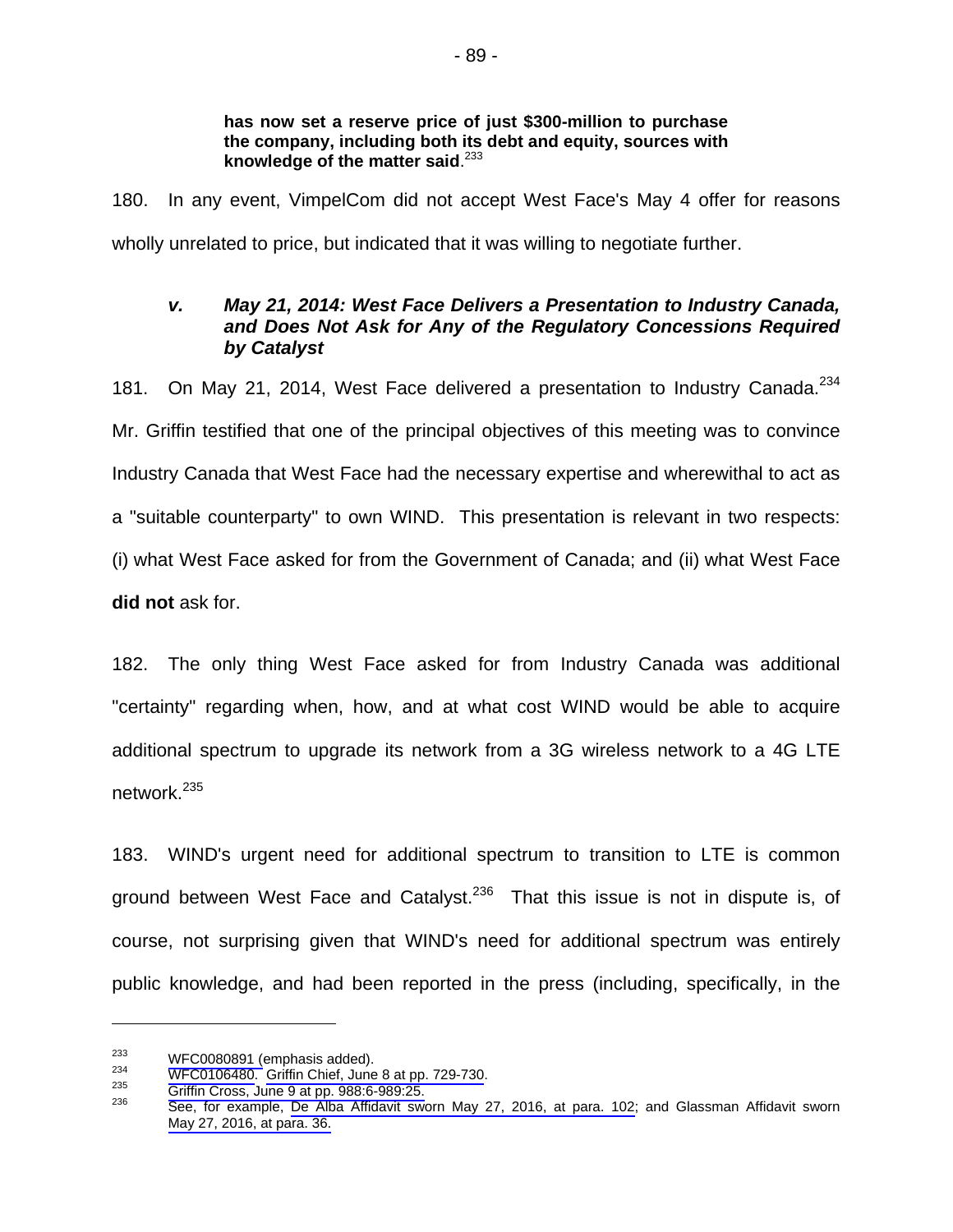#### **has now set a reserve price of just \$300-million to purchase the company, including both its debt and equity, sources with knowledge of the matter said**. 233

180. In any event, VimpelCom did not accept West Face's May 4 offer for reasons wholly unrelated to price, but indicated that it was willing to negotiate further.

## *v. May 21, 2014: West Face Delivers a Presentation to Industry Canada, and Does Not Ask for Any of the Regulatory Concessions Required by Catalyst*

181. On May 21, 2014, West Face delivered a presentation to Industry Canada.<sup>234</sup> Mr. Griffin testified that one of the principal objectives of this meeting was to convince Industry Canada that West Face had the necessary expertise and wherewithal to act as a "suitable counterparty" to own WIND. This presentation is relevant in two respects: (i) what West Face asked for from the Government of Canada; and (ii) what West Face **did not** ask for.

182. The only thing West Face asked for from Industry Canada was additional "certainty" regarding when, how, and at what cost WIND would be able to acquire additional spectrum to upgrade its network from a 3G wireless network to a 4G LTE network.<sup>235</sup>

183. WIND's urgent need for additional spectrum to transition to LTE is common ground between West Face and Catalyst.<sup>236</sup> That this issue is not in dispute is, of course, not surprising given that WIND's need for additional spectrum was entirely public knowledge, and had been reported in the press (including, specifically, in the

<sup>&</sup>lt;sup>233</sup> WFC0080891 (emphasis added).<br>
<sup>234</sup> [WFC0106480.](#page-0-0)[Griffin Chief, June 8 at pp. 729-730](#page-0-0).<br>
<sup>235</sup> Griffin Cross, June 9 at pp. 988:6-989:25.<br>
<sup>236</sup> See, for example, [De Alba Affidavit sworn May 27, 2016, at para. 102;](#page-1-0) an [May 27, 2016, at para. 36.](#page-1-0)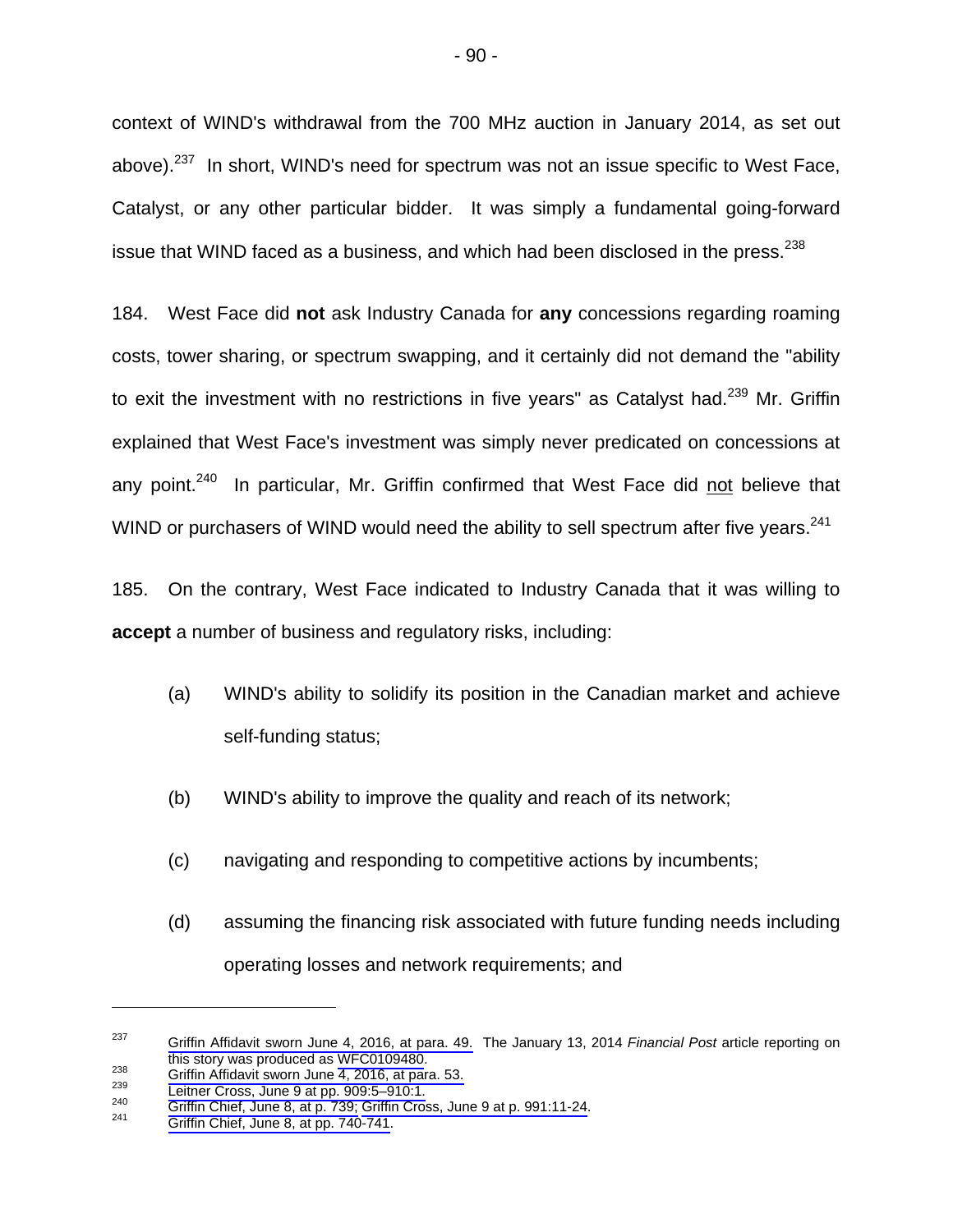context of WIND's withdrawal from the 700 MHz auction in January 2014, as set out above).<sup>237</sup> In short, WIND's need for spectrum was not an issue specific to West Face, Catalyst, or any other particular bidder. It was simply a fundamental going-forward issue that WIND faced as a business, and which had been disclosed in the press. $^{238}$ 

184. West Face did **not** ask Industry Canada for **any** concessions regarding roaming costs, tower sharing, or spectrum swapping, and it certainly did not demand the "ability to exit the investment with no restrictions in five years" as Catalyst had.<sup>239</sup> Mr. Griffin explained that West Face's investment was simply never predicated on concessions at any point.<sup>240</sup> In particular, Mr. Griffin confirmed that West Face did not believe that WIND or purchasers of WIND would need the ability to sell spectrum after five years.<sup>241</sup>

185. On the contrary, West Face indicated to Industry Canada that it was willing to **accept** a number of business and regulatory risks, including:

- (a) WIND's ability to solidify its position in the Canadian market and achieve self-funding status;
- (b) WIND's ability to improve the quality and reach of its network;
- (c) navigating and responding to competitive actions by incumbents;
- (d) assuming the financing risk associated with future funding needs including operating losses and network requirements; and

<sup>237</sup> [Griffin Affidavit sworn June 4, 2016, at para. 49.](#page-1-0) The January 13, 2014 *Financial Post* article reporting on [this story was produced as](#page-1-0) [WFC0109480.](#page-0-0)<br>
238[Griffin Affidavit sworn June 4, 2016, at para. 53.](#page-1-0)<br>
239 Leitner Cross, June 9 at pp. 909:5–910:1.<br>
240 [Griffin Chief, June 8, at p. 739; Griffin Cross, June 9 at p. 991:11-24.](#page-1-0)<br>
2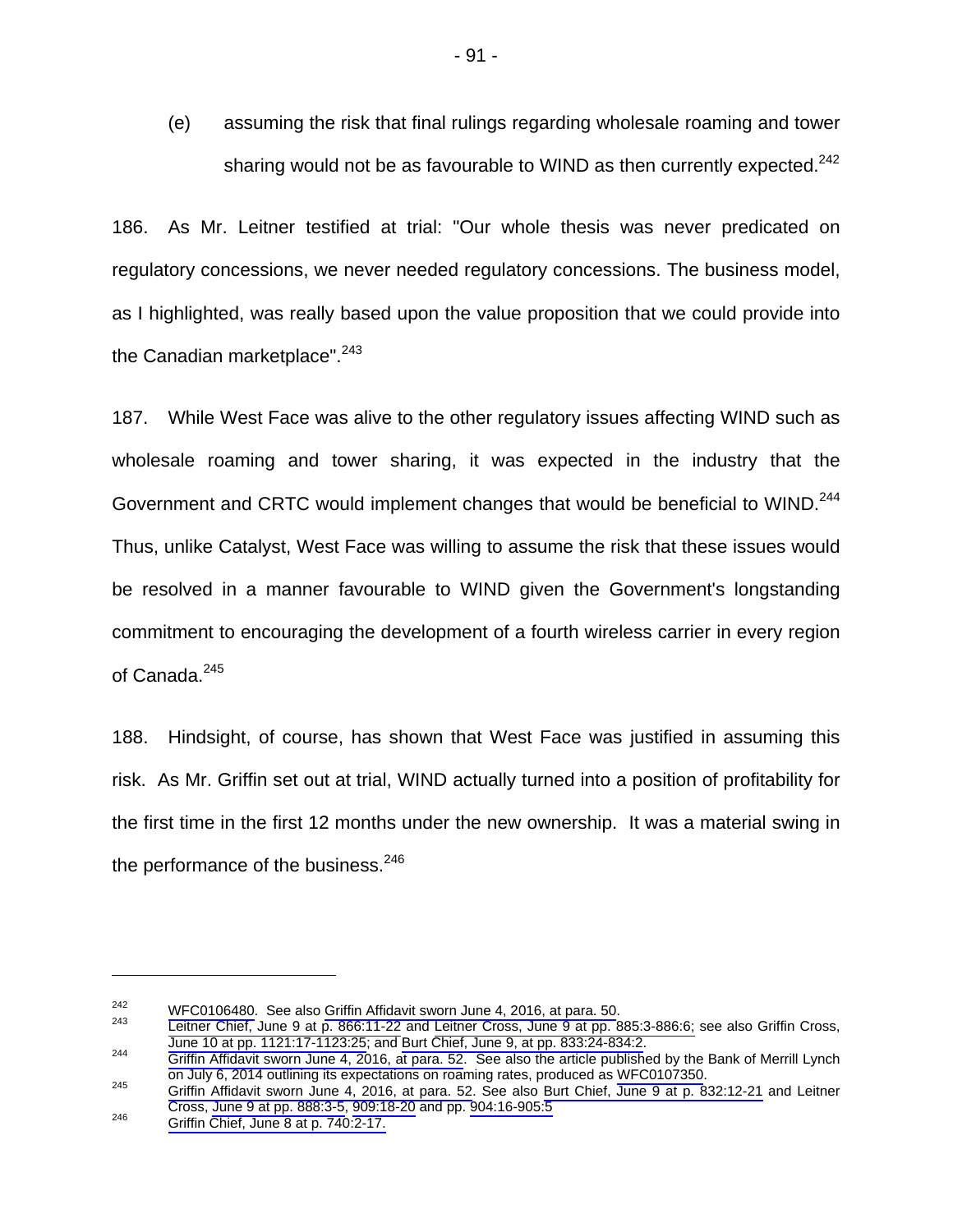(e) assuming the risk that final rulings regarding wholesale roaming and tower sharing would not be as favourable to WIND as then currently expected.<sup>242</sup>

186. As Mr. Leitner testified at trial: "Our whole thesis was never predicated on regulatory concessions, we never needed regulatory concessions. The business model, as I highlighted, was really based upon the value proposition that we could provide into the Canadian marketplace". $243$ 

187. While West Face was alive to the other regulatory issues affecting WIND such as wholesale roaming and tower sharing, it was expected in the industry that the Government and CRTC would implement changes that would be beneficial to WIND.<sup>244</sup> Thus, unlike Catalyst, West Face was willing to assume the risk that these issues would be resolved in a manner favourable to WIND given the Government's longstanding commitment to encouraging the development of a fourth wireless carrier in every region of Canada.<sup>245</sup>

188. Hindsight, of course, has shown that West Face was justified in assuming this risk. As Mr. Griffin set out at trial, WIND actually turned into a position of profitability for the first time in the first 12 months under the new ownership. It was a material swing in the performance of the business. $246$ 

<sup>&</sup>lt;sup>242</sup> [WFC0106480.](#page-0-0) See also Griffin Affidavit sworn June 4, 2016, at para. 50.<br> [Leitner Chief, June 9 at p. 866:11-22 and Leitner Cross, June 9 at pp. 885:3-886:6;](#page-1-0) see also Griffin Cross,<br>
June 10 at pp. 1121:17-1123:25; a

 $1244$  [Griffin Affidavit sworn June 4, 2016, at para. 52.](#page-1-0) See also the article published by the Bank of Merrill Lynch [on July 6, 2014 outlining its expectations on roam](#page-1-0)ing rates, [produced as](#page-1-0) [WFC0107350](#page-0-0).<br><sup>245</sup> Griffin Affidavit sworn June 4, 2016, at para[.](#page-1-0) 52. See also [Burt Chief, June 9 at p. 832:12-21](#page-1-0) and Leitner

[Cross,](#page-1-0) [June 9 at pp. 888:3-5,](#page-2-0)[909:18-20](#page-3-0) and pp. [904:16-905:5](#page-1-0) 246 [Griffin Chief, June 8 at p. 740:2-17.](#page-1-0)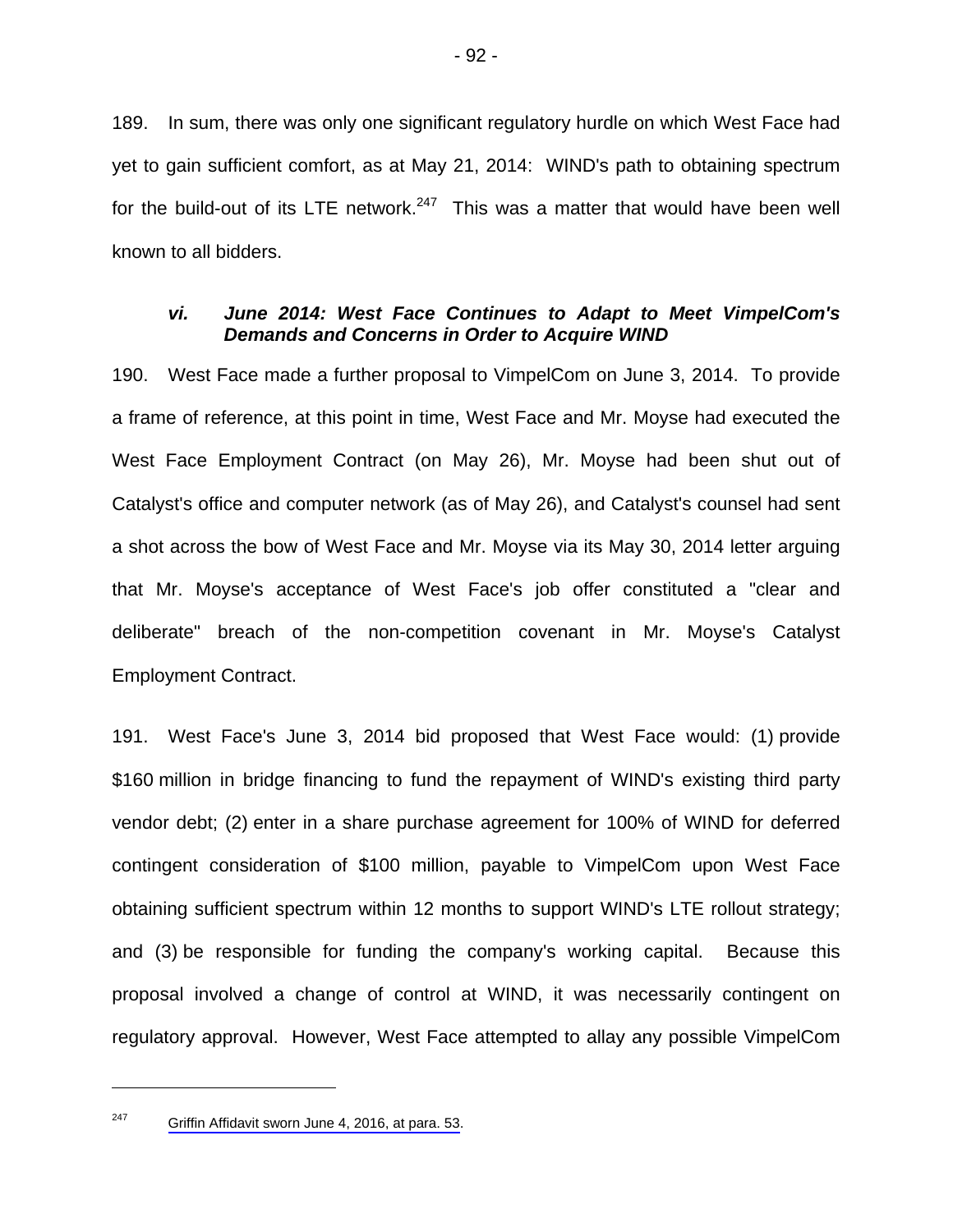189. In sum, there was only one significant regulatory hurdle on which West Face had yet to gain sufficient comfort, as at May 21, 2014: WIND's path to obtaining spectrum for the build-out of its LTE network. $247$  This was a matter that would have been well known to all bidders.

### *vi. June 2014: West Face Continues to Adapt to Meet VimpelCom's Demands and Concerns in Order to Acquire WIND*

190. West Face made a further proposal to VimpelCom on June 3, 2014. To provide a frame of reference, at this point in time, West Face and Mr. Moyse had executed the West Face Employment Contract (on May 26), Mr. Moyse had been shut out of Catalyst's office and computer network (as of May 26), and Catalyst's counsel had sent a shot across the bow of West Face and Mr. Moyse via its May 30, 2014 letter arguing that Mr. Moyse's acceptance of West Face's job offer constituted a "clear and deliberate" breach of the non-competition covenant in Mr. Moyse's Catalyst Employment Contract.

191. West Face's June 3, 2014 bid proposed that West Face would: (1) provide \$160 million in bridge financing to fund the repayment of WIND's existing third party vendor debt; (2) enter in a share purchase agreement for 100% of WIND for deferred contingent consideration of \$100 million, payable to VimpelCom upon West Face obtaining sufficient spectrum within 12 months to support WIND's LTE rollout strategy; and (3) be responsible for funding the company's working capital. Because this proposal involved a change of control at WIND, it was necessarily contingent on regulatory approval. However, West Face attempted to allay any possible VimpelCom

<sup>247</sup> [Griffin Affidavit sworn June 4, 2016, at para. 53.](#page-1-0)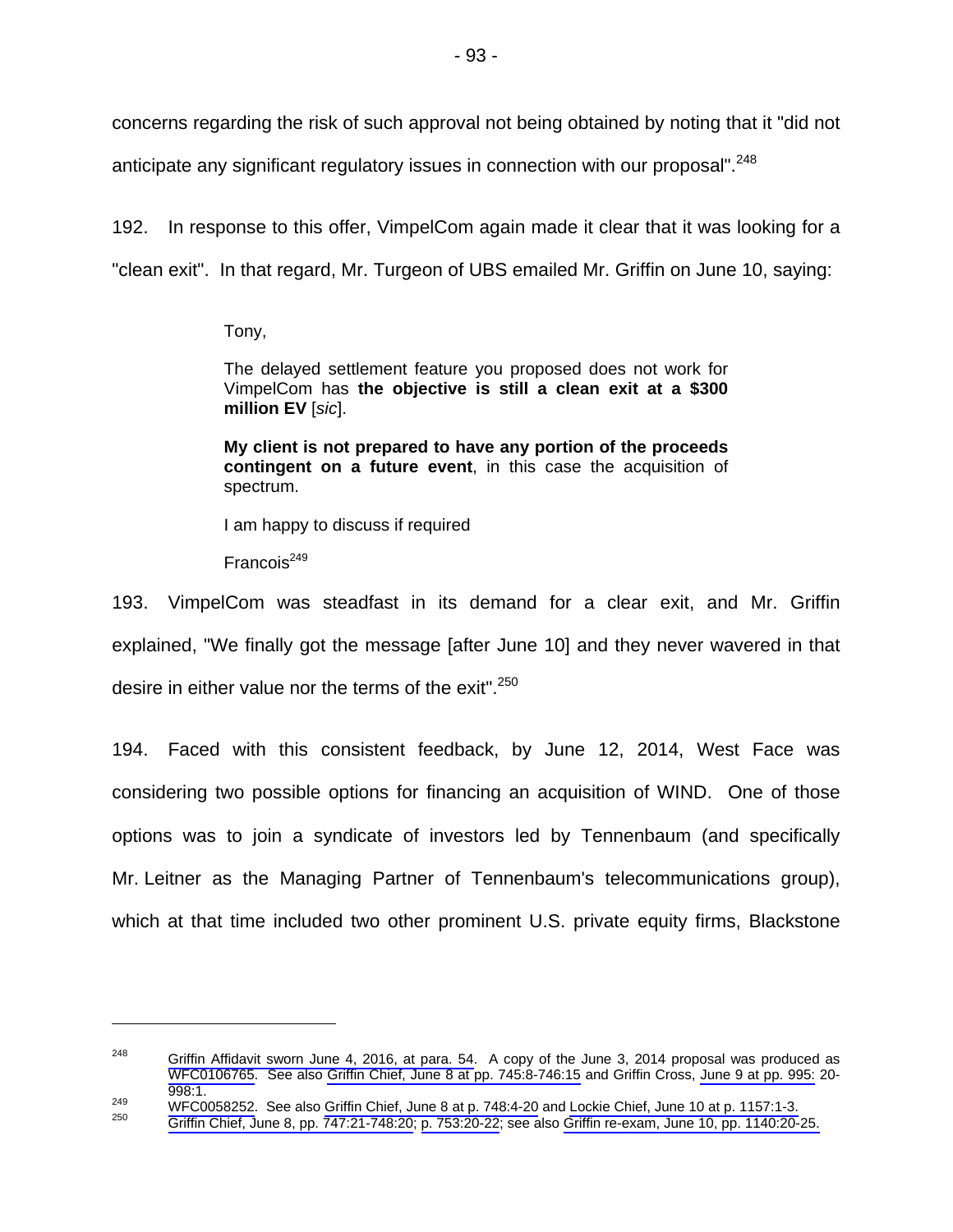concerns regarding the risk of such approval not being obtained by noting that it "did not

anticipate any significant regulatory issues in connection with our proposal".<sup>248</sup>

192. In response to this offer, VimpelCom again made it clear that it was looking for a "clean exit". In that regard, Mr. Turgeon of UBS emailed Mr. Griffin on June 10, saying:

Tony,

The delayed settlement feature you proposed does not work for VimpelCom has **the objective is still a clean exit at a \$300 million EV** [*sic*].

**My client is not prepared to have any portion of the proceeds contingent on a future event**, in this case the acquisition of spectrum.

I am happy to discuss if required

 $Francois<sup>249</sup>$ 

 $\overline{a}$ 

193. VimpelCom was steadfast in its demand for a clear exit, and Mr. Griffin explained, "We finally got the message [after June 10] and they never wavered in that desire in either value nor the terms of the exit".<sup>250</sup>

194. Faced with this consistent feedback, by June 12, 2014, West Face was considering two possible options for financing an acquisition of WIND. One of those options was to join a syndicate of investors led by Tennenbaum (and specifically Mr. Leitner as the Managing Partner of Tennenbaum's telecommunications group), which at that time included two other prominent U.S. private equity firms, Blackstone

 $248$  [Griffin Affidavit sworn June 4, 2016, at para. 54](#page-1-0). A copy of the June 3, 2014 proposal was produced as [WFC0106765.](#page-0-0) See also [Griffin Chief, June 8 at pp. 745:8-746:15](#page-1-0) and Griffin Cross, [June 9 at pp. 995:](#page-1-0) 20-

<sup>998:1.&</sup>lt;br><sup>249</sup> [WFC0058252.](#page-0-0) [See also Griffin Chief, June 8 at p. 748:4-20](#page-1-0) and Lockie Chief, June 10 at p. 1157:1-3.<br><sup>250</sup> [Griffin Chief, June 8, pp. 747:21-748:20; p. 753:20-22; see a](#page-1-0)lso Griffin re-exam, June 10, pp. 1140:20-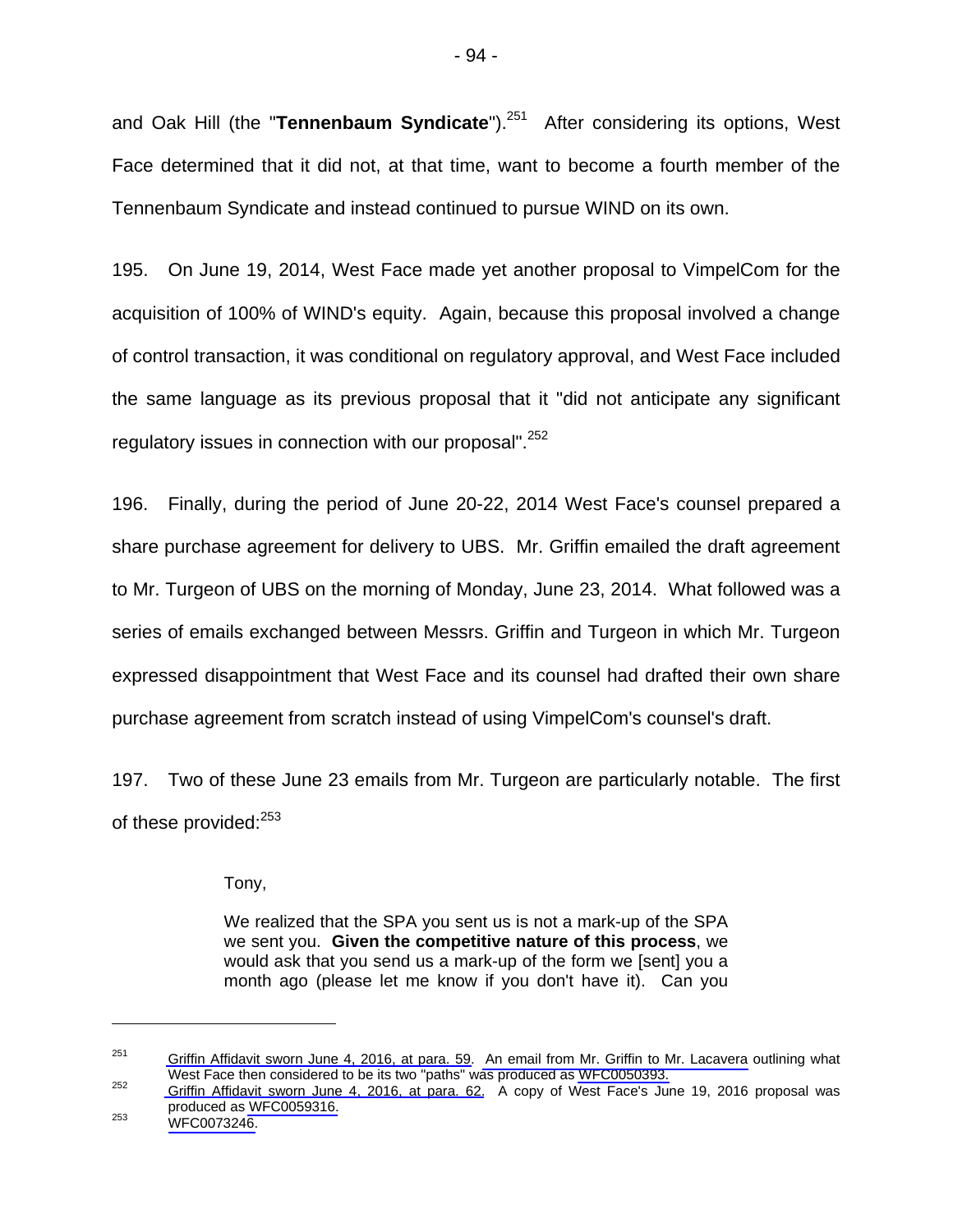and Oak Hill (the "**Tennenbaum Syndicate**").<sup>251</sup> After considering its options, West Face determined that it did not, at that time, want to become a fourth member of the Tennenbaum Syndicate and instead continued to pursue WIND on its own.

195. On June 19, 2014, West Face made yet another proposal to VimpelCom for the acquisition of 100% of WIND's equity. Again, because this proposal involved a change of control transaction, it was conditional on regulatory approval, and West Face included the same language as its previous proposal that it "did not anticipate any significant regulatory issues in connection with our proposal".<sup>252</sup>

196. Finally, during the period of June 20-22, 2014 West Face's counsel prepared a share purchase agreement for delivery to UBS. Mr. Griffin emailed the draft agreement to Mr. Turgeon of UBS on the morning of Monday, June 23, 2014. What followed was a series of emails exchanged between Messrs. Griffin and Turgeon in which Mr. Turgeon expressed disappointment that West Face and its counsel had drafted their own share purchase agreement from scratch instead of using VimpelCom's counsel's draft.

197. Two of these June 23 emails from Mr. Turgeon are particularly notable. The first of these provided:<sup>253</sup>

Tony,

We realized that the SPA you sent us is not a mark-up of the SPA we sent you. **Given the competitive nature of this process**, we would ask that you send us a mark-up of the form we [sent] you a month ago (please let me know if you don't have it). Can you

 $251$  [Griffin Affidavit sworn June 4, 2016, at para. 59.](#page-1-0) An email from Mr. Griffin to Mr. Lacavera outlining what West Face then considered to be its two "paths" was produced as WFC0050393.<br><sup>252</sup> [Griffin Affidavit sworn June 4, 2016, at para. 62.](#page-1-0) A copy of West Face's June 19, 2016 proposal was

produced as WFC0059316.<br><sup>253</sup> WFC0073246.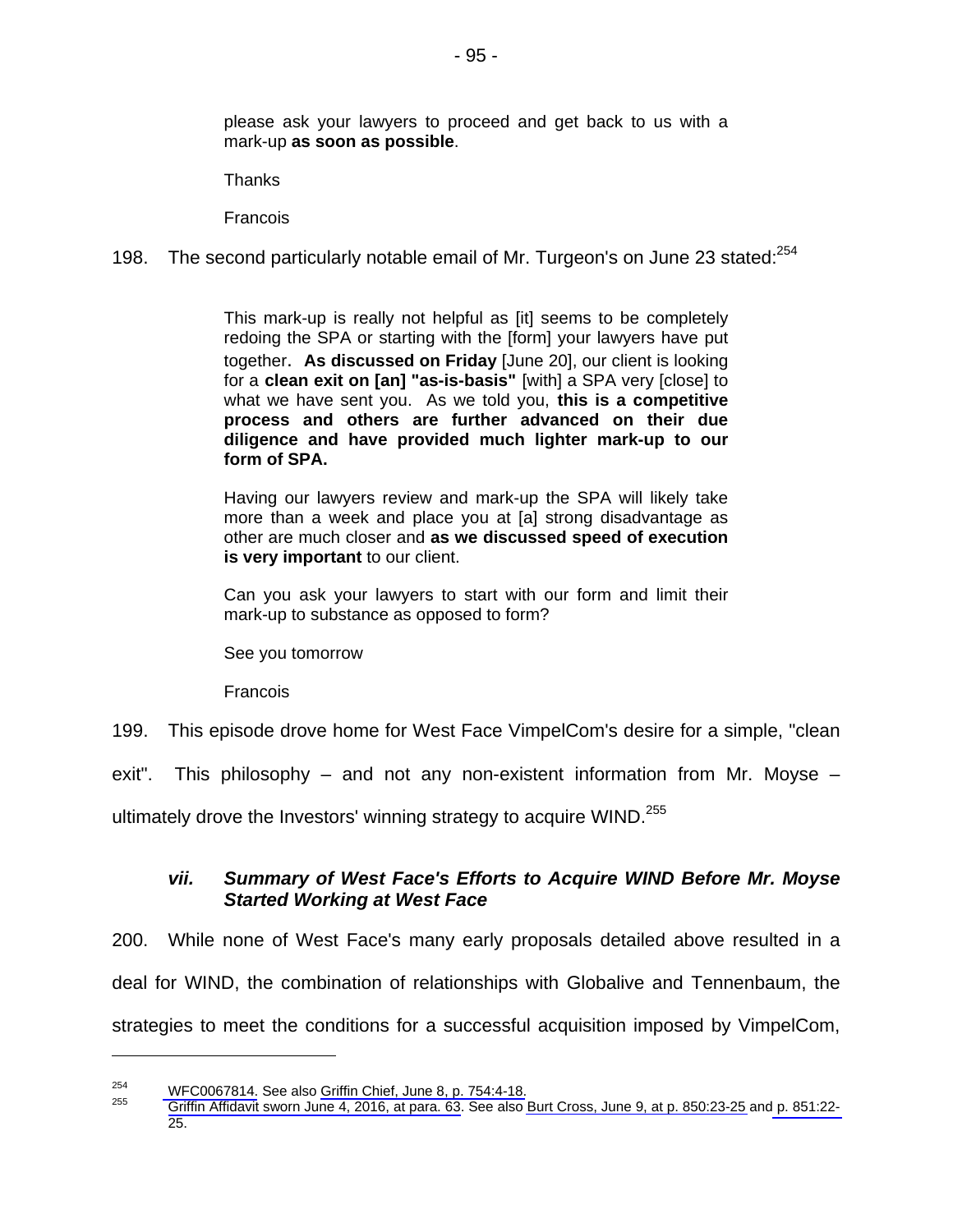please ask your lawyers to proceed and get back to us with a mark-up **as soon as possible**.

**Thanks** 

Francois

198. The second particularly notable email of Mr. Turgeon's on June 23 stated:<sup>254</sup>

This mark-up is really not helpful as [it] seems to be completely redoing the SPA or starting with the [form] your lawyers have put together. **As discussed on Friday** [June 20], our client is looking for a **clean exit on [an] "as-is-basis"** [with] a SPA very [close] to what we have sent you. As we told you, **this is a competitive process and others are further advanced on their due diligence and have provided much lighter mark-up to our form of SPA.**

Having our lawyers review and mark-up the SPA will likely take more than a week and place you at [a] strong disadvantage as other are much closer and **as we discussed speed of execution is very important** to our client.

Can you ask your lawyers to start with our form and limit their mark-up to substance as opposed to form?

See you tomorrow

Francois

199. This episode drove home for West Face VimpelCom's desire for a simple, "clean

exit". This philosophy – and not any non-existent information from Mr. Moyse –

ultimately drove the Investors' winning strategy to acquire WIND.<sup>255</sup>

## *vii. Summary of West Face's Efforts to Acquire WIND Before Mr. Moyse Started Working at West Face*

200. While none of West Face's many early proposals detailed above resulted in a deal for WIND, the combination of relationships with Globalive and Tennenbaum, the strategies to meet the conditions for a successful acquisition imposed by VimpelCom,

<sup>&</sup>lt;sup>254</sup> WFC0067814. See also Griffin Chief, June 8, p. 754:4-18.<br><sup>255</sup> [Griffin Affidavit sworn June 4, 2016, at para. 63](#page-1-0). See also [Burt Cross, June 9, at p. 850:23-25](#page-1-0) an[d p. 851:22-](#page-1-0) 25.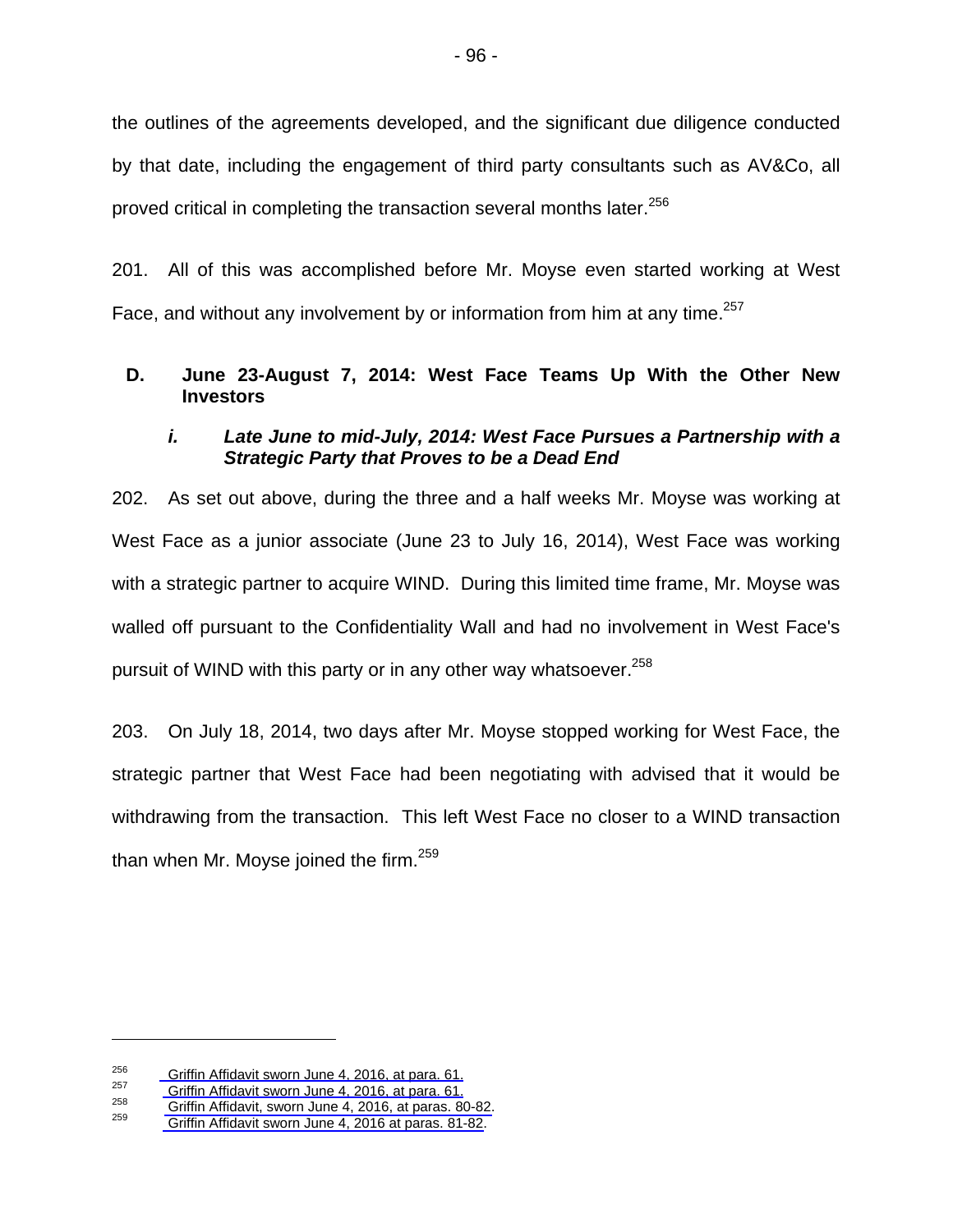the outlines of the agreements developed, and the significant due diligence conducted by that date, including the engagement of third party consultants such as AV&Co, all proved critical in completing the transaction several months later.<sup>256</sup>

201. All of this was accomplished before Mr. Moyse even started working at West Face, and without any involvement by or information from him at any time.<sup>257</sup>

# **D. June 23-August 7, 2014: West Face Teams Up With the Other New Investors**

# *i. Late June to mid-July, 2014: West Face Pursues a Partnership with a Strategic Party that Proves to be a Dead End*

202. As set out above, during the three and a half weeks Mr. Moyse was working at West Face as a junior associate (June 23 to July 16, 2014), West Face was working with a strategic partner to acquire WIND. During this limited time frame, Mr. Moyse was walled off pursuant to the Confidentiality Wall and had no involvement in West Face's pursuit of WIND with this party or in any other way whatsoever.<sup>258</sup>

203. On July 18, 2014, two days after Mr. Moyse stopped working for West Face, the strategic partner that West Face had been negotiating with advised that it would be withdrawing from the transaction. This left West Face no closer to a WIND transaction than when Mr. Moyse joined the firm.<sup>259</sup>

<sup>&</sup>lt;sup>256</sup> [Griffin Affidavit sworn June 4, 2016, at para. 61.](#page-1-0)<br>
<sup>257</sup> Griffin Affidavit sworn June 4, 2016, at para. 61.<br>
<sup>258</sup> [Griffin Affidavit, sworn June 4, 2016, at paras. 80-82.](#page-1-0)<br>
<sup>259</sup> Griffin Affidavit sworn June 4, 2016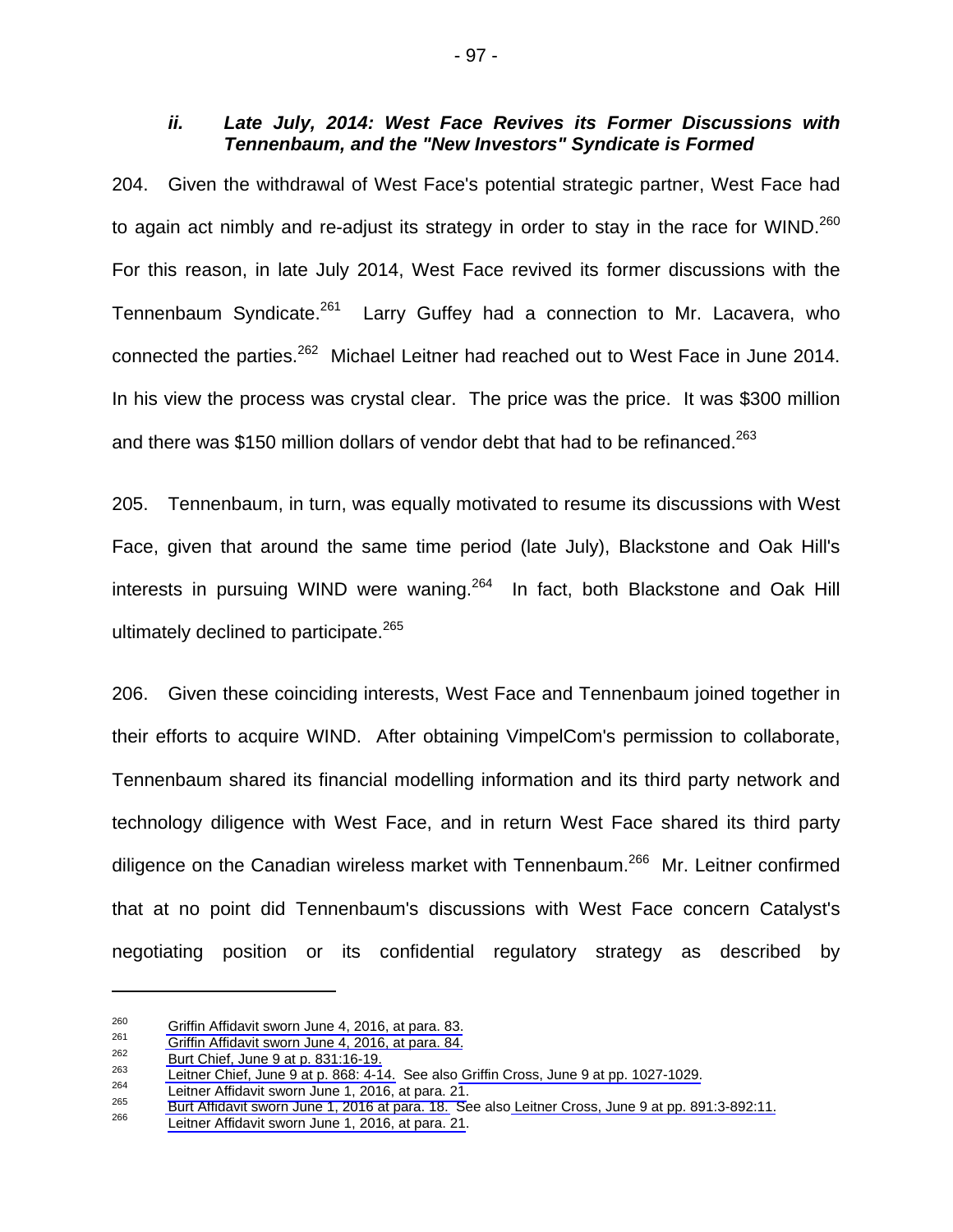#### *ii. Late July, 2014: West Face Revives its Former Discussions with Tennenbaum, and the "New Investors" Syndicate is Formed*

204. Given the withdrawal of West Face's potential strategic partner, West Face had to again act nimbly and re-adjust its strategy in order to stay in the race for WIND.<sup>260</sup> For this reason, in late July 2014, West Face revived its former discussions with the Tennenbaum Syndicate.<sup>261</sup> Larry Guffey had a connection to Mr. Lacavera, who connected the parties.<sup>262</sup> Michael Leitner had reached out to West Face in June 2014. In his view the process was crystal clear. The price was the price. It was \$300 million and there was \$150 million dollars of vendor debt that had to be refinanced.<sup>263</sup>

205. Tennenbaum, in turn, was equally motivated to resume its discussions with West Face, given that around the same time period (late July), Blackstone and Oak Hill's interests in pursuing WIND were waning.<sup>264</sup> In fact, both Blackstone and Oak Hill ultimately declined to participate.<sup>265</sup>

206. Given these coinciding interests, West Face and Tennenbaum joined together in their efforts to acquire WIND. After obtaining VimpelCom's permission to collaborate, Tennenbaum shared its financial modelling information and its third party network and technology diligence with West Face, and in return West Face shared its third party diligence on the Canadian wireless market with Tennenbaum.<sup>266</sup> Mr. Leitner confirmed that at no point did Tennenbaum's discussions with West Face concern Catalyst's negotiating position or its confidential regulatory strategy as described by

<sup>260</sup> [Griffin Affidavit sworn June 4, 2016, at para. 83.](#page-1-0) 261 [Griffin Affidavit sworn June 4, 2016, at para. 84.](#page-1-0) 262 [Burt Chief, June 9 at p. 831:16-19.](#page-1-0) 263 [Leitner Chief, June 9 at p. 868: 4-14.](#page-1-0) See also [Griffin Cross, June 9 at pp. 1027-1029.](#page-1-0) 264 [Leitner Affidavit sworn June 1, 2016, at para. 21.](#page-1-0) 265 [Burt Affidavit sworn June 1, 2016 at para. 18. Se](#page-1-0)e als[o Leitner Cross, June 9 at pp. 891:3-892:11.](#page-1-0) 266 [Leitner Affidavit sworn June 1, 2016, at para. 21](#page-1-0).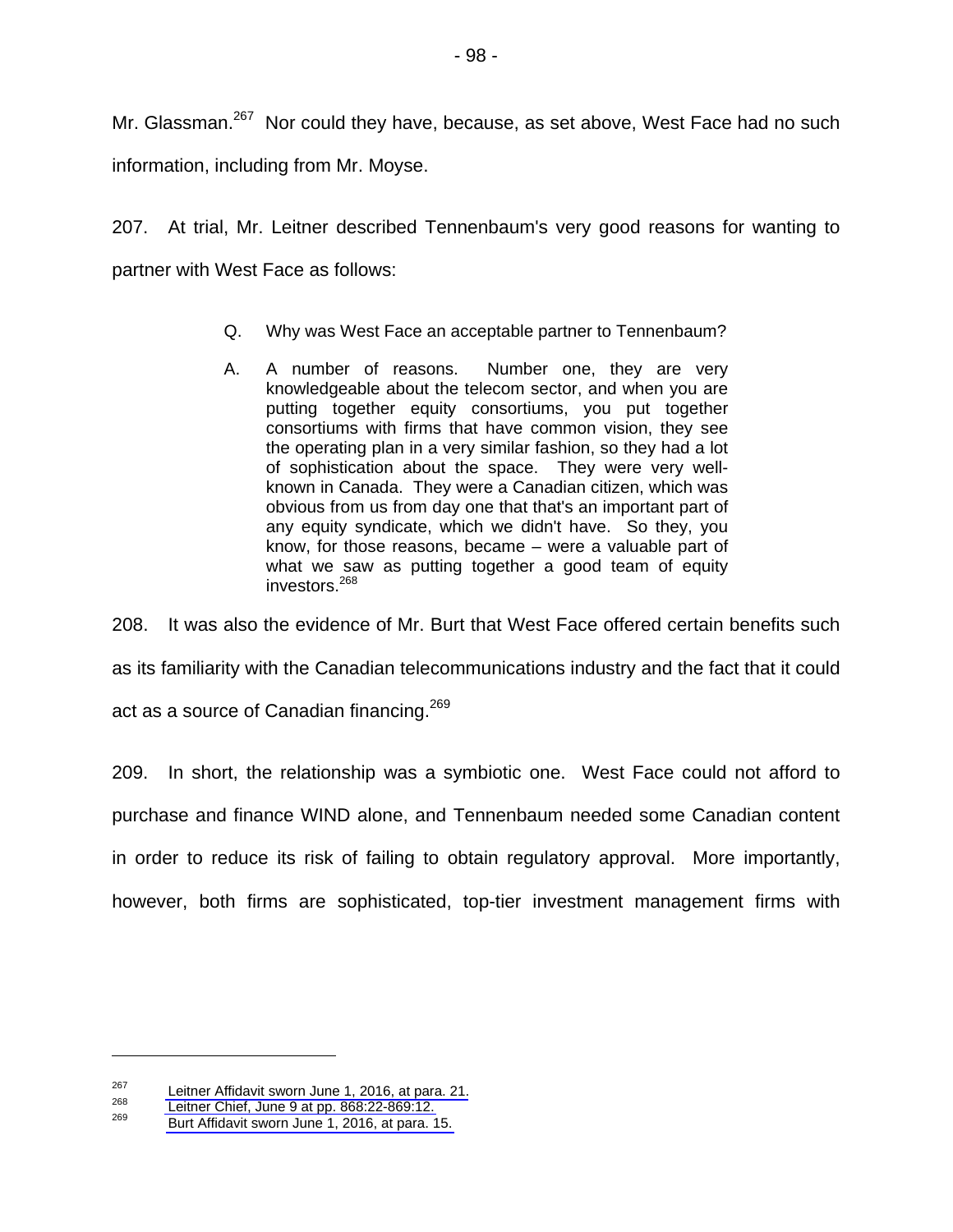Mr. Glassman.<sup>267</sup> Nor could they have, because, as set above, West Face had no such information, including from Mr. Moyse.

207. At trial, Mr. Leitner described Tennenbaum's very good reasons for wanting to partner with West Face as follows:

- Q. Why was West Face an acceptable partner to Tennenbaum?
- A. A number of reasons. Number one, they are very knowledgeable about the telecom sector, and when you are putting together equity consortiums, you put together consortiums with firms that have common vision, they see the operating plan in a very similar fashion, so they had a lot of sophistication about the space. They were very wellknown in Canada. They were a Canadian citizen, which was obvious from us from day one that that's an important part of any equity syndicate, which we didn't have. So they, you know, for those reasons, became – were a valuable part of what we saw as putting together a good team of equity investors.<sup>268</sup>

208. It was also the evidence of Mr. Burt that West Face offered certain benefits such as its familiarity with the Canadian telecommunications industry and the fact that it could act as a source of Canadian financing.<sup>269</sup>

209. In short, the relationship was a symbiotic one. West Face could not afford to purchase and finance WIND alone, and Tennenbaum needed some Canadian content in order to reduce its risk of failing to obtain regulatory approval. More importantly, however, both firms are sophisticated, top-tier investment management firms with

<sup>&</sup>lt;sup>267</sup> [Leitner Affidavit sworn June 1, 2016, at para. 21.](#page-1-0)<br>
<sup>268</sup> Leitner Chief, June 9 at pp. 868:22-869:12.<br>
<sup>269</sup> Burt Affidavit sworn June 1, 2016, at para. 15.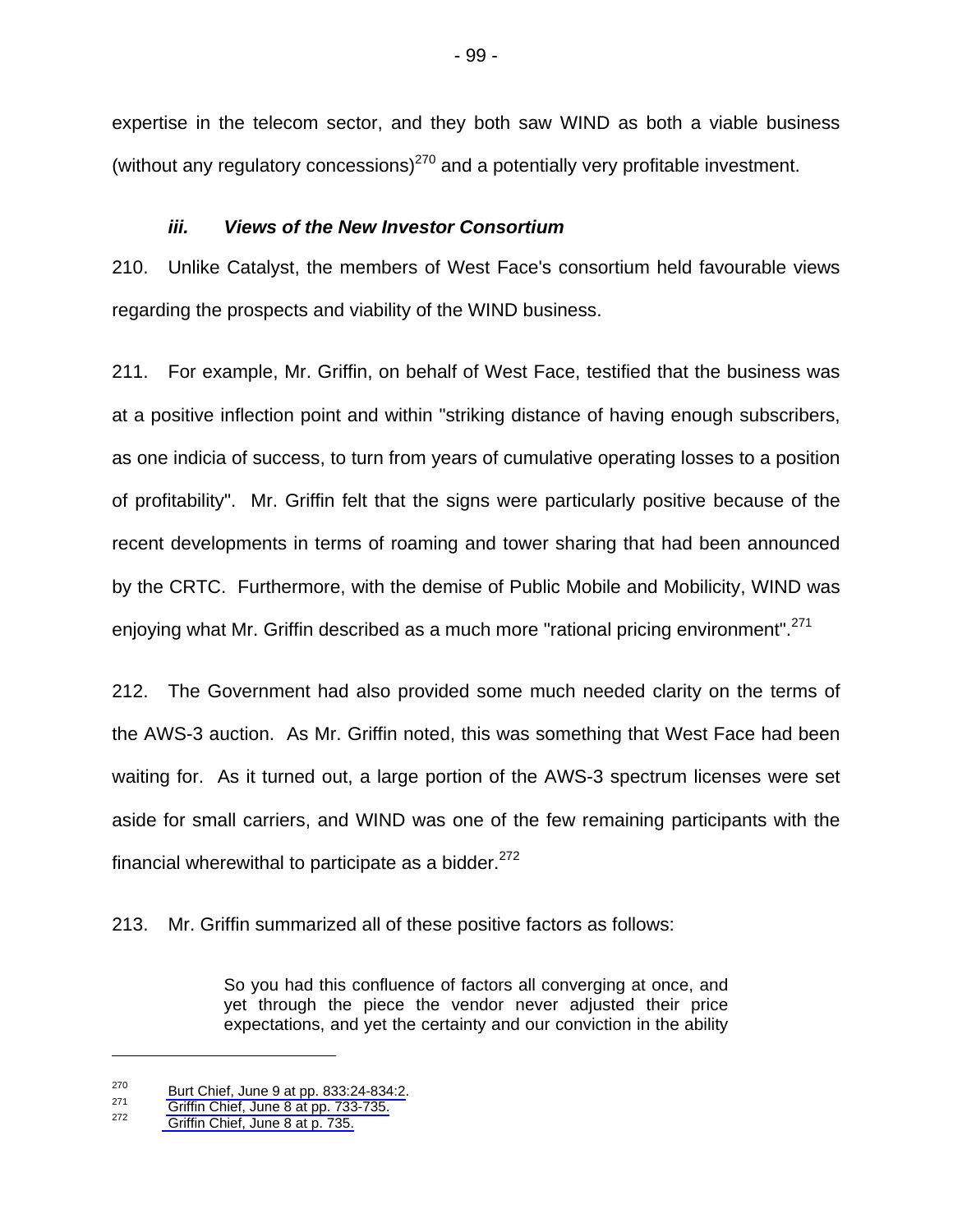expertise in the telecom sector, and they both saw WIND as both a viable business (without any regulatory concessions)<sup>270</sup> and a potentially very profitable investment.

### *iii. Views of the New Investor Consortium*

210. Unlike Catalyst, the members of West Face's consortium held favourable views regarding the prospects and viability of the WIND business.

211. For example, Mr. Griffin, on behalf of West Face, testified that the business was at a positive inflection point and within "striking distance of having enough subscribers, as one indicia of success, to turn from years of cumulative operating losses to a position of profitability". Mr. Griffin felt that the signs were particularly positive because of the recent developments in terms of roaming and tower sharing that had been announced by the CRTC. Furthermore, with the demise of Public Mobile and Mobilicity, WIND was enjoying what Mr. Griffin described as a much more "rational pricing environment".<sup>271</sup>

212. The Government had also provided some much needed clarity on the terms of the AWS-3 auction. As Mr. Griffin noted, this was something that West Face had been waiting for. As it turned out, a large portion of the AWS-3 spectrum licenses were set aside for small carriers, and WIND was one of the few remaining participants with the financial wherewithal to participate as a bidder. $272$ 

213. Mr. Griffin summarized all of these positive factors as follows:

So you had this confluence of factors all converging at once, and yet through the piece the vendor never adjusted their price expectations, and yet the certainty and our conviction in the ability

<sup>&</sup>lt;sup>270</sup> [Burt Chief, June 9 at pp. 833:24-834:2.](#page-1-0)<br><sup>271</sup> [Griffin Chief, June 8 at pp. 733-735.](#page-1-0)<br><sup>272</sup> [Griffin Chief, June 8 at p. 735.](#page-1-0)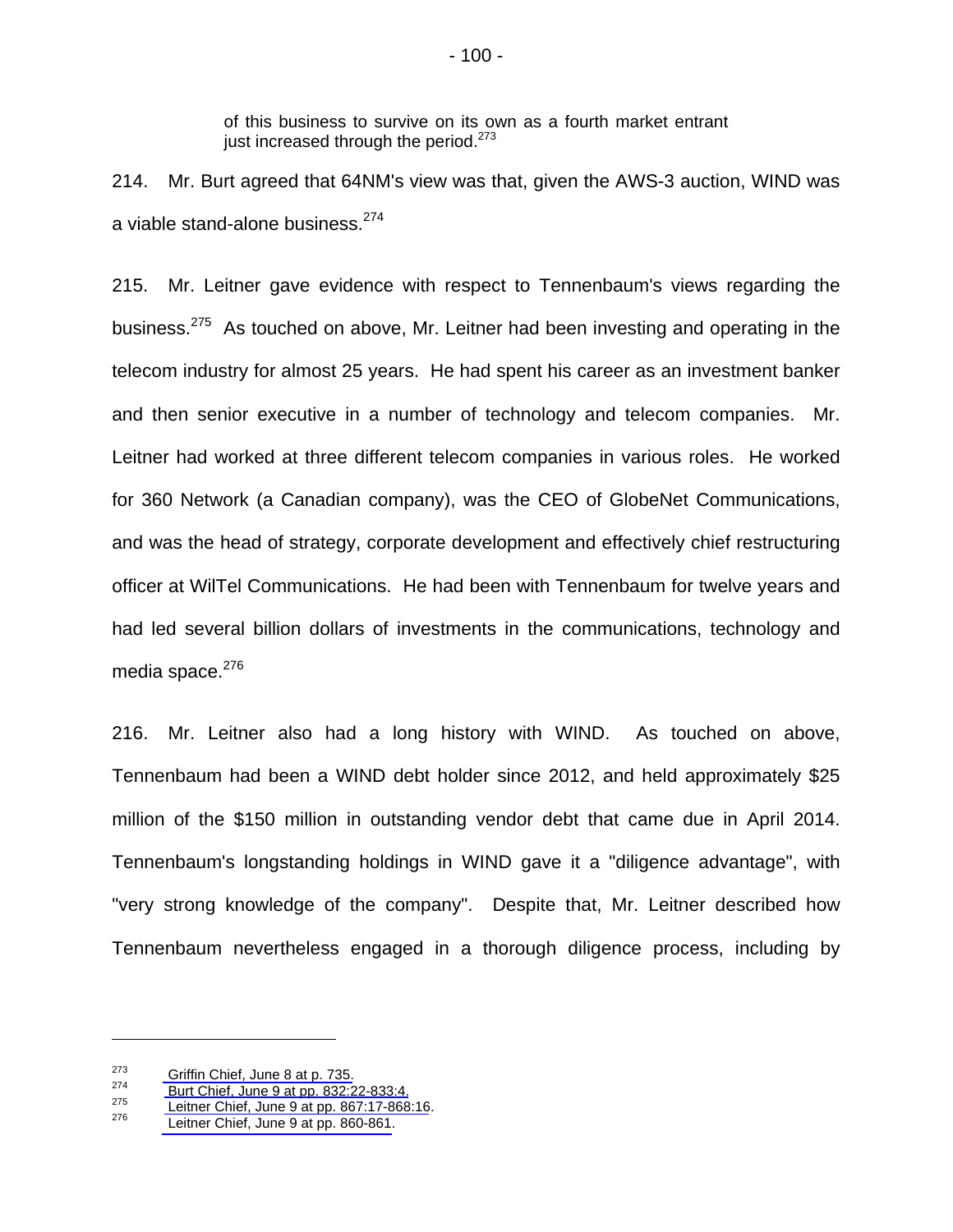of this business to survive on its own as a fourth market entrant just increased through the period. $273$ 

214. Mr. Burt agreed that 64NM's view was that, given the AWS-3 auction, WIND was a viable stand-alone business.<sup>274</sup>

215. Mr. Leitner gave evidence with respect to Tennenbaum's views regarding the business.<sup>275</sup> As touched on above, Mr. Leitner had been investing and operating in the telecom industry for almost 25 years. He had spent his career as an investment banker and then senior executive in a number of technology and telecom companies. Mr. Leitner had worked at three different telecom companies in various roles. He worked for 360 Network (a Canadian company), was the CEO of GlobeNet Communications, and was the head of strategy, corporate development and effectively chief restructuring officer at WilTel Communications. He had been with Tennenbaum for twelve years and had led several billion dollars of investments in the communications, technology and media space. $276$ 

216. Mr. Leitner also had a long history with WIND. As touched on above, Tennenbaum had been a WIND debt holder since 2012, and held approximately \$25 million of the \$150 million in outstanding vendor debt that came due in April 2014. Tennenbaum's longstanding holdings in WIND gave it a "diligence advantage", with "very strong knowledge of the company". Despite that, Mr. Leitner described how Tennenbaum nevertheless engaged in a thorough diligence process, including by

<sup>&</sup>lt;sup>273</sup> [Griffin Chief, June 8 at p. 735.](#page-1-0)<br>
<sup>274</sup> Burt Chief, June 9 at pp. 832:22-833:4.<br> [Leitner Chief, June 9 at pp. 867:17-868:16](#page-1-0).<br> [Leitner Chief, June 9 at pp. 860-861.](#page-1-0)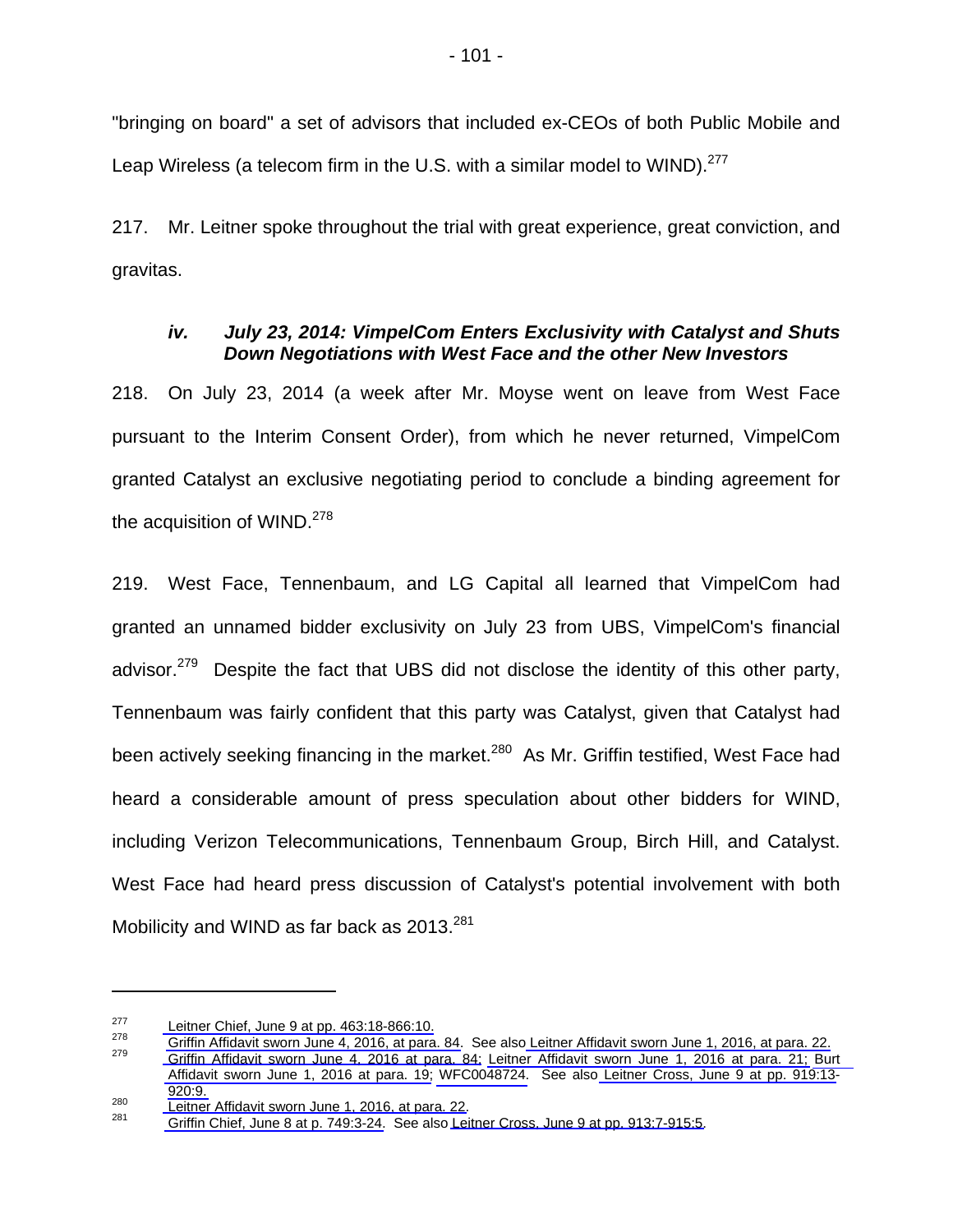"bringing on board" a set of advisors that included ex-CEOs of both Public Mobile and Leap Wireless (a telecom firm in the U.S. with a similar model to WIND).<sup>277</sup>

217. Mr. Leitner spoke throughout the trial with great experience, great conviction, and gravitas.

## *iv. July 23, 2014: VimpelCom Enters Exclusivity with Catalyst and Shuts Down Negotiations with West Face and the other New Investors*

218. On July 23, 2014 (a week after Mr. Moyse went on leave from West Face pursuant to the Interim Consent Order), from which he never returned, VimpelCom granted Catalyst an exclusive negotiating period to conclude a binding agreement for the acquisition of WIND. $278$ 

219. West Face, Tennenbaum, and LG Capital all learned that VimpelCom had granted an unnamed bidder exclusivity on July 23 from UBS, VimpelCom's financial advisor.<sup>279</sup> Despite the fact that UBS did not disclose the identity of this other party, Tennenbaum was fairly confident that this party was Catalyst, given that Catalyst had been actively seeking financing in the market.<sup>280</sup> As Mr. Griffin testified, West Face had heard a considerable amount of press speculation about other bidders for WIND, including Verizon Telecommunications, Tennenbaum Group, Birch Hill, and Catalyst. West Face had heard press discussion of Catalyst's potential involvement with both Mobilicity and WIND as far back as  $2013.<sup>281</sup>$ 

[Leitner Chief, June 9 at pp. 463:18-866:10.](#page-1-0)<br>
<sup>278</sup> [Griffin Affidavit sworn June 4, 2016, at para. 84.](#page-1-0) See als[o Leitner Affidavit sworn June 1, 2016, at para. 22.](#page-1-0)<br>
<sup>279</sup> [Griffin Affidavit sworn June 4, 2016 at para. 84;](#page-1-0) Le [Affidavit sworn June 1, 2016 at para. 19;](#page-1-0) WFC0048724. See also [Leitner Cross, June 9 at pp. 919:13-](#page-1-0)

<sup>920:9.&</sup>lt;br><sup>280</sup> [Leitner Affidavit sworn June 1, 2016, at para. 22.](#page-1-0)<br><sup>281</sup> [Griffin Chief, June 8 at p. 749:3-24.](#page-1-0) See also [Leitner Cross, June 9 at pp. 913:7-915:5.](#page-1-0)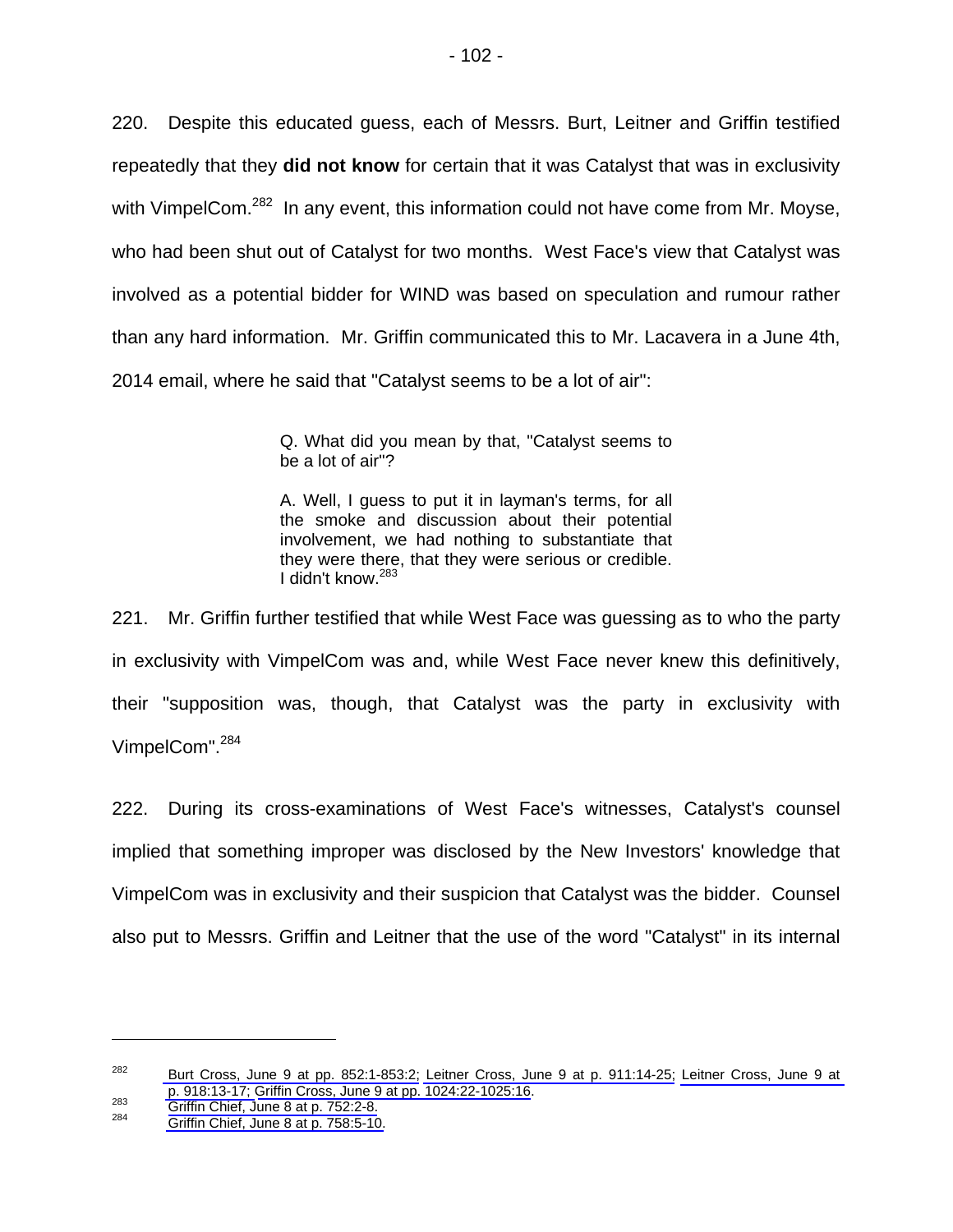220. Despite this educated guess, each of Messrs. Burt, Leitner and Griffin testified repeatedly that they **did not know** for certain that it was Catalyst that was in exclusivity with VimpelCom.<sup>282</sup> In any event, this information could not have come from Mr. Moyse, who had been shut out of Catalyst for two months. West Face's view that Catalyst was involved as a potential bidder for WIND was based on speculation and rumour rather than any hard information. Mr. Griffin communicated this to Mr. Lacavera in a June 4th, 2014 email, where he said that "Catalyst seems to be a lot of air":

> Q. What did you mean by that, "Catalyst seems to be a lot of air"?

> A. Well, I guess to put it in layman's terms, for all the smoke and discussion about their potential involvement, we had nothing to substantiate that they were there, that they were serious or credible. I didn't know.<sup>283</sup>

221. Mr. Griffin further testified that while West Face was guessing as to who the party in exclusivity with VimpelCom was and, while West Face never knew this definitively, their "supposition was, though, that Catalyst was the party in exclusivity with VimpelCom".<sup>284</sup>

222. During its cross-examinations of West Face's witnesses, Catalyst's counsel implied that something improper was disclosed by the New Investors' knowledge that VimpelCom was in exclusivity and their suspicion that Catalyst was the bidder. Counsel also put to Messrs. Griffin and Leitner that the use of the word "Catalyst" in its internal

<sup>&</sup>lt;sup>282</sup> [Burt Cross, June 9 at pp. 852:1-853:2; Leitner Cross, June 9 at p. 911:14-25;](#page-1-0) Leitner Cross, June 9 at [p. 918:13-17; Griffin Cross, June 9 at pp. 1024:22-1025:16](#page-1-0).<br>
<sup>283</sup> [Griffin Chief, June 8 at p. 752:2-8.](#page-1-0)<br>
284 [Griffin Chief, June 8 at p. 758:5-10.](#page-1-0)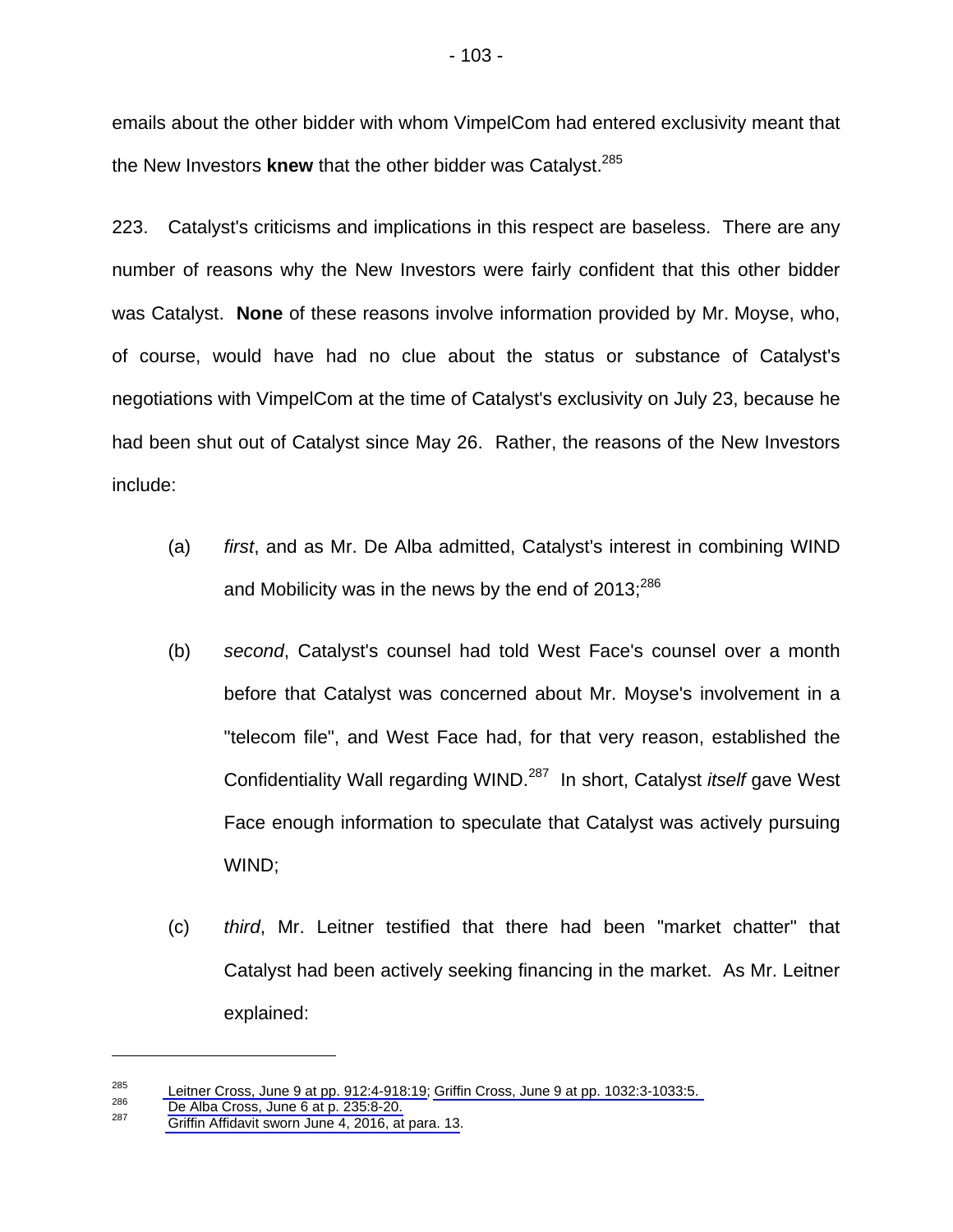emails about the other bidder with whom VimpelCom had entered exclusivity meant that the New Investors **knew** that the other bidder was Catalyst.<sup>285</sup>

223. Catalyst's criticisms and implications in this respect are baseless. There are any number of reasons why the New Investors were fairly confident that this other bidder was Catalyst. **None** of these reasons involve information provided by Mr. Moyse, who, of course, would have had no clue about the status or substance of Catalyst's negotiations with VimpelCom at the time of Catalyst's exclusivity on July 23, because he had been shut out of Catalyst since May 26. Rather, the reasons of the New Investors include:

- (a) *first*, and as Mr. De Alba admitted, Catalyst's interest in combining WIND and Mobilicity was in the news by the end of  $2013$ ;<sup>286</sup>
- (b) *second*, Catalyst's counsel had told West Face's counsel over a month before that Catalyst was concerned about Mr. Moyse's involvement in a "telecom file", and West Face had, for that very reason, established the Confidentiality Wall regarding WIND.287 In short, Catalyst *itself* gave West Face enough information to speculate that Catalyst was actively pursuing WIND;
- (c) *third*, Mr. Leitner testified that there had been "market chatter" that Catalyst had been actively seeking financing in the market. As Mr. Leitner explained:

<sup>&</sup>lt;sup>285</sup><br> [Leitner Cross, June 9 at pp. 912:4-918:19](#page-1-0); Griffin Cross, June 9 at pp. 1032:3-1033:5.<br>
<sup>286</sup> De Alba Cross, June 6 at p. 235:8-20.<br> [Griffin Affidavit sworn June 4, 2016, at para. 13.](#page-1-0)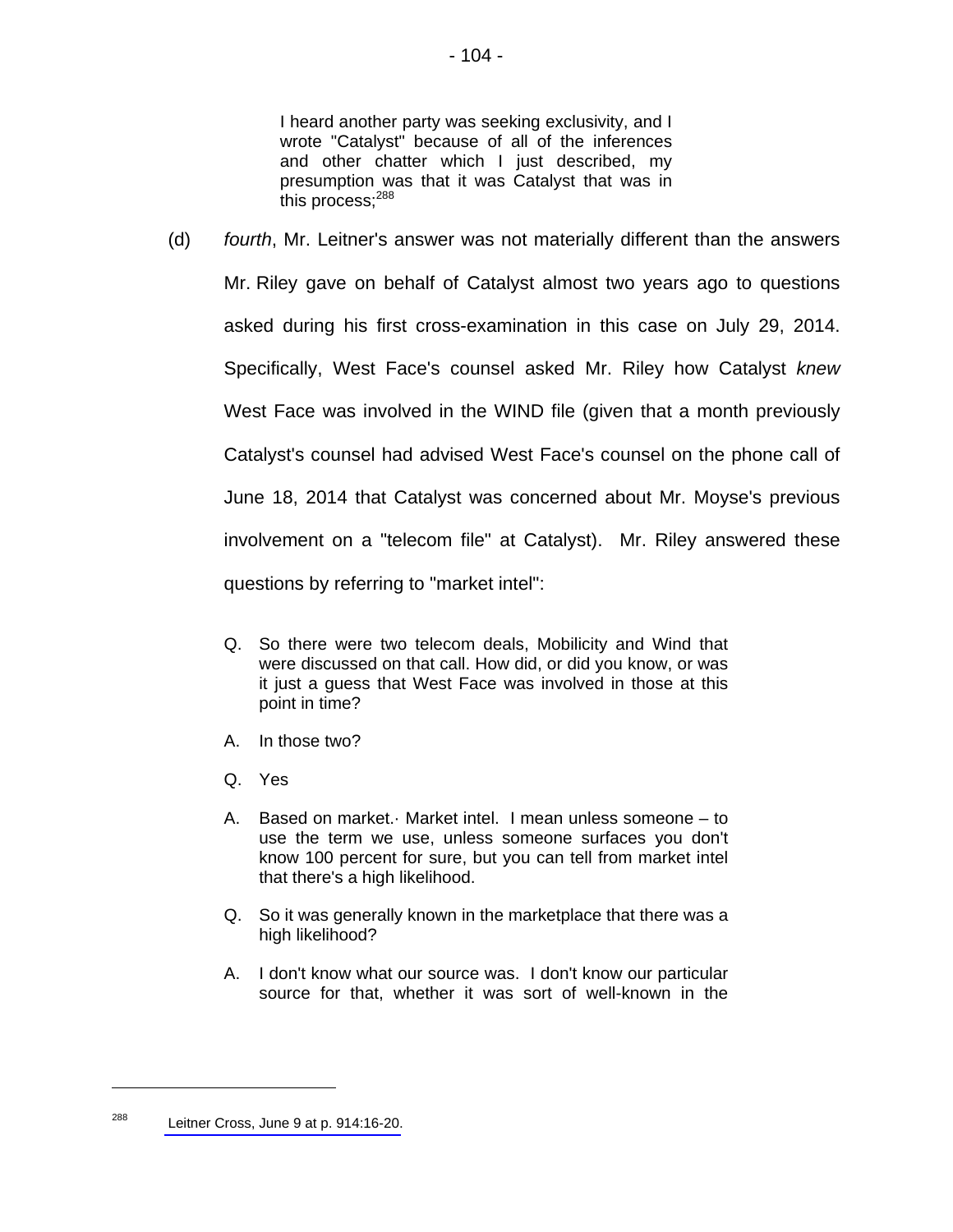I heard another party was seeking exclusivity, and I wrote "Catalyst" because of all of the inferences and other chatter which I just described, my presumption was that it was Catalyst that was in this process: $288$ 

- (d) *fourth*, Mr. Leitner's answer was not materially different than the answers Mr. Riley gave on behalf of Catalyst almost two years ago to questions asked during his first cross-examination in this case on July 29, 2014. Specifically, West Face's counsel asked Mr. Riley how Catalyst *knew* West Face was involved in the WIND file (given that a month previously Catalyst's counsel had advised West Face's counsel on the phone call of June 18, 2014 that Catalyst was concerned about Mr. Moyse's previous involvement on a "telecom file" at Catalyst). Mr. Riley answered these questions by referring to "market intel":
	- Q. So there were two telecom deals, Mobilicity and Wind that were discussed on that call. How did, or did you know, or was it just a guess that West Face was involved in those at this point in time?
	- A. In those two?
	- Q. Yes
	- A. Based on market.· Market intel. I mean unless someone to use the term we use, unless someone surfaces you don't know 100 percent for sure, but you can tell from market intel that there's a high likelihood.
	- Q. So it was generally known in the marketplace that there was a high likelihood?
	- A. I don't know what our source was. I don't know our particular source for that, whether it was sort of well-known in the

 $288$  [Leitner Cross, June 9 at p. 914:16-20.](#page-1-0)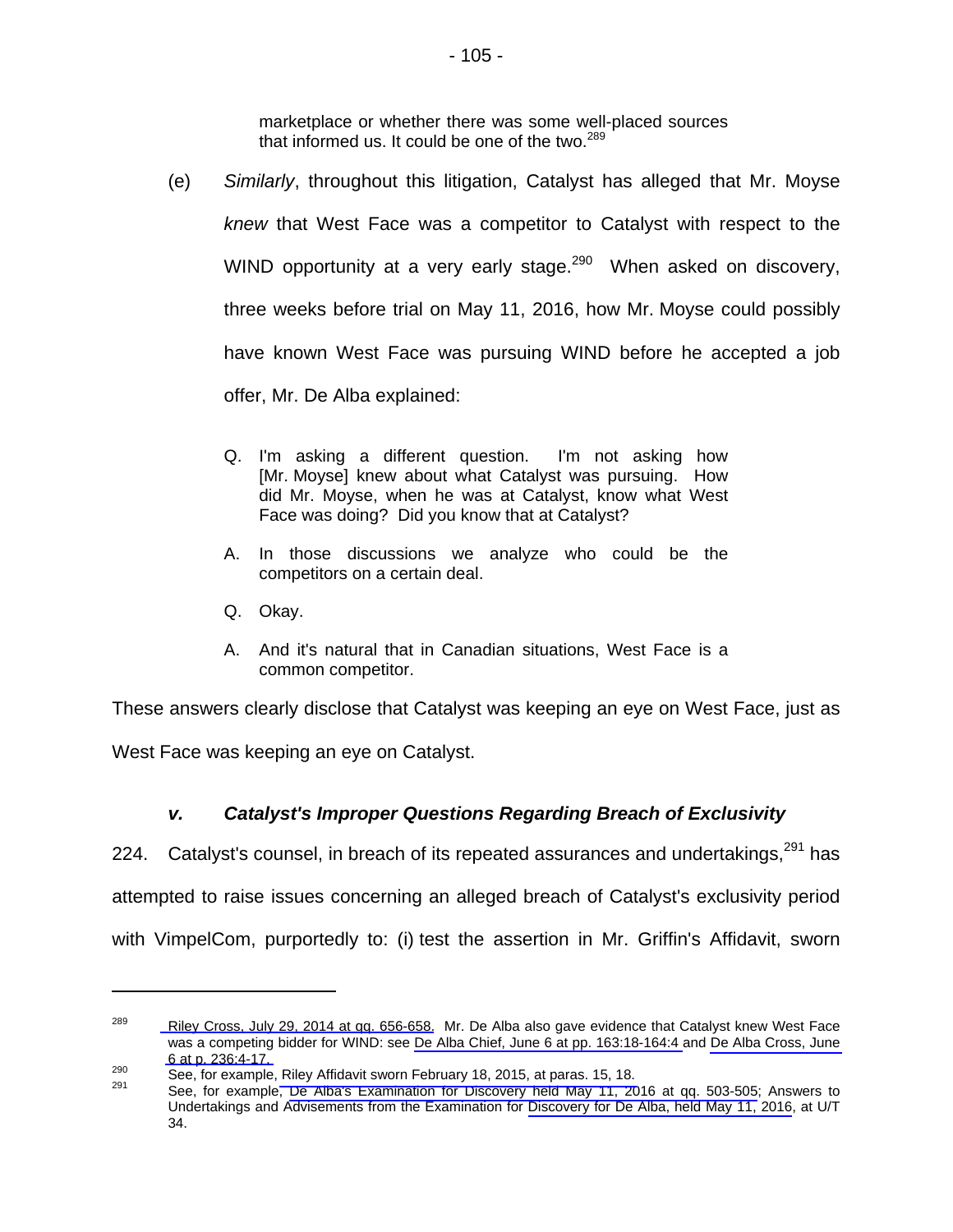marketplace or whether there was some well-placed sources that informed us. It could be one of the two. $289$ 

- (e) *Similarly*, throughout this litigation, Catalyst has alleged that Mr. Moyse *knew* that West Face was a competitor to Catalyst with respect to the WIND opportunity at a very early stage. $290$  When asked on discovery, three weeks before trial on May 11, 2016, how Mr. Moyse could possibly have known West Face was pursuing WIND before he accepted a job offer, Mr. De Alba explained:
	- Q. I'm asking a different question. I'm not asking how [Mr. Moyse] knew about what Catalyst was pursuing. How did Mr. Moyse, when he was at Catalyst, know what West Face was doing? Did you know that at Catalyst?
	- A. In those discussions we analyze who could be the competitors on a certain deal.
	- Q. Okay.

1

A. And it's natural that in Canadian situations, West Face is a common competitor.

These answers clearly disclose that Catalyst was keeping an eye on West Face, just as

West Face was keeping an eye on Catalyst.

# *v. Catalyst's Improper Questions Regarding Breach of Exclusivity*

224. Catalyst's counsel, in breach of its repeated assurances and undertakings, <sup>291</sup> has attempted to raise issues concerning an alleged breach of Catalyst's exclusivity period with VimpelCom, purportedly to: (i) test the assertion in Mr. Griffin's Affidavit, sworn

 $289$  [Riley Cross, July 29, 2014 at qq. 656-658.](#page-1-0) Mr. De Alba also gave evidence that Catalyst knew West Face was a competing bidder for WIND: see [De Alba Chief, June 6 at pp. 163:18-164:4 a](#page-1-0)nd [De Alba Cross, June](#page-1-0)  6 at p. 236:4-17.<br><sup>290</sup> See, for example, Riley Affidavit sworn February 18, 2015, at paras. 15, 18.<br><sup>291</sup> See, for example[, De Alba's Examination for Discovery held May 11, 2016 at qq. 503-505](#page-1-0); Answers to

Undertakings and Advisements from the Examination for [Discovery for De Alba, held May 11, 2016](#page-9-0), at U/T 34.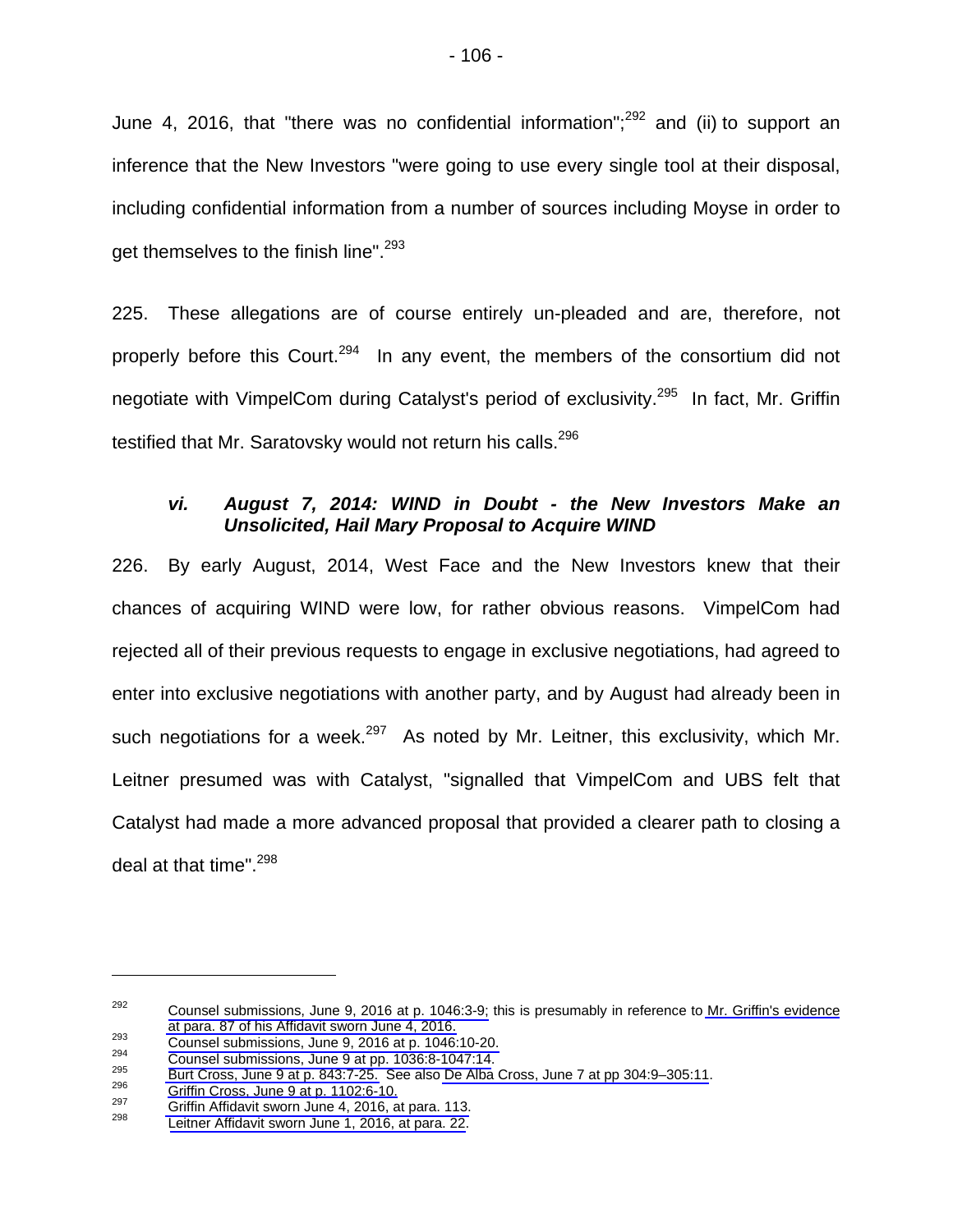June 4, 2016, that "there was no confidential information"; $^{292}$  and (ii) to support an inference that the New Investors "were going to use every single tool at their disposal, including confidential information from a number of sources including Moyse in order to get themselves to the finish line".<sup>293</sup>

225. These allegations are of course entirely un-pleaded and are, therefore, not properly before this Court.<sup>294</sup> In any event, the members of the consortium did not negotiate with VimpelCom during Catalyst's period of exclusivity.<sup>295</sup> In fact, Mr. Griffin testified that Mr. Saratovsky would not return his calls.<sup>296</sup>

#### *vi. August 7, 2014: WIND in Doubt - the New Investors Make an Unsolicited, Hail Mary Proposal to Acquire WIND*

226. By early August, 2014, West Face and the New Investors knew that their chances of acquiring WIND were low, for rather obvious reasons. VimpelCom had rejected all of their previous requests to engage in exclusive negotiations, had agreed to enter into exclusive negotiations with another party, and by August had already been in such negotiations for a week.<sup>297</sup> As noted by Mr. Leitner, this exclusivity, which Mr. Leitner presumed was with Catalyst, "signalled that VimpelCom and UBS felt that Catalyst had made a more advanced proposal that provided a clearer path to closing a deal at that time".<sup>298</sup>

 $292$  [Counsel submissions, June 9, 2016 at p. 1046:3-9;](#page-1-0) this is presumably in reference to Mr. Griffin's evidence at para. 87 of his Affidavit sworn June 4, 2016.<br>
Counsel submissions, June 9, 2016 at p. 1046:10-20.<br>
Counsel submissions, June 9 at pp. 1036:8-1047:14.<br>
<sup>295</sup><br>
Burt Cross, June 9 at p. 843:7-25. See also De Alba Cross, J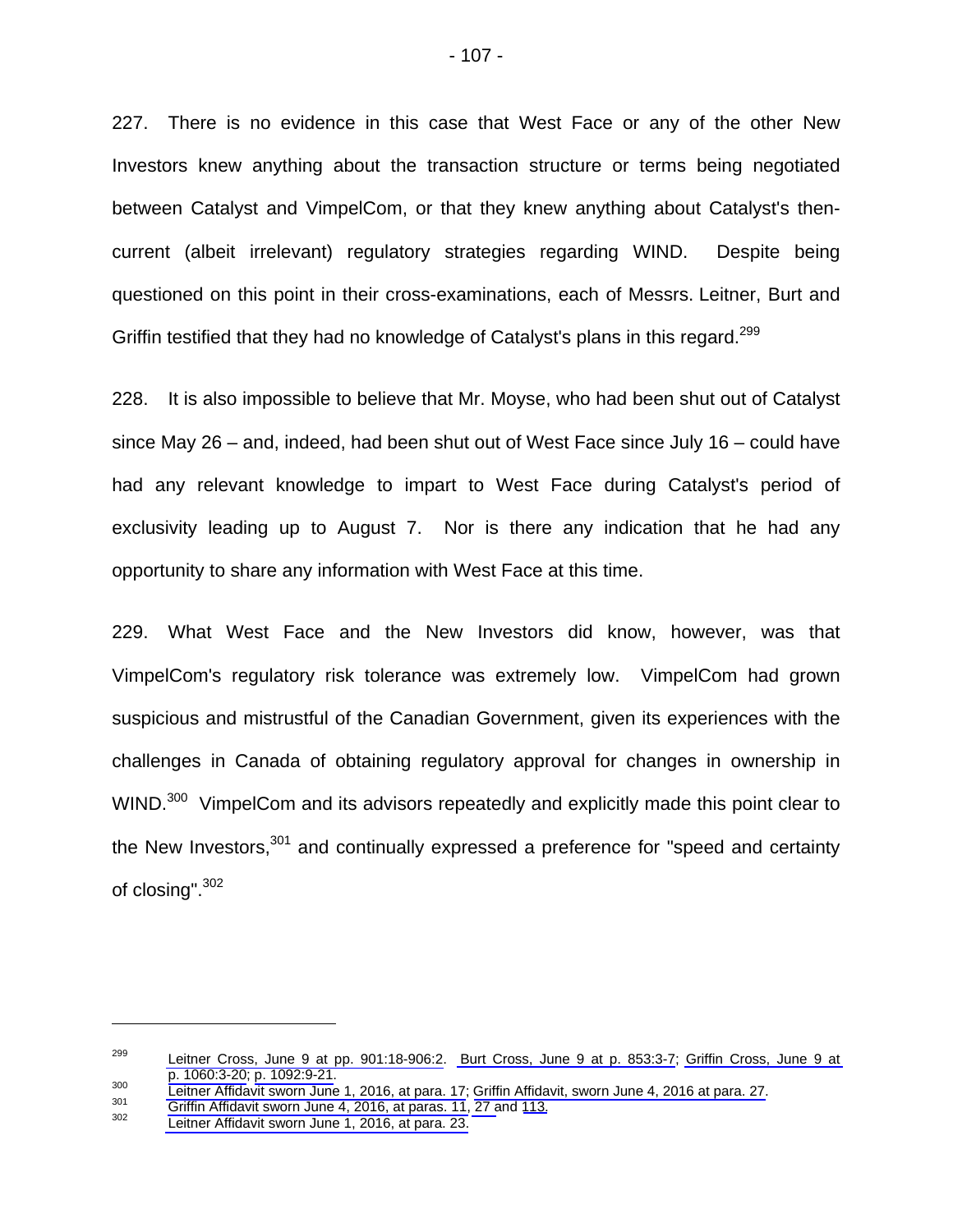227. There is no evidence in this case that West Face or any of the other New Investors knew anything about the transaction structure or terms being negotiated between Catalyst and VimpelCom, or that they knew anything about Catalyst's thencurrent (albeit irrelevant) regulatory strategies regarding WIND. Despite being questioned on this point in their cross-examinations, each of Messrs. Leitner, Burt and Griffin testified that they had no knowledge of Catalyst's plans in this regard.<sup>299</sup>

228. It is also impossible to believe that Mr. Moyse, who had been shut out of Catalyst since May 26 – and, indeed, had been shut out of West Face since July 16 – could have had any relevant knowledge to impart to West Face during Catalyst's period of exclusivity leading up to August 7. Nor is there any indication that he had any opportunity to share any information with West Face at this time.

229. What West Face and the New Investors did know, however, was that VimpelCom's regulatory risk tolerance was extremely low. VimpelCom had grown suspicious and mistrustful of the Canadian Government, given its experiences with the challenges in Canada of obtaining regulatory approval for changes in ownership in WIND.<sup>300</sup> VimpelCom and its advisors repeatedly and explicitly made this point clear to the New Investors,<sup>301</sup> and continually expressed a preference for "speed and certainty of closing".  $302$ 

<sup>&</sup>lt;sup>299</sup> [Leitner Cross, June 9 at pp. 901:18-906:2.](#page-1-0) [Burt Cross, June 9 at p. 853:3-7](#page-1-0); Griffin Cross, June 9 at [p. 1060:3-20;](#page-1-0) [p. 1092:9-21](#page-1-0).<br> [Leitner Affidavit sworn June 1, 2016, at para. 17](#page-1-0); [Griffin Affidavit, sworn June 4, 2016 at para. 27.](#page-1-0)<br>
301 [Griffin Affidavit sworn June 4, 2016, at paras. 11,](#page-1-0) [27 a](#page-3-0)nd [113.](#page-4-0)<br>
302Leitner Affidavit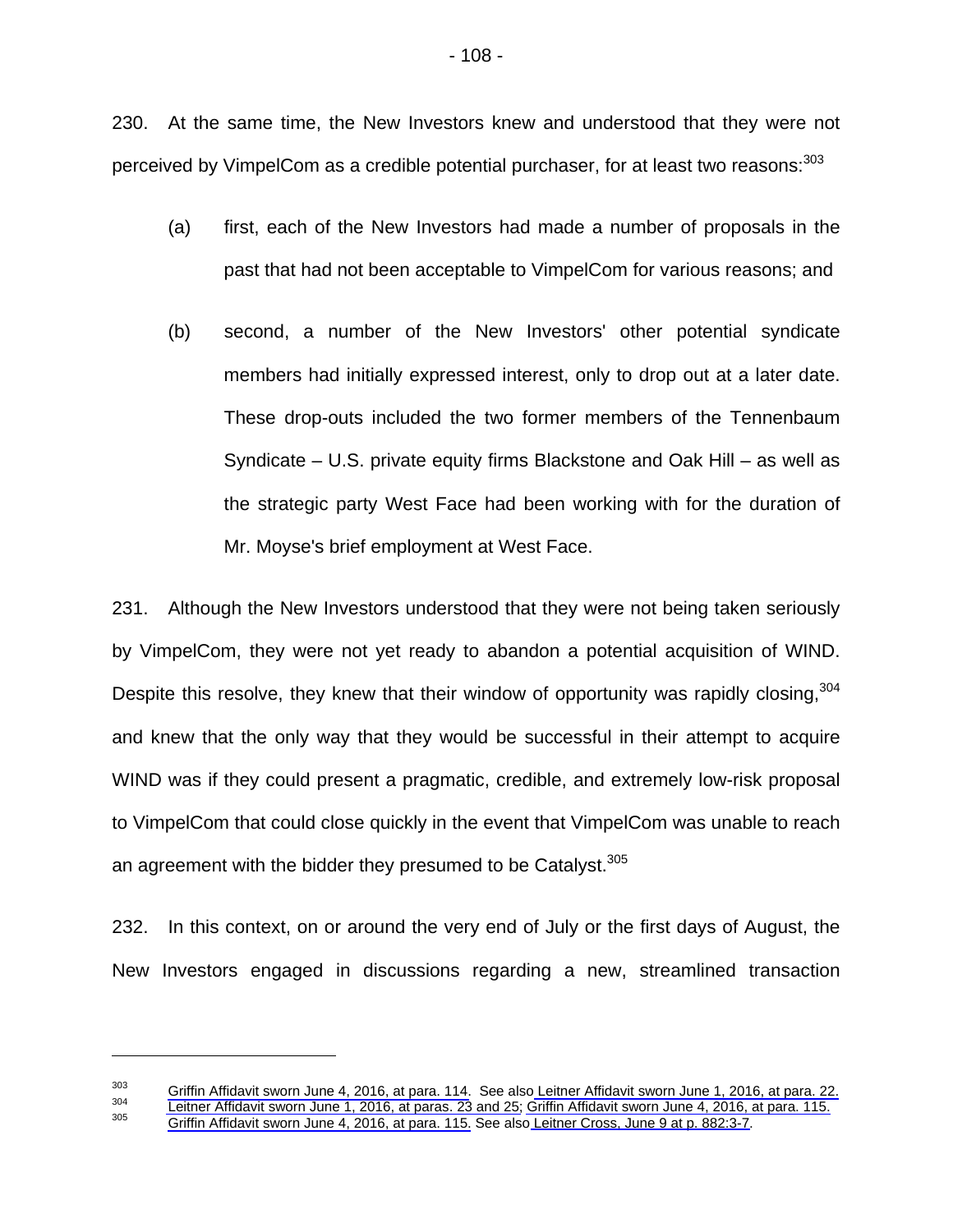230. At the same time, the New Investors knew and understood that they were not perceived by VimpelCom as a credible potential purchaser, for at least two reasons: 303

- 108 -

- (a) first, each of the New Investors had made a number of proposals in the past that had not been acceptable to VimpelCom for various reasons; and
- (b) second, a number of the New Investors' other potential syndicate members had initially expressed interest, only to drop out at a later date. These drop-outs included the two former members of the Tennenbaum Syndicate – U.S. private equity firms Blackstone and Oak Hill – as well as the strategic party West Face had been working with for the duration of Mr. Moyse's brief employment at West Face.

231. Although the New Investors understood that they were not being taken seriously by VimpelCom, they were not yet ready to abandon a potential acquisition of WIND. Despite this resolve, they knew that their window of opportunity was rapidly closing.<sup>304</sup> and knew that the only way that they would be successful in their attempt to acquire WIND was if they could present a pragmatic, credible, and extremely low-risk proposal to VimpelCom that could close quickly in the event that VimpelCom was unable to reach an agreement with the bidder they presumed to be Catalyst.<sup>305</sup>

232. In this context, on or around the very end of July or the first days of August, the New Investors engaged in discussions regarding a new, streamlined transaction

<sup>&</sup>lt;sup>303</sup> [Griffin Affidavit sworn June 4, 2016, at para. 114. See also Leitner Affidavit sworn June 1, 2016, at para. 22.](#page-1-0)<br>
Leitner Affidavit sworn June 1, 2016, at paras. 23 and 25; Griffin Affidavit sworn June 4, 2016, at pa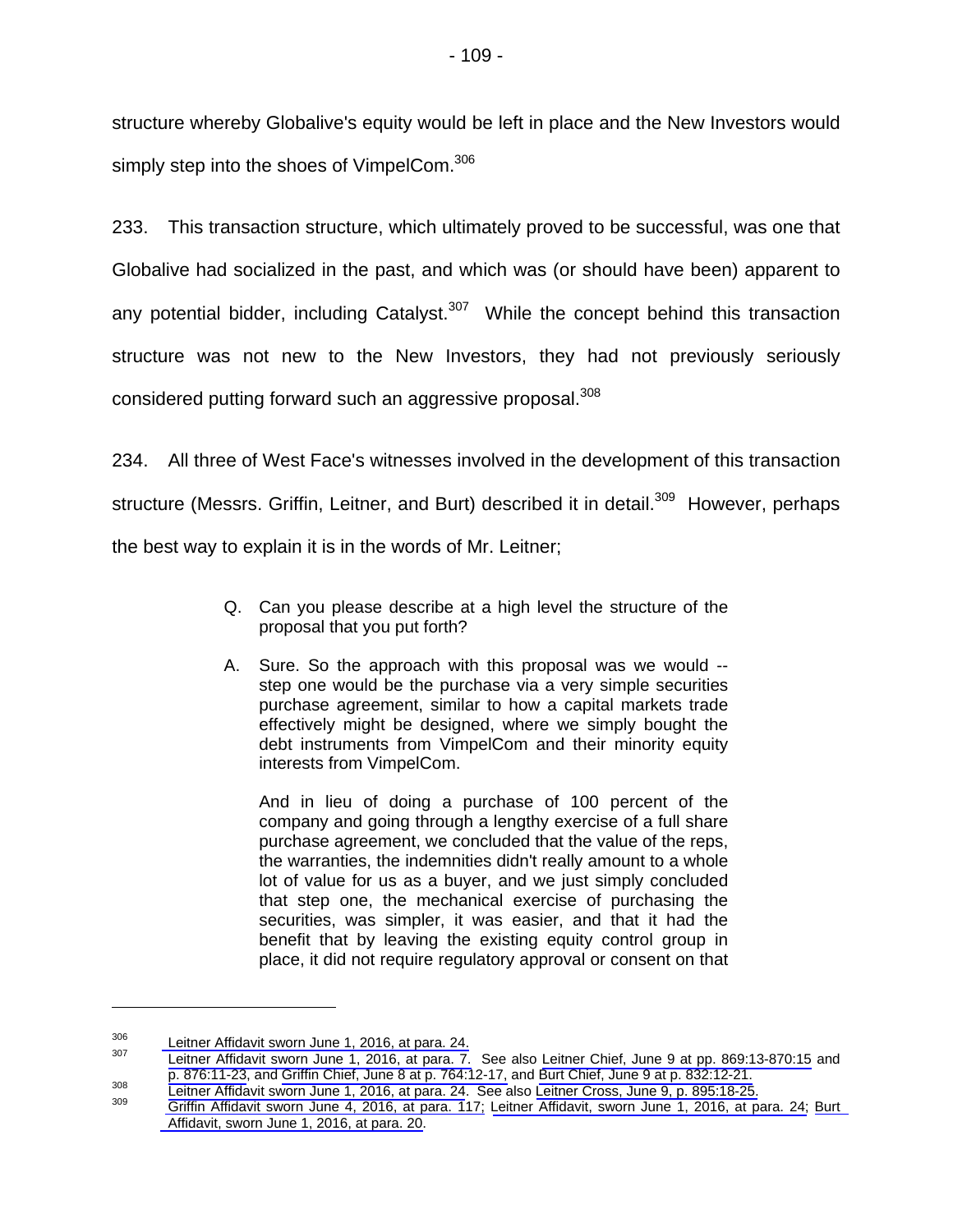structure whereby Globalive's equity would be left in place and the New Investors would simply step into the shoes of VimpelCom.<sup>306</sup>

233. This transaction structure, which ultimately proved to be successful, was one that Globalive had socialized in the past, and which was (or should have been) apparent to any potential bidder, including Catalyst. $307$  While the concept behind this transaction structure was not new to the New Investors, they had not previously seriously considered putting forward such an aggressive proposal.<sup>308</sup>

234. All three of West Face's witnesses involved in the development of this transaction structure (Messrs. Griffin, Leitner, and Burt) described it in detail.<sup>309</sup> However, perhaps the best way to explain it is in the words of Mr. Leitner;

- Q. Can you please describe at a high level the structure of the proposal that you put forth?
- A. Sure. So the approach with this proposal was we would step one would be the purchase via a very simple securities purchase agreement, similar to how a capital markets trade effectively might be designed, where we simply bought the debt instruments from VimpelCom and their minority equity interests from VimpelCom.

 And in lieu of doing a purchase of 100 percent of the company and going through a lengthy exercise of a full share purchase agreement, we concluded that the value of the reps, the warranties, the indemnities didn't really amount to a whole lot of value for us as a buyer, and we just simply concluded that step one, the mechanical exercise of purchasing the securities, was simpler, it was easier, and that it had the benefit that by leaving the existing equity control group in place, it did not require regulatory approval or consent on that

 $\frac{306}{307}$  Leitner Affidavit sworn June 1, 2016, at para. 24.<br>307 [Leitner Affidavit sworn June 1, 2016, at para. 7.](#page-1-0) See also [Leitner Chief, June 9 at pp. 869:13-870:15](#page-1-0) and [p. 876:11-23,](#page-1-0) and [Griffin Chief, June 8 at p. 764:12-17,](#page-1-0) and [Burt](#page-1-0) Chief, June 9 at p. 832:12-21.<br>
Leitner Affidavit sworn June 1, 2016, at para. 24. See also Leitner Cross, June 9, p. 895:18-25.<br>
Griffin Affidavit sworn Ju

[Affidavit, sworn June 1, 2016, at para. 20.](#page-1-0)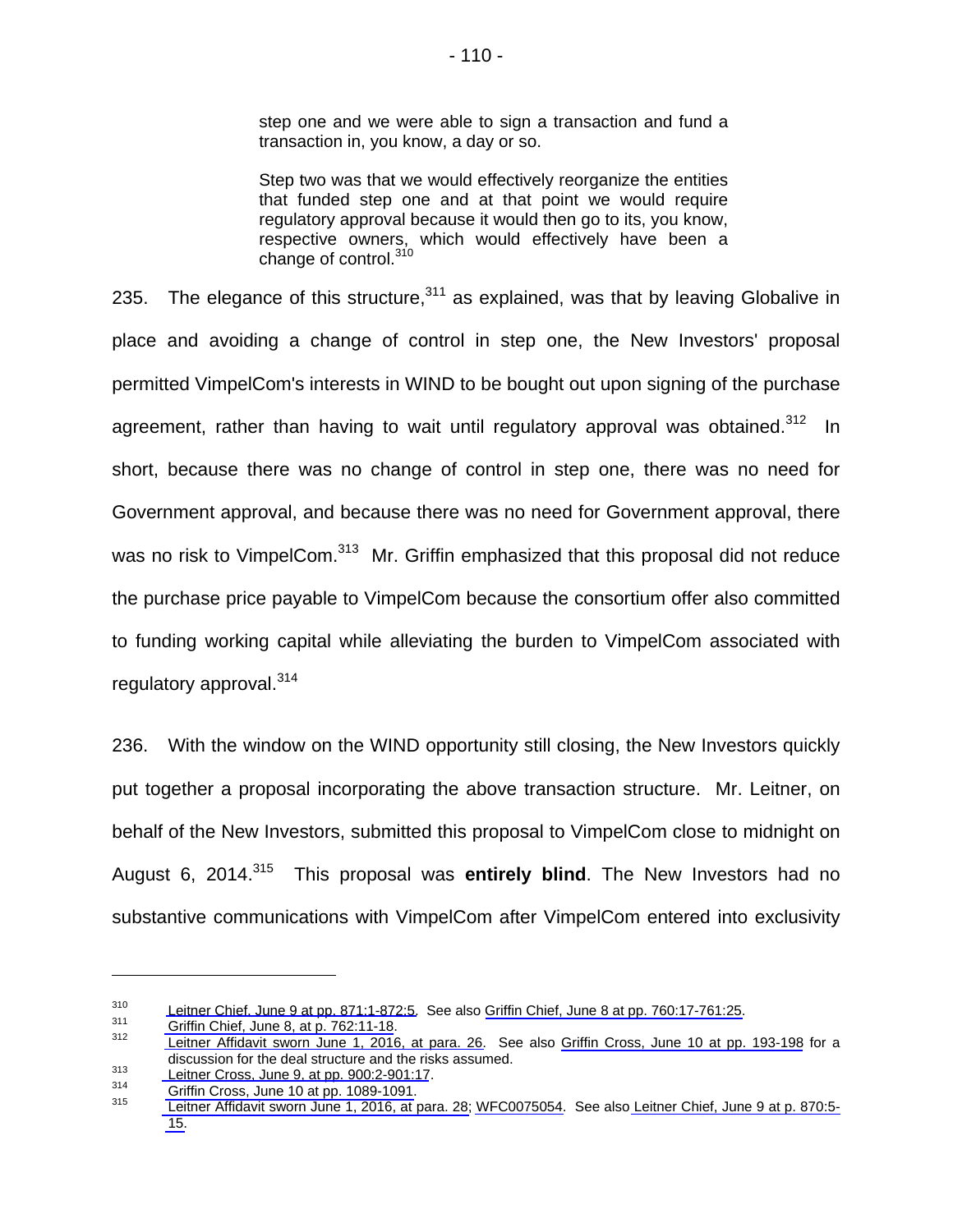step one and we were able to sign a transaction and fund a transaction in, you know, a day or so.

 Step two was that we would effectively reorganize the entities that funded step one and at that point we would require regulatory approval because it would then go to its, you know, respective owners, which would effectively have been a change of control.<sup>310</sup>

235. The elegance of this structure,  $311$  as explained, was that by leaving Globalive in place and avoiding a change of control in step one, the New Investors' proposal permitted VimpelCom's interests in WIND to be bought out upon signing of the purchase agreement, rather than having to wait until regulatory approval was obtained.<sup>312</sup> In short, because there was no change of control in step one, there was no need for Government approval, and because there was no need for Government approval, there was no risk to VimpelCom.<sup>313</sup> Mr. Griffin emphasized that this proposal did not reduce the purchase price payable to VimpelCom because the consortium offer also committed to funding working capital while alleviating the burden to VimpelCom associated with regulatory approval.<sup>314</sup>

236. With the window on the WIND opportunity still closing, the New Investors quickly put together a proposal incorporating the above transaction structure. Mr. Leitner, on behalf of the New Investors, submitted this proposal to VimpelCom close to midnight on August 6, 2014.315 This proposal was **entirely blind**. The New Investors had no substantive communications with VimpelCom after VimpelCom entered into exclusivity

[Leitner Chief, June 9 at pp. 871:1-872:5.](#page-1-0) See also [Griffin Chief, June 8 at pp. 760:17-761:25.](#page-1-0)<br> [Griffin Chief, June 8, at p. 762:11-18](#page-1-0).<br> [Leitner Affidavit sworn June 1, 2016, at para. 26.](#page-1-0) See also Griffin Cross, June 10 a

discussion for the deal structure and the risks assumed.<br> [Leitner Cross, June 9, at pp. 900:2-901:17](#page-1-0).<br>
<sup>314</sup> Griffin Cross, June 10 at pp. 1089-1091.<br> [Leitner Affidavit sworn June 1, 2016, at para. 28;](#page-1-0) WFC0075054. See also

[<sup>15.</sup>](#page-1-0)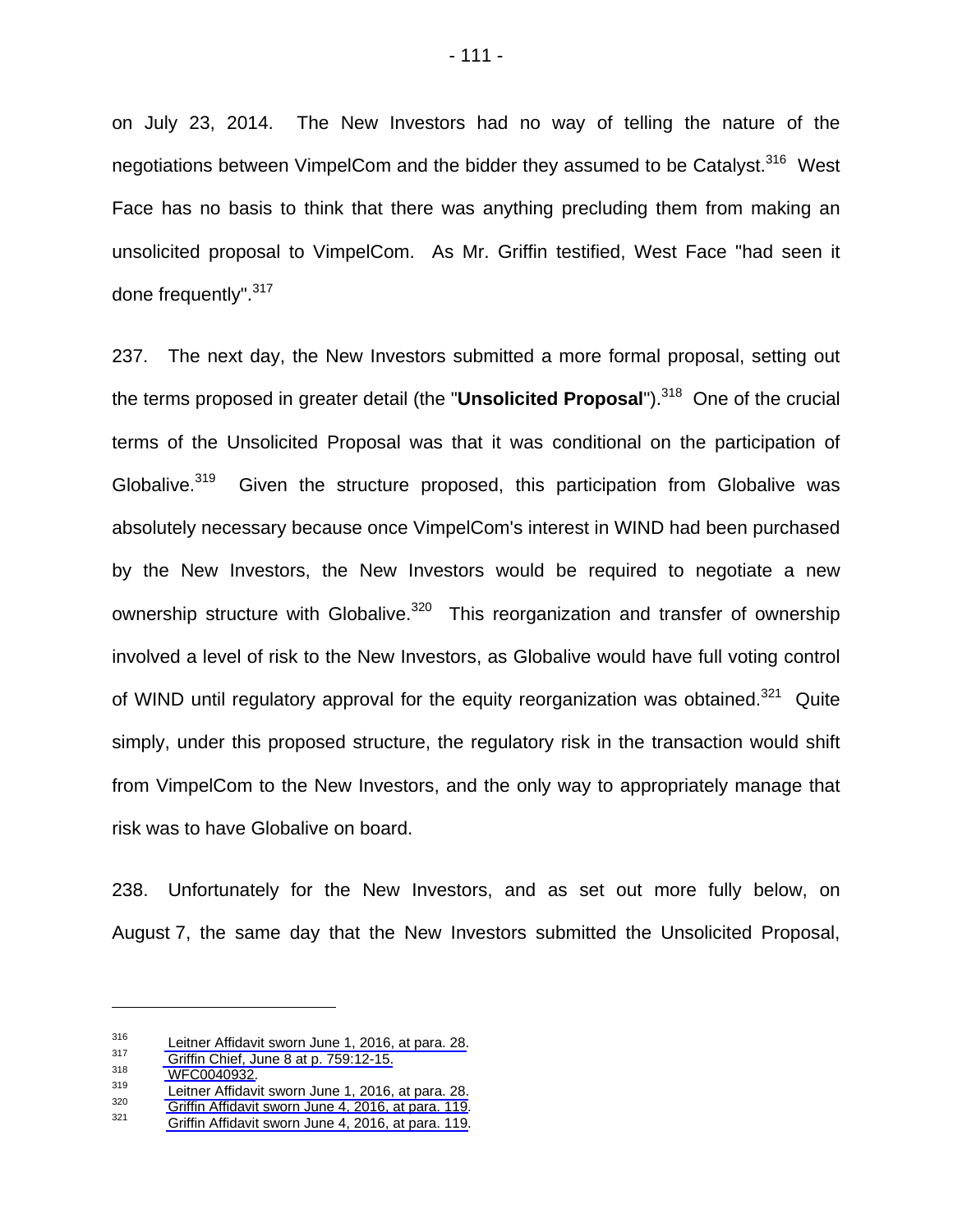on July 23, 2014. The New Investors had no way of telling the nature of the negotiations between VimpelCom and the bidder they assumed to be Catalyst.<sup>316</sup> West Face has no basis to think that there was anything precluding them from making an unsolicited proposal to VimpelCom. As Mr. Griffin testified, West Face "had seen it done frequently". 317

237. The next day, the New Investors submitted a more formal proposal, setting out the terms proposed in greater detail (the "**Unsolicited Proposal**").<sup>318</sup> One of the crucial terms of the Unsolicited Proposal was that it was conditional on the participation of Globalive.<sup>319</sup> Given the structure proposed, this participation from Globalive was absolutely necessary because once VimpelCom's interest in WIND had been purchased by the New Investors, the New Investors would be required to negotiate a new ownership structure with Globalive.<sup>320</sup> This reorganization and transfer of ownership involved a level of risk to the New Investors, as Globalive would have full voting control of WIND until regulatory approval for the equity reorganization was obtained. $321$  Quite simply, under this proposed structure, the regulatory risk in the transaction would shift from VimpelCom to the New Investors, and the only way to appropriately manage that risk was to have Globalive on board.

238. Unfortunately for the New Investors, and as set out more fully below, on August 7, the same day that the New Investors submitted the Unsolicited Proposal,

<sup>&</sup>lt;sup>316</sup><br> [Leitner Affidavit sworn June 1, 2016, at para. 28.](#page-1-0)<br>
<sup>317</sup><br> [Griffin Chief, June 8 at p. 759:12-15.](#page-1-0)<br>
<sup>319</sup><br>
Leitner Affidavit sworn June 1, 2016, at para. 28.<br>
<sup>320</sup><br>
Griffin Affidavit sworn June 4, 2016, at para. 11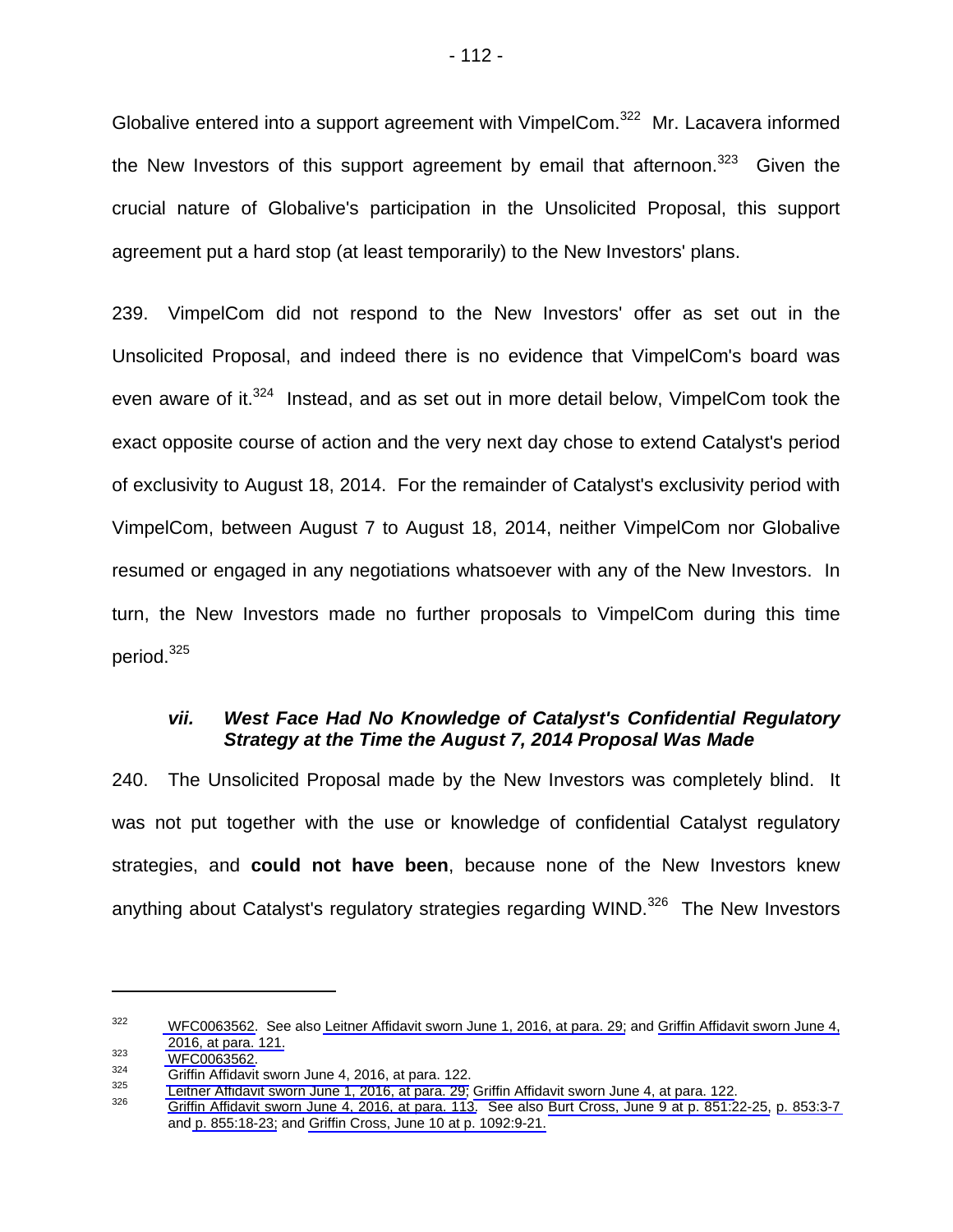Globalive entered into a support agreement with VimpelCom.<sup>322</sup> Mr. Lacavera informed the New Investors of this support agreement by email that afternoon. $323$  Given the crucial nature of Globalive's participation in the Unsolicited Proposal, this support agreement put a hard stop (at least temporarily) to the New Investors' plans.

239. VimpelCom did not respond to the New Investors' offer as set out in the Unsolicited Proposal, and indeed there is no evidence that VimpelCom's board was even aware of it.<sup>324</sup> Instead, and as set out in more detail below, VimpelCom took the exact opposite course of action and the very next day chose to extend Catalyst's period of exclusivity to August 18, 2014. For the remainder of Catalyst's exclusivity period with VimpelCom, between August 7 to August 18, 2014, neither VimpelCom nor Globalive resumed or engaged in any negotiations whatsoever with any of the New Investors. In turn, the New Investors made no further proposals to VimpelCom during this time period.325

## *vii. West Face Had No Knowledge of Catalyst's Confidential Regulatory Strategy at the Time the August 7, 2014 Proposal Was Made*

240. The Unsolicited Proposal made by the New Investors was completely blind. It was not put together with the use or knowledge of confidential Catalyst regulatory strategies, and **could not have been**, because none of the New Investors knew anything about Catalyst's regulatory strategies regarding WIND.<sup>326</sup> The New Investors

<sup>&</sup>lt;sup>322</sup> WFC0063562. See also [Leitner Affidavit sworn June 1, 2016, at para. 29;](#page-1-0) and [Griffin Affidavit sworn June 4,](#page-1-0) [2016, at para. 121.](#page-1-0)<br>
WFC0063562.<br> [Griffin Affidavit sworn June 4, 2016, at para. 122.](#page-1-0)<br>
235 [Leitner Affidavit sworn June 1, 2016, at para. 29; Griffin Affidavit sworn June 4, at para. 122.](#page-1-0)<br>
326 Griffin Affidavit sworn June

and [p. 855:18-23;](#page-3-0) and [Griffin Cross, June 10 at p. 1092:9-21.](#page-1-0)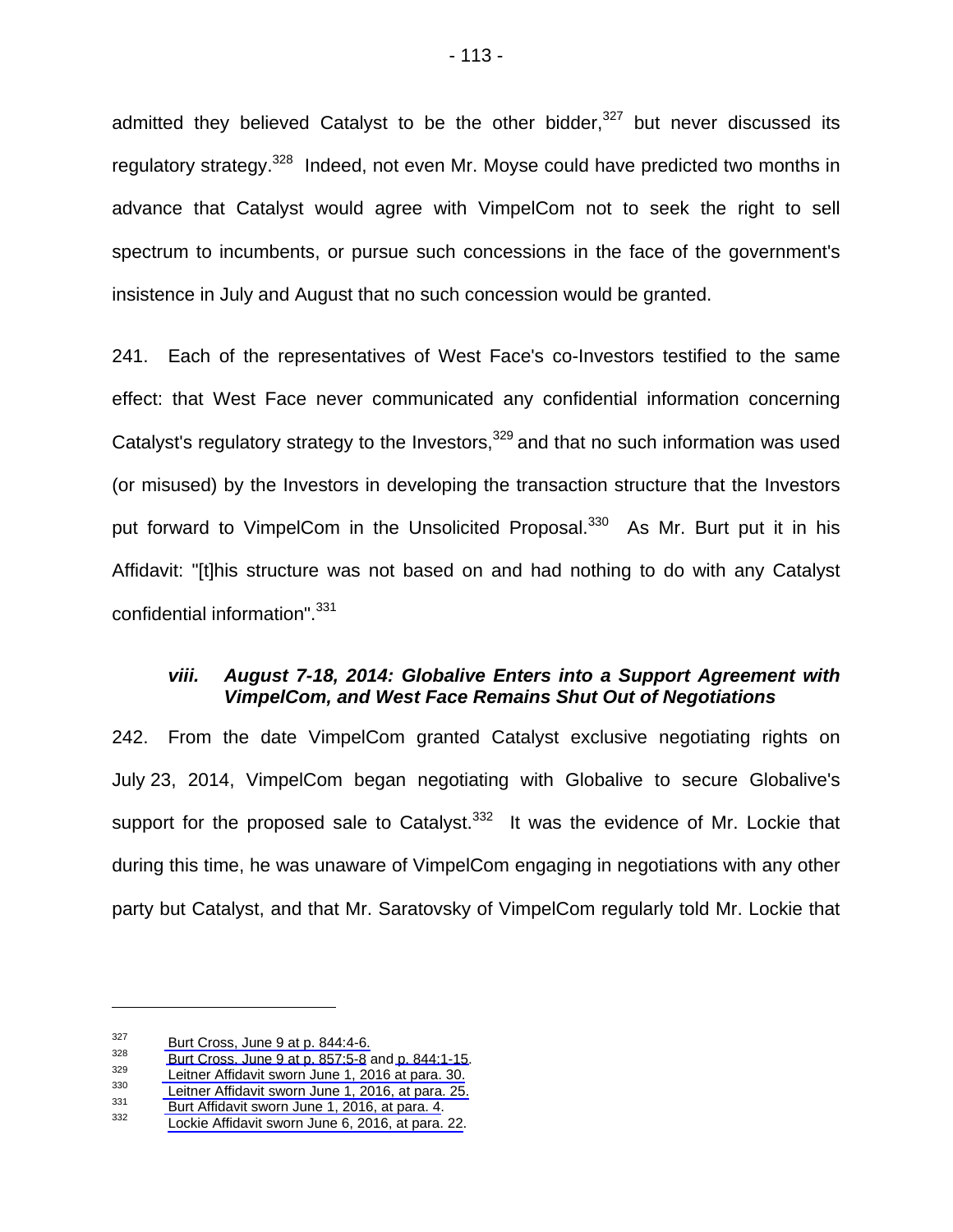admitted they believed Catalyst to be the other bidder, $327$  but never discussed its regulatory strategy.<sup>328</sup> Indeed, not even Mr. Moyse could have predicted two months in advance that Catalyst would agree with VimpelCom not to seek the right to sell spectrum to incumbents, or pursue such concessions in the face of the government's insistence in July and August that no such concession would be granted.

241. Each of the representatives of West Face's co-Investors testified to the same effect: that West Face never communicated any confidential information concerning Catalyst's regulatory strategy to the Investors,  $329$  and that no such information was used (or misused) by the Investors in developing the transaction structure that the Investors put forward to VimpelCom in the Unsolicited Proposal.<sup>330</sup> As Mr. Burt put it in his Affidavit: "[t]his structure was not based on and had nothing to do with any Catalyst confidential information".<sup>331</sup>

### *viii. August 7-18, 2014: Globalive Enters into a Support Agreement with VimpelCom, and West Face Remains Shut Out of Negotiations*

242. From the date VimpelCom granted Catalyst exclusive negotiating rights on July 23, 2014, VimpelCom began negotiating with Globalive to secure Globalive's support for the proposed sale to Catalyst. $332$  It was the evidence of Mr. Lockie that during this time, he was unaware of VimpelCom engaging in negotiations with any other party but Catalyst, and that Mr. Saratovsky of VimpelCom regularly told Mr. Lockie that

<sup>&</sup>lt;sup>327</sup> [Burt Cross, June 9 at p. 844:4-6.](#page-1-0)<br>
<sup>328</sup> [Burt Cross, June 9 at p. 857:5-8](#page-1-0) and [p. 844:1-15.](#page-1-0)<br>
<sup>329</sup> [Leitner Affidavit sworn June 1, 2016 at para. 30.](#page-1-0)<br>
<sup>331</sup> Leitner Affidavit sworn June 1, 2016, at para. 25.<br>
<sup>331</sup> Bu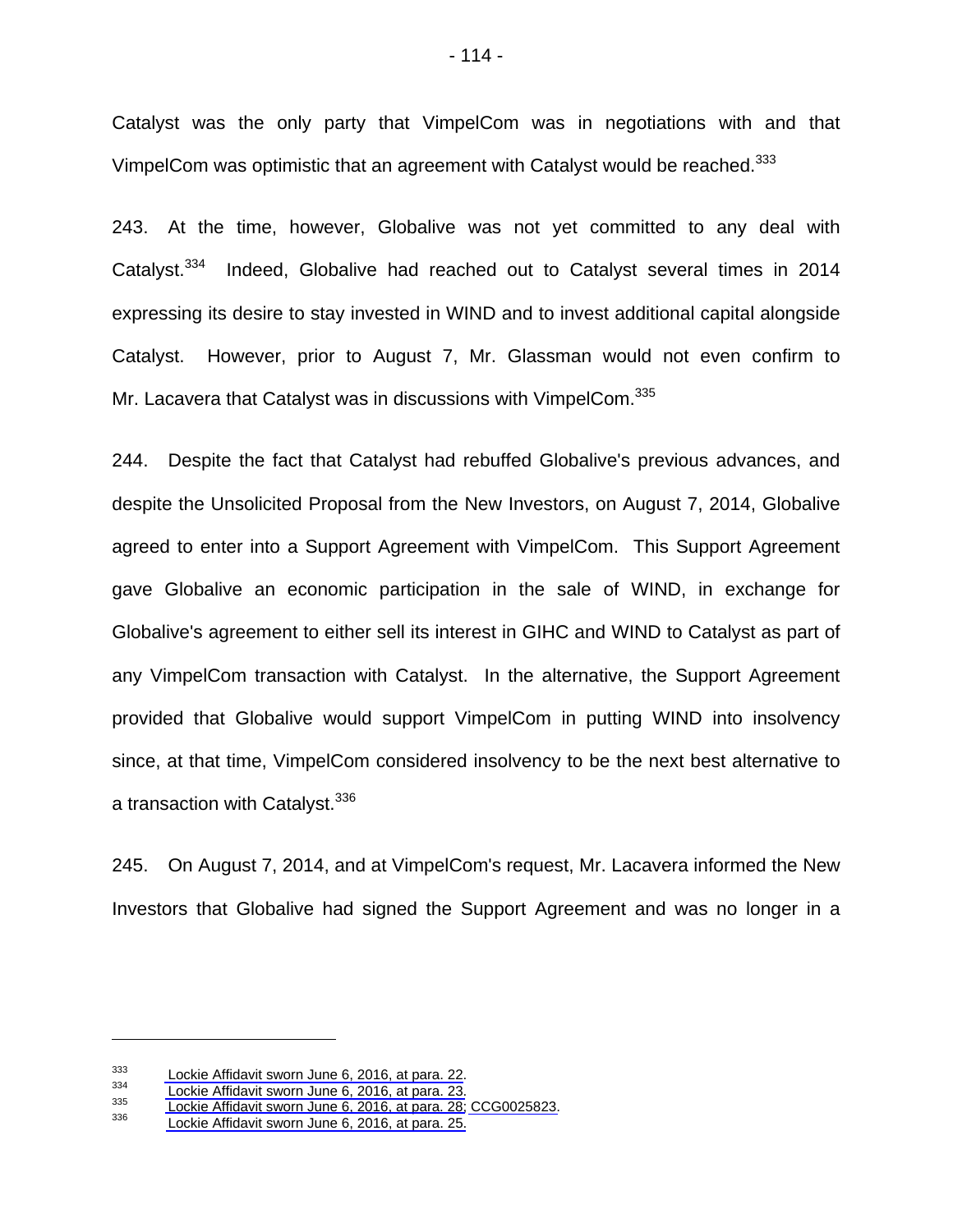Catalyst was the only party that VimpelCom was in negotiations with and that VimpelCom was optimistic that an agreement with Catalyst would be reached.<sup>333</sup>

243. At the time, however, Globalive was not yet committed to any deal with Catalyst.334 Indeed, Globalive had reached out to Catalyst several times in 2014 expressing its desire to stay invested in WIND and to invest additional capital alongside Catalyst. However, prior to August 7, Mr. Glassman would not even confirm to Mr. Lacavera that Catalyst was in discussions with VimpelCom.<sup>335</sup>

244. Despite the fact that Catalyst had rebuffed Globalive's previous advances, and despite the Unsolicited Proposal from the New Investors, on August 7, 2014, Globalive agreed to enter into a Support Agreement with VimpelCom. This Support Agreement gave Globalive an economic participation in the sale of WIND, in exchange for Globalive's agreement to either sell its interest in GIHC and WIND to Catalyst as part of any VimpelCom transaction with Catalyst. In the alternative, the Support Agreement provided that Globalive would support VimpelCom in putting WIND into insolvency since, at that time, VimpelCom considered insolvency to be the next best alternative to a transaction with Catalyst.<sup>336</sup>

245. On August 7, 2014, and at VimpelCom's request, Mr. Lacavera informed the New Investors that Globalive had signed the Support Agreement and was no longer in a

[Lockie Affidavit sworn June 6, 2016, at para. 22.](#page-1-0)<br> [Lockie Affidavit sworn June 6, 2016, at para. 23.](#page-1-0)<br> [Lockie Affidavit sworn June 6, 2016, at para. 28;](#page-1-0) CCG0025823.<br> [Lockie Affidavit sworn June 6, 2016, at para. 25.](#page-1-0)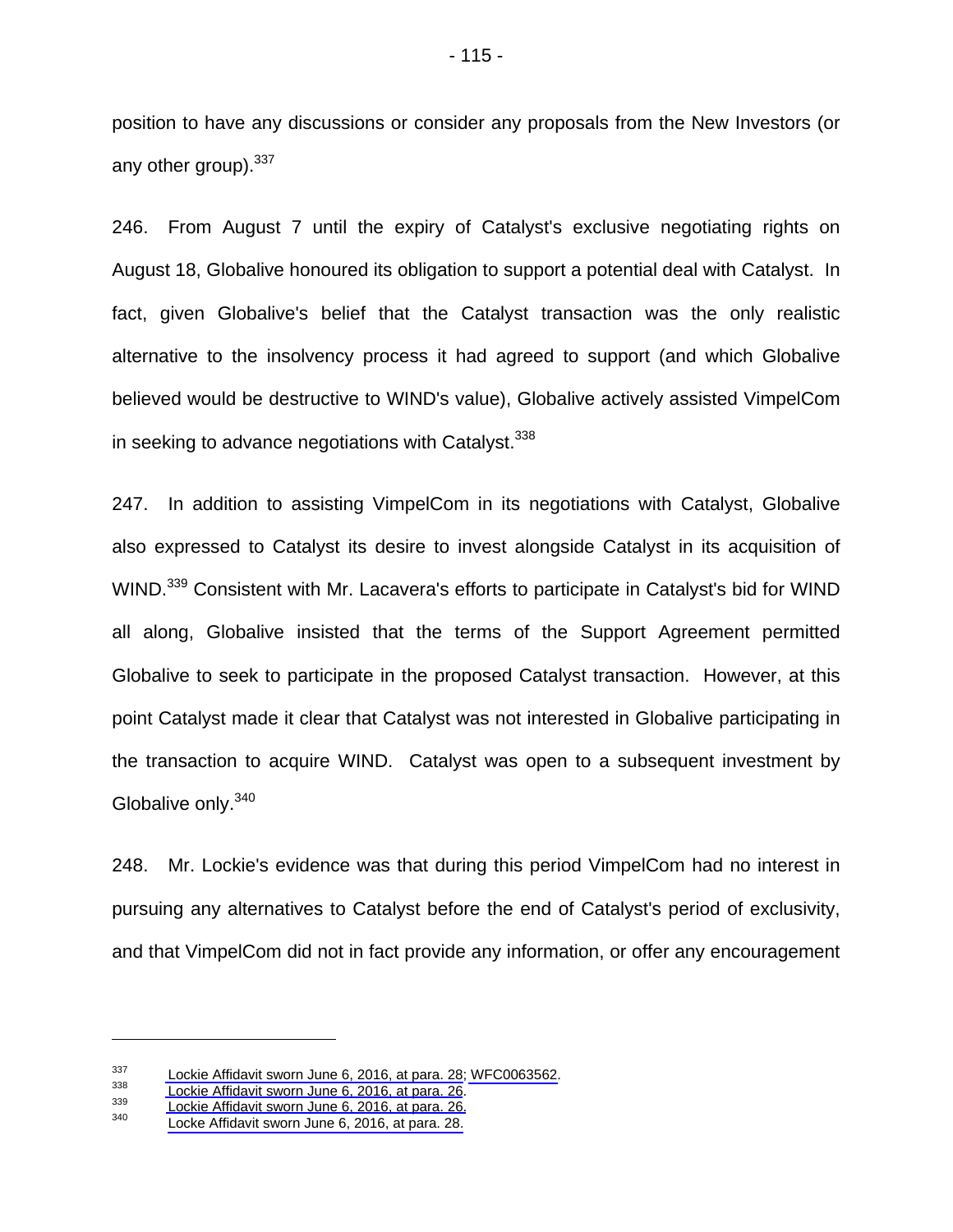position to have any discussions or consider any proposals from the New Investors (or any other group). 337

246. From August 7 until the expiry of Catalyst's exclusive negotiating rights on August 18, Globalive honoured its obligation to support a potential deal with Catalyst. In fact, given Globalive's belief that the Catalyst transaction was the only realistic alternative to the insolvency process it had agreed to support (and which Globalive believed would be destructive to WIND's value), Globalive actively assisted VimpelCom in seeking to advance negotiations with Catalyst.<sup>338</sup>

247. In addition to assisting VimpelCom in its negotiations with Catalyst, Globalive also expressed to Catalyst its desire to invest alongside Catalyst in its acquisition of WIND.<sup>339</sup> Consistent with Mr. Lacavera's efforts to participate in Catalyst's bid for WIND all along, Globalive insisted that the terms of the Support Agreement permitted Globalive to seek to participate in the proposed Catalyst transaction. However, at this point Catalyst made it clear that Catalyst was not interested in Globalive participating in the transaction to acquire WIND. Catalyst was open to a subsequent investment by Globalive only.<sup>340</sup>

248. Mr. Lockie's evidence was that during this period VimpelCom had no interest in pursuing any alternatives to Catalyst before the end of Catalyst's period of exclusivity, and that VimpelCom did not in fact provide any information, or offer any encouragement

 $Lockie Affidavit svorn June 6, 2016, at para. 28; WFC0063562.$ <br> [Lockie Affidavit sworn June 6, 2016, at para. 26.](#page-1-0)<br>
Lockie Affidavit sworn June 6, 2016, at para. 26.<br> [Locke Affidavit sworn June 6, 2016, at para. 28.](#page-1-0)<br>
Locke Affidavit sworn June 6,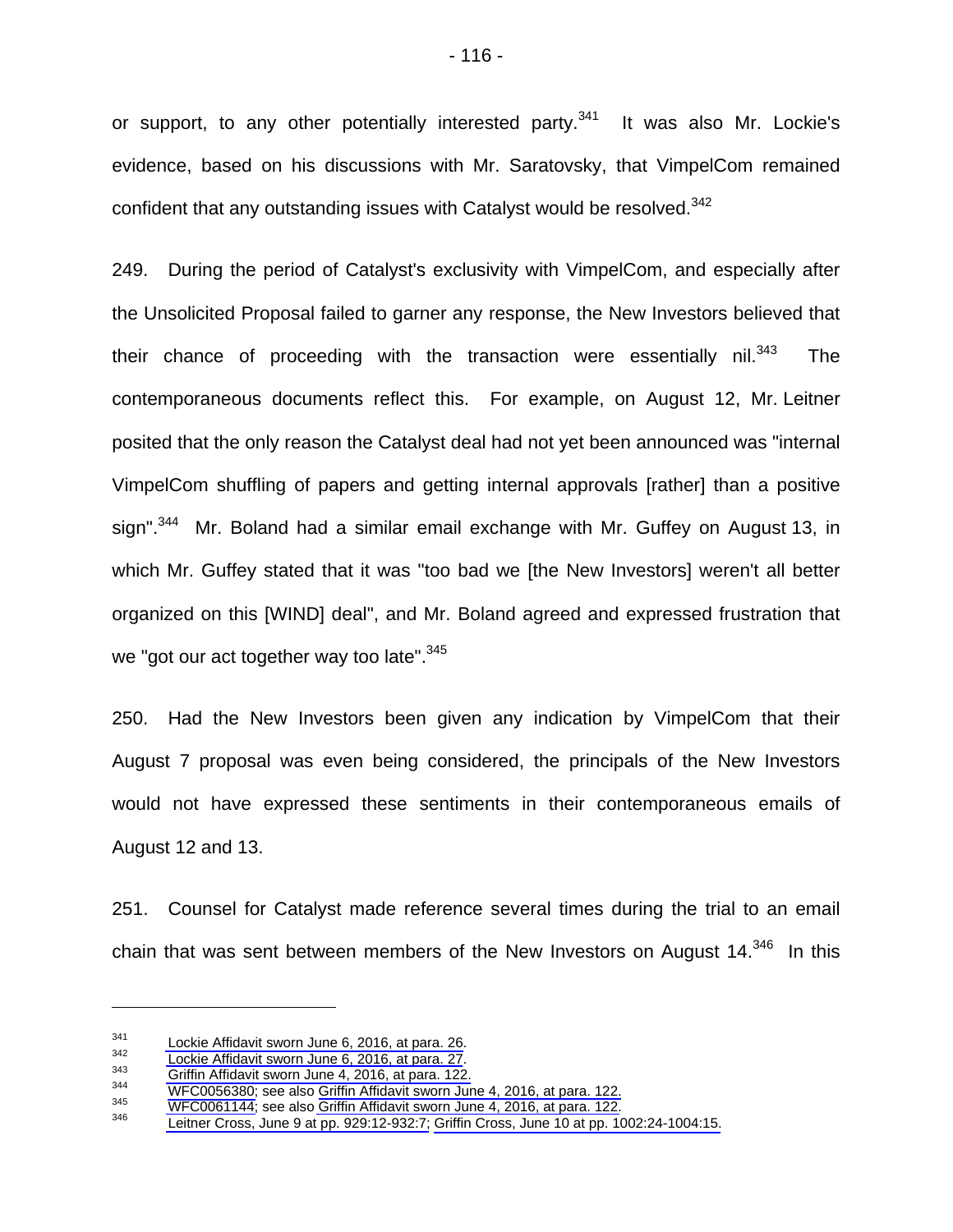or support, to any other potentially interested party.<sup>341</sup> It was also Mr. Lockie's evidence, based on his discussions with Mr. Saratovsky, that VimpelCom remained confident that any outstanding issues with Catalyst would be resolved.<sup>342</sup>

249. During the period of Catalyst's exclusivity with VimpelCom, and especially after the Unsolicited Proposal failed to garner any response, the New Investors believed that their chance of proceeding with the transaction were essentially nil.<sup>343</sup> The contemporaneous documents reflect this. For example, on August 12, Mr. Leitner posited that the only reason the Catalyst deal had not yet been announced was "internal VimpelCom shuffling of papers and getting internal approvals [rather] than a positive sign".<sup>344</sup> Mr. Boland had a similar email exchange with Mr. Guffey on August 13, in which Mr. Guffey stated that it was "too bad we [the New Investors] weren't all better organized on this [WIND] deal", and Mr. Boland agreed and expressed frustration that we "got our act together way too late".<sup>345</sup>

250. Had the New Investors been given any indication by VimpelCom that their August 7 proposal was even being considered, the principals of the New Investors would not have expressed these sentiments in their contemporaneous emails of August 12 and 13.

251. Counsel for Catalyst made reference several times during the trial to an email chain that was sent between members of the New Investors on August  $14^{346}$  In this

[Lockie Affidavit sworn June 6, 2016, at para. 26.](#page-1-0)<br> [Lockie Affidavit sworn June 6, 2016, at para. 27](#page-1-0).<br> [Griffin Affidavit sworn June 4, 2016, at para. 122.](#page-1-0)<br>
WFC0056380; see also Griffin Affidavit sworn June 4, 2016, at para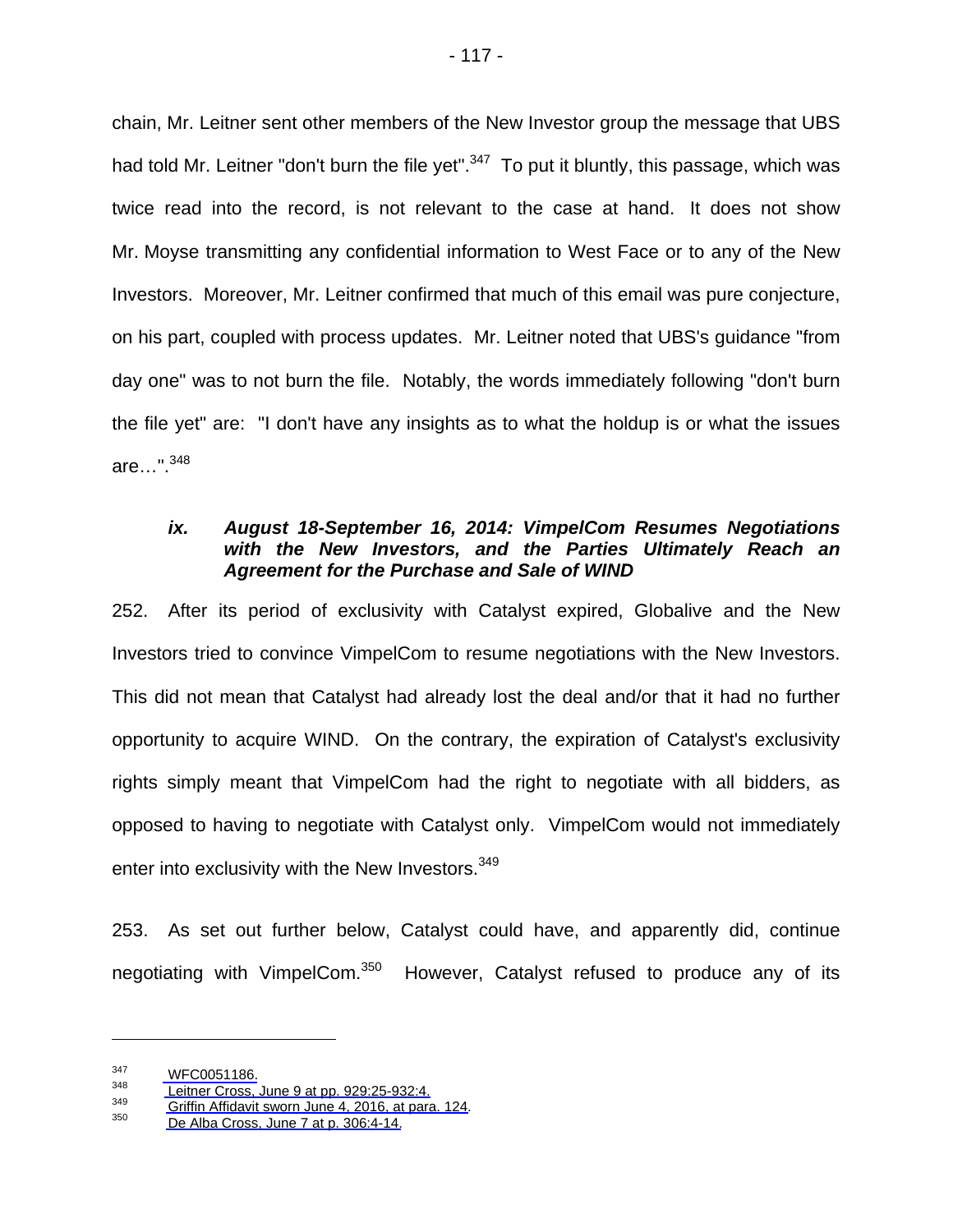chain, Mr. Leitner sent other members of the New Investor group the message that UBS had told Mr. Leitner "don't burn the file yet".<sup>347</sup> To put it bluntly, this passage, which was twice read into the record, is not relevant to the case at hand. It does not show Mr. Moyse transmitting any confidential information to West Face or to any of the New Investors. Moreover, Mr. Leitner confirmed that much of this email was pure conjecture, on his part, coupled with process updates. Mr. Leitner noted that UBS's guidance "from day one" was to not burn the file. Notably, the words immediately following "don't burn the file yet" are: "I don't have any insights as to what the holdup is or what the issues are…".<sup>348</sup>

## *ix. August 18-September 16, 2014: VimpelCom Resumes Negotiations with the New Investors, and the Parties Ultimately Reach an Agreement for the Purchase and Sale of WIND*

252. After its period of exclusivity with Catalyst expired, Globalive and the New Investors tried to convince VimpelCom to resume negotiations with the New Investors. This did not mean that Catalyst had already lost the deal and/or that it had no further opportunity to acquire WIND. On the contrary, the expiration of Catalyst's exclusivity rights simply meant that VimpelCom had the right to negotiate with all bidders, as opposed to having to negotiate with Catalyst only. VimpelCom would not immediately enter into exclusivity with the New Investors.<sup>349</sup>

253. As set out further below, Catalyst could have, and apparently did, continue negotiating with VimpelCom.<sup>350</sup> However, Catalyst refused to produce any of its

<sup>347</sup> WFC0051186.<br>
348 Leitner Cross, June 9 at pp. 929:25-932:4.<br>
349 [Griffin Affidavit sworn June 4, 2016, at para. 124.](#page-1-0)<br>
350 [De Alba Cross, June 7 at p. 306:4-14.](#page-1-0)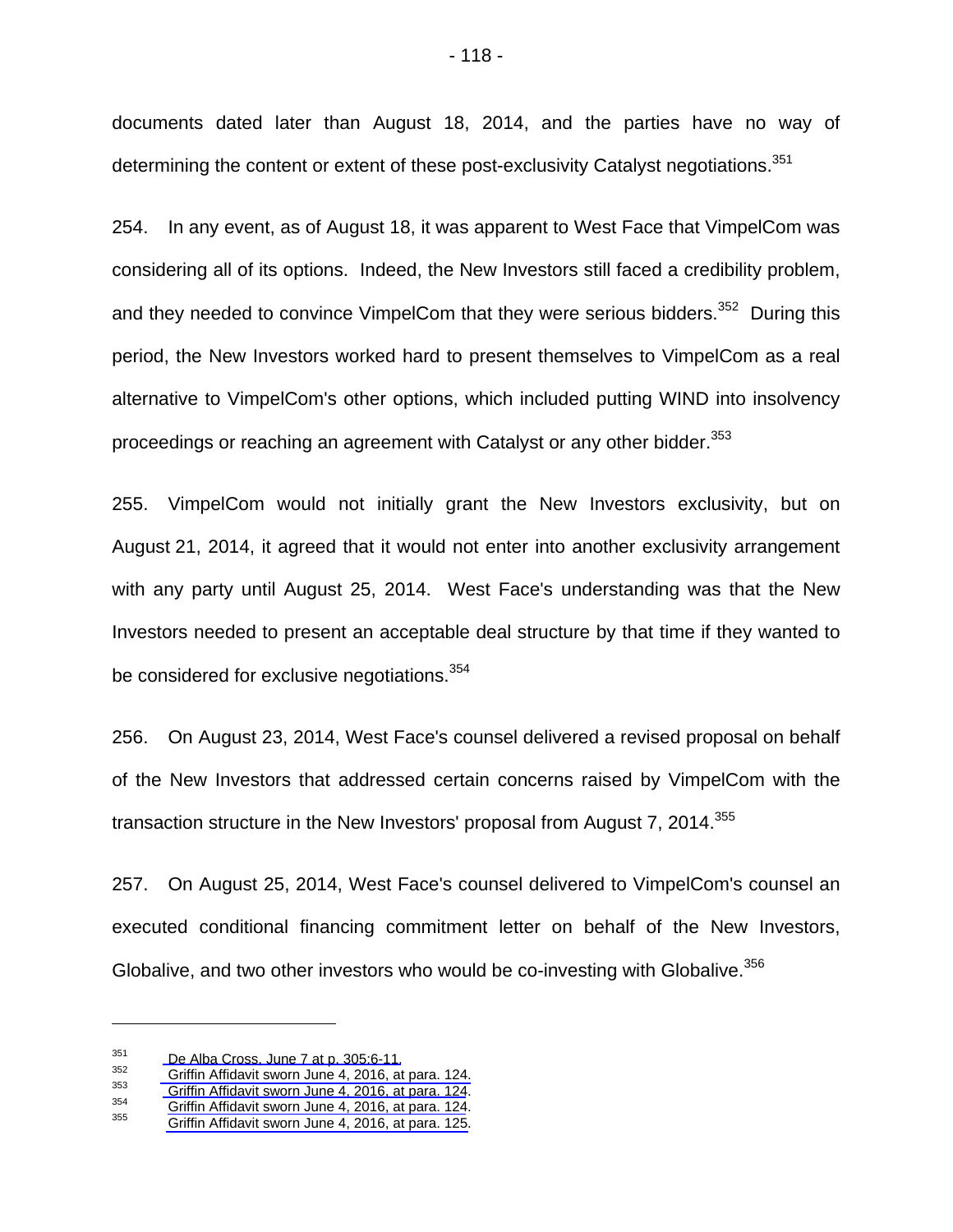documents dated later than August 18, 2014, and the parties have no way of determining the content or extent of these post-exclusivity Catalyst negotiations.<sup>351</sup>

254. In any event, as of August 18, it was apparent to West Face that VimpelCom was considering all of its options. Indeed, the New Investors still faced a credibility problem, and they needed to convince VimpelCom that they were serious bidders.<sup>352</sup> During this period, the New Investors worked hard to present themselves to VimpelCom as a real alternative to VimpelCom's other options, which included putting WIND into insolvency proceedings or reaching an agreement with Catalyst or any other bidder.<sup>353</sup>

255. VimpelCom would not initially grant the New Investors exclusivity, but on August 21, 2014, it agreed that it would not enter into another exclusivity arrangement with any party until August 25, 2014. West Face's understanding was that the New Investors needed to present an acceptable deal structure by that time if they wanted to be considered for exclusive negotiations.<sup>354</sup>

256. On August 23, 2014, West Face's counsel delivered a revised proposal on behalf of the New Investors that addressed certain concerns raised by VimpelCom with the transaction structure in the New Investors' proposal from August 7, 2014.<sup>355</sup>

257. On August 25, 2014, West Face's counsel delivered to VimpelCom's counsel an executed conditional financing commitment letter on behalf of the New Investors, Globalive, and two other investors who would be co-investing with Globalive.<sup>356</sup>

<sup>&</sup>lt;sup>351</sup> [De Alba Cross, June 7 at p. 305:6-11.](#page-1-0)<br><sup>352</sup> [Griffin Affidavit sworn June 4, 2016, at para. 124.](#page-1-0)<br><sup>353</sup> [Griffin Affidavit sworn June 4, 2016, at para. 124](#page-1-0).<br><sup>355</sup> Griffin Affidavit sworn June 4, 2016, at para. 124.<br><sup>35</sup>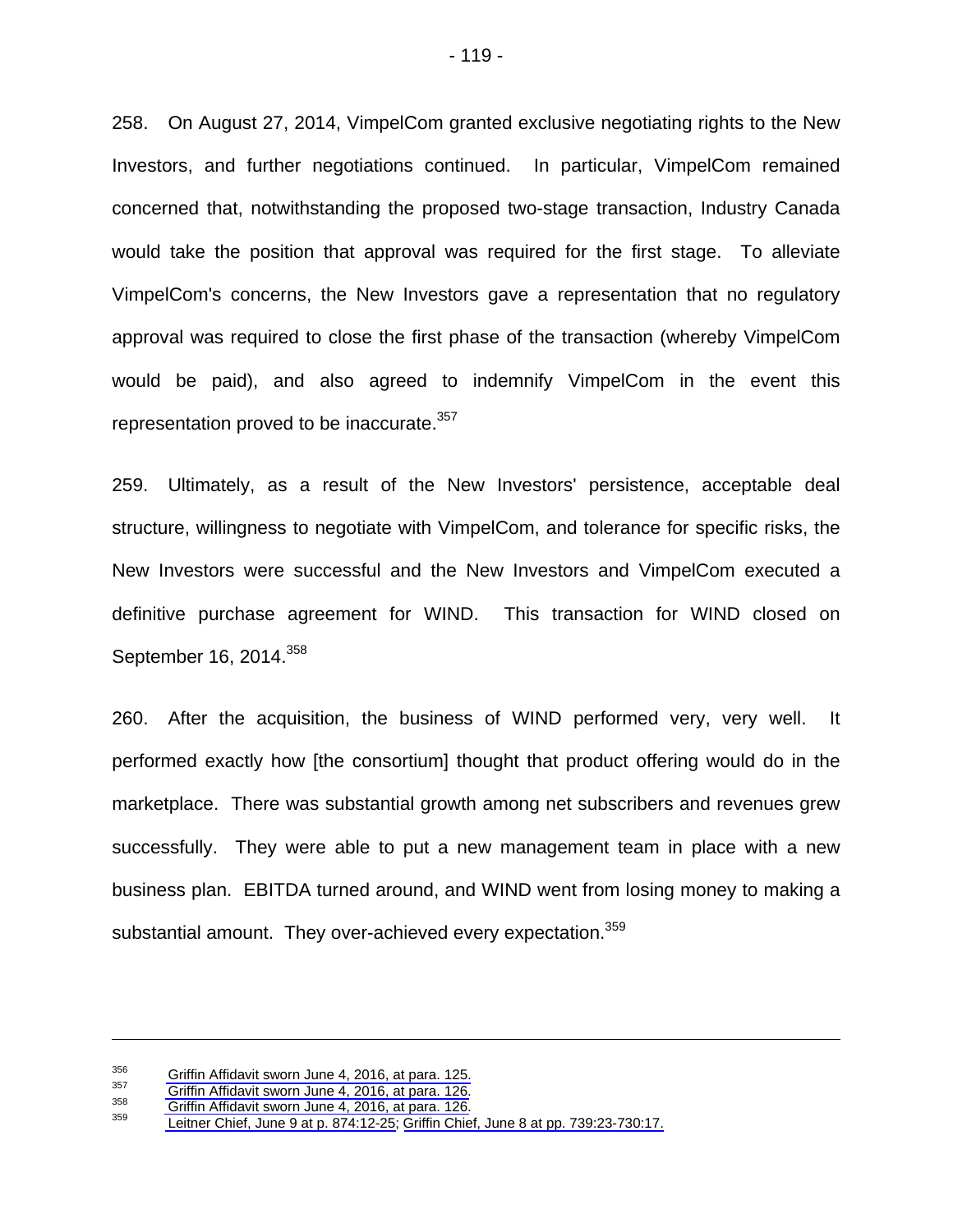258. On August 27, 2014, VimpelCom granted exclusive negotiating rights to the New Investors, and further negotiations continued. In particular, VimpelCom remained concerned that, notwithstanding the proposed two-stage transaction, Industry Canada would take the position that approval was required for the first stage. To alleviate VimpelCom's concerns, the New Investors gave a representation that no regulatory approval was required to close the first phase of the transaction (whereby VimpelCom would be paid), and also agreed to indemnify VimpelCom in the event this representation proved to be inaccurate.<sup>357</sup>

259. Ultimately, as a result of the New Investors' persistence, acceptable deal structure, willingness to negotiate with VimpelCom, and tolerance for specific risks, the New Investors were successful and the New Investors and VimpelCom executed a definitive purchase agreement for WIND. This transaction for WIND closed on September 16, 2014.<sup>358</sup>

260. After the acquisition, the business of WIND performed very, very well. It performed exactly how [the consortium] thought that product offering would do in the marketplace. There was substantial growth among net subscribers and revenues grew successfully. They were able to put a new management team in place with a new business plan. EBITDA turned around, and WIND went from losing money to making a substantial amount. They over-achieved every expectation.<sup>359</sup>

<sup>&</sup>lt;sup>356</sup> [Griffin Affidavit sworn June 4, 2016, at para. 125.](#page-1-0)<br>
<sup>357</sup> [Griffin Affidavit sworn June 4, 2016, at para. 126.](#page-1-0)<br>
<sup>358</sup> Griffin Affidavit sworn June 4, 2016, at para. 126.<br>
<sup>359</sup> [Leitner Chief, June 9 at p. 874:12-25;](#page-1-0)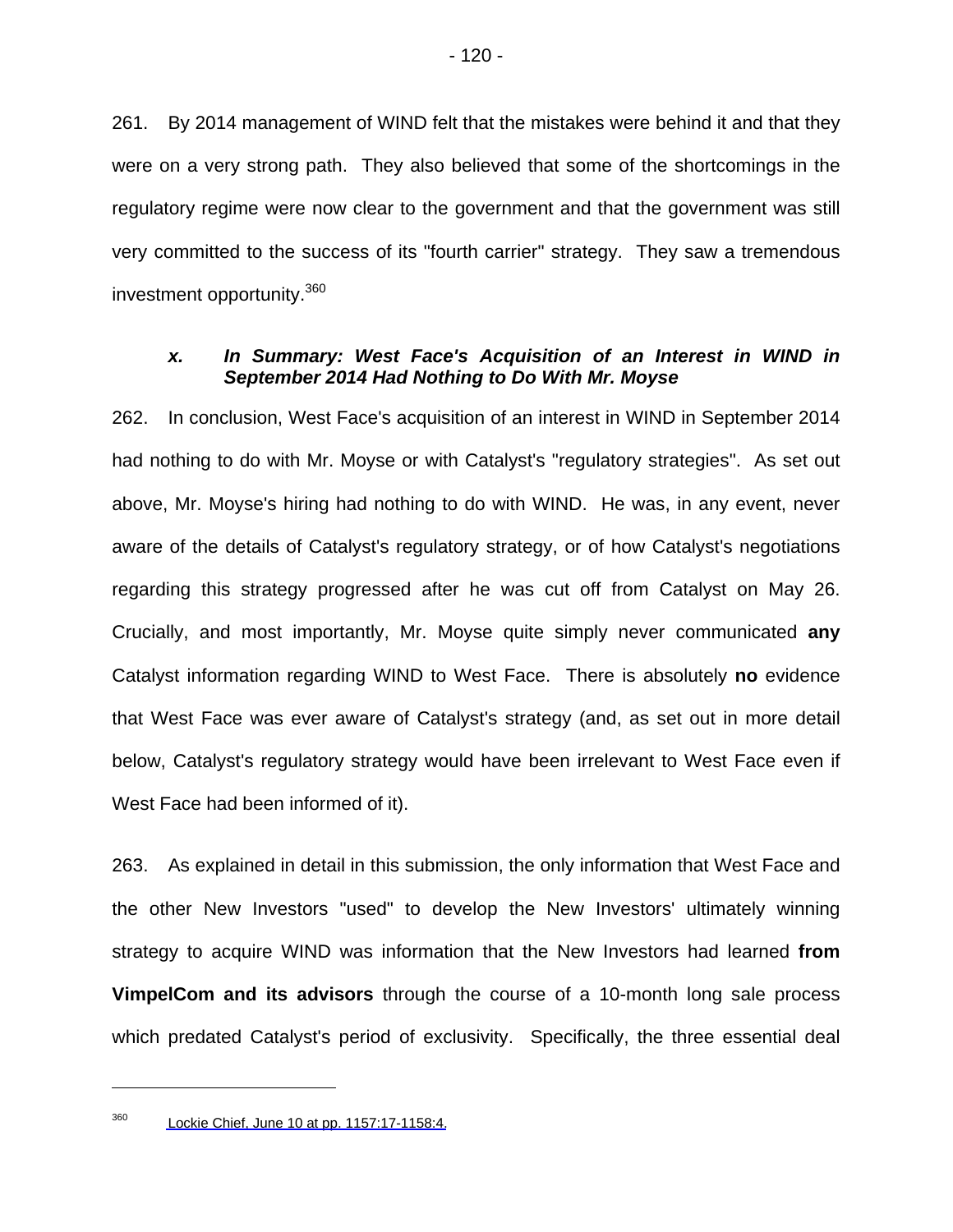261. By 2014 management of WIND felt that the mistakes were behind it and that they were on a very strong path. They also believed that some of the shortcomings in the regulatory regime were now clear to the government and that the government was still very committed to the success of its "fourth carrier" strategy. They saw a tremendous investment opportunity.360

#### *x. In Summary: West Face's Acquisition of an Interest in WIND in September 2014 Had Nothing to Do With Mr. Moyse*

262. In conclusion, West Face's acquisition of an interest in WIND in September 2014 had nothing to do with Mr. Moyse or with Catalyst's "regulatory strategies". As set out above, Mr. Moyse's hiring had nothing to do with WIND. He was, in any event, never aware of the details of Catalyst's regulatory strategy, or of how Catalyst's negotiations regarding this strategy progressed after he was cut off from Catalyst on May 26. Crucially, and most importantly, Mr. Moyse quite simply never communicated **any** Catalyst information regarding WIND to West Face. There is absolutely **no** evidence that West Face was ever aware of Catalyst's strategy (and, as set out in more detail below, Catalyst's regulatory strategy would have been irrelevant to West Face even if West Face had been informed of it).

263. As explained in detail in this submission, the only information that West Face and the other New Investors "used" to develop the New Investors' ultimately winning strategy to acquire WIND was information that the New Investors had learned **from VimpelCom and its advisors** through the course of a 10-month long sale process which predated Catalyst's period of exclusivity. Specifically, the three essential deal

<sup>360</sup> [Lockie Chief, June 10 at pp. 1157:17-1158:4.](#page-1-0)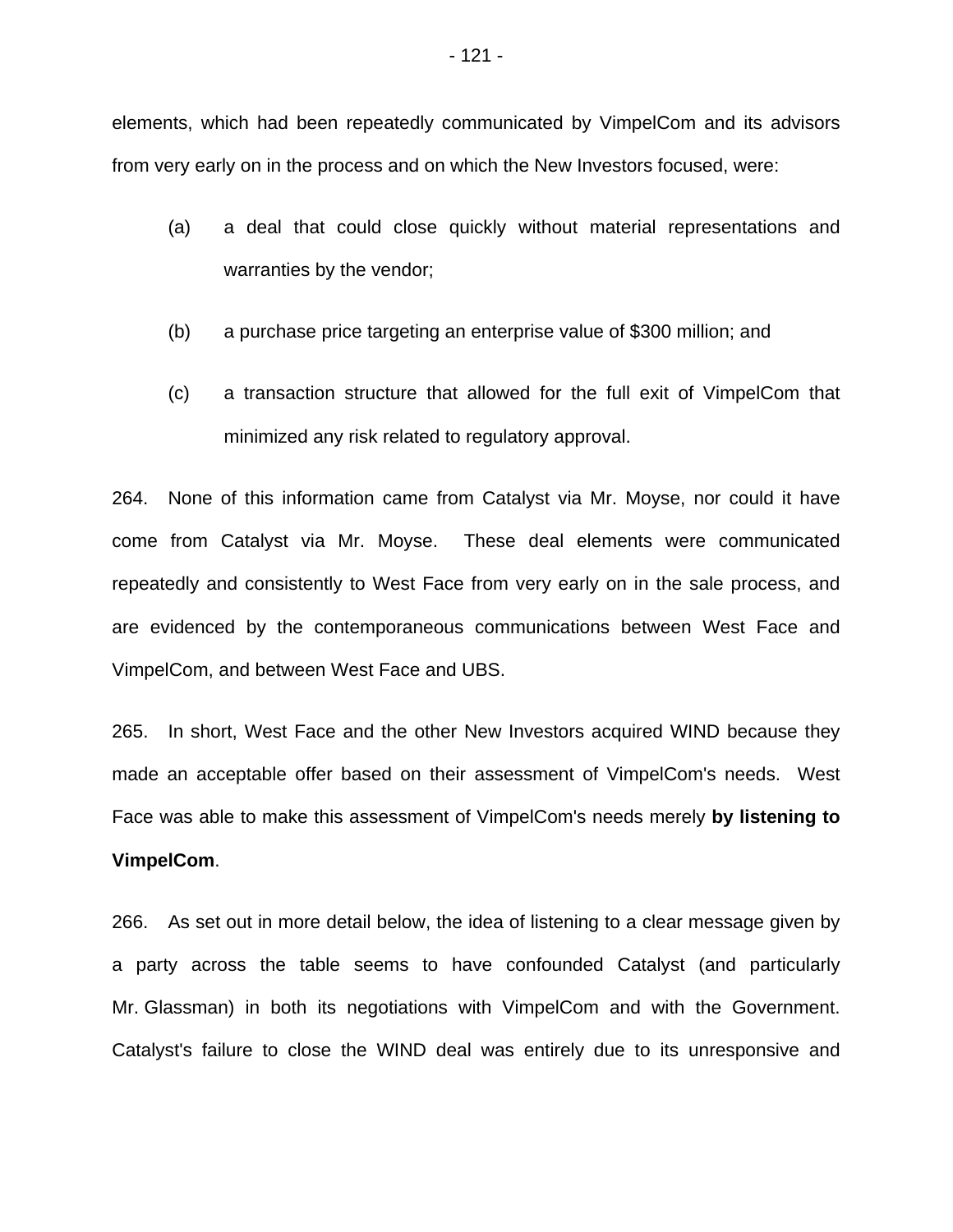elements, which had been repeatedly communicated by VimpelCom and its advisors from very early on in the process and on which the New Investors focused, were:

- (a) a deal that could close quickly without material representations and warranties by the vendor;
- (b) a purchase price targeting an enterprise value of \$300 million; and
- (c) a transaction structure that allowed for the full exit of VimpelCom that minimized any risk related to regulatory approval.

264. None of this information came from Catalyst via Mr. Moyse, nor could it have come from Catalyst via Mr. Moyse. These deal elements were communicated repeatedly and consistently to West Face from very early on in the sale process, and are evidenced by the contemporaneous communications between West Face and VimpelCom, and between West Face and UBS.

265. In short, West Face and the other New Investors acquired WIND because they made an acceptable offer based on their assessment of VimpelCom's needs. West Face was able to make this assessment of VimpelCom's needs merely **by listening to VimpelCom**.

266. As set out in more detail below, the idea of listening to a clear message given by a party across the table seems to have confounded Catalyst (and particularly Mr. Glassman) in both its negotiations with VimpelCom and with the Government. Catalyst's failure to close the WIND deal was entirely due to its unresponsive and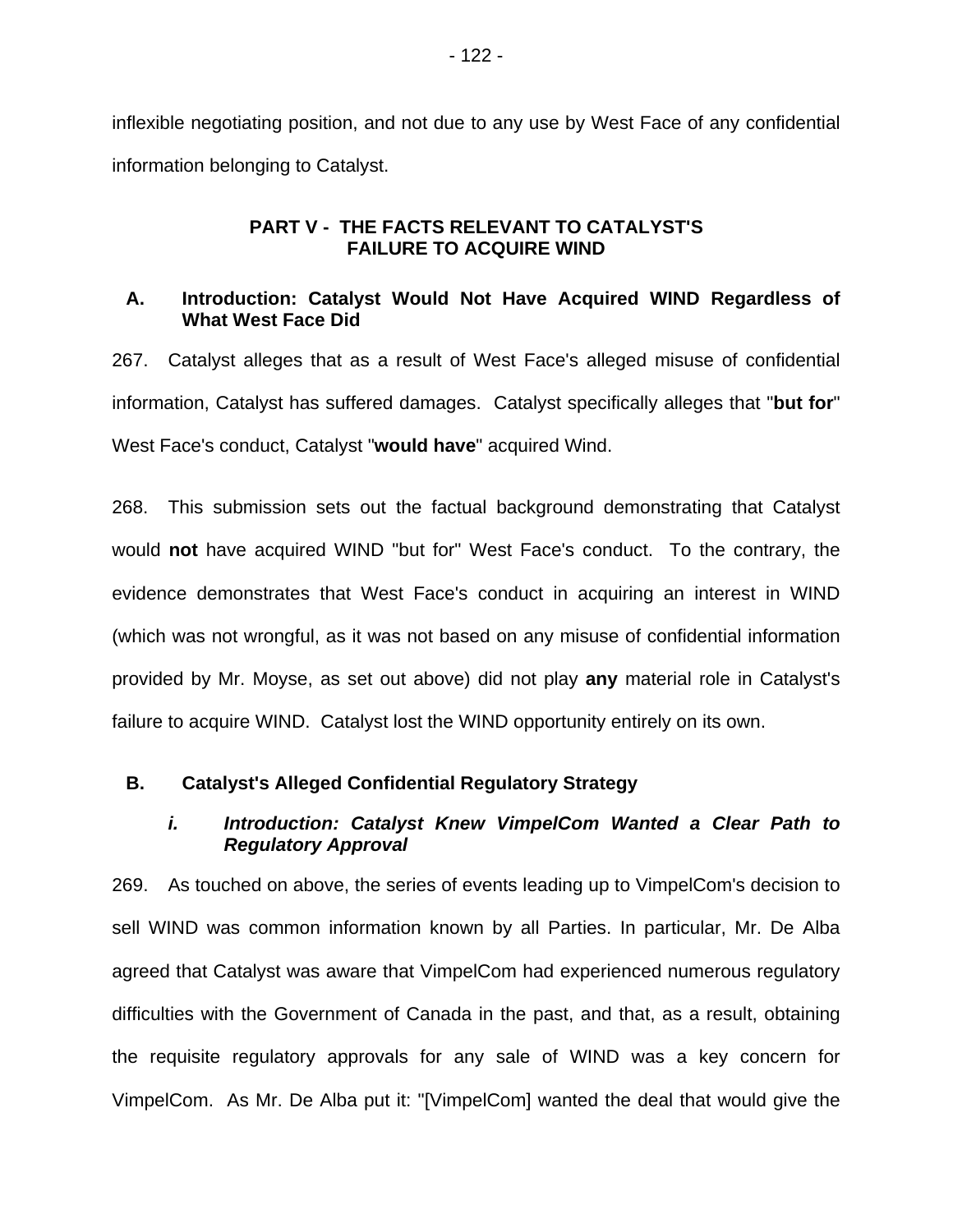inflexible negotiating position, and not due to any use by West Face of any confidential information belonging to Catalyst.

### **PART V - THE FACTS RELEVANT TO CATALYST'S FAILURE TO ACQUIRE WIND**

## **A. Introduction: Catalyst Would Not Have Acquired WIND Regardless of What West Face Did**

267. Catalyst alleges that as a result of West Face's alleged misuse of confidential information, Catalyst has suffered damages. Catalyst specifically alleges that "**but for**" West Face's conduct, Catalyst "**would have**" acquired Wind.

268. This submission sets out the factual background demonstrating that Catalyst would **not** have acquired WIND "but for" West Face's conduct. To the contrary, the evidence demonstrates that West Face's conduct in acquiring an interest in WIND (which was not wrongful, as it was not based on any misuse of confidential information provided by Mr. Moyse, as set out above) did not play **any** material role in Catalyst's failure to acquire WIND. Catalyst lost the WIND opportunity entirely on its own.

### **B. Catalyst's Alleged Confidential Regulatory Strategy**

#### *i. Introduction: Catalyst Knew VimpelCom Wanted a Clear Path to Regulatory Approval*

269. As touched on above, the series of events leading up to VimpelCom's decision to sell WIND was common information known by all Parties. In particular, Mr. De Alba agreed that Catalyst was aware that VimpelCom had experienced numerous regulatory difficulties with the Government of Canada in the past, and that, as a result, obtaining the requisite regulatory approvals for any sale of WIND was a key concern for VimpelCom. As Mr. De Alba put it: "[VimpelCom] wanted the deal that would give the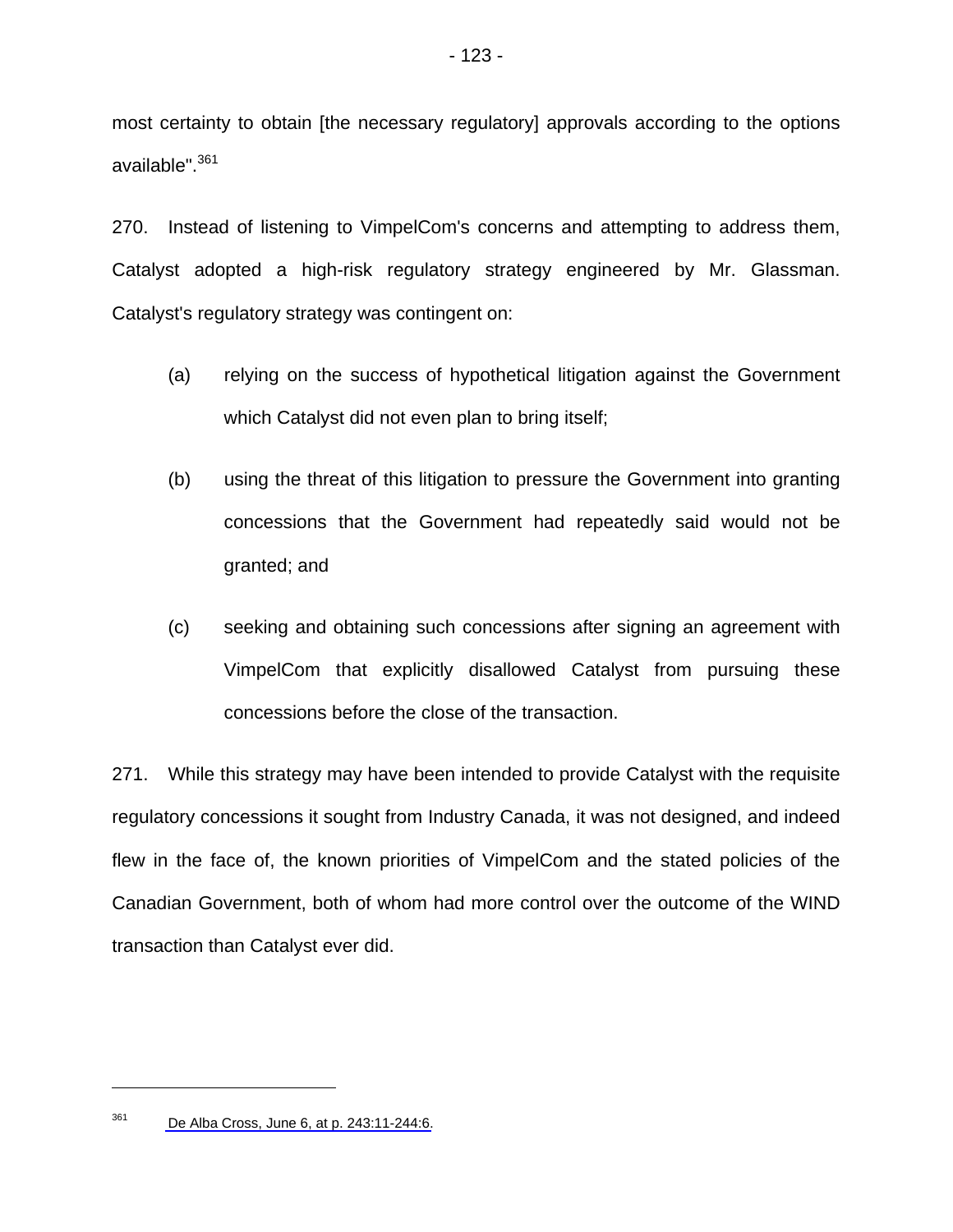most certainty to obtain [the necessary regulatory] approvals according to the options available".<sup>361</sup>

270. Instead of listening to VimpelCom's concerns and attempting to address them, Catalyst adopted a high-risk regulatory strategy engineered by Mr. Glassman. Catalyst's regulatory strategy was contingent on:

- (a) relying on the success of hypothetical litigation against the Government which Catalyst did not even plan to bring itself;
- (b) using the threat of this litigation to pressure the Government into granting concessions that the Government had repeatedly said would not be granted; and
- (c) seeking and obtaining such concessions after signing an agreement with VimpelCom that explicitly disallowed Catalyst from pursuing these concessions before the close of the transaction.

271. While this strategy may have been intended to provide Catalyst with the requisite regulatory concessions it sought from Industry Canada, it was not designed, and indeed flew in the face of, the known priorities of VimpelCom and the stated policies of the Canadian Government, both of whom had more control over the outcome of the WIND transaction than Catalyst ever did.

<sup>361</sup> [De Alba Cross, June 6, at p. 243:11-244:6.](#page-1-0)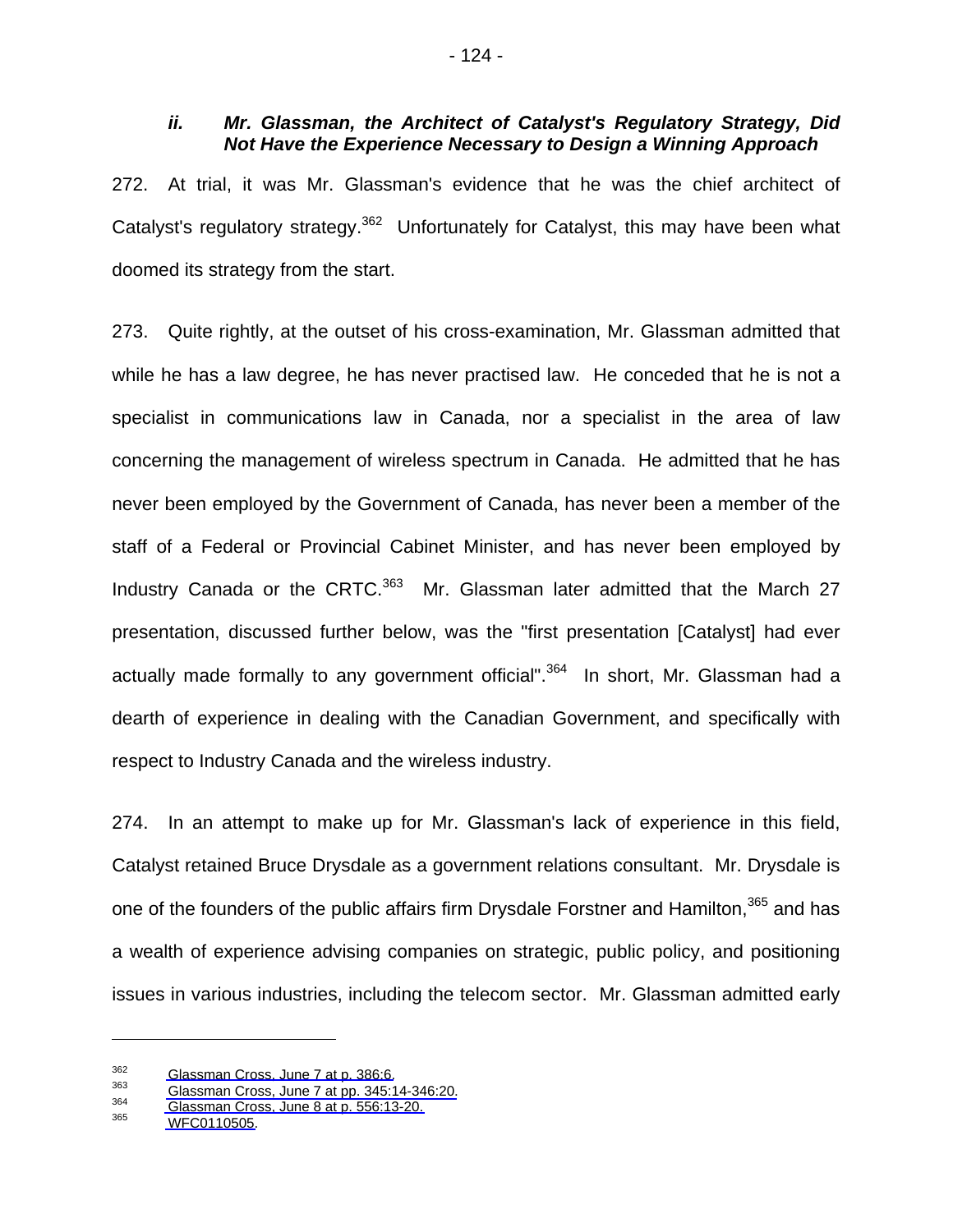#### *ii. Mr. Glassman, the Architect of Catalyst's Regulatory Strategy, Did Not Have the Experience Necessary to Design a Winning Approach*

272. At trial, it was Mr. Glassman's evidence that he was the chief architect of Catalyst's regulatory strategy.<sup>362</sup> Unfortunately for Catalyst, this may have been what doomed its strategy from the start.

273. Quite rightly, at the outset of his cross-examination, Mr. Glassman admitted that while he has a law degree, he has never practised law. He conceded that he is not a specialist in communications law in Canada, nor a specialist in the area of law concerning the management of wireless spectrum in Canada. He admitted that he has never been employed by the Government of Canada, has never been a member of the staff of a Federal or Provincial Cabinet Minister, and has never been employed by Industry Canada or the CRTC.<sup>363</sup> Mr. Glassman later admitted that the March 27 presentation, discussed further below, was the "first presentation [Catalyst] had ever actually made formally to any government official". $364$  In short, Mr. Glassman had a dearth of experience in dealing with the Canadian Government, and specifically with respect to Industry Canada and the wireless industry.

274. In an attempt to make up for Mr. Glassman's lack of experience in this field, Catalyst retained Bruce Drysdale as a government relations consultant. Mr. Drysdale is one of the founders of the public affairs firm Drysdale Forstner and Hamilton,<sup>365</sup> and has a wealth of experience advising companies on strategic, public policy, and positioning issues in various industries, including the telecom sector. Mr. Glassman admitted early

<sup>&</sup>lt;sup>362</sup> [Glassman Cross, June 7 at p. 386:6.](#page-1-0)<br><sup>363</sup> [Glassman Cross, June 7 at pp. 345:14-346:20.](#page-1-0)<br><sup>364</sup> Glassman Cross, June 8 at p. 556:13-20.<br><sup>365</sup> WFC0110505.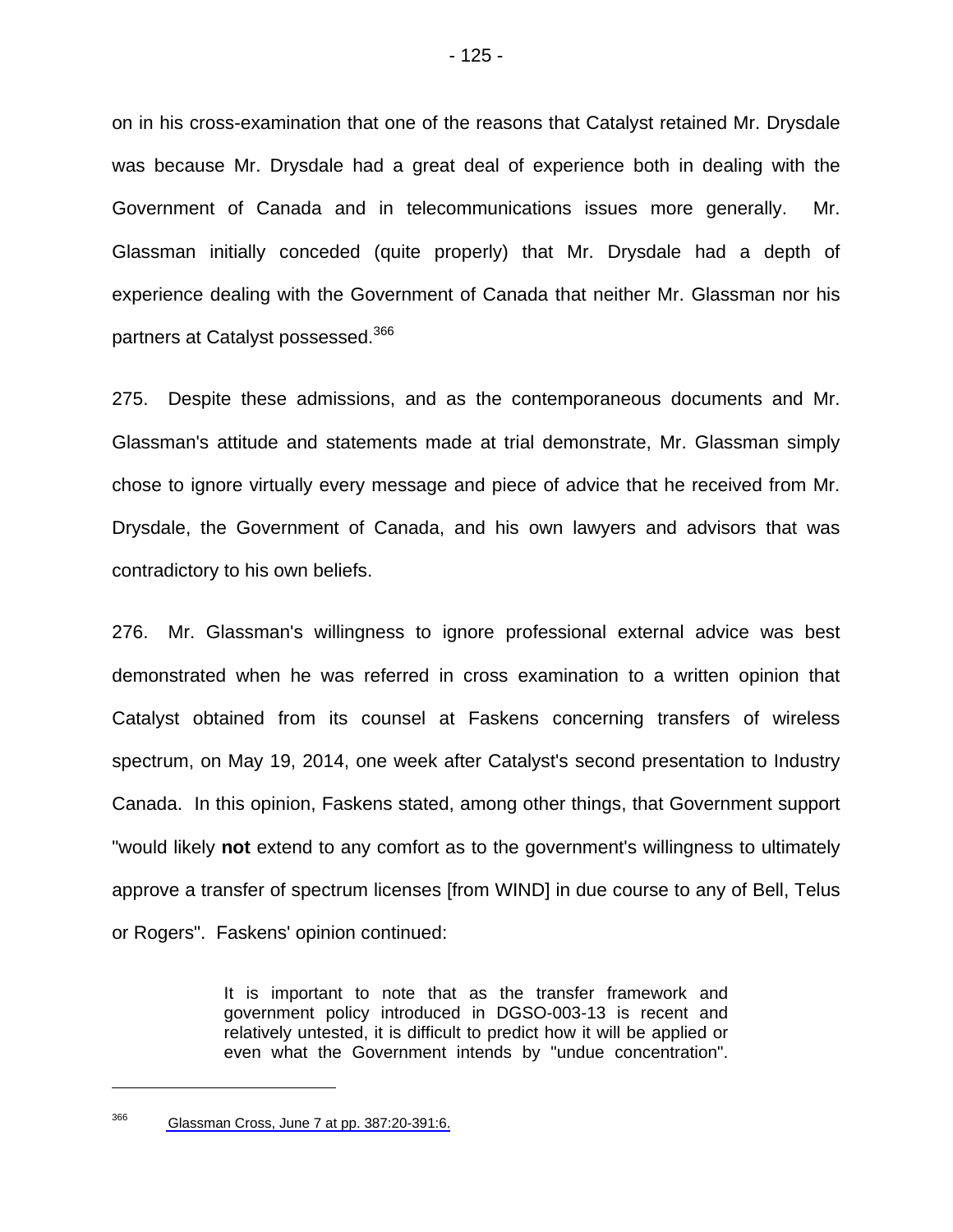on in his cross-examination that one of the reasons that Catalyst retained Mr. Drysdale was because Mr. Drysdale had a great deal of experience both in dealing with the Government of Canada and in telecommunications issues more generally. Mr. Glassman initially conceded (quite properly) that Mr. Drysdale had a depth of experience dealing with the Government of Canada that neither Mr. Glassman nor his partners at Catalyst possessed.366

275. Despite these admissions, and as the contemporaneous documents and Mr. Glassman's attitude and statements made at trial demonstrate, Mr. Glassman simply chose to ignore virtually every message and piece of advice that he received from Mr. Drysdale, the Government of Canada, and his own lawyers and advisors that was contradictory to his own beliefs.

276. Mr. Glassman's willingness to ignore professional external advice was best demonstrated when he was referred in cross examination to a written opinion that Catalyst obtained from its counsel at Faskens concerning transfers of wireless spectrum, on May 19, 2014, one week after Catalyst's second presentation to Industry Canada. In this opinion, Faskens stated, among other things, that Government support "would likely **not** extend to any comfort as to the government's willingness to ultimately approve a transfer of spectrum licenses [from WIND] in due course to any of Bell, Telus or Rogers". Faskens' opinion continued:

> It is important to note that as the transfer framework and government policy introduced in DGSO-003-13 is recent and relatively untested, it is difficult to predict how it will be applied or even what the Government intends by "undue concentration".

<sup>366</sup> [Glassman Cross, June 7 at pp. 387:20-391:6.](#page-1-0)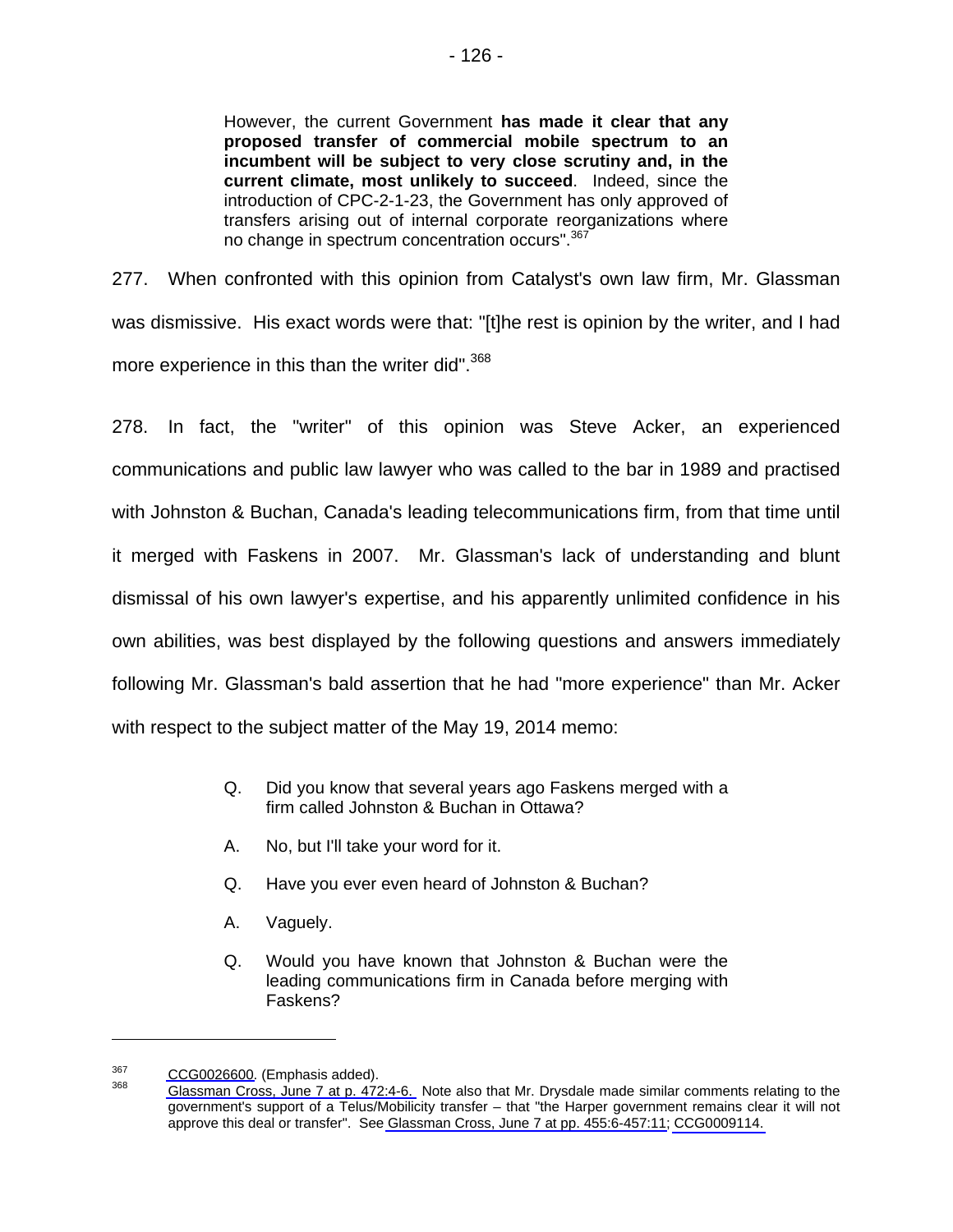However, the current Government **has made it clear that any proposed transfer of commercial mobile spectrum to an incumbent will be subject to very close scrutiny and, in the current climate, most unlikely to succeed**. Indeed, since the introduction of CPC-2-1-23, the Government has only approved of transfers arising out of internal corporate reorganizations where no change in spectrum concentration occurs". 367

277. When confronted with this opinion from Catalyst's own law firm, Mr. Glassman was dismissive. His exact words were that: "[t]he rest is opinion by the writer, and I had more experience in this than the writer did".<sup>368</sup>

278. In fact, the "writer" of this opinion was Steve Acker, an experienced communications and public law lawyer who was called to the bar in 1989 and practised with Johnston & Buchan, Canada's leading telecommunications firm, from that time until it merged with Faskens in 2007. Mr. Glassman's lack of understanding and blunt dismissal of his own lawyer's expertise, and his apparently unlimited confidence in his own abilities, was best displayed by the following questions and answers immediately following Mr. Glassman's bald assertion that he had "more experience" than Mr. Acker with respect to the subject matter of the May 19, 2014 memo:

- Q. Did you know that several years ago Faskens merged with a firm called Johnston & Buchan in Ottawa?
- A. No, but I'll take your word for it.
- Q. Have you ever even heard of Johnston & Buchan?
- A. Vaguely.
- Q. Would you have known that Johnston & Buchan were the leading communications firm in Canada before merging with Faskens?

<sup>&</sup>lt;sup>367</sup> CCG0026600. (Emphasis added).<br><sup>368</sup> [Glassman Cross, June 7 at p. 472:4-6.](#page-1-0) Note also that Mr. Drysdale made similar comments relating to the government's support of a Telus/Mobilicity transfer – that "the Harper government remains clear it will not approve this deal or transfer". See [Glassman Cross, June 7 at pp. 455:6-457:11;](#page-1-0) CCG0009114.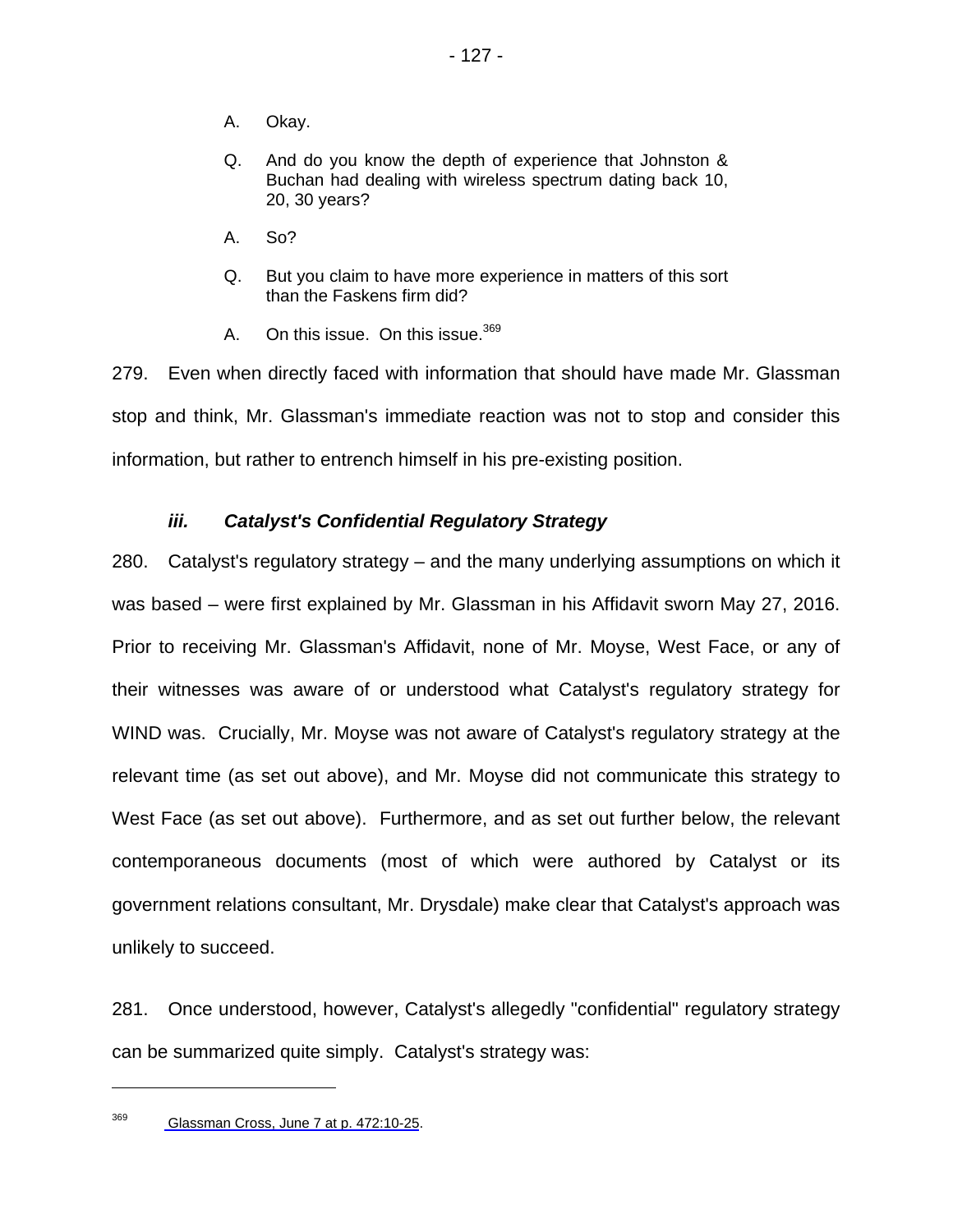- A. Okay.
- Q. And do you know the depth of experience that Johnston & Buchan had dealing with wireless spectrum dating back 10, 20, 30 years?
- A. So?
- Q. But you claim to have more experience in matters of this sort than the Faskens firm did?
- A. On this issue. On this issue.<sup>369</sup>

279. Even when directly faced with information that should have made Mr. Glassman stop and think, Mr. Glassman's immediate reaction was not to stop and consider this information, but rather to entrench himself in his pre-existing position.

### *iii. Catalyst's Confidential Regulatory Strategy*

280. Catalyst's regulatory strategy – and the many underlying assumptions on which it was based – were first explained by Mr. Glassman in his Affidavit sworn May 27, 2016. Prior to receiving Mr. Glassman's Affidavit, none of Mr. Moyse, West Face, or any of their witnesses was aware of or understood what Catalyst's regulatory strategy for WIND was. Crucially, Mr. Moyse was not aware of Catalyst's regulatory strategy at the relevant time (as set out above), and Mr. Moyse did not communicate this strategy to West Face (as set out above). Furthermore, and as set out further below, the relevant contemporaneous documents (most of which were authored by Catalyst or its government relations consultant, Mr. Drysdale) make clear that Catalyst's approach was unlikely to succeed.

281. Once understood, however, Catalyst's allegedly "confidential" regulatory strategy can be summarized quite simply. Catalyst's strategy was:

<sup>&</sup>lt;sup>369</sup> [Glassman Cross, June 7 at p. 472:10-25](#page-1-0).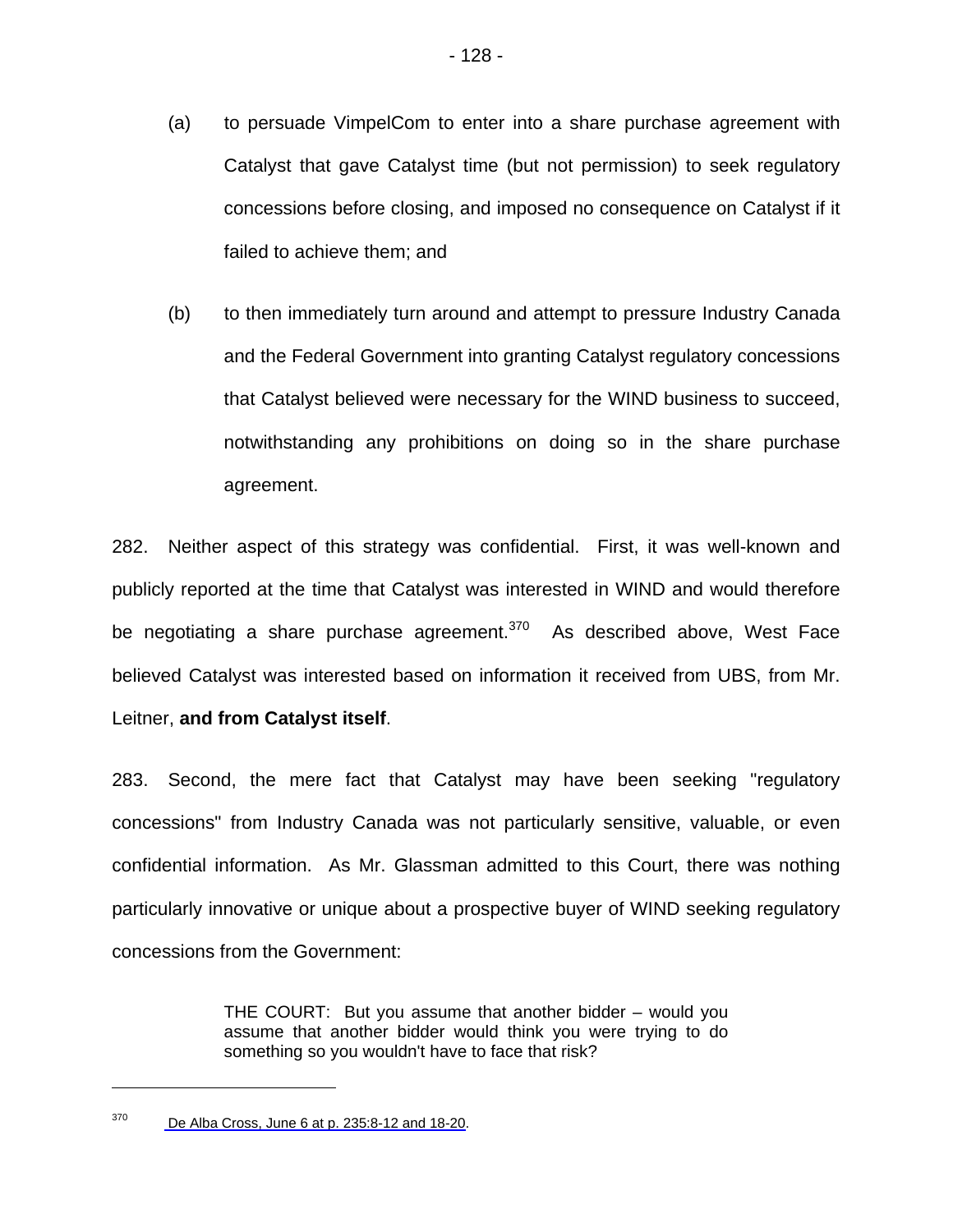- (a) to persuade VimpelCom to enter into a share purchase agreement with Catalyst that gave Catalyst time (but not permission) to seek regulatory concessions before closing, and imposed no consequence on Catalyst if it failed to achieve them; and
- (b) to then immediately turn around and attempt to pressure Industry Canada and the Federal Government into granting Catalyst regulatory concessions that Catalyst believed were necessary for the WIND business to succeed, notwithstanding any prohibitions on doing so in the share purchase agreement.

282. Neither aspect of this strategy was confidential. First, it was well-known and publicly reported at the time that Catalyst was interested in WIND and would therefore be negotiating a share purchase agreement. $370$  As described above, West Face believed Catalyst was interested based on information it received from UBS, from Mr. Leitner, **and from Catalyst itself**.

283. Second, the mere fact that Catalyst may have been seeking "regulatory concessions" from Industry Canada was not particularly sensitive, valuable, or even confidential information. As Mr. Glassman admitted to this Court, there was nothing particularly innovative or unique about a prospective buyer of WIND seeking regulatory concessions from the Government:

> THE COURT: But you assume that another bidder – would you assume that another bidder would think you were trying to do something so you wouldn't have to face that risk?

 $370$  De Alba [Cross, June 6 at p. 235:8-12 and 18-20](#page-1-0).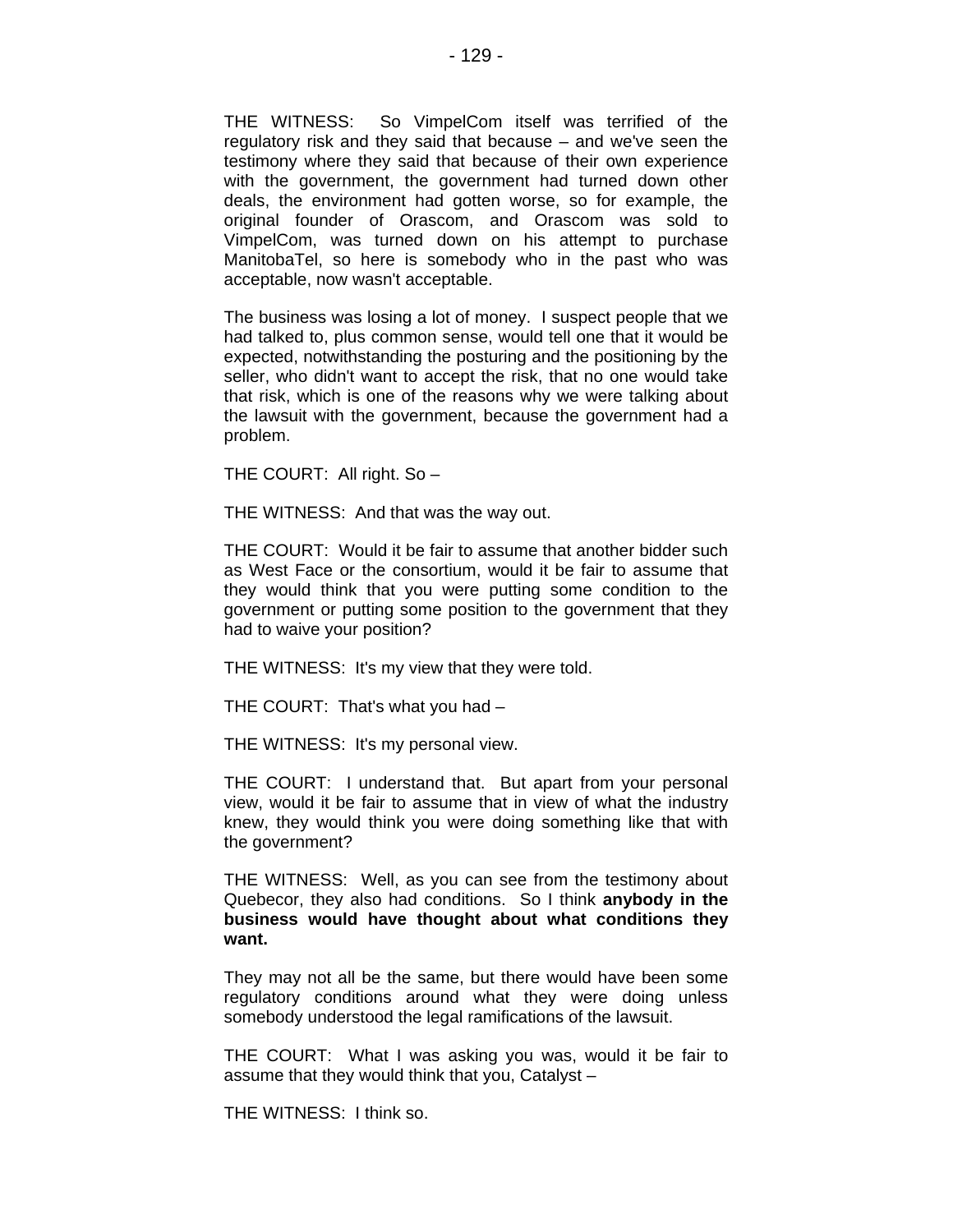THE WITNESS: So VimpelCom itself was terrified of the regulatory risk and they said that because – and we've seen the testimony where they said that because of their own experience with the government, the government had turned down other deals, the environment had gotten worse, so for example, the original founder of Orascom, and Orascom was sold to VimpelCom, was turned down on his attempt to purchase ManitobaTel, so here is somebody who in the past who was acceptable, now wasn't acceptable.

The business was losing a lot of money. I suspect people that we had talked to, plus common sense, would tell one that it would be expected, notwithstanding the posturing and the positioning by the seller, who didn't want to accept the risk, that no one would take that risk, which is one of the reasons why we were talking about the lawsuit with the government, because the government had a problem.

THE COURT: All right. So –

THE WITNESS: And that was the way out.

THE COURT: Would it be fair to assume that another bidder such as West Face or the consortium, would it be fair to assume that they would think that you were putting some condition to the government or putting some position to the government that they had to waive your position?

THE WITNESS: It's my view that they were told.

THE COURT: That's what you had –

THE WITNESS: It's my personal view.

THE COURT: I understand that. But apart from your personal view, would it be fair to assume that in view of what the industry knew, they would think you were doing something like that with the government?

THE WITNESS: Well, as you can see from the testimony about Quebecor, they also had conditions. So I think **anybody in the business would have thought about what conditions they want.** 

They may not all be the same, but there would have been some regulatory conditions around what they were doing unless somebody understood the legal ramifications of the lawsuit.

THE COURT: What I was asking you was, would it be fair to assume that they would think that you, Catalyst –

THE WITNESS: I think so.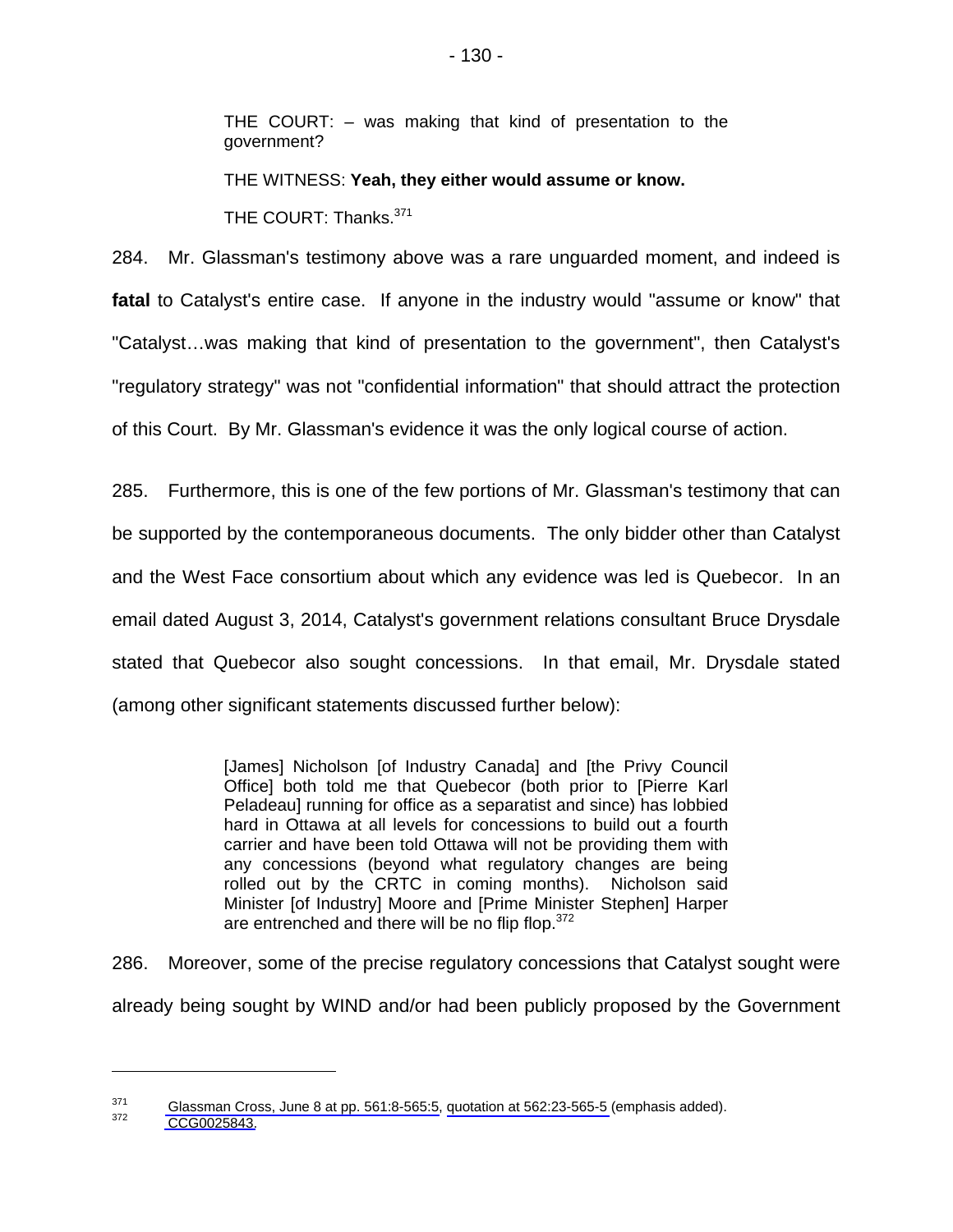THE COURT: – was making that kind of presentation to the government?

THE WITNESS: **Yeah, they either would assume or know.**

THE COURT: Thanks.<sup>371</sup>

284. Mr. Glassman's testimony above was a rare unguarded moment, and indeed is **fatal** to Catalyst's entire case. If anyone in the industry would "assume or know" that "Catalyst…was making that kind of presentation to the government", then Catalyst's "regulatory strategy" was not "confidential information" that should attract the protection of this Court. By Mr. Glassman's evidence it was the only logical course of action.

285. Furthermore, this is one of the few portions of Mr. Glassman's testimony that can be supported by the contemporaneous documents. The only bidder other than Catalyst and the West Face consortium about which any evidence was led is Quebecor. In an email dated August 3, 2014, Catalyst's government relations consultant Bruce Drysdale stated that Quebecor also sought concessions. In that email, Mr. Drysdale stated (among other significant statements discussed further below):

> [James] Nicholson [of Industry Canada] and [the Privy Council Office] both told me that Quebecor (both prior to [Pierre Karl Peladeau] running for office as a separatist and since) has lobbied hard in Ottawa at all levels for concessions to build out a fourth carrier and have been told Ottawa will not be providing them with any concessions (beyond what regulatory changes are being rolled out by the CRTC in coming months). Nicholson said Minister [of Industry] Moore and [Prime Minister Stephen] Harper are entrenched and there will be no flip flop.<sup>372</sup>

286. Moreover, some of the precise regulatory concessions that Catalyst sought were already being sought by WIND and/or had been publicly proposed by the Government

 $371$  [Glassman Cross, June 8 at pp. 561:8-565:5,](#page-1-0) [quotation at 562:23-565-5](#page-2-0) (emphasis added).<br> $372$  CCG0025843.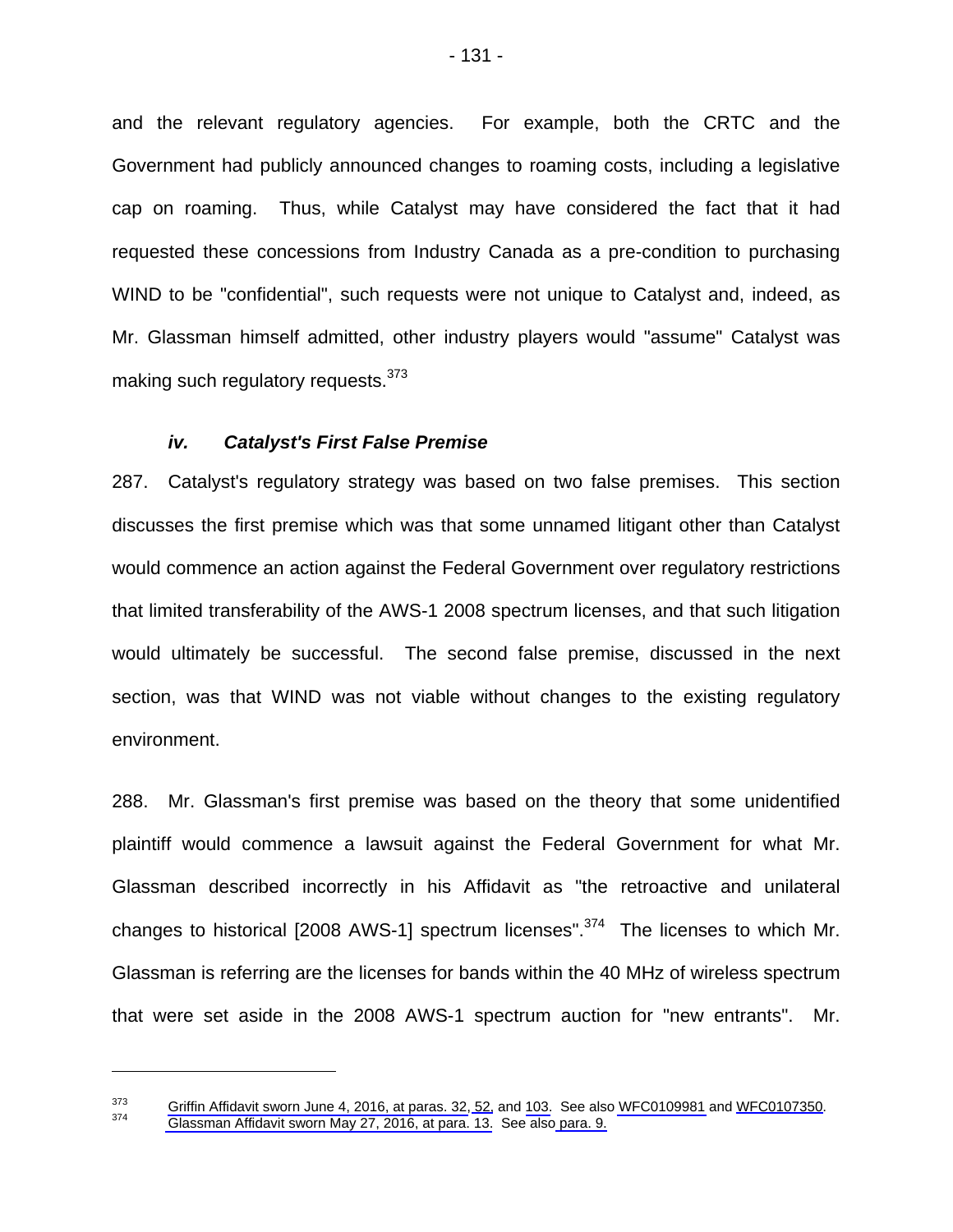and the relevant regulatory agencies. For example, both the CRTC and the Government had publicly announced changes to roaming costs, including a legislative cap on roaming. Thus, while Catalyst may have considered the fact that it had requested these concessions from Industry Canada as a pre-condition to purchasing WIND to be "confidential", such requests were not unique to Catalyst and, indeed, as Mr. Glassman himself admitted, other industry players would "assume" Catalyst was making such regulatory requests.<sup>373</sup>

#### *iv. Catalyst's First False Premise*

 $\overline{a}$ 

287. Catalyst's regulatory strategy was based on two false premises. This section discusses the first premise which was that some unnamed litigant other than Catalyst would commence an action against the Federal Government over regulatory restrictions that limited transferability of the AWS-1 2008 spectrum licenses, and that such litigation would ultimately be successful. The second false premise, discussed in the next section, was that WIND was not viable without changes to the existing regulatory environment.

288. Mr. Glassman's first premise was based on the theory that some unidentified plaintiff would commence a lawsuit against the Federal Government for what Mr. Glassman described incorrectly in his Affidavit as "the retroactive and unilateral changes to historical  $[2008 \text{ AWS-1}]$  spectrum licenses".<sup>374</sup> The licenses to which Mr. Glassman is referring are the licenses for bands within the 40 MHz of wireless spectrum that were set aside in the 2008 AWS-1 spectrum auction for "new entrants". Mr.

 $373$  [Griffin Affidavit sworn June 4, 2016, at paras. 32,](#page-1-0) [52,](#page-2-0) and [103.](#page-4-0) See also WFC0109981 and WFC0107350.<br> $374$  [Glassman Affidavit sworn May 27, 2016, at para. 13.](#page-1-0) See als[o para. 9.](#page-2-0)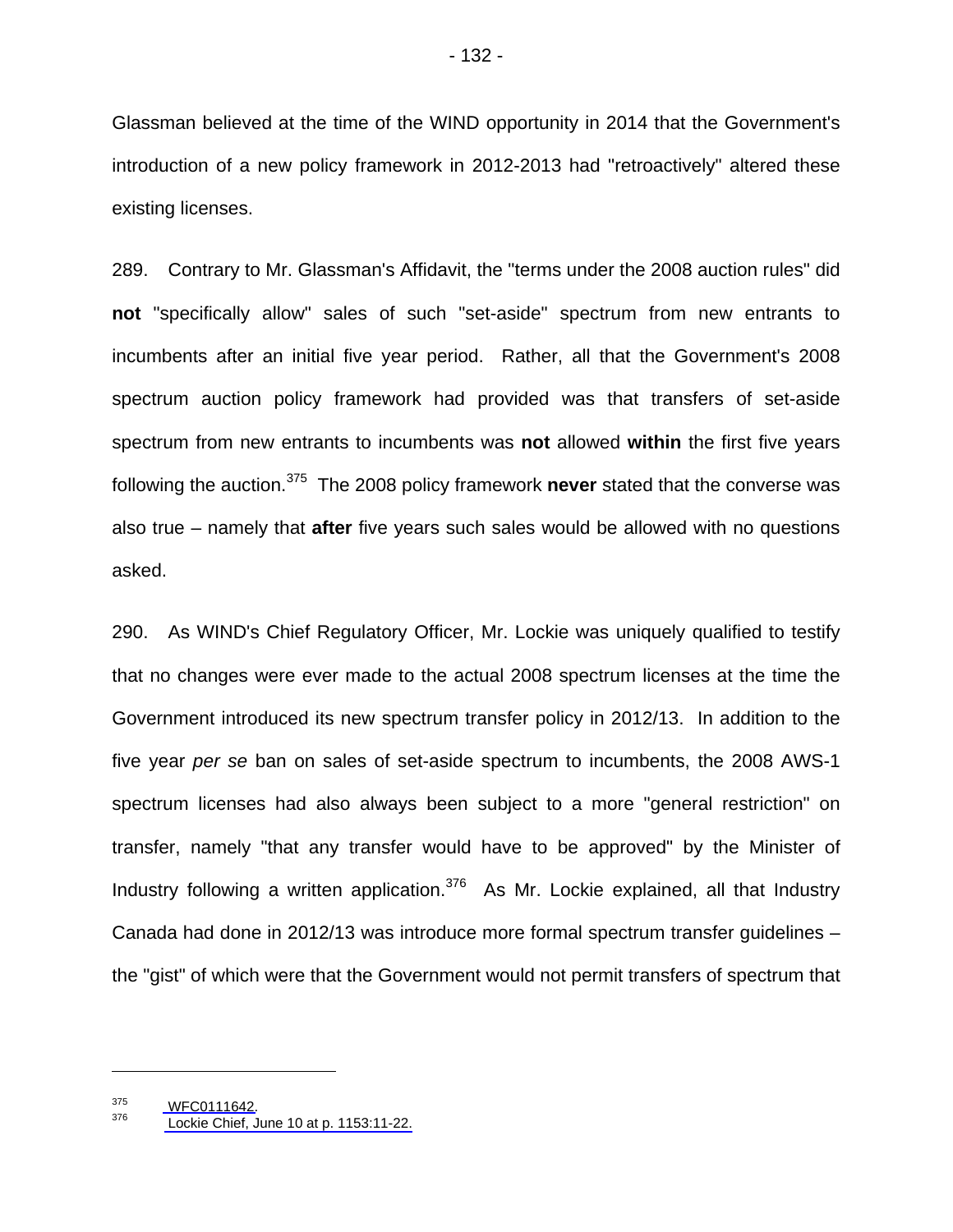Glassman believed at the time of the WIND opportunity in 2014 that the Government's introduction of a new policy framework in 2012-2013 had "retroactively" altered these existing licenses.

289. Contrary to Mr. Glassman's Affidavit, the "terms under the 2008 auction rules" did **not** "specifically allow" sales of such "set-aside" spectrum from new entrants to incumbents after an initial five year period. Rather, all that the Government's 2008 spectrum auction policy framework had provided was that transfers of set-aside spectrum from new entrants to incumbents was **not** allowed **within** the first five years following the auction.375 The 2008 policy framework **never** stated that the converse was also true – namely that **after** five years such sales would be allowed with no questions asked.

290. As WIND's Chief Regulatory Officer, Mr. Lockie was uniquely qualified to testify that no changes were ever made to the actual 2008 spectrum licenses at the time the Government introduced its new spectrum transfer policy in 2012/13. In addition to the five year *per se* ban on sales of set-aside spectrum to incumbents, the 2008 AWS-1 spectrum licenses had also always been subject to a more "general restriction" on transfer, namely "that any transfer would have to be approved" by the Minister of Industry following a written application.<sup>376</sup> As Mr. Lockie explained, all that Industry Canada had done in 2012/13 was introduce more formal spectrum transfer guidelines – the "gist" of which were that the Government would not permit transfers of spectrum that

 $\frac{375}{376}$ WFC0111642.<br> $\frac{376}{376}$  [Lockie Chief, June 10 at p. 1153:11-22.](#page-1-0)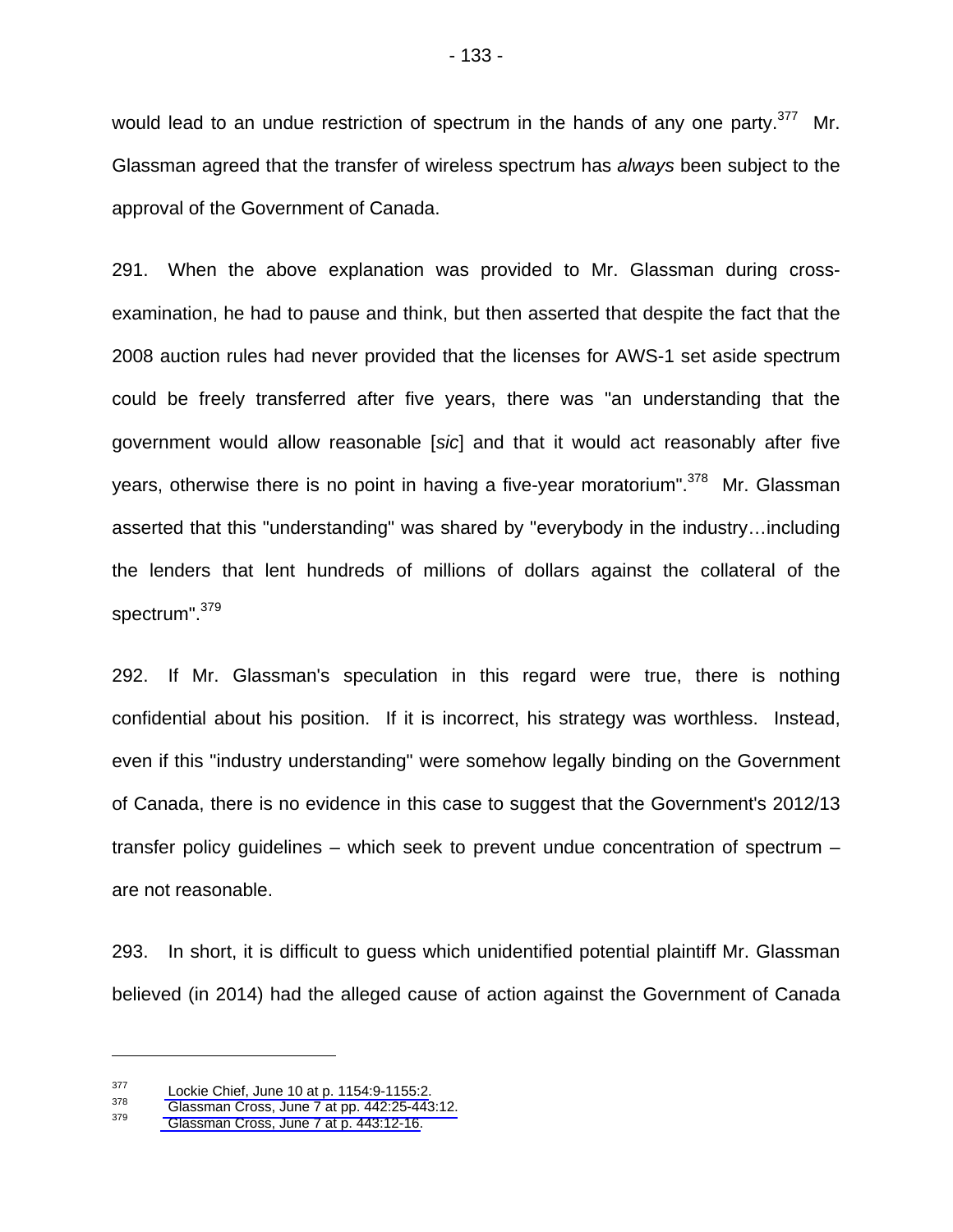would lead to an undue restriction of spectrum in the hands of any one party.<sup>377</sup> Mr. Glassman agreed that the transfer of wireless spectrum has *always* been subject to the approval of the Government of Canada.

291. When the above explanation was provided to Mr. Glassman during crossexamination, he had to pause and think, but then asserted that despite the fact that the 2008 auction rules had never provided that the licenses for AWS-1 set aside spectrum could be freely transferred after five years, there was "an understanding that the government would allow reasonable [*sic*] and that it would act reasonably after five years, otherwise there is no point in having a five-year moratorium".<sup>378</sup> Mr. Glassman asserted that this "understanding" was shared by "everybody in the industry…including the lenders that lent hundreds of millions of dollars against the collateral of the spectrum". 379

292. If Mr. Glassman's speculation in this regard were true, there is nothing confidential about his position. If it is incorrect, his strategy was worthless. Instead, even if this "industry understanding" were somehow legally binding on the Government of Canada, there is no evidence in this case to suggest that the Government's 2012/13 transfer policy guidelines – which seek to prevent undue concentration of spectrum – are not reasonable.

293. In short, it is difficult to guess which unidentified potential plaintiff Mr. Glassman believed (in 2014) had the alleged cause of action against the Government of Canada

<sup>&</sup>lt;sup>377</sup> Lockie Chief, June 10 at p. 1154:9-1155:2.<br><sup>378</sup> [Glassman Cross, June 7 at pp. 442:25-443:12.](#page-1-0)<br>Glassman Cross, June 7 at p. 443:12-16.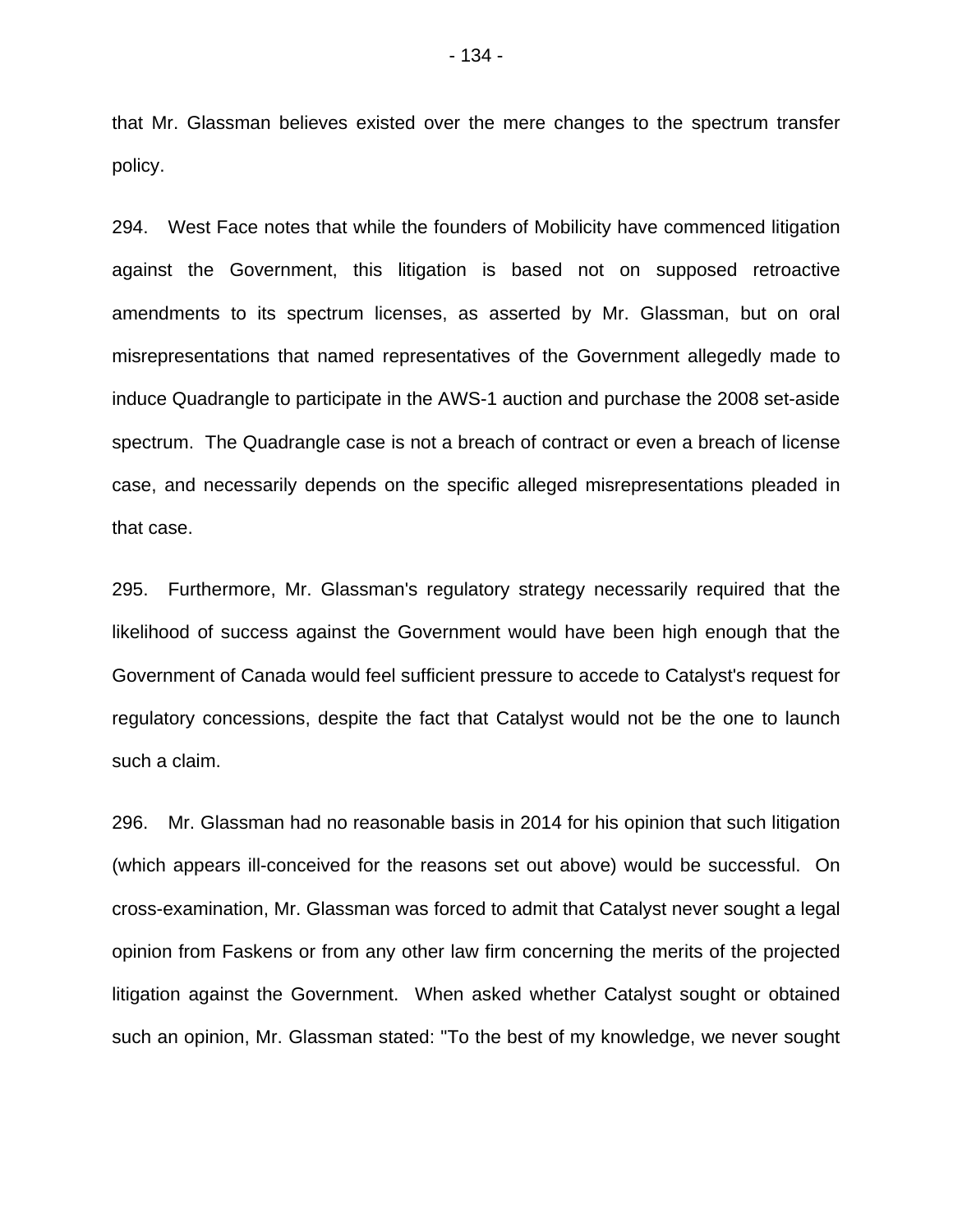that Mr. Glassman believes existed over the mere changes to the spectrum transfer policy.

294. West Face notes that while the founders of Mobilicity have commenced litigation against the Government, this litigation is based not on supposed retroactive amendments to its spectrum licenses, as asserted by Mr. Glassman, but on oral misrepresentations that named representatives of the Government allegedly made to induce Quadrangle to participate in the AWS-1 auction and purchase the 2008 set-aside spectrum. The Quadrangle case is not a breach of contract or even a breach of license case, and necessarily depends on the specific alleged misrepresentations pleaded in that case.

295. Furthermore, Mr. Glassman's regulatory strategy necessarily required that the likelihood of success against the Government would have been high enough that the Government of Canada would feel sufficient pressure to accede to Catalyst's request for regulatory concessions, despite the fact that Catalyst would not be the one to launch such a claim.

296. Mr. Glassman had no reasonable basis in 2014 for his opinion that such litigation (which appears ill-conceived for the reasons set out above) would be successful. On cross-examination, Mr. Glassman was forced to admit that Catalyst never sought a legal opinion from Faskens or from any other law firm concerning the merits of the projected litigation against the Government. When asked whether Catalyst sought or obtained such an opinion, Mr. Glassman stated: "To the best of my knowledge, we never sought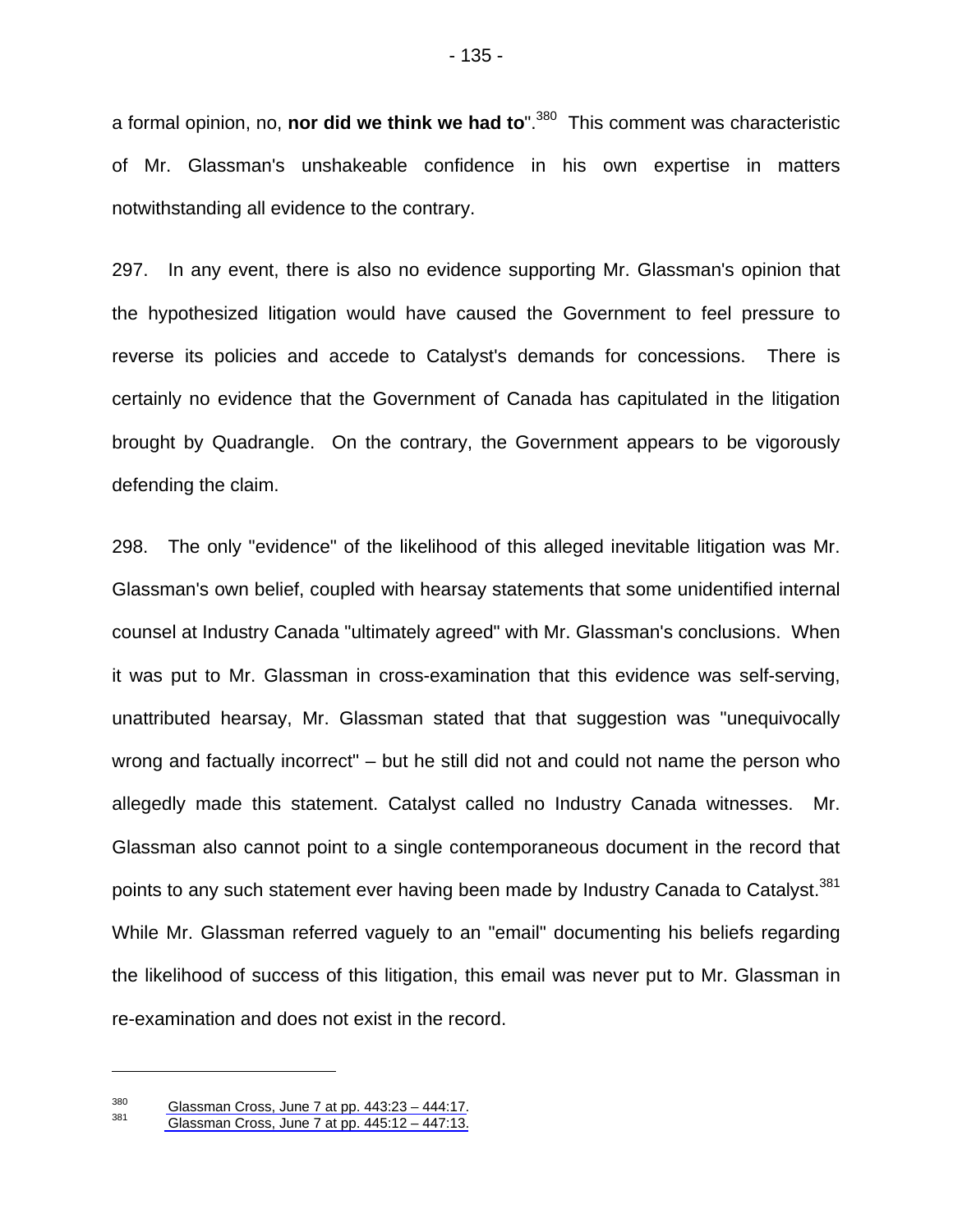a formal opinion, no, **nor did we think we had to**".380 This comment was characteristic of Mr. Glassman's unshakeable confidence in his own expertise in matters notwithstanding all evidence to the contrary.

297. In any event, there is also no evidence supporting Mr. Glassman's opinion that the hypothesized litigation would have caused the Government to feel pressure to reverse its policies and accede to Catalyst's demands for concessions. There is certainly no evidence that the Government of Canada has capitulated in the litigation brought by Quadrangle. On the contrary, the Government appears to be vigorously defending the claim.

298. The only "evidence" of the likelihood of this alleged inevitable litigation was Mr. Glassman's own belief, coupled with hearsay statements that some unidentified internal counsel at Industry Canada "ultimately agreed" with Mr. Glassman's conclusions. When it was put to Mr. Glassman in cross-examination that this evidence was self-serving, unattributed hearsay, Mr. Glassman stated that that suggestion was "unequivocally wrong and factually incorrect" – but he still did not and could not name the person who allegedly made this statement. Catalyst called no Industry Canada witnesses. Mr. Glassman also cannot point to a single contemporaneous document in the record that points to any such statement ever having been made by Industry Canada to Catalyst.<sup>381</sup> While Mr. Glassman referred vaguely to an "email" documenting his beliefs regarding the likelihood of success of this litigation, this email was never put to Mr. Glassman in re-examination and does not exist in the record.

<sup>&</sup>lt;sup>380</sup> Glassman Cross, June 7 at pp.  $443:23 - 444:17$ .<br><sup>381</sup> Glassman Cross, June 7 at pp.  $445:12 - 447:13$ .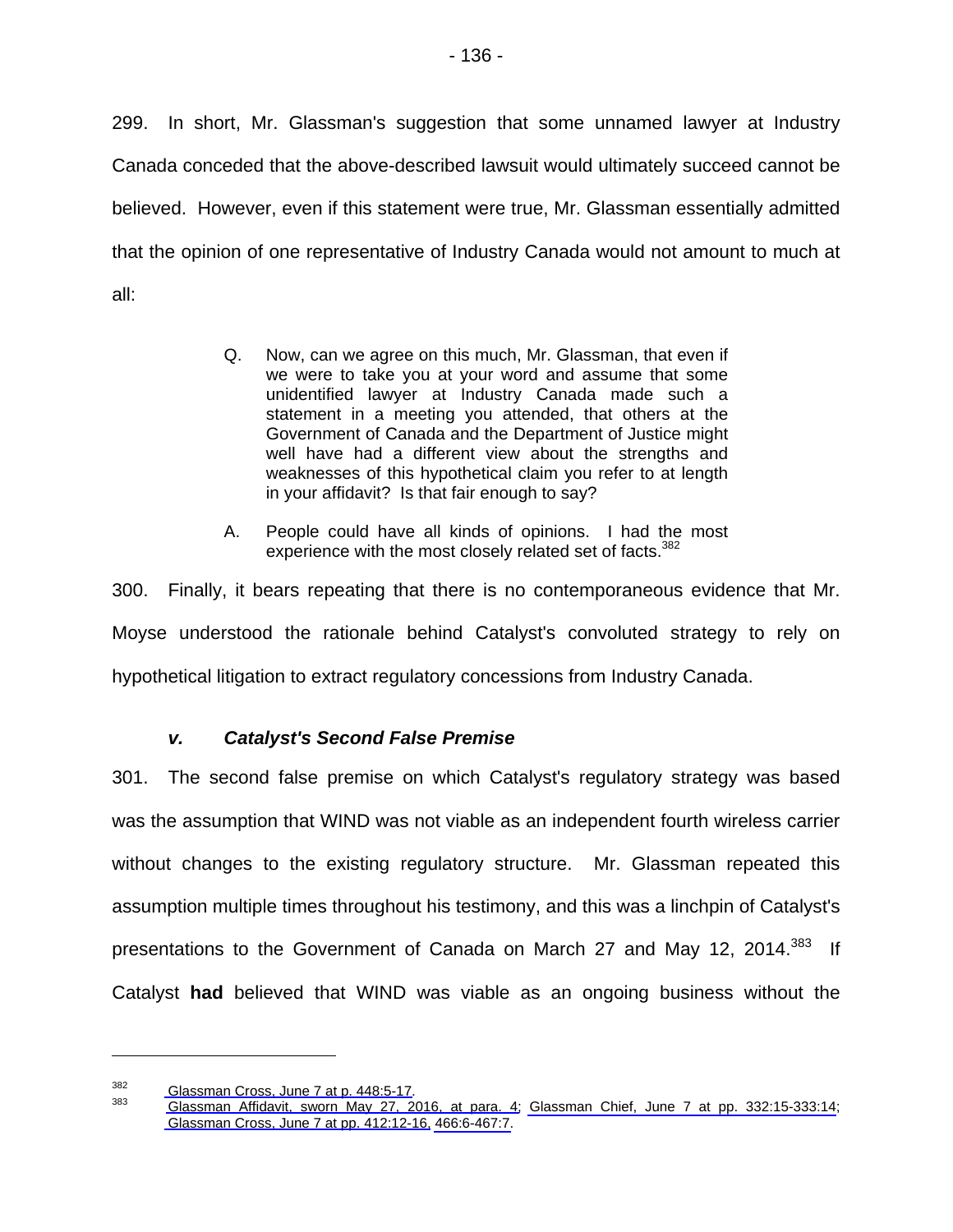299. In short, Mr. Glassman's suggestion that some unnamed lawyer at Industry Canada conceded that the above-described lawsuit would ultimately succeed cannot be believed. However, even if this statement were true, Mr. Glassman essentially admitted that the opinion of one representative of Industry Canada would not amount to much at all:

- Q. Now, can we agree on this much, Mr. Glassman, that even if we were to take you at your word and assume that some unidentified lawyer at Industry Canada made such a statement in a meeting you attended, that others at the Government of Canada and the Department of Justice might well have had a different view about the strengths and weaknesses of this hypothetical claim you refer to at length in your affidavit? Is that fair enough to say?
- A. People could have all kinds of opinions. I had the most experience with the most closely related set of facts.<sup>382</sup>

300. Finally, it bears repeating that there is no contemporaneous evidence that Mr. Moyse understood the rationale behind Catalyst's convoluted strategy to rely on hypothetical litigation to extract regulatory concessions from Industry Canada.

# *v. Catalyst's Second False Premise*

301. The second false premise on which Catalyst's regulatory strategy was based was the assumption that WIND was not viable as an independent fourth wireless carrier without changes to the existing regulatory structure. Mr. Glassman repeated this assumption multiple times throughout his testimony, and this was a linchpin of Catalyst's presentations to the Government of Canada on March 27 and May 12, 2014.<sup>383</sup> If Catalyst **had** believed that WIND was viable as an ongoing business without the

<sup>&</sup>lt;sup>382</sup> Glassman Cross, June 7 at p. 448:5-17.<br><sup>383</sup> [Glassman Affidavit, sworn May 27, 2016, at para. 4;](#page-1-0) [Glassman Chief, June 7 at pp. 332:15-333:14](#page-1-0); [Glassman Cross, June 7 at pp. 412:12-16, 466:6-467:7.](#page-1-0)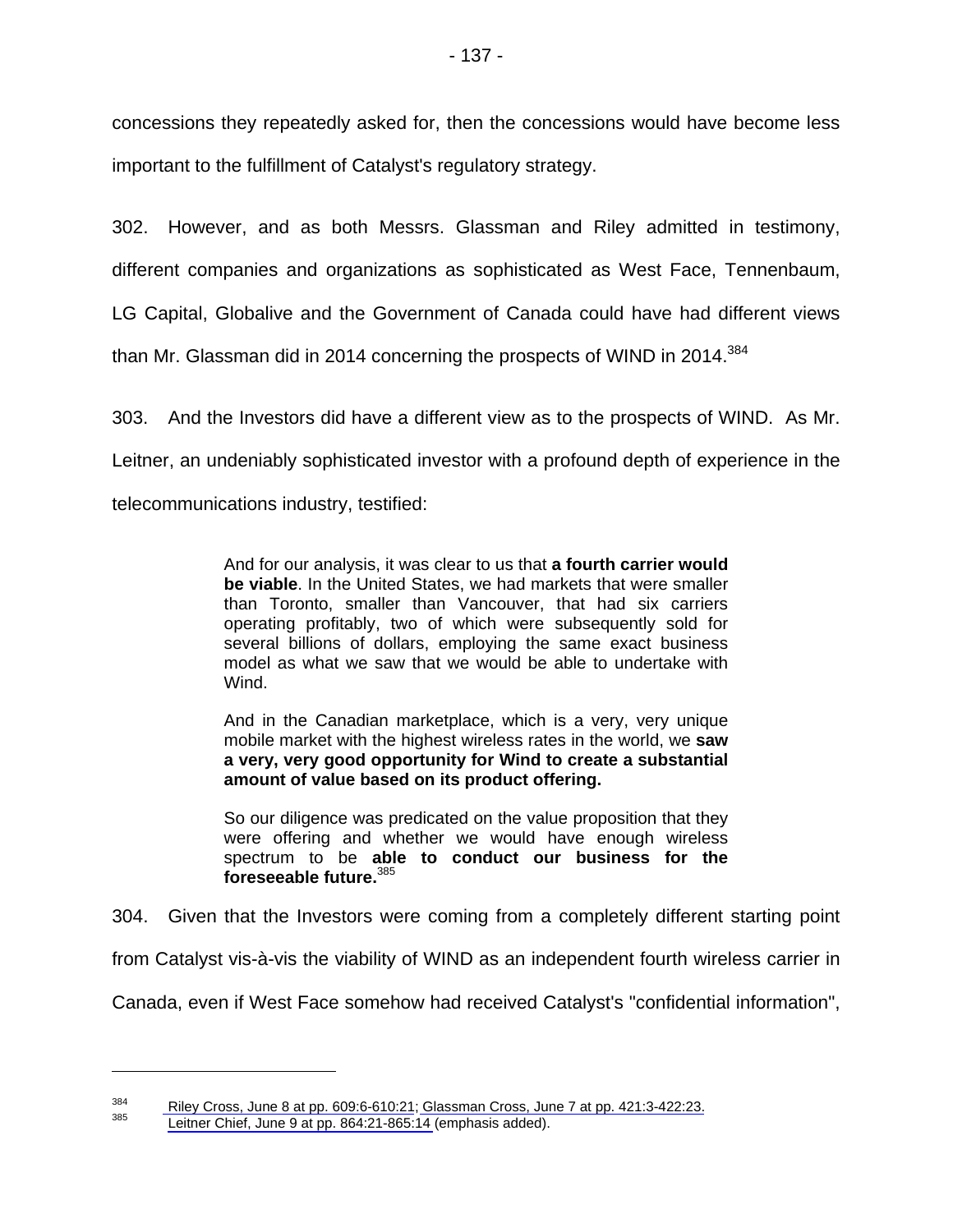concessions they repeatedly asked for, then the concessions would have become less important to the fulfillment of Catalyst's regulatory strategy.

302. However, and as both Messrs. Glassman and Riley admitted in testimony, different companies and organizations as sophisticated as West Face, Tennenbaum, LG Capital, Globalive and the Government of Canada could have had different views than Mr. Glassman did in 2014 concerning the prospects of WIND in 2014.<sup>384</sup>

303. And the Investors did have a different view as to the prospects of WIND. As Mr. Leitner, an undeniably sophisticated investor with a profound depth of experience in the telecommunications industry, testified:

> And for our analysis, it was clear to us that **a fourth carrier would be viable**. In the United States, we had markets that were smaller than Toronto, smaller than Vancouver, that had six carriers operating profitably, two of which were subsequently sold for several billions of dollars, employing the same exact business model as what we saw that we would be able to undertake with Wind.

> And in the Canadian marketplace, which is a very, very unique mobile market with the highest wireless rates in the world, we **saw a very, very good opportunity for Wind to create a substantial amount of value based on its product offering.**

> So our diligence was predicated on the value proposition that they were offering and whether we would have enough wireless spectrum to be **able to conduct our business for the foreseeable future.**<sup>385</sup>

304. Given that the Investors were coming from a completely different starting point

from Catalyst vis-à-vis the viability of WIND as an independent fourth wireless carrier in

Canada, even if West Face somehow had received Catalyst's "confidential information",

<sup>&</sup>lt;sup>384</sup> [Riley Cross, June 8 at pp. 609:6-610:21; Glassman Cross, June 7 at pp. 421:3-422:23.](#page-1-0)<br><sup>385</sup> [Leitner Chief, June 9 at pp. 864:21-865:14](#page-1-0) (emphasis added).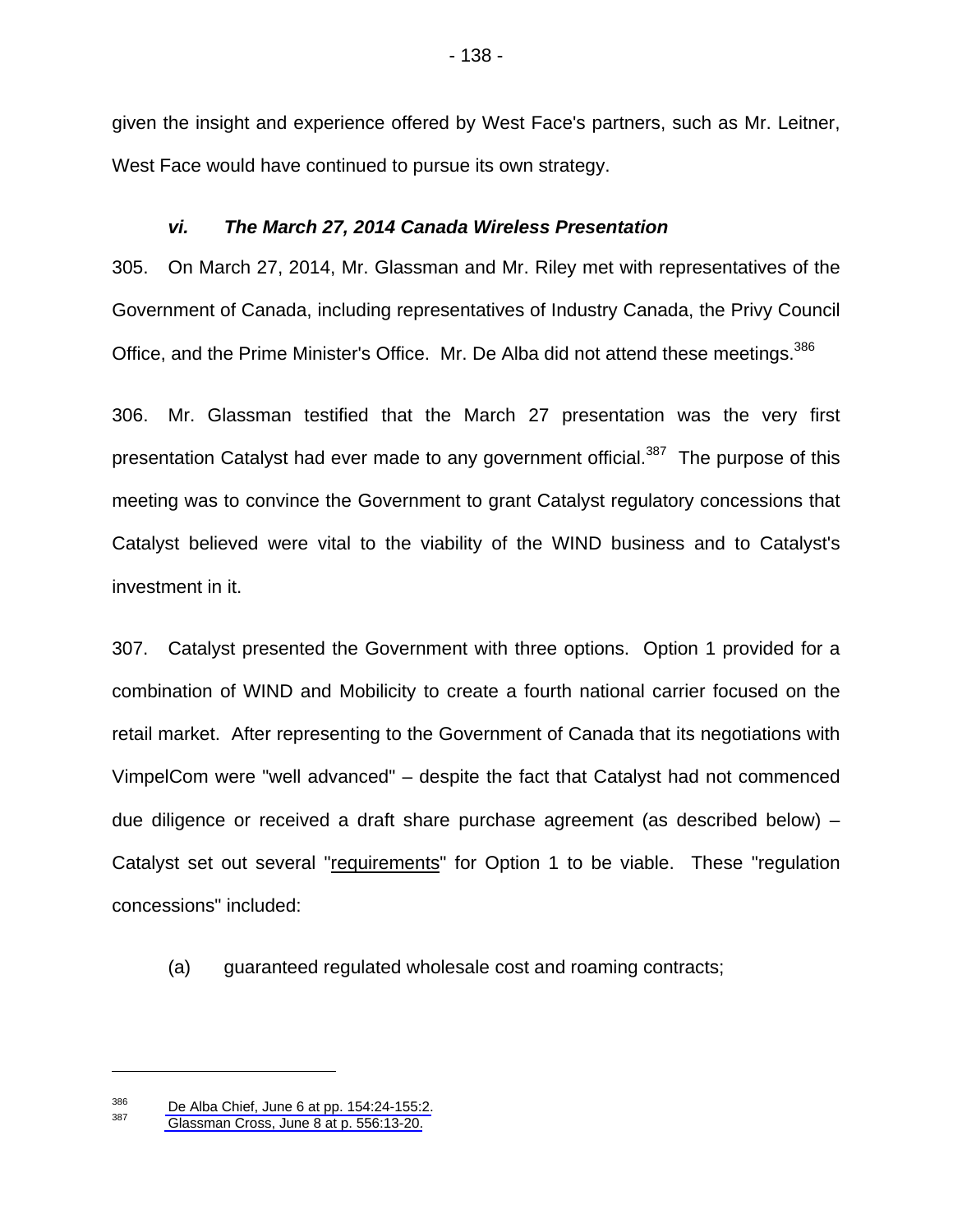given the insight and experience offered by West Face's partners, such as Mr. Leitner, West Face would have continued to pursue its own strategy.

# *vi. The March 27, 2014 Canada Wireless Presentation*

305. On March 27, 2014, Mr. Glassman and Mr. Riley met with representatives of the Government of Canada, including representatives of Industry Canada, the Privy Council Office, and the Prime Minister's Office. Mr. De Alba did not attend these meetings.<sup>386</sup>

306. Mr. Glassman testified that the March 27 presentation was the very first presentation Catalyst had ever made to any government official.<sup>387</sup> The purpose of this meeting was to convince the Government to grant Catalyst regulatory concessions that Catalyst believed were vital to the viability of the WIND business and to Catalyst's investment in it.

307. Catalyst presented the Government with three options. Option 1 provided for a combination of WIND and Mobilicity to create a fourth national carrier focused on the retail market. After representing to the Government of Canada that its negotiations with VimpelCom were "well advanced" – despite the fact that Catalyst had not commenced due diligence or received a draft share purchase agreement (as described below) – Catalyst set out several "requirements" for Option 1 to be viable. These "regulation concessions" included:

(a) guaranteed regulated wholesale cost and roaming contracts;

 $\frac{386}{387}$  [De Alba Chief, June 6 at pp. 154:24-155:2.](#page-1-0)<br> $\frac{387}{387}$  [Glassman Cross, June 8 at p. 556:13-20.](#page-1-0)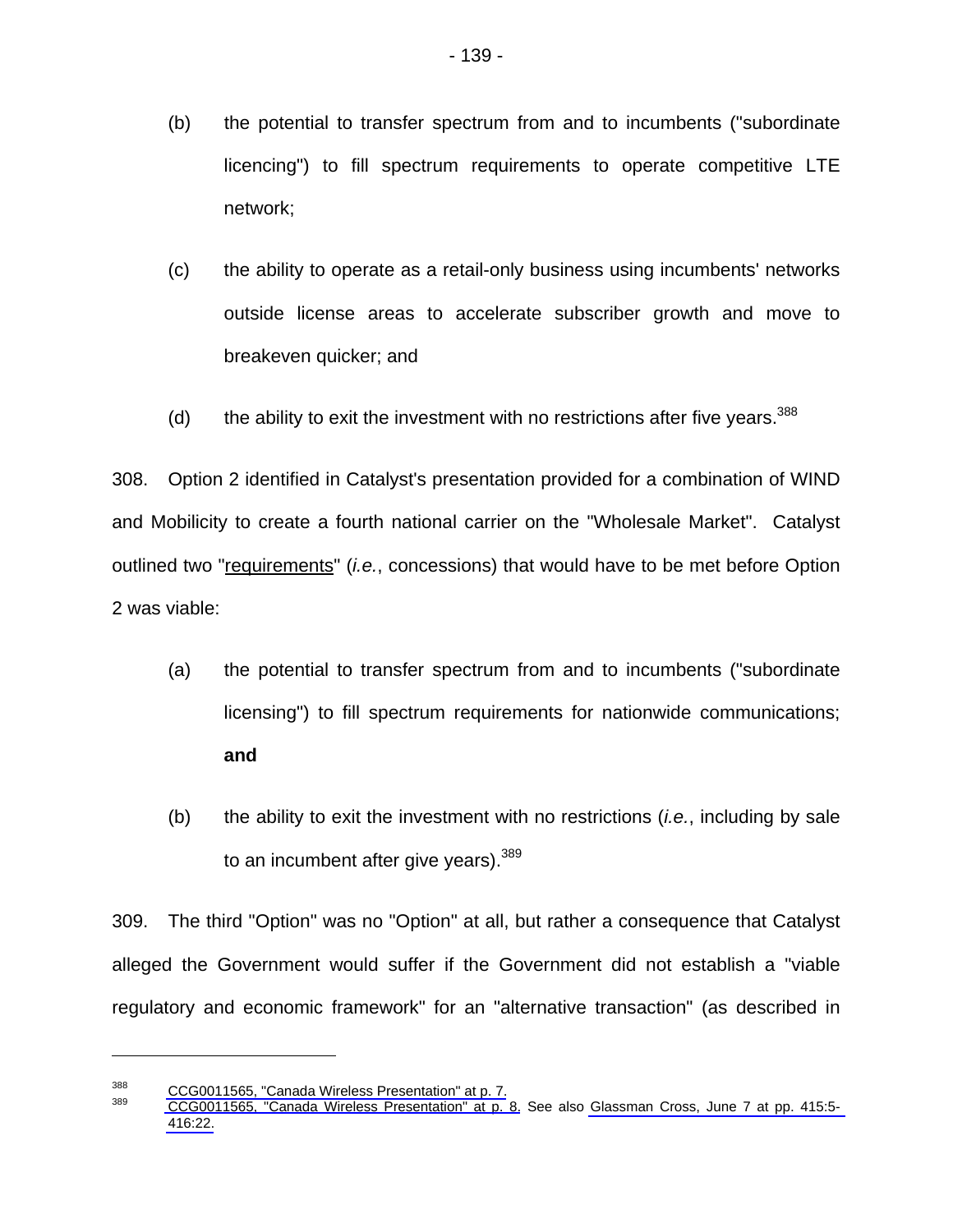- (b) the potential to transfer spectrum from and to incumbents ("subordinate licencing") to fill spectrum requirements to operate competitive LTE network;
- (c) the ability to operate as a retail-only business using incumbents' networks outside license areas to accelerate subscriber growth and move to breakeven quicker; and
- (d) the ability to exit the investment with no restrictions after five years. $388$

308. Option 2 identified in Catalyst's presentation provided for a combination of WIND and Mobilicity to create a fourth national carrier on the "Wholesale Market". Catalyst outlined two "requirements" (*i.e.*, concessions) that would have to be met before Option 2 was viable:

- (a) the potential to transfer spectrum from and to incumbents ("subordinate licensing") to fill spectrum requirements for nationwide communications; **and**
- (b) the ability to exit the investment with no restrictions (*i.e.*, including by sale to an incumbent after give years).<sup>389</sup>

309. The third "Option" was no "Option" at all, but rather a consequence that Catalyst alleged the Government would suffer if the Government did not establish a "viable regulatory and economic framework" for an "alternative transaction" (as described in

1

<sup>&</sup>lt;sup>388</sup> CCG0011565, "Canada Wireless Presentation" at p. 7.<br><sup>389</sup> [CCG0011565, "Canada Wireless Presentation" at p. 8.](#page-1-0) See also [Glassman Cross, June 7 at pp. 415:5-](#page-1-0) [416:22.](#page-1-0)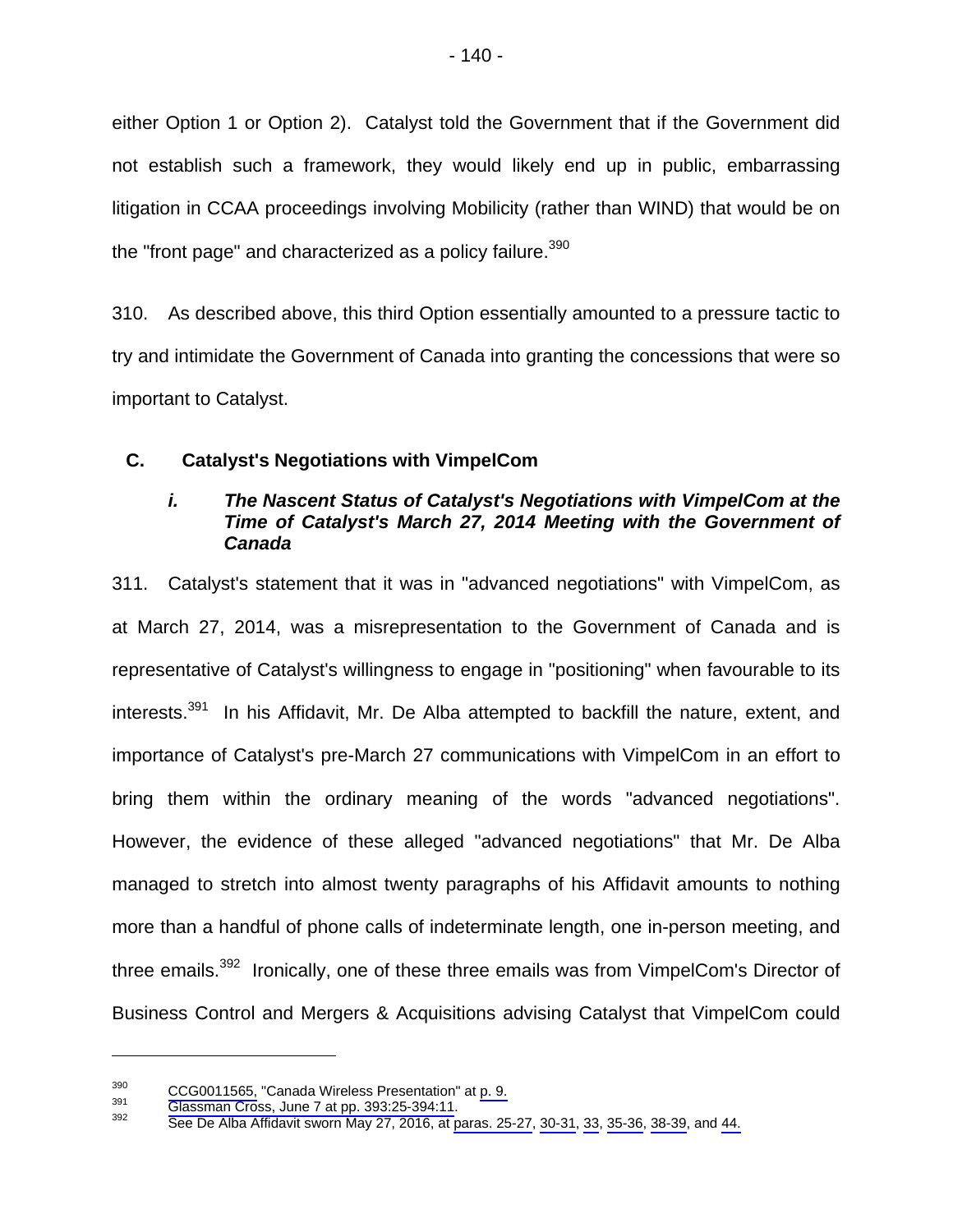either Option 1 or Option 2). Catalyst told the Government that if the Government did not establish such a framework, they would likely end up in public, embarrassing litigation in CCAA proceedings involving Mobilicity (rather than WIND) that would be on the "front page" and characterized as a policy failure. $390$ 

310. As described above, this third Option essentially amounted to a pressure tactic to try and intimidate the Government of Canada into granting the concessions that were so important to Catalyst.

#### **C. Catalyst's Negotiations with VimpelCom**

# *i. The Nascent Status of Catalyst's Negotiations with VimpelCom at the Time of Catalyst's March 27, 2014 Meeting with the Government of Canada*

311. Catalyst's statement that it was in "advanced negotiations" with VimpelCom, as at March 27, 2014, was a misrepresentation to the Government of Canada and is representative of Catalyst's willingness to engage in "positioning" when favourable to its interests.<sup>391</sup> In his Affidavit, Mr. De Alba attempted to backfill the nature, extent, and importance of Catalyst's pre-March 27 communications with VimpelCom in an effort to bring them within the ordinary meaning of the words "advanced negotiations". However, the evidence of these alleged "advanced negotiations" that Mr. De Alba managed to stretch into almost twenty paragraphs of his Affidavit amounts to nothing more than a handful of phone calls of indeterminate length, one in-person meeting, and three emails.<sup>392</sup> Ironically, one of these three emails was from VimpelCom's Director of Business Control and Mergers & Acquisitions advising Catalyst that VimpelCom could

 $\frac{390}{391}$  [CCG0011565,](#page-0-0) ["Canada Wireless Presentation](#page-1-0)" at [p. 9.](#page-1-0)<br> $\frac{391}{392}$  Glassman Cross, June 7 at pp. 393:25-394:11.<br> $\frac{392}{392}$  [See De Alba Affidavit sworn May 27, 2016, at paras. 25-27](#page-1-0), [30-31](#page-2-0), [33](#page-3-0), [35-36](#page-4-0), [38-39](#page-4-0)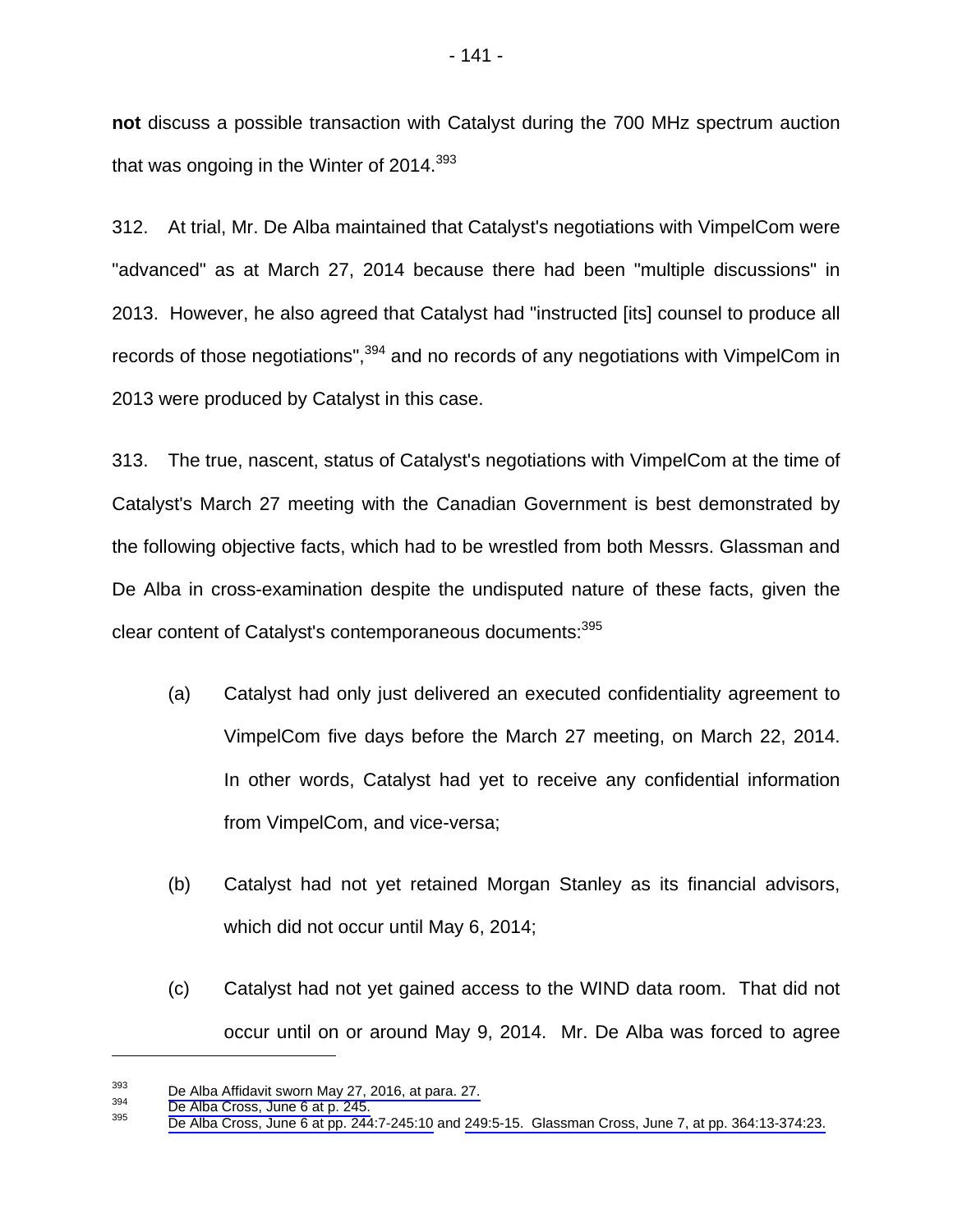**not** discuss a possible transaction with Catalyst during the 700 MHz spectrum auction that was ongoing in the Winter of 2014.<sup>393</sup>

312. At trial, Mr. De Alba maintained that Catalyst's negotiations with VimpelCom were "advanced" as at March 27, 2014 because there had been "multiple discussions" in 2013. However, he also agreed that Catalyst had "instructed [its] counsel to produce all records of those negotiations",<sup>394</sup> and no records of any negotiations with VimpelCom in 2013 were produced by Catalyst in this case.

313. The true, nascent, status of Catalyst's negotiations with VimpelCom at the time of Catalyst's March 27 meeting with the Canadian Government is best demonstrated by the following objective facts, which had to be wrestled from both Messrs. Glassman and De Alba in cross-examination despite the undisputed nature of these facts, given the clear content of Catalyst's contemporaneous documents: 395

- (a) Catalyst had only just delivered an executed confidentiality agreement to VimpelCom five days before the March 27 meeting, on March 22, 2014. In other words, Catalyst had yet to receive any confidential information from VimpelCom, and vice-versa;
- (b) Catalyst had not yet retained Morgan Stanley as its financial advisors, which did not occur until May 6, 2014;
- (c) Catalyst had not yet gained access to the WIND data room. That did not occur until on or around May 9, 2014. Mr. De Alba was forced to agree

<sup>&</sup>lt;sup>393</sup> De Alba Affidavit sworn May 27, 2016, at para. 27.<br><sup>394</sup> De Alba Cross, June 6 at p. 245.<br><sup>395</sup> [De Alba Cross, June 6 at pp. 244:7-245:10](#page-1-0) and [249:5-15.](#page-6-0) Glassman Cross, June 7, at pp. 364:13-374:23.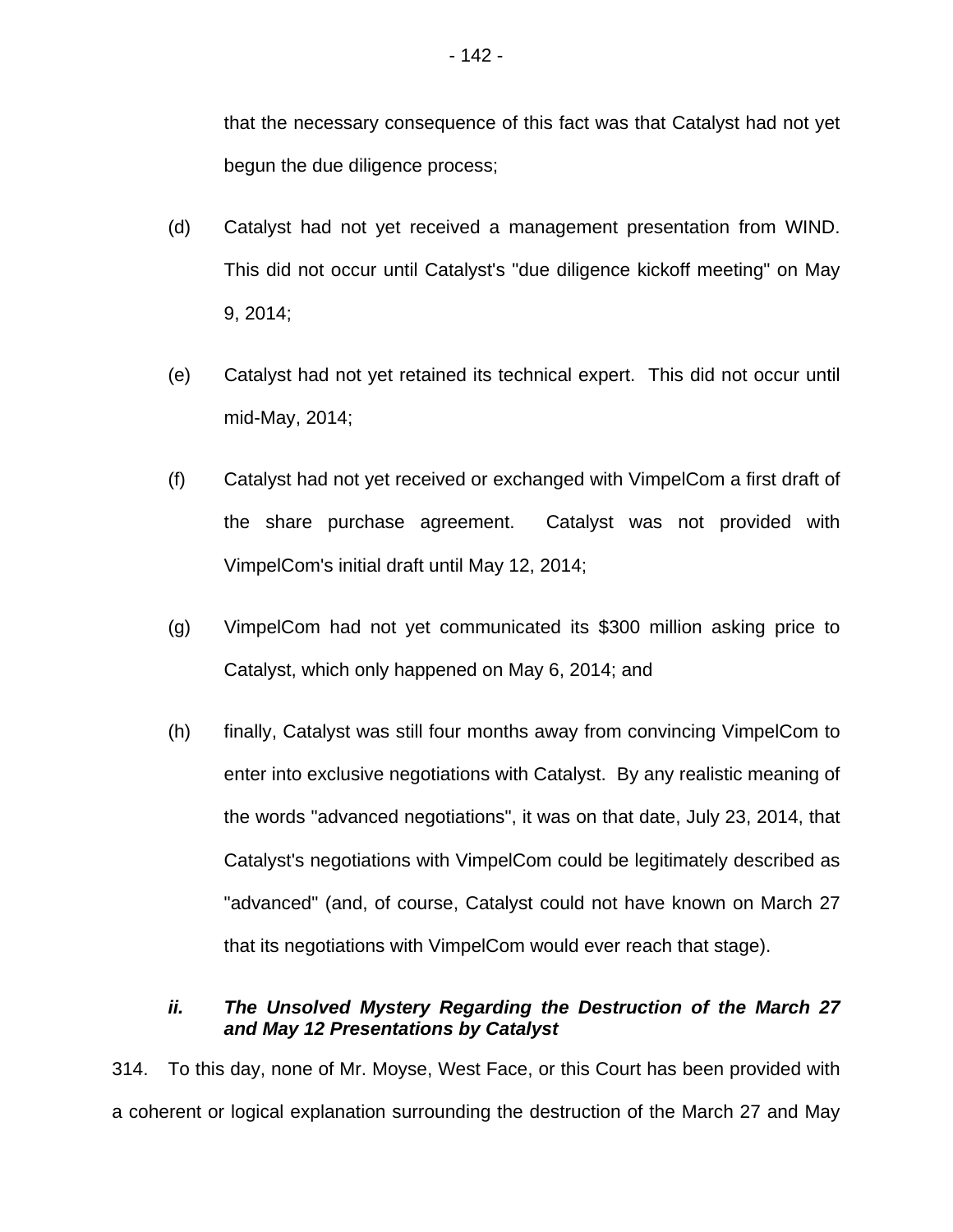- 142 -

that the necessary consequence of this fact was that Catalyst had not yet begun the due diligence process;

- (d) Catalyst had not yet received a management presentation from WIND. This did not occur until Catalyst's "due diligence kickoff meeting" on May 9, 2014;
- (e) Catalyst had not yet retained its technical expert. This did not occur until mid-May, 2014;
- (f) Catalyst had not yet received or exchanged with VimpelCom a first draft of the share purchase agreement. Catalyst was not provided with VimpelCom's initial draft until May 12, 2014;
- (g) VimpelCom had not yet communicated its \$300 million asking price to Catalyst, which only happened on May 6, 2014; and
- (h) finally, Catalyst was still four months away from convincing VimpelCom to enter into exclusive negotiations with Catalyst. By any realistic meaning of the words "advanced negotiations", it was on that date, July 23, 2014, that Catalyst's negotiations with VimpelCom could be legitimately described as "advanced" (and, of course, Catalyst could not have known on March 27 that its negotiations with VimpelCom would ever reach that stage).

# *ii. The Unsolved Mystery Regarding the Destruction of the March 27 and May 12 Presentations by Catalyst*

314. To this day, none of Mr. Moyse, West Face, or this Court has been provided with a coherent or logical explanation surrounding the destruction of the March 27 and May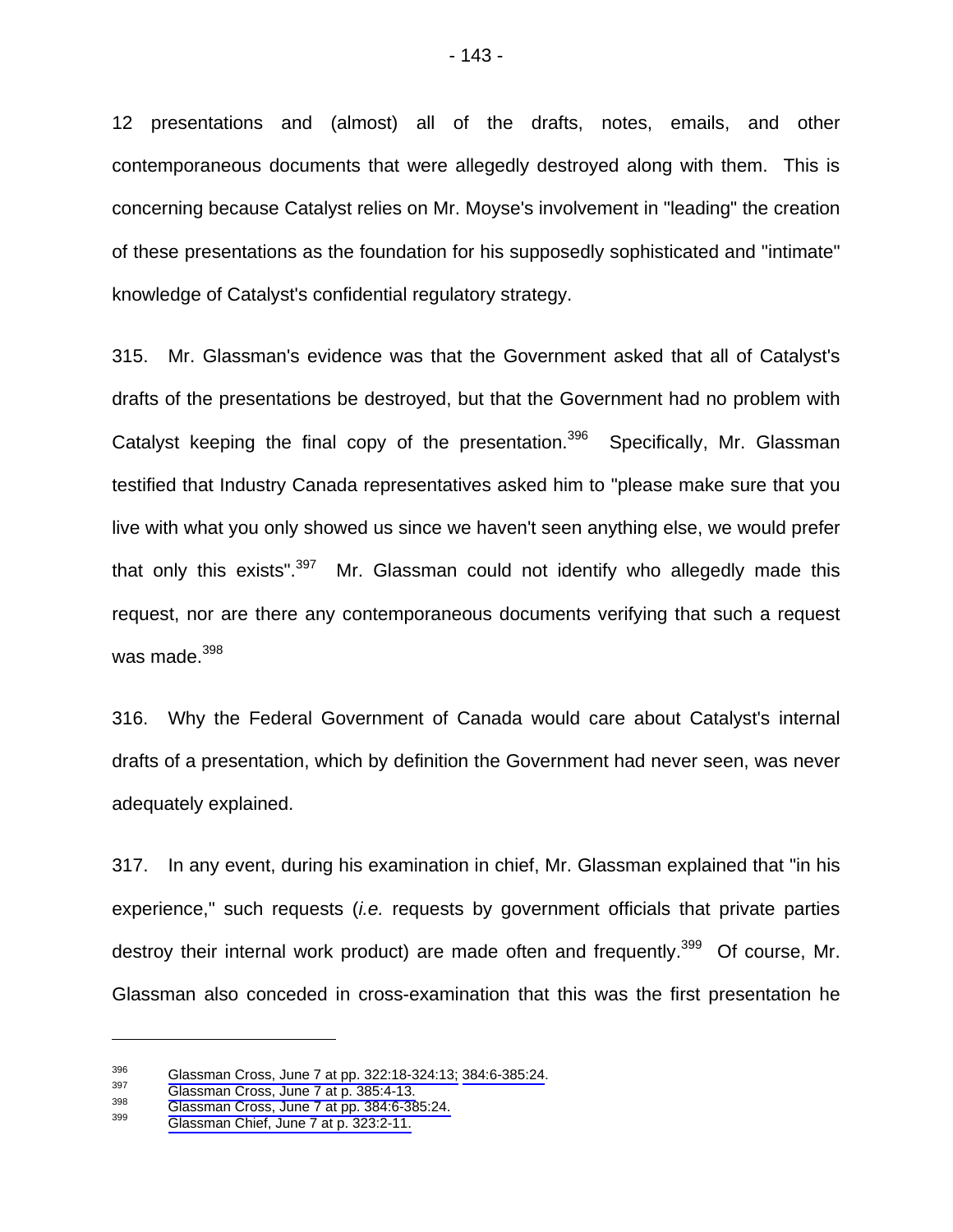12 presentations and (almost) all of the drafts, notes, emails, and other contemporaneous documents that were allegedly destroyed along with them. This is concerning because Catalyst relies on Mr. Moyse's involvement in "leading" the creation of these presentations as the foundation for his supposedly sophisticated and "intimate" knowledge of Catalyst's confidential regulatory strategy.

315. Mr. Glassman's evidence was that the Government asked that all of Catalyst's drafts of the presentations be destroyed, but that the Government had no problem with Catalyst keeping the final copy of the presentation.<sup>396</sup> Specifically, Mr. Glassman testified that Industry Canada representatives asked him to "please make sure that you live with what you only showed us since we haven't seen anything else, we would prefer that only this exists". $397$  Mr. Glassman could not identify who allegedly made this request, nor are there any contemporaneous documents verifying that such a request was made. $398$ 

316. Why the Federal Government of Canada would care about Catalyst's internal drafts of a presentation, which by definition the Government had never seen, was never adequately explained.

317. In any event, during his examination in chief, Mr. Glassman explained that "in his experience," such requests (*i.e.* requests by government officials that private parties destroy their internal work product) are made often and frequently.<sup>399</sup> Of course, Mr. Glassman also conceded in cross-examination that this was the first presentation he

<sup>396</sup> [Glassman Cross, June 7 at pp. 322:18-324:13;](#page-1-0) [384:6-385:24](#page-4-0).<br>
397 Glassman Cross, June 7 at p. 385:4-13.<br>
398 Glassman Cross, June 7 at pp. 384:6-385:24.<br>
399 Glassman Chief, June 7 at p. 323:2-11.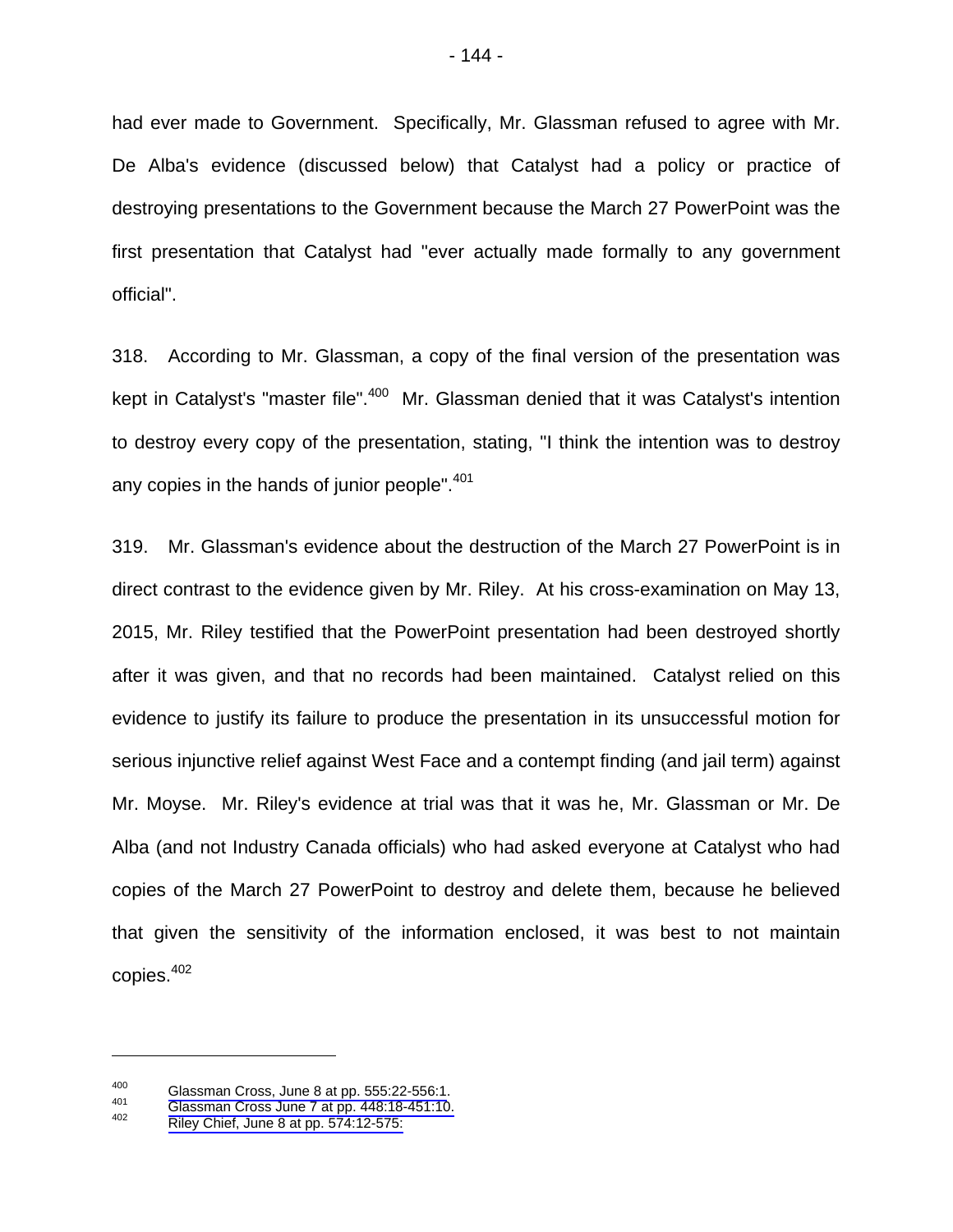had ever made to Government. Specifically, Mr. Glassman refused to agree with Mr. De Alba's evidence (discussed below) that Catalyst had a policy or practice of destroying presentations to the Government because the March 27 PowerPoint was the first presentation that Catalyst had "ever actually made formally to any government official".

318. According to Mr. Glassman, a copy of the final version of the presentation was kept in Catalyst's "master file".<sup>400</sup> Mr. Glassman denied that it was Catalyst's intention to destroy every copy of the presentation, stating, "I think the intention was to destroy any copies in the hands of junior people".<sup>401</sup>

319. Mr. Glassman's evidence about the destruction of the March 27 PowerPoint is in direct contrast to the evidence given by Mr. Riley. At his cross-examination on May 13, 2015, Mr. Riley testified that the PowerPoint presentation had been destroyed shortly after it was given, and that no records had been maintained. Catalyst relied on this evidence to justify its failure to produce the presentation in its unsuccessful motion for serious injunctive relief against West Face and a contempt finding (and jail term) against Mr. Moyse. Mr. Riley's evidence at trial was that it was he, Mr. Glassman or Mr. De Alba (and not Industry Canada officials) who had asked everyone at Catalyst who had copies of the March 27 PowerPoint to destroy and delete them, because he believed that given the sensitivity of the information enclosed, it was best to not maintain copies.402

<sup>400</sup> Glassman Cross, June 8 at pp. 555:22-556:1.<br>
401 [Glassman Cross June 7 at pp. 448:18-451:10.](#page-1-0)<br>
402 Riley Chief, June 8 at pp. 574:12-575: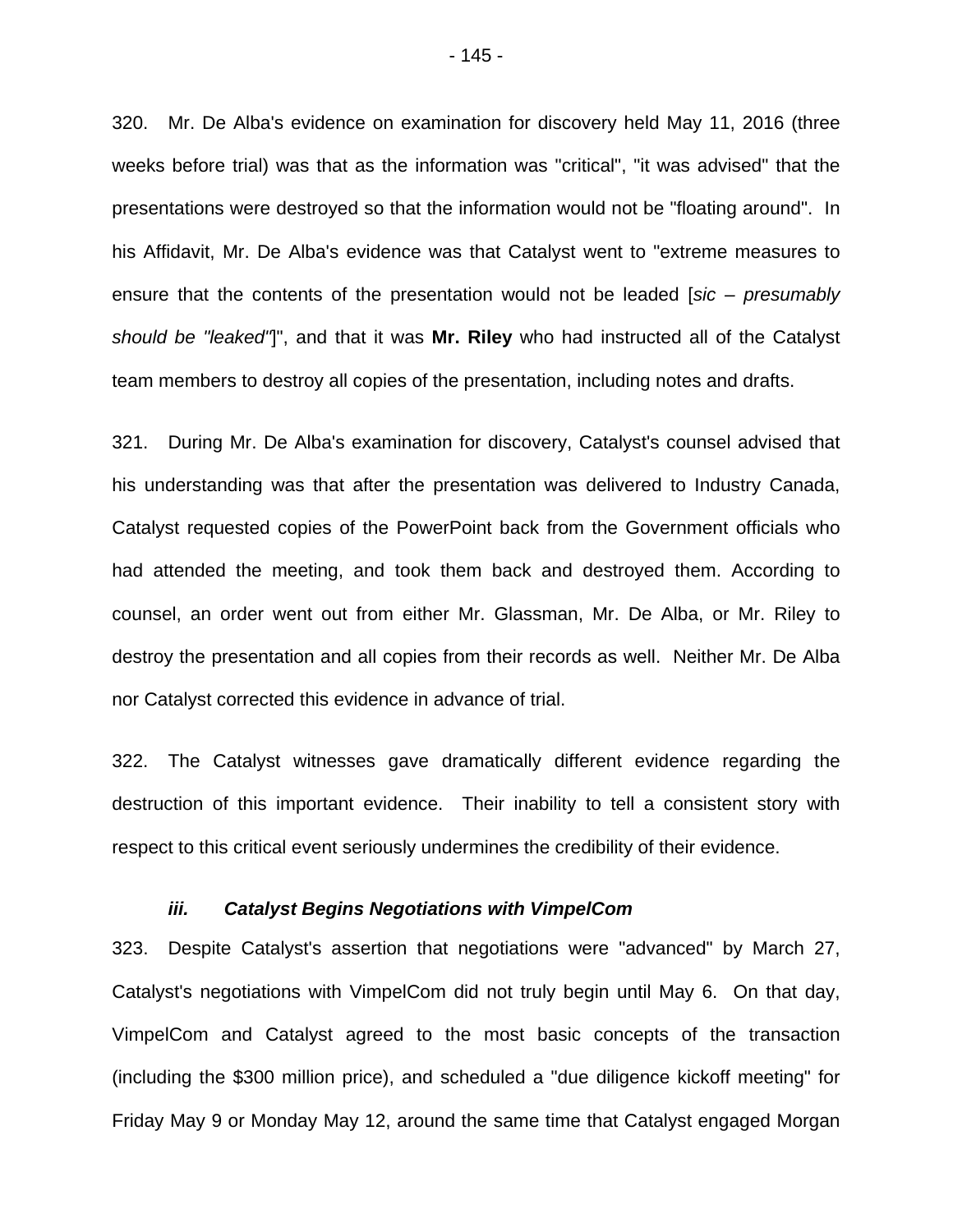320. Mr. De Alba's evidence on examination for discovery held May 11, 2016 (three weeks before trial) was that as the information was "critical", "it was advised" that the presentations were destroyed so that the information would not be "floating around". In his Affidavit, Mr. De Alba's evidence was that Catalyst went to "extreme measures to ensure that the contents of the presentation would not be leaded [*sic – presumably should be "leaked"*]", and that it was **Mr. Riley** who had instructed all of the Catalyst team members to destroy all copies of the presentation, including notes and drafts.

321. During Mr. De Alba's examination for discovery, Catalyst's counsel advised that his understanding was that after the presentation was delivered to Industry Canada, Catalyst requested copies of the PowerPoint back from the Government officials who had attended the meeting, and took them back and destroyed them. According to counsel, an order went out from either Mr. Glassman, Mr. De Alba, or Mr. Riley to destroy the presentation and all copies from their records as well. Neither Mr. De Alba nor Catalyst corrected this evidence in advance of trial.

322. The Catalyst witnesses gave dramatically different evidence regarding the destruction of this important evidence. Their inability to tell a consistent story with respect to this critical event seriously undermines the credibility of their evidence.

#### *iii. Catalyst Begins Negotiations with VimpelCom*

323. Despite Catalyst's assertion that negotiations were "advanced" by March 27, Catalyst's negotiations with VimpelCom did not truly begin until May 6. On that day, VimpelCom and Catalyst agreed to the most basic concepts of the transaction (including the \$300 million price), and scheduled a "due diligence kickoff meeting" for Friday May 9 or Monday May 12, around the same time that Catalyst engaged Morgan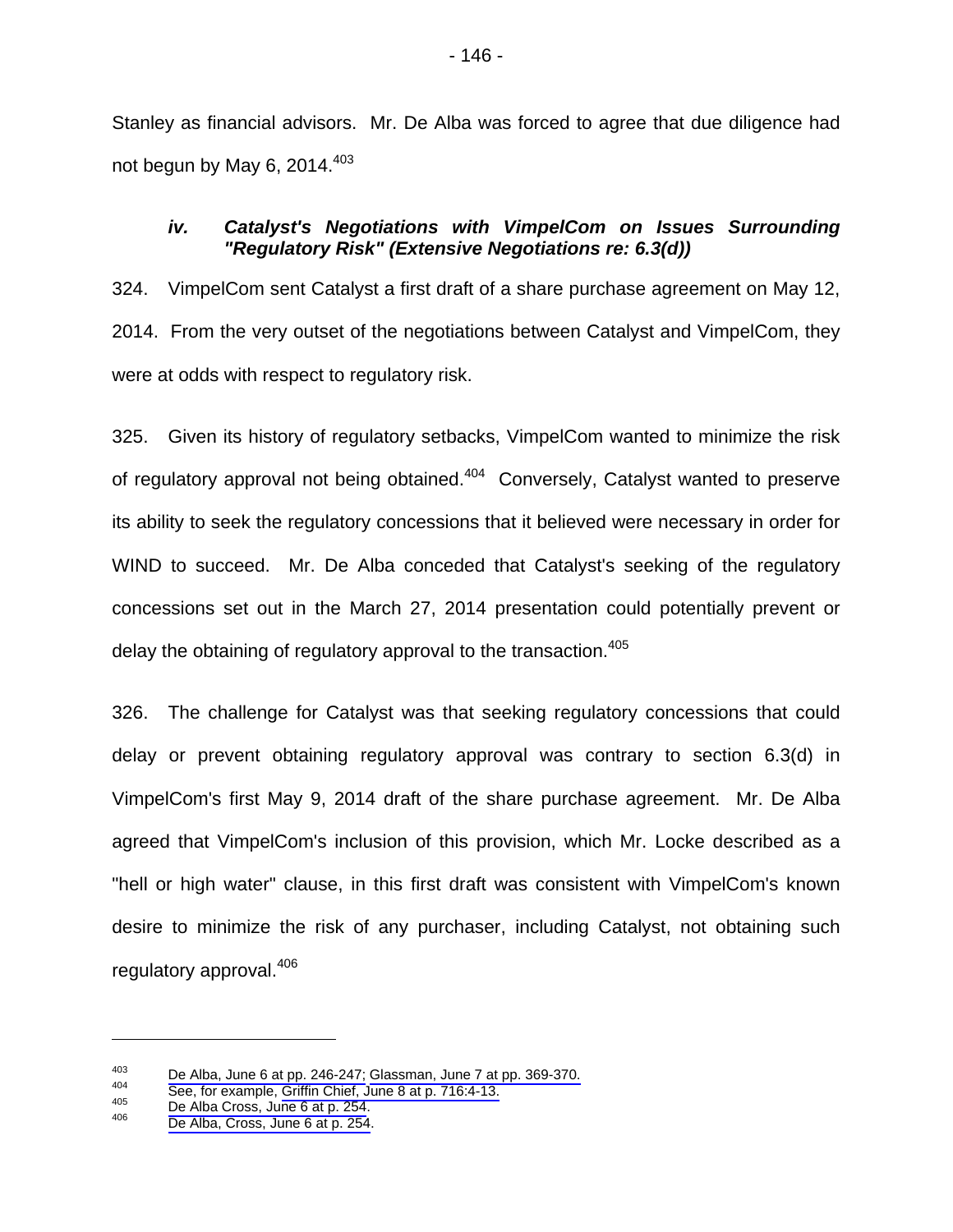Stanley as financial advisors. Mr. De Alba was forced to agree that due diligence had not begun by May 6, 2014. $403$ 

# *iv. Catalyst's Negotiations with VimpelCom on Issues Surrounding "Regulatory Risk" (Extensive Negotiations re: 6.3(d))*

324. VimpelCom sent Catalyst a first draft of a share purchase agreement on May 12, 2014. From the very outset of the negotiations between Catalyst and VimpelCom, they were at odds with respect to regulatory risk.

325. Given its history of regulatory setbacks, VimpelCom wanted to minimize the risk of regulatory approval not being obtained.<sup>404</sup> Conversely, Catalyst wanted to preserve its ability to seek the regulatory concessions that it believed were necessary in order for WIND to succeed. Mr. De Alba conceded that Catalyst's seeking of the regulatory concessions set out in the March 27, 2014 presentation could potentially prevent or delay the obtaining of regulatory approval to the transaction.<sup>405</sup>

326. The challenge for Catalyst was that seeking regulatory concessions that could delay or prevent obtaining regulatory approval was contrary to section 6.3(d) in VimpelCom's first May 9, 2014 draft of the share purchase agreement. Mr. De Alba agreed that VimpelCom's inclusion of this provision, which Mr. Locke described as a "hell or high water" clause, in this first draft was consistent with VimpelCom's known desire to minimize the risk of any purchaser, including Catalyst, not obtaining such regulatory approval.<sup>406</sup>

<sup>403</sup> [De Alba, June 6 at pp. 246-247; Glassman, June 7 at pp. 369-370.](#page-1-0)<br>
404 [See, for example, Griffin Chief, June 8 at p. 716:4-13.](#page-1-0)<br>
406 [De Alba Cross, June 6 at p. 254.](#page-1-0)<br> [De Alba, Cross, June 6 at p. 254](#page-1-0).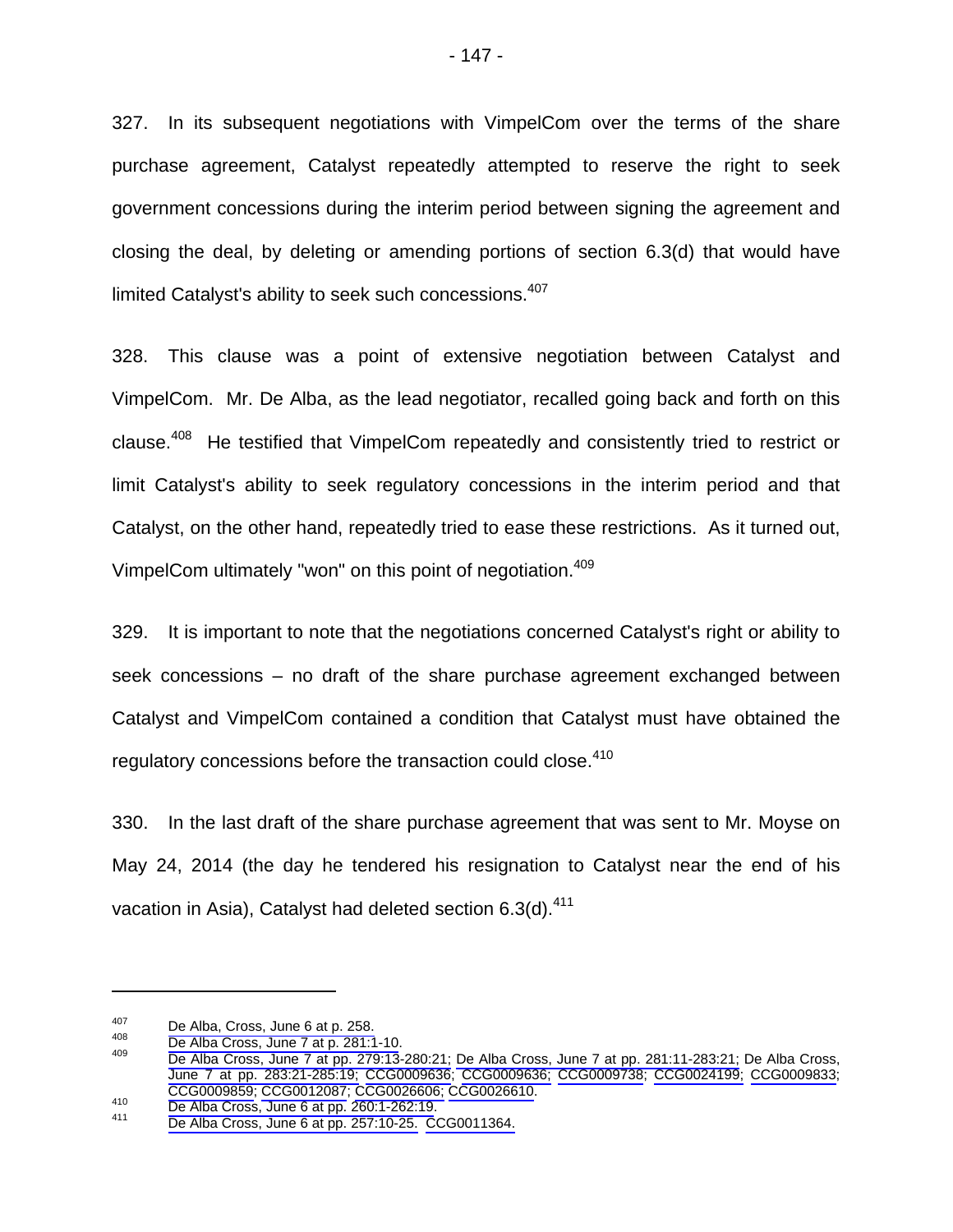327. In its subsequent negotiations with VimpelCom over the terms of the share purchase agreement, Catalyst repeatedly attempted to reserve the right to seek government concessions during the interim period between signing the agreement and closing the deal, by deleting or amending portions of section 6.3(d) that would have limited Catalyst's ability to seek such concessions.<sup>407</sup>

328. This clause was a point of extensive negotiation between Catalyst and VimpelCom. Mr. De Alba, as the lead negotiator, recalled going back and forth on this clause.408 He testified that VimpelCom repeatedly and consistently tried to restrict or limit Catalyst's ability to seek regulatory concessions in the interim period and that Catalyst, on the other hand, repeatedly tried to ease these restrictions. As it turned out, VimpelCom ultimately "won" on this point of negotiation.<sup>409</sup>

329. It is important to note that the negotiations concerned Catalyst's right or ability to seek concessions – no draft of the share purchase agreement exchanged between Catalyst and VimpelCom contained a condition that Catalyst must have obtained the regulatory concessions before the transaction could close.<sup>410</sup>

330. In the last draft of the share purchase agreement that was sent to Mr. Moyse on May 24, 2014 (the day he tendered his resignation to Catalyst near the end of his vacation in Asia), Catalyst had deleted section 6.3(d).<sup>411</sup>

1

<sup>&</sup>lt;sup>407</sup> De Alba, Cross, June 6 at p. 258.<br><sup>408</sup> De Alba Cross, June 7 at p. 281:1-10.<br><sup>409</sup> [De Alba Cross, June 7 at pp. 279:13-280:21;](#page-1-0) [De Alba Cross, June 7 at pp. 281:11-283:21;](#page-1-0) De Alba Cross, [June 7 at pp. 283:21-285:19;](#page-1-0) [CCG0009636;](#page-0-0) [CCG0009636;](#page-0-0) [CCG0009738;](#page-0-0) [CCG0024199; CCG0009833](#page-0-0); [CCG0009859](#page-0-0)[;](#page-1-0) [CCG0012087](#page-0-0); [CCG0026606; CCG0026610](#page-0-0).<br>
<sup>410</sup> [De Alba Cross, June 6 at pp. 260:1-262:19.](#page-1-0)<br>
DeAlba Cross, June 6 at pp. 257:10-25. [CCG0011364.](#page-0-0)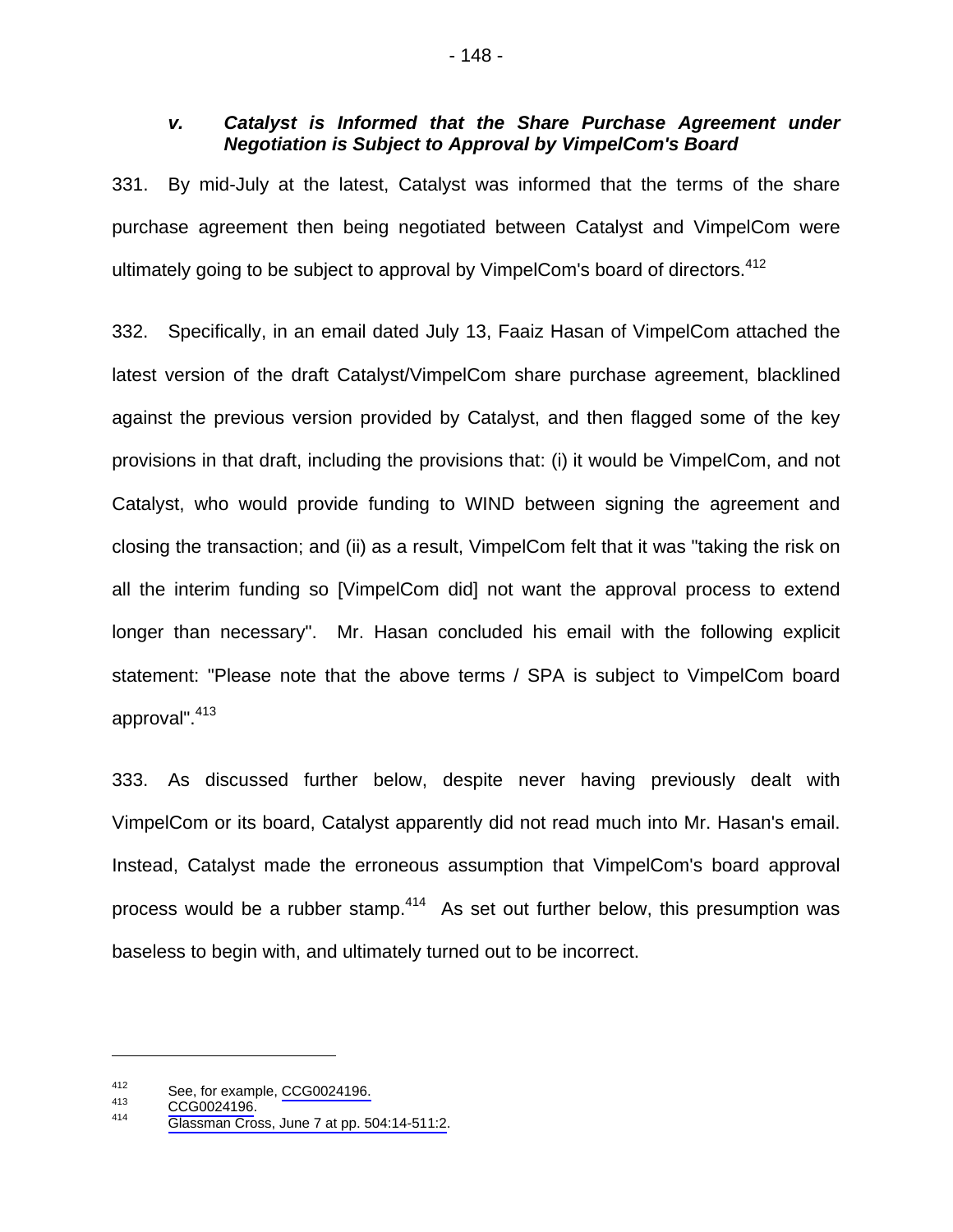#### *v. Catalyst is Informed that the Share Purchase Agreement under Negotiation is Subject to Approval by VimpelCom's Board*

331. By mid-July at the latest, Catalyst was informed that the terms of the share purchase agreement then being negotiated between Catalyst and VimpelCom were ultimately going to be subject to approval by VimpelCom's board of directors.<sup>412</sup>

332. Specifically, in an email dated July 13, Faaiz Hasan of VimpelCom attached the latest version of the draft Catalyst/VimpelCom share purchase agreement, blacklined against the previous version provided by Catalyst, and then flagged some of the key provisions in that draft, including the provisions that: (i) it would be VimpelCom, and not Catalyst, who would provide funding to WIND between signing the agreement and closing the transaction; and (ii) as a result, VimpelCom felt that it was "taking the risk on all the interim funding so [VimpelCom did] not want the approval process to extend longer than necessary". Mr. Hasan concluded his email with the following explicit statement: "Please note that the above terms / SPA is subject to VimpelCom board approval". $413$ 

333. As discussed further below, despite never having previously dealt with VimpelCom or its board, Catalyst apparently did not read much into Mr. Hasan's email. Instead, Catalyst made the erroneous assumption that VimpelCom's board approval process would be a rubber stamp.<sup>414</sup> As set out further below, this presumption was baseless to begin with, and ultimately turned out to be incorrect.

<sup>412</sup> [See, for exam](#page-0-0)ple, [CCG0024196](#page-0-0).<br>  $413$  CCG0024196.<br>
414 Glassman Cross, June 7 at pp[.](#page-1-0) 504:14-511:2.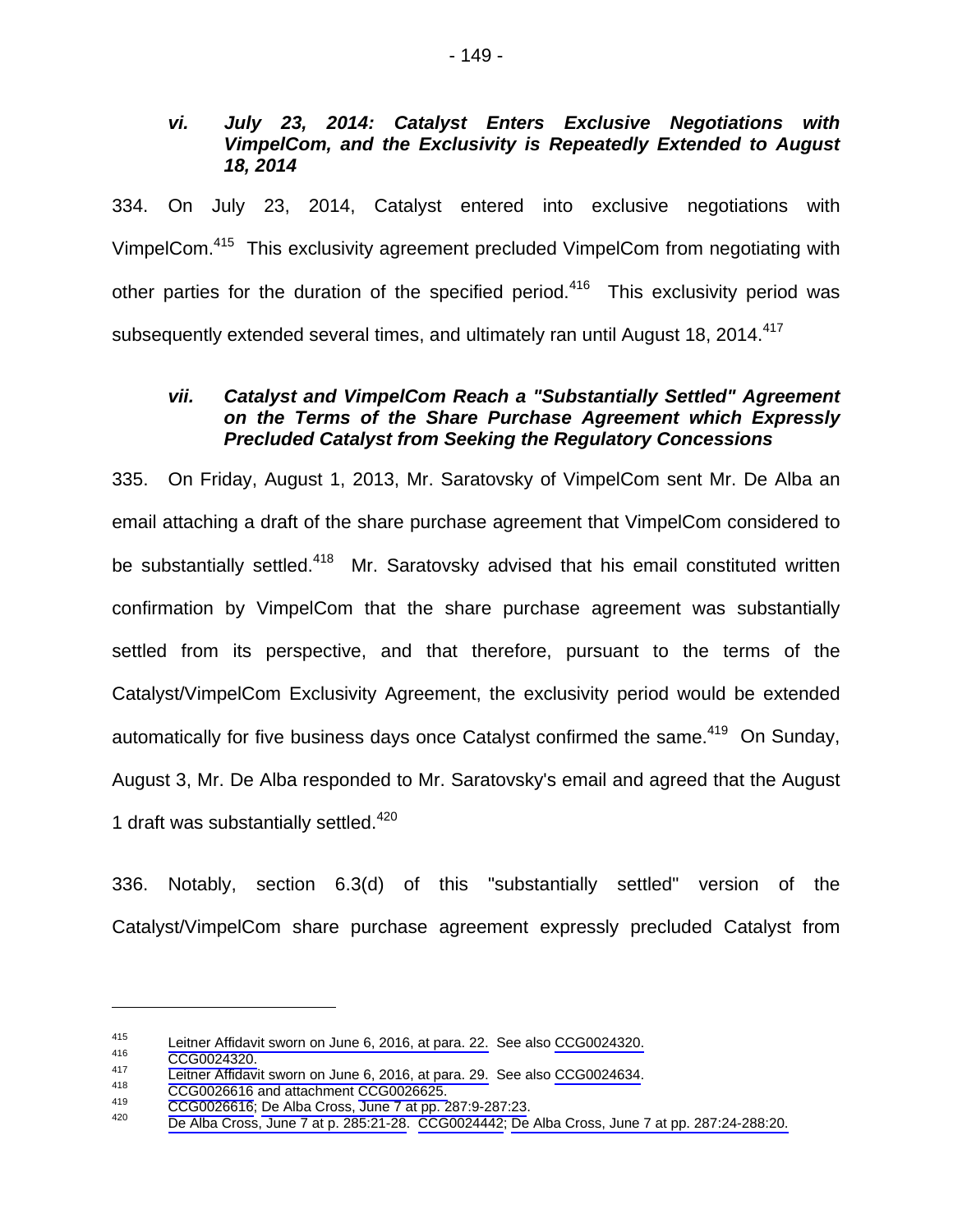## *vi. July 23, 2014: Catalyst Enters Exclusive Negotiations with VimpelCom, and the Exclusivity is Repeatedly Extended to August 18, 2014*

334. On July 23, 2014, Catalyst entered into exclusive negotiations with VimpelCom.415 This exclusivity agreement precluded VimpelCom from negotiating with other parties for the duration of the specified period. $416$  This exclusivity period was subsequently extended several times, and ultimately ran until August 18, 2014.<sup>417</sup>

# *vii. Catalyst and VimpelCom Reach a "Substantially Settled" Agreement on the Terms of the Share Purchase Agreement which Expressly Precluded Catalyst from Seeking the Regulatory Concessions*

335. On Friday, August 1, 2013, Mr. Saratovsky of VimpelCom sent Mr. De Alba an email attaching a draft of the share purchase agreement that VimpelCom considered to be substantially settled.<sup>418</sup> Mr. Saratovsky advised that his email constituted written confirmation by VimpelCom that the share purchase agreement was substantially settled from its perspective, and that therefore, pursuant to the terms of the Catalyst/VimpelCom Exclusivity Agreement, the exclusivity period would be extended automatically for five business days once Catalyst confirmed the same.<sup>419</sup> On Sunday, August 3, Mr. De Alba responded to Mr. Saratovsky's email and agreed that the August 1 draft was substantially settled.<sup>420</sup>

336. Notably, section 6.3(d) of this "substantially settled" version of the Catalyst/VimpelCom share purchase agreement expressly precluded Catalyst from

<sup>415&</sup>lt;br> [Leitner Affidavit sworn on June 6, 2016, at para. 22.](#page-1-0) See also [CCG0024320.](#page-0-0)<br>
417<br>
LeitnerAffidavit sworn on June 6, 2016, at para. 29. See also [CCG0024634.](#page-0-0)<br>
418<br> [CCG0026616](#page-0-0) [and attachment](#page-1-0) CCG0026625.<br> [CCG0026616](#page-0-0); De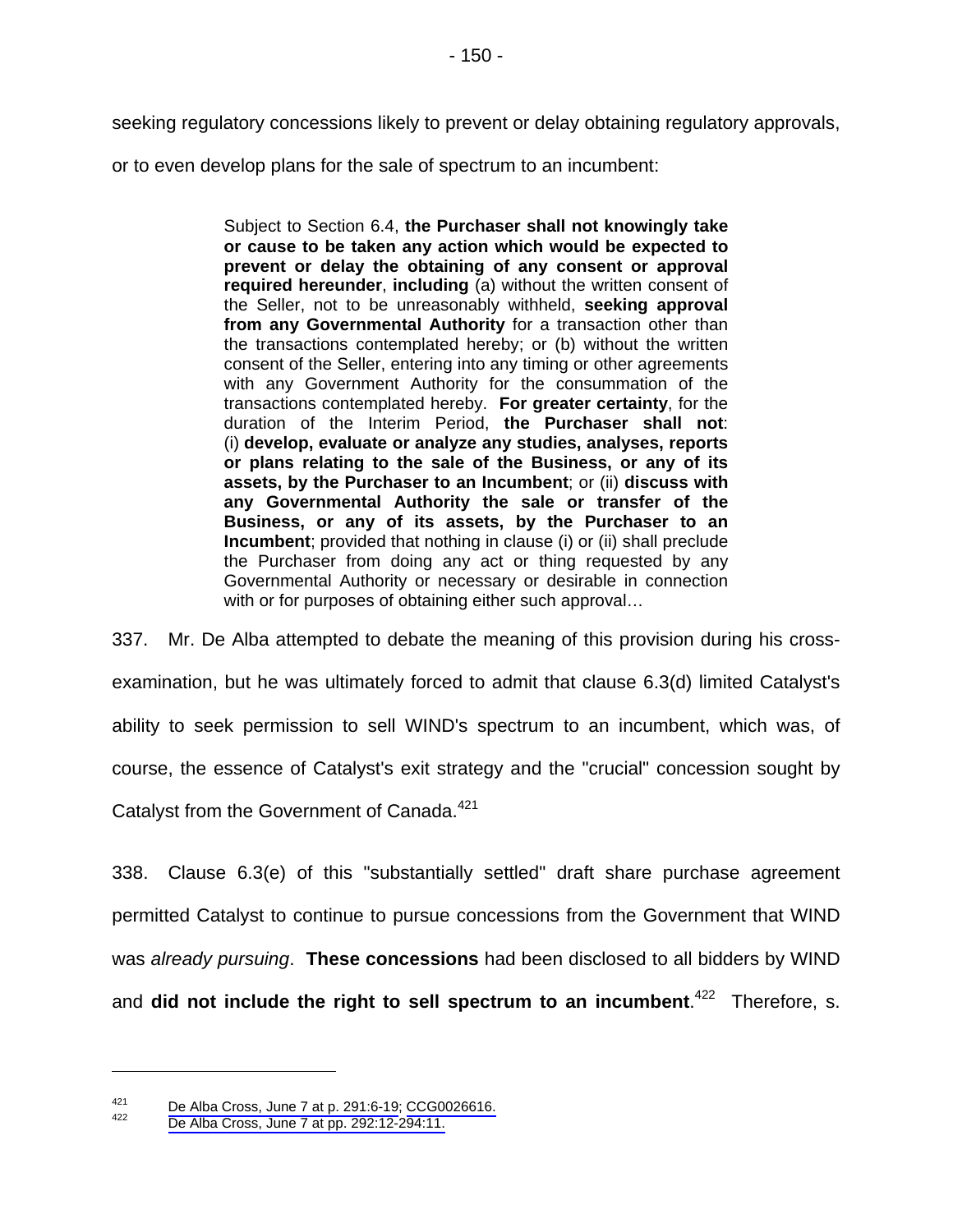seeking regulatory concessions likely to prevent or delay obtaining regulatory approvals,

or to even develop plans for the sale of spectrum to an incumbent:

Subject to Section 6.4, **the Purchaser shall not knowingly take or cause to be taken any action which would be expected to prevent or delay the obtaining of any consent or approval required hereunder**, **including** (a) without the written consent of the Seller, not to be unreasonably withheld, **seeking approval from any Governmental Authority** for a transaction other than the transactions contemplated hereby; or (b) without the written consent of the Seller, entering into any timing or other agreements with any Government Authority for the consummation of the transactions contemplated hereby. **For greater certainty**, for the duration of the Interim Period, **the Purchaser shall not**: (i) **develop, evaluate or analyze any studies, analyses, reports or plans relating to the sale of the Business, or any of its assets, by the Purchaser to an Incumbent**; or (ii) **discuss with any Governmental Authority the sale or transfer of the Business, or any of its assets, by the Purchaser to an Incumbent**; provided that nothing in clause (i) or (ii) shall preclude the Purchaser from doing any act or thing requested by any Governmental Authority or necessary or desirable in connection with or for purposes of obtaining either such approval…

337. Mr. De Alba attempted to debate the meaning of this provision during his crossexamination, but he was ultimately forced to admit that clause 6.3(d) limited Catalyst's ability to seek permission to sell WIND's spectrum to an incumbent, which was, of course, the essence of Catalyst's exit strategy and the "crucial" concession sought by Catalyst from the Government of Canada.<sup>421</sup>

338. Clause 6.3(e) of this "substantially settled" draft share purchase agreement permitted Catalyst to continue to pursue concessions from the Government that WIND was *already pursuing*. **These concessions** had been disclosed to all bidders by WIND and **did not include the right to sell spectrum to an incumbent.** <sup>422</sup> Therefore, s.

<sup>421</sup> [De Alba Cross, June 7 at p. 291:6-19;](#page-1-0) CCG0026616.<br>422 [De Alba Cross, June 7 at pp. 292:12-294:11.](#page-1-0)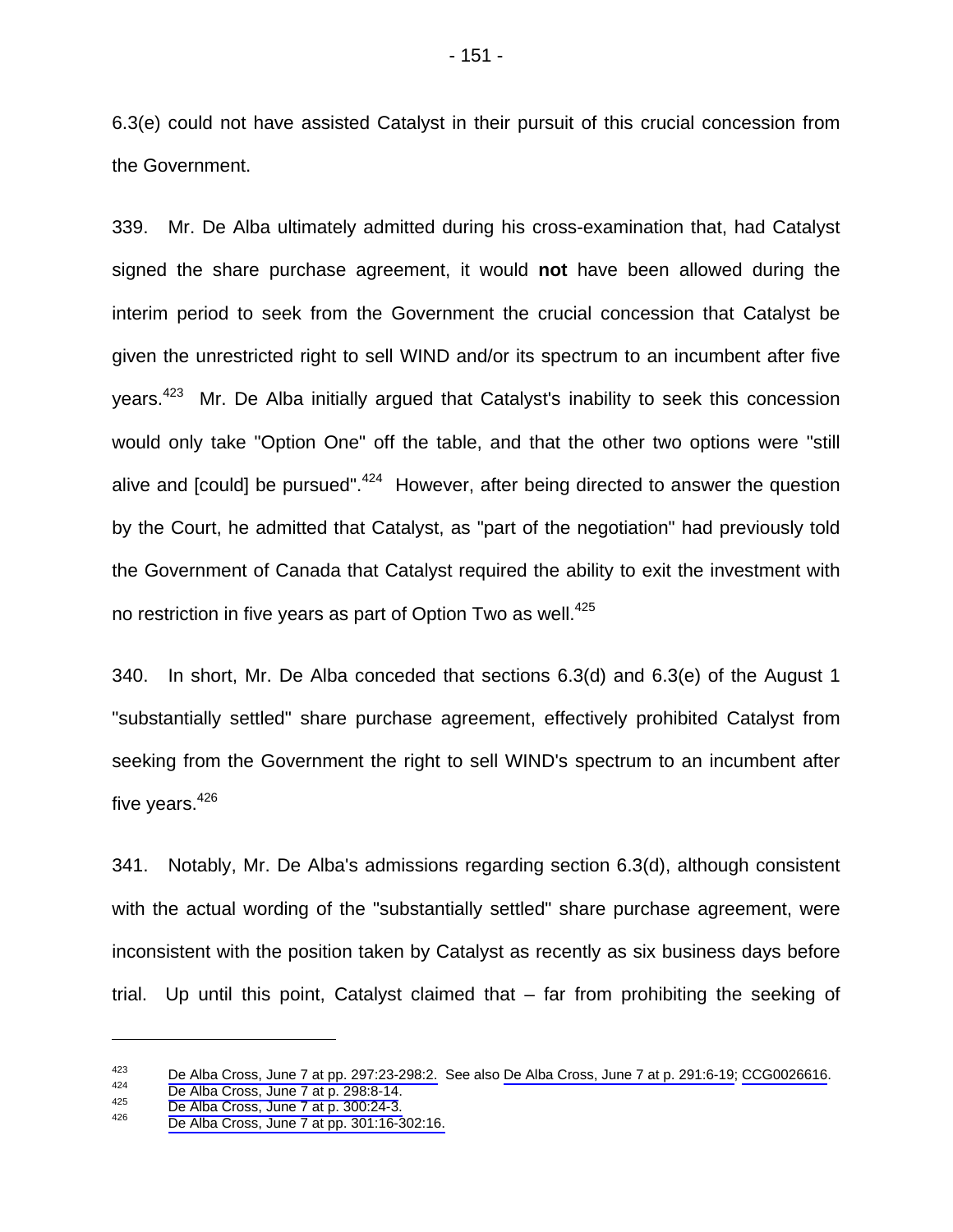6.3(e) could not have assisted Catalyst in their pursuit of this crucial concession from the Government.

339. Mr. De Alba ultimately admitted during his cross-examination that, had Catalyst signed the share purchase agreement, it would **not** have been allowed during the interim period to seek from the Government the crucial concession that Catalyst be given the unrestricted right to sell WIND and/or its spectrum to an incumbent after five years.<sup>423</sup> Mr. De Alba initially argued that Catalyst's inability to seek this concession would only take "Option One" off the table, and that the other two options were "still alive and [could] be pursued". $424$  However, after being directed to answer the question by the Court, he admitted that Catalyst, as "part of the negotiation" had previously told the Government of Canada that Catalyst required the ability to exit the investment with no restriction in five years as part of Option Two as well.<sup>425</sup>

340. In short, Mr. De Alba conceded that sections 6.3(d) and 6.3(e) of the August 1 "substantially settled" share purchase agreement, effectively prohibited Catalyst from seeking from the Government the right to sell WIND's spectrum to an incumbent after five years.<sup>426</sup>

341. Notably, Mr. De Alba's admissions regarding section 6.3(d), although consistent with the actual wording of the "substantially settled" share purchase agreement, were inconsistent with the position taken by Catalyst as recently as six business days before trial. Up until this point, Catalyst claimed that – far from prohibiting the seeking of

<sup>&</sup>lt;sup>423</sup> [De Alba Cross, June 7 at pp. 297:23-298:2.](#page-1-0) See also [De Alba Cross, June 7 at p. 291:6-19;](#page-1-0) [CCG0026616.](#page-0-0)<br>
<sup>424</sup> De Alba Cross, June 7 at p. 298:8-14.<br>
<sup>425</sup> De Alba Cross, June 7 at p. 300:24-3.<br>
De Alba Cross, June 7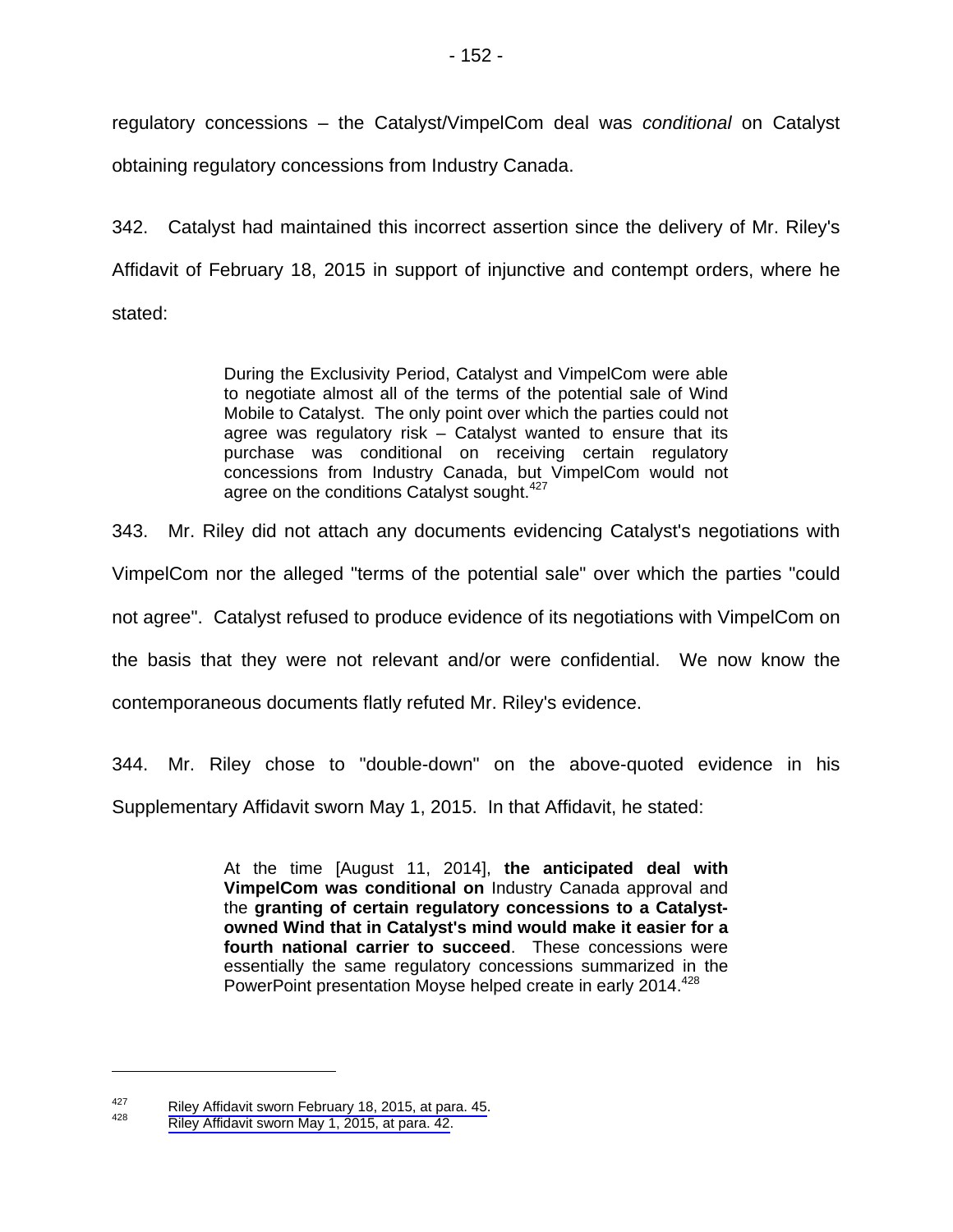regulatory concessions – the Catalyst/VimpelCom deal was *conditional* on Catalyst obtaining regulatory concessions from Industry Canada.

342. Catalyst had maintained this incorrect assertion since the delivery of Mr. Riley's Affidavit of February 18, 2015 in support of injunctive and contempt orders, where he stated:

> During the Exclusivity Period, Catalyst and VimpelCom were able to negotiate almost all of the terms of the potential sale of Wind Mobile to Catalyst. The only point over which the parties could not agree was regulatory risk – Catalyst wanted to ensure that its purchase was conditional on receiving certain regulatory concessions from Industry Canada, but VimpelCom would not agree on the conditions Catalyst sought.<sup>427</sup>

343. Mr. Riley did not attach any documents evidencing Catalyst's negotiations with

VimpelCom nor the alleged "terms of the potential sale" over which the parties "could

not agree". Catalyst refused to produce evidence of its negotiations with VimpelCom on

the basis that they were not relevant and/or were confidential. We now know the

contemporaneous documents flatly refuted Mr. Riley's evidence.

344. Mr. Riley chose to "double-down" on the above-quoted evidence in his Supplementary Affidavit sworn May 1, 2015. In that Affidavit, he stated:

> At the time [August 11, 2014], **the anticipated deal with VimpelCom was conditional on** Industry Canada approval and the **granting of certain regulatory concessions to a Catalystowned Wind that in Catalyst's mind would make it easier for a fourth national carrier to succeed**. These concessions were essentially the same regulatory concessions summarized in the PowerPoint presentation Moyse helped create in early 2014.<sup>428</sup>

<sup>&</sup>lt;sup>427</sup> [Riley Affidavit sworn February 18, 2015, at para. 45](#page-1-0).<br><sup>428</sup> Riley Affidavit sworn May 1, 2015, at para. 42.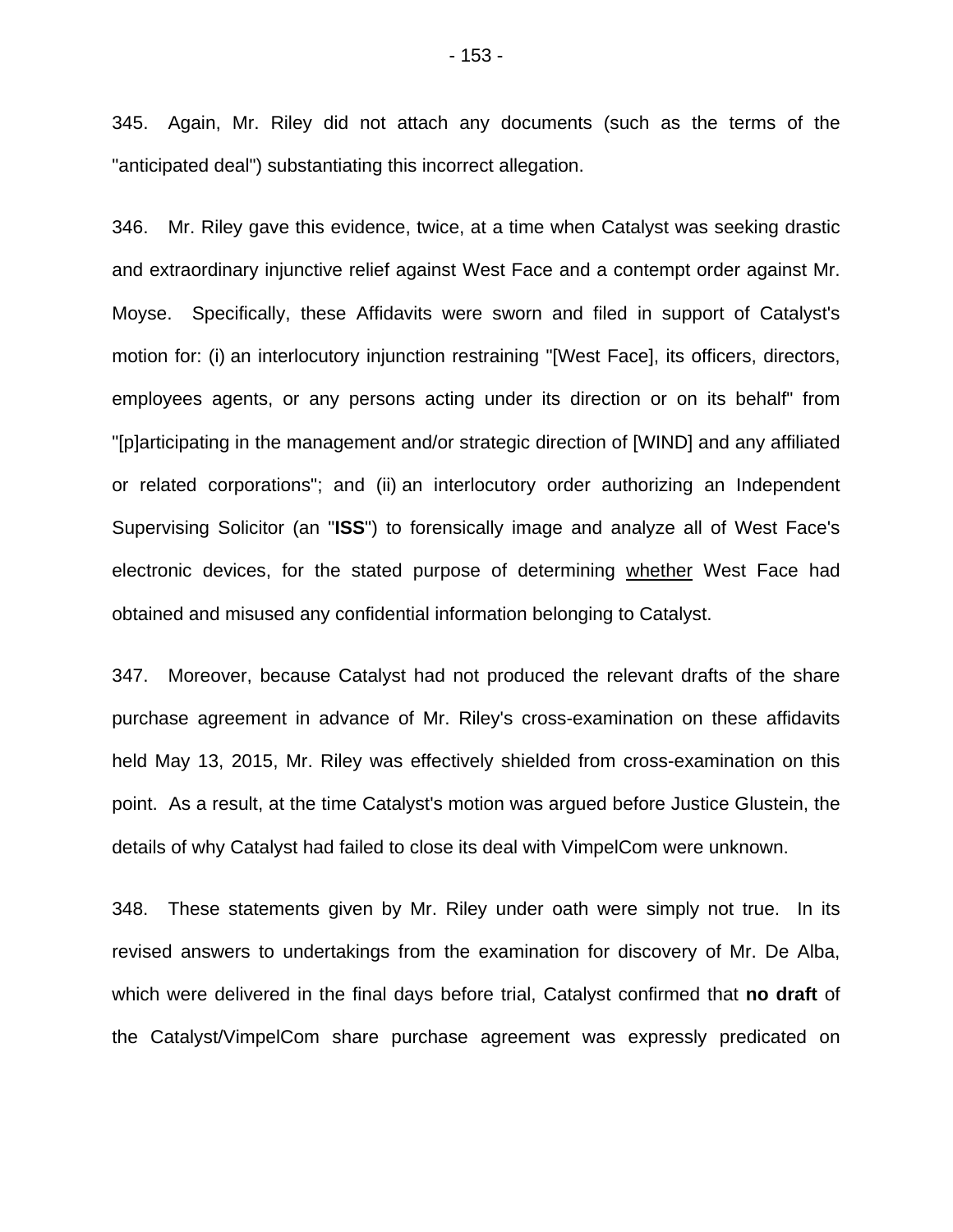345. Again, Mr. Riley did not attach any documents (such as the terms of the "anticipated deal") substantiating this incorrect allegation.

346. Mr. Riley gave this evidence, twice, at a time when Catalyst was seeking drastic and extraordinary injunctive relief against West Face and a contempt order against Mr. Moyse. Specifically, these Affidavits were sworn and filed in support of Catalyst's motion for: (i) an interlocutory injunction restraining "[West Face], its officers, directors, employees agents, or any persons acting under its direction or on its behalf" from "[p]articipating in the management and/or strategic direction of [WIND] and any affiliated or related corporations"; and (ii) an interlocutory order authorizing an Independent Supervising Solicitor (an "**ISS**") to forensically image and analyze all of West Face's electronic devices, for the stated purpose of determining whether West Face had obtained and misused any confidential information belonging to Catalyst.

347. Moreover, because Catalyst had not produced the relevant drafts of the share purchase agreement in advance of Mr. Riley's cross-examination on these affidavits held May 13, 2015, Mr. Riley was effectively shielded from cross-examination on this point. As a result, at the time Catalyst's motion was argued before Justice Glustein, the details of why Catalyst had failed to close its deal with VimpelCom were unknown.

348. These statements given by Mr. Riley under oath were simply not true. In its revised answers to undertakings from the examination for discovery of Mr. De Alba, which were delivered in the final days before trial, Catalyst confirmed that **no draft** of the Catalyst/VimpelCom share purchase agreement was expressly predicated on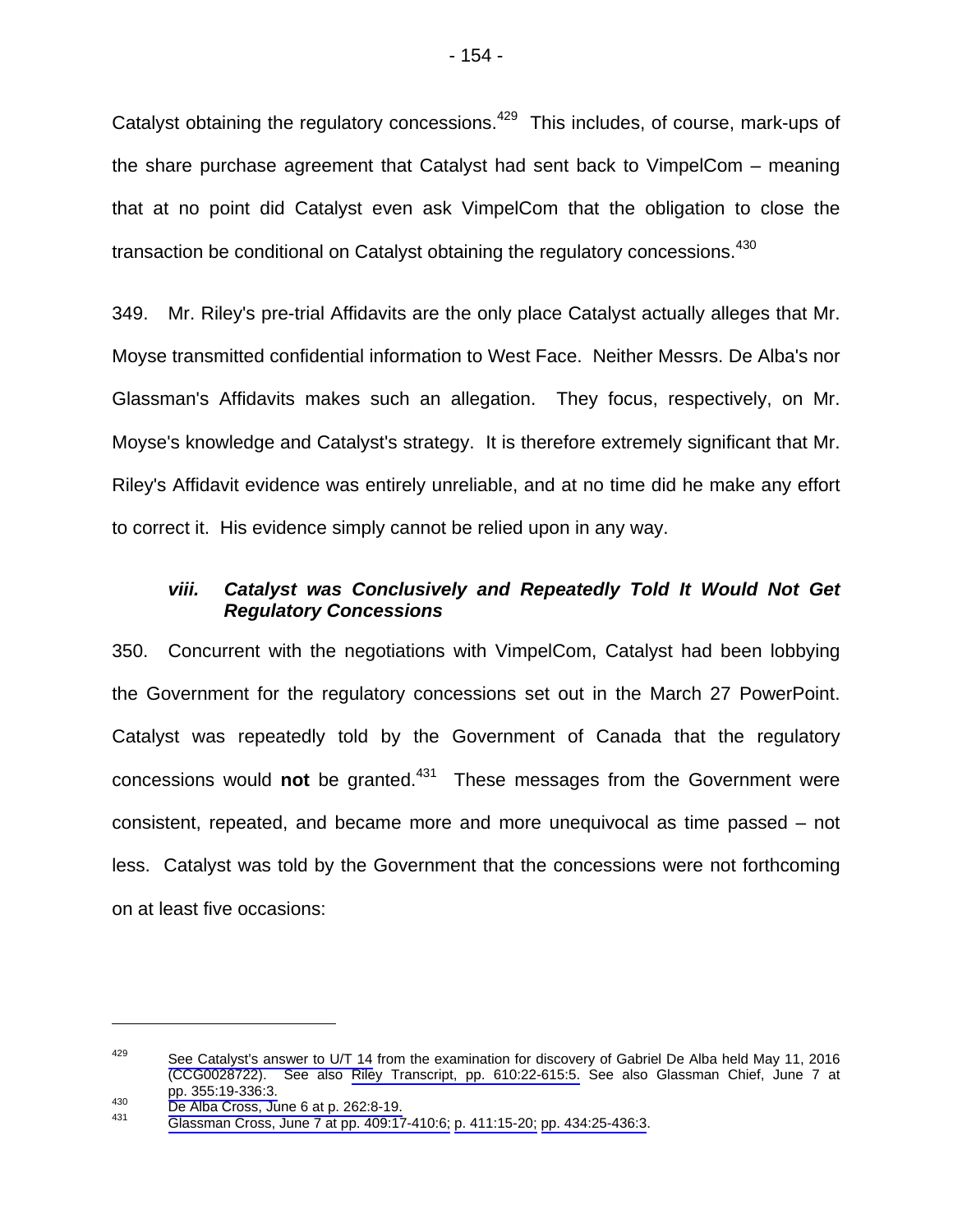Catalyst obtaining the regulatory concessions.<sup>429</sup> This includes, of course, mark-ups of the share purchase agreement that Catalyst had sent back to VimpelCom – meaning that at no point did Catalyst even ask VimpelCom that the obligation to close the transaction be conditional on Catalyst obtaining the regulatory concessions.<sup>430</sup>

349. Mr. Riley's pre-trial Affidavits are the only place Catalyst actually alleges that Mr. Moyse transmitted confidential information to West Face. Neither Messrs. De Alba's nor Glassman's Affidavits makes such an allegation. They focus, respectively, on Mr. Moyse's knowledge and Catalyst's strategy. It is therefore extremely significant that Mr. Riley's Affidavit evidence was entirely unreliable, and at no time did he make any effort to correct it. His evidence simply cannot be relied upon in any way.

# *viii. Catalyst was Conclusively and Repeatedly Told It Would Not Get Regulatory Concessions*

350. Concurrent with the negotiations with VimpelCom, Catalyst had been lobbying the Government for the regulatory concessions set out in the March 27 PowerPoint. Catalyst was repeatedly told by the Government of Canada that the regulatory concessions would **not** be granted.431 These messages from the Government were consistent, repeated, and became more and more unequivocal as time passed – not less. Catalyst was told by the Government that the concessions were not forthcoming on at least five occasions:

<sup>&</sup>lt;sup>429</sup> [See Catalyst's answer to U/T 14](#page-3-0) from the examination for discovery of Gabriel De Alba held May 11, 2016 (CCG0028722). See also [Riley Transcript, pp. 610:22-615:5.](#page-1-0) See also Glassman Chief, June 7 at pp. 355:19-336:3.<br><sup>430</sup> De Alba Cross, June 6 at p. 262:8-19.<br><sup>431</sup> [Glassman Cross, June 7 at pp. 409:17-410:6;](#page-1-0) [p. 411:15-20;](#page-3-0) [pp. 434:25-436:3.](#page-4-0)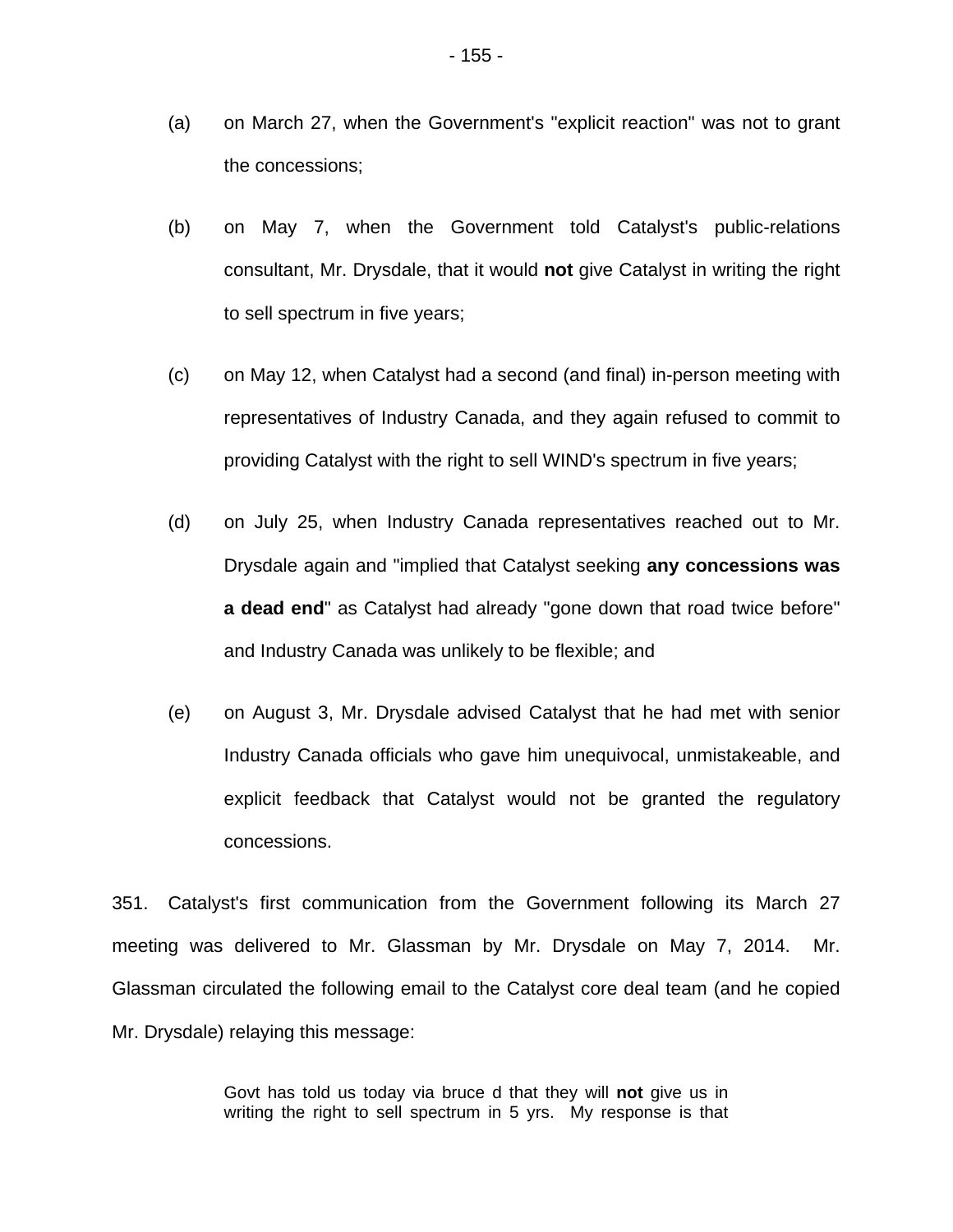- (a) on March 27, when the Government's "explicit reaction" was not to grant the concessions;
- (b) on May 7, when the Government told Catalyst's public-relations consultant, Mr. Drysdale, that it would **not** give Catalyst in writing the right to sell spectrum in five years;
- (c) on May 12, when Catalyst had a second (and final) in-person meeting with representatives of Industry Canada, and they again refused to commit to providing Catalyst with the right to sell WIND's spectrum in five years;
- (d) on July 25, when Industry Canada representatives reached out to Mr. Drysdale again and "implied that Catalyst seeking **any concessions was a dead end**" as Catalyst had already "gone down that road twice before" and Industry Canada was unlikely to be flexible; and
- (e) on August 3, Mr. Drysdale advised Catalyst that he had met with senior Industry Canada officials who gave him unequivocal, unmistakeable, and explicit feedback that Catalyst would not be granted the regulatory concessions.

351. Catalyst's first communication from the Government following its March 27 meeting was delivered to Mr. Glassman by Mr. Drysdale on May 7, 2014. Mr. Glassman circulated the following email to the Catalyst core deal team (and he copied Mr. Drysdale) relaying this message:

> Govt has told us today via bruce d that they will **not** give us in writing the right to sell spectrum in 5 yrs. My response is that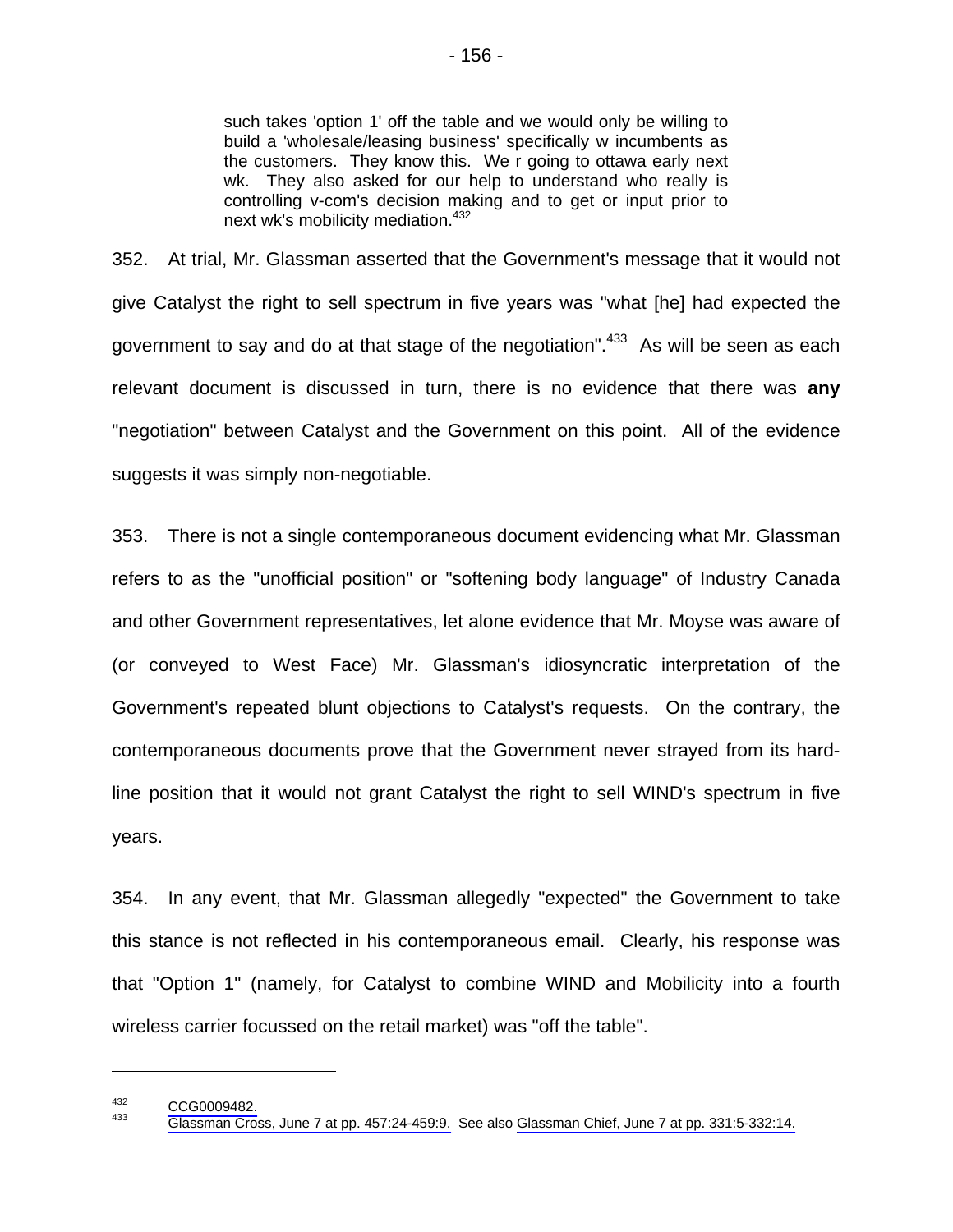such takes 'option 1' off the table and we would only be willing to build a 'wholesale/leasing business' specifically w incumbents as the customers. They know this. We r going to ottawa early next wk. They also asked for our help to understand who really is controlling v-com's decision making and to get or input prior to next wk's mobilicity mediation.<sup>432</sup>

352. At trial, Mr. Glassman asserted that the Government's message that it would not give Catalyst the right to sell spectrum in five years was "what [he] had expected the government to say and do at that stage of the negotiation".<sup>433</sup> As will be seen as each relevant document is discussed in turn, there is no evidence that there was **any** "negotiation" between Catalyst and the Government on this point. All of the evidence suggests it was simply non-negotiable.

353. There is not a single contemporaneous document evidencing what Mr. Glassman refers to as the "unofficial position" or "softening body language" of Industry Canada and other Government representatives, let alone evidence that Mr. Moyse was aware of (or conveyed to West Face) Mr. Glassman's idiosyncratic interpretation of the Government's repeated blunt objections to Catalyst's requests. On the contrary, the contemporaneous documents prove that the Government never strayed from its hardline position that it would not grant Catalyst the right to sell WIND's spectrum in five years.

354. In any event, that Mr. Glassman allegedly "expected" the Government to take this stance is not reflected in his contemporaneous email. Clearly, his response was that "Option 1" (namely, for Catalyst to combine WIND and Mobilicity into a fourth wireless carrier focussed on the retail market) was "off the table".

 $432$  [CCG0009482.](#page-0-0)<br> $433$ [Glassman Cross, June 7 at pp. 457:24-459:9.](#page-3-0) See also [Glassman Chief, June 7 at pp. 331:5-332:14.](#page-1-0)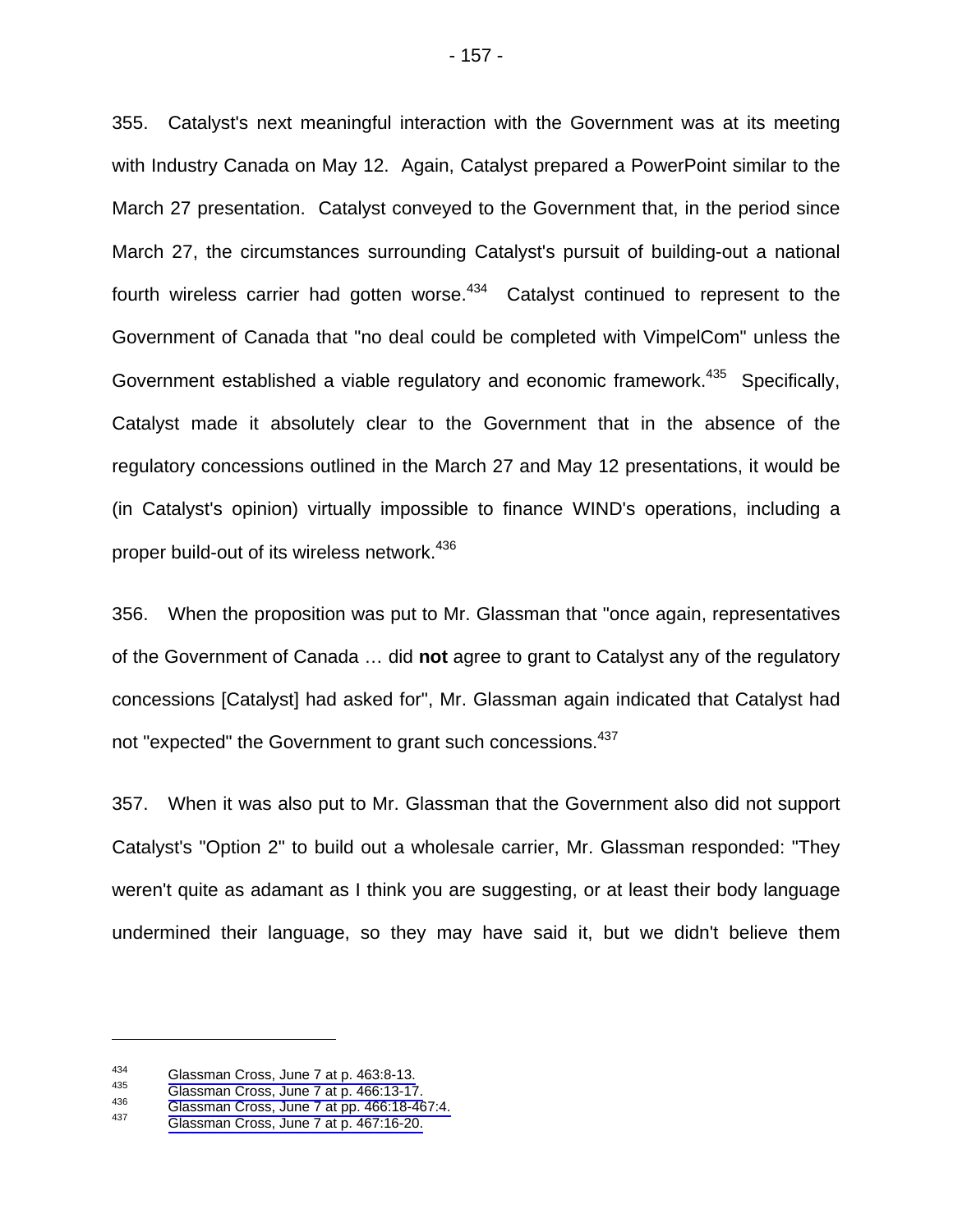355. Catalyst's next meaningful interaction with the Government was at its meeting with Industry Canada on May 12. Again, Catalyst prepared a PowerPoint similar to the March 27 presentation. Catalyst conveyed to the Government that, in the period since March 27, the circumstances surrounding Catalyst's pursuit of building-out a national fourth wireless carrier had gotten worse. $434$  Catalyst continued to represent to the Government of Canada that "no deal could be completed with VimpelCom" unless the Government established a viable regulatory and economic framework.<sup>435</sup> Specifically, Catalyst made it absolutely clear to the Government that in the absence of the regulatory concessions outlined in the March 27 and May 12 presentations, it would be (in Catalyst's opinion) virtually impossible to finance WIND's operations, including a proper build-out of its wireless network.436

356. When the proposition was put to Mr. Glassman that "once again, representatives of the Government of Canada … did **not** agree to grant to Catalyst any of the regulatory concessions [Catalyst] had asked for", Mr. Glassman again indicated that Catalyst had not "expected" the Government to grant such concessions.<sup>437</sup>

357. When it was also put to Mr. Glassman that the Government also did not support Catalyst's "Option 2" to build out a wholesale carrier, Mr. Glassman responded: "They weren't quite as adamant as I think you are suggesting, or at least their body language undermined their language, so they may have said it, but we didn't believe them

<sup>434</sup> Glassman Cross, June 7 at p. 463:8-13.<br>
435 Glassman Cross, June 7 at p. 466:13-17.<br>
436 Glassman Cross, June 7 at pp. 466:18-467:4.<br>
437 Glassman Cross, June 7 at p. 467:16-20.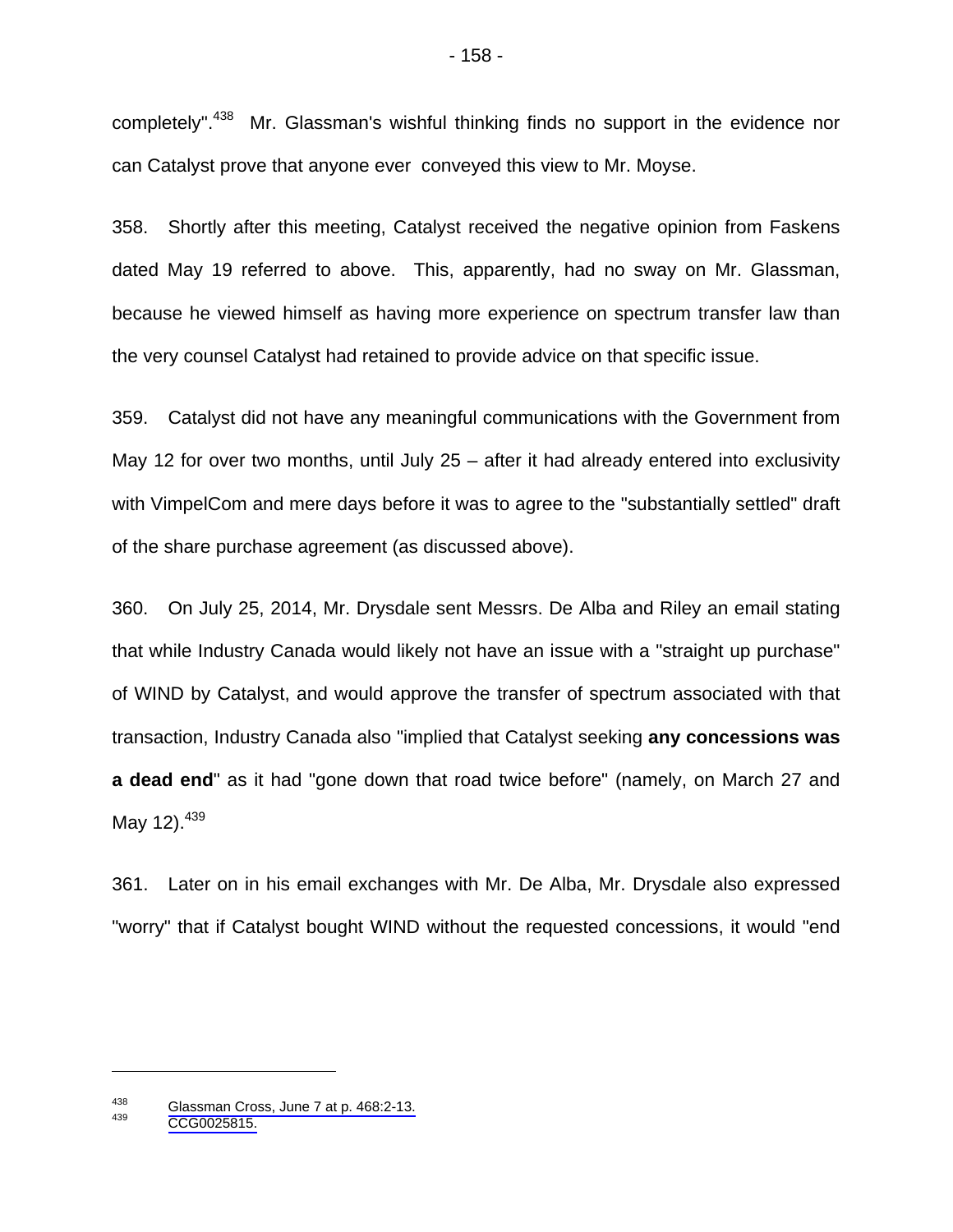completely".438 Mr. Glassman's wishful thinking finds no support in the evidence nor can Catalyst prove that anyone ever conveyed this view to Mr. Moyse.

358. Shortly after this meeting, Catalyst received the negative opinion from Faskens dated May 19 referred to above. This, apparently, had no sway on Mr. Glassman, because he viewed himself as having more experience on spectrum transfer law than the very counsel Catalyst had retained to provide advice on that specific issue.

359. Catalyst did not have any meaningful communications with the Government from May 12 for over two months, until July 25 – after it had already entered into exclusivity with VimpelCom and mere days before it was to agree to the "substantially settled" draft of the share purchase agreement (as discussed above).

360. On July 25, 2014, Mr. Drysdale sent Messrs. De Alba and Riley an email stating that while Industry Canada would likely not have an issue with a "straight up purchase" of WIND by Catalyst, and would approve the transfer of spectrum associated with that transaction, Industry Canada also "implied that Catalyst seeking **any concessions was a dead end**" as it had "gone down that road twice before" (namely, on March 27 and May 12).<sup>439</sup>

361. Later on in his email exchanges with Mr. De Alba, Mr. Drysdale also expressed "worry" that if Catalyst bought WIND without the requested concessions, it would "end

<sup>&</sup>lt;sup>438</sup> [Glassman Cross, June 7 at p. 468:2-13.](#page-1-0)<br><sup>439</sup> [CCG0025815.](#page-0-0)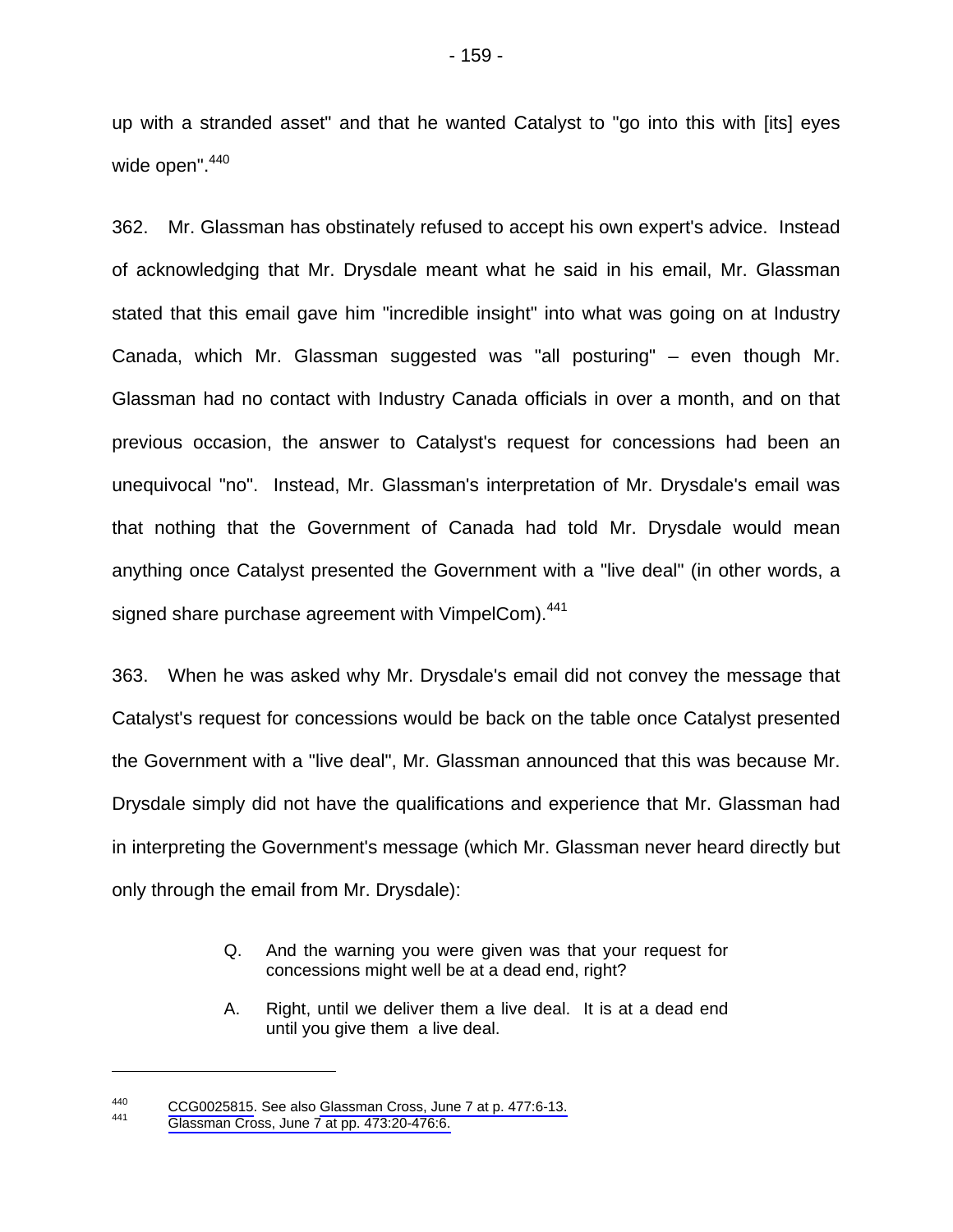up with a stranded asset" and that he wanted Catalyst to "go into this with [its] eyes wide open".<sup>440</sup>

362. Mr. Glassman has obstinately refused to accept his own expert's advice. Instead of acknowledging that Mr. Drysdale meant what he said in his email, Mr. Glassman stated that this email gave him "incredible insight" into what was going on at Industry Canada, which Mr. Glassman suggested was "all posturing" – even though Mr. Glassman had no contact with Industry Canada officials in over a month, and on that previous occasion, the answer to Catalyst's request for concessions had been an unequivocal "no". Instead, Mr. Glassman's interpretation of Mr. Drysdale's email was that nothing that the Government of Canada had told Mr. Drysdale would mean anything once Catalyst presented the Government with a "live deal" (in other words, a signed share purchase agreement with VimpelCom).<sup>441</sup>

363. When he was asked why Mr. Drysdale's email did not convey the message that Catalyst's request for concessions would be back on the table once Catalyst presented the Government with a "live deal", Mr. Glassman announced that this was because Mr. Drysdale simply did not have the qualifications and experience that Mr. Glassman had in interpreting the Government's message (which Mr. Glassman never heard directly but only through the email from Mr. Drysdale):

- Q. And the warning you were given was that your request for concessions might well be at a dead end, right?
- A. Right, until we deliver them a live deal. It is at a dead end until you give them a live deal.

<sup>440</sup> [CCG0025815](#page-0-0). See also Glassman Cross, June 7 at p. 477:6-13.<br>441 Glassman Cross, June 7 at pp. 473:20-476:6.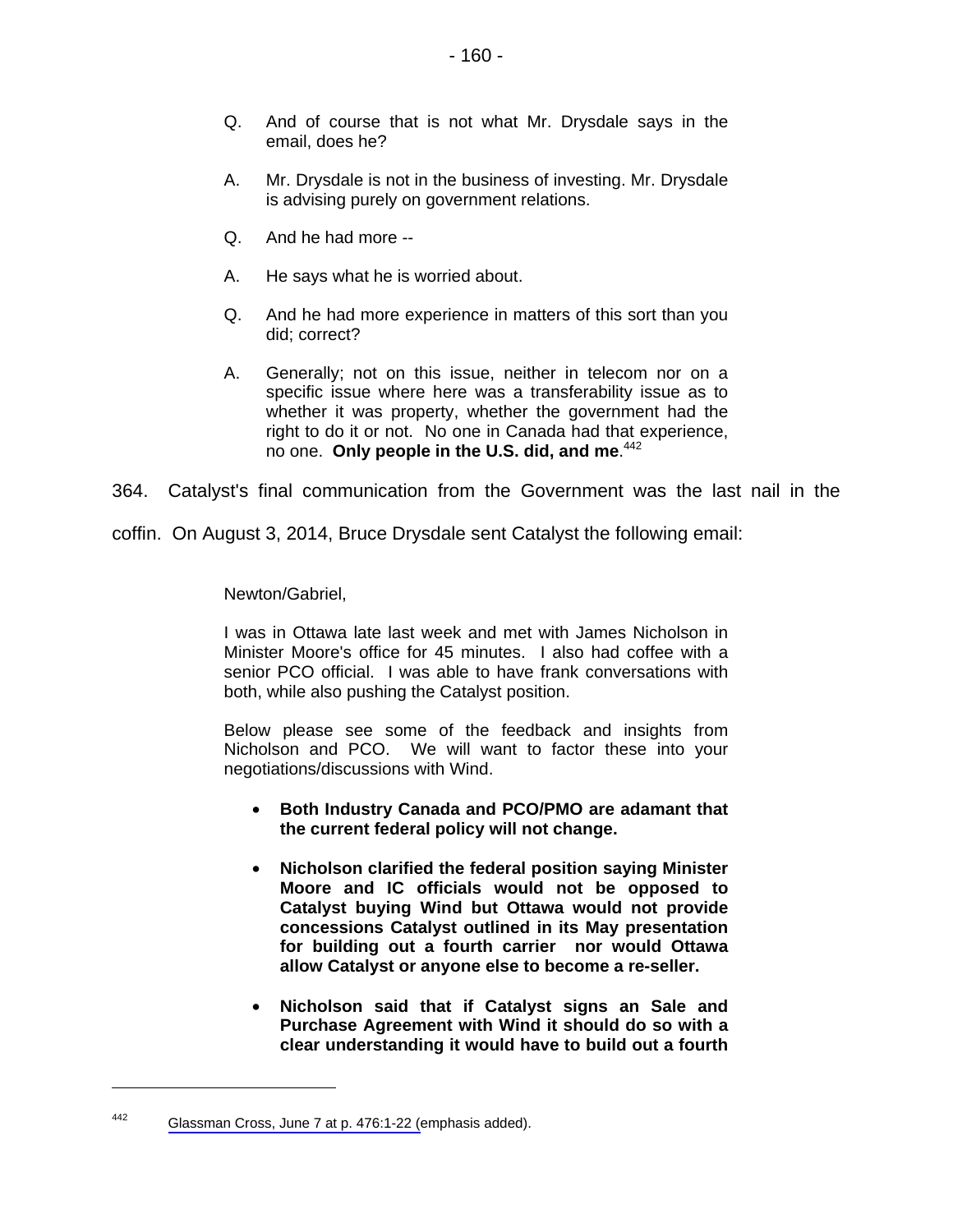- Q. And of course that is not what Mr. Drysdale says in the email, does he?
- A. Mr. Drysdale is not in the business of investing. Mr. Drysdale is advising purely on government relations.
- Q. And he had more --
- A. He says what he is worried about.
- Q. And he had more experience in matters of this sort than you did; correct?
- A. Generally; not on this issue, neither in telecom nor on a specific issue where here was a transferability issue as to whether it was property, whether the government had the right to do it or not. No one in Canada had that experience, no one. **Only people in the U.S. did, and me**. 442

364. Catalyst's final communication from the Government was the last nail in the

coffin. On August 3, 2014, Bruce Drysdale sent Catalyst the following email:

Newton/Gabriel,

I was in Ottawa late last week and met with James Nicholson in Minister Moore's office for 45 minutes. I also had coffee with a senior PCO official. I was able to have frank conversations with both, while also pushing the Catalyst position.

Below please see some of the feedback and insights from Nicholson and PCO. We will want to factor these into your negotiations/discussions with Wind.

- **Both Industry Canada and PCO/PMO are adamant that the current federal policy will not change.**
- **Nicholson clarified the federal position saying Minister Moore and IC officials would not be opposed to Catalyst buying Wind but Ottawa would not provide concessions Catalyst outlined in its May presentation for building out a fourth carrier nor would Ottawa allow Catalyst or anyone else to become a re-seller.**
- **Nicholson said that if Catalyst signs an Sale and Purchase Agreement with Wind it should do so with a clear understanding it would have to build out a fourth**

<sup>442</sup> [Glassman Cross, June 7 at p. 476:1-22 \(](#page-1-0)emphasis added).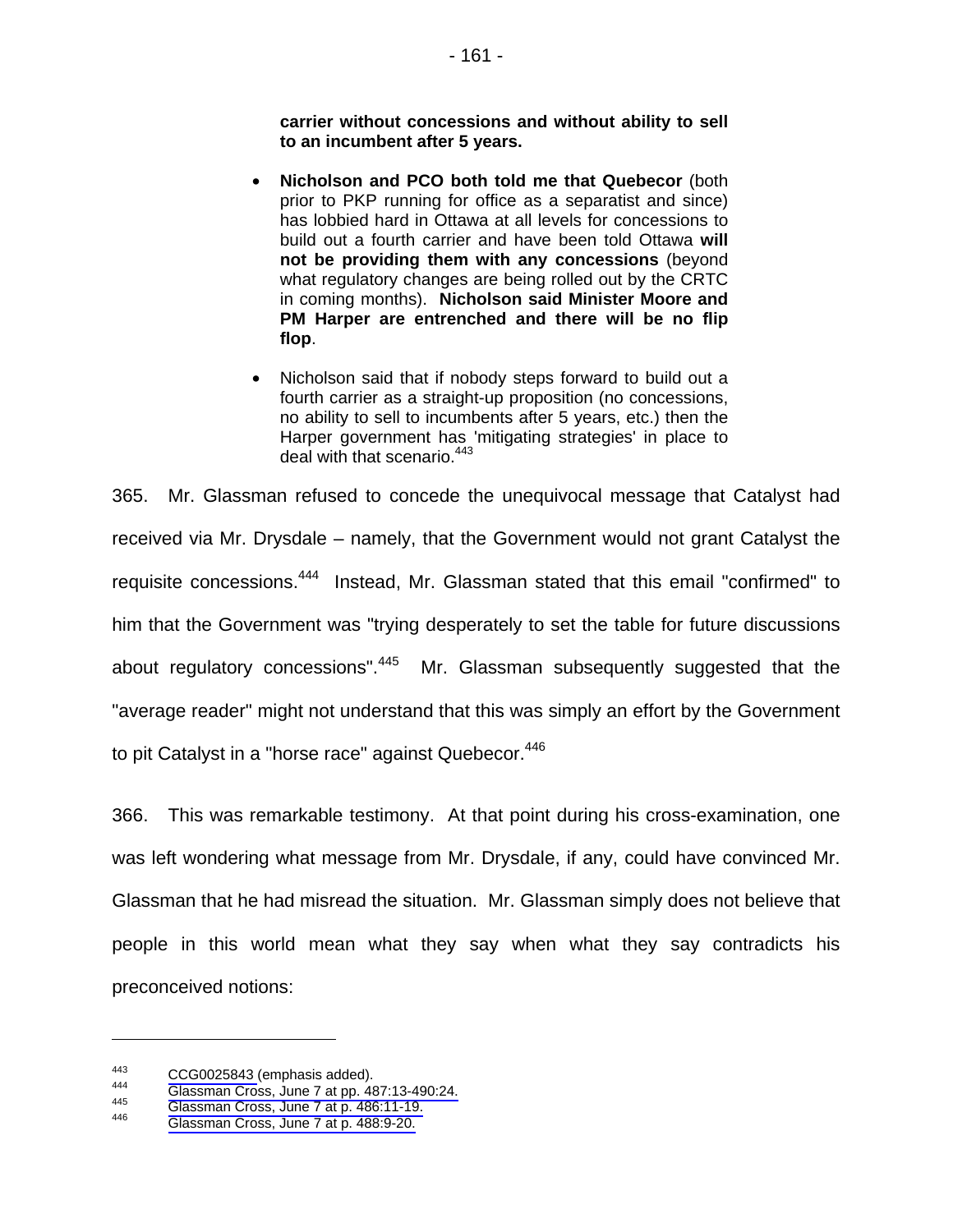**carrier without concessions and without ability to sell to an incumbent after 5 years.** 

- **Nicholson and PCO both told me that Quebecor** (both prior to PKP running for office as a separatist and since) has lobbied hard in Ottawa at all levels for concessions to build out a fourth carrier and have been told Ottawa **will not be providing them with any concessions** (beyond what regulatory changes are being rolled out by the CRTC in coming months). **Nicholson said Minister Moore and PM Harper are entrenched and there will be no flip flop**.
- Nicholson said that if nobody steps forward to build out a fourth carrier as a straight-up proposition (no concessions, no ability to sell to incumbents after 5 years, etc.) then the Harper government has 'mitigating strategies' in place to deal with that scenario.<sup>443</sup>

365. Mr. Glassman refused to concede the unequivocal message that Catalyst had received via Mr. Drysdale – namely, that the Government would not grant Catalyst the requisite concessions.444 Instead, Mr. Glassman stated that this email "confirmed" to him that the Government was "trying desperately to set the table for future discussions about regulatory concessions".<sup>445</sup> Mr. Glassman subsequently suggested that the "average reader" might not understand that this was simply an effort by the Government to pit Catalyst in a "horse race" against Quebecor.<sup>446</sup>

366. This was remarkable testimony. At that point during his cross-examination, one was left wondering what message from Mr. Drysdale, if any, could have convinced Mr. Glassman that he had misread the situation. Mr. Glassman simply does not believe that people in this world mean what they say when what they say contradicts his preconceived notions:

<sup>443</sup> [CCG0025843 \(](#page-0-0)emphasis added).<br>
444 Glassman Cross, June 7 at pp. 487:13-490:24.<br>
445 [Glassman Cross, June 7 at p. 486:11-19.](#page-1-0)<br>
446 Glassman Cross, June 7 at p. 488:9-20.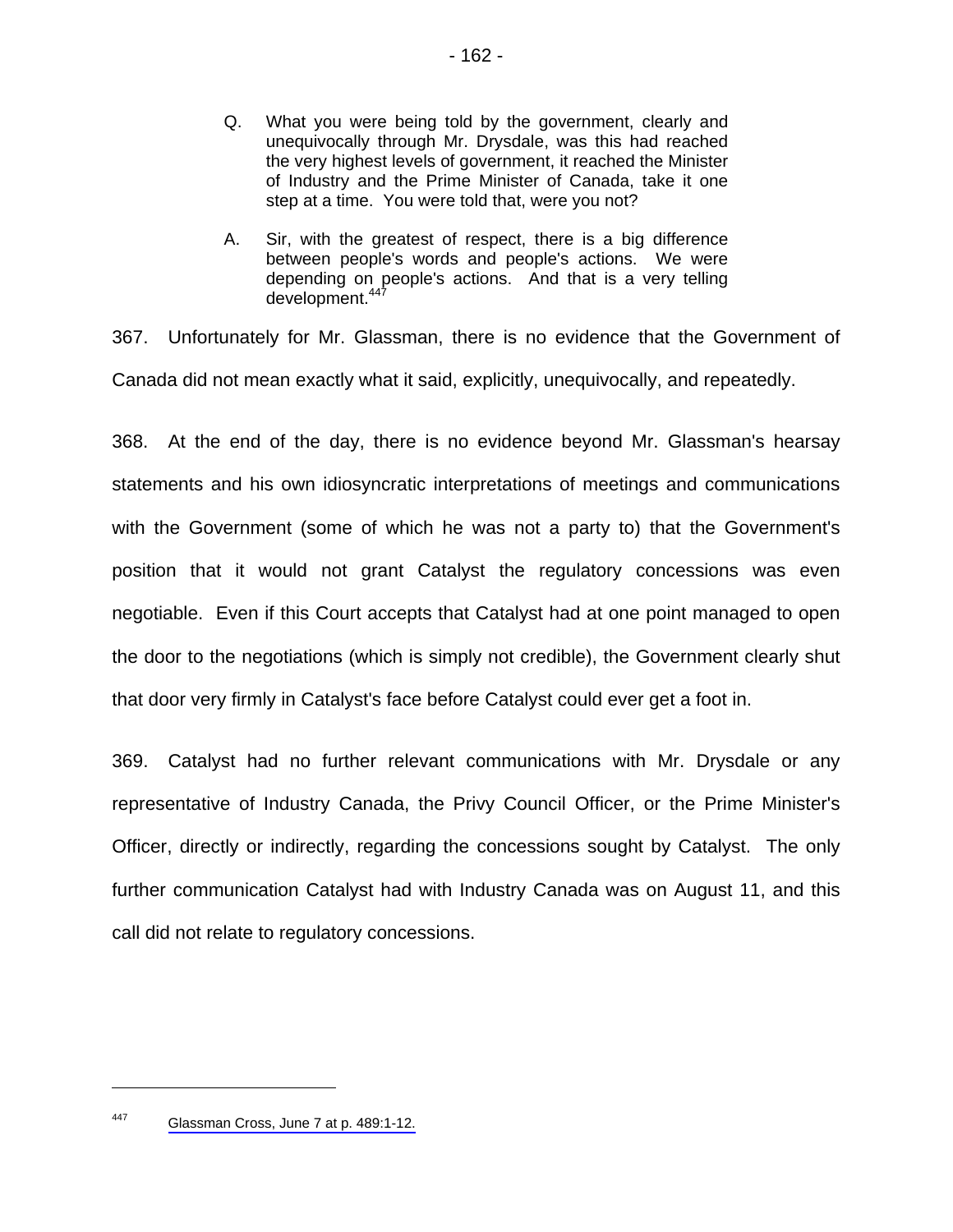- Q. What you were being told by the government, clearly and unequivocally through Mr. Drysdale, was this had reached the very highest levels of government, it reached the Minister of Industry and the Prime Minister of Canada, take it one step at a time. You were told that, were you not?
- A. Sir, with the greatest of respect, there is a big difference between people's words and people's actions. We were depending on people's actions. And that is a very telling development.<sup>447</sup>

367. Unfortunately for Mr. Glassman, there is no evidence that the Government of Canada did not mean exactly what it said, explicitly, unequivocally, and repeatedly.

368. At the end of the day, there is no evidence beyond Mr. Glassman's hearsay statements and his own idiosyncratic interpretations of meetings and communications with the Government (some of which he was not a party to) that the Government's position that it would not grant Catalyst the regulatory concessions was even negotiable. Even if this Court accepts that Catalyst had at one point managed to open the door to the negotiations (which is simply not credible), the Government clearly shut that door very firmly in Catalyst's face before Catalyst could ever get a foot in.

369. Catalyst had no further relevant communications with Mr. Drysdale or any representative of Industry Canada, the Privy Council Officer, or the Prime Minister's Officer, directly or indirectly, regarding the concessions sought by Catalyst. The only further communication Catalyst had with Industry Canada was on August 11, and this call did not relate to regulatory concessions.

<sup>447</sup> [Glassman Cross, June 7 at p. 489:1-12.](#page-1-0)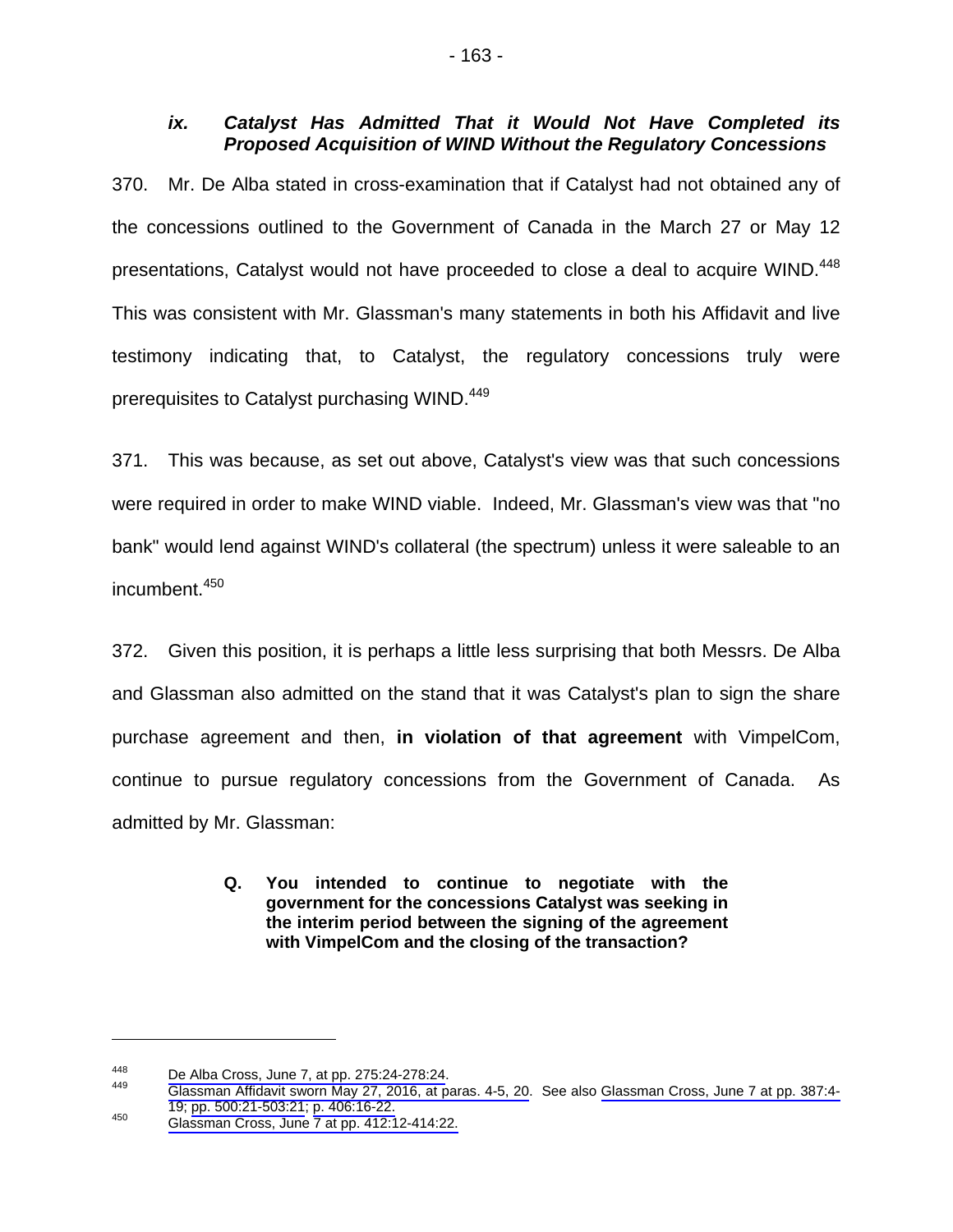### *ix. Catalyst Has Admitted That it Would Not Have Completed its Proposed Acquisition of WIND Without the Regulatory Concessions*

370. Mr. De Alba stated in cross-examination that if Catalyst had not obtained any of the concessions outlined to the Government of Canada in the March 27 or May 12 presentations, Catalyst would not have proceeded to close a deal to acquire WIND.<sup>448</sup> This was consistent with Mr. Glassman's many statements in both his Affidavit and live testimony indicating that, to Catalyst, the regulatory concessions truly were prerequisites to Catalyst purchasing WIND.<sup>449</sup>

371. This was because, as set out above, Catalyst's view was that such concessions were required in order to make WIND viable. Indeed, Mr. Glassman's view was that "no bank" would lend against WIND's collateral (the spectrum) unless it were saleable to an incumbent.<sup>450</sup>

372. Given this position, it is perhaps a little less surprising that both Messrs. De Alba and Glassman also admitted on the stand that it was Catalyst's plan to sign the share purchase agreement and then, **in violation of that agreement** with VimpelCom, continue to pursue regulatory concessions from the Government of Canada. As admitted by Mr. Glassman:

#### **Q. You intended to continue to negotiate with the government for the concessions Catalyst was seeking in the interim period between the signing of the agreement with VimpelCom and the closing of the transaction?**

<sup>&</sup>lt;sup>448</sup> De Alba Cross, June 7, at pp. 275:24-278:24.<br><sup>449</sup> [Glassman Affidavit sworn May 27, 2016, at paras. 4-5, 20](#page-1-0). See also [Glassman Cross, June 7 at pp. 387:4-](#page-1-0) [19;](#page-1-0) [pp. 500:21-503:21](#page-2-0); p. 406:16-22.<br><sup>450</sup> Glassman Cross, June 7 at pp. 412:12-414:22.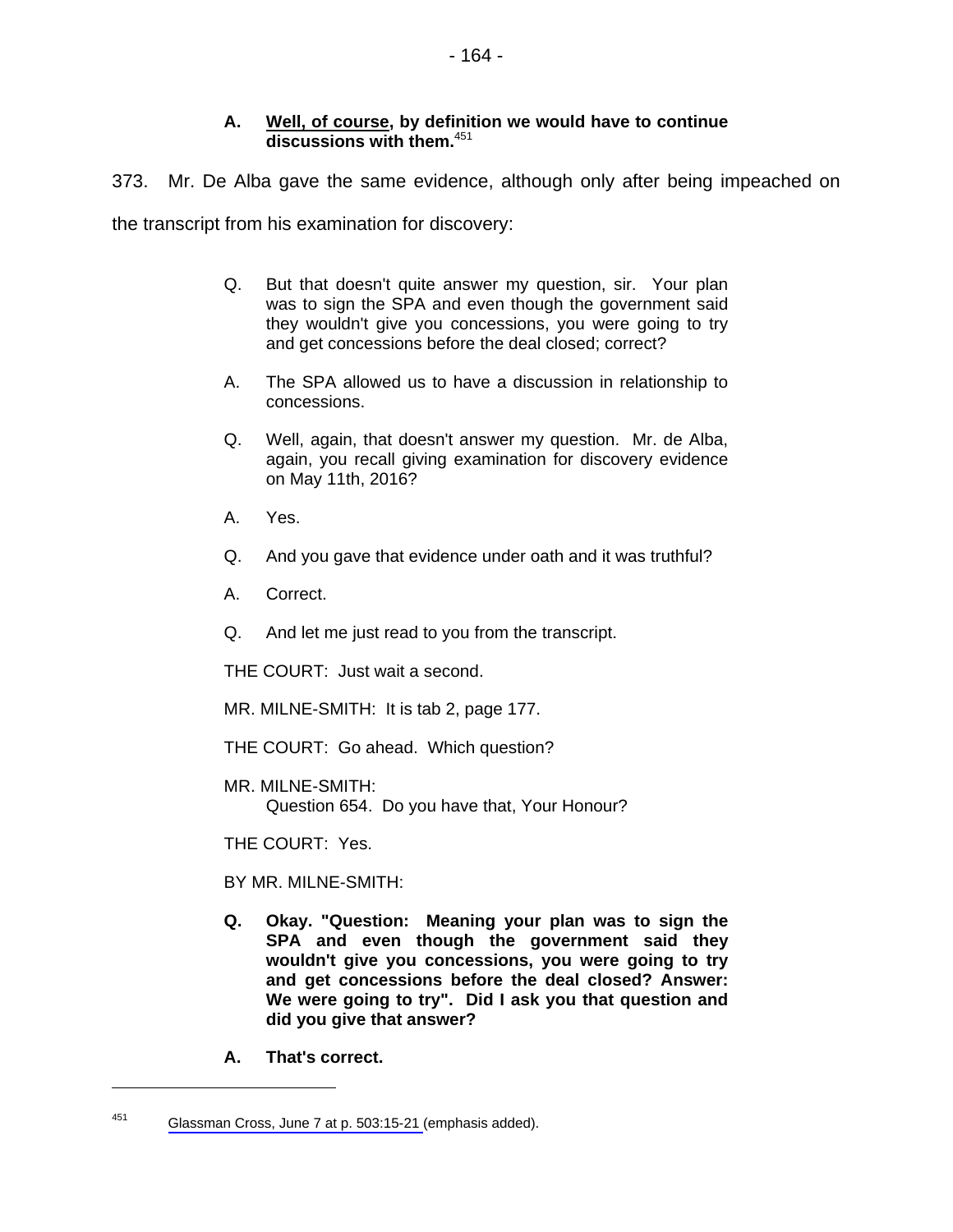#### **A. Well, of course, by definition we would have to continue discussions with them.**<sup>451</sup>

373. Mr. De Alba gave the same evidence, although only after being impeached on

the transcript from his examination for discovery:

- Q. But that doesn't quite answer my question, sir. Your plan was to sign the SPA and even though the government said they wouldn't give you concessions, you were going to try and get concessions before the deal closed; correct?
- A. The SPA allowed us to have a discussion in relationship to concessions.
- Q. Well, again, that doesn't answer my question. Mr. de Alba, again, you recall giving examination for discovery evidence on May 11th, 2016?
- A. Yes.
- Q. And you gave that evidence under oath and it was truthful?
- A. Correct.
- Q. And let me just read to you from the transcript.

THE COURT: Just wait a second.

MR. MILNE-SMITH: It is tab 2, page 177.

THE COURT: Go ahead. Which question?

MR. MILNE-SMITH: Question 654. Do you have that, Your Honour?

THE COURT: Yes.

BY MR. MILNE-SMITH:

- **Q. Okay. "Question: Meaning your plan was to sign the SPA and even though the government said they wouldn't give you concessions, you were going to try and get concessions before the deal closed? Answer: We were going to try". Did I ask you that question and did you give that answer?**
- **A. That's correct.**

<sup>451</sup> [Glassman Cross, June 7 at p. 503:15-21](#page-1-0) (emphasis added).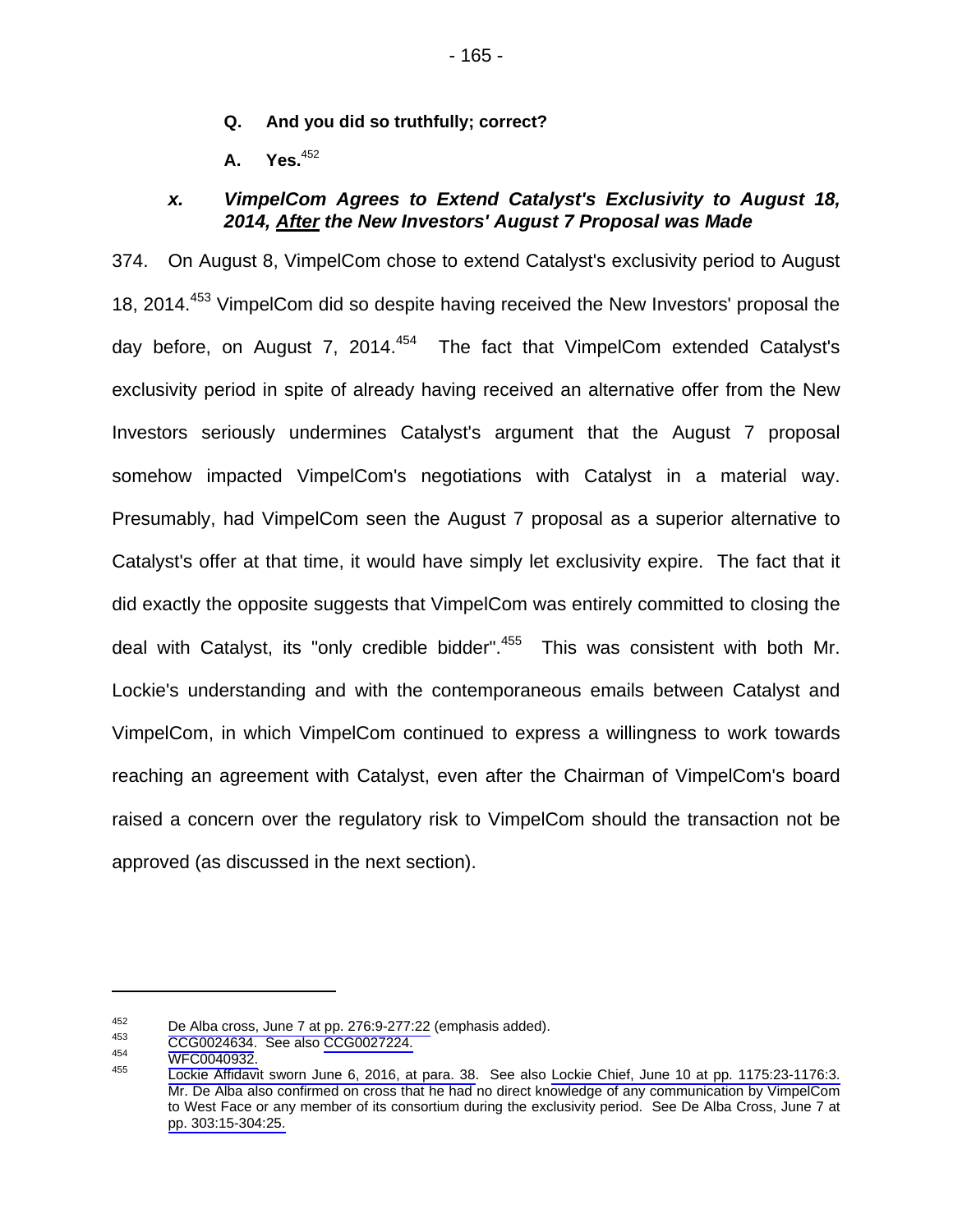- **Q. And you did so truthfully; correct?**
- **A. Yes.**<sup>452</sup>

### *x. VimpelCom Agrees to Extend Catalyst's Exclusivity to August 18, 2014, After the New Investors' August 7 Proposal was Made*

374. On August 8, VimpelCom chose to extend Catalyst's exclusivity period to August 18, 2014.<sup>453</sup> VimpelCom did so despite having received the New Investors' proposal the day before, on August 7, 2014. $454$  The fact that VimpelCom extended Catalyst's exclusivity period in spite of already having received an alternative offer from the New Investors seriously undermines Catalyst's argument that the August 7 proposal somehow impacted VimpelCom's negotiations with Catalyst in a material way. Presumably, had VimpelCom seen the August 7 proposal as a superior alternative to Catalyst's offer at that time, it would have simply let exclusivity expire. The fact that it did exactly the opposite suggests that VimpelCom was entirely committed to closing the deal with Catalyst, its "only credible bidder".<sup>455</sup> This was consistent with both Mr. Lockie's understanding and with the contemporaneous emails between Catalyst and VimpelCom, in which VimpelCom continued to express a willingness to work towards reaching an agreement with Catalyst, even after the Chairman of VimpelCom's board raised a concern over the regulatory risk to VimpelCom should the transaction not be approved (as discussed in the next section).

 $^{452}$  [De Alba cross, June 7 at pp. 276:9-277:22](#page-1-0) (emphasisadded).<br>  $^{453}$  [CCG0024634.](#page-0-0) See also CCG0027224.<br>  $^{454}$  [WFC0040932.](#page-0-0)<br> [Lockie Affidavit sworn June 6, 2016, at para. 38](#page-1-0). See also Lockie Chief, June 10 at pp. 1 Mr. De Alba also confirmed on cross that he had no direct knowledge of any communication by VimpelCom to West Face or any member of its consortium during the exclusivity period. See De Alba Cross, June 7 at [pp. 303:15-304:25.](#page-1-0)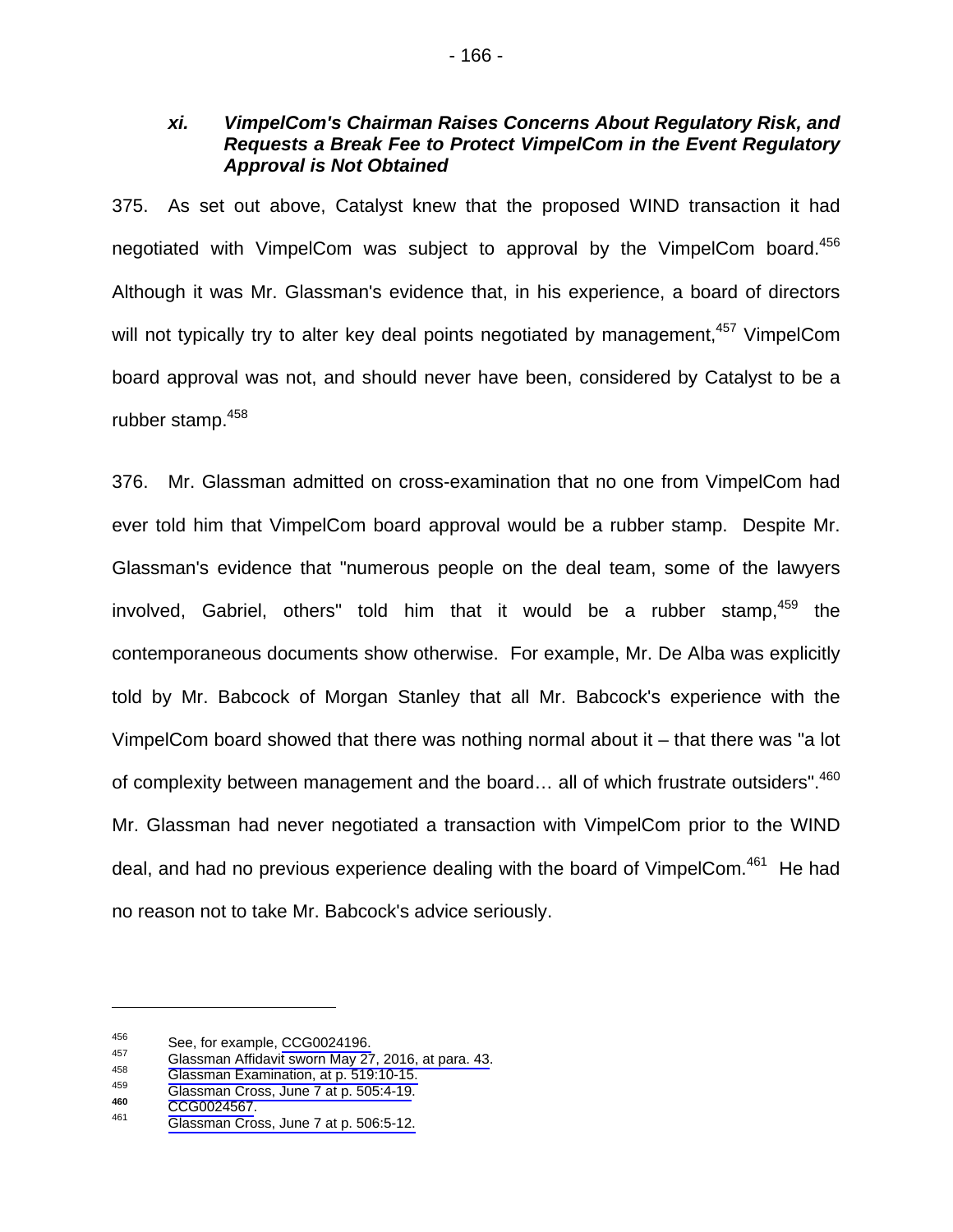### *xi. VimpelCom's Chairman Raises Concerns About Regulatory Risk, and Requests a Break Fee to Protect VimpelCom in the Event Regulatory Approval is Not Obtained*

375. As set out above, Catalyst knew that the proposed WIND transaction it had negotiated with VimpelCom was subject to approval by the VimpelCom board.<sup>456</sup> Although it was Mr. Glassman's evidence that, in his experience, a board of directors will not typically try to alter key deal points negotiated by management,<sup>457</sup> VimpelCom board approval was not, and should never have been, considered by Catalyst to be a rubber stamp.<sup>458</sup>

376. Mr. Glassman admitted on cross-examination that no one from VimpelCom had ever told him that VimpelCom board approval would be a rubber stamp. Despite Mr. Glassman's evidence that "numerous people on the deal team, some of the lawyers involved, Gabriel, others" told him that it would be a rubber stamp.<sup>459</sup> the contemporaneous documents show otherwise. For example, Mr. De Alba was explicitly told by Mr. Babcock of Morgan Stanley that all Mr. Babcock's experience with the VimpelCom board showed that there was nothing normal about it – that there was "a lot of complexity between management and the board... all of which frustrate outsiders".<sup>460</sup> Mr. Glassman had never negotiated a transaction with VimpelCom prior to the WIND deal, and had no previous experience dealing with the board of VimpelCom.<sup>461</sup> He had no reason not to take Mr. Babcock's advice seriously.

<sup>&</sup>lt;sup>456</sup> [See, for example,](#page-1-0) CCG0024196.<br>
<sup>457</sup> [Glassman Affidavit sworn May 27, 2016, at para. 43.](#page-1-0)<br>
<sup>458</sup> Glassman Examination, at p. 519:10-15.<br>
<sup>459</sup> [Glassman Cross, June 7 at p. 505:4-19.](#page-1-0)<br> **460** [CCG0024567](#page-0-0).<br>
Glassman Cross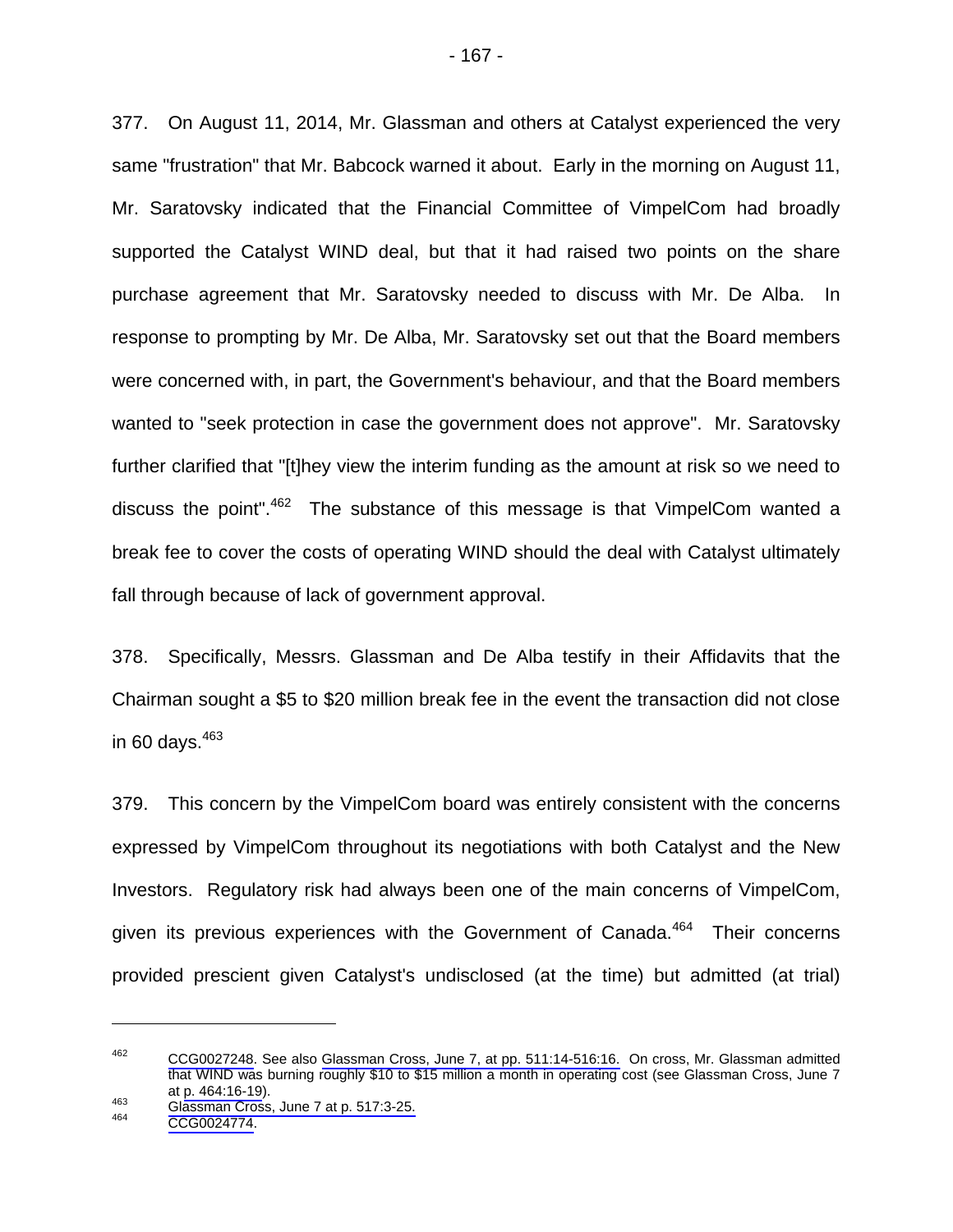377. On August 11, 2014, Mr. Glassman and others at Catalyst experienced the very same "frustration" that Mr. Babcock warned it about. Early in the morning on August 11, Mr. Saratovsky indicated that the Financial Committee of VimpelCom had broadly supported the Catalyst WIND deal, but that it had raised two points on the share purchase agreement that Mr. Saratovsky needed to discuss with Mr. De Alba. In response to prompting by Mr. De Alba, Mr. Saratovsky set out that the Board members were concerned with, in part, the Government's behaviour, and that the Board members wanted to "seek protection in case the government does not approve". Mr. Saratovsky further clarified that "[t]hey view the interim funding as the amount at risk so we need to discuss the point". $462$  The substance of this message is that VimpelCom wanted a break fee to cover the costs of operating WIND should the deal with Catalyst ultimately fall through because of lack of government approval.

378. Specifically, Messrs. Glassman and De Alba testify in their Affidavits that the Chairman sought a \$5 to \$20 million break fee in the event the transaction did not close in 60 days. $463$ 

379. This concern by the VimpelCom board was entirely consistent with the concerns expressed by VimpelCom throughout its negotiations with both Catalyst and the New Investors. Regulatory risk had always been one of the main concerns of VimpelCom, given its previous experiences with the Government of Canada.<sup>464</sup> Their concerns provided prescient given Catalyst's undisclosed (at the time) but admitted (at trial)

1

<sup>462</sup> [CCG0027248.](#page-0-0) See also [Glassman Cross, June 7, at pp. 511:14-516:16.](#page-1-0) On cross, Mr. Glassman admitted that WIND was burning roughly \$10 to \$15 million a month in operating cost (see Glassman Cross, June 7 at p. 464:16-19).<br><sup>463</sup> [Glassman Cross, June 7 at p. 517:3-25.](#page-1-0)<br><sup>464</sup> [CCG0024774.](#page-0-0)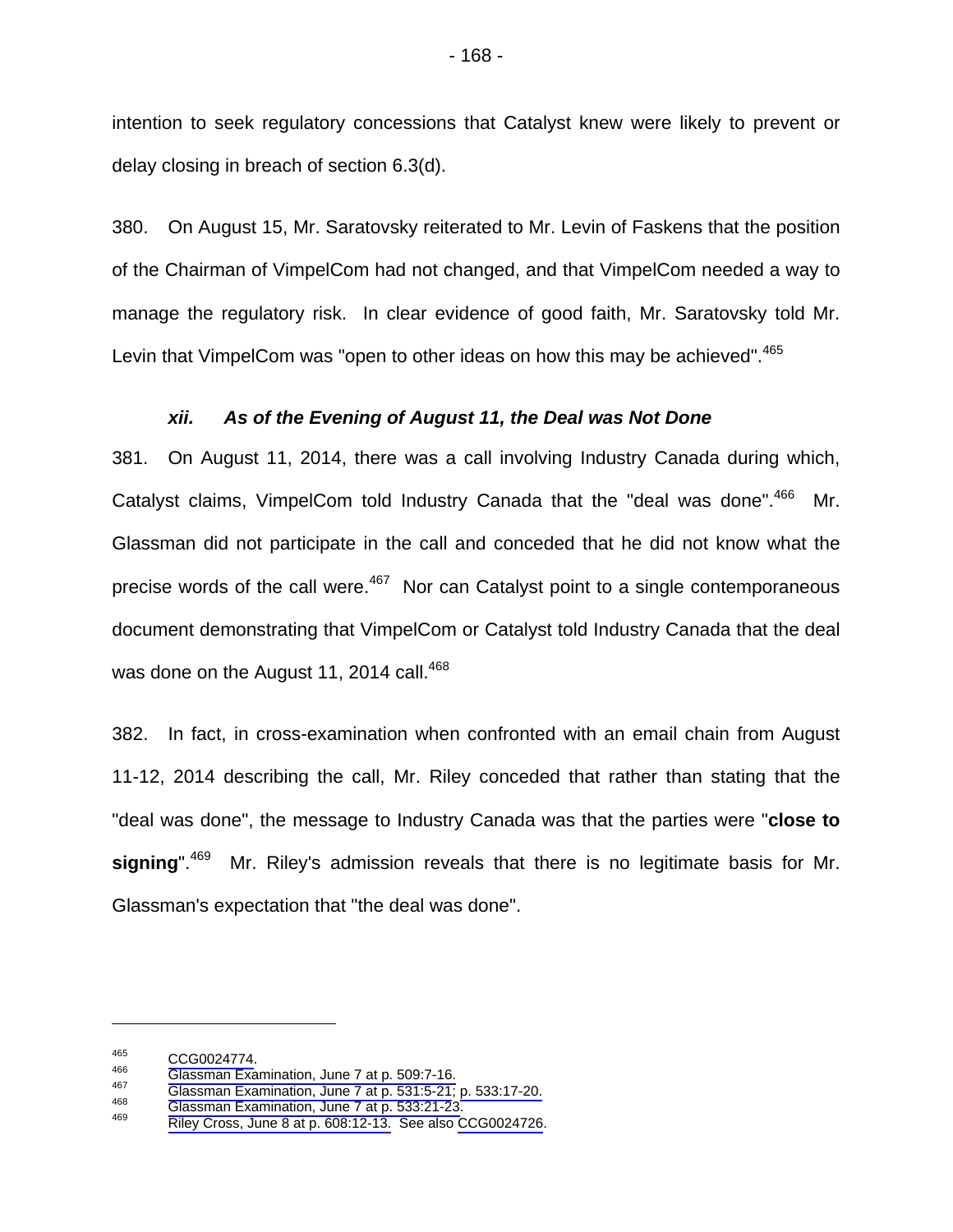intention to seek regulatory concessions that Catalyst knew were likely to prevent or delay closing in breach of section 6.3(d).

380. On August 15, Mr. Saratovsky reiterated to Mr. Levin of Faskens that the position of the Chairman of VimpelCom had not changed, and that VimpelCom needed a way to manage the regulatory risk. In clear evidence of good faith, Mr. Saratovsky told Mr. Levin that VimpelCom was "open to other ideas on how this may be achieved".<sup>465</sup>

#### *xii. As of the Evening of August 11, the Deal was Not Done*

381. On August 11, 2014, there was a call involving Industry Canada during which, Catalyst claims, VimpelCom told Industry Canada that the "deal was done".<sup>466</sup> Mr. Glassman did not participate in the call and conceded that he did not know what the precise words of the call were. $467$  Nor can Catalyst point to a single contemporaneous document demonstrating that VimpelCom or Catalyst told Industry Canada that the deal was done on the August 11, 2014 call. $468$ 

382. In fact, in cross-examination when confronted with an email chain from August 11-12, 2014 describing the call, Mr. Riley conceded that rather than stating that the "deal was done", the message to Industry Canada was that the parties were "**close to**  signing".<sup>469</sup> Mr. Riley's admission reveals that there is no legitimate basis for Mr. Glassman's expectation that "the deal was done".

<sup>&</sup>lt;sup>465</sup><br> [CCG0024774](#page-0-0).<br>
Glassman Examination, June 7 at p[.](#page-1-0) 509:7-16.<br>
<sup>467</sup><br>
Glassman Examination, June 7 at p. 531:5-21; p. 533:17-20.<br> [Glassman Examination, June 7 at p. 533:21-23.](#page-1-0)<br>
RileyCross, June 8 at p. 608:12-13. See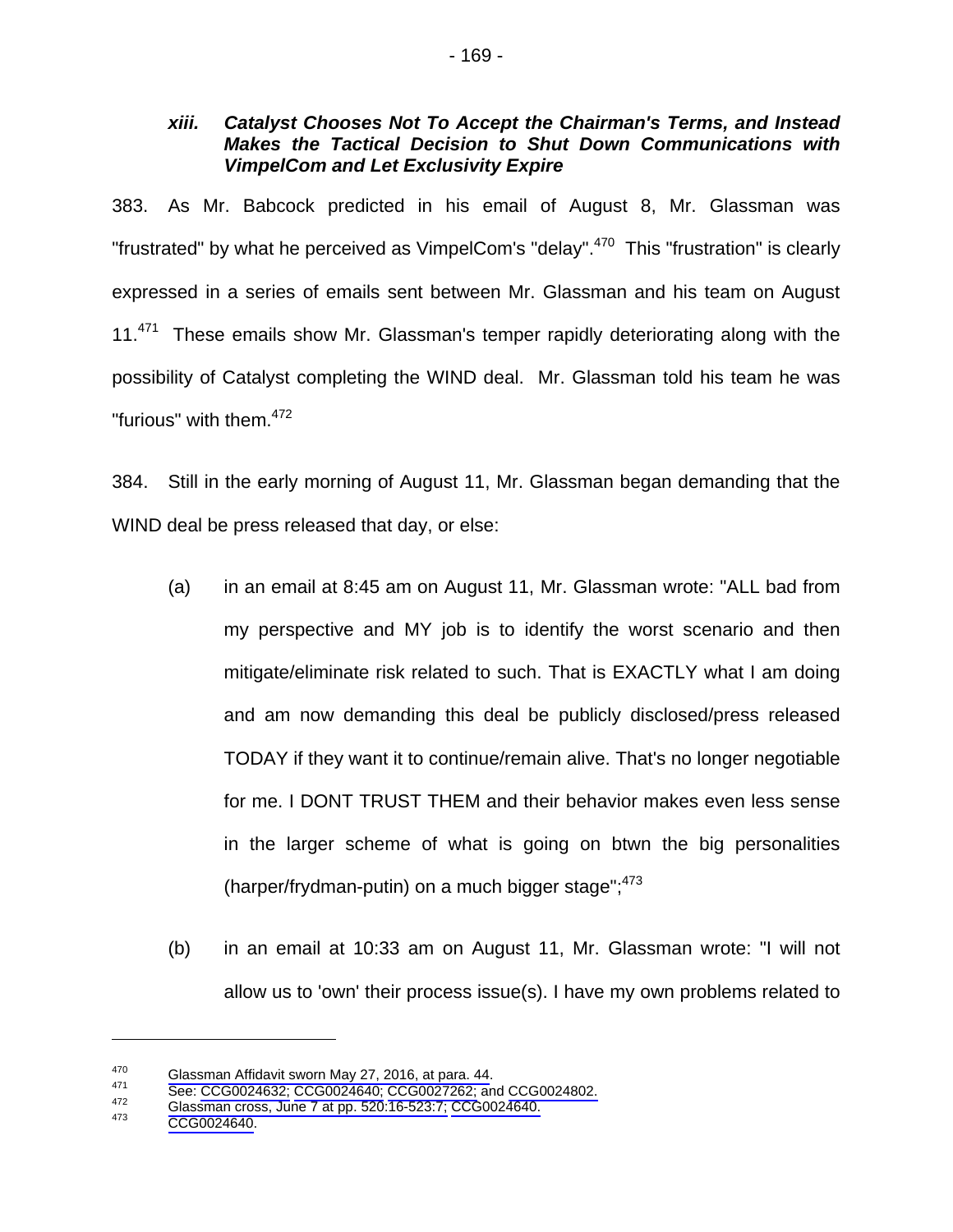# *xiii. Catalyst Chooses Not To Accept the Chairman's Terms, and Instead Makes the Tactical Decision to Shut Down Communications with VimpelCom and Let Exclusivity Expire*

383. As Mr. Babcock predicted in his email of August 8, Mr. Glassman was "frustrated" by what he perceived as VimpelCom's "delay".<sup>470</sup> This "frustration" is clearly expressed in a series of emails sent between Mr. Glassman and his team on August  $11.<sup>471</sup>$  These emails show Mr. Glassman's temper rapidly deteriorating along with the possibility of Catalyst completing the WIND deal. Mr. Glassman told his team he was "furious" with them.<sup>472</sup>

384. Still in the early morning of August 11, Mr. Glassman began demanding that the WIND deal be press released that day, or else:

- (a) in an email at 8:45 am on August 11, Mr. Glassman wrote: "ALL bad from my perspective and MY job is to identify the worst scenario and then mitigate/eliminate risk related to such. That is EXACTLY what I am doing and am now demanding this deal be publicly disclosed/press released TODAY if they want it to continue/remain alive. That's no longer negotiable for me. I DONT TRUST THEM and their behavior makes even less sense in the larger scheme of what is going on btwn the big personalities (harper/frydman-putin) on a much bigger stage"; $473$
- (b) in an email at 10:33 am on August 11, Mr. Glassman wrote: "I will not allow us to 'own' their process issue(s). I have my own problems related to

<sup>470</sup> [Glassman Affidavit sworn May 27, 2016, at para. 44.](#page-1-0)<br>
471 [See:](#page-1-0) [CCG0024632; CCG0024640; CCG0027262; and CCG0024802.](#page-0-0)<br>
473 [Glassman cross, June 7 at pp. 520:16-523:7;](#page-1-0) [CCG0024640.](#page-0-0)<br>
473CCG0024640.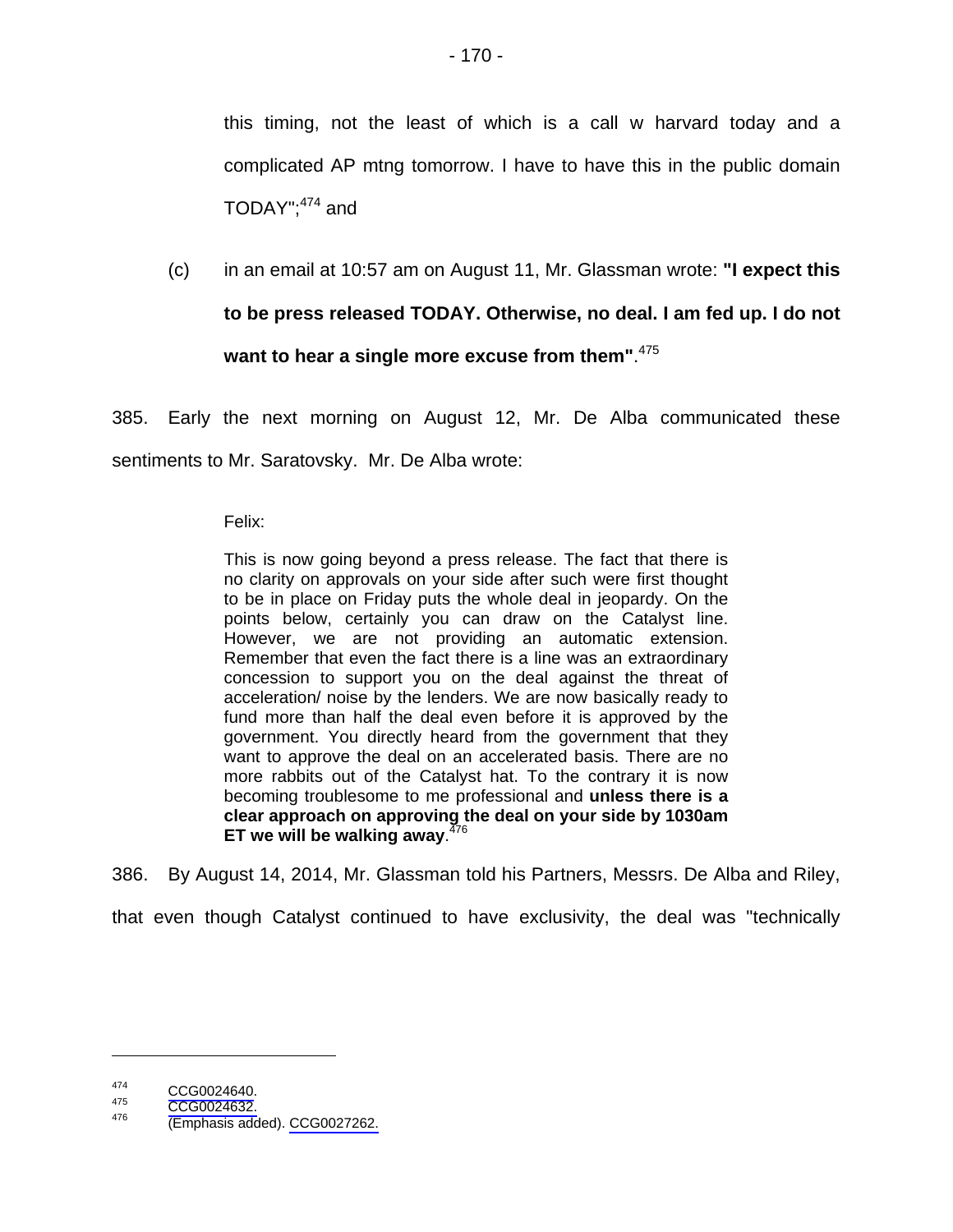(c) in an email at 10:57 am on August 11, Mr. Glassman wrote: **"I expect this to be press released TODAY. Otherwise, no deal. I am fed up. I do not want to hear a single more excuse from them"**. 475

385. Early the next morning on August 12, Mr. De Alba communicated these sentiments to Mr. Saratovsky. Mr. De Alba wrote:

### Felix:

This is now going beyond a press release. The fact that there is no clarity on approvals on your side after such were first thought to be in place on Friday puts the whole deal in jeopardy. On the points below, certainly you can draw on the Catalyst line. However, we are not providing an automatic extension. Remember that even the fact there is a line was an extraordinary concession to support you on the deal against the threat of acceleration/ noise by the lenders. We are now basically ready to fund more than half the deal even before it is approved by the government. You directly heard from the government that they want to approve the deal on an accelerated basis. There are no more rabbits out of the Catalyst hat. To the contrary it is now becoming troublesome to me professional and **unless there is a clear approach on approving the deal on your side by 1030am ET we will be walking away**. 476

386. By August 14, 2014, Mr. Glassman told his Partners, Messrs. De Alba and Riley,

that even though Catalyst continued to have exclusivity, the deal was "technically

<sup>&</sup>lt;sup>474</sup> [CCG0024640.](#page-0-0)<br><sup>475</sup> [CCG0024632.](#page-0-0)<br><sup>476</sup> [\(Emphasis add](#page-0-0)ed). [CCG0027262.](#page-0-0)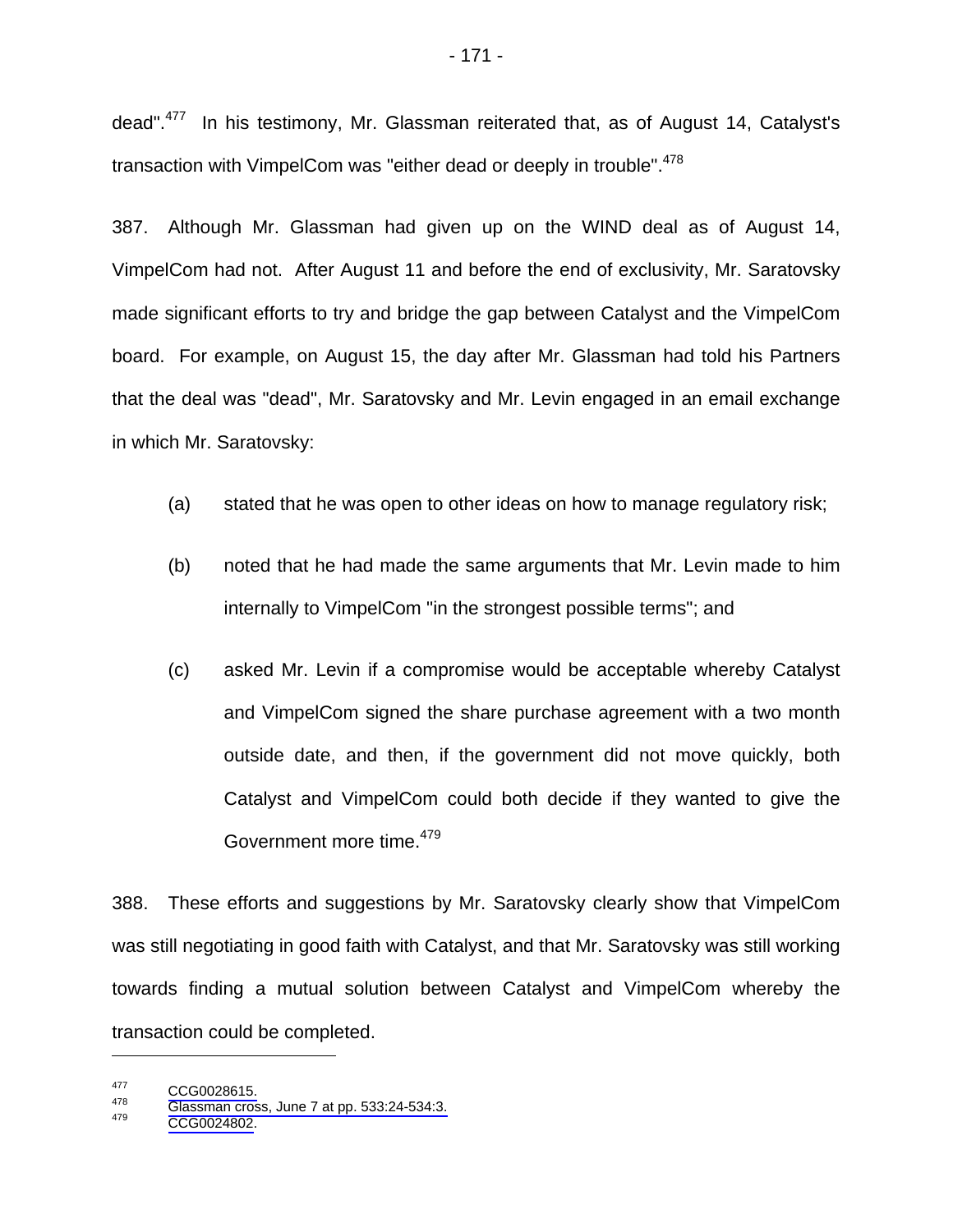dead".477 In his testimony, Mr. Glassman reiterated that, as of August 14, Catalyst's transaction with VimpelCom was "either dead or deeply in trouble".<sup>478</sup>

387. Although Mr. Glassman had given up on the WIND deal as of August 14, VimpelCom had not. After August 11 and before the end of exclusivity, Mr. Saratovsky made significant efforts to try and bridge the gap between Catalyst and the VimpelCom board. For example, on August 15, the day after Mr. Glassman had told his Partners that the deal was "dead", Mr. Saratovsky and Mr. Levin engaged in an email exchange in which Mr. Saratovsky:

- (a) stated that he was open to other ideas on how to manage regulatory risk;
- (b) noted that he had made the same arguments that Mr. Levin made to him internally to VimpelCom "in the strongest possible terms"; and
- (c) asked Mr. Levin if a compromise would be acceptable whereby Catalyst and VimpelCom signed the share purchase agreement with a two month outside date, and then, if the government did not move quickly, both Catalyst and VimpelCom could both decide if they wanted to give the Government more time.<sup>479</sup>

388. These efforts and suggestions by Mr. Saratovsky clearly show that VimpelCom was still negotiating in good faith with Catalyst, and that Mr. Saratovsky was still working towards finding a mutual solution between Catalyst and VimpelCom whereby the transaction could be completed.

1

<sup>477</sup> [CCG0028615.](#page-0-0)<br>
478Glassman cross, June 7 at pp. 533:24-534:3.<br> [CCG0024802.](#page-0-0)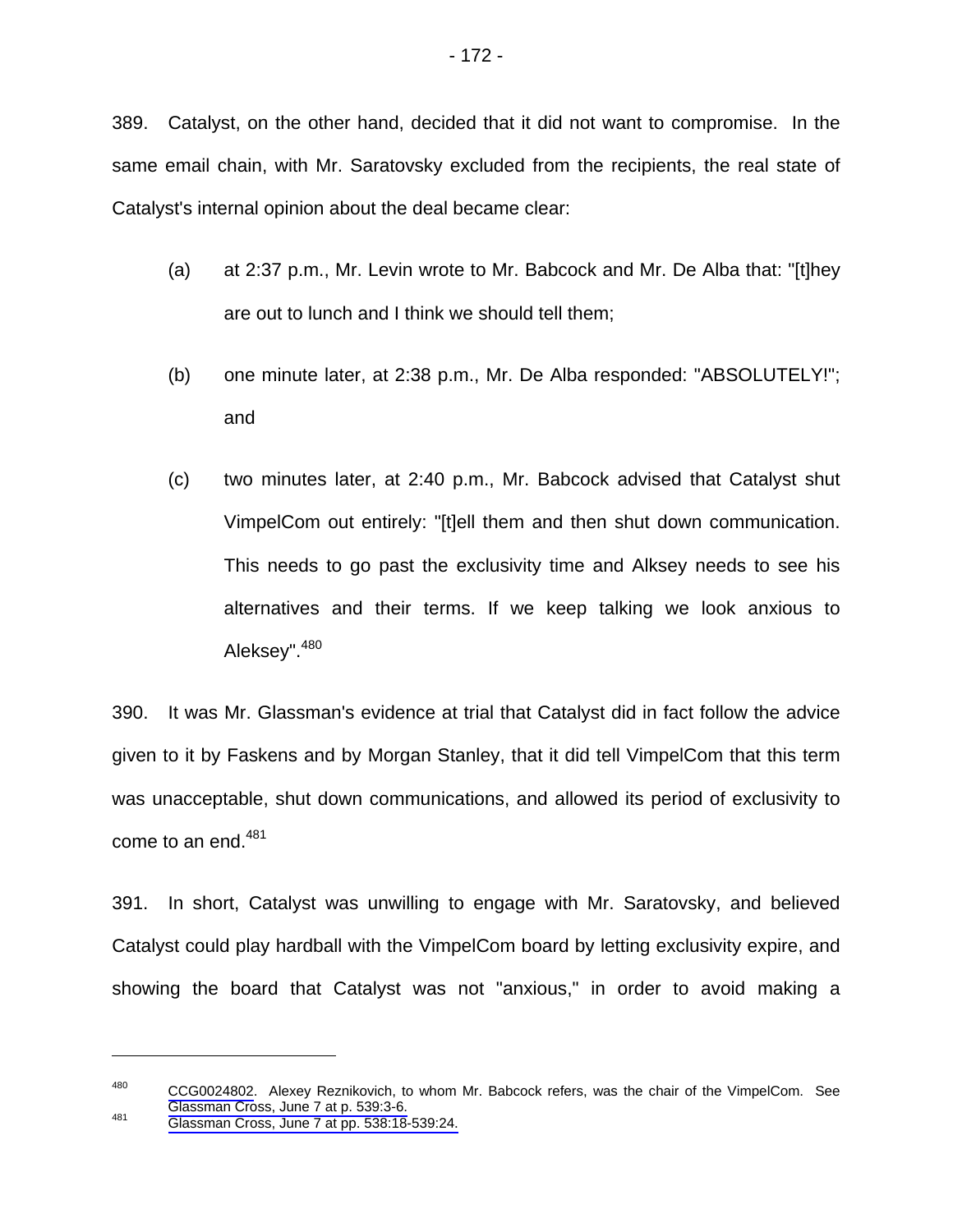389. Catalyst, on the other hand, decided that it did not want to compromise. In the same email chain, with Mr. Saratovsky excluded from the recipients, the real state of Catalyst's internal opinion about the deal became clear:

- (a) at 2:37 p.m., Mr. Levin wrote to Mr. Babcock and Mr. De Alba that: "[t]hey are out to lunch and I think we should tell them;
- (b) one minute later, at 2:38 p.m., Mr. De Alba responded: "ABSOLUTELY!"; and
- (c) two minutes later, at 2:40 p.m., Mr. Babcock advised that Catalyst shut VimpelCom out entirely: "[t]ell them and then shut down communication. This needs to go past the exclusivity time and Alksey needs to see his alternatives and their terms. If we keep talking we look anxious to Aleksey". 480

390. It was Mr. Glassman's evidence at trial that Catalyst did in fact follow the advice given to it by Faskens and by Morgan Stanley, that it did tell VimpelCom that this term was unacceptable, shut down communications, and allowed its period of exclusivity to come to an end.<sup>481</sup>

391. In short, Catalyst was unwilling to engage with Mr. Saratovsky, and believed Catalyst could play hardball with the VimpelCom board by letting exclusivity expire, and showing the board that Catalyst was not "anxious," in order to avoid making a

<sup>480</sup> [CCG0024802](#page-0-0). Alexey Reznikovich, to whom Mr. Babcock refers, was the chair of the VimpelCom. See Glassman Cross, June 7 at p. 539:3-6.<br><sup>481</sup> Glassman Cross, June 7 at pp. 538:18-539:24.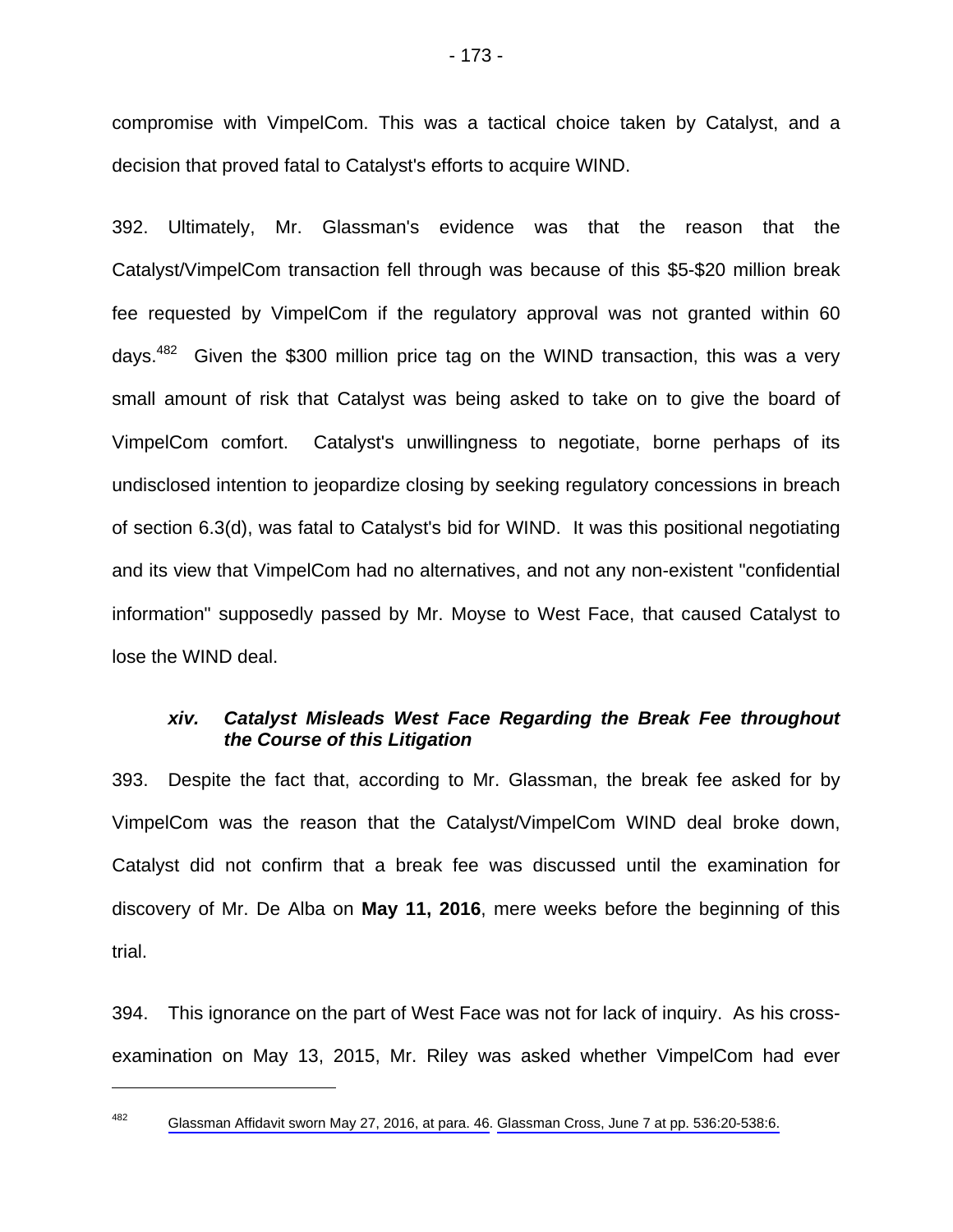compromise with VimpelCom. This was a tactical choice taken by Catalyst, and a decision that proved fatal to Catalyst's efforts to acquire WIND.

392. Ultimately, Mr. Glassman's evidence was that the reason that the Catalyst/VimpelCom transaction fell through was because of this \$5-\$20 million break fee requested by VimpelCom if the regulatory approval was not granted within 60 days.<sup>482</sup> Given the \$300 million price tag on the WIND transaction, this was a very small amount of risk that Catalyst was being asked to take on to give the board of VimpelCom comfort. Catalyst's unwillingness to negotiate, borne perhaps of its undisclosed intention to jeopardize closing by seeking regulatory concessions in breach of section 6.3(d), was fatal to Catalyst's bid for WIND. It was this positional negotiating and its view that VimpelCom had no alternatives, and not any non-existent "confidential information" supposedly passed by Mr. Moyse to West Face, that caused Catalyst to lose the WIND deal.

### *xiv. Catalyst Misleads West Face Regarding the Break Fee throughout the Course of this Litigation*

393. Despite the fact that, according to Mr. Glassman, the break fee asked for by VimpelCom was the reason that the Catalyst/VimpelCom WIND deal broke down, Catalyst did not confirm that a break fee was discussed until the examination for discovery of Mr. De Alba on **May 11, 2016**, mere weeks before the beginning of this trial.

394. This ignorance on the part of West Face was not for lack of inquiry. As his crossexamination on May 13, 2015, Mr. Riley was asked whether VimpelCom had ever

<sup>482</sup> [Glassman Affidavit sworn May 27, 2016, at para. 46.](#page-1-0) [Glassman Cross, June 7 at pp. 536:20-538:6.](#page-1-0)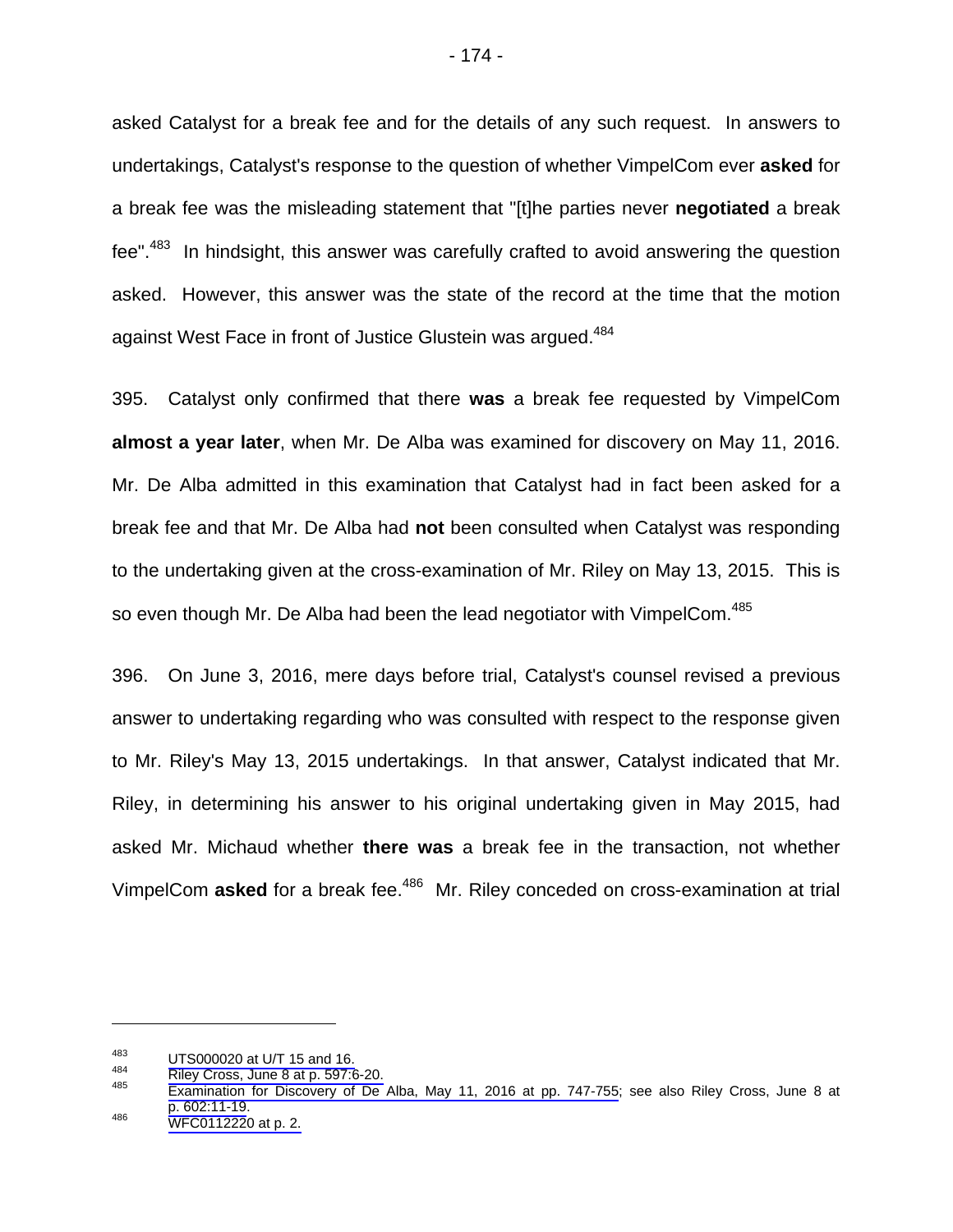asked Catalyst for a break fee and for the details of any such request. In answers to undertakings, Catalyst's response to the question of whether VimpelCom ever **asked** for a break fee was the misleading statement that "[t]he parties never **negotiated** a break fee".<sup>483</sup> In hindsight, this answer was carefully crafted to avoid answering the question asked. However, this answer was the state of the record at the time that the motion against West Face in front of Justice Glustein was argued.<sup>484</sup>

395. Catalyst only confirmed that there **was** a break fee requested by VimpelCom **almost a year later**, when Mr. De Alba was examined for discovery on May 11, 2016. Mr. De Alba admitted in this examination that Catalyst had in fact been asked for a break fee and that Mr. De Alba had **not** been consulted when Catalyst was responding to the undertaking given at the cross-examination of Mr. Riley on May 13, 2015. This is so even though Mr. De Alba had been the lead negotiator with VimpelCom.<sup>485</sup>

396. On June 3, 2016, mere days before trial, Catalyst's counsel revised a previous answer to undertaking regarding who was consulted with respect to the response given to Mr. Riley's May 13, 2015 undertakings. In that answer, Catalyst indicated that Mr. Riley, in determining his answer to his original undertaking given in May 2015, had asked Mr. Michaud whether **there was** a break fee in the transaction, not whether VimpelCom **asked** for a break fee.<sup>486</sup> Mr. Riley conceded on cross-examination at trial

<sup>&</sup>lt;sup>483</sup> UTS000020 at U/T 15 and 16.<br><sup>484</sup> Riley Cross, June 8 at p. 597:6-20.<br><sup>485</sup> [Examination for Discovery of De Alba, May 11, 2016 at pp. 747-755;](#page-1-0) see also Riley Cross, June 8 at [p. 602:11-19](#page-1-0).<br><sup>486</sup> WFC0112220 at p[.](#page-0-0) 2.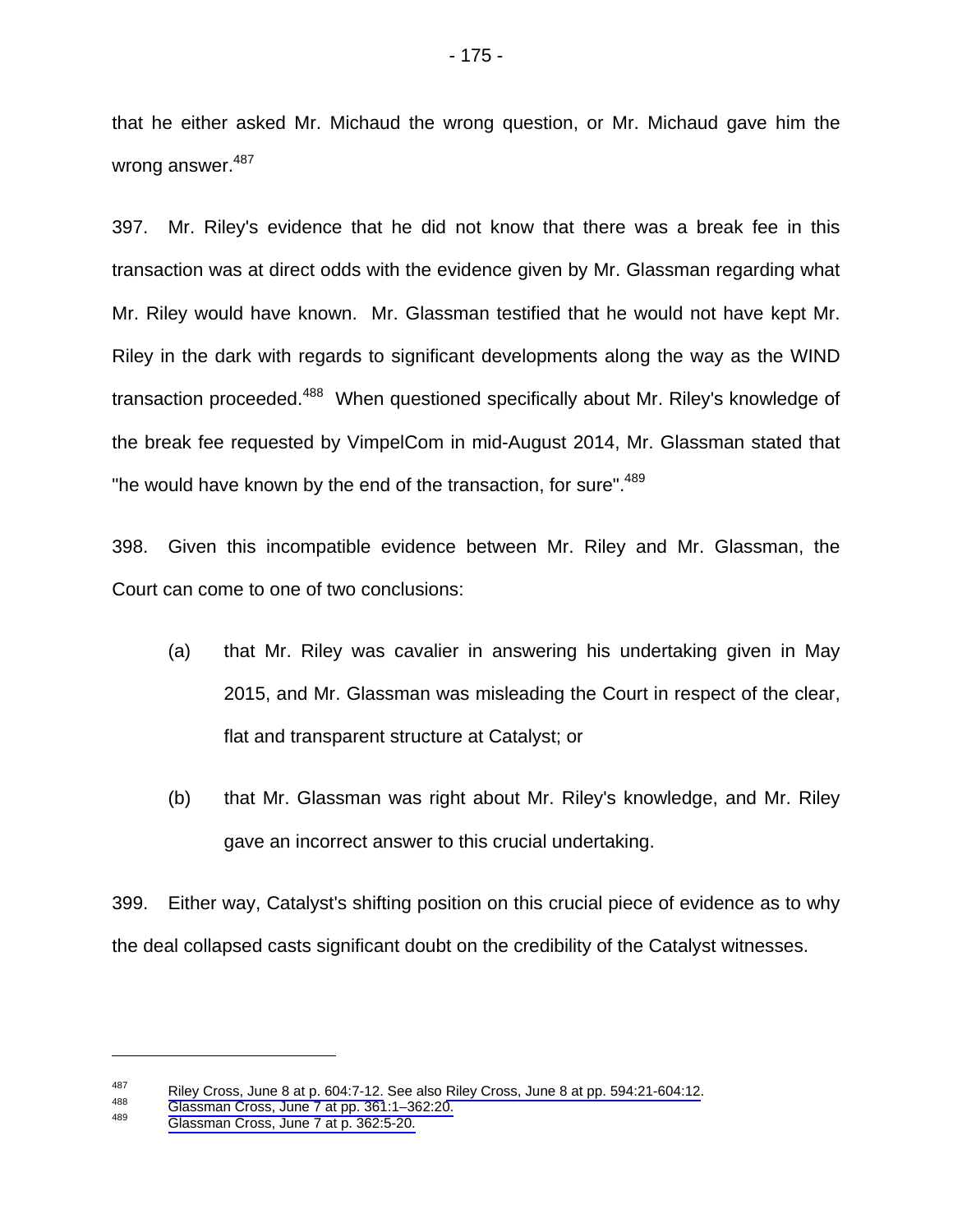that he either asked Mr. Michaud the wrong question, or Mr. Michaud gave him the wrong answer.<sup>487</sup>

397. Mr. Riley's evidence that he did not know that there was a break fee in this transaction was at direct odds with the evidence given by Mr. Glassman regarding what Mr. Riley would have known. Mr. Glassman testified that he would not have kept Mr. Riley in the dark with regards to significant developments along the way as the WIND transaction proceeded.<sup>488</sup> When questioned specifically about Mr. Riley's knowledge of the break fee requested by VimpelCom in mid-August 2014, Mr. Glassman stated that "he would have known by the end of the transaction, for sure".<sup>489</sup>

398. Given this incompatible evidence between Mr. Riley and Mr. Glassman, the Court can come to one of two conclusions:

- (a) that Mr. Riley was cavalier in answering his undertaking given in May 2015, and Mr. Glassman was misleading the Court in respect of the clear, flat and transparent structure at Catalyst; or
- (b) that Mr. Glassman was right about Mr. Riley's knowledge, and Mr. Riley gave an incorrect answer to this crucial undertaking.

399. Either way, Catalyst's shifting position on this crucial piece of evidence as to why the deal collapsed casts significant doubt on the credibility of the Catalyst witnesses.

<sup>&</sup>lt;sup>487</sup> [Riley Cross, June 8 at p. 604:7-12. See also Riley Cross, June 8 at pp. 594:21-604:12](#page-1-0).<br>
Glassman Cross, June 7 at pp. 361:1–362:20.<br>
Glassman Cross, June 7 at p. 362:5-20.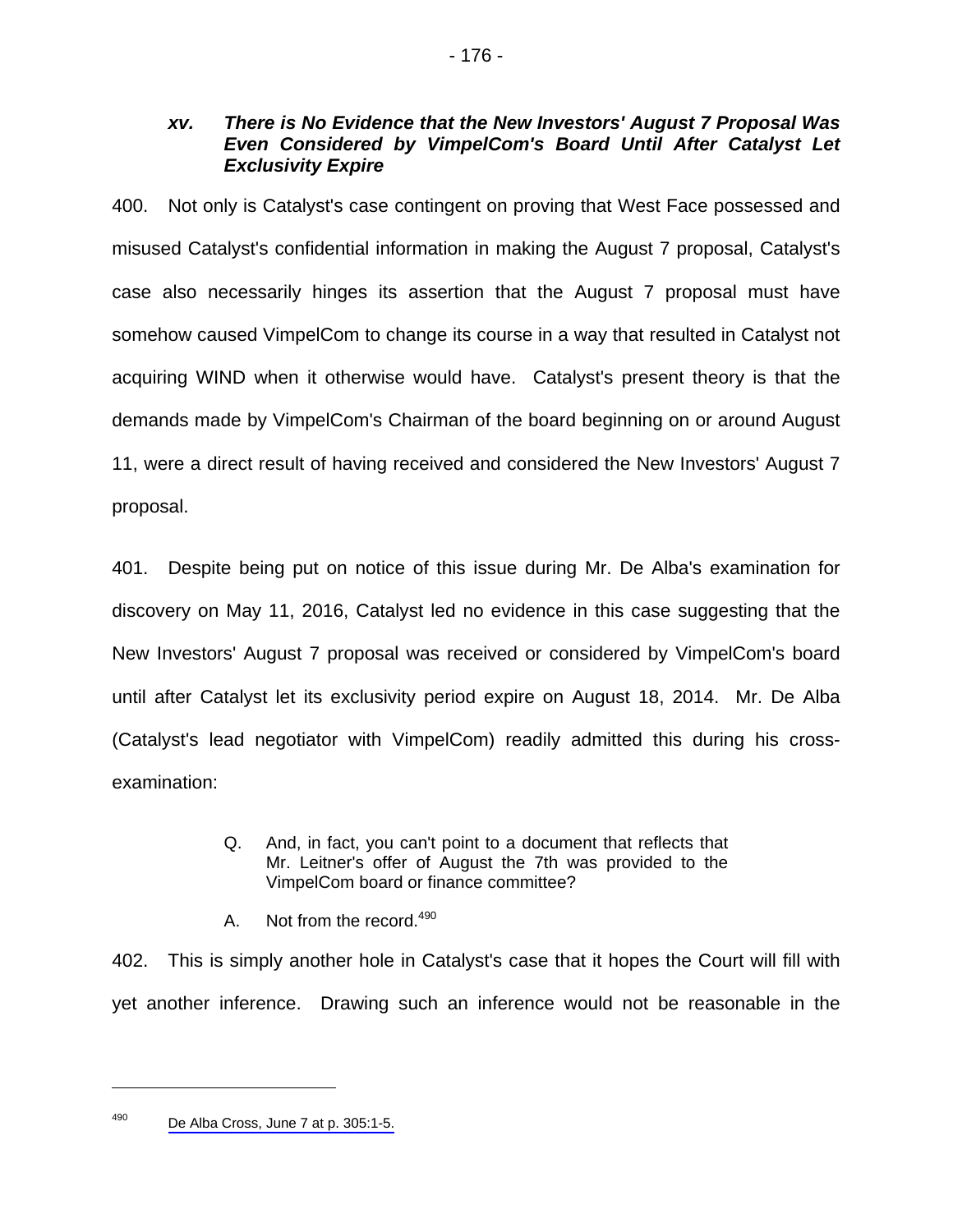### *xv. There is No Evidence that the New Investors' August 7 Proposal Was Even Considered by VimpelCom's Board Until After Catalyst Let Exclusivity Expire*

400. Not only is Catalyst's case contingent on proving that West Face possessed and misused Catalyst's confidential information in making the August 7 proposal, Catalyst's case also necessarily hinges its assertion that the August 7 proposal must have somehow caused VimpelCom to change its course in a way that resulted in Catalyst not acquiring WIND when it otherwise would have. Catalyst's present theory is that the demands made by VimpelCom's Chairman of the board beginning on or around August 11, were a direct result of having received and considered the New Investors' August 7 proposal.

401. Despite being put on notice of this issue during Mr. De Alba's examination for discovery on May 11, 2016, Catalyst led no evidence in this case suggesting that the New Investors' August 7 proposal was received or considered by VimpelCom's board until after Catalyst let its exclusivity period expire on August 18, 2014. Mr. De Alba (Catalyst's lead negotiator with VimpelCom) readily admitted this during his crossexamination:

- Q. And, in fact, you can't point to a document that reflects that Mr. Leitner's offer of August the 7th was provided to the VimpelCom board or finance committee?
- A. Not from the record.<sup>490</sup>

402. This is simply another hole in Catalyst's case that it hopes the Court will fill with yet another inference. Drawing such an inference would not be reasonable in the

<sup>490</sup> [De Alba Cross, June 7 at p. 305:1-5.](#page-1-0)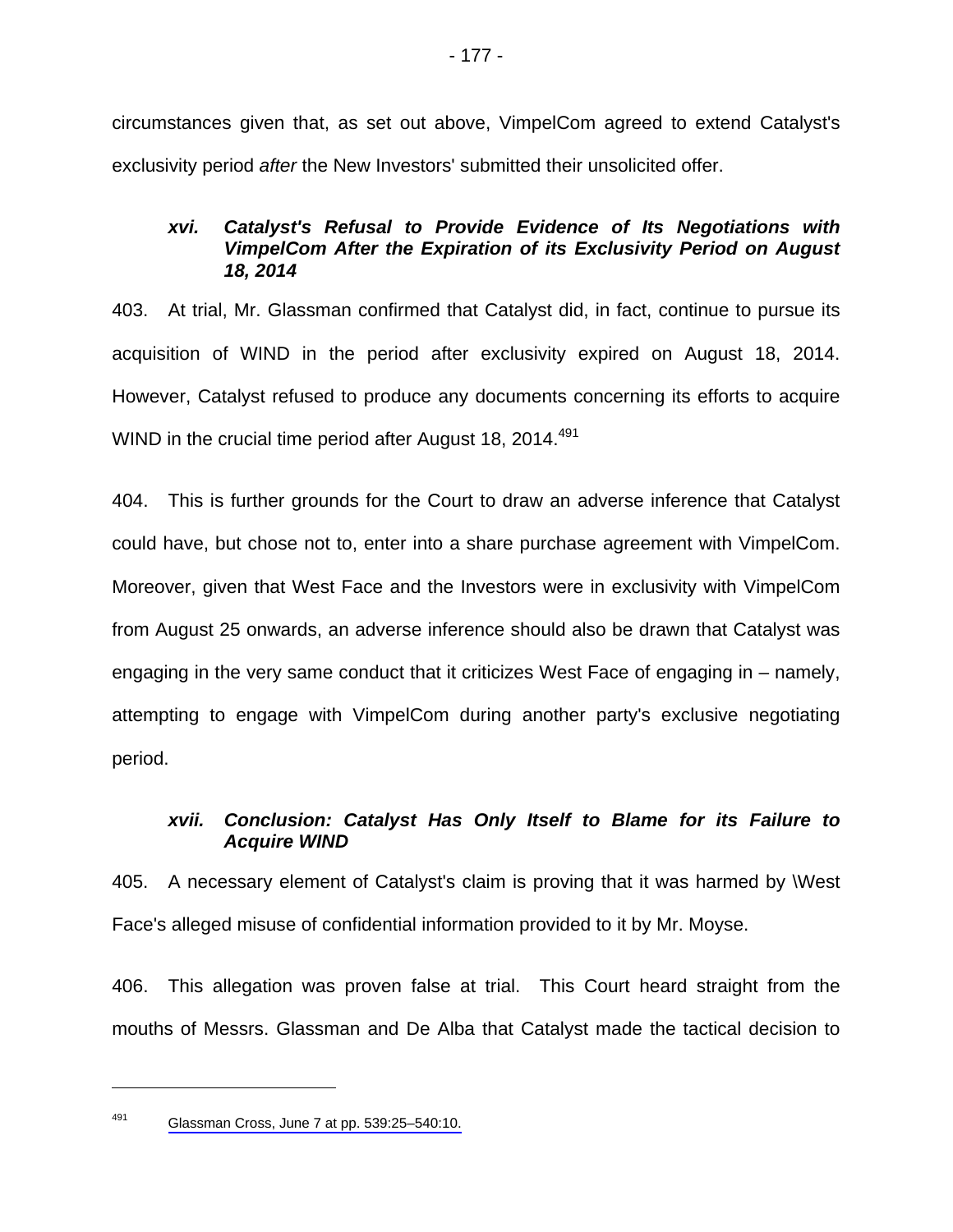circumstances given that, as set out above, VimpelCom agreed to extend Catalyst's exclusivity period *after* the New Investors' submitted their unsolicited offer.

# *xvi. Catalyst's Refusal to Provide Evidence of Its Negotiations with VimpelCom After the Expiration of its Exclusivity Period on August 18, 2014*

403. At trial, Mr. Glassman confirmed that Catalyst did, in fact, continue to pursue its acquisition of WIND in the period after exclusivity expired on August 18, 2014. However, Catalyst refused to produce any documents concerning its efforts to acquire WIND in the crucial time period after August 18, 2014.<sup>491</sup>

404. This is further grounds for the Court to draw an adverse inference that Catalyst could have, but chose not to, enter into a share purchase agreement with VimpelCom. Moreover, given that West Face and the Investors were in exclusivity with VimpelCom from August 25 onwards, an adverse inference should also be drawn that Catalyst was engaging in the very same conduct that it criticizes West Face of engaging in – namely, attempting to engage with VimpelCom during another party's exclusive negotiating period.

# *xvii. Conclusion: Catalyst Has Only Itself to Blame for its Failure to Acquire WIND*

405. A necessary element of Catalyst's claim is proving that it was harmed by \West Face's alleged misuse of confidential information provided to it by Mr. Moyse.

406. This allegation was proven false at trial. This Court heard straight from the mouths of Messrs. Glassman and De Alba that Catalyst made the tactical decision to

<sup>491</sup> [Glassman Cross, June 7 at pp. 539:25–540:10.](#page-1-0)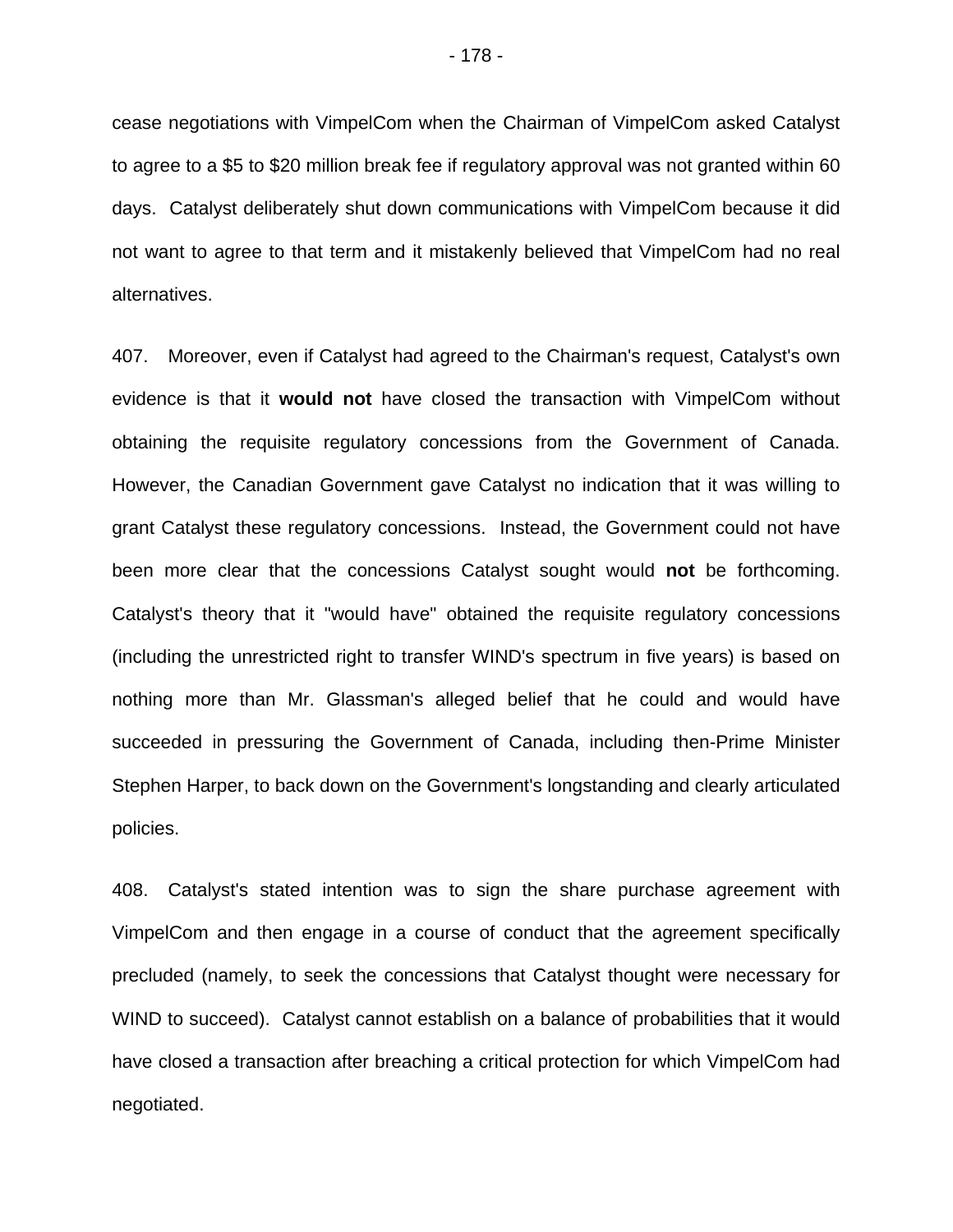cease negotiations with VimpelCom when the Chairman of VimpelCom asked Catalyst to agree to a \$5 to \$20 million break fee if regulatory approval was not granted within 60 days. Catalyst deliberately shut down communications with VimpelCom because it did not want to agree to that term and it mistakenly believed that VimpelCom had no real alternatives.

407. Moreover, even if Catalyst had agreed to the Chairman's request, Catalyst's own evidence is that it **would not** have closed the transaction with VimpelCom without obtaining the requisite regulatory concessions from the Government of Canada. However, the Canadian Government gave Catalyst no indication that it was willing to grant Catalyst these regulatory concessions. Instead, the Government could not have been more clear that the concessions Catalyst sought would **not** be forthcoming. Catalyst's theory that it "would have" obtained the requisite regulatory concessions (including the unrestricted right to transfer WIND's spectrum in five years) is based on nothing more than Mr. Glassman's alleged belief that he could and would have succeeded in pressuring the Government of Canada, including then-Prime Minister Stephen Harper, to back down on the Government's longstanding and clearly articulated policies.

408. Catalyst's stated intention was to sign the share purchase agreement with VimpelCom and then engage in a course of conduct that the agreement specifically precluded (namely, to seek the concessions that Catalyst thought were necessary for WIND to succeed). Catalyst cannot establish on a balance of probabilities that it would have closed a transaction after breaching a critical protection for which VimpelCom had negotiated.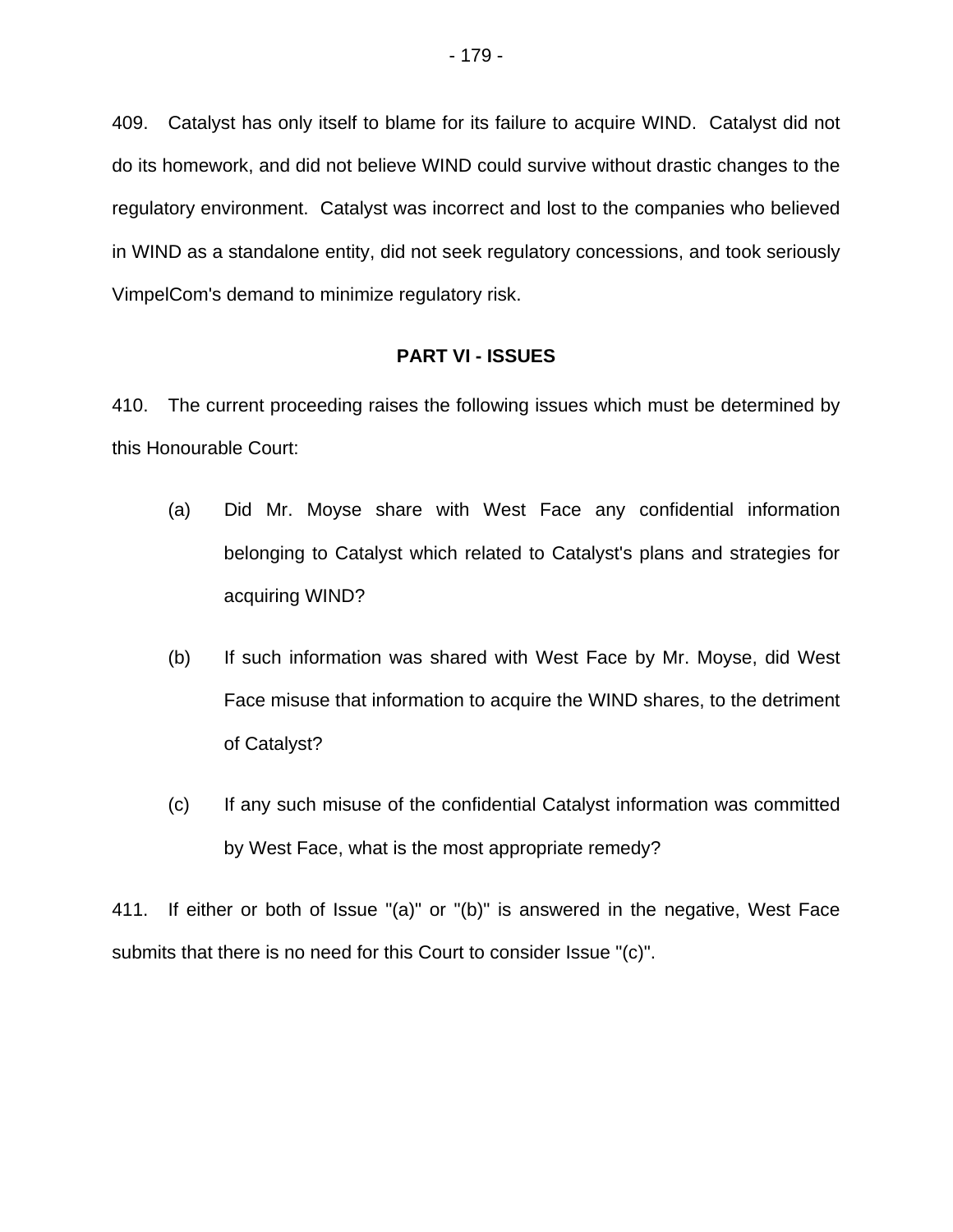409. Catalyst has only itself to blame for its failure to acquire WIND. Catalyst did not do its homework, and did not believe WIND could survive without drastic changes to the regulatory environment. Catalyst was incorrect and lost to the companies who believed in WIND as a standalone entity, did not seek regulatory concessions, and took seriously VimpelCom's demand to minimize regulatory risk.

#### **PART VI - ISSUES**

410. The current proceeding raises the following issues which must be determined by this Honourable Court:

- (a) Did Mr. Moyse share with West Face any confidential information belonging to Catalyst which related to Catalyst's plans and strategies for acquiring WIND?
- (b) If such information was shared with West Face by Mr. Moyse, did West Face misuse that information to acquire the WIND shares, to the detriment of Catalyst?
- (c) If any such misuse of the confidential Catalyst information was committed by West Face, what is the most appropriate remedy?

411. If either or both of Issue "(a)" or "(b)" is answered in the negative, West Face submits that there is no need for this Court to consider Issue "(c)".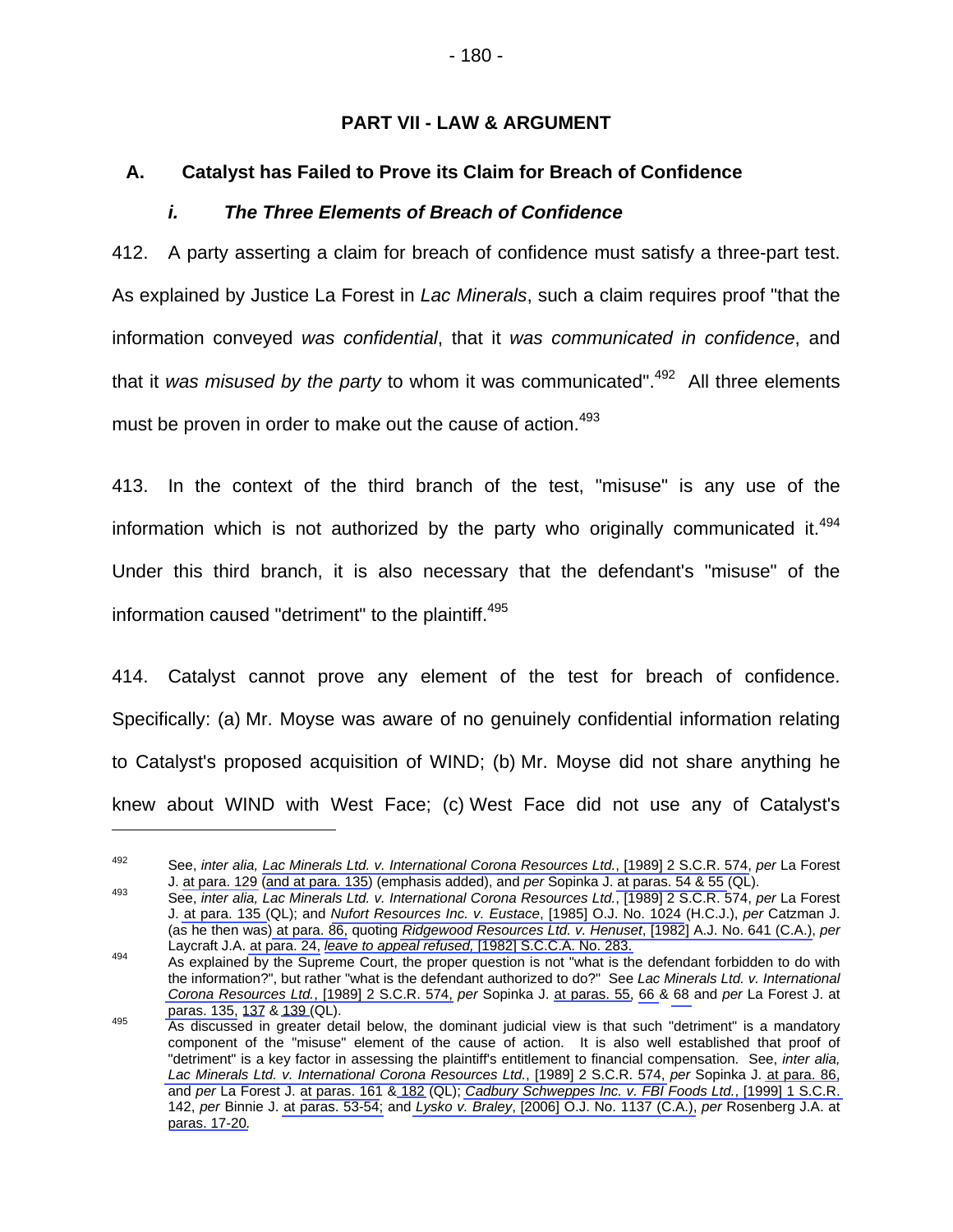# **A. Catalyst has Failed to Prove its Claim for Breach of Confidence**

### *i. The Three Elements of Breach of Confidence*

412. A party asserting a claim for breach of confidence must satisfy a three-part test. As explained by Justice La Forest in *Lac Minerals*, such a claim requires proof "that the information conveyed *was confidential*, that it *was communicated in confidence*, and that it *was misused by the party* to whom it was communicated".<sup>492</sup> All three elements must be proven in order to make out the cause of action.<sup>493</sup>

413. In the context of the third branch of the test, "misuse" is any use of the information which is not authorized by the party who originally communicated it.<sup>494</sup> Under this third branch, it is also necessary that the defendant's "misuse" of the information caused "detriment" to the plaintiff.<sup>495</sup>

414. Catalyst cannot prove any element of the test for breach of confidence. Specifically: (a) Mr. Moyse was aware of no genuinely confidential information relating to Catalyst's proposed acquisition of WIND; (b) Mr. Moyse did not share anything he knew about WIND with West Face; (c) West Face did not use any of Catalyst's

<sup>492</sup> See, *inter alia, Lac Minerals Ltd. v. International Corona Resources Ltd.*, [1989] 2 S.C.R. 574, *per* La Forest

<sup>&</sup>lt;sup>493</sup> See, *inter alia, Lac Minerals Ltd. v. International Corona Resources Ltd.*, [1989] 2 S.C.R. 574, *per* La Forest J. [at para. 135 \(](#page-49-0)QL); and *Nufort Resources Inc. v. Eustace*, [1985] O.J. No. 1024 (H.C.J.), *per* Catzman J. (as he then was[\) at para. 86,](#page-21-0) quoting *Ridgewood Resources Ltd. v. Henuset*, [1982] A.J. No. 641 (C.A.), *per*  Laycraft J.A. [at para. 24,](#page-6-0) *leave to appeal refused*, [1982] S.C.C.A. No. 283.<br><sup>494</sup> As explained by the Supreme Court, the proper question is not "what is the defendant forbidden to do with

the information?", but rather "what is the defendant authorized to do?" See *Lac Minerals Ltd. v. International Corona Resources Ltd.*, [1989] 2 S.C.R. 574, *per* Sopinka J. [at paras. 55,](#page-26-0) [66](#page-30-0) & [68](#page-30-0) and *per* La Forest J. at [paras. 135,](#page-49-0) [137](#page-49-0) & [139](#page-51-0) (QL).<br><sup>495</sup> As discussed in greater detail below, the dominant judicial view is that such "detriment" is a mandatory

component of the "misuse" element of the cause of action. It is also well established that proof of "detriment" is a key factor in assessing the plaintiff's entitlement to financial compensation. See, *inter alia, Lac Minerals Ltd. v. International Corona Resources Ltd.*, [1989] 2 S.C.R. 574, *per* Sopinka J. [at para. 86,](#page-34-0) and *per* La Forest J. [at paras. 161](#page-61-0) & [182](#page-70-0) (QL); *Cadbury Schweppes Inc. v. FBI Foods Ltd.*, [1999] 1 S.C.R. 142, *per* Binnie J. [at paras. 53-54;](#page-22-0) and *Lysko v. Braley*, [2006] O.J. No. 1137 (C.A.), *per* Rosenberg J.A. at [paras. 17-20](#page-8-0)*.*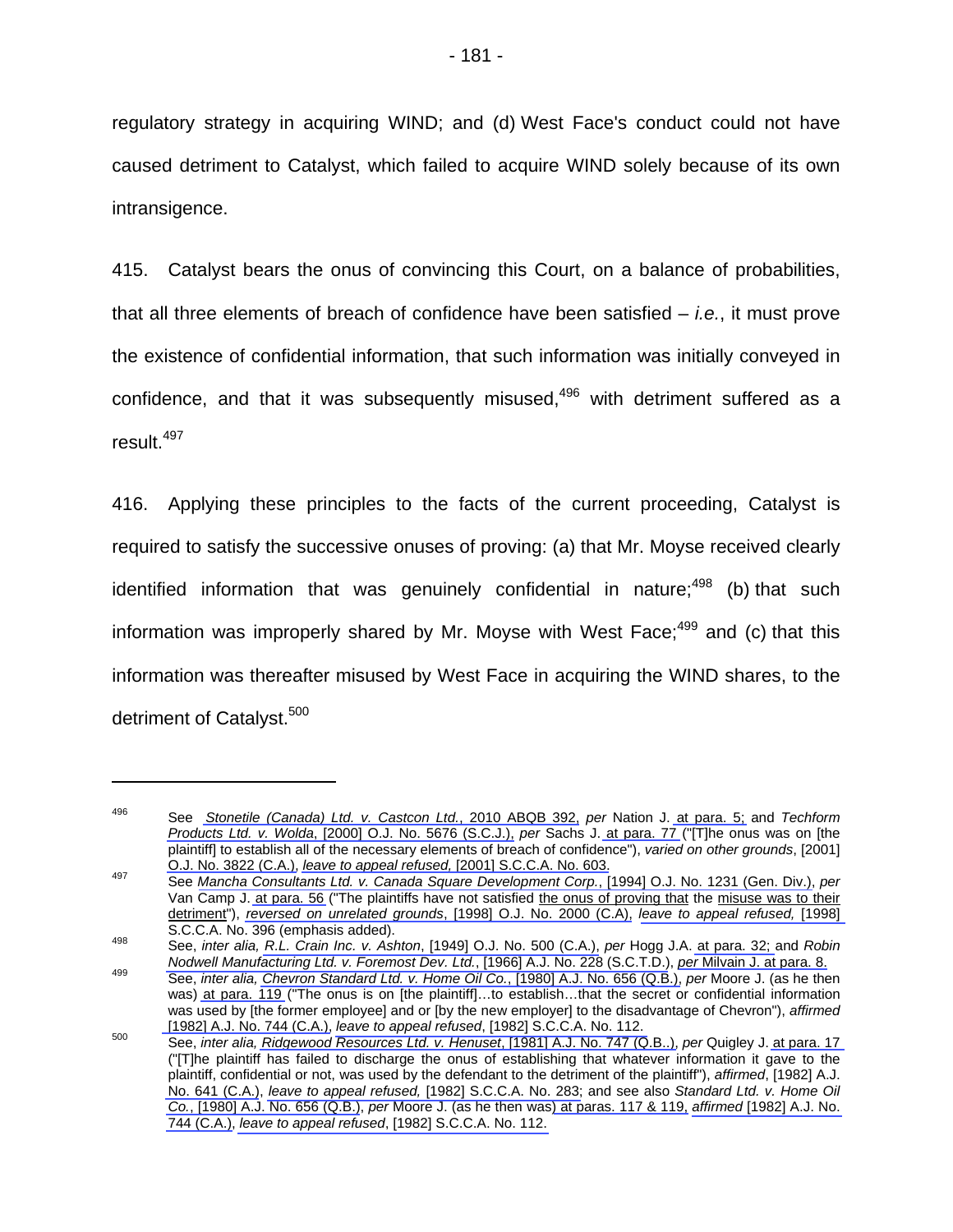regulatory strategy in acquiring WIND; and (d) West Face's conduct could not have caused detriment to Catalyst, which failed to acquire WIND solely because of its own intransigence.

415. Catalyst bears the onus of convincing this Court, on a balance of probabilities, that all three elements of breach of confidence have been satisfied – *i.e.*, it must prove the existence of confidential information, that such information was initially conveyed in confidence, and that it was subsequently misused, $496$  with detriment suffered as a result.<sup>497</sup>

416. Applying these principles to the facts of the current proceeding, Catalyst is required to satisfy the successive onuses of proving: (a) that Mr. Moyse received clearly identified information that was genuinely confidential in nature;  $498$  (b) that such information was improperly shared by Mr. Moyse with West Face;  $499$  and (c) that this information was thereafter misused by West Face in acquiring the WIND shares, to the detriment of Catalyst.<sup>500</sup>

<sup>496</sup> See *Stonetile (Canada) Ltd. v. Castcon Ltd.*, 2010 ABQB 392, *per* Nation J. [at para. 5;](#page-5-0) and *Techform Products Ltd. v. Wolda*, [2000] O.J. No. 5676 (S.C.J.), *per* Sachs J. [at para. 77](#page-19-0) ("[T]he onus was on [the plaintiff] to establish all of the necessary elements of breach of confidence"), *varied on other grounds*, [2001]

O.J. No. 3822 (C.A.), *leave to appeal refused,* [2001] S.C.C.A. No. 603. 497 See *Mancha Consultants Ltd. v. Canada Square Development Corp.*, [1994] O.J. No. 1231 (Gen. Div.), *per*  Van Camp J. [at para. 56](#page-14-0) ("The plaintiffs have not satisfied the onus of proving that the misuse was to their detriment"), *reversed on unrelated grounds*, [1998] O.J. No. 2000 (C.A), *leave to appeal refused,* [1998]

S.C.C.A. No. 396 (emphasis added).<br>498 See, *inter alia, R.L. Crain Inc. v. Ashton*, [1949] O.J. No. 500 (C.A.), *per* Hogg J.A. [at para. 32;](#page-8-0) and *Robin*<br>498 Nodwell Manufacturing Ltd. v. Foremost Dev. Ltd., [1966] A.J. No

<sup>&</sup>lt;sup>499</sup> See, *inter alia, Chevron Standard Ltd. v. Home Oil Co.*, [1980] A.J. No. 656 (Q.B.), *per Moore J.* (as he then was) [at para. 119](#page-28-0) ("The onus is on [the plaintiff]...to establish...that the secret or confidential information was used by [the former employee] and or [by the new employer] to the disadvantage of Chevron"), *affirmed*

<sup>[1982]</sup> A.J. No. 744 (C.A.), *leave to appeal refused*, [1982] S.C.C.A. No. 112. 500 See, *inter alia, Ridgewood Resources Ltd. v. Henuset*, [1981] A.J. No. 747 (Q.B..), *per* Quigley J. [at para. 17](#page-5-0)  ("[T]he plaintiff has failed to discharge the onus of establishing that whatever information it gave to the plaintiff, confidential or not, was used by the defendant to the detriment of the plaintiff"), *affirmed*, [1982] A.J. No. 641 (C.A.), *leave to appeal refused,* [1982] S.C.C.A. No. 283; and see also *Standard Ltd. v. Home Oil Co.*, [1980] A.J. No. 656 (Q.B.), *per* Moore J. (as he then was[\) at paras. 117 & 119,](#page-28-0) *affirmed* [1982] A.J. No. 744 (C.A.), *leave to appeal refused*, [1982] S.C.C.A. No. 112.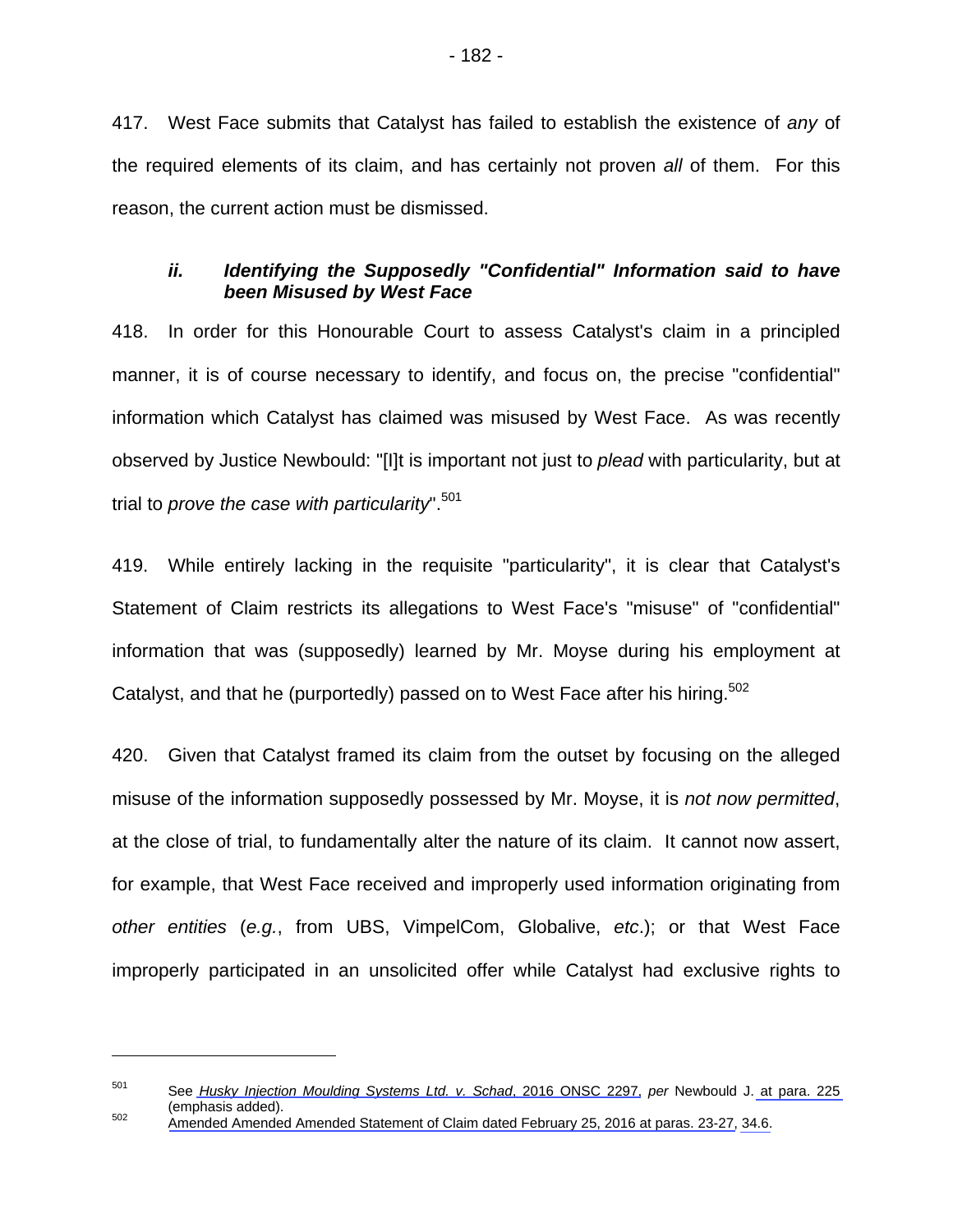417. West Face submits that Catalyst has failed to establish the existence of *any* of the required elements of its claim, and has certainly not proven *all* of them. For this reason, the current action must be dismissed.

### *ii. Identifying the Supposedly "Confidential" Information said to have been Misused by West Face*

418. In order for this Honourable Court to assess Catalyst's claim in a principled manner, it is of course necessary to identify, and focus on, the precise "confidential" information which Catalyst has claimed was misused by West Face. As was recently observed by Justice Newbould: "[I]t is important not just to *plead* with particularity, but at trial to *prove the case with particularity*".501

419. While entirely lacking in the requisite "particularity", it is clear that Catalyst's Statement of Claim restricts its allegations to West Face's "misuse" of "confidential" information that was (supposedly) learned by Mr. Moyse during his employment at Catalyst, and that he (purportedly) passed on to West Face after his hiring.<sup>502</sup>

420. Given that Catalyst framed its claim from the outset by focusing on the alleged misuse of the information supposedly possessed by Mr. Moyse, it is *not now permitted*, at the close of trial, to fundamentally alter the nature of its claim. It cannot now assert, for example, that West Face received and improperly used information originating from *other entities* (*e.g.*, from UBS, VimpelCom, Globalive, *etc*.); or that West Face improperly participated in an unsolicited offer while Catalyst had exclusive rights to

<sup>501</sup> See *Husky Injection Moulding Systems Ltd. v. Schad*, 2016 ONSC 2297, *per* Newbould J. [at para. 225](#page-57-0)  (emphasis added).<br><sup>502</sup> [Amended Amended Amended Statement of Claim dated February 25, 2016 at paras. 23-27,](#page-11-0) [34.6.](#page-14-0)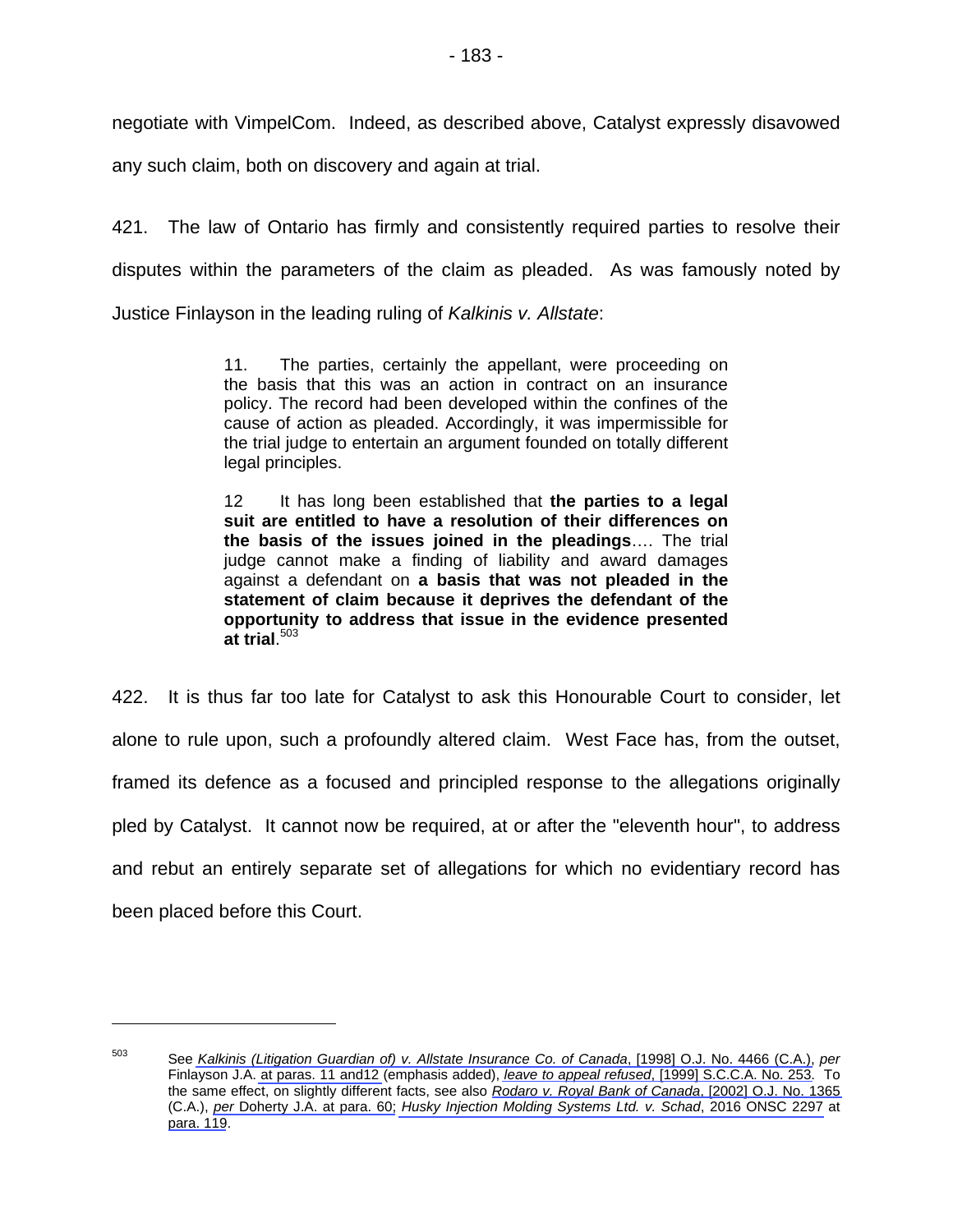negotiate with VimpelCom. Indeed, as described above, Catalyst expressly disavowed any such claim, both on discovery and again at trial.

421. The law of Ontario has firmly and consistently required parties to resolve their disputes within the parameters of the claim as pleaded. As was famously noted by Justice Finlayson in the leading ruling of *Kalkinis v. Allstate*:

> 11. The parties, certainly the appellant, were proceeding on the basis that this was an action in contract on an insurance policy. The record had been developed within the confines of the cause of action as pleaded. Accordingly, it was impermissible for the trial judge to entertain an argument founded on totally different legal principles.

> 12 It has long been established that **the parties to a legal suit are entitled to have a resolution of their differences on the basis of the issues joined in the pleadings**…. The trial judge cannot make a finding of liability and award damages against a defendant on **a basis that was not pleaded in the statement of claim because it deprives the defendant of the opportunity to address that issue in the evidence presented at trial**. 503

422. It is thus far too late for Catalyst to ask this Honourable Court to consider, let alone to rule upon, such a profoundly altered claim. West Face has, from the outset, framed its defence as a focused and principled response to the allegations originally pled by Catalyst. It cannot now be required, at or after the "eleventh hour", to address and rebut an entirely separate set of allegations for which no evidentiary record has been placed before this Court.

<sup>503</sup> See *Kalkinis (Litigation Guardian of) v. Allstate Insurance Co. of Canada*, [1998] O.J. No. 4466 (C.A.), *per* Finlayson J.A. [at paras. 11 and12](#page-4-0) (emphasis added), *leave to appeal refused*, [1999] S.C.C.A. No. 253. To the same effect, on slightly different facts, see also *Rodaro v. Royal Bank of Canada*, [2002] O.J. No. 1365 (C.A.), *per* [Doherty J.A. at para. 60;](#page-15-0) *Husky Injection Molding Systems Ltd. v. Schad*, 2016 ONSC 2297 at [para. 119](#page-34-0).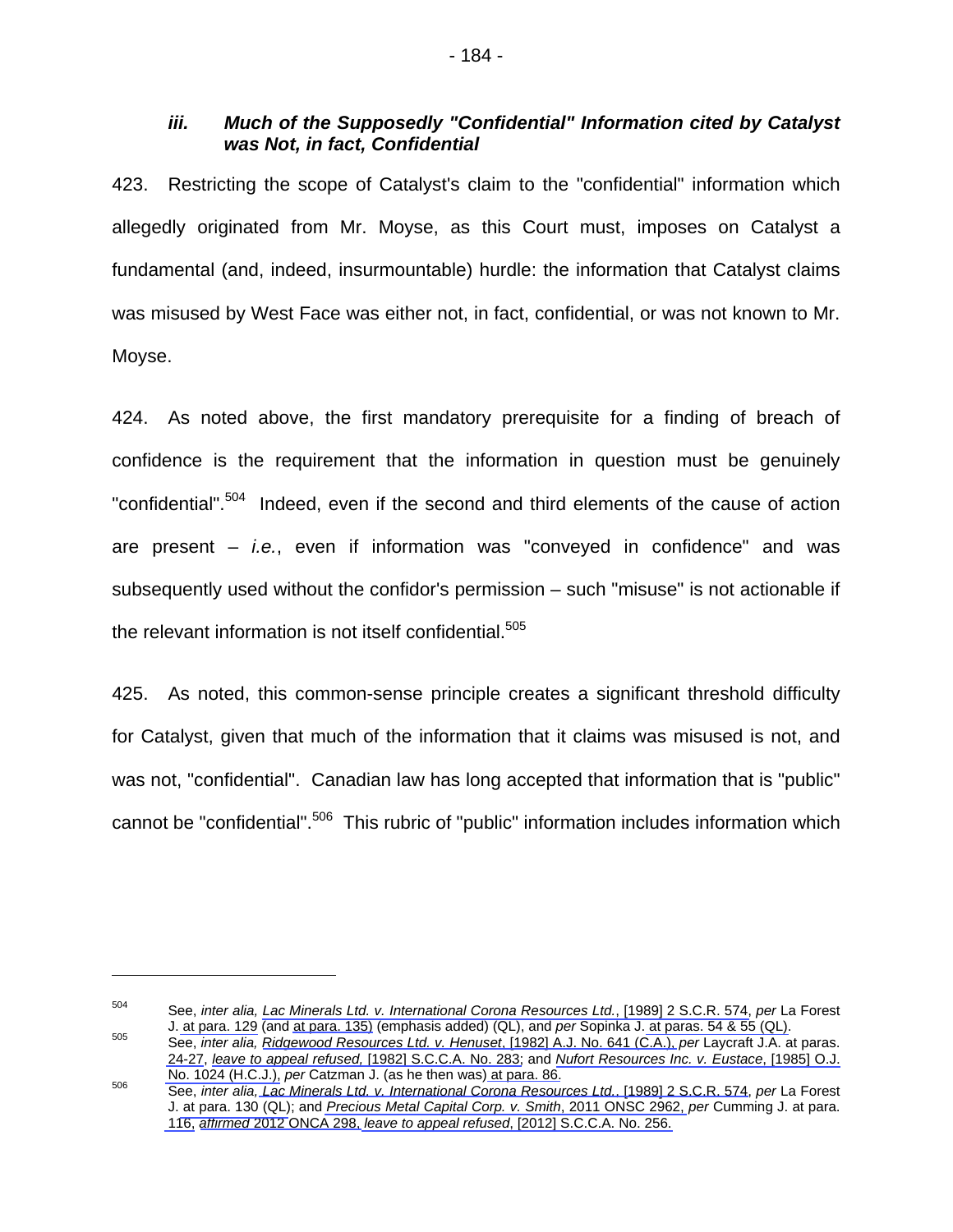## *iii. Much of the Supposedly "Confidential" Information cited by Catalyst was Not, in fact, Confidential*

423. Restricting the scope of Catalyst's claim to the "confidential" information which allegedly originated from Mr. Moyse, as this Court must, imposes on Catalyst a fundamental (and, indeed, insurmountable) hurdle: the information that Catalyst claims was misused by West Face was either not, in fact, confidential, or was not known to Mr. Moyse.

424. As noted above, the first mandatory prerequisite for a finding of breach of confidence is the requirement that the information in question must be genuinely "confidential".<sup>504</sup> Indeed, even if the second and third elements of the cause of action are present – *i.e.*, even if information was "conveyed in confidence" and was subsequently used without the confidor's permission – such "misuse" is not actionable if the relevant information is not itself confidential.<sup>505</sup>

425. As noted, this common-sense principle creates a significant threshold difficulty for Catalyst, given that much of the information that it claims was misused is not, and was not, "confidential". Canadian law has long accepted that information that is "public" cannot be "confidential".<sup>506</sup> This rubric of "public" information includes information which

<sup>504</sup> See, *inter alia, Lac Minerals Ltd. v. International Corona Resources Ltd.*, [1989] 2 S.C.R. 574, *per* La Forest

See, *inter alia, Ridgewood Resources Ltd. v. Henuset*, [1982] A.J. No. 641 (C.A.), *per Laycraft J.A. at paras.* [24-27](#page-6-0), *leave to appeal refused,* [1982] S.C.C.A. No. 283; and *Nufort Resources Inc. v. Eustace*, [1985] O.J.

No. 1024 (H.C.J.), *per* Catzman J. (as he then was) [at para. 86.](#page-21-0) 506 See, *inter alia, Lac Minerals Ltd. v. International Corona Resources Ltd.*, [1989] 2 S.C.R. 574, *per* La Forest J. [at para. 130 \(QL\)](#page-46-0); and *Precious Metal Capital Corp. v. Smith*, 2011 ONSC 2962, *per* Cumming J. at para. [116,](#page-19-0) *affirmed* 2012 ONCA 298, *leave to appeal refused*, [2012] S.C.C.A. No. 256.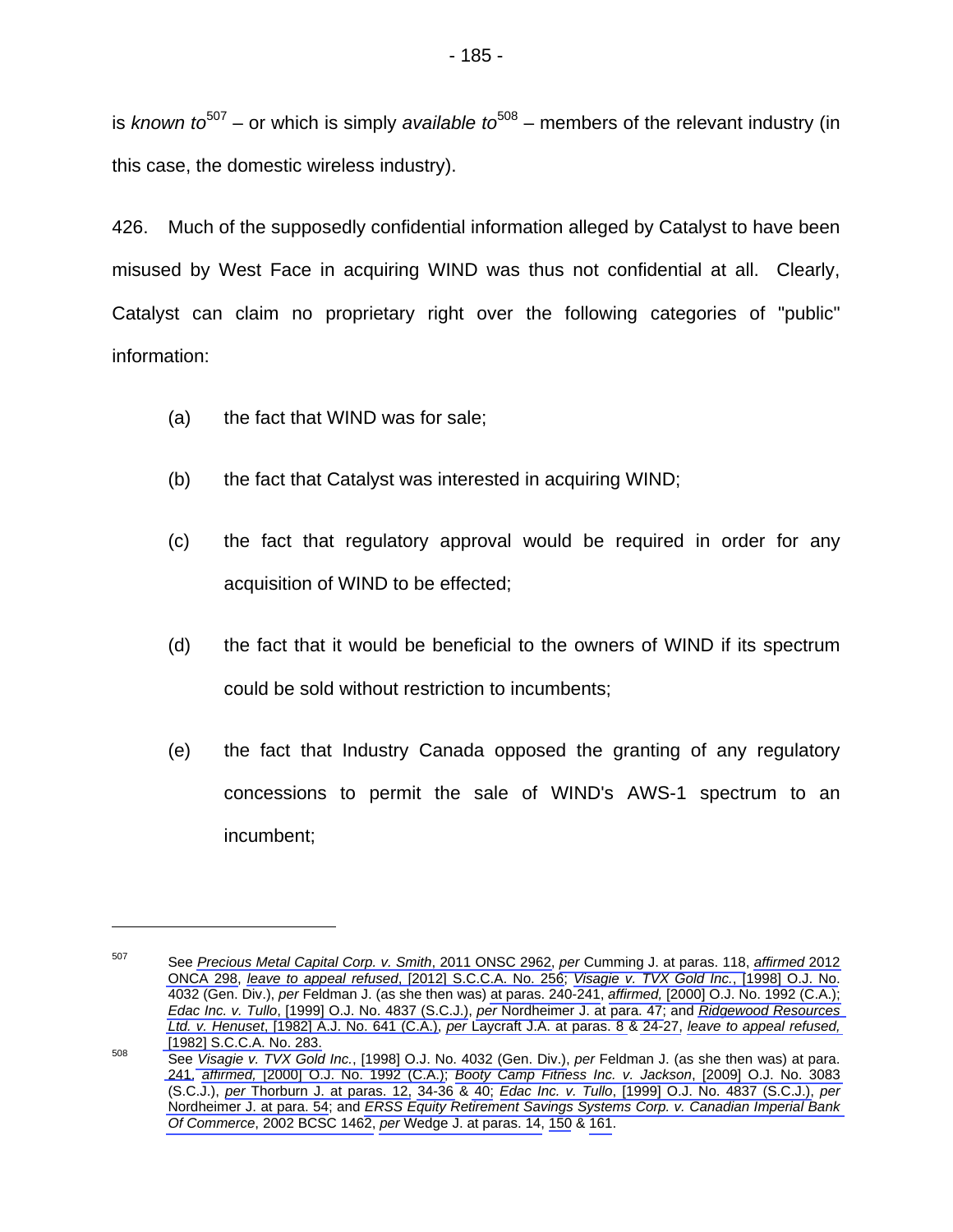is *known to*<sup>507</sup> – or which is simply *available to*<sup>508</sup> – members of the relevant industry (in this case, the domestic wireless industry).

426. Much of the supposedly confidential information alleged by Catalyst to have been misused by West Face in acquiring WIND was thus not confidential at all. Clearly, Catalyst can claim no proprietary right over the following categories of "public" information:

(a) the fact that WIND was for sale;

- (b) the fact that Catalyst was interested in acquiring WIND;
- (c) the fact that regulatory approval would be required in order for any acquisition of WIND to be effected;
- (d) the fact that it would be beneficial to the owners of WIND if its spectrum could be sold without restriction to incumbents;
- (e) the fact that Industry Canada opposed the granting of any regulatory concessions to permit the sale of WIND's AWS-1 spectrum to an incumbent;

<sup>507</sup> See *Precious Metal Capital Corp. v. Smith*, 2011 ONSC 2962, *per* [Cumming J. at paras. 118](#page-20-0), *affirmed* 2012 ONCA 298, *leave to appeal refused*, [2012] S.C.C.A. No. 256; *Visagie v. TVX Gold Inc.*, [1998] O.J. No. 4032 (Gen. Div.), *per* Feldman J. (as she then was) [at paras. 240-241,](#page-55-0) *affirmed,* [2000] O.J. No. 1992 (C.A.); *Edac Inc. v. Tullo*, [1999] O.J. No. 4837 (S.C.J.), *per* [Nordheimer J. at para. 47;](#page-14-0) and *Ridgewood Resources Ltd. v. Henuset*, [1982] A.J. No. 641 (C.A.), *per* [Laycraft J.A. at paras. 8](#page-2-0) & [24-27,](#page-6-0) *leave to appeal refused,* 

<sup>[1982]</sup> S.C.C.A. No. 283. 508 See *Visagie v. TVX Gold Inc.*, [1998] O.J. No. 4032 (Gen. Div.), *per* Feldman J. (as she then was) at para. [241,](#page-55-0) *affirmed,* [2000] O.J. No. 1992 (C.A.); *Booty Camp Fitness Inc. v. Jackson*, [2009] O.J. No. 3083 (S.C.J.), *per* [Thorburn J. at paras. 12,](#page-4-0) [34-36](#page-8-0) & [40;](#page-8-0) *Edac Inc. v. Tullo*, [1999] O.J. No. 4837 (S.C.J.), *per*  [Nordheimer J. at para. 54](#page-16-0); and *ERSS Equity Retirement Savings Systems Corp. v. Canadian Imperial Bank Of Commerce*, 2002 BCSC 1462, *per* [Wedge J. at paras. 14,](#page-4-0) [150](#page-32-0) & [161](#page-33-0).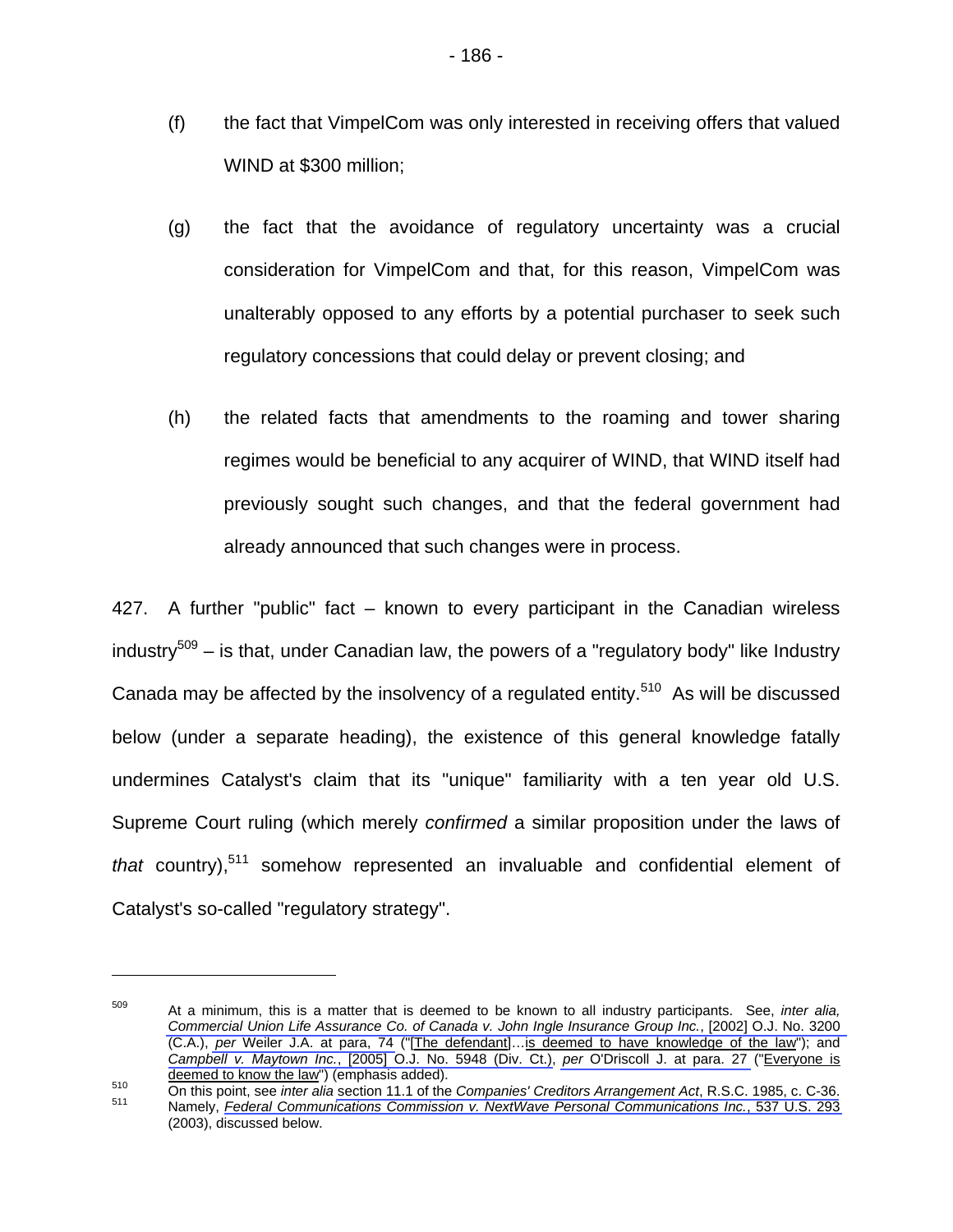- (g) the fact that the avoidance of regulatory uncertainty was a crucial consideration for VimpelCom and that, for this reason, VimpelCom was unalterably opposed to any efforts by a potential purchaser to seek such regulatory concessions that could delay or prevent closing; and
- (h) the related facts that amendments to the roaming and tower sharing regimes would be beneficial to any acquirer of WIND, that WIND itself had previously sought such changes, and that the federal government had already announced that such changes were in process.

427. A further "public" fact – known to every participant in the Canadian wireless industry<sup>509</sup> – is that, under Canadian law, the powers of a "regulatory body" like Industry Canada may be affected by the insolvency of a regulated entity.<sup>510</sup> As will be discussed below (under a separate heading), the existence of this general knowledge fatally undermines Catalyst's claim that its "unique" familiarity with a ten year old U.S. Supreme Court ruling (which merely *confirmed* a similar proposition under the laws of *that* country),511 somehow represented an invaluable and confidential element of Catalyst's so-called "regulatory strategy".

<sup>509</sup> At a minimum, this is a matter that is deemed to be known to all industry participants. See, *inter alia, Commercial Union Life Assurance Co. of Canada v. John Ingle Insurance Group Inc.*, [2002] O.J. No. 3200 (C.A.), *per* [Weiler J.A. at para, 74](#page-18-0) ("[The defendant]…is deemed to have knowledge of the law"); and *Campbell v. Maytown Inc.*, [2005] O.J. No. 5948 (Div. Ct.), *per* [O'Driscoll J. at para. 27](#page-8-0) ("Everyone is

deemed to know the law") (emphasis added).<br><sup>510</sup> On this point, see *inter alia* section 11.1 of the Companies' Creditors Arrangement Act[, R.S.C. 1985, c. C-36.](#page-24-0)<br><sup>511</sup> Namely, *Federal Communications Commission v. NextWave* (2003), discussed below.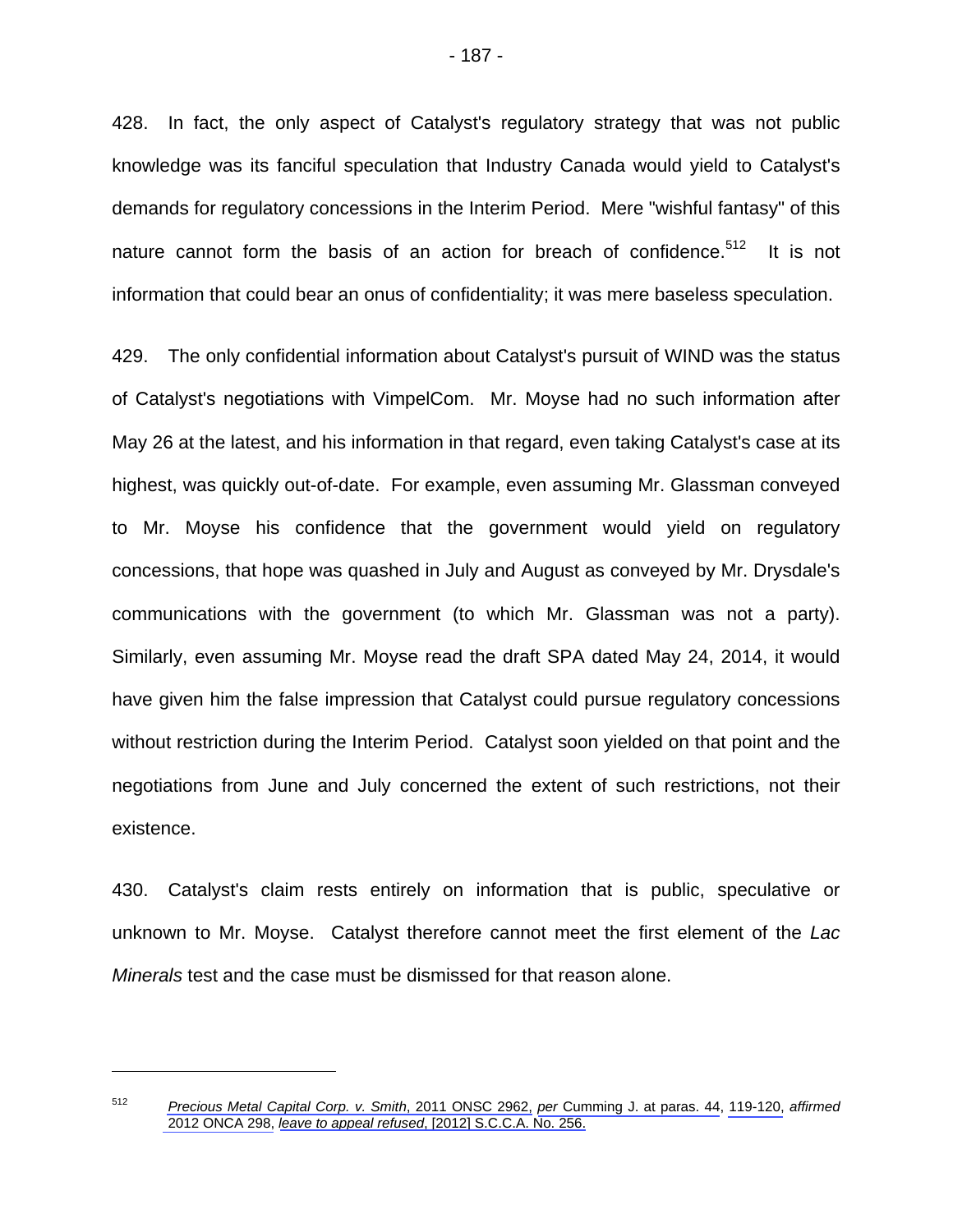428. In fact, the only aspect of Catalyst's regulatory strategy that was not public knowledge was its fanciful speculation that Industry Canada would yield to Catalyst's demands for regulatory concessions in the Interim Period. Mere "wishful fantasy" of this nature cannot form the basis of an action for breach of confidence.<sup>512</sup> It is not information that could bear an onus of confidentiality; it was mere baseless speculation.

429. The only confidential information about Catalyst's pursuit of WIND was the status of Catalyst's negotiations with VimpelCom. Mr. Moyse had no such information after May 26 at the latest, and his information in that regard, even taking Catalyst's case at its highest, was quickly out-of-date. For example, even assuming Mr. Glassman conveyed to Mr. Moyse his confidence that the government would yield on regulatory concessions, that hope was quashed in July and August as conveyed by Mr. Drysdale's communications with the government (to which Mr. Glassman was not a party). Similarly, even assuming Mr. Moyse read the draft SPA dated May 24, 2014, it would have given him the false impression that Catalyst could pursue regulatory concessions without restriction during the Interim Period. Catalyst soon yielded on that point and the negotiations from June and July concerned the extent of such restrictions, not their existence.

430. Catalyst's claim rests entirely on information that is public, speculative or unknown to Mr. Moyse. Catalyst therefore cannot meet the first element of the *Lac Minerals* test and the case must be dismissed for that reason alone.

<sup>512</sup> *Precious Metal Capital Corp. v. Smith*, 2011 ONSC 2962, *per* [Cumming J. at paras. 44,](#page-8-0) [119-120,](#page-20-0) *affirmed* 2012 ONCA 298, *leave to appeal refused*, [2012] S.C.C.A. No. 256.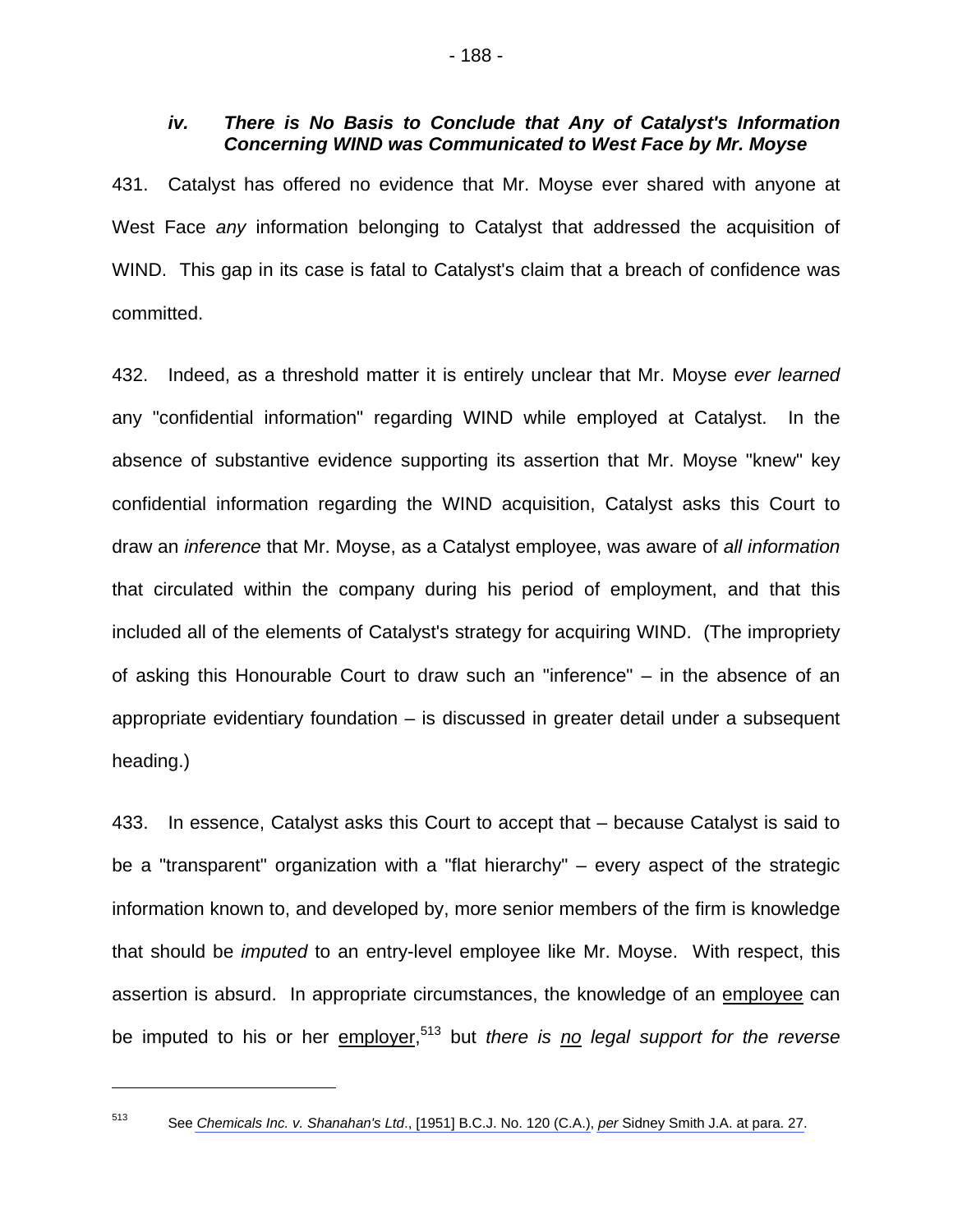431. Catalyst has offered no evidence that Mr. Moyse ever shared with anyone at West Face *any* information belonging to Catalyst that addressed the acquisition of WIND. This gap in its case is fatal to Catalyst's claim that a breach of confidence was committed.

432. Indeed, as a threshold matter it is entirely unclear that Mr. Moyse *ever learned* any "confidential information" regarding WIND while employed at Catalyst. In the absence of substantive evidence supporting its assertion that Mr. Moyse "knew" key confidential information regarding the WIND acquisition, Catalyst asks this Court to draw an *inference* that Mr. Moyse, as a Catalyst employee, was aware of *all information* that circulated within the company during his period of employment, and that this included all of the elements of Catalyst's strategy for acquiring WIND. (The impropriety of asking this Honourable Court to draw such an "inference" – in the absence of an appropriate evidentiary foundation – is discussed in greater detail under a subsequent heading.)

433. In essence, Catalyst asks this Court to accept that – because Catalyst is said to be a "transparent" organization with a "flat hierarchy" – every aspect of the strategic information known to, and developed by, more senior members of the firm is knowledge that should be *imputed* to an entry-level employee like Mr. Moyse. With respect, this assertion is absurd. In appropriate circumstances, the knowledge of an employee can be imputed to his or her employer,<sup>513</sup> but *there is no legal support for the reverse* 

<sup>513</sup> See *Chemicals Inc. v. Shanahan's Ltd*., [1951] B.C.J. No. 120 (C.A.), *per* [Sidney Smith J.A. at para. 27.](#page-5-0)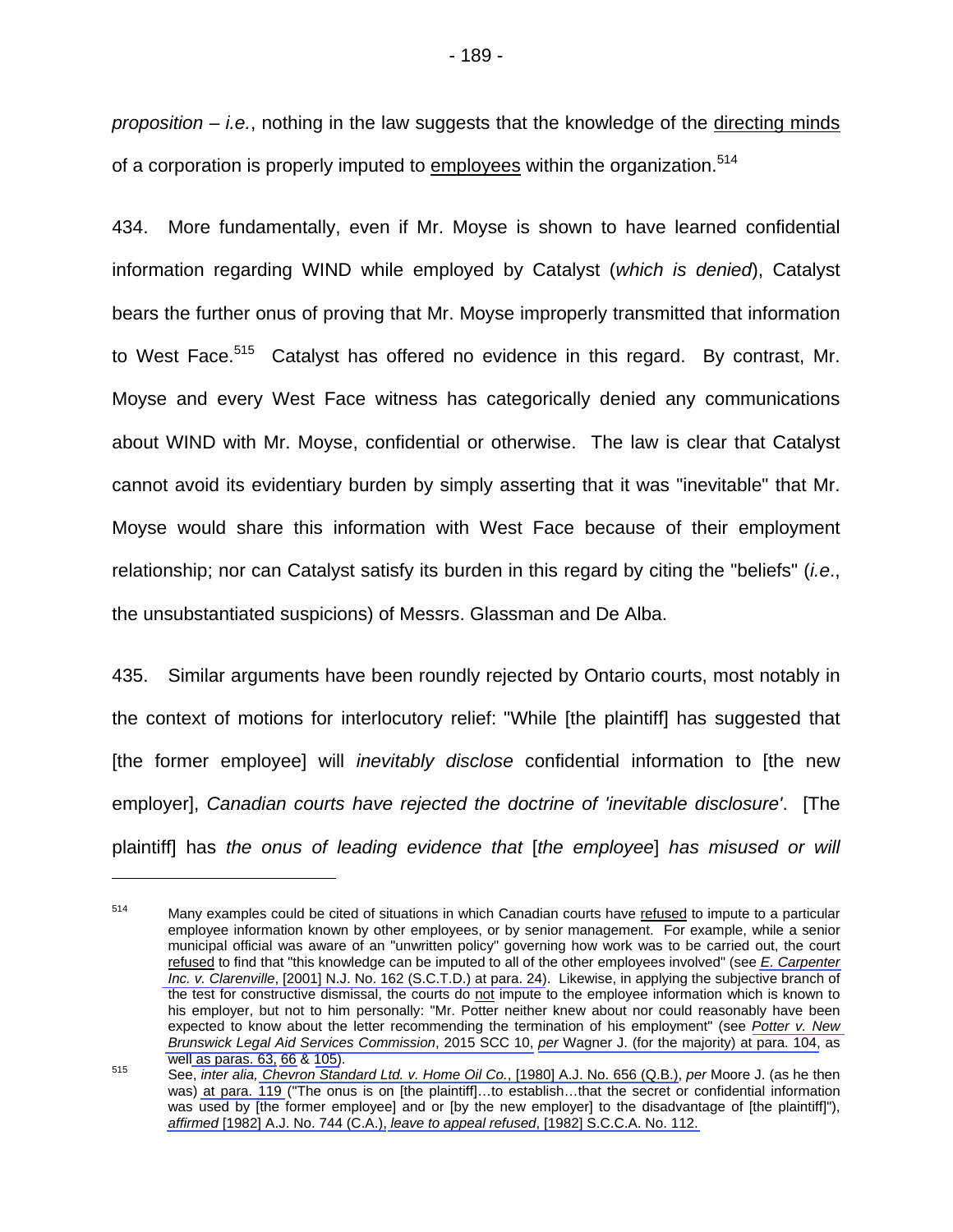*proposition* – *i.e.*, nothing in the law suggests that the knowledge of the directing minds of a corporation is properly imputed to employees within the organization.<sup>514</sup>

434. More fundamentally, even if Mr. Moyse is shown to have learned confidential information regarding WIND while employed by Catalyst (*which is denied*), Catalyst bears the further onus of proving that Mr. Moyse improperly transmitted that information to West Face.<sup>515</sup> Catalyst has offered no evidence in this regard. By contrast, Mr. Moyse and every West Face witness has categorically denied any communications about WIND with Mr. Moyse, confidential or otherwise. The law is clear that Catalyst cannot avoid its evidentiary burden by simply asserting that it was "inevitable" that Mr. Moyse would share this information with West Face because of their employment relationship; nor can Catalyst satisfy its burden in this regard by citing the "beliefs" (*i.e*., the unsubstantiated suspicions) of Messrs. Glassman and De Alba.

435. Similar arguments have been roundly rejected by Ontario courts, most notably in the context of motions for interlocutory relief: "While [the plaintiff] has suggested that [the former employee] will *inevitably disclose* confidential information to [the new employer], *Canadian courts have rejected the doctrine of 'inevitable disclosure'*. [The plaintiff] has *the onus of leading evidence that* [*the employee*] *has misused or will* 

<sup>514</sup> Many examples could be cited of situations in which Canadian courts have refused to impute to a particular employee information known by other employees, or by senior management. For example, while a senior municipal official was aware of an "unwritten policy" governing how work was to be carried out, the court refused to find that "this knowledge can be imputed to all of the other employees involved" (see *E. Carpenter Inc. v. Clarenville*, [2001] N.J. No. 162 (S.C.T.D.) [at para. 24\)](#page-4-0). Likewise, in applying the subjective branch of the test for constructive dismissal, the courts do not impute to the employee information which is known to his employer, but not to him personally: "Mr. Potter neither knew about nor could reasonably have been expected to know about the letter recommending the termination of his employment" (see *Potter v. New Brunswick Legal Aid Services Commission*, 2015 SCC 10, *per* [Wagner J. \(for the majority\) at para. 104,](#page-38-0) as

wel[l as paras. 63,](#page-27-0) [66](#page-28-0) & [105\)](#page-39-0).<br><sup>515</sup> See, *inter alia, Chevron Standard Ltd. v. Home Oil Co.*, [1980] A.J. No. 656 (Q.B.), *per* Moore J. (as he then was) [at para. 119](#page-28-0) ("The onus is on [the plaintiff]...to establish...that the secret or confidential information was used by [the former employee] and or [by the new employer] to the disadvantage of [the plaintiff]"), *affirmed* [1982] A.J. No. 744 (C.A.), *leave to appeal refused*, [1982] S.C.C.A. No. 112.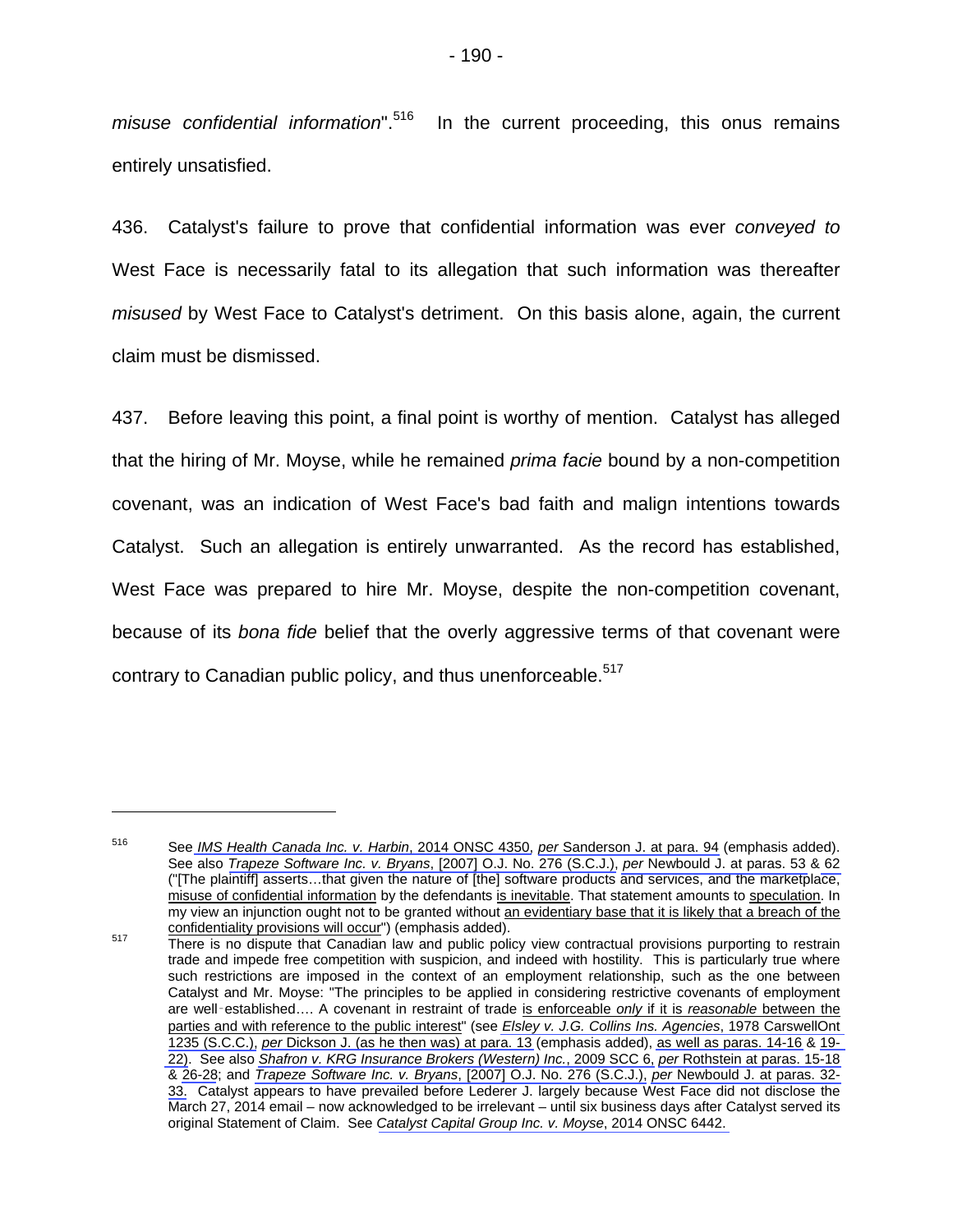*misuse confidential information*".<sup>516</sup> In the current proceeding, this onus remains entirely unsatisfied.

436. Catalyst's failure to prove that confidential information was ever *conveyed to*  West Face is necessarily fatal to its allegation that such information was thereafter *misused* by West Face to Catalyst's detriment. On this basis alone, again, the current claim must be dismissed.

437. Before leaving this point, a final point is worthy of mention. Catalyst has alleged that the hiring of Mr. Moyse, while he remained *prima facie* bound by a non-competition covenant, was an indication of West Face's bad faith and malign intentions towards Catalyst. Such an allegation is entirely unwarranted. As the record has established, West Face was prepared to hire Mr. Moyse, despite the non-competition covenant, because of its *bona fide* belief that the overly aggressive terms of that covenant were contrary to Canadian public policy, and thus unenforceable.<sup>517</sup>

<sup>516</sup> See *IMS Health Canada Inc. v. Harbin*, 2014 ONSC 4350, *per* [Sanderson J. at para. 94](#page-17-0) (emphasis added). See also *Trapeze Software Inc. v. Bryans*, [2007] O.J. No. 276 (S.C.J.), *per* [Newbould J. at paras. 53](#page-16-0) & [62](#page-18-0)  ("[The plaintiff] asserts…that given the nature of [the] software products and services, and the marketplace, misuse of confidential information by the defendants is inevitable. That statement amounts to speculation. In my view an injunction ought not to be granted without an evidentiary base that it is likely that a breach of the confidentiality provisions will occur") (emphasis added).

Example indicate that Canadian law and public policy view contractual provisions purporting to restrain<br>There is no dispute that Canadian law and public policy view contractual provisions purporting to restrain trade and impede free competition with suspicion, and indeed with hostility. This is particularly true where such restrictions are imposed in the context of an employment relationship, such as the one between Catalyst and Mr. Moyse: "The principles to be applied in considering restrictive covenants of employment are well‑established…. A covenant in restraint of trade is enforceable *only* if it is *reasonable* between the parties and with reference to the public interest" (see *Elsley v. J.G. Collins Ins. Agencies*, 1978 CarswellOnt 1235 (S.C.C.), *per* [Dickson J. \(as he then was\) at para. 13](#page-8-0) (emphasis added), [as well as paras. 14-16](#page-9-0) & [19-](#page-9-0) [22\).](#page-10-0) See also *Shafron v. KRG Insurance Brokers (Western) Inc.*, 2009 SCC 6, *per* [Rothstein at paras. 15-18](#page-8-0)  & [26-28](#page-11-0); and *Trapeze Software Inc. v. Bryans*, [2007] O.J. No. 276 (S.C.J.), *per* [Newbould J. at paras. 32-](#page-10-0) [33.](#page-10-0) Catalyst appears to have prevailed before Lederer J. largely because West Face did not disclose the March 27, 2014 email – now acknowledged to be irrelevant – until six business days after Catalyst served its original Statement of Claim. See *Catalyst Capital Group Inc. v. Moyse*, 2014 ONSC 6442.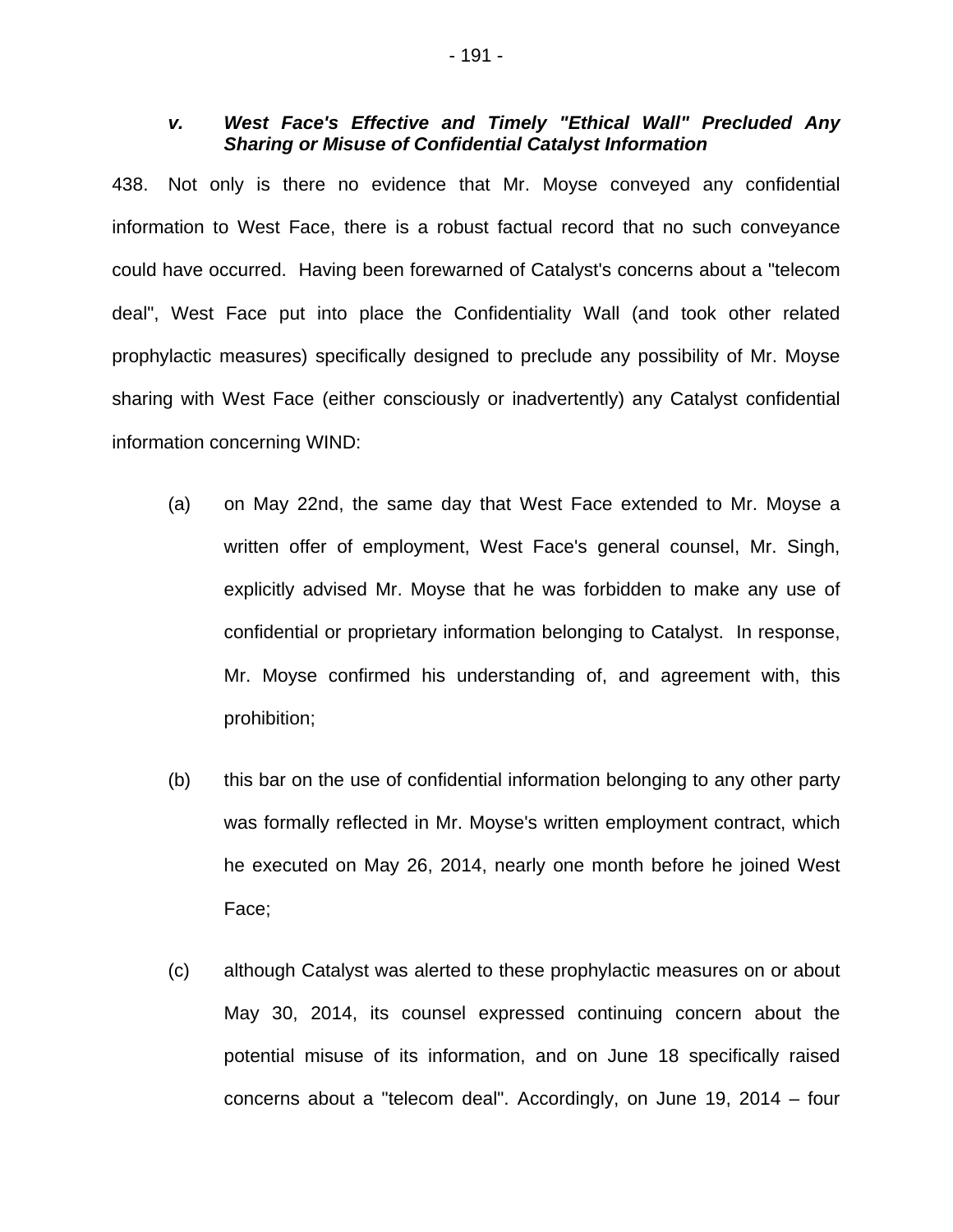### *v. West Face's Effective and Timely "Ethical Wall" Precluded Any Sharing or Misuse of Confidential Catalyst Information*

438. Not only is there no evidence that Mr. Moyse conveyed any confidential information to West Face, there is a robust factual record that no such conveyance could have occurred. Having been forewarned of Catalyst's concerns about a "telecom deal", West Face put into place the Confidentiality Wall (and took other related prophylactic measures) specifically designed to preclude any possibility of Mr. Moyse sharing with West Face (either consciously or inadvertently) any Catalyst confidential information concerning WIND:

- (a) on May 22nd, the same day that West Face extended to Mr. Moyse a written offer of employment, West Face's general counsel, Mr. Singh, explicitly advised Mr. Moyse that he was forbidden to make any use of confidential or proprietary information belonging to Catalyst. In response, Mr. Moyse confirmed his understanding of, and agreement with, this prohibition;
- (b) this bar on the use of confidential information belonging to any other party was formally reflected in Mr. Moyse's written employment contract, which he executed on May 26, 2014, nearly one month before he joined West Face;
- (c) although Catalyst was alerted to these prophylactic measures on or about May 30, 2014, its counsel expressed continuing concern about the potential misuse of its information, and on June 18 specifically raised concerns about a "telecom deal". Accordingly, on June 19, 2014 – four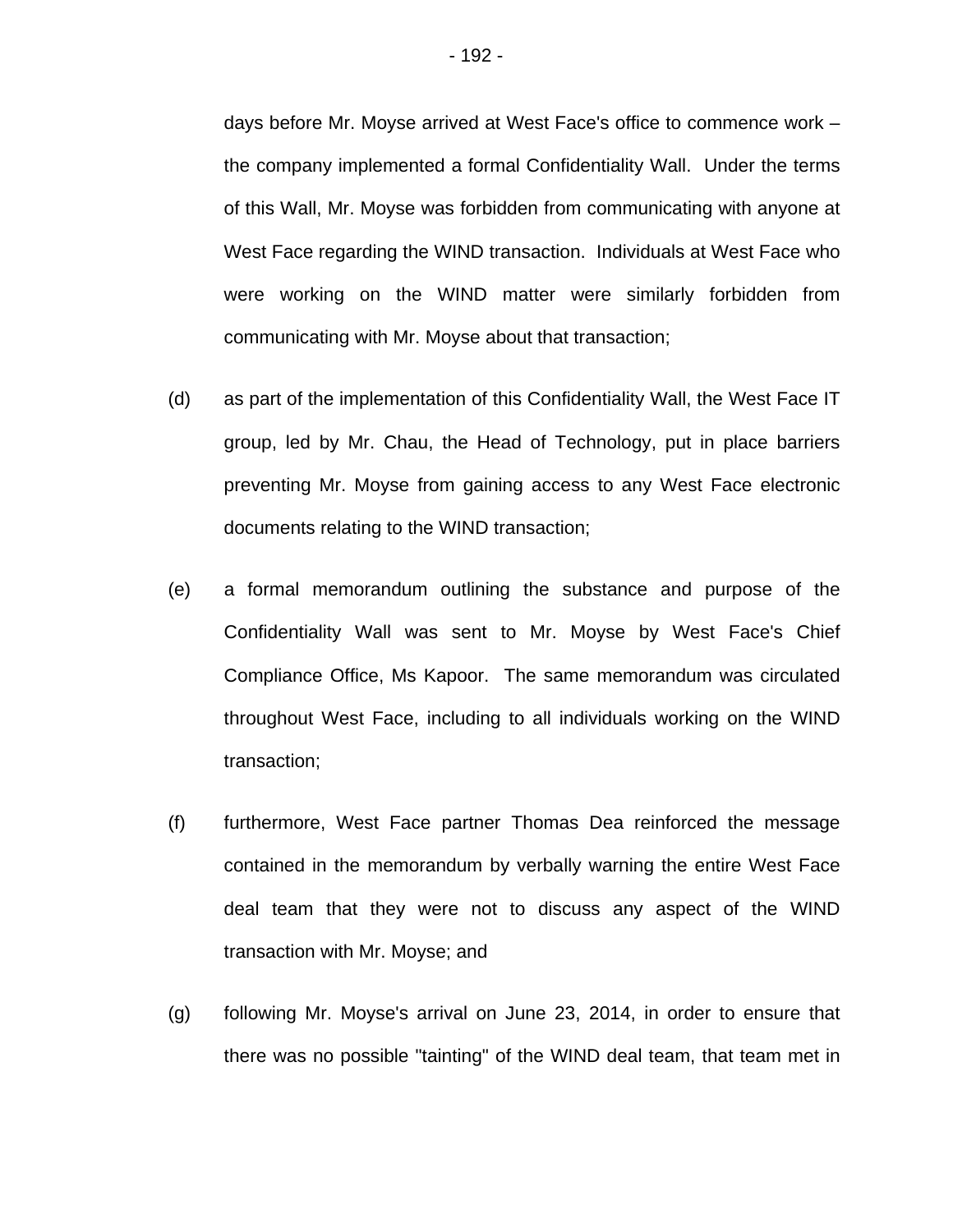days before Mr. Moyse arrived at West Face's office to commence work – the company implemented a formal Confidentiality Wall. Under the terms of this Wall, Mr. Moyse was forbidden from communicating with anyone at West Face regarding the WIND transaction. Individuals at West Face who were working on the WIND matter were similarly forbidden from communicating with Mr. Moyse about that transaction;

- (d) as part of the implementation of this Confidentiality Wall, the West Face IT group, led by Mr. Chau, the Head of Technology, put in place barriers preventing Mr. Moyse from gaining access to any West Face electronic documents relating to the WIND transaction;
- (e) a formal memorandum outlining the substance and purpose of the Confidentiality Wall was sent to Mr. Moyse by West Face's Chief Compliance Office, Ms Kapoor. The same memorandum was circulated throughout West Face, including to all individuals working on the WIND transaction;
- (f) furthermore, West Face partner Thomas Dea reinforced the message contained in the memorandum by verbally warning the entire West Face deal team that they were not to discuss any aspect of the WIND transaction with Mr. Moyse; and
- (g) following Mr. Moyse's arrival on June 23, 2014, in order to ensure that there was no possible "tainting" of the WIND deal team, that team met in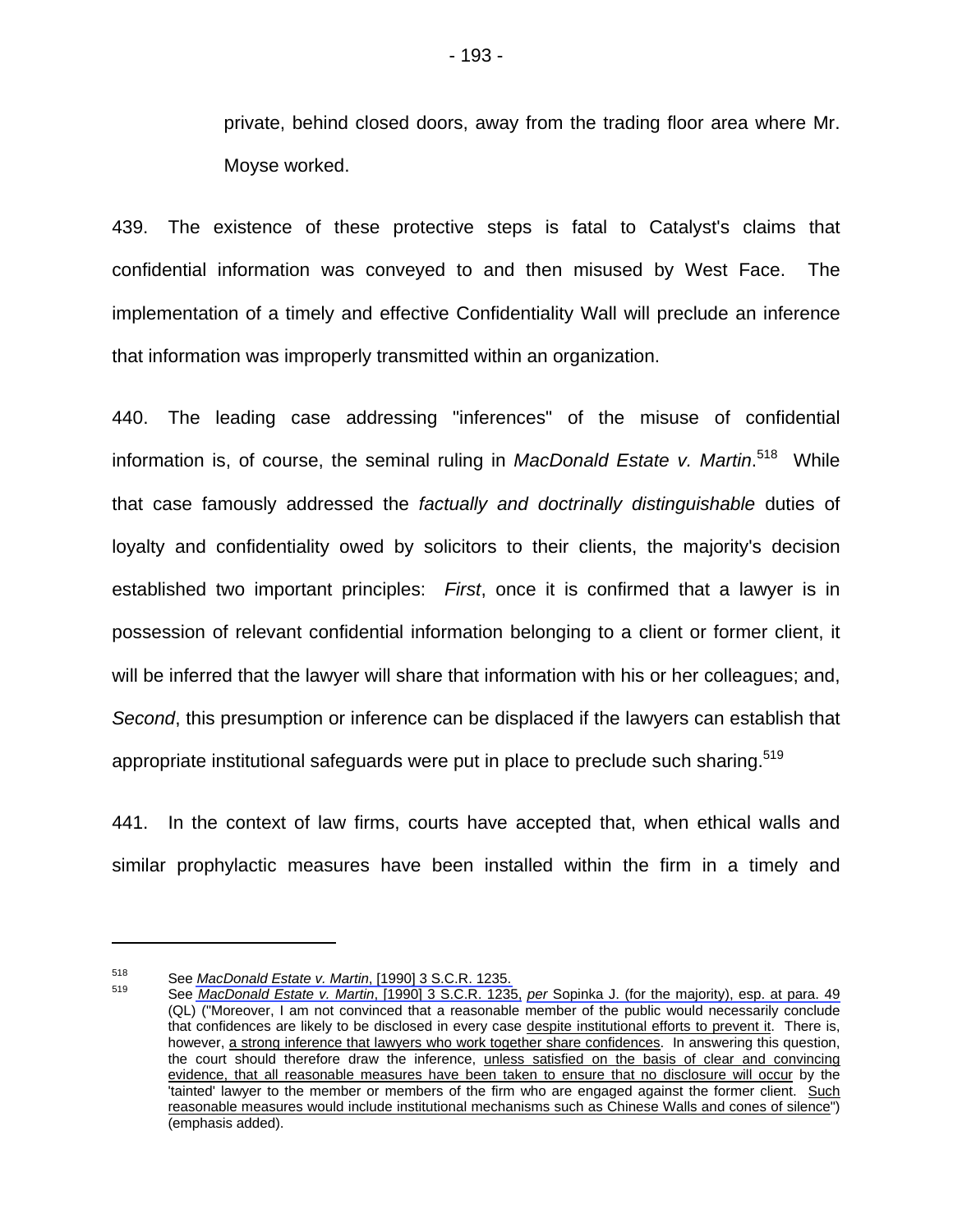private, behind closed doors, away from the trading floor area where Mr. Moyse worked.

439. The existence of these protective steps is fatal to Catalyst's claims that confidential information was conveyed to and then misused by West Face. The implementation of a timely and effective Confidentiality Wall will preclude an inference that information was improperly transmitted within an organization.

440. The leading case addressing "inferences" of the misuse of confidential information is, of course, the seminal ruling in *MacDonald Estate v. Martin*. 518 While that case famously addressed the *factually and doctrinally distinguishable* duties of loyalty and confidentiality owed by solicitors to their clients, the majority's decision established two important principles: *First*, once it is confirmed that a lawyer is in possession of relevant confidential information belonging to a client or former client, it will be inferred that the lawyer will share that information with his or her colleagues; and, *Second*, this presumption or inference can be displaced if the lawyers can establish that appropriate institutional safeguards were put in place to preclude such sharing.<sup>519</sup>

441. In the context of law firms, courts have accepted that, when ethical walls and similar prophylactic measures have been installed within the firm in a timely and

<sup>&</sup>lt;sup>518</sup> See *MacDonald Estate v. Martin*, [1990] 3 S.C.R. 1235.<br><sup>519</sup> See *MacDonald Estate v. Martin*, [1990] 3 S.C.R. 1235, *per* Sopinka J. (for the majority), esp. at para. 49 (QL) ("Moreover, I am not convinced that a reasonable member of the public would necessarily conclude that confidences are likely to be disclosed in every case despite institutional efforts to prevent it. There is, however, a strong inference that lawyers who work together share confidences. In answering this question, the court should therefore draw the inference, unless satisfied on the basis of clear and convincing evidence, that all reasonable measures have been taken to ensure that no disclosure will occur by the 'tainted' lawyer to the member or members of the firm who are engaged against the former client. Such reasonable measures would include institutional mechanisms such as Chinese Walls and cones of silence") (emphasis added).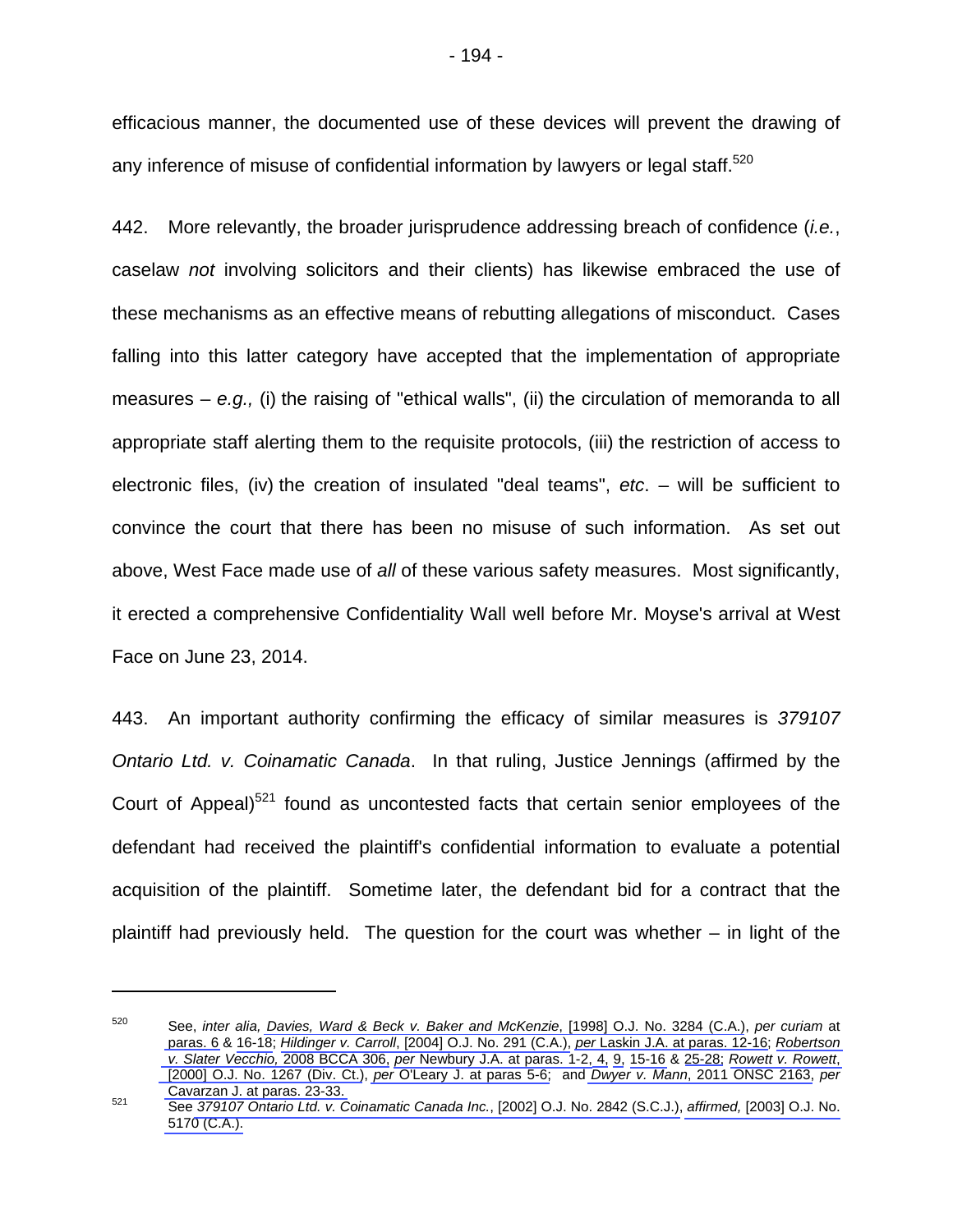efficacious manner, the documented use of these devices will prevent the drawing of any inference of misuse of confidential information by lawyers or legal staff.<sup>520</sup>

442. More relevantly, the broader jurisprudence addressing breach of confidence (*i.e.*, caselaw *not* involving solicitors and their clients) has likewise embraced the use of these mechanisms as an effective means of rebutting allegations of misconduct. Cases falling into this latter category have accepted that the implementation of appropriate measures – *e.g.,* (i) the raising of "ethical walls", (ii) the circulation of memoranda to all appropriate staff alerting them to the requisite protocols, (iii) the restriction of access to electronic files, (iv) the creation of insulated "deal teams", *etc*. – will be sufficient to convince the court that there has been no misuse of such information. As set out above, West Face made use of *all* of these various safety measures. Most significantly, it erected a comprehensive Confidentiality Wall well before Mr. Moyse's arrival at West Face on June 23, 2014.

443. An important authority confirming the efficacy of similar measures is *379107 Ontario Ltd. v. Coinamatic Canada*. In that ruling, Justice Jennings (affirmed by the Court of Appeal) $521$  found as uncontested facts that certain senior employees of the defendant had received the plaintiff's confidential information to evaluate a potential acquisition of the plaintiff. Sometime later, the defendant bid for a contract that the plaintiff had previously held. The question for the court was whether – in light of the

<sup>520</sup> See, *inter alia, Davies, Ward & Beck v. Baker and McKenzie*, [1998] O.J. No. 3284 (C.A.), *per curiam* at [paras. 6](#page-2-0) & [16-18](#page-4-0); *Hildinger v. Carroll*, [2004] O.J. No. 291 (C.A.), *per* [Laskin J.A. at paras. 12-16;](#page-3-0) *Robertson v. Slater Vecchio,* 2008 BCCA 306, *per* [Newbury J.A. at paras. 1-2,](#page-2-0) [4,](#page-4-0) [9,](#page-5-0) [15-16](#page-8-0) & [25-28;](#page-12-0) *Rowett v. Rowett*, [2000] O.J. No. 1267 (Div. Ct.), *per* [O'Leary J. at paras 5-6;](#page-1-0) and *Dwyer v. Mann*, 2011 ONSC 2163, *per*  [Cavarzan J. at paras. 23-33.](#page-5-0) 521 See *379107 Ontario Ltd. v. Coinamatic Canada Inc.*, [2002] O.J. No. 2842 (S.C.J.), *affirmed,* [2003] O.J. No.

<sup>5170 (</sup>C.A.).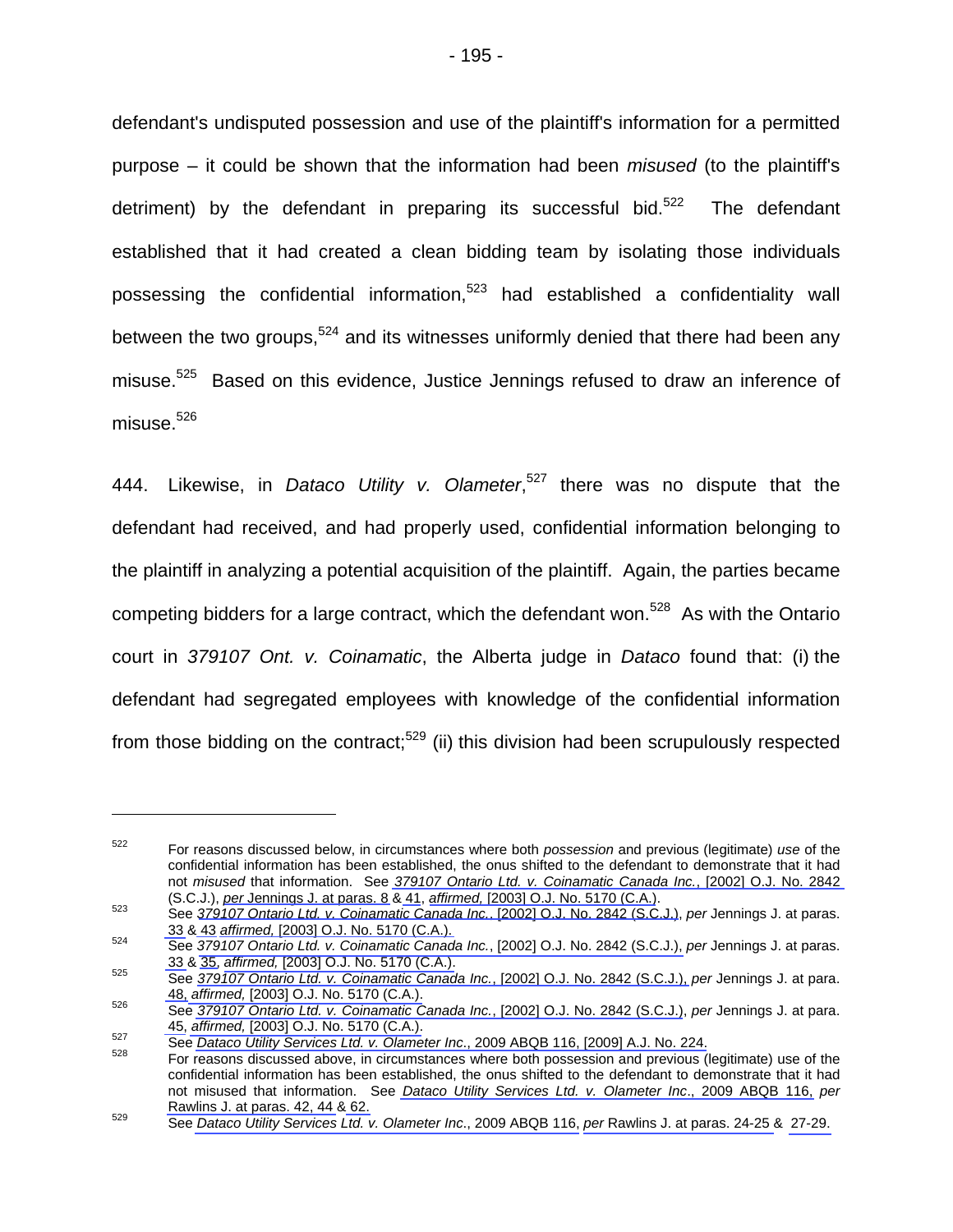defendant's undisputed possession and use of the plaintiff's information for a permitted purpose – it could be shown that the information had been *misused* (to the plaintiff's detriment) by the defendant in preparing its successful bid.<sup>522</sup> The defendant established that it had created a clean bidding team by isolating those individuals possessing the confidential information,<sup>523</sup> had established a confidentiality wall between the two groups,  $524$  and its witnesses uniformly denied that there had been any misuse.<sup>525</sup> Based on this evidence, Justice Jennings refused to draw an inference of misuse. $526$ 

444. Likewise, in *Dataco Utility v. Olameter*, 527 there was no dispute that the defendant had received, and had properly used, confidential information belonging to the plaintiff in analyzing a potential acquisition of the plaintiff. Again, the parties became competing bidders for a large contract, which the defendant won.<sup>528</sup> As with the Ontario court in *379107 Ont. v. Coinamatic*, the Alberta judge in *Dataco* found that: (i) the defendant had segregated employees with knowledge of the confidential information from those bidding on the contract;<sup>529</sup> (ii) this division had been scrupulously respected

33 & [35,](#page-6-0) *affirmed,* [2003] O.J. No. 5170 (C.A.). 525 See *379107 Ontario Ltd. v. Coinamatic Canada Inc.*, [2002] O.J. No. 2842 (S.C.J.), *per* Jennings J. at para.

<sup>522</sup> For reasons discussed below, in circumstances where both *possession* and previous (legitimate) *use* of the confidential information has been established, the onus shifted to the defendant to demonstrate that it had not *misused* that information. See *379107 Ontario Ltd. v. Coinamatic Canada Inc.*, [2002] O.J. No. 2842

<sup>(</sup>S.C.J.), *per* Jennings J. at paras. 8 & [41](#page-7-0), *affirmed,* [2003] O.J. No. 5170 (C.A.). 523 See *379107 Ontario Ltd. v. Coinamatic Canada Inc.*, [2002] O.J. No. 2842 (S.C.J.), *per* Jennings J. at paras. 33 [& 43](#page-7-0) *affirmed,* [2003] O.J. No. 5170 (C.A.). 524 See *379107 Ontario Ltd. v. Coinamatic Canada Inc.*, [2002] O.J. No. 2842 (S.C.J.), *per* Jennings J. at paras.

<sup>48,</sup> *affirmed,* [2003] O.J. No. 5170 (C.A.). 526 See *379107 Ontario Ltd. v. Coinamatic Canada Inc.*, [2002] O.J. No. 2842 (S.C.J.), *per* Jennings J. at para.

<sup>45,</sup> affirmed, [2003] O.J. No. 5170 (C.A.).<br><sup>527</sup> See Dataco Utility Services Ltd. v. Olameter Inc., 2009 ABQB 116, [2009] A.J. No. 224.<br><sup>528</sup> For reasons discussed above, in circumstances where both possession and previous

confidential information has been established, the onus shifted to the defendant to demonstrate that it had not misused that information. See *Dataco Utility Services Ltd. v. Olameter Inc*., 2009 ABQB 116, *per*  [Rawlins J. at paras. 42, 44](#page-10-0) & [62.](#page-14-0) 529 See *Dataco Utility Services Ltd. v. Olameter Inc*., 2009 ABQB 116, *per* [Rawlins J. at paras. 24-25](#page-6-0) & [27-29.](#page-6-0)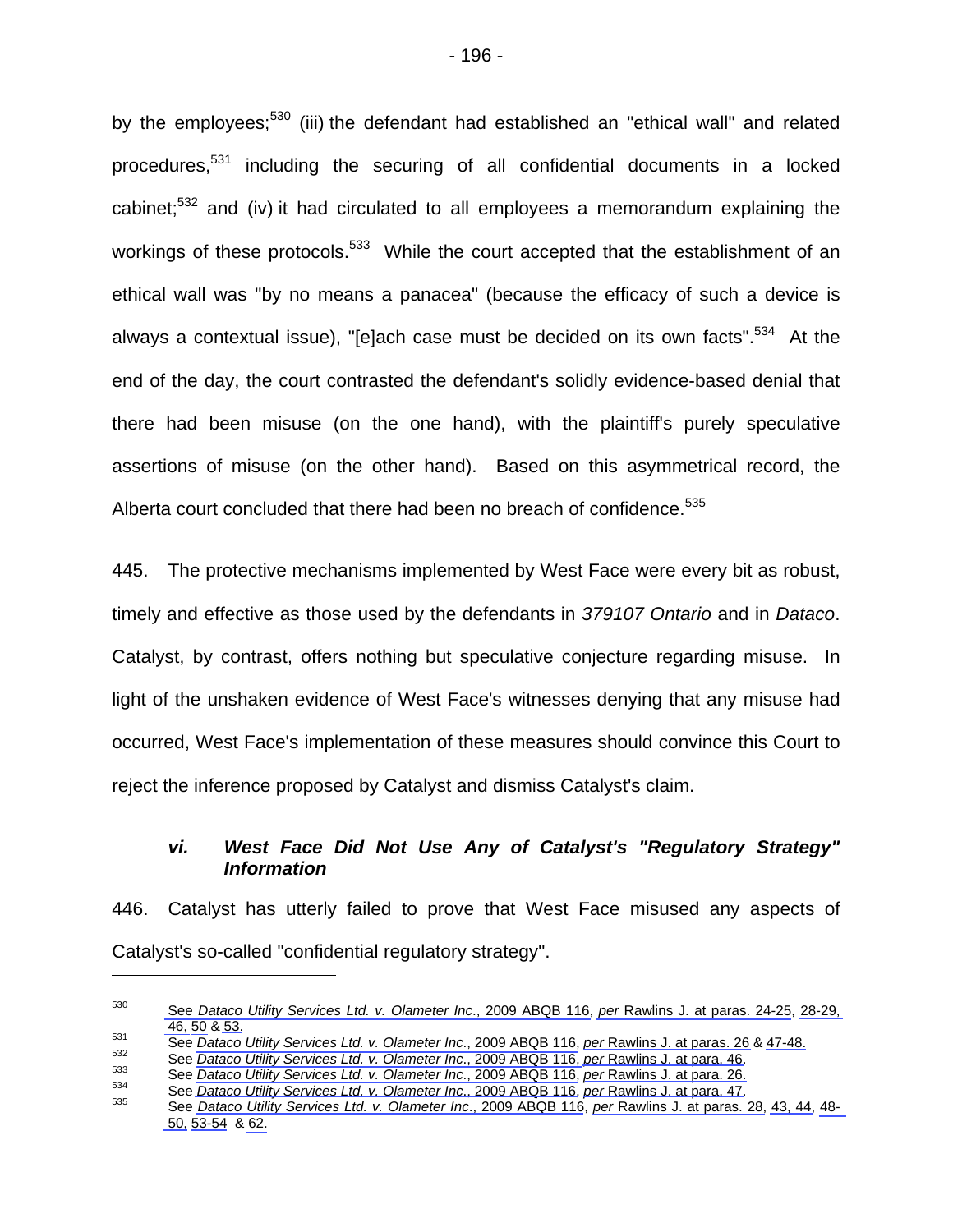by the employees;<sup>530</sup> (iii) the defendant had established an "ethical wall" and related procedures,531 including the securing of all confidential documents in a locked cabinet;<sup>532</sup> and (iv) it had circulated to all employees a memorandum explaining the workings of these protocols.<sup>533</sup> While the court accepted that the establishment of an ethical wall was "by no means a panacea" (because the efficacy of such a device is always a contextual issue), "[e]ach case must be decided on its own facts".<sup>534</sup> At the end of the day, the court contrasted the defendant's solidly evidence-based denial that there had been misuse (on the one hand), with the plaintiff's purely speculative assertions of misuse (on the other hand). Based on this asymmetrical record, the Alberta court concluded that there had been no breach of confidence.<sup>535</sup>

445. The protective mechanisms implemented by West Face were every bit as robust, timely and effective as those used by the defendants in *379107 Ontario* and in *Dataco*. Catalyst, by contrast, offers nothing but speculative conjecture regarding misuse. In light of the unshaken evidence of West Face's witnesses denying that any misuse had occurred, West Face's implementation of these measures should convince this Court to reject the inference proposed by Catalyst and dismiss Catalyst's claim.

### *vi. West Face Did Not Use Any of Catalyst's "Regulatory Strategy" Information*

446. Catalyst has utterly failed to prove that West Face misused any aspects of Catalyst's so-called "confidential regulatory strategy".

<sup>530</sup> See *Dataco Utility Services Ltd. v. Olameter Inc*., 2009 ABQB 116, *per* [Rawlins J. at paras. 24-25,](#page-5-0) [28-29,](#page-6-0)  [46,](#page-10-0) [50](#page-11-0) & [53.](#page-11-0)<br>
See Dataco Utility Services Ltd. v. Olameter Inc., 2009 ABQB 116, per [Rawlins J. at paras. 26](#page-6-0) & [47-48.](#page-11-0)<br>
See Dataco Utility Services Ltd. v. Olameter Inc., 2009 ABQB 116, per Rawlins J. at para. 46.<br>
See Datac

[<sup>50,</sup>](#page-11-0) [53-54](#page-12-0) & [62.](#page-14-0)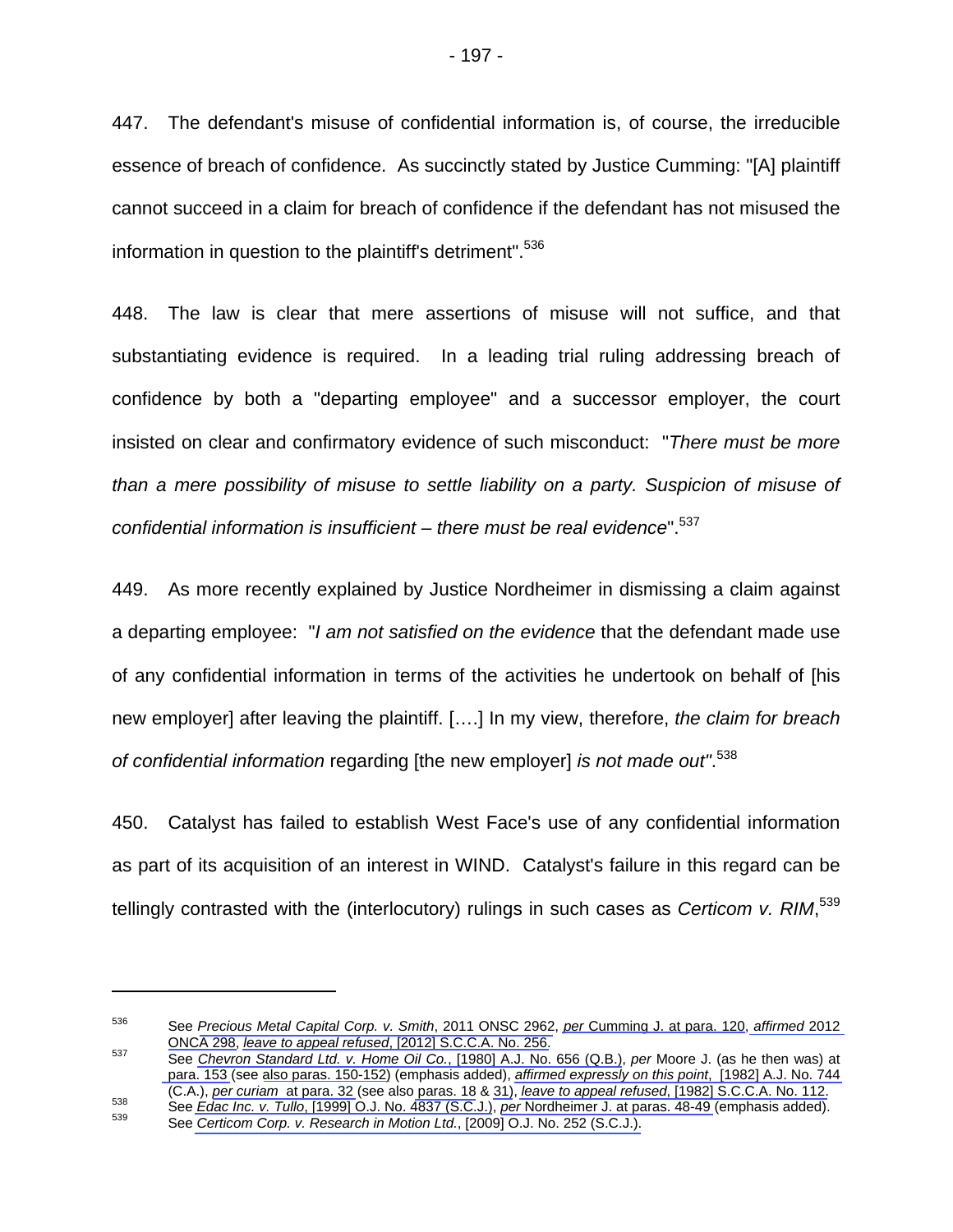447. The defendant's misuse of confidential information is, of course, the irreducible essence of breach of confidence. As succinctly stated by Justice Cumming: "[A] plaintiff cannot succeed in a claim for breach of confidence if the defendant has not misused the information in question to the plaintiff's detriment".<sup>536</sup>

448. The law is clear that mere assertions of misuse will not suffice, and that substantiating evidence is required. In a leading trial ruling addressing breach of confidence by both a "departing employee" and a successor employer, the court insisted on clear and confirmatory evidence of such misconduct: "*There must be more than a mere possibility of misuse to settle liability on a party. Suspicion of misuse of confidential information is insufficient – there must be real evidence*".537

449. As more recently explained by Justice Nordheimer in dismissing a claim against a departing employee: "*I am not satisfied on the evidence* that the defendant made use of any confidential information in terms of the activities he undertook on behalf of [his new employer] after leaving the plaintiff. [….] In my view, therefore, *the claim for breach of confidential information* regarding [the new employer] *is not made out"*. 538

450. Catalyst has failed to establish West Face's use of any confidential information as part of its acquisition of an interest in WIND. Catalyst's failure in this regard can be tellingly contrasted with the (interlocutory) rulings in such cases as *Certicom v. RIM*, 539

<sup>536</sup> See *Precious Metal Capital Corp. v. Smith*, 2011 ONSC 2962, *per* [Cumming J. at para. 120,](#page-20-0) *affirmed* 2012

ONCA 298, *leave to appeal refused*, [2012] S.C.C.A. No. 256. 537 See *Chevron Standard Ltd. v. Home Oil Co.*, [1980] A.J. No. 656 (Q.B.), *per* Moore J. (as he then was) at [para. 153](#page-34-0) (see [also paras. 150-152\)](#page-34-0) (emphasis added), *affirmed expressly on this point*, [1982] A.J. No. 744

Sas See Edac Inc. v. Tullo, [1999] O.J. No. 4837 (S.C.J.), per Nordheimer J. at paras. 48-49 (emphasis added).<br>See Certicom Corp. v. Research in Motion Ltd., [2009] O.J. No. 252 (S.C.J.).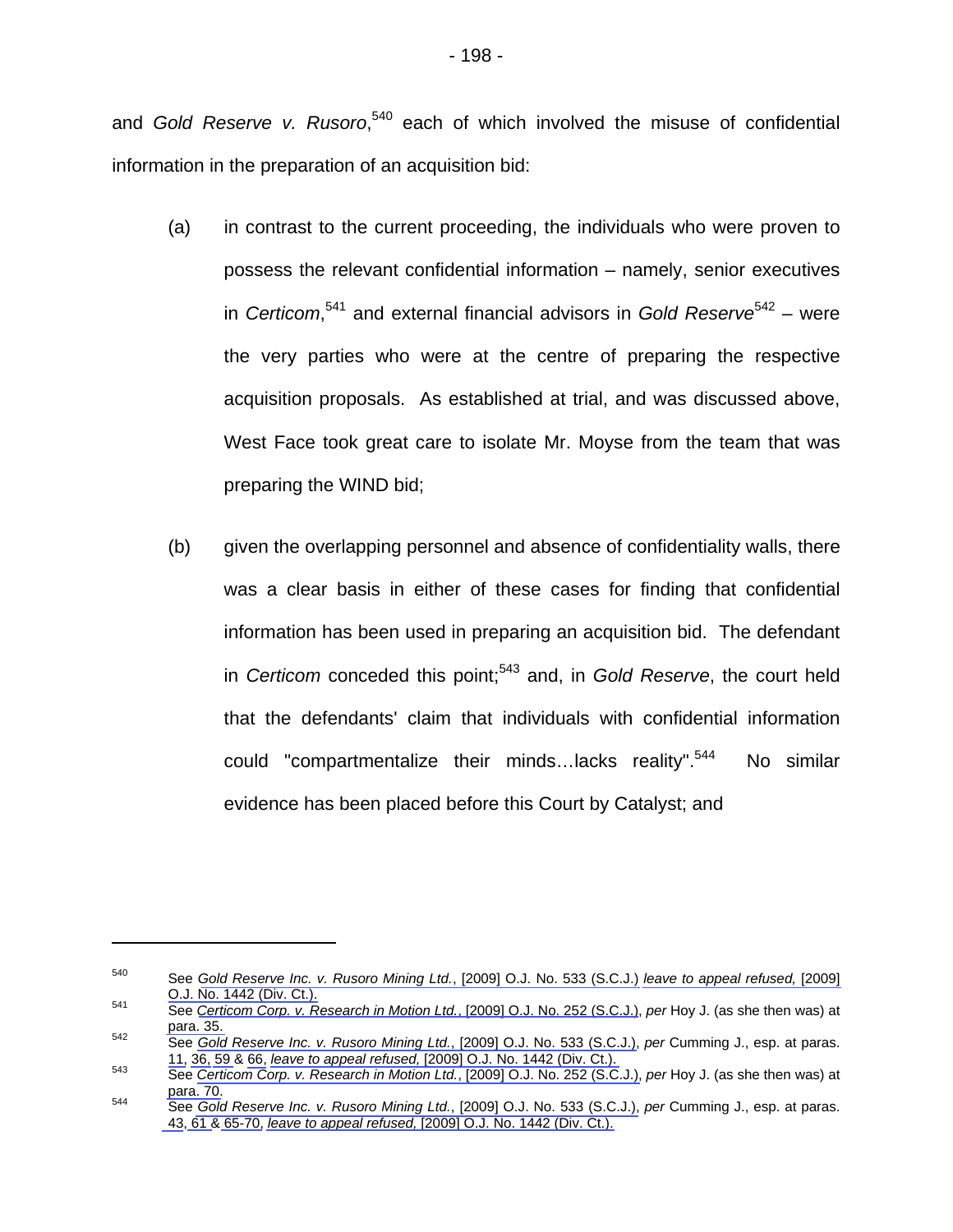and *Gold Reserve v. Rusoro*, 540 each of which involved the misuse of confidential information in the preparation of an acquisition bid:

- (a) in contrast to the current proceeding, the individuals who were proven to possess the relevant confidential information – namely, senior executives in *Certicom*, <sup>541</sup> and external financial advisors in *Gold Reserve*<sup>542</sup> – were the very parties who were at the centre of preparing the respective acquisition proposals. As established at trial, and was discussed above, West Face took great care to isolate Mr. Moyse from the team that was preparing the WIND bid;
- (b) given the overlapping personnel and absence of confidentiality walls, there was a clear basis in either of these cases for finding that confidential information has been used in preparing an acquisition bid. The defendant in *Certicom* conceded this point;<sup>543</sup> and, in *Gold Reserve*, the court held that the defendants' claim that individuals with confidential information could "compartmentalize their minds...lacks reality".<sup>544</sup> No similar evidence has been placed before this Court by Catalyst; and

<sup>540</sup> See *Gold Reserve Inc. v. Rusoro Mining Ltd.*, [2009] O.J. No. 533 (S.C.J.) *leave to appeal refused,* [2009] O.J. No. 1442 (Div. Ct.). 541 See *Certicom Corp. v. Research in Motion Ltd.*, [2009] O.J. No. 252 (S.C.J.), *per* Hoy J. (as she then was) at

para. 35.<br>542 See *Gold Reserve Inc. v. Rusoro Mining Ltd.*, [2009] O.J. No. 533 (S.C.J.), *per* Cumming J., esp. at paras.<br>11, 36, 59 & 66, *leave to appeal refused*, [2009] O.J. No. 1442 (Div. Ct.).

<sup>543</sup> See *Certicom Corp. v. Research in Motion Ltd.*, [2009] O.J. No. 252 (S.C.J.), *per* Hoy J. (as she then was) at [para. 70.](#page-13-0) 544 See *Gold Reserve Inc. v. Rusoro Mining Ltd.*, [2009] O.J. No. 533 (S.C.J.), *per* Cumming J., esp. at paras.

[<sup>43</sup>](#page-10-0)[, 61 &](#page-13-0) [65-70,](#page-14-0) *leave to appeal refused,* [2009] O.J. No. 1442 (Div. Ct.).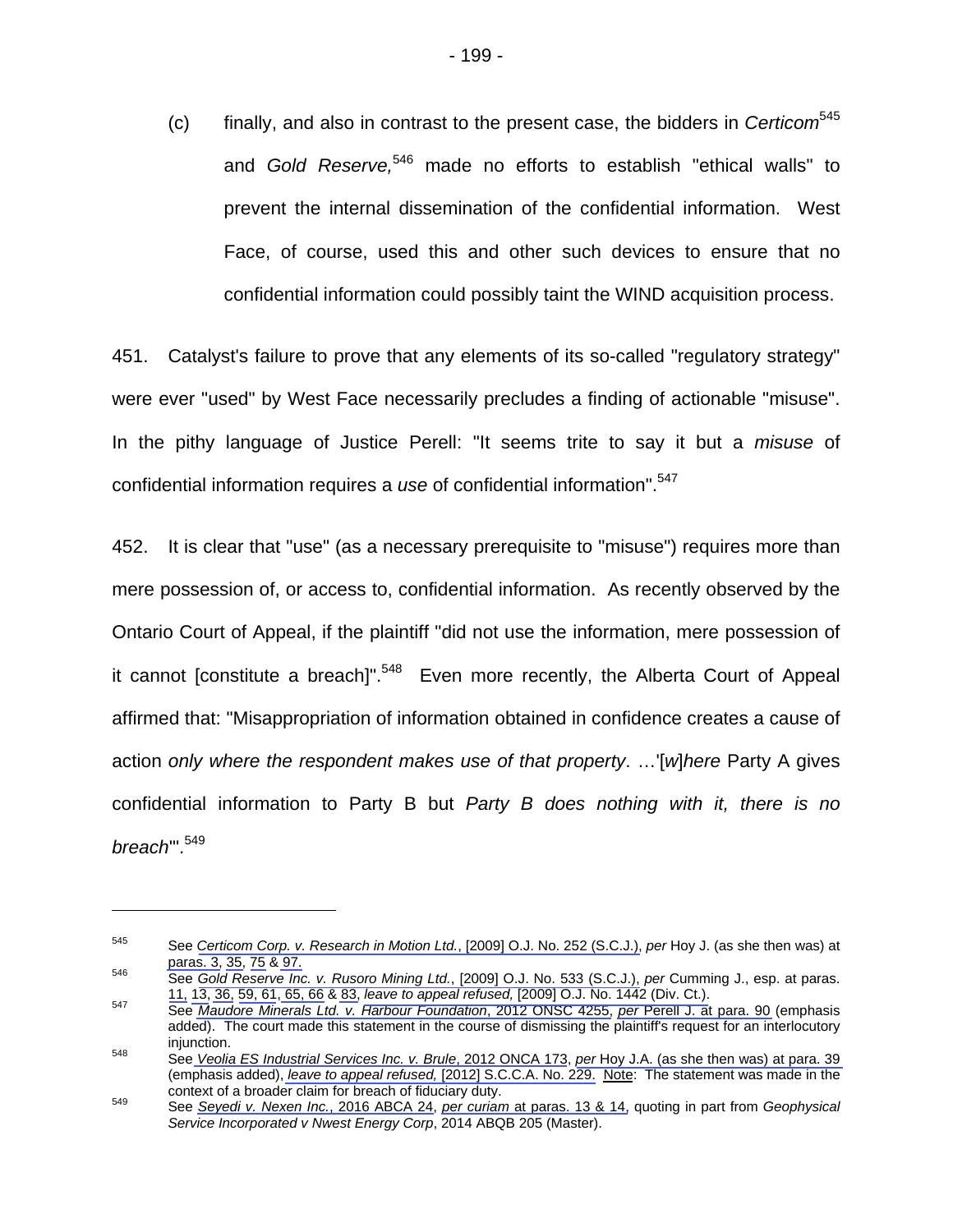(c) finally, and also in contrast to the present case, the bidders in *Certicom*<sup>545</sup> and *Gold Reserve,*546 made no efforts to establish "ethical walls" to prevent the internal dissemination of the confidential information. West Face, of course, used this and other such devices to ensure that no confidential information could possibly taint the WIND acquisition process.

451. Catalyst's failure to prove that any elements of its so-called "regulatory strategy" were ever "used" by West Face necessarily precludes a finding of actionable "misuse". In the pithy language of Justice Perell: "It seems trite to say it but a *misuse* of confidential information requires a *use* of confidential information".547

452. It is clear that "use" (as a necessary prerequisite to "misuse") requires more than mere possession of, or access to, confidential information. As recently observed by the Ontario Court of Appeal, if the plaintiff "did not use the information, mere possession of it cannot [constitute a breach]". $548$  Even more recently, the Alberta Court of Appeal affirmed that: "Misappropriation of information obtained in confidence creates a cause of action *only where the respondent makes use of that property*. …'[*w*]*here* Party A gives confidential information to Party B but *Party B does nothing with it, there is no breach*'".<sup>549</sup>

<sup>545</sup> See *Certicom Corp. v. Research in Motion Ltd.*, [2009] O.J. No. 252 (S.C.J.), *per* Hoy J. (as she then was) at [paras. 3,](#page-2-0) [35,](#page-7-0) [75](#page-14-0) & [97.](#page-18-0)<br><sup>546</sup> See *Gold Reserve Inc. v. Rusoro Mining Ltd.*, [2009] O.J. No. 533 (S.C.J.), *per* Cumming J., esp. at paras.

[<sup>11,</sup>](#page-4-0) 13, [36,](#page-9-0) 59, 61, [65, 66](#page-14-0) & [83,](#page-17-0) *leave to appeal refused,* [2009] O.J. No. 1442 (Div. Ct.). 547 See *Maudore Minerals Ltd. v. Harbour Foundation*, 2012 ONSC 4255, *per* [Perell J. at para. 90](#page-14-0) (emphasis

added). The court made this statement in the course of dismissing the plaintiff's request for an interlocutory injunction. 548 See *Veolia ES Industrial Services Inc. v. Brule*, 2012 ONCA 173, *per* [Hoy J.A. \(as she then was\) at para. 39](#page-8-0) 

<sup>(</sup>emphasis added), *leave to appeal refused,* [2012] S.C.C.A. No. 229. Note: The statement was made in the context of a broader claim for breach of fiduciary duty. 549 See *Seyedi v. Nexen Inc.*, 2016 ABCA 24, *per curiam* [at paras. 13 & 14,](#page-4-0) quoting in part from *Geophysical* 

*Service Incorporated v Nwest Energy Corp*, 2014 ABQB 205 (Master).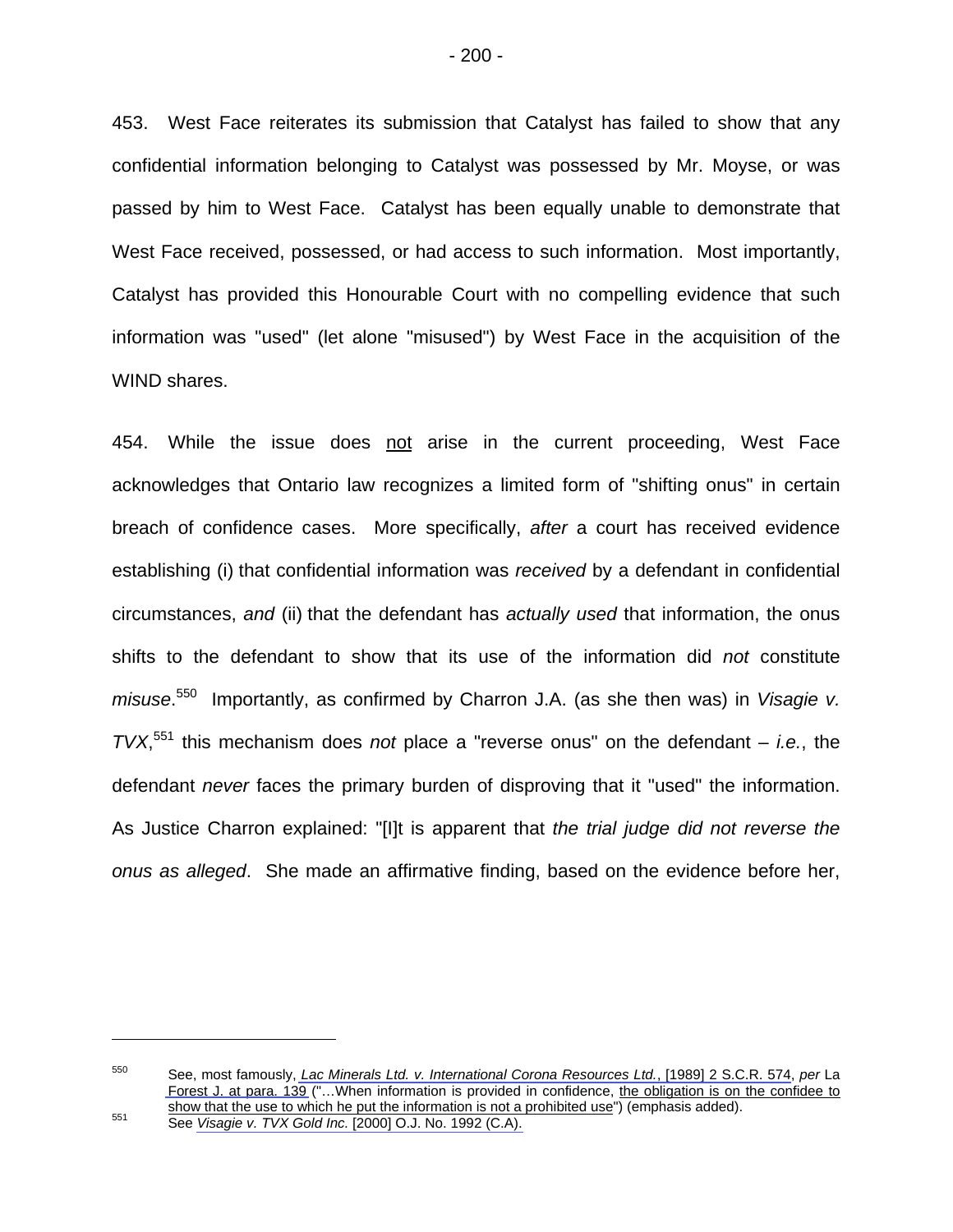453. West Face reiterates its submission that Catalyst has failed to show that any confidential information belonging to Catalyst was possessed by Mr. Moyse, or was passed by him to West Face. Catalyst has been equally unable to demonstrate that West Face received, possessed, or had access to such information. Most importantly, Catalyst has provided this Honourable Court with no compelling evidence that such information was "used" (let alone "misused") by West Face in the acquisition of the WIND shares.

454. While the issue does not arise in the current proceeding, West Face acknowledges that Ontario law recognizes a limited form of "shifting onus" in certain breach of confidence cases. More specifically, *after* a court has received evidence establishing (i) that confidential information was *received* by a defendant in confidential circumstances, *and* (ii) that the defendant has *actually used* that information, the onus shifts to the defendant to show that its use of the information did *not* constitute *misuse*. 550 Importantly, as confirmed by Charron J.A. (as she then was) in *Visagie v. TVX*, 551 this mechanism does *not* place a "reverse onus" on the defendant – *i.e.*, the defendant *never* faces the primary burden of disproving that it "used" the information. As Justice Charron explained: "[I]t is apparent that *the trial judge did not reverse the onus as alleged*. She made an affirmative finding, based on the evidence before her,

<sup>550</sup> See, most famously, *Lac Minerals Ltd. v. International Corona Resources Ltd.*, [1989] 2 S.C.R. 574, *per* La [Forest J. at para. 139](#page-51-0) ("...When information is provided in confidence, the obligation is on the confidee to show that the use to which he put the information is not a prohibited use") (emphasis added).<br><sup>551</sup> See *Visagie v. TVX Gold Inc.* [2000] O.J. No. 1992 (C.A).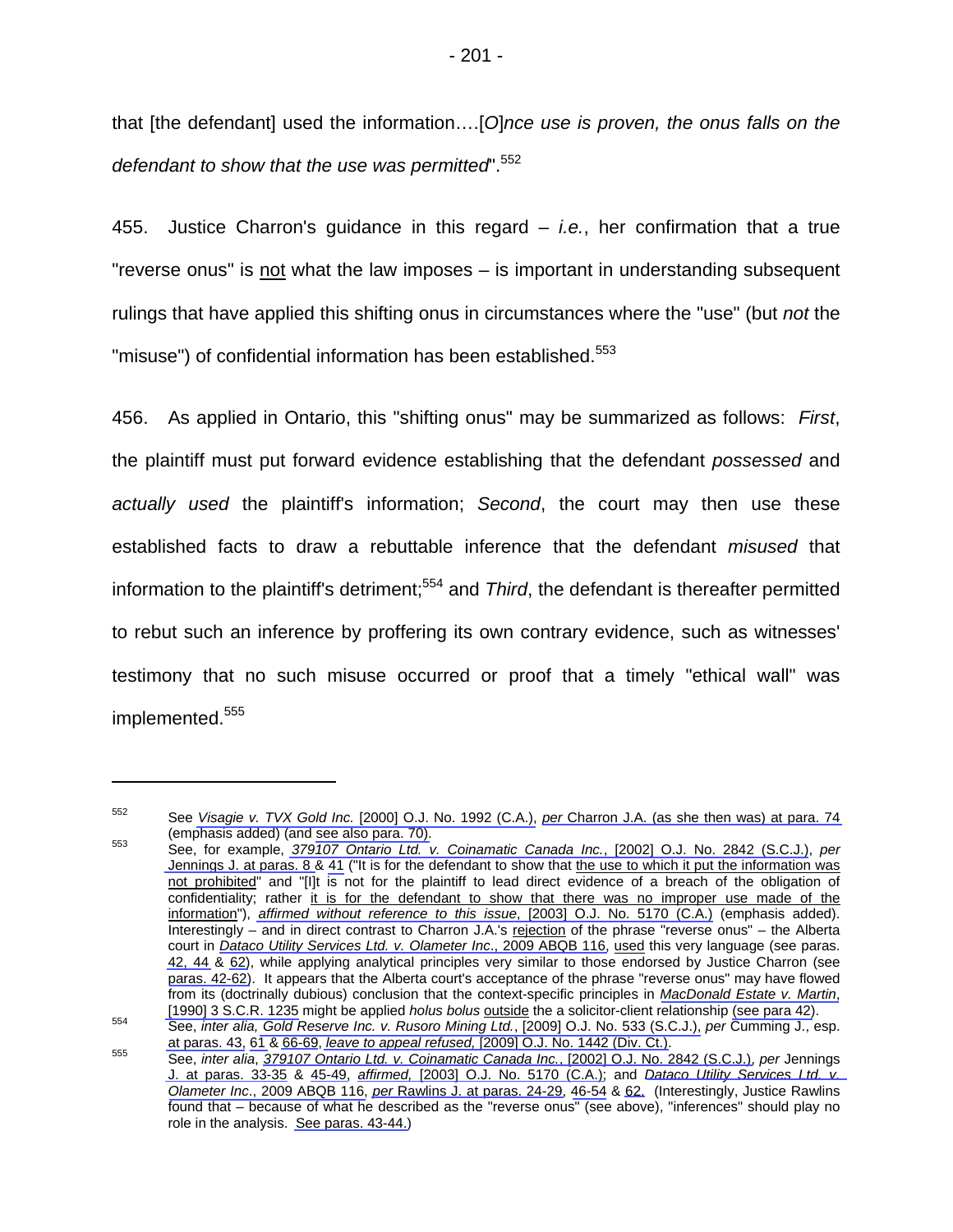that [the defendant] used the information….[*O*]*nce use is proven, the onus falls on the defendant to show that the use was permitted*".<sup>552</sup>

455. Justice Charron's guidance in this regard – *i.e.*, her confirmation that a true "reverse onus" is not what the law imposes – is important in understanding subsequent rulings that have applied this shifting onus in circumstances where the "use" (but *not* the "misuse") of confidential information has been established.<sup>553</sup>

456. As applied in Ontario, this "shifting onus" may be summarized as follows: *First*, the plaintiff must put forward evidence establishing that the defendant *possessed* and *actually used* the plaintiff's information; *Second*, the court may then use these established facts to draw a rebuttable inference that the defendant *misused* that information to the plaintiff's detriment;<sup>554</sup> and *Third*, the defendant is thereafter permitted to rebut such an inference by proffering its own contrary evidence, such as witnesses' testimony that no such misuse occurred or proof that a timely "ethical wall" was implemented.<sup>555</sup>

<sup>552</sup> See *Visagie v. TVX Gold Inc.* [2000] O.J. No. 1992 (C.A.), *per* [Charron J.A. \(as she then was\) at para. 74](#page-17-0)  (emphasis added) (and [see also para. 70\).](#page-16-0) 553 See, for example, *379107 Ontario Ltd. v. Coinamatic Canada Inc.*, [2002] O.J. No. 2842 (S.C.J.), *per* 

[Jennings J. at paras. 8 &](#page-2-0) [41](#page-7-0) ("It is for the defendant to show that the use to which it put the information was not prohibited" and "[I]t is not for the plaintiff to lead direct evidence of a breach of the obligation of confidentiality; rather it is for the defendant to show that there was no improper use made of the information"), *affirmed without reference to this issue*, [2003] O.J. No. 5170 (C.A.) (emphasis added). Interestingly – and in direct contrast to Charron J.A.'s rejection of the phrase "reverse onus" – the Alberta court in *Dataco Utility Services Ltd. v. Olameter Inc*., 2009 ABQB 116, used this very language (see paras. [42, 44](#page-10-0) & [62\)](#page-14-0), while applying analytical principles very similar to those endorsed by Justice Charron (see [paras. 42-62\)](#page-10-0). It appears that the Alberta court's acceptance of the phrase "reverse onus" may have flowed from its (doctrinally dubious) conclusion that the context-specific principles in *MacDonald Estate v. Martin*,

<sup>[1990] 3</sup> S.C.R. 1235 might be applied *holus bolus* <u>outside</u> the a solicitor-client relationship [\(see para 42\)](#page-19-0).<br>See, *inter alia, Gold Reserve Inc. v. Rusoro Mining Ltd.*, [2009] O.J. No. 533 (S.C.J.), *per* Cumming J., e

at paras. 43, [61](#page-13-0) & [66-69](#page-14-0), *leave to appeal refused,* [2009] O.J. No. 1442 (Div. Ct.). 555 See, *inter alia*, *379107 Ontario Ltd. v. Coinamatic Canada Inc.*, [2002] O.J. No. 2842 (S.C.J.), *per* Jennings [J. at paras. 33-35](#page-5-0) & [45-49,](#page-7-0) *affirmed,* [2003] O.J. No. 5170 (C.A.); and *Dataco Utility Services Ltd. v. Olameter Inc*., 2009 ABQB 116, *per* [Rawlins J. at paras. 24-29,](#page-6-0) [46-54](#page-10-0) & [62.](#page-14-0) (Interestingly, Justice Rawlins found that – because of what he described as the "reverse onus" (see above), "inferences" should play no role in the analysis. [See paras. 43-44.\)](#page-10-0)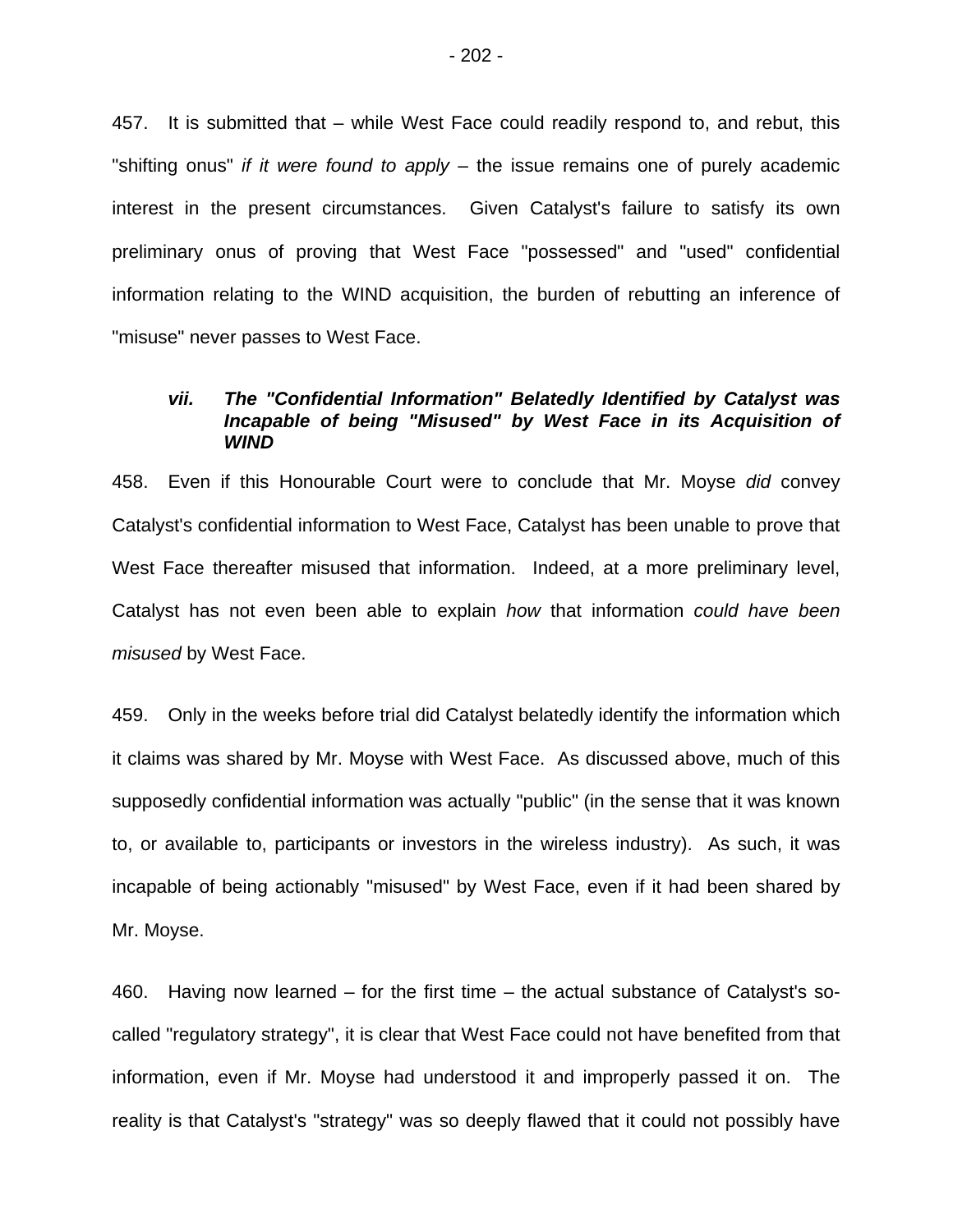457. It is submitted that – while West Face could readily respond to, and rebut, this "shifting onus" *if it were found to apply* – the issue remains one of purely academic interest in the present circumstances. Given Catalyst's failure to satisfy its own preliminary onus of proving that West Face "possessed" and "used" confidential information relating to the WIND acquisition, the burden of rebutting an inference of "misuse" never passes to West Face.

### *vii. The "Confidential Information" Belatedly Identified by Catalyst was Incapable of being "Misused" by West Face in its Acquisition of WIND*

458. Even if this Honourable Court were to conclude that Mr. Moyse *did* convey Catalyst's confidential information to West Face, Catalyst has been unable to prove that West Face thereafter misused that information. Indeed, at a more preliminary level, Catalyst has not even been able to explain *how* that information *could have been misused* by West Face.

459. Only in the weeks before trial did Catalyst belatedly identify the information which it claims was shared by Mr. Moyse with West Face. As discussed above, much of this supposedly confidential information was actually "public" (in the sense that it was known to, or available to, participants or investors in the wireless industry). As such, it was incapable of being actionably "misused" by West Face, even if it had been shared by Mr. Moyse.

460. Having now learned – for the first time – the actual substance of Catalyst's socalled "regulatory strategy", it is clear that West Face could not have benefited from that information, even if Mr. Moyse had understood it and improperly passed it on. The reality is that Catalyst's "strategy" was so deeply flawed that it could not possibly have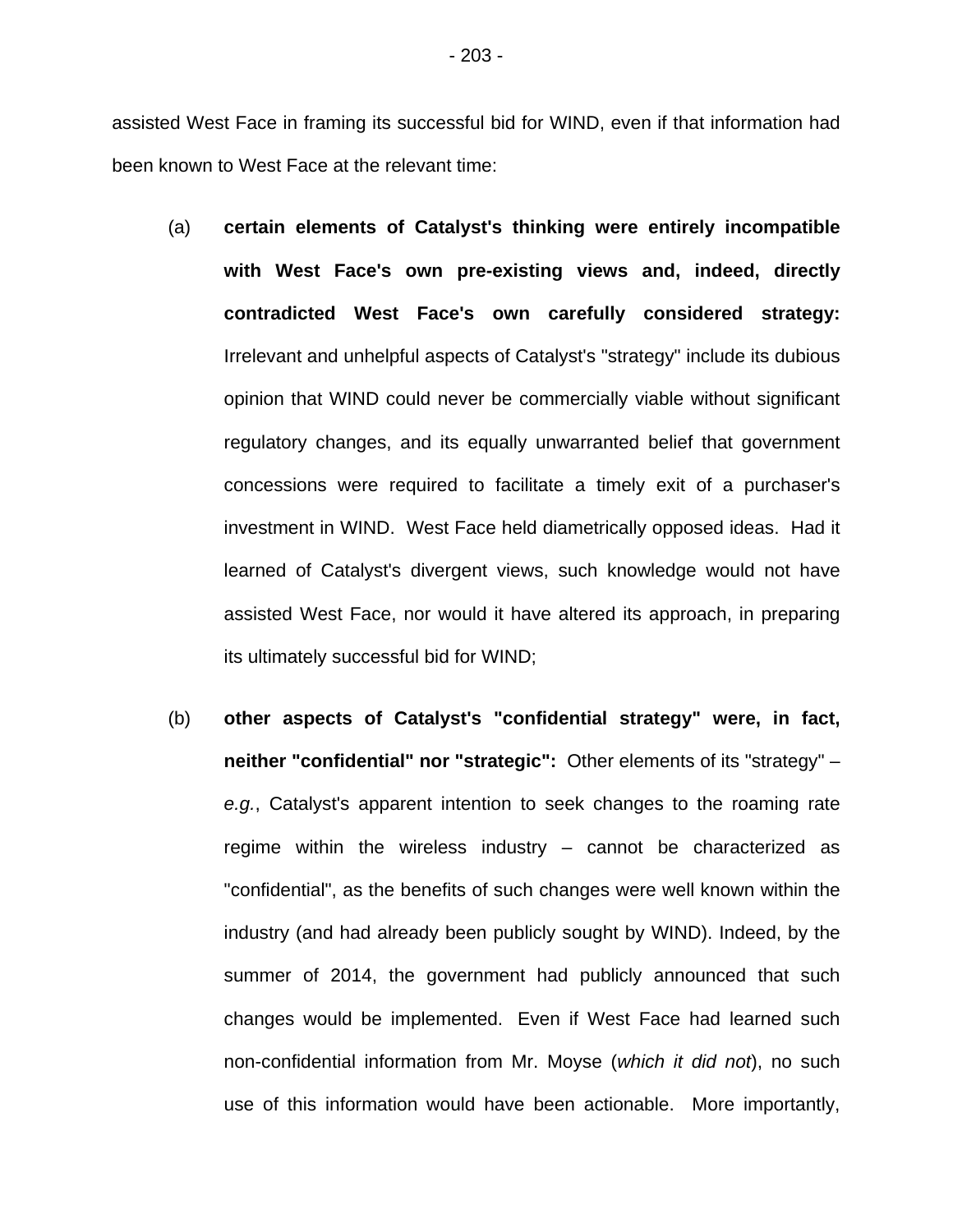assisted West Face in framing its successful bid for WIND, even if that information had been known to West Face at the relevant time:

- (a) **certain elements of Catalyst's thinking were entirely incompatible with West Face's own pre-existing views and, indeed, directly contradicted West Face's own carefully considered strategy:**  Irrelevant and unhelpful aspects of Catalyst's "strategy" include its dubious opinion that WIND could never be commercially viable without significant regulatory changes, and its equally unwarranted belief that government concessions were required to facilitate a timely exit of a purchaser's investment in WIND. West Face held diametrically opposed ideas. Had it learned of Catalyst's divergent views, such knowledge would not have assisted West Face, nor would it have altered its approach, in preparing its ultimately successful bid for WIND;
- (b) **other aspects of Catalyst's "confidential strategy" were, in fact, neither "confidential" nor "strategic":** Other elements of its "strategy" – *e.g.*, Catalyst's apparent intention to seek changes to the roaming rate regime within the wireless industry – cannot be characterized as "confidential", as the benefits of such changes were well known within the industry (and had already been publicly sought by WIND). Indeed, by the summer of 2014, the government had publicly announced that such changes would be implemented. Even if West Face had learned such non-confidential information from Mr. Moyse (*which it did not*), no such use of this information would have been actionable. More importantly,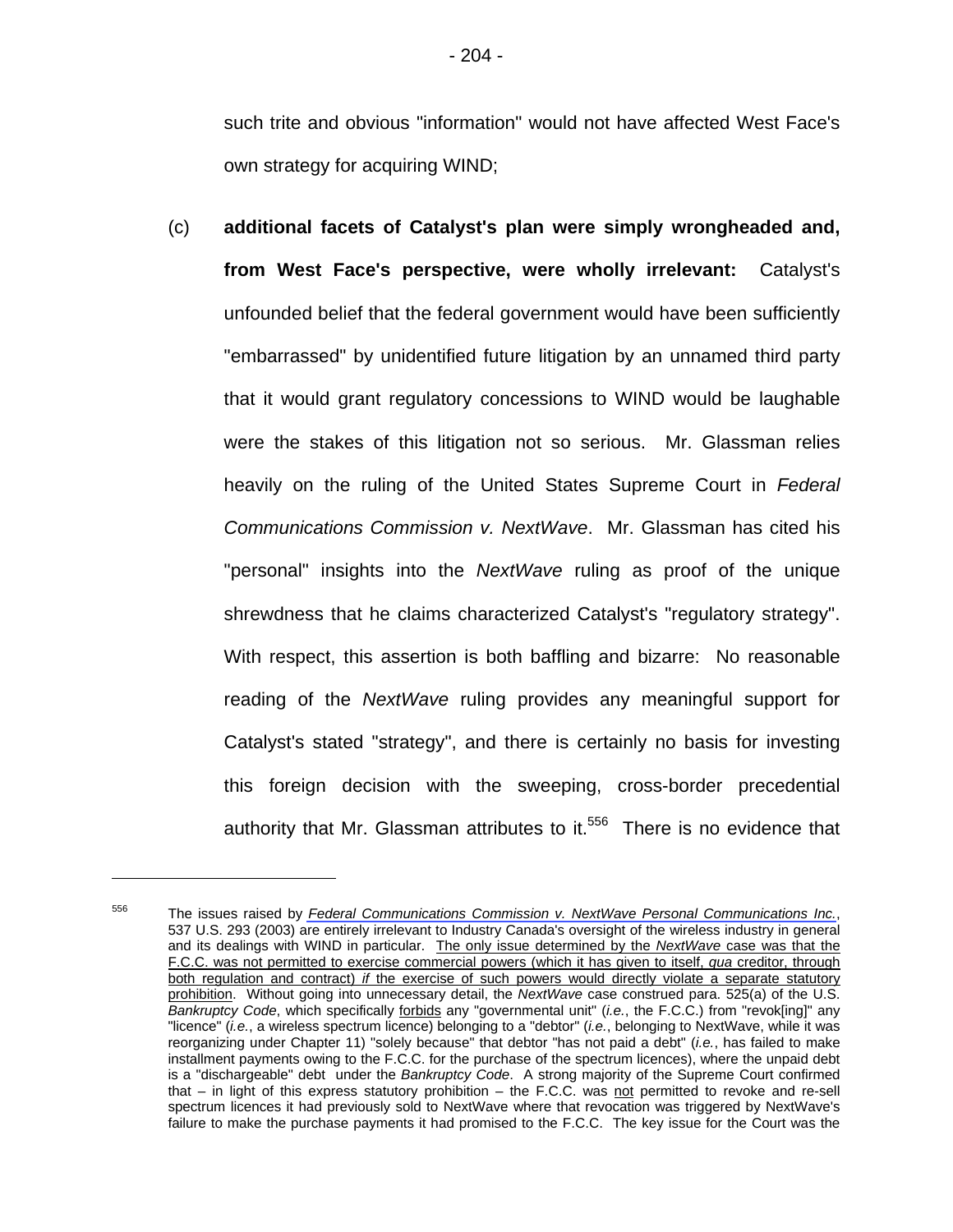such trite and obvious "information" would not have affected West Face's own strategy for acquiring WIND;

(c) **additional facets of Catalyst's plan were simply wrongheaded and, from West Face's perspective, were wholly irrelevant:** Catalyst's unfounded belief that the federal government would have been sufficiently "embarrassed" by unidentified future litigation by an unnamed third party that it would grant regulatory concessions to WIND would be laughable were the stakes of this litigation not so serious. Mr. Glassman relies heavily on the ruling of the United States Supreme Court in *Federal Communications Commission v. NextWave*. Mr. Glassman has cited his "personal" insights into the *NextWave* ruling as proof of the unique shrewdness that he claims characterized Catalyst's "regulatory strategy". With respect, this assertion is both baffling and bizarre: No reasonable reading of the *NextWave* ruling provides any meaningful support for Catalyst's stated "strategy", and there is certainly no basis for investing this foreign decision with the sweeping, cross-border precedential authority that Mr. Glassman attributes to it. $556$  There is no evidence that

<sup>556</sup> The issues raised by *Federal Communications Commission v. NextWave Personal Communications Inc.*, 537 U.S. 293 (2003) are entirely irrelevant to Industry Canada's oversight of the wireless industry in general and its dealings with WIND in particular. The only issue determined by the *NextWave* case was that the F.C.C. was not permitted to exercise commercial powers (which it has given to itself, *qua* creditor, through both regulation and contract) *if* the exercise of such powers would directly violate a separate statutory prohibition. Without going into unnecessary detail, the *NextWave* case construed para. 525(a) of the U.S. *Bankruptcy Code*, which specifically forbids any "governmental unit" (*i.e.*, the F.C.C.) from "revok[ing]" any "licence" (*i.e.*, a wireless spectrum licence) belonging to a "debtor" (*i.e.*, belonging to NextWave, while it was reorganizing under Chapter 11) "solely because" that debtor "has not paid a debt" (*i.e.*, has failed to make installment payments owing to the F.C.C. for the purchase of the spectrum licences), where the unpaid debt is a "dischargeable" debt under the *Bankruptcy Code*. A strong majority of the Supreme Court confirmed that  $-$  in light of this express statutory prohibition  $-$  the F.C.C. was not permitted to revoke and re-sell spectrum licences it had previously sold to NextWave where that revocation was triggered by NextWave's failure to make the purchase payments it had promised to the F.C.C. The key issue for the Court was the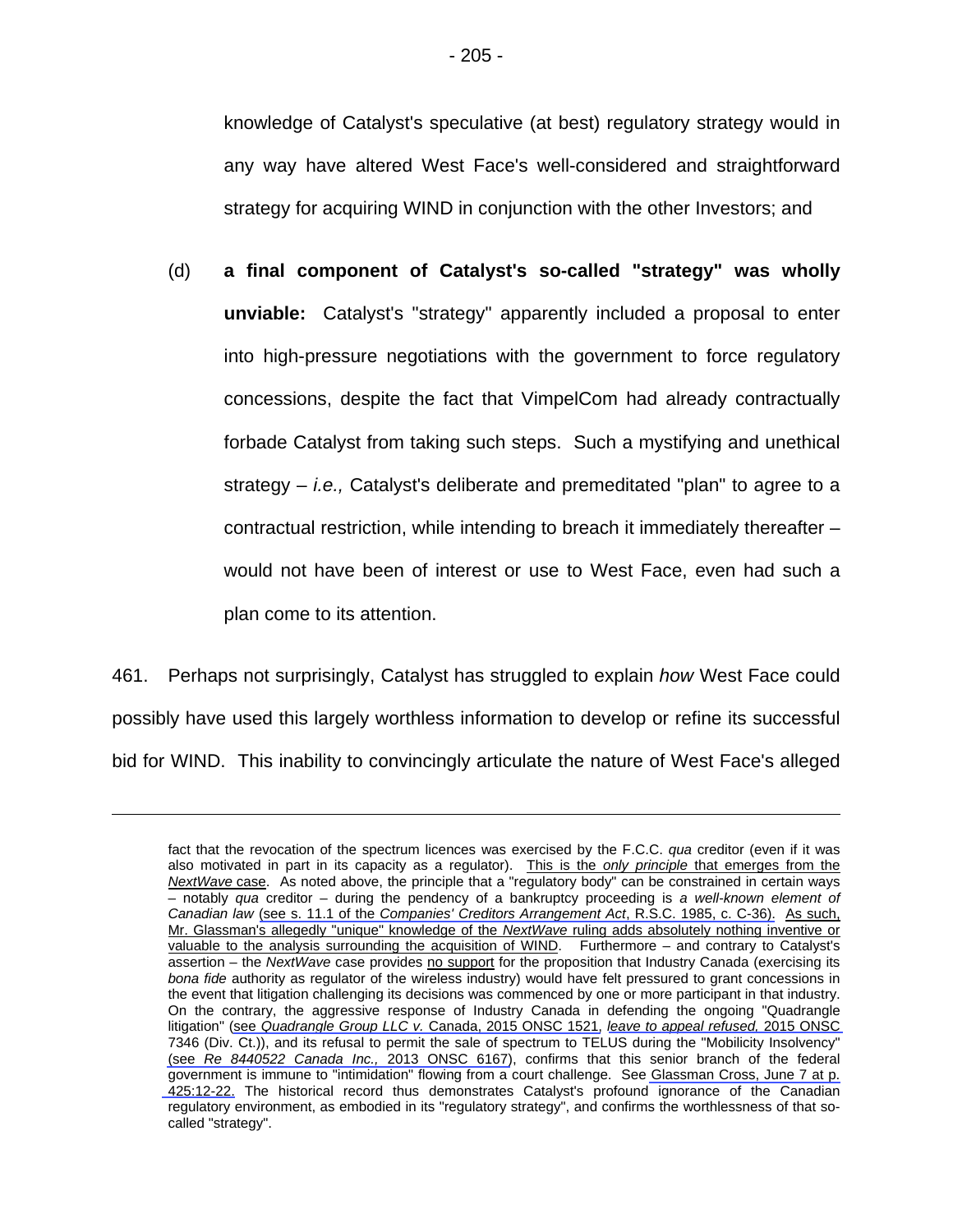knowledge of Catalyst's speculative (at best) regulatory strategy would in any way have altered West Face's well-considered and straightforward strategy for acquiring WIND in conjunction with the other Investors; and

(d) **a final component of Catalyst's so-called "strategy" was wholly unviable:** Catalyst's "strategy" apparently included a proposal to enter into high-pressure negotiations with the government to force regulatory concessions, despite the fact that VimpelCom had already contractually forbade Catalyst from taking such steps. Such a mystifying and unethical strategy – *i.e.,* Catalyst's deliberate and premeditated "plan" to agree to a contractual restriction, while intending to breach it immediately thereafter – would not have been of interest or use to West Face, even had such a plan come to its attention.

461. Perhaps not surprisingly, Catalyst has struggled to explain *how* West Face could possibly have used this largely worthless information to develop or refine its successful bid for WIND. This inability to convincingly articulate the nature of West Face's alleged

fact that the revocation of the spectrum licences was exercised by the F.C.C. *qua* creditor (even if it was also motivated in part in its capacity as a regulator). This is the *only principle* that emerges from the *NextWave* case. As noted above, the principle that a "regulatory body" can be constrained in certain ways – notably *qua* creditor – during the pendency of a bankruptcy proceeding is *a well-known element of Canadian law* (see s. 11.1 of the *[Companies' Creditors Arrangement Act](#page-24-0)*, R.S.C. 1985, c. C-36). As such, Mr. Glassman's allegedly "unique" knowledge of the *NextWave* ruling adds absolutely nothing inventive or valuable to the analysis surrounding the acquisition of WIND. Furthermore – and contrary to Catalyst's assertion – the *NextWave* case provides no support for the proposition that Industry Canada (exercising its *bona fide* authority as regulator of the wireless industry) would have felt pressured to grant concessions in the event that litigation challenging its decisions was commenced by one or more participant in that industry. On the contrary, the aggressive response of Industry Canada in defending the ongoing "Quadrangle litigation" (see *Quadrangle Group LLC v.* Canada, 2015 ONSC 1521, *leave to appeal refused,* 2015 ONSC 7346 (Div. Ct.)), and its refusal to permit the sale of spectrum to TELUS during the "Mobilicity Insolvency" (see *Re 8440522 Canada Inc.,* 2013 ONSC 6167), confirms that this senior branch of the federal government is immune to "intimidation" flowing from a court challenge. See [Glassman Cross, June 7 at p.](#page-1-0)  [425:12-22.](#page-1-0) The historical record thus demonstrates Catalyst's profound ignorance of the Canadian regulatory environment, as embodied in its "regulatory strategy", and confirms the worthlessness of that socalled "strategy".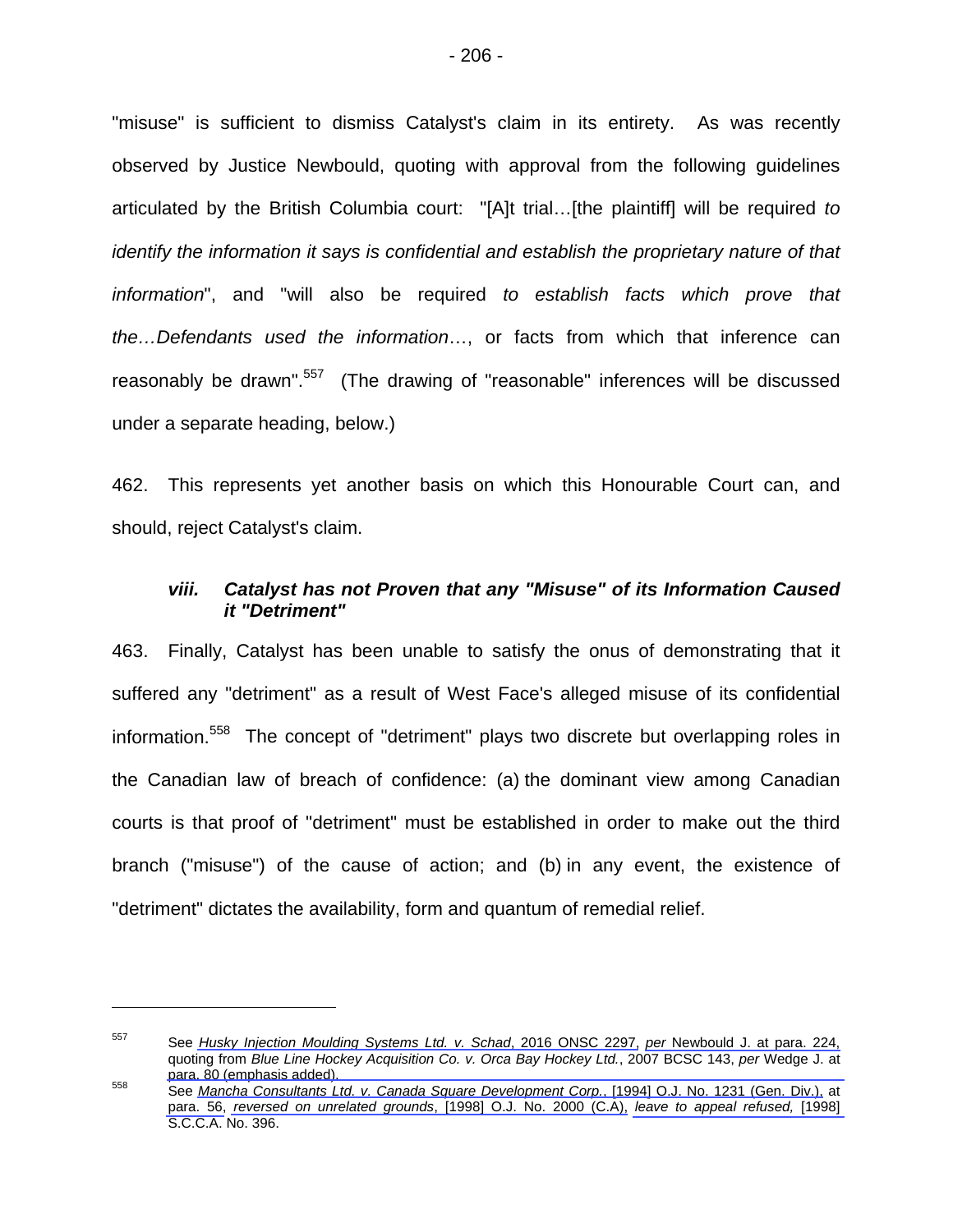"misuse" is sufficient to dismiss Catalyst's claim in its entirety.As was recently observed by Justice Newbould, quoting with approval from the following guidelines articulated by the British Columbia court: "[A]t trial…[the plaintiff] will be required *to identify the information it says is confidential and establish the proprietary nature of that information*", and "will also be required *to establish facts which prove that the…Defendants used the information*…, or facts from which that inference can reasonably be drawn".<sup>557</sup> (The drawing of "reasonable" inferences will be discussed under a separate heading, below.)

462. This represents yet another basis on which this Honourable Court can, and should, reject Catalyst's claim.

#### *viii. Catalyst has not Proven that any "Misuse" of its Information Caused it "Detriment"*

463. Finally, Catalyst has been unable to satisfy the onus of demonstrating that it suffered any "detriment" as a result of West Face's alleged misuse of its confidential information.<sup>558</sup> The concept of "detriment" plays two discrete but overlapping roles in the Canadian law of breach of confidence: (a) the dominant view among Canadian courts is that proof of "detriment" must be established in order to make out the third branch ("misuse") of the cause of action; and (b) in any event, the existence of "detriment" dictates the availability, form and quantum of remedial relief.

<sup>557</sup> See *Husky Injection Moulding Systems Ltd. v. Schad*, 2016 ONSC 2297, *per* [Newbould J. at para. 224,](#page-57-0)  quoting from *[Blue Line Hockey Acquisition Co. v. Orca Bay Hockey Ltd.](#page-57-0)*, 2007 BCSC 143, *per* Wedge J. at

para. 80 (emphasis added). 558 See *Mancha Consultants Ltd. v. Canada Square Development Corp.*, [1994] O.J. No. 1231 (Gen. Div.), at [para. 56,](#page-14-0) *reversed on unrelated grounds*, [1998] O.J. No. 2000 (C.A), *leave to appeal refused,* [1998] S.C.C.A. No. 396.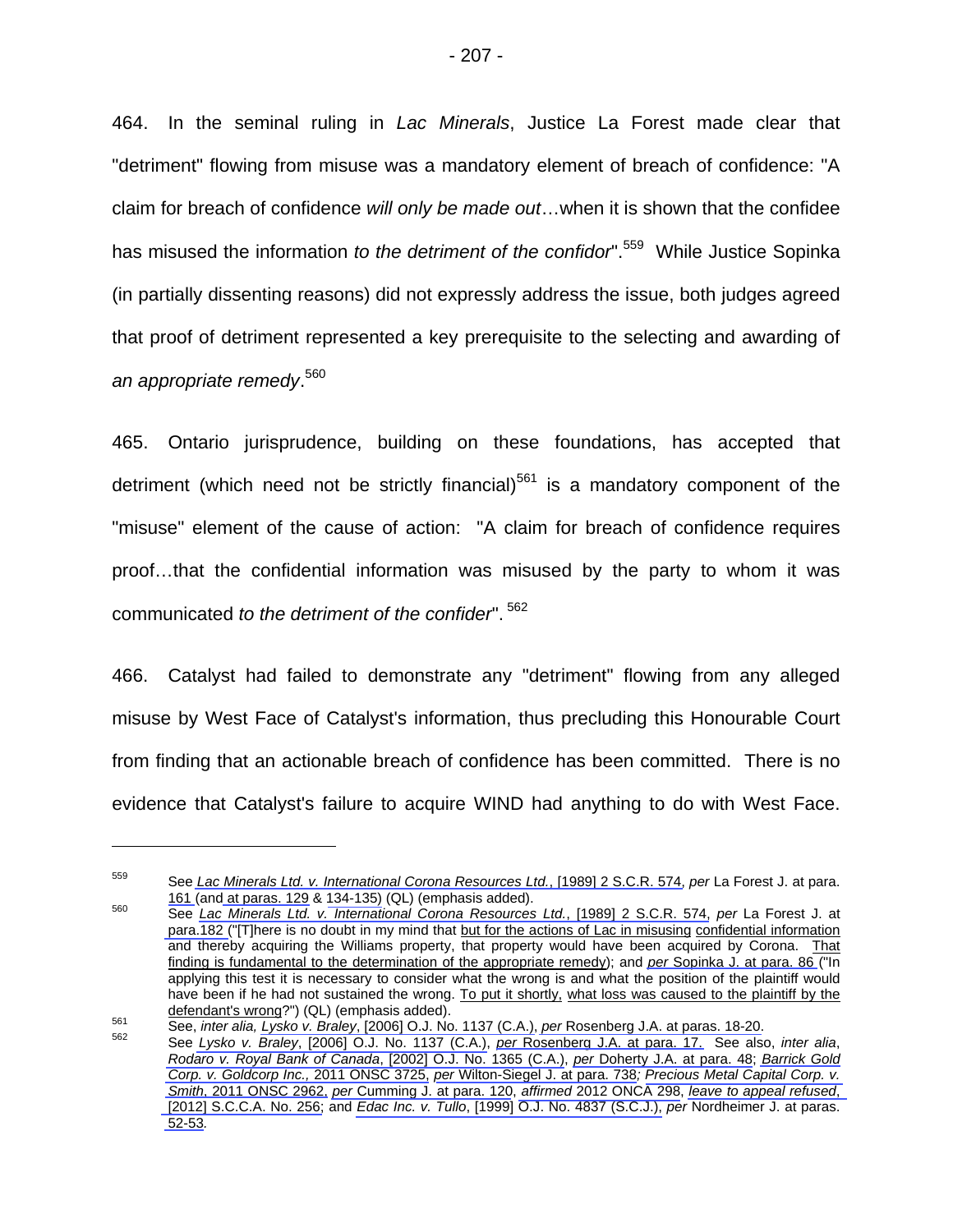464. In the seminal ruling in *Lac Minerals*, Justice La Forest made clear that "detriment" flowing from misuse was a mandatory element of breach of confidence: "A claim for breach of confidence *will only be made out*…when it is shown that the confidee has misused the information *to the detriment of the confidor*".559 While Justice Sopinka (in partially dissenting reasons) did not expressly address the issue, both judges agreed that proof of detriment represented a key prerequisite to the selecting and awarding of *an appropriate remedy*. 560

465. Ontario jurisprudence, building on these foundations, has accepted that detriment (which need not be strictly financial) $561$  is a mandatory component of the "misuse" element of the cause of action: "A claim for breach of confidence requires proof…that the confidential information was misused by the party to whom it was communicated *to the detriment of the confider*". 562

466. Catalyst had failed to demonstrate any "detriment" flowing from any alleged misuse by West Face of Catalyst's information, thus precluding this Honourable Court from finding that an actionable breach of confidence has been committed. There is no evidence that Catalyst's failure to acquire WIND had anything to do with West Face.

<sup>559</sup> See *Lac Minerals Ltd. v. International Corona Resources Ltd.*, [1989] 2 S.C.R. 574, *per* La Forest J. at para.

[<sup>161</sup>](#page-61-0) (and [at paras. 129](#page-46-0) & [134-135\)](#page-48-0) (QL) (emphasis added). 560 See *Lac Minerals Ltd. v. International Corona Resources Ltd.*, [1989] 2 S.C.R. 574, *per* La Forest J. at [para.182 \(](#page-70-0)"[T]here is no doubt in my mind that but for the actions of Lac in misusing confidential information and thereby acquiring the Williams property, that property would have been acquired by Corona. That finding is fundamental to the determination of the appropriate remedy); and *per* [Sopinka J. at para. 86](#page-34-0) ("In applying this test it is necessary to consider what the wrong is and what the position of the plaintiff would have been if he had not sustained the wrong. To put it shortly, what loss was caused to the plaintiff by the

defendant's wrong?") (QL) (emphasis added).<br>See, *inter alia, Lysko v. Braley*, [2006] O.J. No. 1137 (C.A.), *per* [Rosenberg J.A. at paras. 18-20.](#page-8-0)<br><sup>562</sup> See *Lysko v. Braley*, [2006] O.J. No. 1137 (C.A.), *per* Rosenberg J *Rodaro v. Royal Bank of Canada*, [2002] O.J. No. 1365 (C.A.), *per* [Doherty J.A. at para. 48;](#page-10-0) *Barrick Gold Corp. v. Goldcorp Inc.,* 2011 ONSC 3725, *per* [Wilton-Siegel J. at para. 738](#page-150-0)*; Precious Metal Capital Corp. v. Smith*, 2011 ONSC 2962, *per* [Cumming J. at para. 120](#page-20-0), *affirmed* 2012 ONCA 298, *leave to appeal refused*, [2012] S.C.C.A. No. 256; and *Edac Inc. v. Tullo*, [1999] O.J. No. 4837 (S.C.J.), *per* Nordheimer J. at paras. [52-53](#page-15-0)*.*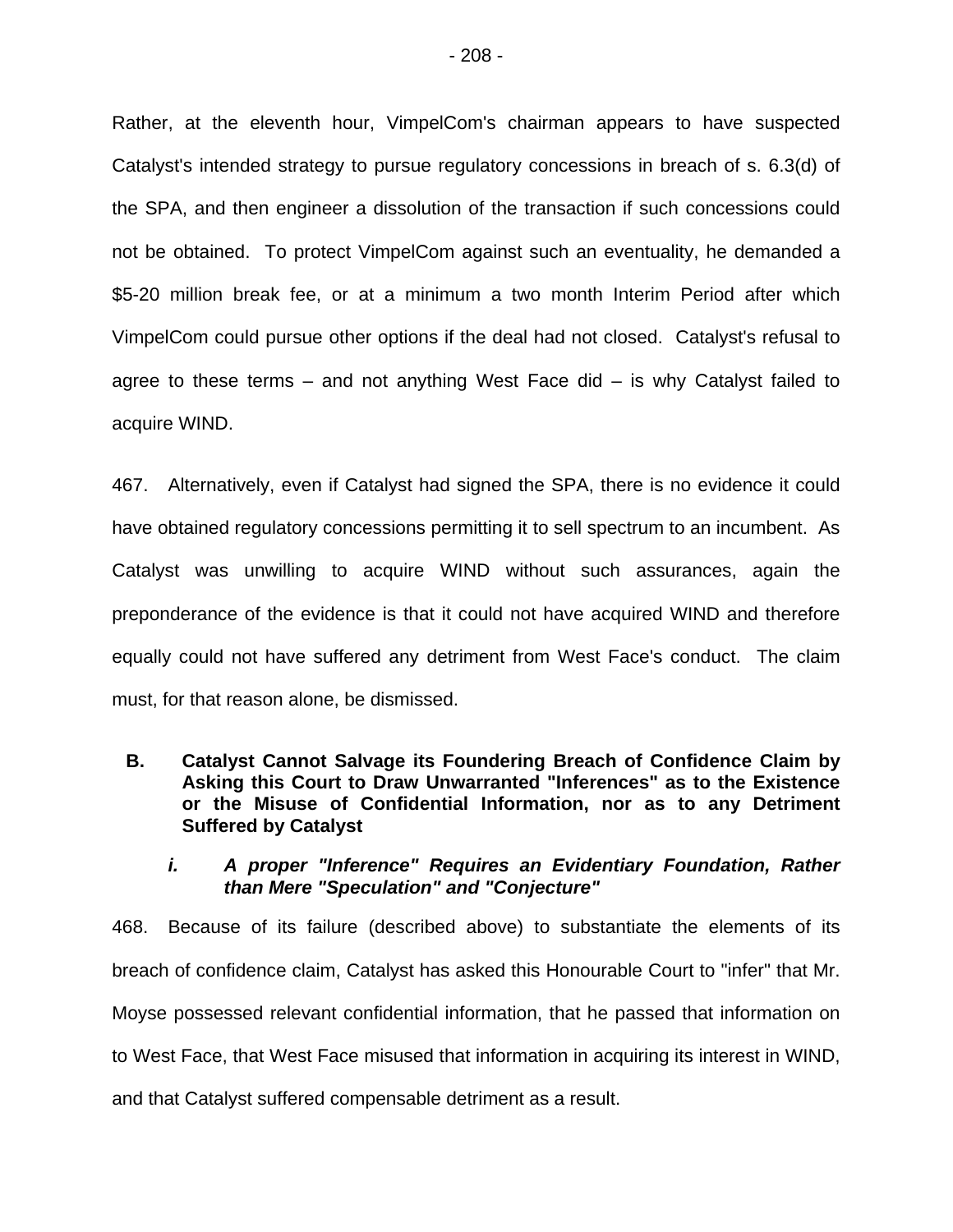Rather, at the eleventh hour, VimpelCom's chairman appears to have suspected Catalyst's intended strategy to pursue regulatory concessions in breach of s. 6.3(d) of the SPA, and then engineer a dissolution of the transaction if such concessions could not be obtained. To protect VimpelCom against such an eventuality, he demanded a \$5-20 million break fee, or at a minimum a two month Interim Period after which VimpelCom could pursue other options if the deal had not closed. Catalyst's refusal to agree to these terms – and not anything West Face did – is why Catalyst failed to acquire WIND.

467. Alternatively, even if Catalyst had signed the SPA, there is no evidence it could have obtained regulatory concessions permitting it to sell spectrum to an incumbent. As Catalyst was unwilling to acquire WIND without such assurances, again the preponderance of the evidence is that it could not have acquired WIND and therefore equally could not have suffered any detriment from West Face's conduct. The claim must, for that reason alone, be dismissed.

**B. Catalyst Cannot Salvage its Foundering Breach of Confidence Claim by Asking this Court to Draw Unwarranted "Inferences" as to the Existence or the Misuse of Confidential Information, nor as to any Detriment Suffered by Catalyst** 

### *i. A proper "Inference" Requires an Evidentiary Foundation, Rather than Mere "Speculation" and "Conjecture"*

468. Because of its failure (described above) to substantiate the elements of its breach of confidence claim, Catalyst has asked this Honourable Court to "infer" that Mr. Moyse possessed relevant confidential information, that he passed that information on to West Face, that West Face misused that information in acquiring its interest in WIND, and that Catalyst suffered compensable detriment as a result.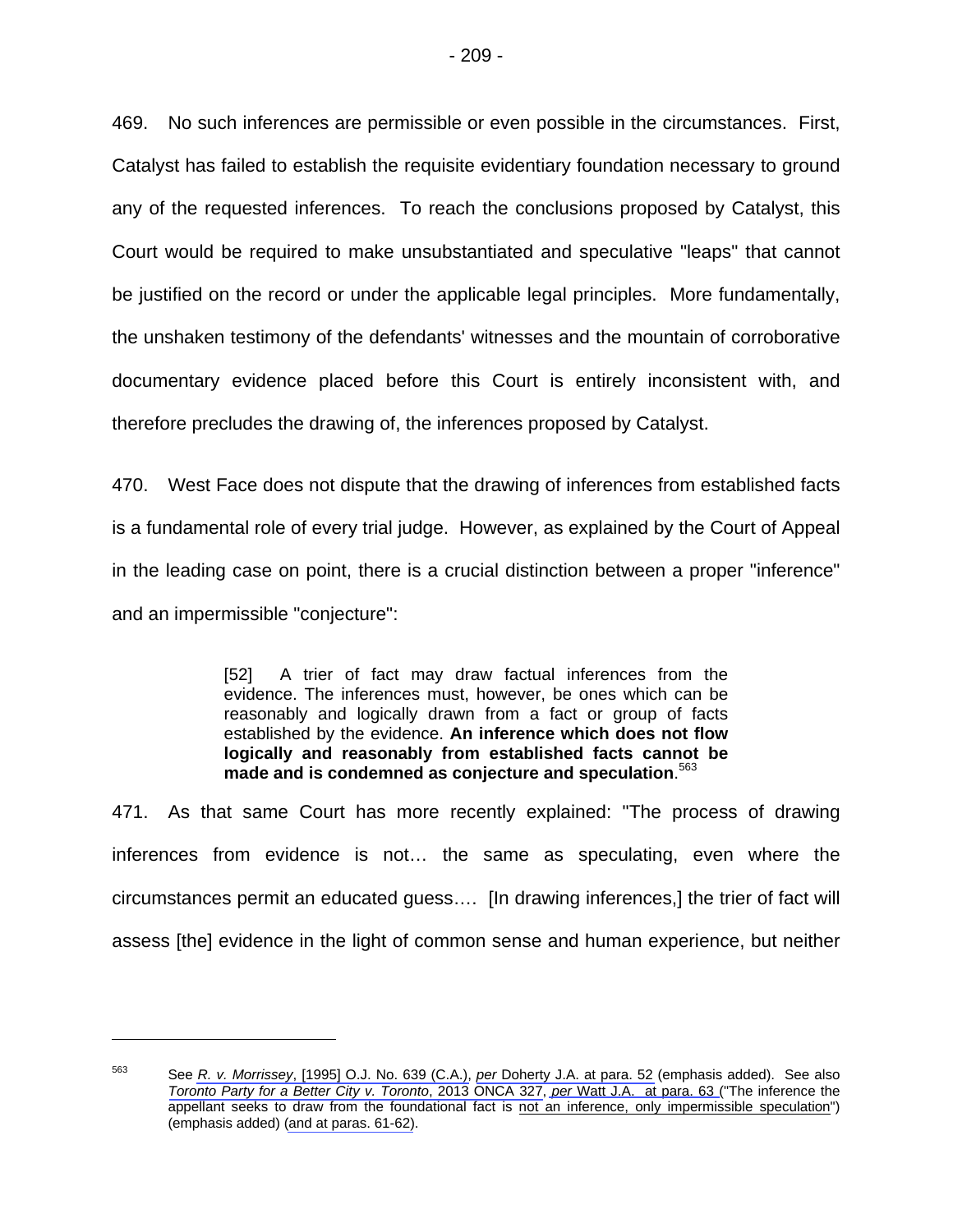469. No such inferences are permissible or even possible in the circumstances. First, Catalyst has failed to establish the requisite evidentiary foundation necessary to ground any of the requested inferences. To reach the conclusions proposed by Catalyst, this Court would be required to make unsubstantiated and speculative "leaps" that cannot be justified on the record or under the applicable legal principles. More fundamentally, the unshaken testimony of the defendants' witnesses and the mountain of corroborative documentary evidence placed before this Court is entirely inconsistent with, and therefore precludes the drawing of, the inferences proposed by Catalyst.

470. West Face does not dispute that the drawing of inferences from established facts is a fundamental role of every trial judge. However, as explained by the Court of Appeal in the leading case on point, there is a crucial distinction between a proper "inference" and an impermissible "conjecture":

> [52] A trier of fact may draw factual inferences from the evidence. The inferences must, however, be ones which can be reasonably and logically drawn from a fact or group of facts established by the evidence. **An inference which does not flow logically and reasonably from established facts cannot be made and is condemned as conjecture and speculation**. 563

471. As that same Court has more recently explained: "The process of drawing inferences from evidence is not… the same as speculating, even where the circumstances permit an educated guess…. [In drawing inferences,] the trier of fact will assess [the] evidence in the light of common sense and human experience, but neither

<sup>563</sup> See *R. v. Morrissey*, [1995] O.J. No. 639 (C.A.), *per* [Doherty J.A. at para. 52](#page-11-0) (emphasis added). See also *Toronto Party for a Better City v. Toronto*, 2013 ONCA 327, *per* [Watt J.A. at para. 63 \(](#page-11-0)"The inference the appellant seeks to draw from the foundational fact is not an inference, only impermissible speculation") (emphasis added) [\(and at paras. 61-62\)](#page-11-0).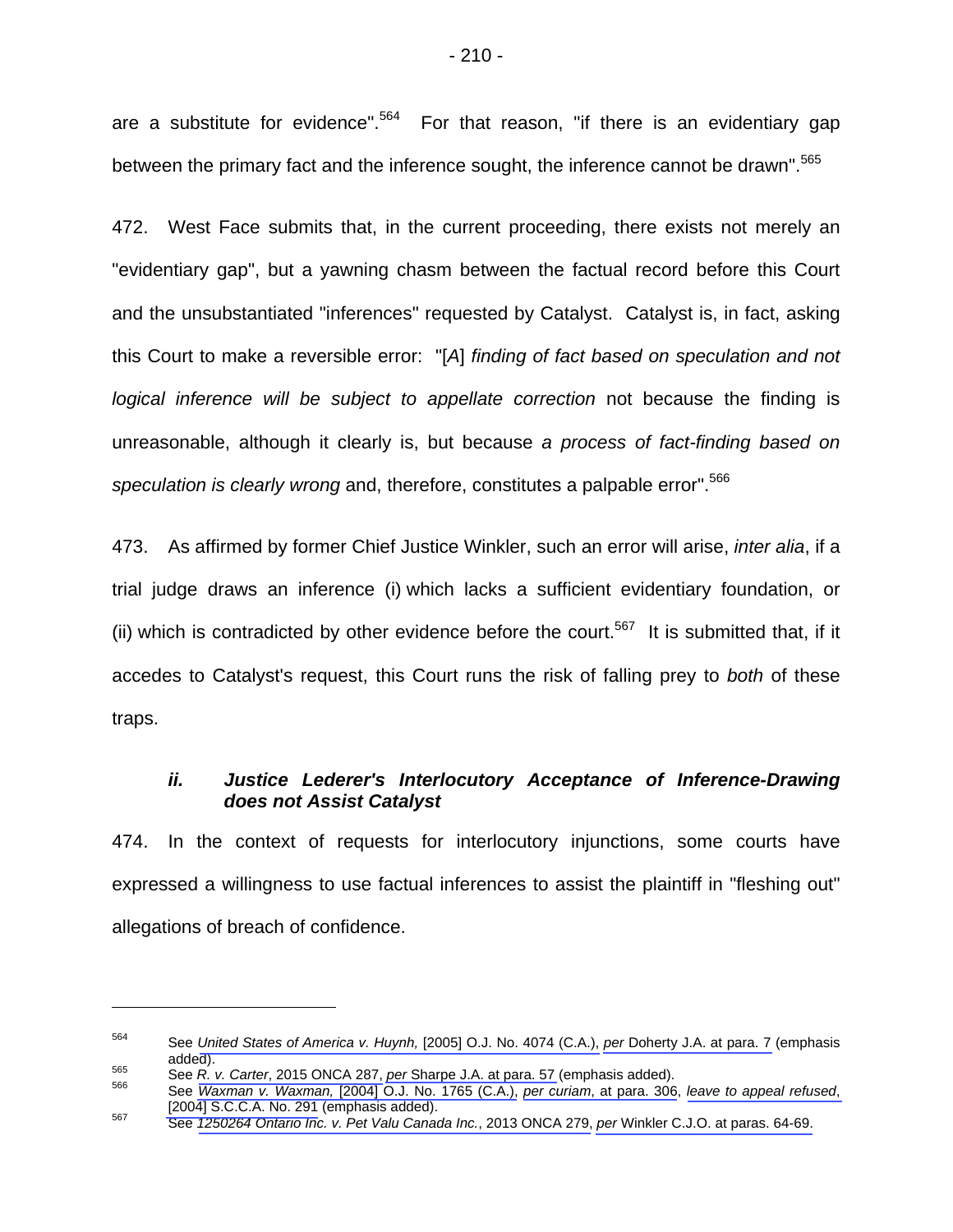are a substitute for evidence".<sup>564</sup> For that reason, "if there is an evidentiary gap between the primary fact and the inference sought, the inference cannot be drawn".<sup>565</sup>

472. West Face submits that, in the current proceeding, there exists not merely an "evidentiary gap", but a yawning chasm between the factual record before this Court and the unsubstantiated "inferences" requested by Catalyst. Catalyst is, in fact, asking this Court to make a reversible error: "[*A*] *finding of fact based on speculation and not logical inference will be subject to appellate correction* not because the finding is unreasonable, although it clearly is, but because *a process of fact-finding based on speculation is clearly wrong* and, therefore, constitutes a palpable error".566

473. As affirmed by former Chief Justice Winkler, such an error will arise, *inter alia*, if a trial judge draws an inference (i) which lacks a sufficient evidentiary foundation, or (ii) which is contradicted by other evidence before the court.<sup>567</sup> It is submitted that, if it accedes to Catalyst's request, this Court runs the risk of falling prey to *both* of these traps.

## *ii. Justice Lederer's Interlocutory Acceptance of Inference-Drawing does not Assist Catalyst*

474. In the context of requests for interlocutory injunctions, some courts have expressed a willingness to use factual inferences to assist the plaintiff in "fleshing out" allegations of breach of confidence.

<sup>564</sup> See *United States of America v. Huynh,* [2005] O.J. No. 4074 (C.A.), *per* [Doherty J.A. at para. 7](#page-3-0) (emphasis added).<br><sup>565</sup> See *R. v. Carter*, 2015 ONCA 287, *per* [Sharpe J.A. at para. 57](#page-14-0) (emphasis added).<br><sup>566</sup> See *Waxman v. Waxman*, [2004] O.J. No. 1765 (C.A.), *per curiam*, at para. 306, *leave to appeal refused*,

<sup>[2004]</sup> S.C.C.A. No. 291 (emphasis added). 567 See *1250264 Ontario Inc. v. Pet Valu Canada Inc.*, 2013 ONCA 279, *per* [Winkler C.J.O. at paras. 64-69.](#page-14-0)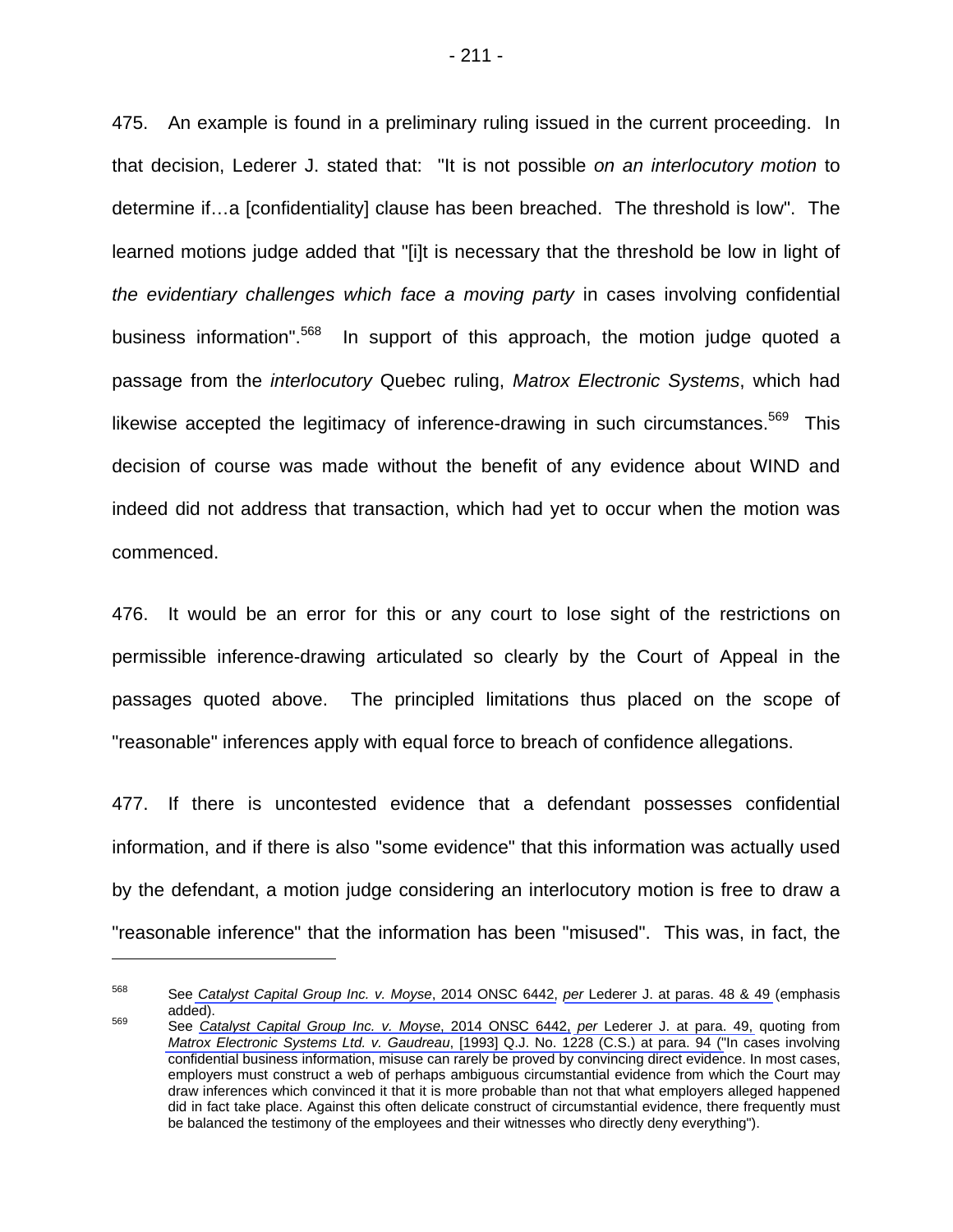475. An example is found in a preliminary ruling issued in the current proceeding. In that decision, Lederer J. stated that: "It is not possible *on an interlocutory motion* to determine if…a [confidentiality] clause has been breached. The threshold is low". The learned motions judge added that "[i]t is necessary that the threshold be low in light of *the evidentiary challenges which face a moving party* in cases involving confidential business information".<sup>568</sup> In support of this approach, the motion judge quoted a passage from the *interlocutory* Quebec ruling, *Matrox Electronic Systems*, which had likewise accepted the legitimacy of inference-drawing in such circumstances.<sup>569</sup> This decision of course was made without the benefit of any evidence about WIND and indeed did not address that transaction, which had yet to occur when the motion was commenced.

476. It would be an error for this or any court to lose sight of the restrictions on permissible inference-drawing articulated so clearly by the Court of Appeal in the passages quoted above. The principled limitations thus placed on the scope of "reasonable" inferences apply with equal force to breach of confidence allegations.

477. If there is uncontested evidence that a defendant possesses confidential information, and if there is also "some evidence" that this information was actually used by the defendant, a motion judge considering an interlocutory motion is free to draw a "reasonable inference" that the information has been "misused". This was, in fact, the

<sup>568</sup> See *Catalyst Capital Group Inc. v. Moyse*, 2014 ONSC 6442, *per* [Lederer J. at paras. 48 & 49](#page-16-0) (emphasis added). 569 See *Catalyst Capital Group Inc. v. Moyse*, 2014 ONSC 6442, *per* [Lederer J. at para. 49,](#page-17-0) quoting from

*[Matrox Electronic Systems Ltd. v. Gaudreau](#page-17-0)*, [1993] Q.J. No. 1228 (C.S.) at para. 94 ("In cases involving confidential business information, misuse can rarely be proved by convincing direct evidence. In most cases, employers must construct a web of perhaps ambiguous circumstantial evidence from which the Court may draw inferences which convinced it that it is more probable than not that what employers alleged happened did in fact take place. Against this often delicate construct of circumstantial evidence, there frequently must be balanced the testimony of the employees and their witnesses who directly deny everything").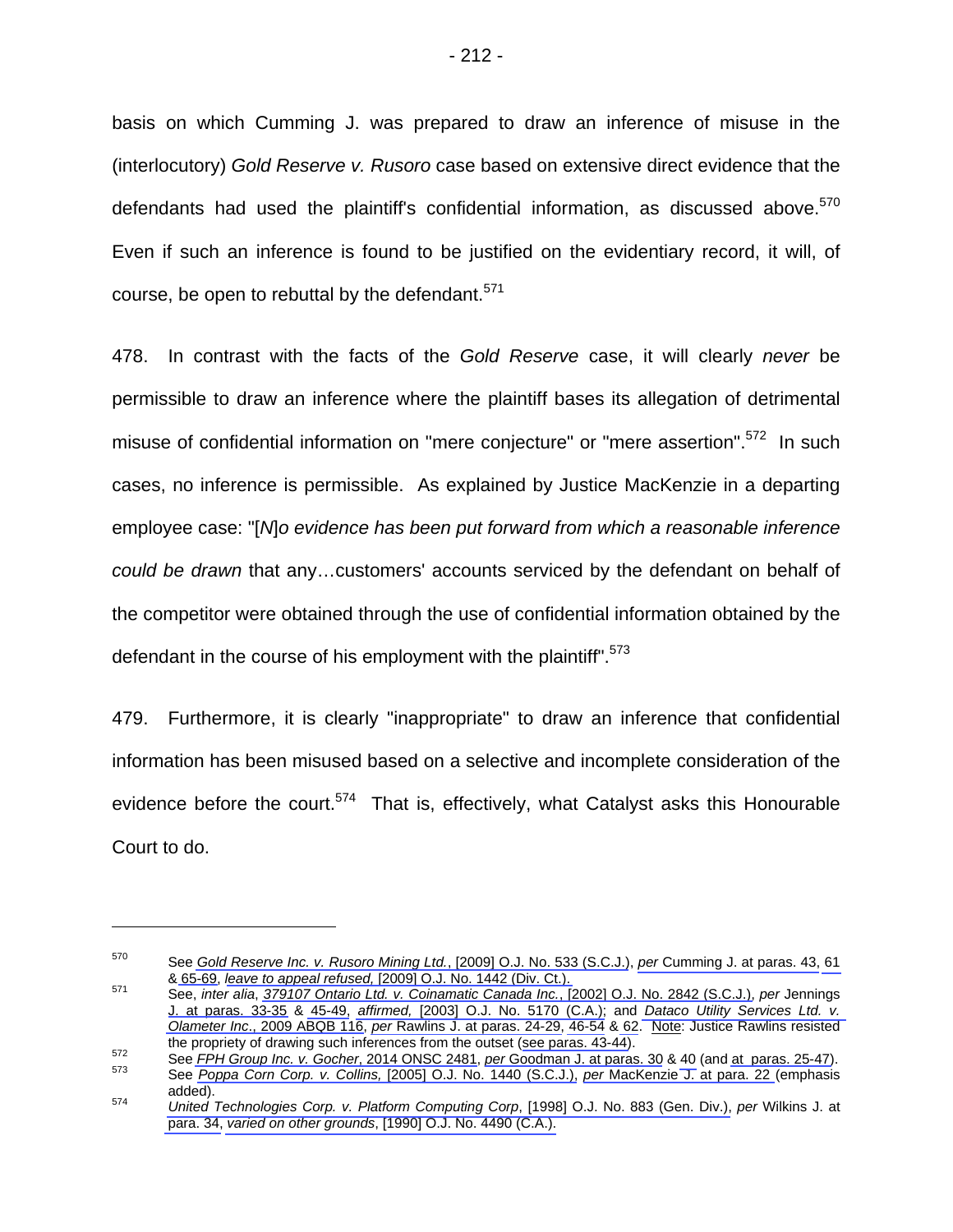basis on which Cumming J. was prepared to draw an inference of misuse in the (interlocutory) *Gold Reserve v. Rusoro* case based on extensive direct evidence that the defendants had used the plaintiff's confidential information, as discussed above.<sup>570</sup> Even if such an inference is found to be justified on the evidentiary record, it will, of course, be open to rebuttal by the defendant. $571$ 

478. In contrast with the facts of the *Gold Reserve* case, it will clearly *never* be permissible to draw an inference where the plaintiff bases its allegation of detrimental misuse of confidential information on "mere conjecture" or "mere assertion".<sup>572</sup> In such cases, no inference is permissible. As explained by Justice MacKenzie in a departing employee case: "[*N*]*o evidence has been put forward from which a reasonable inference could be drawn* that any…customers' accounts serviced by the defendant on behalf of the competitor were obtained through the use of confidential information obtained by the defendant in the course of his employment with the plaintiff".<sup>573</sup>

479. Furthermore, it is clearly "inappropriate" to draw an inference that confidential information has been misused based on a selective and incomplete consideration of the evidence before the court.<sup>574</sup> That is, effectively, what Catalyst asks this Honourable Court to do.

<sup>570</sup> See *Gold Reserve Inc. v. Rusoro Mining Ltd.*, [2009] O.J. No. 533 (S.C.J.), *per* [Cumming J. at paras. 43,](#page-10-0) [61](#page-13-0)  & [65-69,](#page-14-0) *leave to appeal refused,* [2009] O.J. No. 1442 (Div. Ct.). 571 See, *inter alia*, *379107 Ontario Ltd. v. Coinamatic Canada Inc.*, [2002] O.J. No. 2842 (S.C.J.), *per* Jennings

[J. at paras. 33-35](#page-5-0) & [45-49,](#page-7-0) *affirmed,* [2003] O.J. No. 5170 (C.A.); and *Dataco Utility Services Ltd. v. Olameter Inc*., 2009 ABQB 116, *per* [Rawlins J. at paras. 24-29,](#page-5-0) [46-54](#page-10-0) & [62](#page-14-0). Note: Justice Rawlins resisted

the propriety of drawing such inferences from the outset ([see paras. 43-44\)](#page-10-0).<br>
See FPH Group Inc. v. Gocher, 2014 ONSC 2481, per [Goodman J. at paras. 30](#page-6-0) & [40](#page-8-0) (and [at paras. 25-47\)](#page-5-0).<br>
See Poppa Corn Corp. v. Collins, [2005] O

added). 574 *United Technologies Corp. v. Platform Computing Corp*, [1998] O.J. No. 883 (Gen. Div.), *per* Wilkins J. at [para. 34,](#page-9-0) *varied on other grounds*, [1990] O.J. No. 4490 (C.A.).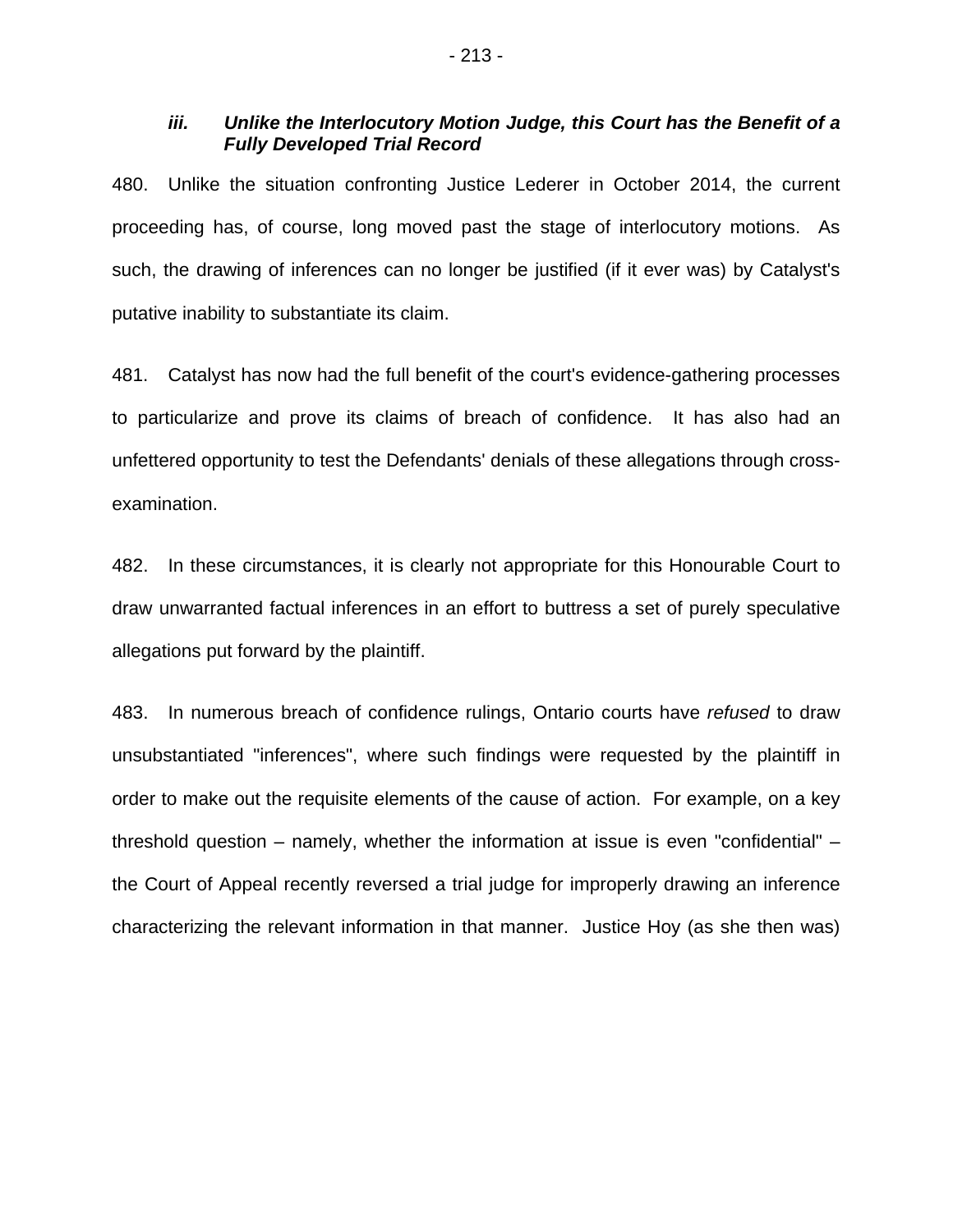## *iii. Unlike the Interlocutory Motion Judge, this Court has the Benefit of a Fully Developed Trial Record*

480. Unlike the situation confronting Justice Lederer in October 2014, the current proceeding has, of course, long moved past the stage of interlocutory motions. As such, the drawing of inferences can no longer be justified (if it ever was) by Catalyst's putative inability to substantiate its claim.

481. Catalyst has now had the full benefit of the court's evidence-gathering processes to particularize and prove its claims of breach of confidence. It has also had an unfettered opportunity to test the Defendants' denials of these allegations through crossexamination.

482. In these circumstances, it is clearly not appropriate for this Honourable Court to draw unwarranted factual inferences in an effort to buttress a set of purely speculative allegations put forward by the plaintiff.

483. In numerous breach of confidence rulings, Ontario courts have *refused* to draw unsubstantiated "inferences", where such findings were requested by the plaintiff in order to make out the requisite elements of the cause of action. For example, on a key threshold question – namely, whether the information at issue is even "confidential" – the Court of Appeal recently reversed a trial judge for improperly drawing an inference characterizing the relevant information in that manner. Justice Hoy (as she then was)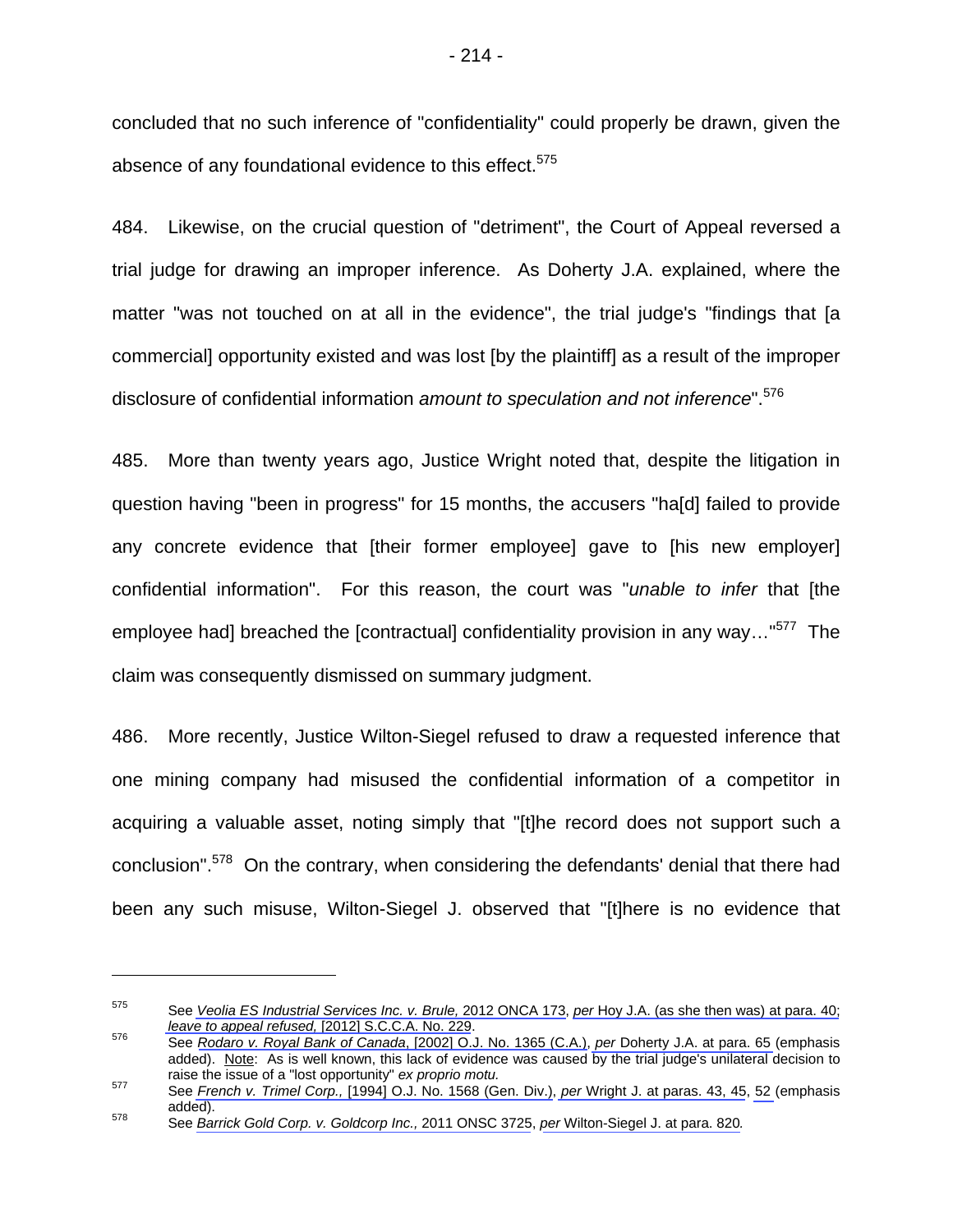concluded that no such inference of "confidentiality" could properly be drawn, given the absence of any foundational evidence to this effect.<sup>575</sup>

484. Likewise, on the crucial question of "detriment", the Court of Appeal reversed a trial judge for drawing an improper inference. As Doherty J.A. explained, where the matter "was not touched on at all in the evidence", the trial judge's "findings that [a commercial] opportunity existed and was lost [by the plaintiff] as a result of the improper disclosure of confidential information *amount to speculation and not inference*".<sup>576</sup>

485. More than twenty years ago, Justice Wright noted that, despite the litigation in question having "been in progress" for 15 months, the accusers "ha[d] failed to provide any concrete evidence that [their former employee] gave to [his new employer] confidential information". For this reason, the court was "*unable to infer* that [the employee had] breached the [contractual] confidentiality provision in any way..."<sup>577</sup> The claim was consequently dismissed on summary judgment.

486. More recently, Justice Wilton-Siegel refused to draw a requested inference that one mining company had misused the confidential information of a competitor in acquiring a valuable asset, noting simply that "[t]he record does not support such a conclusion".578 On the contrary, when considering the defendants' denial that there had been any such misuse, Wilton-Siegel J. observed that "[t]here is no evidence that

<sup>575</sup> See *Veolia ES Industrial Services Inc. v. Brule,* 2012 ONCA 173, *per* [Hoy J.A. \(as she then was\) at para. 40;](#page-8-0)<br>*leave to appeal refused*, [2012] S.C.C.A. No. 229.

*leave to appeal refused,* [2012] S.C.C.A. No. 229. 576 See *Rodaro v. Royal Bank of Canada*, [2002] O.J. No. 1365 (C.A.), *per* [Doherty J.A. at para. 65](#page-16-0) (emphasis added). Note: As is well known, this lack of evidence was caused by the trial judge's unilateral decision to

raise the issue of a "lost opportunity" *ex proprio motu.*<br>
<sup>577</sup> See *French v. Trimel Corp.*, [1994] O.J. No. 1568 (Gen. Div.), *per [Wright J. at paras. 43, 45](#page-11-0), [52](#page-12-0) (emphasis*<br>
added).

added). 578 See *Barrick Gold Corp. v. Goldcorp Inc.,* 2011 ONSC 3725, *per* [Wilton-Siegel J. at para. 820](#page-164-0)*.*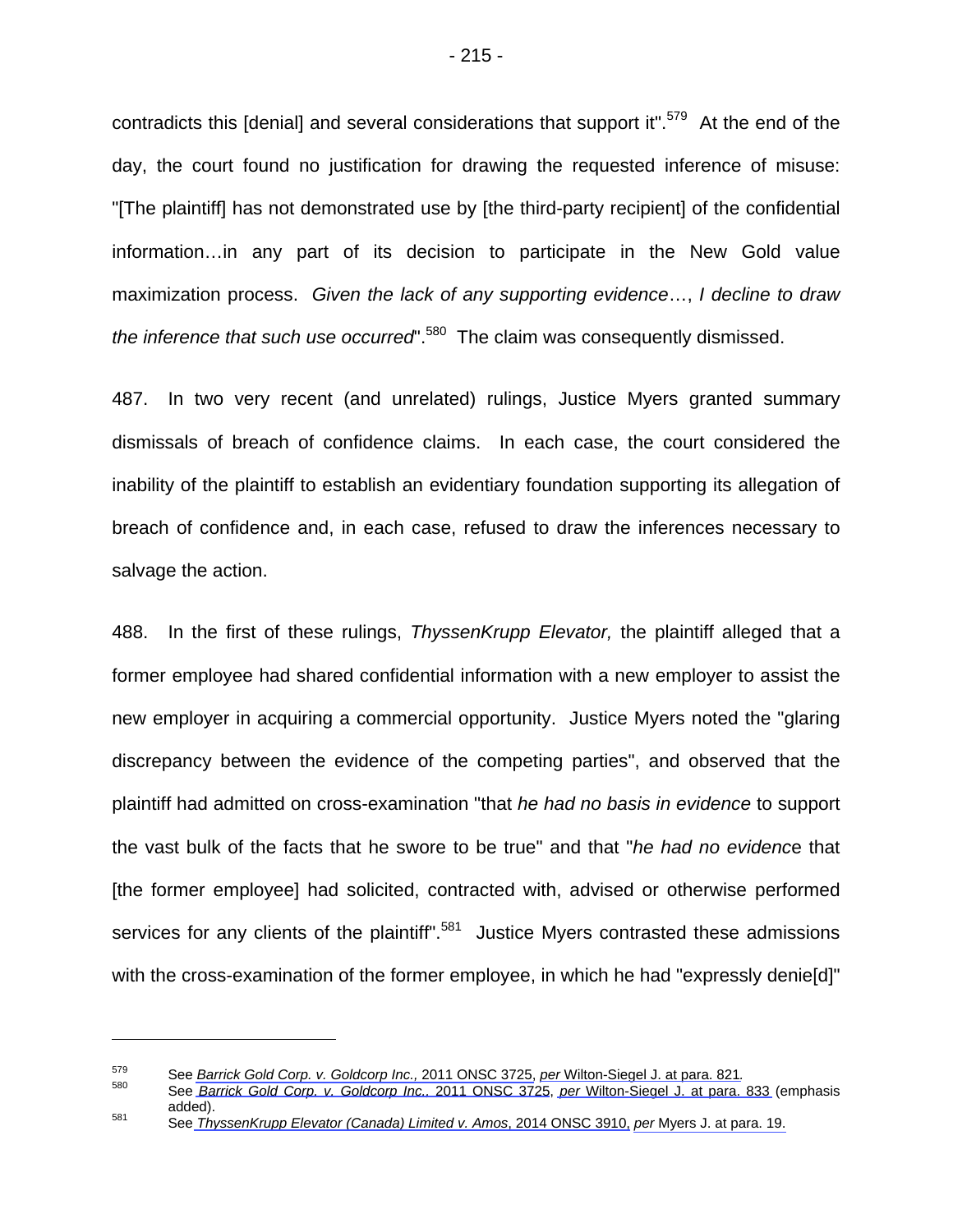contradicts this [denial] and several considerations that support it".<sup>579</sup> At the end of the day, the court found no justification for drawing the requested inference of misuse: "[The plaintiff] has not demonstrated use by [the third-party recipient] of the confidential information…in any part of its decision to participate in the New Gold value maximization process. *Given the lack of any supporting evidence*…, *I decline to draw the inference that such use occurred*".<sup>580</sup> The claim was consequently dismissed.

487. In two very recent (and unrelated) rulings, Justice Myers granted summary dismissals of breach of confidence claims. In each case, the court considered the inability of the plaintiff to establish an evidentiary foundation supporting its allegation of breach of confidence and, in each case, refused to draw the inferences necessary to salvage the action.

488. In the first of these rulings, *ThyssenKrupp Elevator,* the plaintiff alleged that a former employee had shared confidential information with a new employer to assist the new employer in acquiring a commercial opportunity. Justice Myers noted the "glaring discrepancy between the evidence of the competing parties", and observed that the plaintiff had admitted on cross-examination "that *he had no basis in evidence* to support the vast bulk of the facts that he swore to be true" and that "*he had no evidenc*e that [the former employee] had solicited, contracted with, advised or otherwise performed services for any clients of the plaintiff".<sup>581</sup> Justice Myers contrasted these admissions with the cross-examination of the former employee, in which he had "expressly denie[d]"

<sup>&</sup>lt;sup>579</sup> See Barrick Gold Corp. v. Goldcorp Inc., 2011 ONSC 3725, per [Wilton-Siegel J. at para. 821](#page-164-0).<br><sup>580</sup> See Barrick Gold Corp. v. Goldcorp Inc., 2011 ONSC 3725, per [Wilton-Siegel J. at para. 833](#page-166-0) (emphasis

added). 581 See *ThyssenKrupp Elevator (Canada) Limited v. Amos*, 2014 ONSC 3910, *per* [Myers J. at para. 19.](#page-6-0)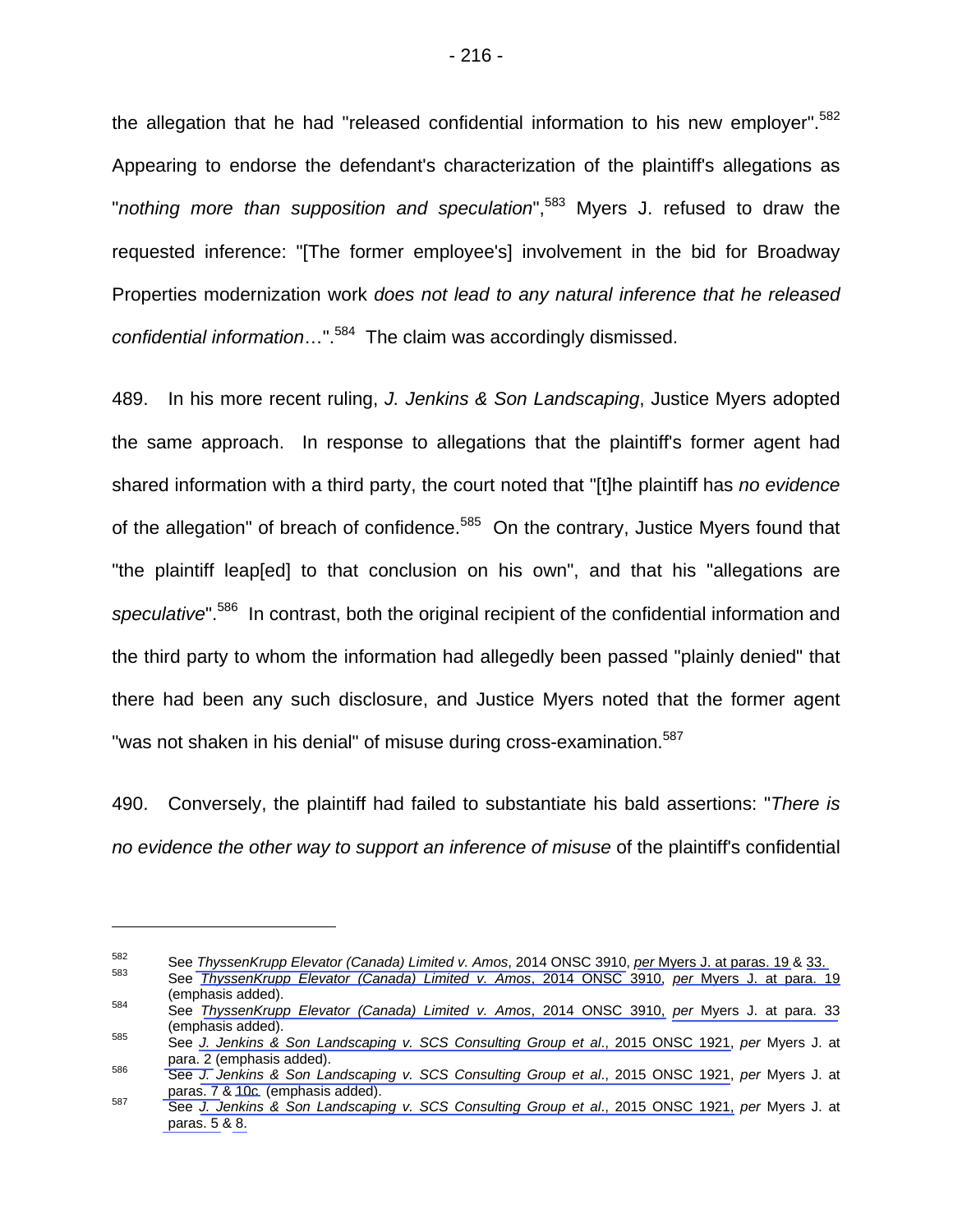the allegation that he had "released confidential information to his new employer".<sup>582</sup> Appearing to endorse the defendant's characterization of the plaintiff's allegations as "*nothing more than supposition and speculation*",583 Myers J. refused to draw the requested inference: "[The former employee's] involvement in the bid for Broadway Properties modernization work *does not lead to any natural inference that he released confidential information*…".584 The claim was accordingly dismissed.

489. In his more recent ruling, *J. Jenkins & Son Landscaping*, Justice Myers adopted the same approach. In response to allegations that the plaintiff's former agent had shared information with a third party, the court noted that "[t]he plaintiff has *no evidence* of the allegation" of breach of confidence.<sup>585</sup> On the contrary, Justice Myers found that "the plaintiff leap[ed] to that conclusion on his own", and that his "allegations are speculative".<sup>586</sup> In contrast, both the original recipient of the confidential information and the third party to whom the information had allegedly been passed "plainly denied" that there had been any such disclosure, and Justice Myers noted that the former agent "was not shaken in his denial" of misuse during cross-examination.<sup>587</sup>

490. Conversely, the plaintiff had failed to substantiate his bald assertions: "*There is no evidence the other way to support an inference of misuse* of the plaintiff's confidential

<sup>582</sup> See ThyssenKrupp Elevator (Canada) Limited v. Amos, 2014 ONSC 3910, per [Myers J. at paras. 19](#page-6-0) & 33.<br>583 See ThyssenKrupp Elevator (Canada) Limited v. Amos, 2014 ONSC 3910, per Myers J. at para. 19<br>(emphasis added).

<sup>(</sup>emphasis added). 584 See *ThyssenKrupp Elevator (Canada) Limited v. Amos*, 2014 ONSC 3910, *per* [Myers J. at para. 33](#page-9-0) (emphasis added). 585 See *J. Jenkins & Son Landscaping v. SCS Consulting Group et al*., 2015 ONSC 1921, *per* Myers J. at

[para. 2](#page-1-0) (emphasis added).<br><sup>586</sup> [See](#page-1-0) *J. Jenkins & Son Landscaping v. SCS Consulting Group et al.*, 2015 ONSC 1921, *per Myers J. at* 

[paras. 7](#page-1-0) & [10c](#page-2-0) (emphasis added).<br><sup>587</sup> See *J. Jenkins & Son Landscaping v. SCS Consulting Group et al.*, 2015 ONSC 1921, *per Myers J. at* 

[paras. 5 & 8.](#page-1-0)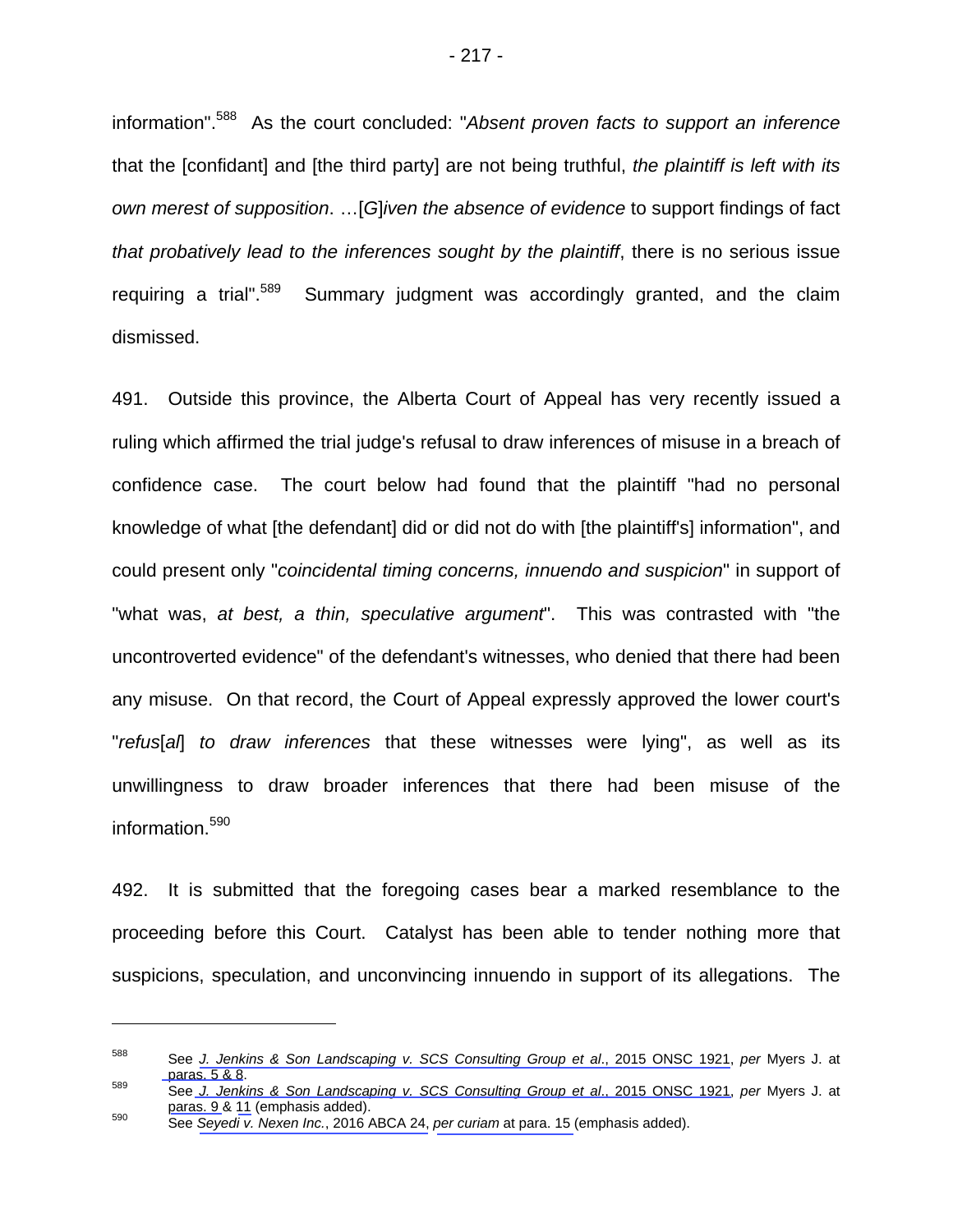information".588 As the court concluded: "*Absent proven facts to support an inference* that the [confidant] and [the third party] are not being truthful, *the plaintiff is left with its own merest of supposition*. …[*G*]*iven the absence of evidence* to support findings of fact *that probatively lead to the inferences sought by the plaintiff*, there is no serious issue requiring a trial".<sup>589</sup> Summary judgment was accordingly granted, and the claim dismissed.

491. Outside this province, the Alberta Court of Appeal has very recently issued a ruling which affirmed the trial judge's refusal to draw inferences of misuse in a breach of confidence case. The court below had found that the plaintiff "had no personal knowledge of what [the defendant] did or did not do with [the plaintiff's] information", and could present only "*coincidental timing concerns, innuendo and suspicion*" in support of "what was, *at best, a thin, speculative argument*". This was contrasted with "the uncontroverted evidence" of the defendant's witnesses, who denied that there had been any misuse. On that record, the Court of Appeal expressly approved the lower court's "*refus*[*al*] *to draw inferences* that these witnesses were lying", as well as its unwillingness to draw broader inferences that there had been misuse of the information.<sup>590</sup>

492. It is submitted that the foregoing cases bear a marked resemblance to the proceeding before this Court. Catalyst has been able to tender nothing more that suspicions, speculation, and unconvincing innuendo in support of its allegations. The

<sup>588</sup> See *J. Jenkins & Son Landscaping v. SCS Consulting Group et al*., 2015 ONSC 1921, *per* Myers J. at

[paras. 5 & 8](#page-1-0).<br>See *J. Jenkins & Son Landscaping v. SCS Consulting Group et al.*, 2015 ONSC 1921, *per Myers J. at*<br>paras. 9 & 11 (emphasis added).

[paras. 9 &](#page-1-0) [11](#page-2-0) (emphasis added). 590 See *Seyedi v. Nexen Inc.*, 2016 ABCA 24, *per curiam* [at para. 15](#page-4-0) (emphasis added).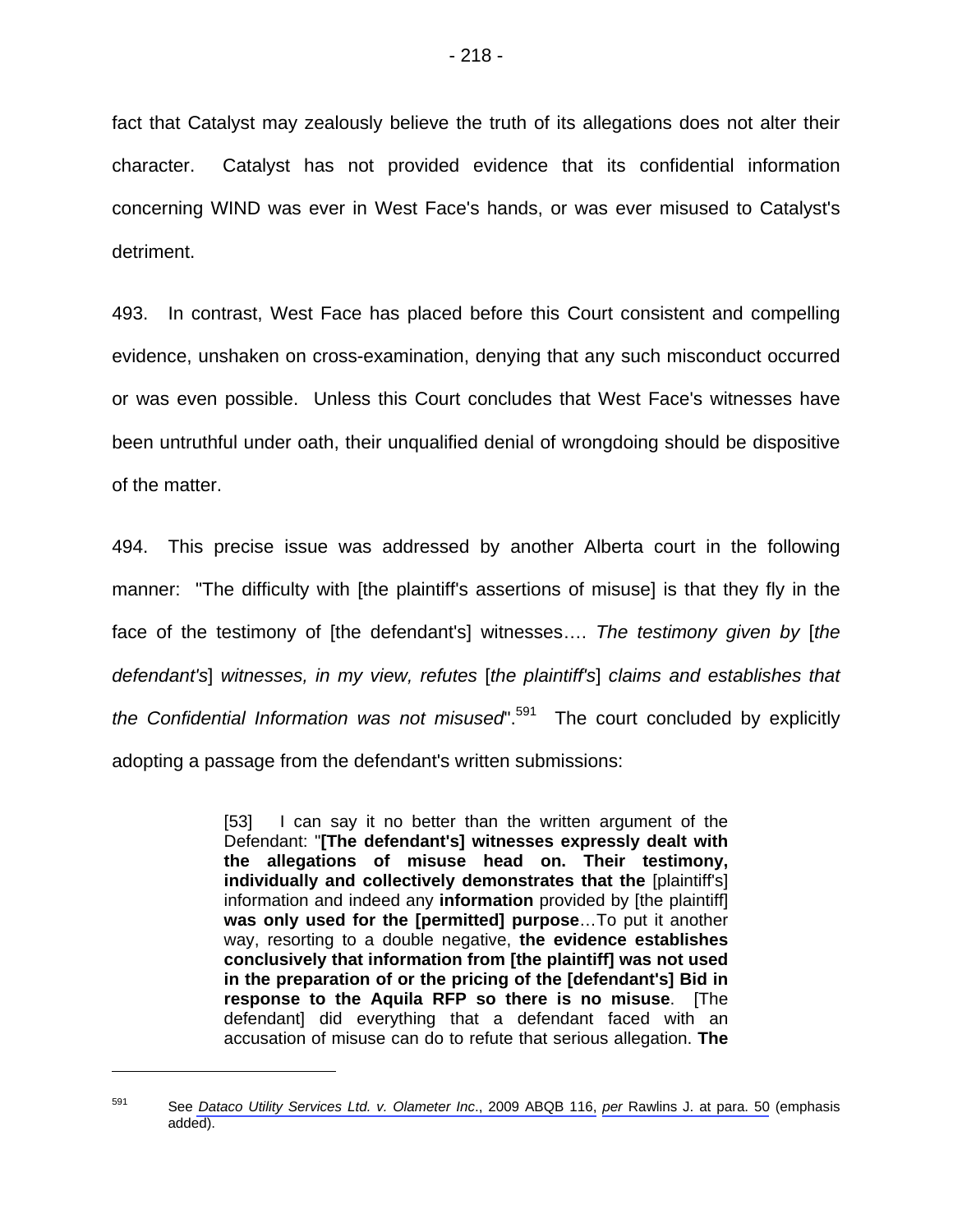fact that Catalyst may zealously believe the truth of its allegations does not alter their character. Catalyst has not provided evidence that its confidential information concerning WIND was ever in West Face's hands, or was ever misused to Catalyst's detriment.

493. In contrast, West Face has placed before this Court consistent and compelling evidence, unshaken on cross-examination, denying that any such misconduct occurred or was even possible. Unless this Court concludes that West Face's witnesses have been untruthful under oath, their unqualified denial of wrongdoing should be dispositive of the matter.

494. This precise issue was addressed by another Alberta court in the following manner: "The difficulty with [the plaintiff's assertions of misuse] is that they fly in the face of the testimony of [the defendant's] witnesses…. *The testimony given by* [*the defendant's*] *witnesses, in my view, refutes* [*the plaintiff's*] *claims and establishes that the Confidential Information was not misused*".591 The court concluded by explicitly adopting a passage from the defendant's written submissions:

> [53] I can say it no better than the written argument of the Defendant: "**[The defendant's] witnesses expressly dealt with the allegations of misuse head on. Their testimony, individually and collectively demonstrates that the** [plaintiff's] information and indeed any **information** provided by [the plaintiff] **was only used for the [permitted] purpose**…To put it another way, resorting to a double negative, **the evidence establishes conclusively that information from [the plaintiff] was not used in the preparation of or the pricing of the [defendant's] Bid in response to the Aquila RFP so there is no misuse**. [The defendant] did everything that a defendant faced with an accusation of misuse can do to refute that serious allegation. **The**

<sup>591</sup> See *Dataco Utility Services Ltd. v. Olameter Inc*., 2009 ABQB 116, *per* [Rawlins J. at para. 50](#page-11-0) (emphasis added).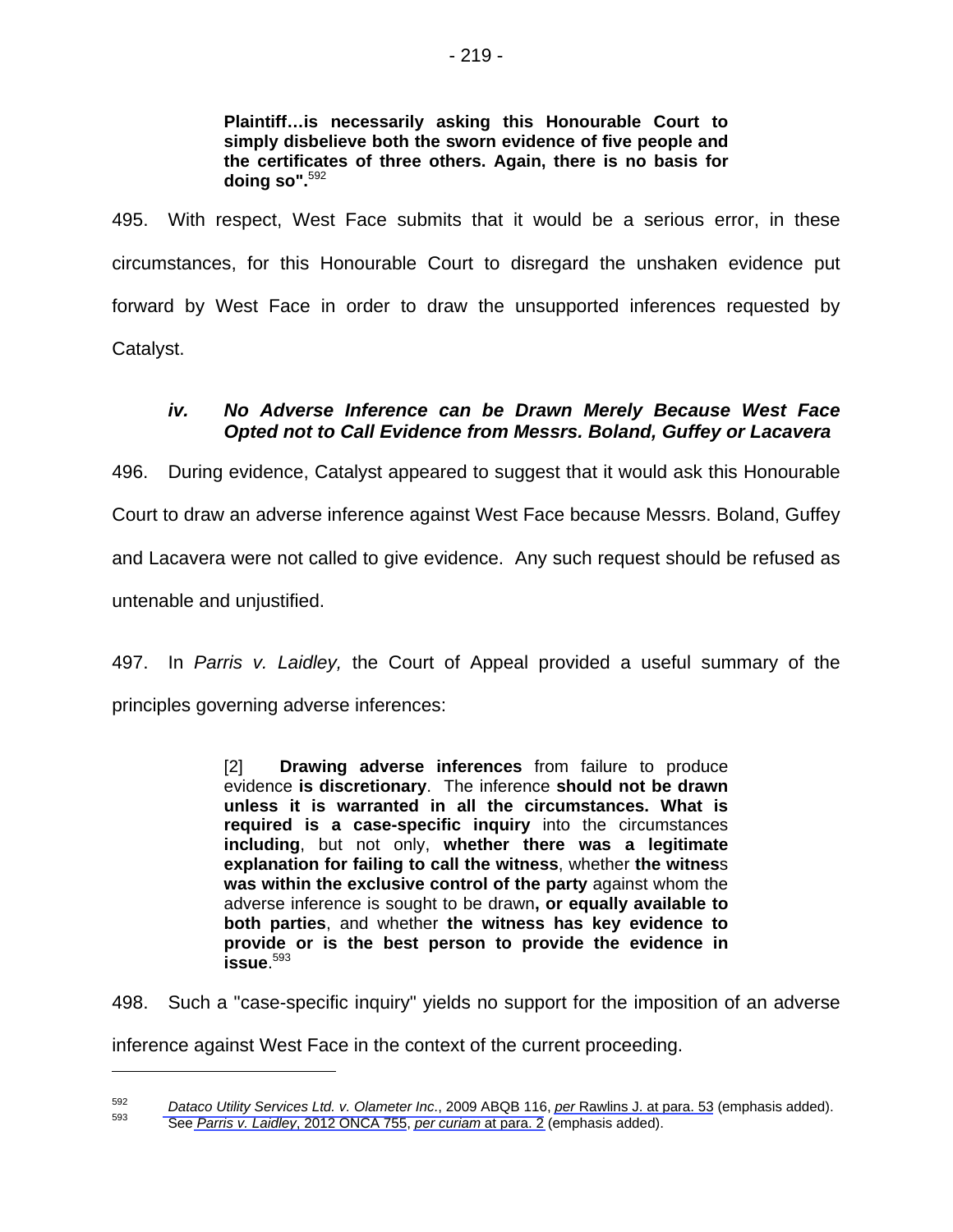**Plaintiff…is necessarily asking this Honourable Court to simply disbelieve both the sworn evidence of five people and the certificates of three others. Again, there is no basis for doing so".**<sup>592</sup>

495. With respect, West Face submits that it would be a serious error, in these circumstances, for this Honourable Court to disregard the unshaken evidence put forward by West Face in order to draw the unsupported inferences requested by Catalyst.

# *iv. No Adverse Inference can be Drawn Merely Because West Face Opted not to Call Evidence from Messrs. Boland, Guffey or Lacavera*

496. During evidence, Catalyst appeared to suggest that it would ask this Honourable Court to draw an adverse inference against West Face because Messrs. Boland, Guffey and Lacavera were not called to give evidence. Any such request should be refused as untenable and unjustified.

497. In *Parris v. Laidley,* the Court of Appeal provided a useful summary of the principles governing adverse inferences:

> [2] **Drawing adverse inferences** from failure to produce evidence **is discretionary**. The inference **should not be drawn unless it is warranted in all the circumstances. What is required is a case-specific inquiry** into the circumstances **including**, but not only, **whether there was a legitimate explanation for failing to call the witness**, whether **the witnes**s **was within the exclusive control of the party** against whom the adverse inference is sought to be drawn**, or equally available to both parties**, and whether **the witness has key evidence to provide or is the best person to provide the evidence in issue**. 593

498. Such a "case-specific inquiry" yields no support for the imposition of an adverse inference against West Face in the context of the current proceeding.

<sup>&</sup>lt;sup>592</sup> Dataco Utility Services Ltd. v. Olameter Inc., 2009 ABQB 116, *per* [Rawlins J. at para. 53](#page-11-0) (emphasis added).<br><sup>593</sup> See *Parris v. Laidley*, 2012 ONCA 755, *per curiam* at para. 2 (emphasis added).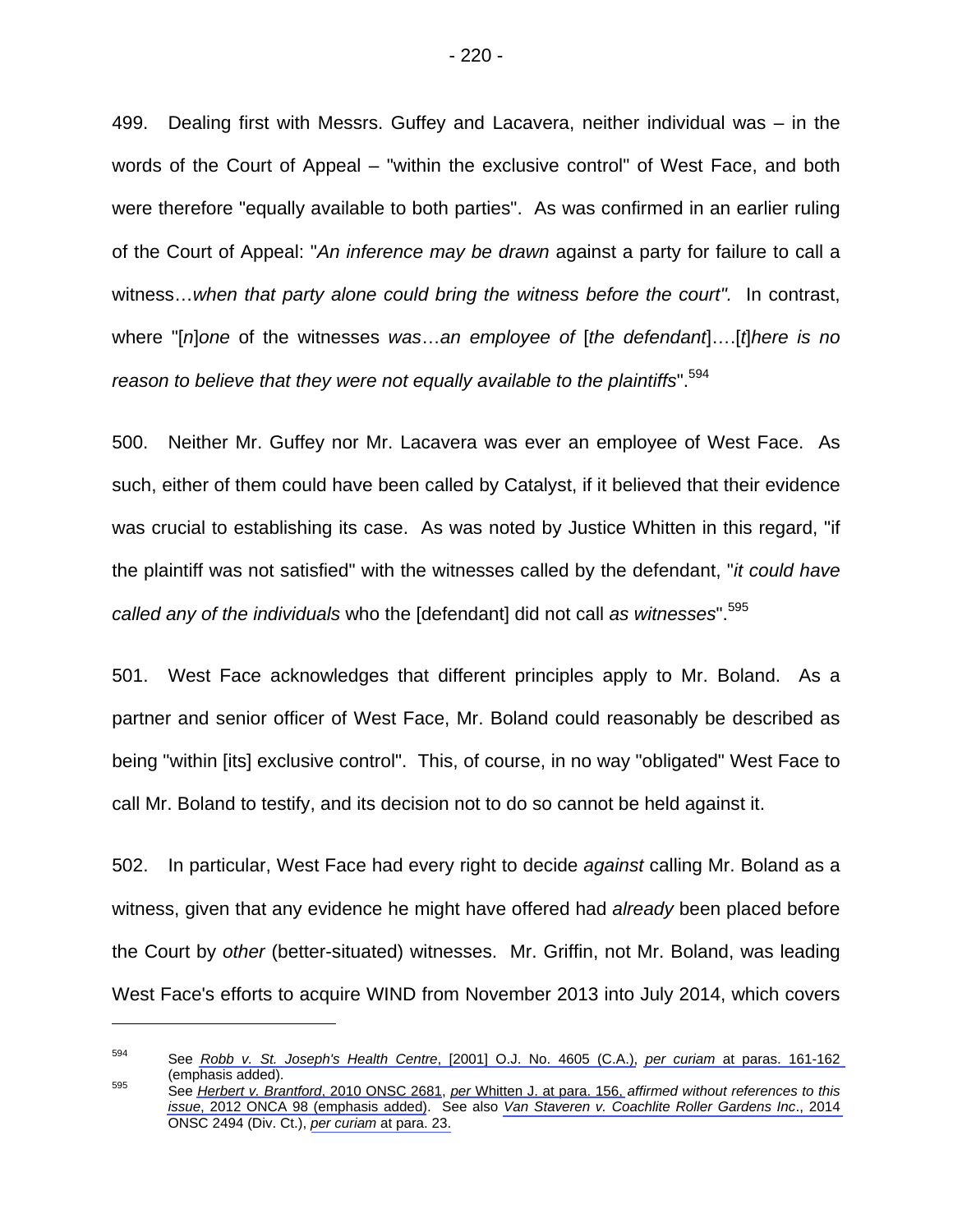499. Dealing first with Messrs. Guffey and Lacavera, neither individual was – in the words of the Court of Appeal – "within the exclusive control" of West Face, and both were therefore "equally available to both parties". As was confirmed in an earlier ruling of the Court of Appeal: "*An inference may be drawn* against a party for failure to call a witness…*when that party alone could bring the witness before the court".* In contrast, where "[*n*]*one* of the witnesses *was*…*an employee of* [*the defendant*]….[*t*]*here is no reason to believe that they were not equally available to the plaintiffs*".594

500. Neither Mr. Guffey nor Mr. Lacavera was ever an employee of West Face. As such, either of them could have been called by Catalyst, if it believed that their evidence was crucial to establishing its case. As was noted by Justice Whitten in this regard, "if the plaintiff was not satisfied" with the witnesses called by the defendant, "*it could have called any of the individuals* who the [defendant] did not call *as witnesses*".595

501. West Face acknowledges that different principles apply to Mr. Boland. As a partner and senior officer of West Face, Mr. Boland could reasonably be described as being "within [its] exclusive control". This, of course, in no way "obligated" West Face to call Mr. Boland to testify, and its decision not to do so cannot be held against it.

502. In particular, West Face had every right to decide *against* calling Mr. Boland as a witness, given that any evidence he might have offered had *already* been placed before the Court by *other* (better-situated) witnesses. Mr. Griffin, not Mr. Boland, was leading West Face's efforts to acquire WIND from November 2013 into July 2014, which covers

<sup>594</sup> See *Robb v. St. Joseph's Health Centre*, [2001] O.J. No. 4605 (C.A.), *per curiam* [at paras. 161-162](#page-46-0)  (emphasis added). 595 See *Herbert v. Brantford*, 2010 ONSC 2681, *per* [Whitten J. at para. 156,](#page-30-0) *affirmed without references to this* 

*issue*, 2012 ONCA 98 (emphasis added). See also *Van Staveren v. Coachlite Roller Gardens Inc*., 2014 ONSC 2494 (Div. Ct.), *per curiam* [at para. 23.](#page-4-0)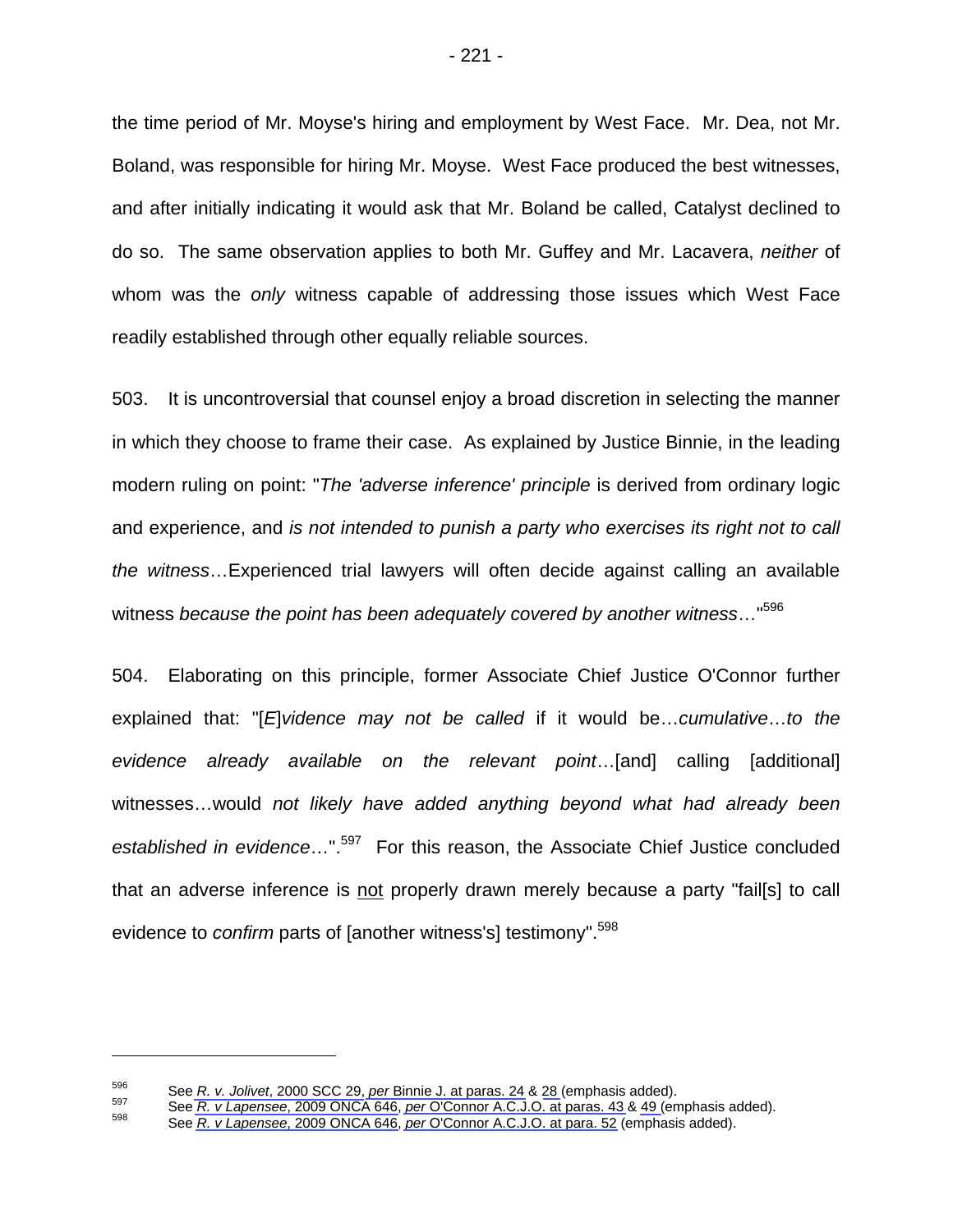the time period of Mr. Moyse's hiring and employment by West Face. Mr. Dea, not Mr. Boland, was responsible for hiring Mr. Moyse. West Face produced the best witnesses, and after initially indicating it would ask that Mr. Boland be called, Catalyst declined to do so. The same observation applies to both Mr. Guffey and Mr. Lacavera, *neither* of whom was the *only* witness capable of addressing those issues which West Face readily established through other equally reliable sources.

503. It is uncontroversial that counsel enjoy a broad discretion in selecting the manner in which they choose to frame their case. As explained by Justice Binnie, in the leading modern ruling on point: "*The 'adverse inference' principle* is derived from ordinary logic and experience, and *is not intended to punish a party who exercises its right not to call the witness*…Experienced trial lawyers will often decide against calling an available witness *because the point has been adequately covered by another witness*…"596

504. Elaborating on this principle, former Associate Chief Justice O'Connor further explained that: "[*E*]*vidence may not be called* if it would be…*cumulative*…*to the evidence already available on the relevant point*…[and] calling [additional] witnesses…would *not likely have added anything beyond what had already been established in evidence*…".597 For this reason, the Associate Chief Justice concluded that an adverse inference is not properly drawn merely because a party "fail[s] to call evidence to *confirm* parts of [another witness's] testimony".598

<sup>596</sup> See *R. v. Jolivet*, 2000 SCC 29, *per* [Binnie J. at paras. 24](#page-12-0) & [28](#page-13-0) (emphasis added).<br>
See *R. v Lapensee*, 2009 ONCA 646, *per* O'Connor A.C.J.O. at paras. 43 & [49 \(](#page-10-0)emphasis added).<br>
See *R. v Lapensee*, 2009 ONCA 64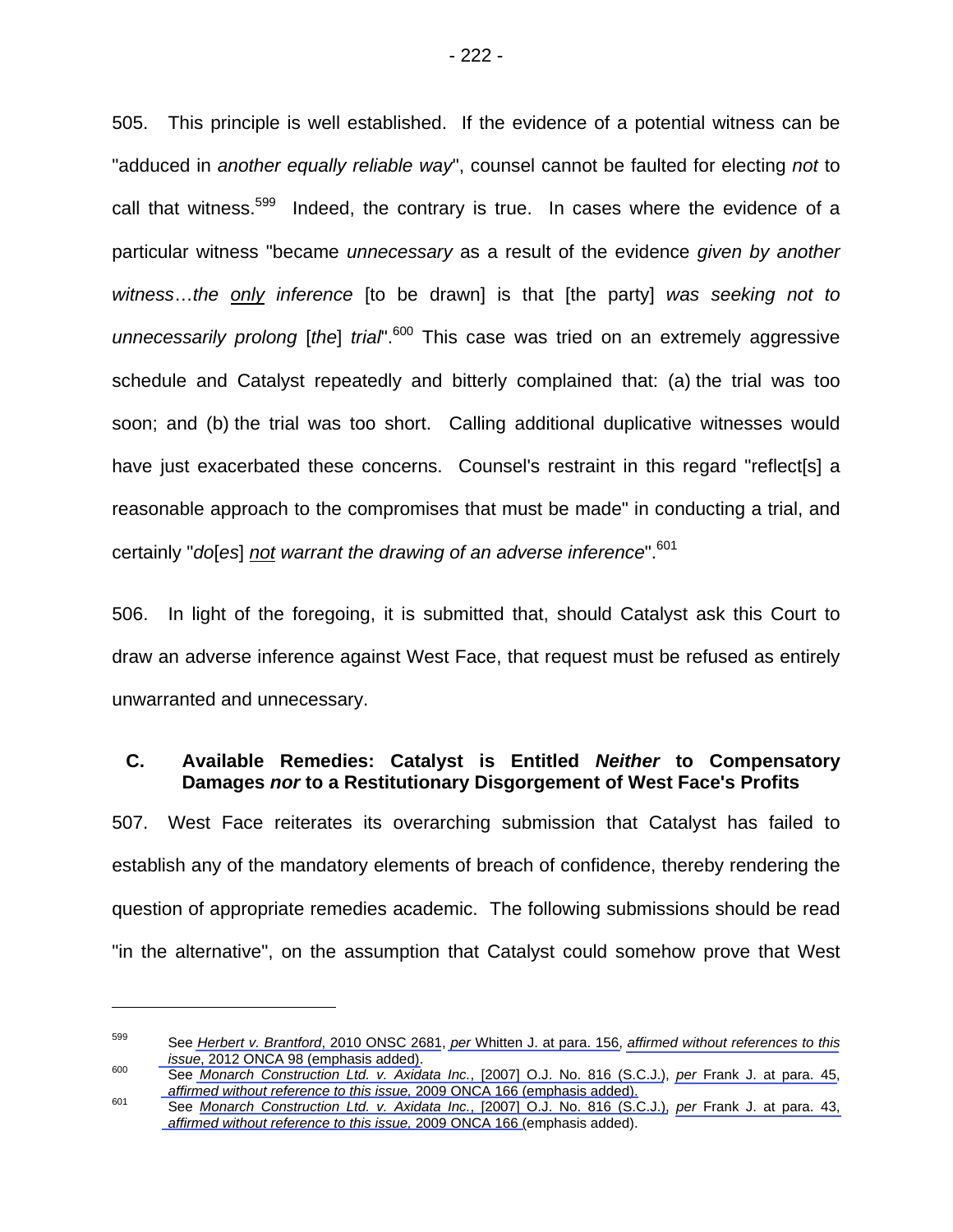505. This principle is well established. If the evidence of a potential witness can be "adduced in *another equally reliable way*", counsel cannot be faulted for electing *not* to call that witness.<sup>599</sup> Indeed, the contrary is true. In cases where the evidence of a particular witness "became *unnecessary* as a result of the evidence *given by another witness*…*the only inference* [to be drawn] is that [the party] *was seeking not to unnecessarily prolong* [*the*] *trial*".600 This case was tried on an extremely aggressive schedule and Catalyst repeatedly and bitterly complained that: (a) the trial was too soon; and (b) the trial was too short. Calling additional duplicative witnesses would have just exacerbated these concerns. Counsel's restraint in this regard "reflect[s] a reasonable approach to the compromises that must be made" in conducting a trial, and certainly "*do*[*es*] *not warrant the drawing of an adverse inference*".<sup>601</sup>

506. In light of the foregoing, it is submitted that, should Catalyst ask this Court to draw an adverse inference against West Face, that request must be refused as entirely unwarranted and unnecessary.

## **C. Available Remedies: Catalyst is Entitled** *Neither* **to Compensatory Damages** *nor* **to a Restitutionary Disgorgement of West Face's Profits**

507. West Face reiterates its overarching submission that Catalyst has failed to establish any of the mandatory elements of breach of confidence, thereby rendering the question of appropriate remedies academic. The following submissions should be read "in the alternative", on the assumption that Catalyst could somehow prove that West

<sup>599</sup> See *Herbert v. Brantford*, 2010 ONSC 2681, *per* [Whitten J. at para. 156,](#page-30-0) *affirmed without references to this* 

*issue*, 2012 ONCA 98 (emphasis added).<br>
See *Monarch Construction Ltd. v. Axidata Inc.*, [2007] O.J. No. 816 (S.C.J.), *per* [Frank J. at para. 45,](#page-11-0)<br> *affirmed without reference to this issue,* 2009 ONCA 166 (emphasis added

*affirmed without reference to this issue,* 2009 ONCA 166 (emphasis added). 601 See *Monarch Construction Ltd. v. Axidata Inc.*, [2007] O.J. No. 816 (S.C.J.), *per* [Frank J. at para. 43,](#page-11-0)  *affirmed without reference to this issue,* 2009 ONCA 166 (emphasis added).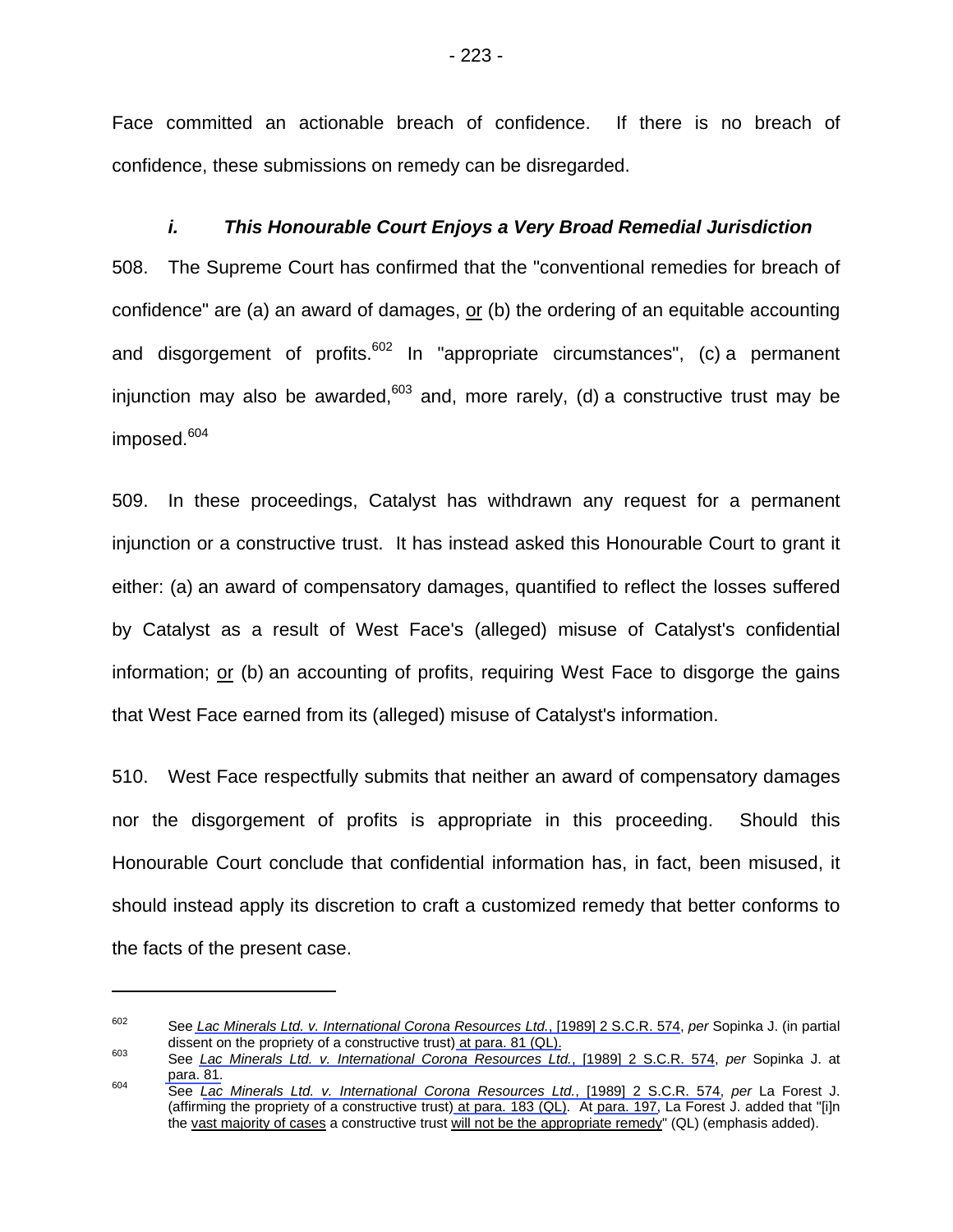Face committed an actionable breach of confidence. If there is no breach of confidence, these submissions on remedy can be disregarded.

# *i. This Honourable Court Enjoys a Very Broad Remedial Jurisdiction*

508. The Supreme Court has confirmed that the "conventional remedies for breach of confidence" are (a) an award of damages, or (b) the ordering of an equitable accounting and disgorgement of profits.<sup>602</sup> In "appropriate circumstances", (c) a permanent injunction may also be awarded, $603$  and, more rarely, (d) a constructive trust may be imposed.<sup>604</sup>

509. In these proceedings, Catalyst has withdrawn any request for a permanent injunction or a constructive trust. It has instead asked this Honourable Court to grant it either: (a) an award of compensatory damages, quantified to reflect the losses suffered by Catalyst as a result of West Face's (alleged) misuse of Catalyst's confidential information;  $or$  (b) an accounting of profits, requiring West Face to disgorge the gains that West Face earned from its (alleged) misuse of Catalyst's information.

510. West Face respectfully submits that neither an award of compensatory damages nor the disgorgement of profits is appropriate in this proceeding. Should this Honourable Court conclude that confidential information has, in fact, been misused, it should instead apply its discretion to craft a customized remedy that better conforms to the facts of the present case.

<sup>602</sup> See *Lac Minerals Ltd. v. International Corona Resources Ltd.*, [1989] 2 S.C.R. 574, *per* Sopinka J. (in partial

dissent on the propriety of a constructive trust) [at para. 81 \(QL\).](#page-33-0) 603 See *Lac Minerals Ltd. v. International Corona Resources Ltd.*, [1989] 2 S.C.R. 574, *per* Sopinka J. at [para. 81.](#page-33-0) 604 See *Lac Minerals Ltd. v. International Corona Resources Ltd.*, [1989] 2 S.C.R. 574, *per* La Forest J.

<sup>(</sup>affirming the propriety of a constructive trust[\) at para. 183 \(QL\).](#page-70-0) At [para. 197,](#page-76-0) La Forest J. added that "[i]n the vast majority of cases a constructive trust will not be the appropriate remedy" (QL) (emphasis added).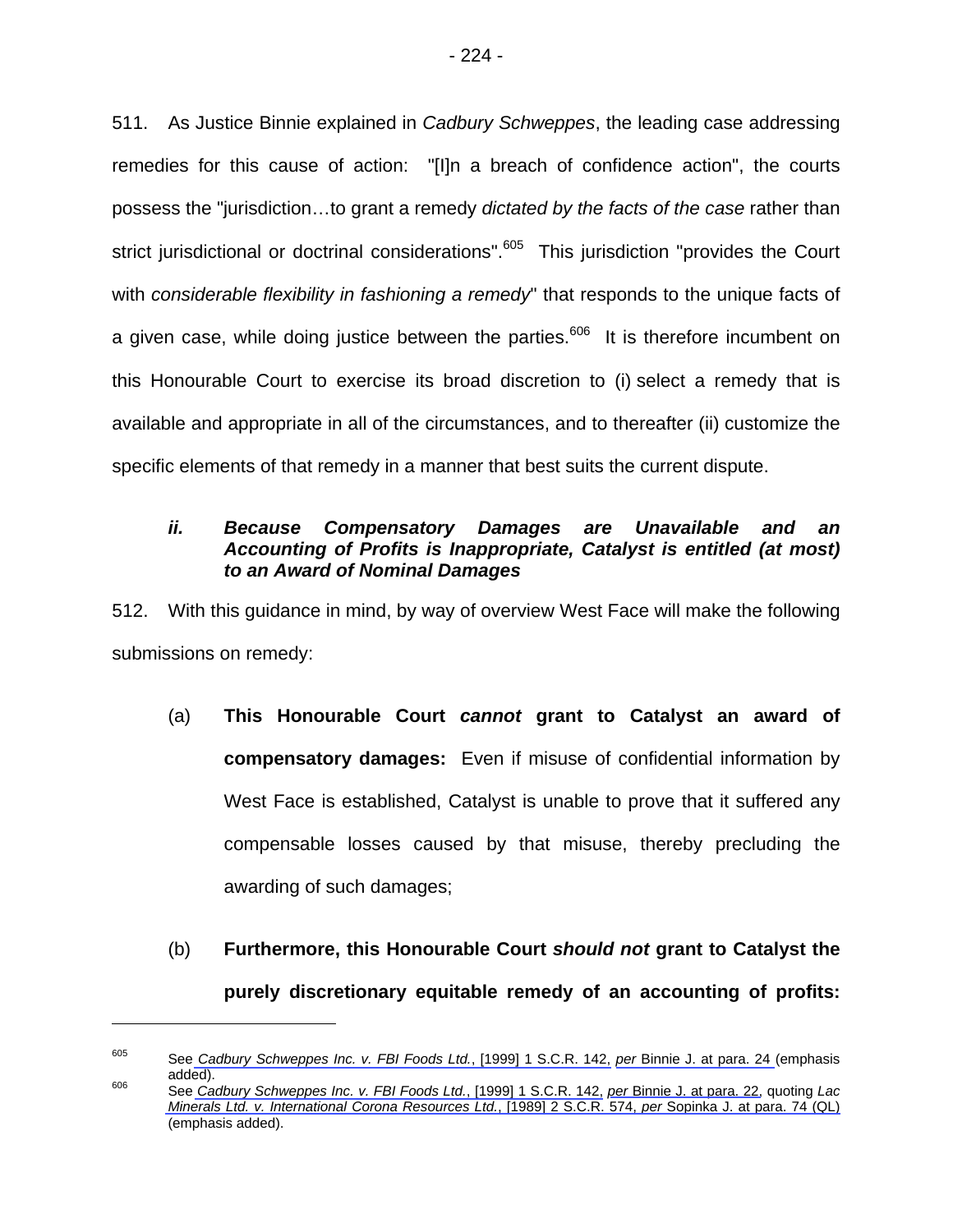511. As Justice Binnie explained in *Cadbury Schweppes*, the leading case addressing remedies for this cause of action: "[I]n a breach of confidence action", the courts possess the "jurisdiction…to grant a remedy *dictated by the facts of the case* rather than strict jurisdictional or doctrinal considerations".<sup>605</sup> This jurisdiction "provides the Court with *considerable flexibility in fashioning a remedy*" that responds to the unique facts of a given case, while doing justice between the parties.<sup>606</sup> It is therefore incumbent on this Honourable Court to exercise its broad discretion to (i) select a remedy that is available and appropriate in all of the circumstances, and to thereafter (ii) customize the specific elements of that remedy in a manner that best suits the current dispute.

# *ii. Because Compensatory Damages are Unavailable and an Accounting of Profits is Inappropriate, Catalyst is entitled (at most) to an Award of Nominal Damages*

512. With this guidance in mind, by way of overview West Face will make the following submissions on remedy:

- (a) **This Honourable Court** *cannot* **grant to Catalyst an award of compensatory damages:** Even if misuse of confidential information by West Face is established, Catalyst is unable to prove that it suffered any compensable losses caused by that misuse, thereby precluding the awarding of such damages;
- (b) **Furthermore, this Honourable Court** *should not* **grant to Catalyst the purely discretionary equitable remedy of an accounting of profits:**

<sup>605</sup> See *Cadbury Schweppes Inc. v. FBI Foods Ltd.*, [1999] 1 S.C.R. 142, *per* [Binnie J. at para. 24](#page-12-0) (emphasis added). 606 See *Cadbury Schweppes Inc. v. FBI Foods Ltd.*, [1999] 1 S.C.R. 142, *per* [Binnie J. at para. 22,](#page-11-0) quoting *Lac* 

*[Minerals Ltd. v. International Corona Resources Ltd.](#page-11-0)*, [1989] 2 S.C.R. 574, *per* Sopinka J. at para. 74 (QL) (emphasis added).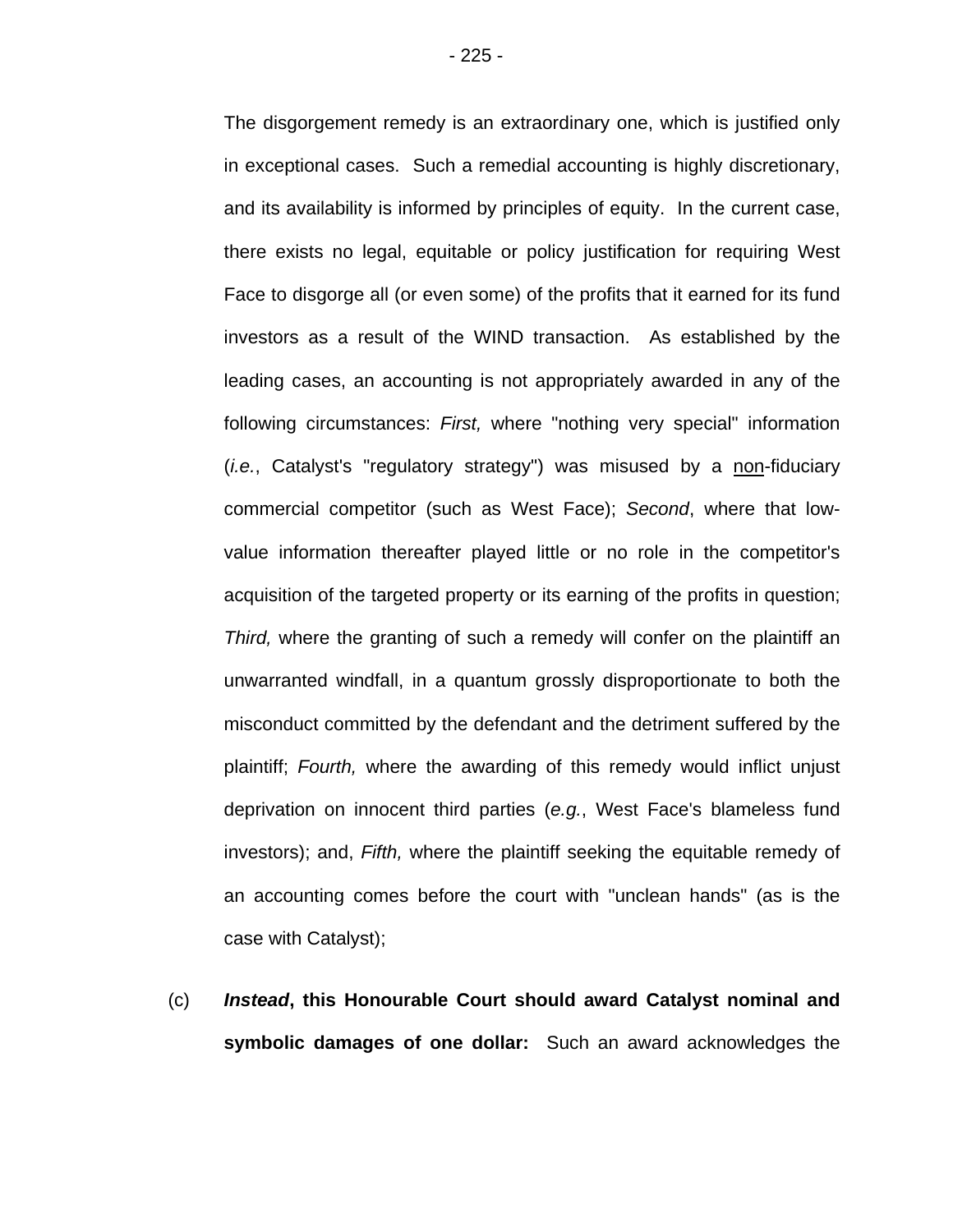The disgorgement remedy is an extraordinary one, which is justified only in exceptional cases. Such a remedial accounting is highly discretionary, and its availability is informed by principles of equity. In the current case, there exists no legal, equitable or policy justification for requiring West Face to disgorge all (or even some) of the profits that it earned for its fund investors as a result of the WIND transaction. As established by the leading cases, an accounting is not appropriately awarded in any of the following circumstances: *First,* where "nothing very special" information (*i.e.*, Catalyst's "regulatory strategy") was misused by a non-fiduciary commercial competitor (such as West Face); *Second*, where that lowvalue information thereafter played little or no role in the competitor's acquisition of the targeted property or its earning of the profits in question; *Third,* where the granting of such a remedy will confer on the plaintiff an unwarranted windfall, in a quantum grossly disproportionate to both the misconduct committed by the defendant and the detriment suffered by the plaintiff; *Fourth,* where the awarding of this remedy would inflict unjust deprivation on innocent third parties (*e.g.*, West Face's blameless fund investors); and, *Fifth,* where the plaintiff seeking the equitable remedy of an accounting comes before the court with "unclean hands" (as is the case with Catalyst);

(c) *Instead***, this Honourable Court should award Catalyst nominal and symbolic damages of one dollar:** Such an award acknowledges the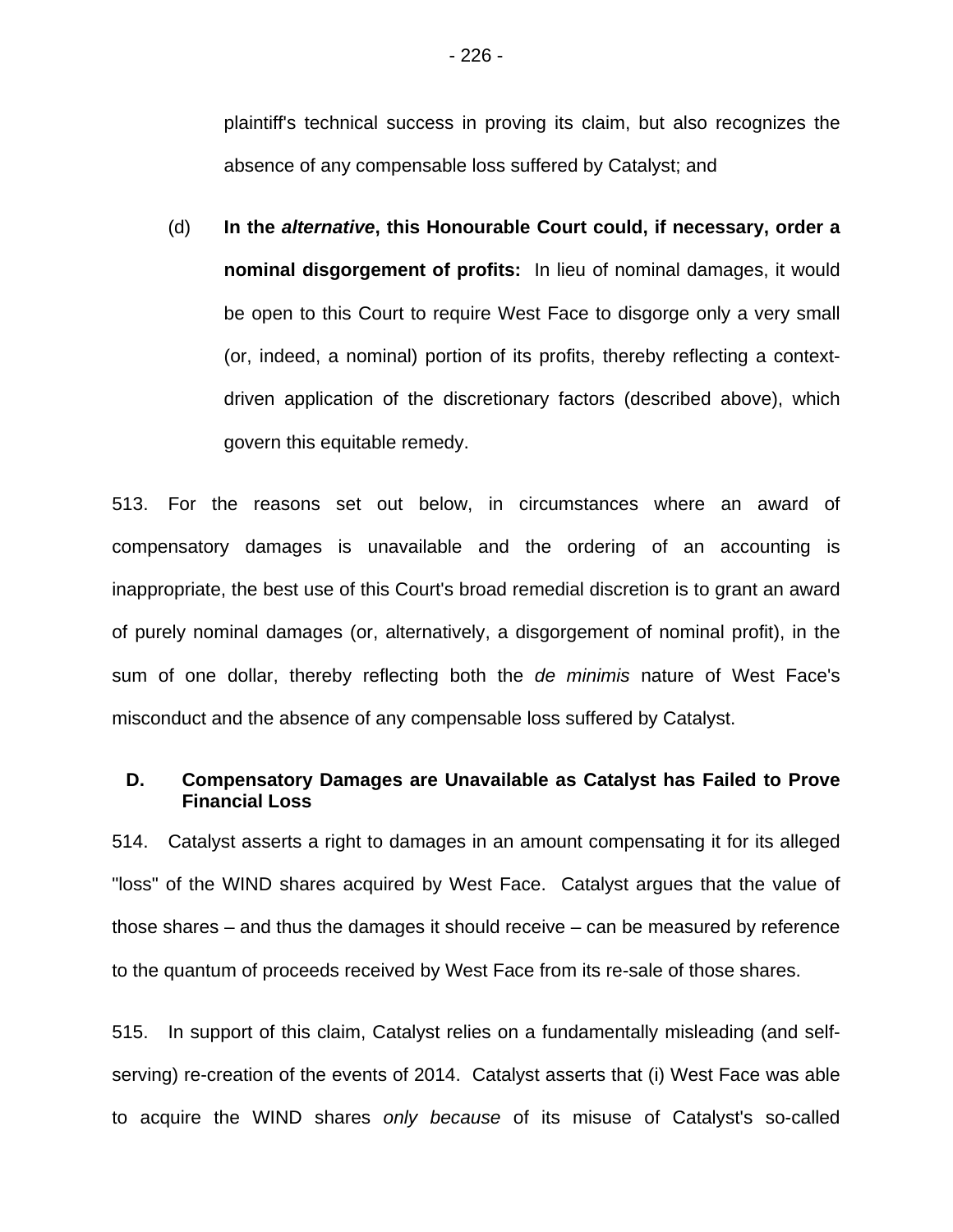plaintiff's technical success in proving its claim, but also recognizes the absence of any compensable loss suffered by Catalyst; and

(d) **In the** *alternative***, this Honourable Court could, if necessary, order a nominal disgorgement of profits:** In lieu of nominal damages, it would be open to this Court to require West Face to disgorge only a very small (or, indeed, a nominal) portion of its profits, thereby reflecting a contextdriven application of the discretionary factors (described above), which govern this equitable remedy.

513. For the reasons set out below, in circumstances where an award of compensatory damages is unavailable and the ordering of an accounting is inappropriate, the best use of this Court's broad remedial discretion is to grant an award of purely nominal damages (or, alternatively, a disgorgement of nominal profit), in the sum of one dollar, thereby reflecting both the *de minimis* nature of West Face's misconduct and the absence of any compensable loss suffered by Catalyst.

## **D. Compensatory Damages are Unavailable as Catalyst has Failed to Prove Financial Loss**

514. Catalyst asserts a right to damages in an amount compensating it for its alleged "loss" of the WIND shares acquired by West Face. Catalyst argues that the value of those shares – and thus the damages it should receive – can be measured by reference to the quantum of proceeds received by West Face from its re-sale of those shares.

515. In support of this claim, Catalyst relies on a fundamentally misleading (and selfserving) re-creation of the events of 2014. Catalyst asserts that (i) West Face was able to acquire the WIND shares *only because* of its misuse of Catalyst's so-called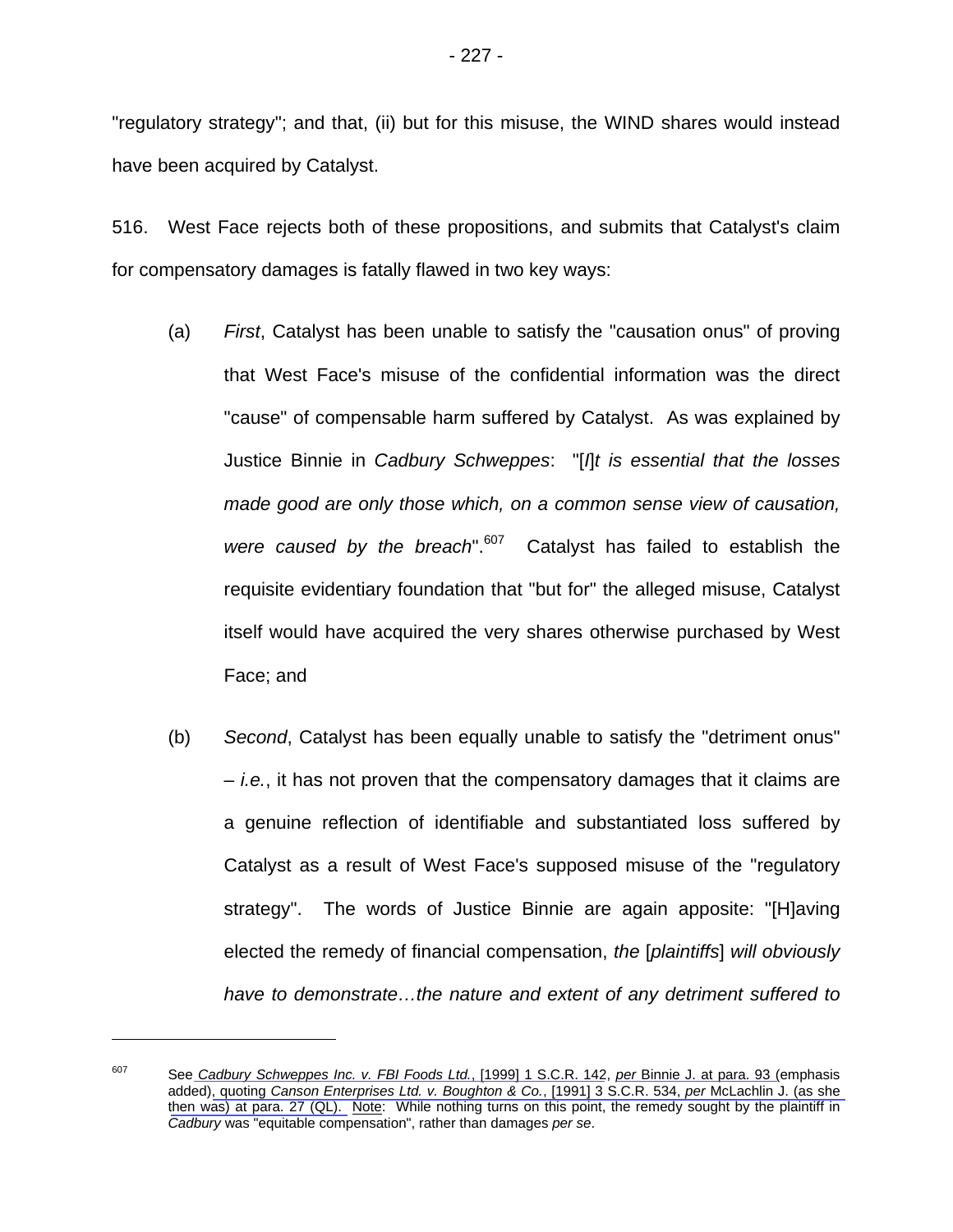"regulatory strategy"; and that, (ii) but for this misuse, the WIND shares would instead have been acquired by Catalyst.

516. West Face rejects both of these propositions, and submits that Catalyst's claim for compensatory damages is fatally flawed in two key ways:

- (a) *First*, Catalyst has been unable to satisfy the "causation onus" of proving that West Face's misuse of the confidential information was the direct "cause" of compensable harm suffered by Catalyst. As was explained by Justice Binnie in *Cadbury Schweppes*: "[*I*]*t is essential that the losses made good are only those which, on a common sense view of causation,*  were caused by the breach<sup>".607</sup> Catalyst has failed to establish the requisite evidentiary foundation that "but for" the alleged misuse, Catalyst itself would have acquired the very shares otherwise purchased by West Face; and
- (b) *Second*, Catalyst has been equally unable to satisfy the "detriment onus" – *i.e.*, it has not proven that the compensatory damages that it claims are a genuine reflection of identifiable and substantiated loss suffered by Catalyst as a result of West Face's supposed misuse of the "regulatory strategy". The words of Justice Binnie are again apposite: "[H]aving elected the remedy of financial compensation, *the* [*plaintiffs*] *will obviously have to demonstrate…the nature and extent of any detriment suffered to*

<sup>607</sup> See *Cadbury Schweppes Inc. v. FBI Foods Ltd.*, [1999] 1 S.C.R. 142, *per* [Binnie J. at para. 93 \(](#page-33-0)emphasis added), quoting *[Canson Enterprises Ltd. v. Boughton & Co.](#page-33-0)*, [1991] 3 S.C.R. 534, *per* McLachlin J. (as she [then was\) at para. 27 \(QL\).](#page-33-0) Note: While nothing turns on this point, the remedy sought by the plaintiff in *Cadbury* was "equitable compensation", rather than damages *per se*.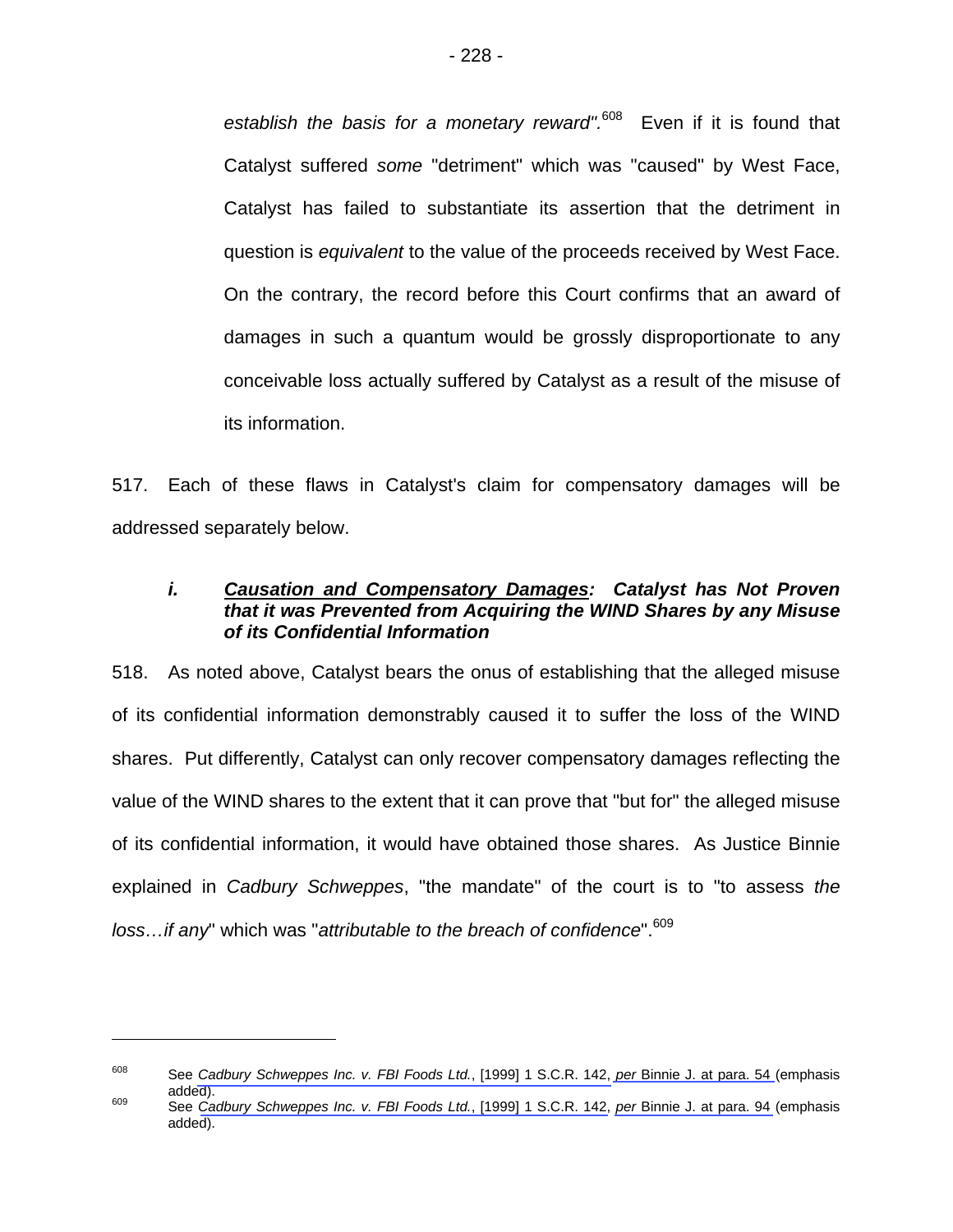*establish the basis for a monetary reward".*608 Even if it is found that Catalyst suffered *some* "detriment" which was "caused" by West Face, Catalyst has failed to substantiate its assertion that the detriment in question is *equivalent* to the value of the proceeds received by West Face. On the contrary, the record before this Court confirms that an award of damages in such a quantum would be grossly disproportionate to any conceivable loss actually suffered by Catalyst as a result of the misuse of its information.

517. Each of these flaws in Catalyst's claim for compensatory damages will be addressed separately below.

## *i. Causation and Compensatory Damages: Catalyst has Not Proven that it was Prevented from Acquiring the WIND Shares by any Misuse of its Confidential Information*

518. As noted above, Catalyst bears the onus of establishing that the alleged misuse of its confidential information demonstrably caused it to suffer the loss of the WIND shares. Put differently, Catalyst can only recover compensatory damages reflecting the value of the WIND shares to the extent that it can prove that "but for" the alleged misuse of its confidential information, it would have obtained those shares. As Justice Binnie explained in *Cadbury Schweppes*, "the mandate" of the court is to "to assess *the loss...if any*" which was "*attributable to the breach of confidence*".<sup>609</sup>

<sup>608</sup> See *Cadbury Schweppes Inc. v. FBI Foods Ltd.*, [1999] 1 S.C.R. 142, *per* [Binnie J. at para. 54](#page-22-0) (emphasis added). 609 See *Cadbury Schweppes Inc. v. FBI Foods Ltd.*, [1999] 1 S.C.R. 142, *per* [Binnie J. at para. 94](#page-33-0) (emphasis

added).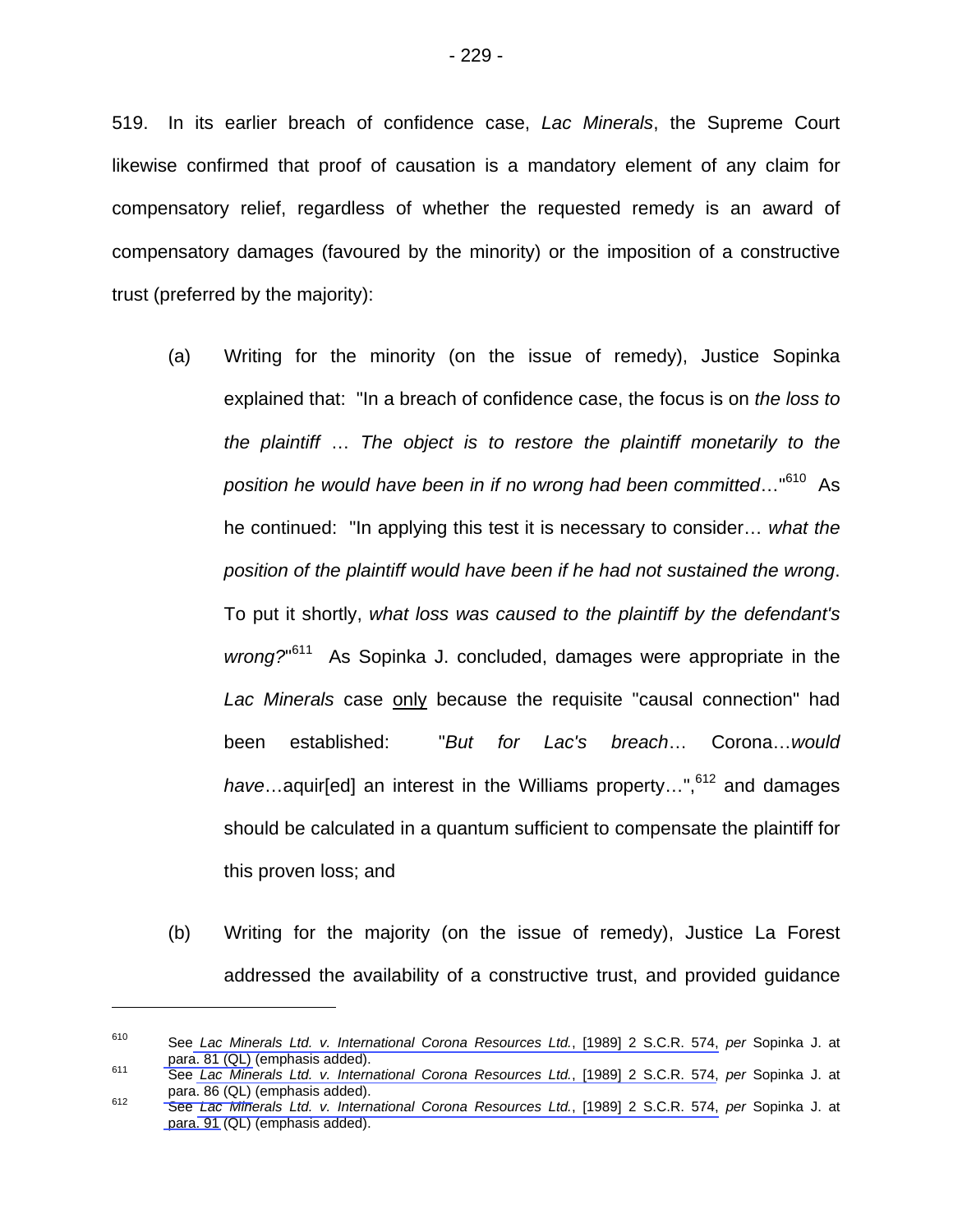519. In its earlier breach of confidence case, *Lac Minerals*, the Supreme Court likewise confirmed that proof of causation is a mandatory element of any claim for compensatory relief, regardless of whether the requested remedy is an award of compensatory damages (favoured by the minority) or the imposition of a constructive trust (preferred by the majority):

- (a) Writing for the minority (on the issue of remedy), Justice Sopinka explained that: "In a breach of confidence case, the focus is on *the loss to the plaintiff* … *The object is to restore the plaintiff monetarily to the position he would have been in if no wrong had been committed*…"610 As he continued: "In applying this test it is necessary to consider… *what the position of the plaintiff would have been if he had not sustained the wrong*. To put it shortly, *what loss was caused to the plaintiff by the defendant's*  wrong?<sup>"611</sup> As Sopinka J. concluded, damages were appropriate in the Lac Minerals case only because the requisite "causal connection" had been established: "*But for Lac's breach*… Corona…*would*  have...aquir[ed] an interest in the Williams property...",<sup>612</sup> and damages should be calculated in a quantum sufficient to compensate the plaintiff for this proven loss; and
- (b) Writing for the majority (on the issue of remedy), Justice La Forest addressed the availability of a constructive trust, and provided guidance

<sup>610</sup> See *Lac Minerals Ltd. v. International Corona Resources Ltd.*, [1989] 2 S.C.R. 574, *per* Sopinka J. at [para. 81 \(QL\)](#page-33-0) (emphasis added). 611 See *Lac Minerals Ltd. v. International Corona Resources Ltd.*, [1989] 2 S.C.R. 574, *per* Sopinka J. at

[para. 86 \(QL\)](#page-34-0) (emphasis added). 612 [See](#page-34-0) *Lac Minerals Ltd. v. International Corona Resources Ltd.*, [1989] 2 S.C.R. 574, *per* Sopinka J. at

[para. 91](#page-37-0) (QL) (emphasis added).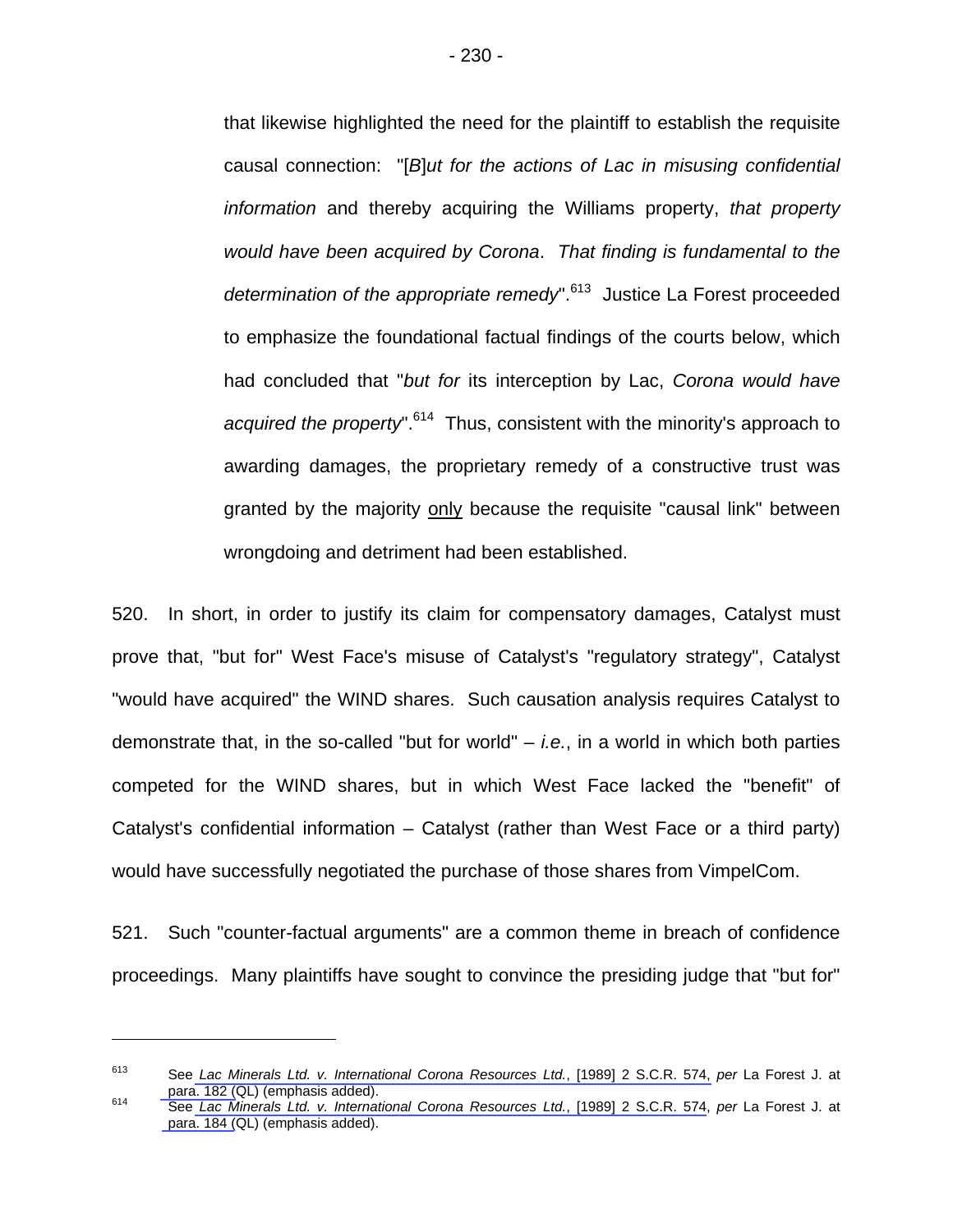that likewise highlighted the need for the plaintiff to establish the requisite causal connection: "[*B*]*ut for the actions of Lac in misusing confidential information* and thereby acquiring the Williams property, *that property would have been acquired by Corona*. *That finding is fundamental to the determination of the appropriate remedy*".613 Justice La Forest proceeded to emphasize the foundational factual findings of the courts below, which had concluded that "*but for* its interception by Lac, *Corona would have acquired the property*".<sup>614</sup> Thus, consistent with the minority's approach to awarding damages, the proprietary remedy of a constructive trust was granted by the majority only because the requisite "causal link" between wrongdoing and detriment had been established.

520. In short, in order to justify its claim for compensatory damages, Catalyst must prove that, "but for" West Face's misuse of Catalyst's "regulatory strategy", Catalyst "would have acquired" the WIND shares. Such causation analysis requires Catalyst to demonstrate that, in the so-called "but for world" – *i.e.*, in a world in which both parties competed for the WIND shares, but in which West Face lacked the "benefit" of Catalyst's confidential information – Catalyst (rather than West Face or a third party) would have successfully negotiated the purchase of those shares from VimpelCom.

521. Such "counter-factual arguments" are a common theme in breach of confidence proceedings. Many plaintiffs have sought to convince the presiding judge that "but for"

<sup>613</sup> See *Lac Minerals Ltd. v. International Corona Resources Ltd.*, [1989] 2 S.C.R. 574, *per* La Forest J. at [para. 182 \(Q](#page-70-0)L) (emphasis added). 614 See *Lac Minerals Ltd. v. International Corona Resources Ltd.*, [1989] 2 S.C.R. 574, *per* La Forest J. at

[para. 184 \(](#page-70-0)QL) (emphasis added).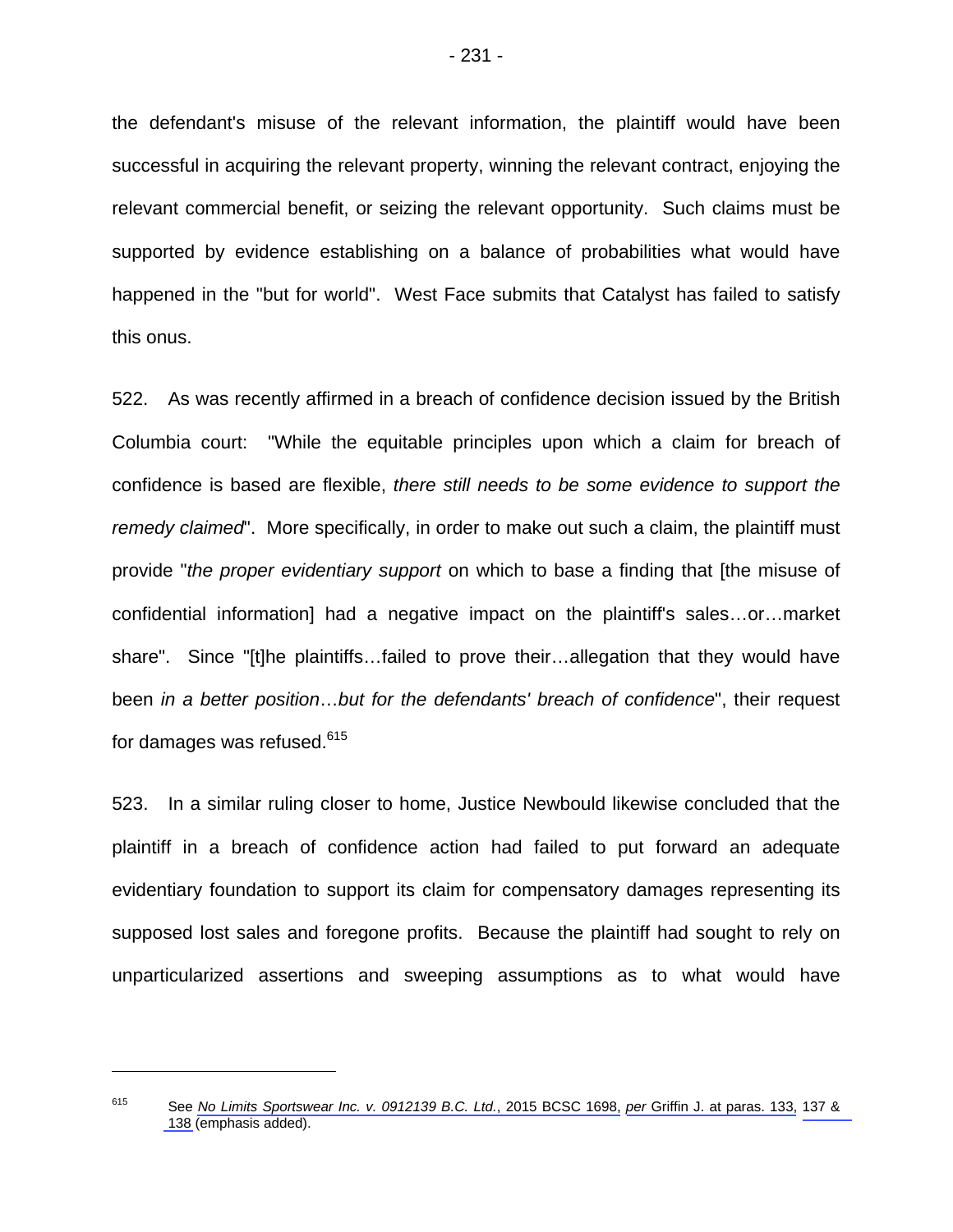the defendant's misuse of the relevant information, the plaintiff would have been successful in acquiring the relevant property, winning the relevant contract, enjoying the relevant commercial benefit, or seizing the relevant opportunity. Such claims must be supported by evidence establishing on a balance of probabilities what would have happened in the "but for world". West Face submits that Catalyst has failed to satisfy this onus.

522. As was recently affirmed in a breach of confidence decision issued by the British Columbia court: "While the equitable principles upon which a claim for breach of confidence is based are flexible, *there still needs to be some evidence to support the remedy claimed*". More specifically, in order to make out such a claim, the plaintiff must provide "*the proper evidentiary support* on which to base a finding that [the misuse of confidential information] had a negative impact on the plaintiff's sales…or…market share". Since "[t]he plaintiffs…failed to prove their…allegation that they would have been *in a better position*…*but for the defendants' breach of confidence*", their request for damages was refused.<sup>615</sup>

523. In a similar ruling closer to home, Justice Newbould likewise concluded that the plaintiff in a breach of confidence action had failed to put forward an adequate evidentiary foundation to support its claim for compensatory damages representing its supposed lost sales and foregone profits. Because the plaintiff had sought to rely on unparticularized assertions and sweeping assumptions as to what would have

<sup>615</sup> See *No Limits Sportswear Inc. v. 0912139 B.C. Ltd.*, 2015 BCSC 1698, *per* [Griffin J. at paras. 133,](#page-22-0) [137 &](#page-23-0)  [138](#page-24-0) (emphasis added).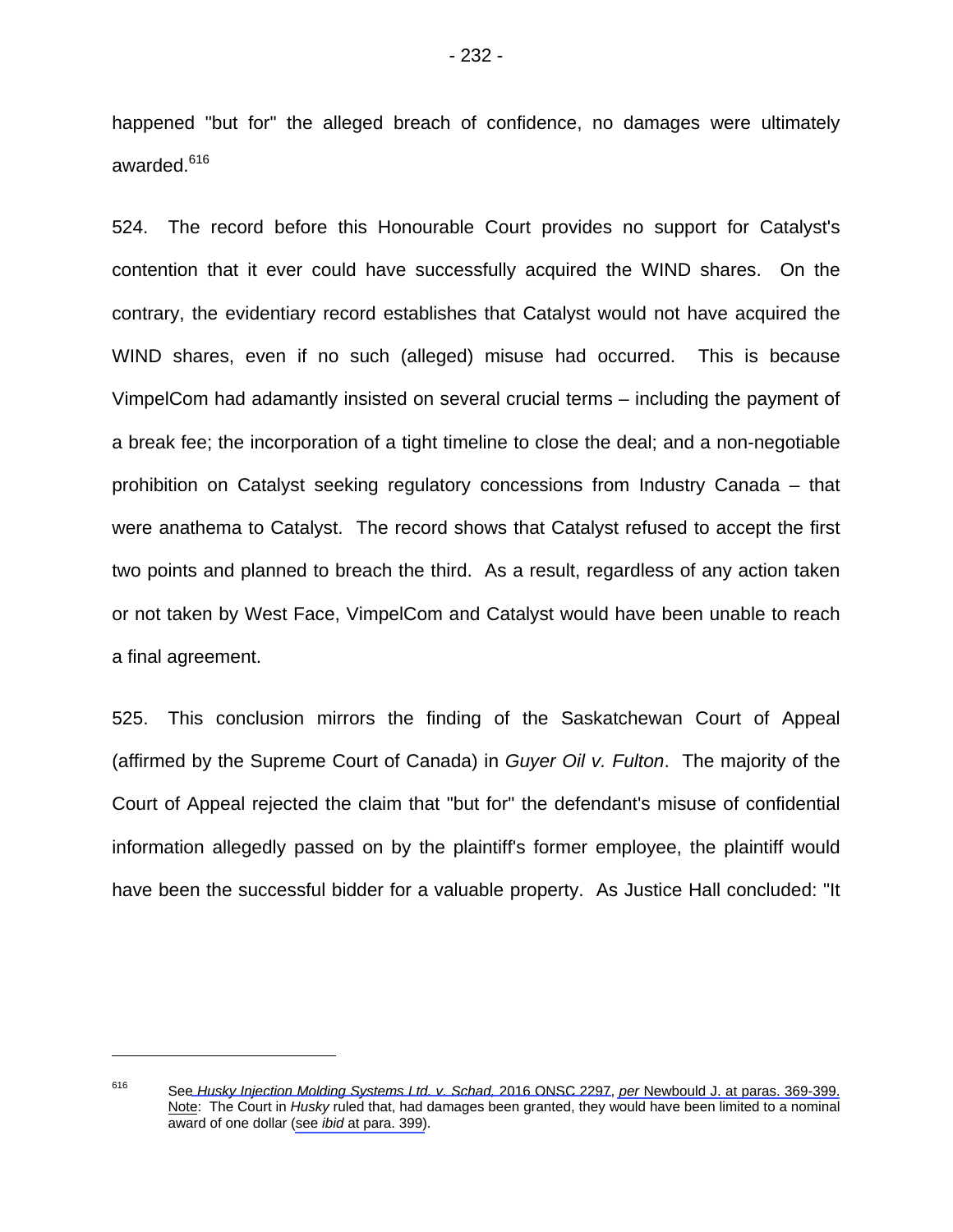happened "but for" the alleged breach of confidence, no damages were ultimately awarded.<sup>616</sup>

524. The record before this Honourable Court provides no support for Catalyst's contention that it ever could have successfully acquired the WIND shares. On the contrary, the evidentiary record establishes that Catalyst would not have acquired the WIND shares, even if no such (alleged) misuse had occurred. This is because VimpelCom had adamantly insisted on several crucial terms – including the payment of a break fee; the incorporation of a tight timeline to close the deal; and a non-negotiable prohibition on Catalyst seeking regulatory concessions from Industry Canada – that were anathema to Catalyst. The record shows that Catalyst refused to accept the first two points and planned to breach the third. As a result, regardless of any action taken or not taken by West Face, VimpelCom and Catalyst would have been unable to reach a final agreement.

525. This conclusion mirrors the finding of the Saskatchewan Court of Appeal (affirmed by the Supreme Court of Canada) in *Guyer Oil v. Fulton*. The majority of the Court of Appeal rejected the claim that "but for" the defendant's misuse of confidential information allegedly passed on by the plaintiff's former employee, the plaintiff would have been the successful bidder for a valuable property. As Justice Hall concluded: "It

<sup>616</sup> See *Husky Injection Molding Systems Ltd. v. Schad,* 2016 ONSC 2297, *per* [Newbould J. at paras. 369-399.](#page-88-0) Note: The Court in *Husky* ruled that, had damages been granted, they would have been limited to a nominal award of one dollar (see *ibid* [at para. 399\)](#page-95-0).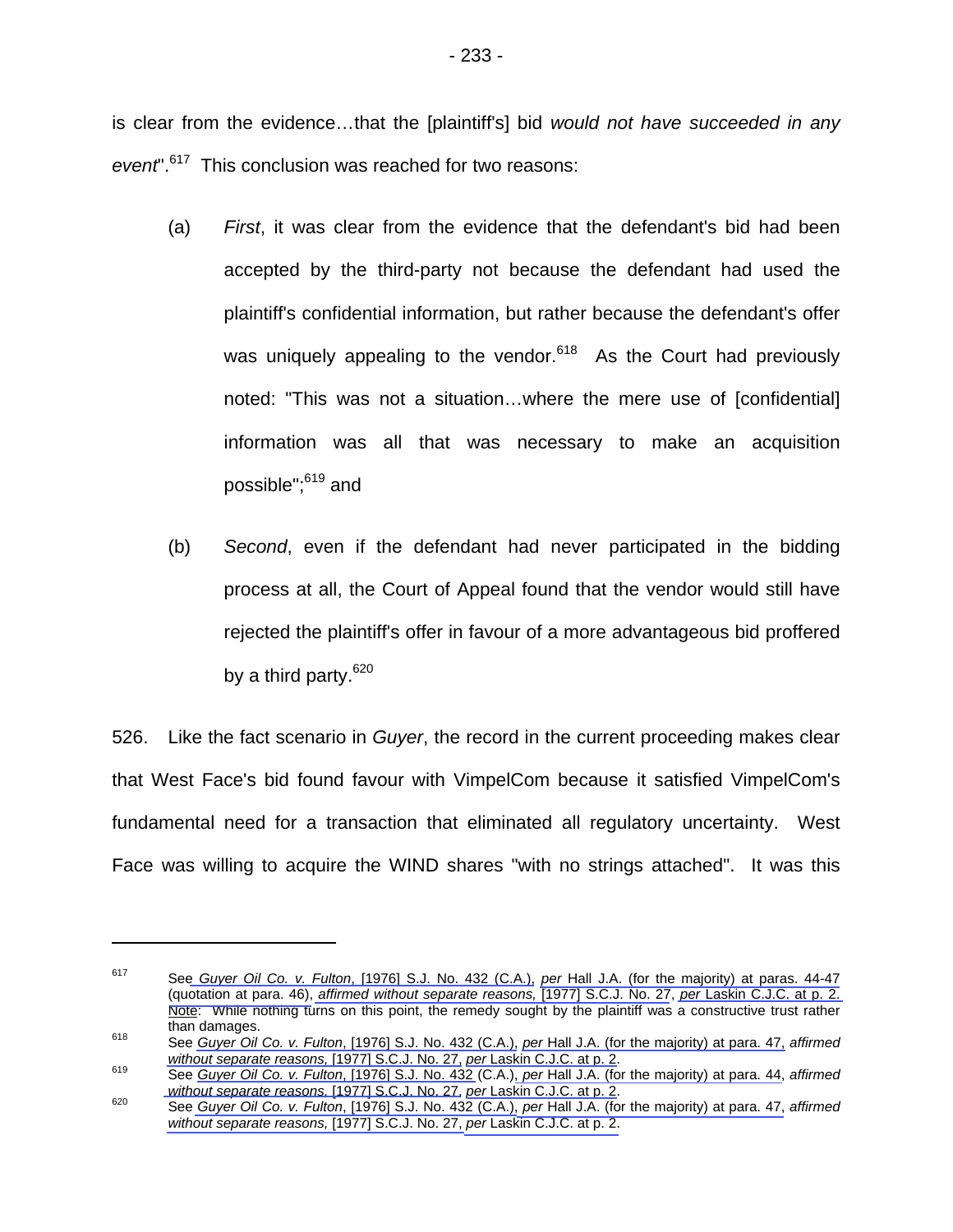is clear from the evidence…that the [plaintiff's] bid *would not have succeeded in any*  event<sup>".617</sup> This conclusion was reached for two reasons:

- (a) *First*, it was clear from the evidence that the defendant's bid had been accepted by the third-party not because the defendant had used the plaintiff's confidential information, but rather because the defendant's offer was uniquely appealing to the vendor.<sup>618</sup> As the Court had previously noted: "This was not a situation…where the mere use of [confidential] information was all that was necessary to make an acquisition possible";<sup>619</sup> and
- (b) *Second*, even if the defendant had never participated in the bidding process at all, the Court of Appeal found that the vendor would still have rejected the plaintiff's offer in favour of a more advantageous bid proffered by a third party.<sup>620</sup>

526. Like the fact scenario in *Guyer*, the record in the current proceeding makes clear that West Face's bid found favour with VimpelCom because it satisfied VimpelCom's fundamental need for a transaction that eliminated all regulatory uncertainty. West Face was willing to acquire the WIND shares "with no strings attached". It was this

<sup>617</sup> See *Guyer Oil Co. v. Fulton*, [1976] S.J. No. 432 (C.A.), *per* [Hall J.A. \(for the majority\) at paras. 44-47](#page-10-0) [\(quotation at para. 46\),](#page-11-0) *affirmed without separate reasons,* [1977] S.C.J. No. 27, *per* [Laskin C.J.C. at p. 2.](#page-1-0)  Note: While nothing turns on this point, the remedy sought by the plaintiff was a constructive trust rather than damages. 618 See *Guyer Oil Co. v. Fulton*, [1976] S.J. No. 432 (C.A.), *per* [Hall J.A. \(for the majority\) at para. 47,](#page-11-0) *affirmed* 

without separate reasons, [1977] S.C.J. No. 27, per [Laskin C.J.C. at p. 2.](#page-1-0)<br>See Guyer Oil Co. v. Fulton, [1976] S.J. No. 432 (C.A.), per [Hall J.A. \(for the majority\) at para. 44,](#page-10-0) affirmed<br>without separate reasons, [1977] S.

see Guyer Oil Co. v. Fulton, [1976] S.J. No. 432 (C.A.), per [Hall J.A. \(for the majority\) at para. 47,](#page-11-0) affirmed *without separate reasons,* [1977] S.C.J. No. 27, *per* [Laskin C.J.C. at p. 2.](#page-1-0)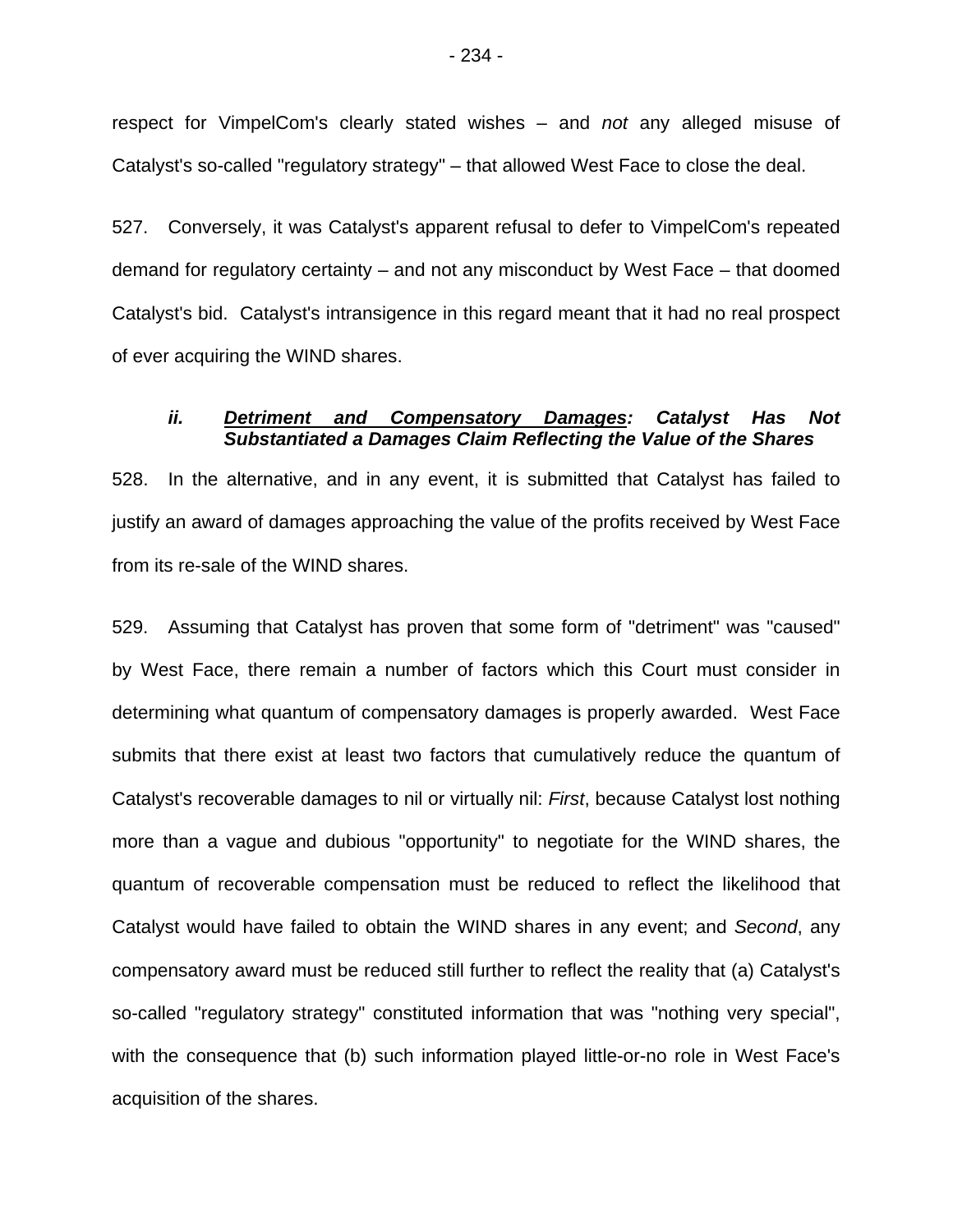respect for VimpelCom's clearly stated wishes – and *not* any alleged misuse of Catalyst's so-called "regulatory strategy" – that allowed West Face to close the deal.

527. Conversely, it was Catalyst's apparent refusal to defer to VimpelCom's repeated demand for regulatory certainty – and not any misconduct by West Face – that doomed Catalyst's bid. Catalyst's intransigence in this regard meant that it had no real prospect of ever acquiring the WIND shares.

#### *ii. Detriment and Compensatory Damages: Catalyst Has Not Substantiated a Damages Claim Reflecting the Value of the Shares*

528. In the alternative, and in any event, it is submitted that Catalyst has failed to justify an award of damages approaching the value of the profits received by West Face from its re-sale of the WIND shares.

529. Assuming that Catalyst has proven that some form of "detriment" was "caused" by West Face, there remain a number of factors which this Court must consider in determining what quantum of compensatory damages is properly awarded. West Face submits that there exist at least two factors that cumulatively reduce the quantum of Catalyst's recoverable damages to nil or virtually nil: *First*, because Catalyst lost nothing more than a vague and dubious "opportunity" to negotiate for the WIND shares, the quantum of recoverable compensation must be reduced to reflect the likelihood that Catalyst would have failed to obtain the WIND shares in any event; and *Second*, any compensatory award must be reduced still further to reflect the reality that (a) Catalyst's so-called "regulatory strategy" constituted information that was "nothing very special", with the consequence that (b) such information played little-or-no role in West Face's acquisition of the shares.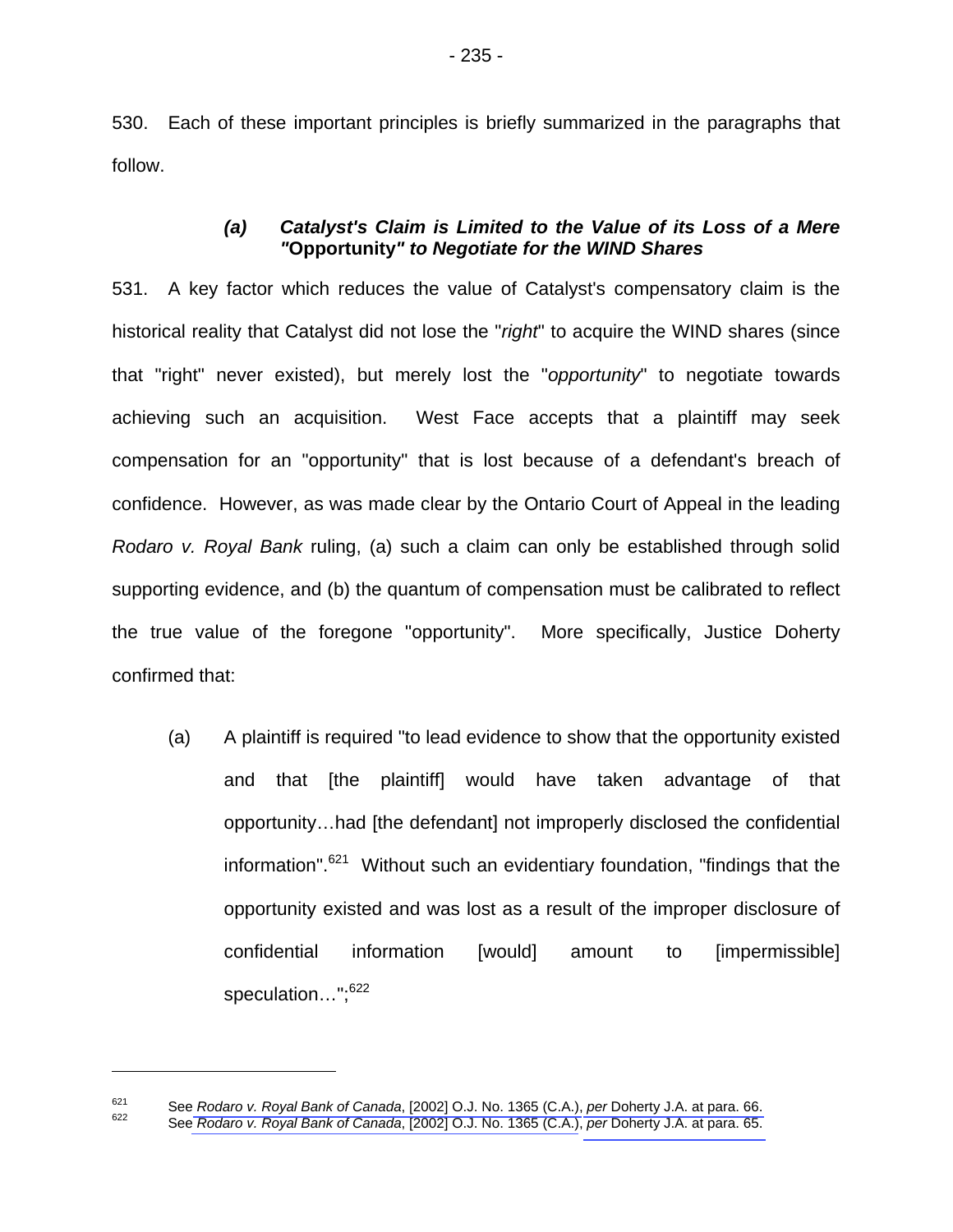530. Each of these important principles is briefly summarized in the paragraphs that follow.

# *(a) Catalyst's Claim is Limited to the Value of its Loss of a Mere "***Opportunity***" to Negotiate for the WIND Shares*

531. A key factor which reduces the value of Catalyst's compensatory claim is the historical reality that Catalyst did not lose the "*right*" to acquire the WIND shares (since that "right" never existed), but merely lost the "*opportunity*" to negotiate towards achieving such an acquisition. West Face accepts that a plaintiff may seek compensation for an "opportunity" that is lost because of a defendant's breach of confidence. However, as was made clear by the Ontario Court of Appeal in the leading *Rodaro v. Royal Bank* ruling, (a) such a claim can only be established through solid supporting evidence, and (b) the quantum of compensation must be calibrated to reflect the true value of the foregone "opportunity". More specifically, Justice Doherty confirmed that:

(a) A plaintiff is required "to lead evidence to show that the opportunity existed and that [the plaintiff] would have taken advantage of that opportunity…had [the defendant] not improperly disclosed the confidential information".621 Without such an evidentiary foundation, "findings that the opportunity existed and was lost as a result of the improper disclosure of confidential information [would] amount to [impermissible] speculation...";<sup>622</sup>

<sup>&</sup>lt;sup>621</sup> See Rodaro v. Royal Bank of Canada, [2002] O.J. No. 1365 (C.A.), per Doherty J.A. at para. 66.<br><sup>622</sup> See Rodaro v. Royal Bank of Canada, [2002] O.J. No. 1365 (C.A.), per Doherty J.A. at para. 65.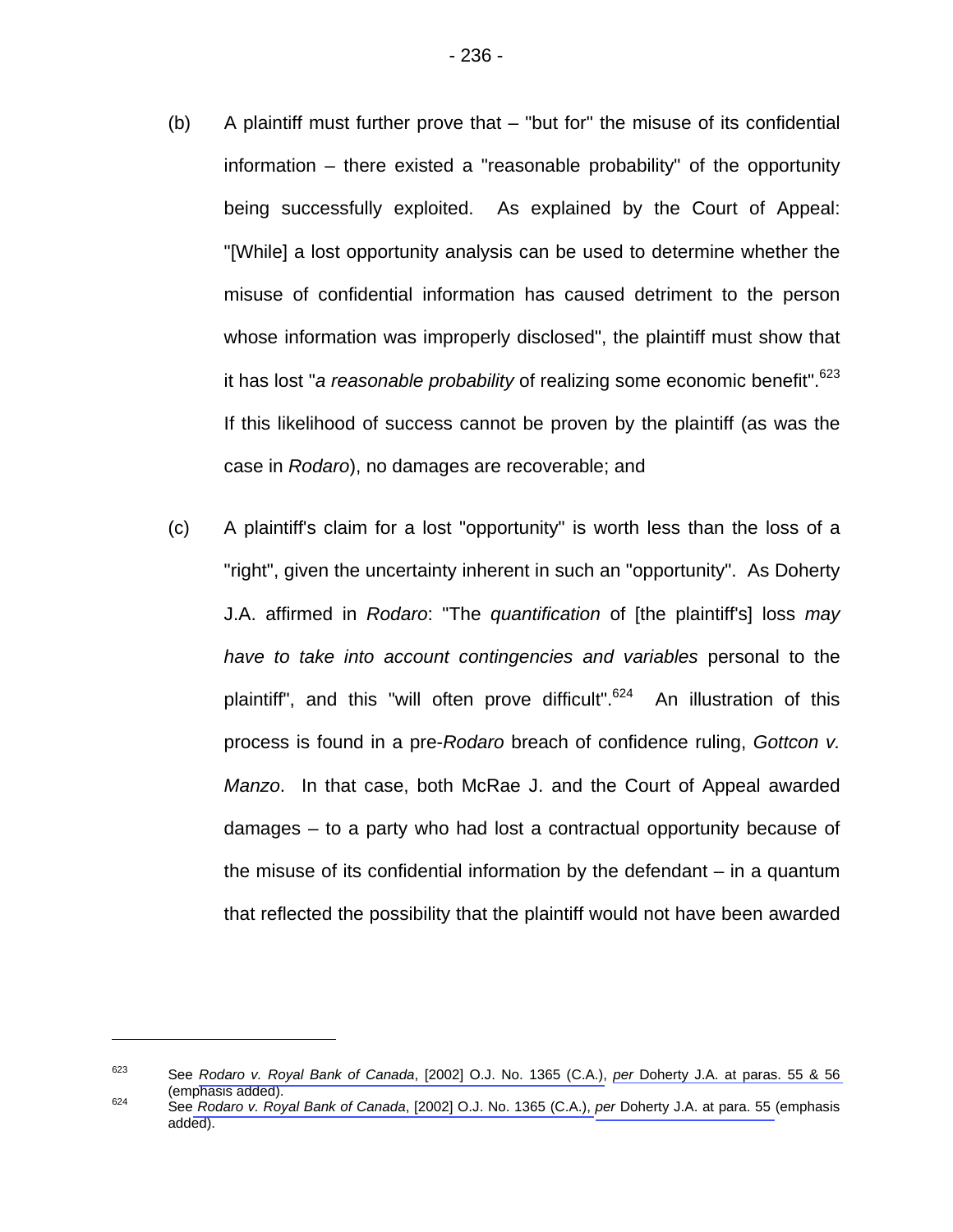- (b) A plaintiff must further prove that "but for" the misuse of its confidential information – there existed a "reasonable probability" of the opportunity being successfully exploited. As explained by the Court of Appeal: "[While] a lost opportunity analysis can be used to determine whether the misuse of confidential information has caused detriment to the person whose information was improperly disclosed", the plaintiff must show that it has lost "*a reasonable probability* of realizing some economic benefit".<sup>623</sup> If this likelihood of success cannot be proven by the plaintiff (as was the case in *Rodaro*), no damages are recoverable; and
- (c) A plaintiff's claim for a lost "opportunity" is worth less than the loss of a "right", given the uncertainty inherent in such an "opportunity". As Doherty J.A. affirmed in *Rodaro*: "The *quantification* of [the plaintiff's] loss *may have to take into account contingencies and variables* personal to the plaintiff", and this "will often prove difficult".<sup>624</sup> An illustration of this process is found in a pre-*Rodaro* breach of confidence ruling, *Gottcon v. Manzo*. In that case, both McRae J. and the Court of Appeal awarded damages – to a party who had lost a contractual opportunity because of the misuse of its confidential information by the defendant – in a quantum that reflected the possibility that the plaintiff would not have been awarded

<sup>623</sup> See *Rodaro v. Royal Bank of Canada*, [2002] O.J. No. 1365 (C.A.), *per* [Doherty J.A. at paras. 55 & 56](#page-14-0)  (emphasis added). 624 See *Rodaro v. Royal Bank of Canada*, [2002] O.J. No. 1365 (C.A.), *per* [Doherty J.A. at para. 55](#page-14-0) (emphasis

added).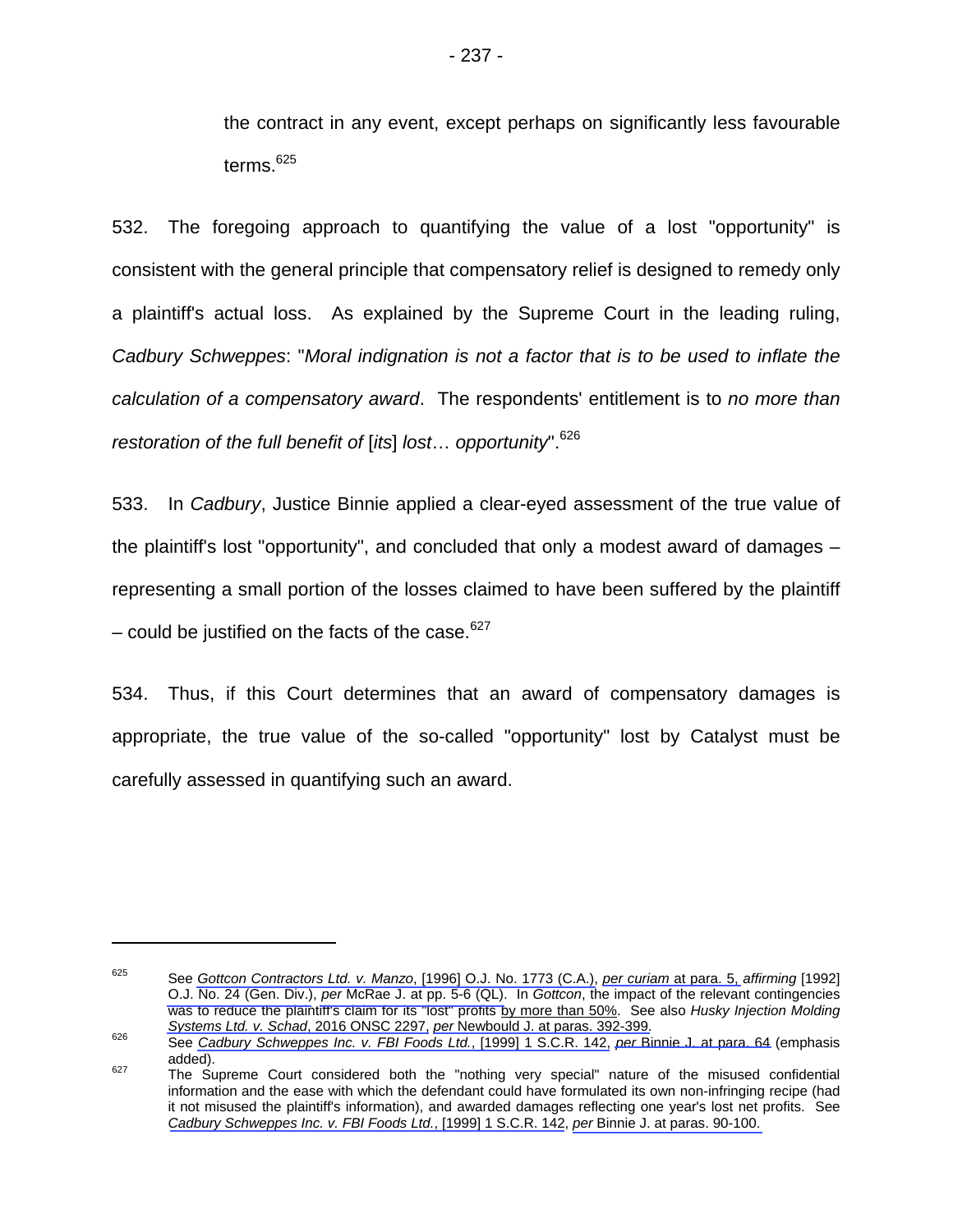the contract in any event, except perhaps on significantly less favourable terms.<sup>625</sup>

532. The foregoing approach to quantifying the value of a lost "opportunity" is consistent with the general principle that compensatory relief is designed to remedy only a plaintiff's actual loss. As explained by the Supreme Court in the leading ruling, *Cadbury Schweppes*: "*Moral indignation is not a factor that is to be used to inflate the calculation of a compensatory award*. The respondents' entitlement is to *no more than restoration of the full benefit of* [*its*] *lost*… *opportunity*".626

533. In *Cadbury*, Justice Binnie applied a clear-eyed assessment of the true value of the plaintiff's lost "opportunity", and concluded that only a modest award of damages – representing a small portion of the losses claimed to have been suffered by the plaintiff – could be justified on the facts of the case.<sup>627</sup>

534. Thus, if this Court determines that an award of compensatory damages is appropriate, the true value of the so-called "opportunity" lost by Catalyst must be carefully assessed in quantifying such an award.

<u>.</u>

<sup>625</sup> See *Gottcon Contractors Ltd. v. Manzo*, [1996] O.J. No. 1773 (C.A.), *[per curiam](#page-1-0)* at para. 5, *affirming* [1992] O.J. No. 24 (Gen. Div.), *per* [McRae J. at pp. 5-6 \(QL\).](#page-4-0) In *Gottcon*, the impact of the relevant contingencies was to reduce the plaintiff's claim for its "lost" profits by more than 50%. See also *Husky Injection Molding Systems Ltd. v. Schad*, 2016 ONSC 2297, *per [Newbould J. at paras. 392-399.](#page-93-0)*<br><sup>626</sup> See *Cadbury Schweppes Inc. v. FBI Foods Ltd.*, [1999] 1 S.C.R. 142, *per [Binnie J. at para. 64](#page-24-0) (emphasis* 

added).<br><sup>627</sup> The Supreme Court considered both the "nothing very special" nature of the misused confidential

information and the ease with which the defendant could have formulated its own non-infringing recipe (had it not misused the plaintiff's information), and awarded damages reflecting one year's lost net profits. See *Cadbury Schweppes Inc. v. FBI Foods Ltd.*, [1999] 1 S.C.R. 142, *per* [Binnie J. at paras. 90-100.](#page-32-0)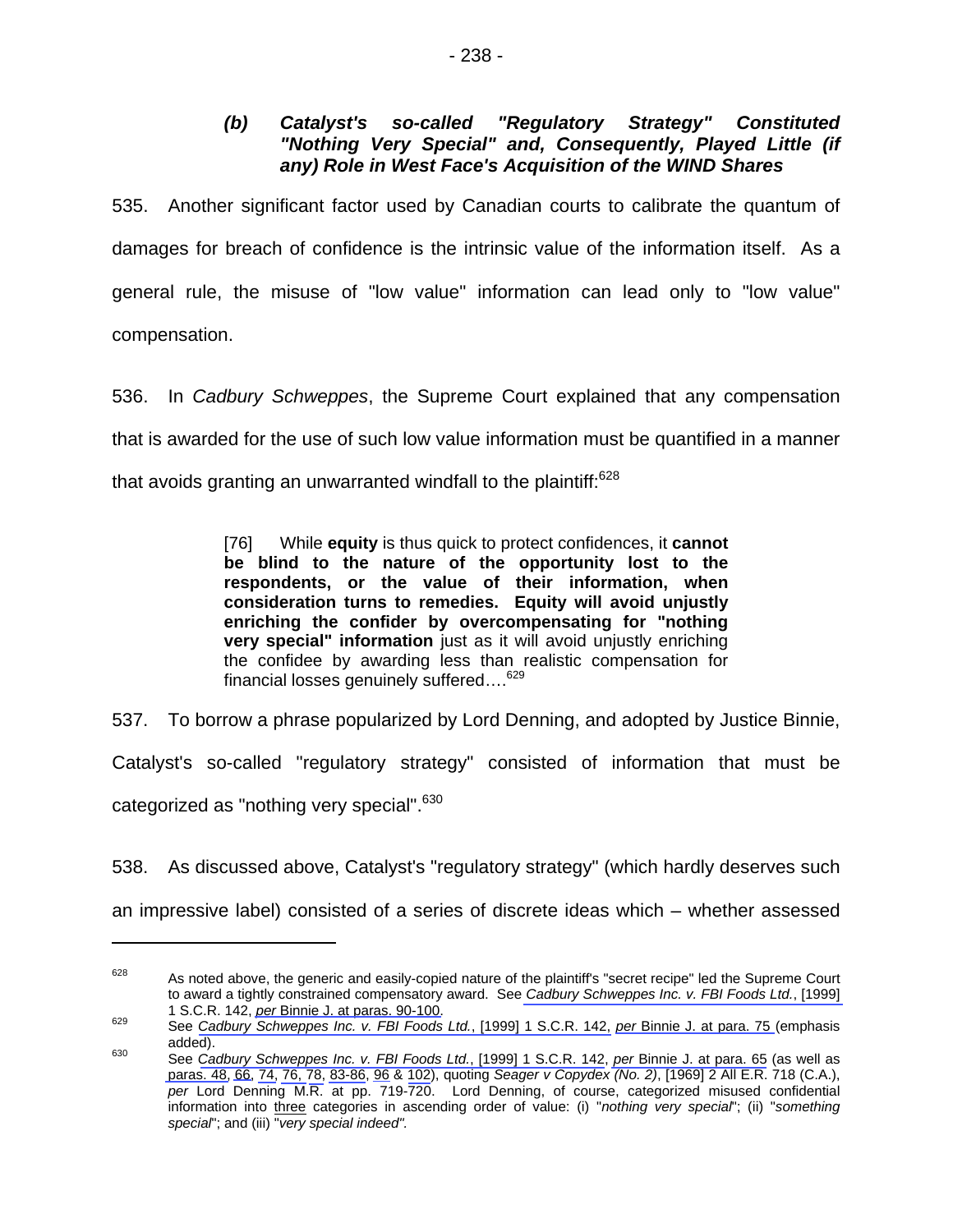535. Another significant factor used by Canadian courts to calibrate the quantum of damages for breach of confidence is the intrinsic value of the information itself. As a general rule, the misuse of "low value" information can lead only to "low value" compensation.

536. In *Cadbury Schweppes*, the Supreme Court explained that any compensation that is awarded for the use of such low value information must be quantified in a manner that avoids granting an unwarranted windfall to the plaintiff:<sup>628</sup>

> [76] While **equity** is thus quick to protect confidences, it **cannot be blind to the nature of the opportunity lost to the respondents, or the value of their information, when consideration turns to remedies. Equity will avoid unjustly enriching the confider by overcompensating for "nothing very special" information** just as it will avoid unjustly enriching the confidee by awarding less than realistic compensation for financial losses genuinely suffered....<sup>629</sup>

537. To borrow a phrase popularized by Lord Denning, and adopted by Justice Binnie,

Catalyst's so-called "regulatory strategy" consisted of information that must be

categorized as "nothing very special".<sup>630</sup>

 $\overline{a}$ 

538. As discussed above, Catalyst's "regulatory strategy" (which hardly deserves such an impressive label) consisted of a series of discrete ideas which – whether assessed

<sup>628</sup> As noted above, the generic and easily-copied nature of the plaintiff's "secret recipe" led the Supreme Court to award a tightly constrained compensatory award. See *Cadbury Schweppes Inc. v. FBI Foods Ltd.*, [1999] 1 S.C.R. 142, *per* [Binnie J. at paras. 90-100.](#page-32-0) 629 See *Cadbury Schweppes Inc. v. FBI Foods Ltd.*, [1999] 1 S.C.R. 142, *per* [Binnie J. at para. 75](#page-28-0) (emphasis

added). 630 See *Cadbury Schweppes Inc. v. FBI Foods Ltd.*, [1999] 1 S.C.R. 142, *per* [Binnie J. at para. 65](#page-25-0) (as well as

[paras. 48,](#page-20-0) [66,](#page-26-0) [74, 76,](#page-28-0) [78,](#page-29-0) [83-86](#page-30-0), [96](#page-33-0) & [102\)](#page-35-0), quoting *Seager v Copydex (No. 2)*, [1969] 2 All E.R. 718 (C.A.), *per* Lord Denning M.R. at pp. 719-720. Lord Denning, of course, categorized misused confidential information into three categories in ascending order of value: (i) "*nothing very special*"; (ii) "*something special*"; and (iii) "*very special indeed".*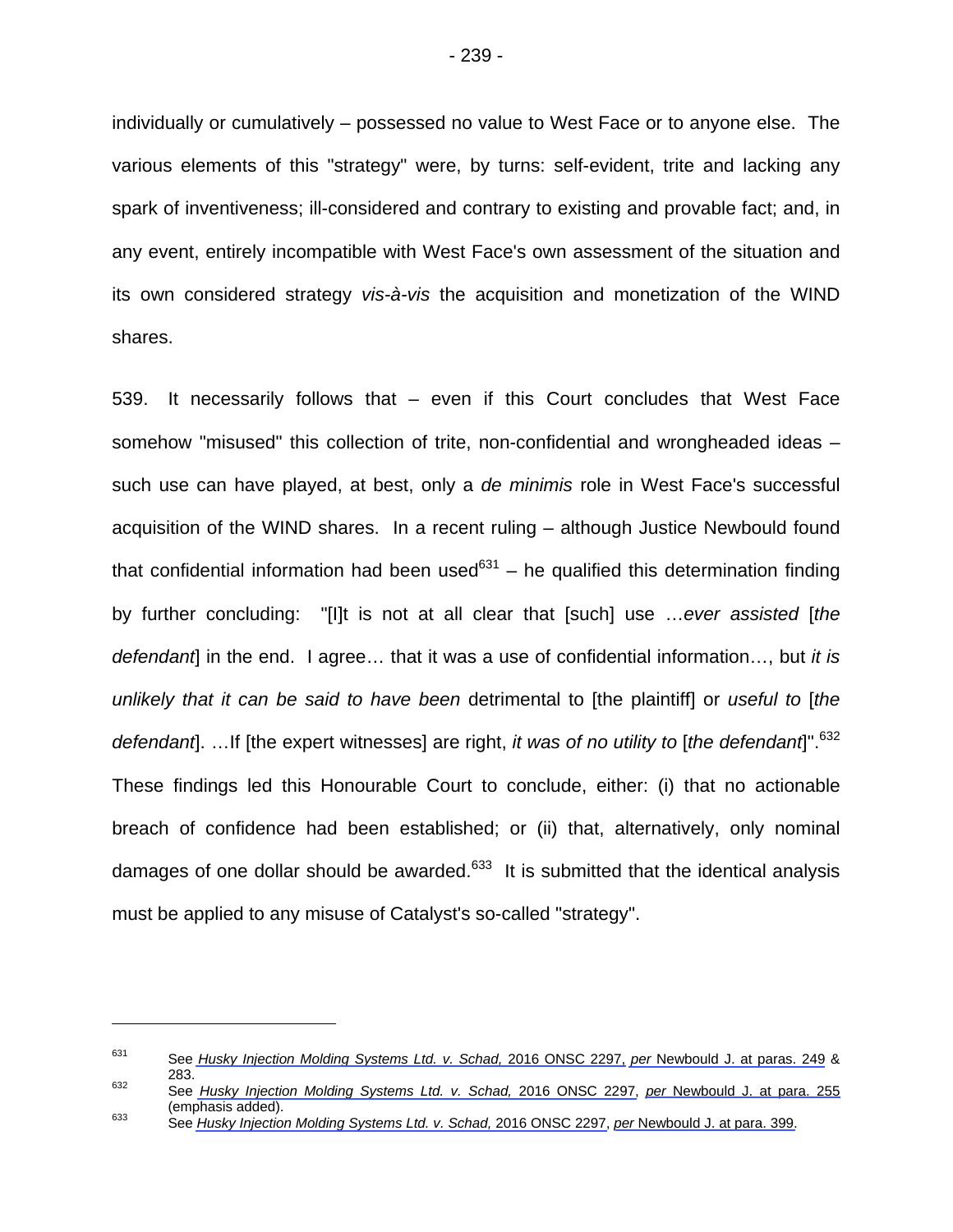individually or cumulatively – possessed no value to West Face or to anyone else. The various elements of this "strategy" were, by turns: self-evident, trite and lacking any spark of inventiveness; ill-considered and contrary to existing and provable fact; and, in any event, entirely incompatible with West Face's own assessment of the situation and its own considered strategy *vis-à-vis* the acquisition and monetization of the WIND shares.

539. It necessarily follows that – even if this Court concludes that West Face somehow "misused" this collection of trite, non-confidential and wrongheaded ideas – such use can have played, at best, only a *de minimis* role in West Face's successful acquisition of the WIND shares. In a recent ruling – although Justice Newbould found that confidential information had been used $631$  – he qualified this determination finding by further concluding: "[I]t is not at all clear that [such] use …*ever assisted* [*the defendant*] in the end. I agree… that it was a use of confidential information…, but *it is unlikely that it can be said to have been* detrimental to [the plaintiff] or *useful to* [*the defendant*. …If [the expert witnesses] are right, *it was of no utility to* [*the defendant*]".<sup>632</sup> These findings led this Honourable Court to conclude, either: (i) that no actionable breach of confidence had been established; or (ii) that, alternatively, only nominal damages of one dollar should be awarded. $633$  It is submitted that the identical analysis must be applied to any misuse of Catalyst's so-called "strategy".

<sup>631</sup> See *Husky Injection Molding Systems Ltd. v. Schad,* 2016 ONSC 2297, *per* [Newbould J. at paras. 249](#page-63-0) & [283.](#page-70-0) 632 See *Husky Injection Molding Systems Ltd. v. Schad,* 2016 ONSC 2297, *per* [Newbould J. at para. 255](#page-64-0) 

<sup>(</sup>emphasis added). 633 See *Husky Injection Molding Systems Ltd. v. Schad,* 2016 ONSC 2297, *per* [Newbould J. at para. 399.](#page-95-0)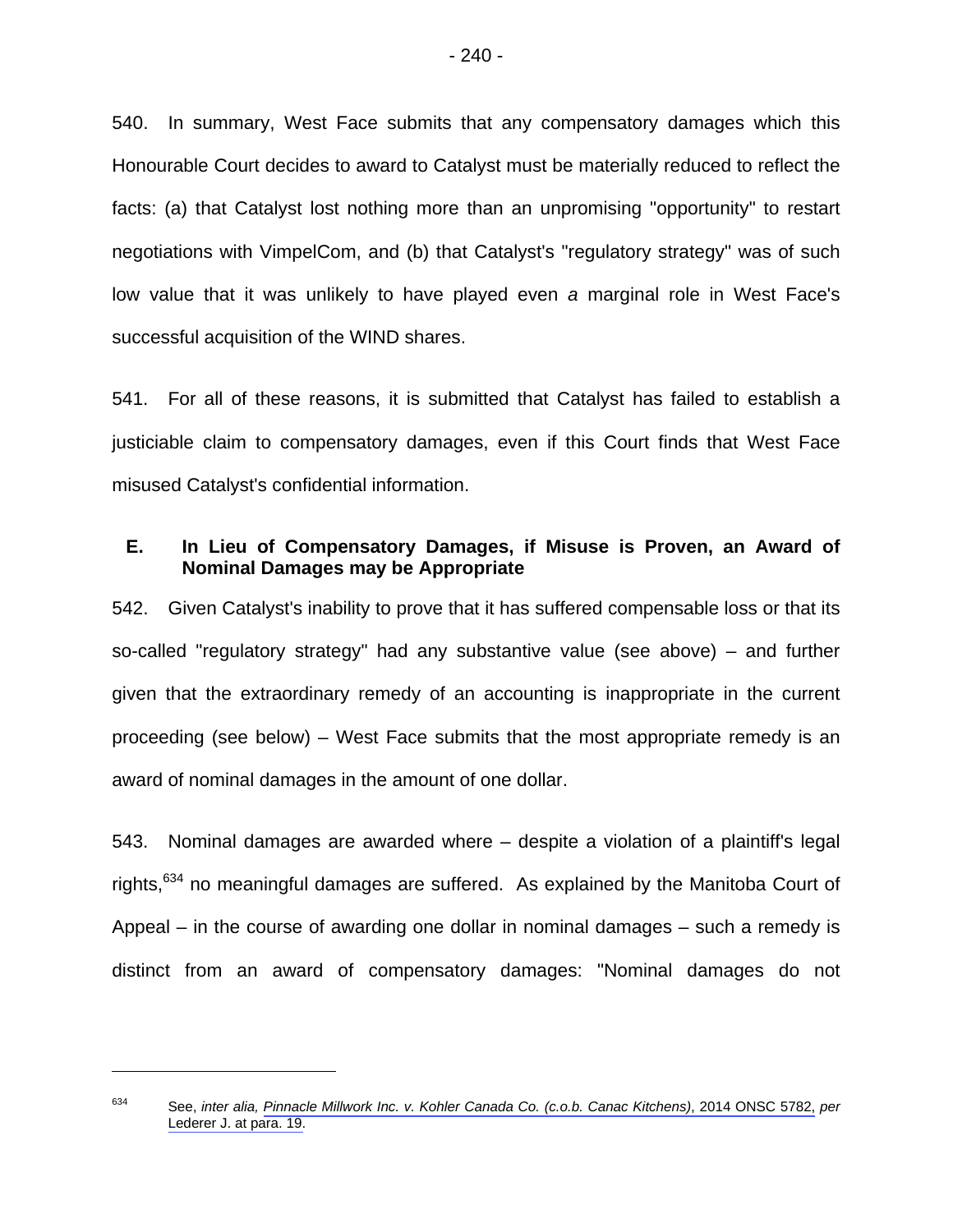540. In summary, West Face submits that any compensatory damages which this Honourable Court decides to award to Catalyst must be materially reduced to reflect the facts: (a) that Catalyst lost nothing more than an unpromising "opportunity" to restart negotiations with VimpelCom, and (b) that Catalyst's "regulatory strategy" was of such low value that it was unlikely to have played even *a* marginal role in West Face's successful acquisition of the WIND shares.

541. For all of these reasons, it is submitted that Catalyst has failed to establish a justiciable claim to compensatory damages, even if this Court finds that West Face misused Catalyst's confidential information.

## **E. In Lieu of Compensatory Damages, if Misuse is Proven, an Award of Nominal Damages may be Appropriate**

542. Given Catalyst's inability to prove that it has suffered compensable loss or that its so-called "regulatory strategy" had any substantive value (see above) – and further given that the extraordinary remedy of an accounting is inappropriate in the current proceeding (see below) – West Face submits that the most appropriate remedy is an award of nominal damages in the amount of one dollar.

543. Nominal damages are awarded where – despite a violation of a plaintiff's legal rights,<sup>634</sup> no meaningful damages are suffered. As explained by the Manitoba Court of Appeal – in the course of awarding one dollar in nominal damages – such a remedy is distinct from an award of compensatory damages: "Nominal damages do not

<sup>634</sup> See, *inter alia, Pinnacle Millwork Inc. v. Kohler Canada Co. (c.o.b. Canac Kitchens)*, 2014 ONSC 5782, *per*  [Lederer J. at para. 19.](#page-5-0)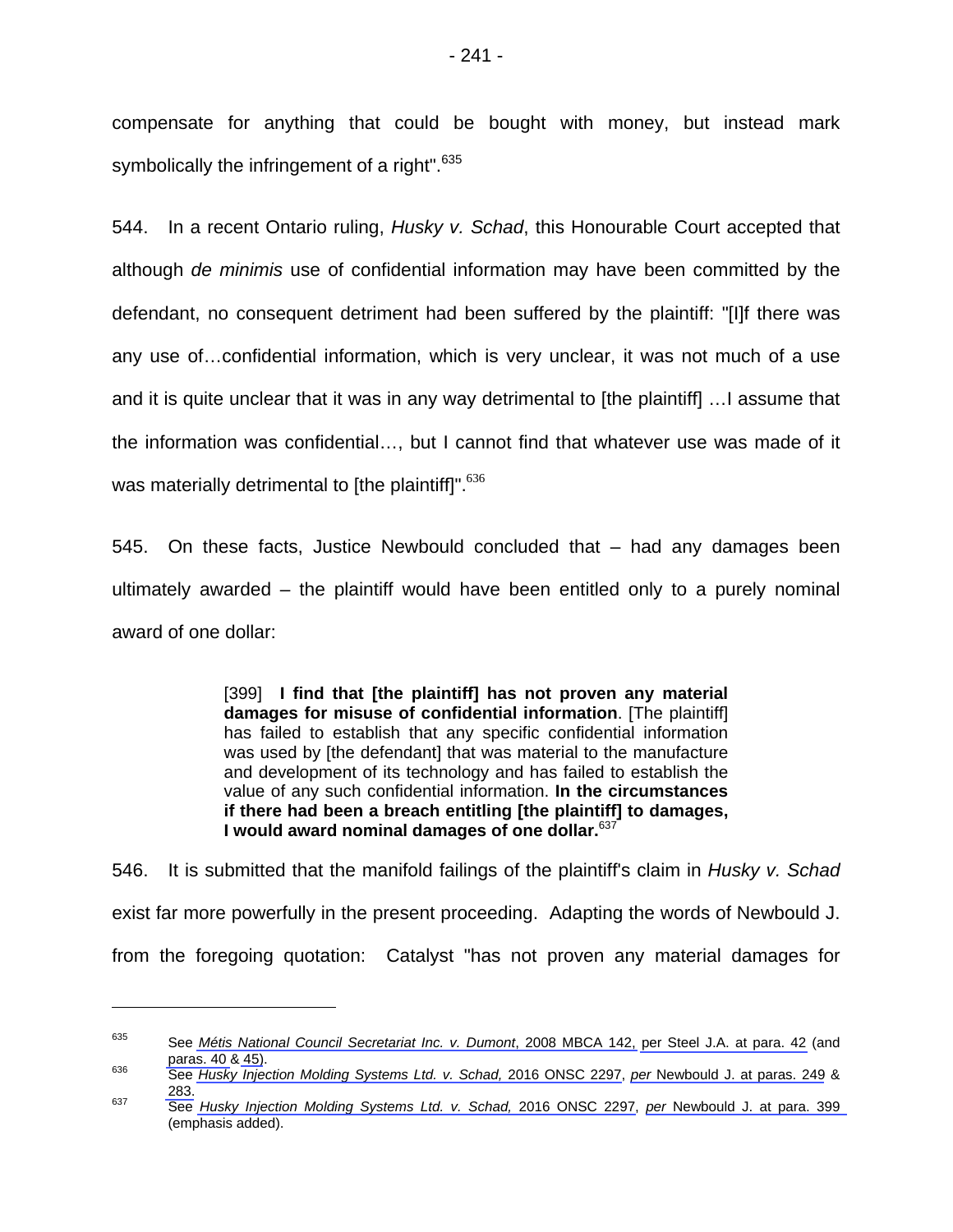compensate for anything that could be bought with money, but instead mark symbolically the infringement of a right".<sup>635</sup>

544. In a recent Ontario ruling, *Husky v. Schad*, this Honourable Court accepted that although *de minimis* use of confidential information may have been committed by the defendant, no consequent detriment had been suffered by the plaintiff: "[I]f there was any use of…confidential information, which is very unclear, it was not much of a use and it is quite unclear that it was in any way detrimental to [the plaintiff] …I assume that the information was confidential…, but I cannot find that whatever use was made of it was materially detrimental to [the plaintiff]".<sup>636</sup>

545. On these facts, Justice Newbould concluded that – had any damages been ultimately awarded – the plaintiff would have been entitled only to a purely nominal award of one dollar:

> [399] **I find that [the plaintiff] has not proven any material damages for misuse of confidential information**. [The plaintiff] has failed to establish that any specific confidential information was used by [the defendant] that was material to the manufacture and development of its technology and has failed to establish the value of any such confidential information. **In the circumstances if there had been a breach entitling [the plaintiff] to damages, I would award nominal damages of one dollar.**<sup>637</sup>

546. It is submitted that the manifold failings of the plaintiff's claim in *Husky v. Schad* exist far more powerfully in the present proceeding. Adapting the words of Newbould J. from the foregoing quotation: Catalyst "has not proven any material damages for

<sup>635</sup> See *Métis National Council Secretariat Inc. v. Dumont*, 2008 MBCA 142, [per Steel J.A. at para. 42](#page-9-0) (and [paras. 40](#page-9-0) [& 45\)](#page-10-0).<br><sup>636</sup> [See](#page-9-0) *Husky Injection Molding Systems Ltd. v. Schad,* 2016 ONSC 2297, *per* [Newbould J. at paras. 249](#page-63-0) &

[<sup>283.</sup>](#page-70-0) 637 See *Husky Injection Molding Systems Ltd. v. Schad,* 2016 ONSC 2297, *per* [Newbould J. at para. 399](#page-95-0)  (emphasis added).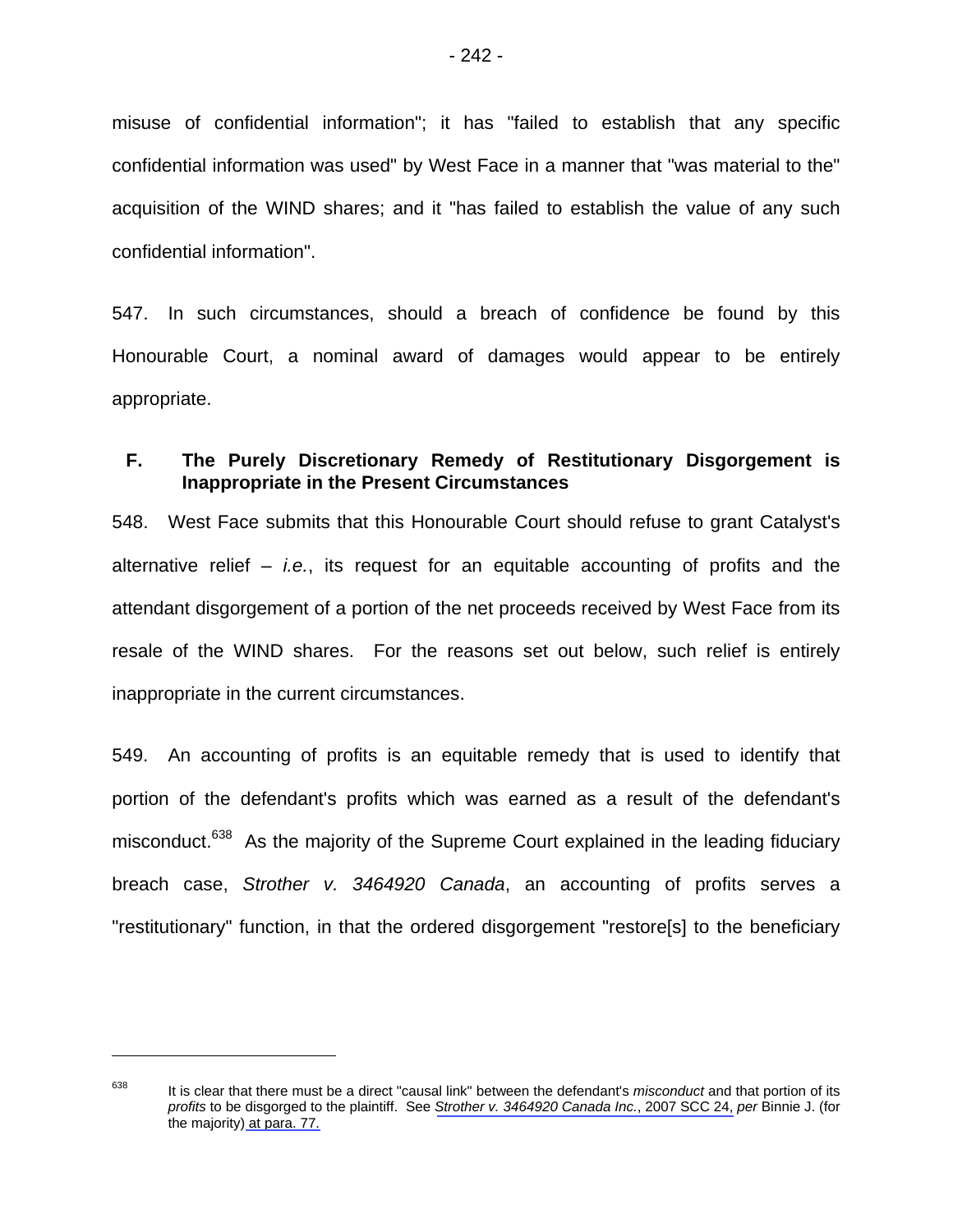misuse of confidential information"; it has "failed to establish that any specific confidential information was used" by West Face in a manner that "was material to the" acquisition of the WIND shares; and it "has failed to establish the value of any such confidential information".

547. In such circumstances, should a breach of confidence be found by this Honourable Court, a nominal award of damages would appear to be entirely appropriate.

## **F. The Purely Discretionary Remedy of Restitutionary Disgorgement is Inappropriate in the Present Circumstances**

548. West Face submits that this Honourable Court should refuse to grant Catalyst's alternative relief – *i.e.*, its request for an equitable accounting of profits and the attendant disgorgement of a portion of the net proceeds received by West Face from its resale of the WIND shares. For the reasons set out below, such relief is entirely inappropriate in the current circumstances.

549. An accounting of profits is an equitable remedy that is used to identify that portion of the defendant's profits which was earned as a result of the defendant's misconduct.<sup>638</sup> As the majority of the Supreme Court explained in the leading fiduciary breach case, *Strother v. 3464920 Canada*, an accounting of profits serves a "restitutionary" function, in that the ordered disgorgement "restore[s] to the beneficiary

<sup>638</sup> It is clear that there must be a direct "causal link" between the defendant's *misconduct* and that portion of its *profits* to be disgorged to the plaintiff. See *Strother v. 3464920 Canada Inc.*, 2007 SCC 24, *per* Binnie J. (for the majority) [at para. 77.](#page-35-0)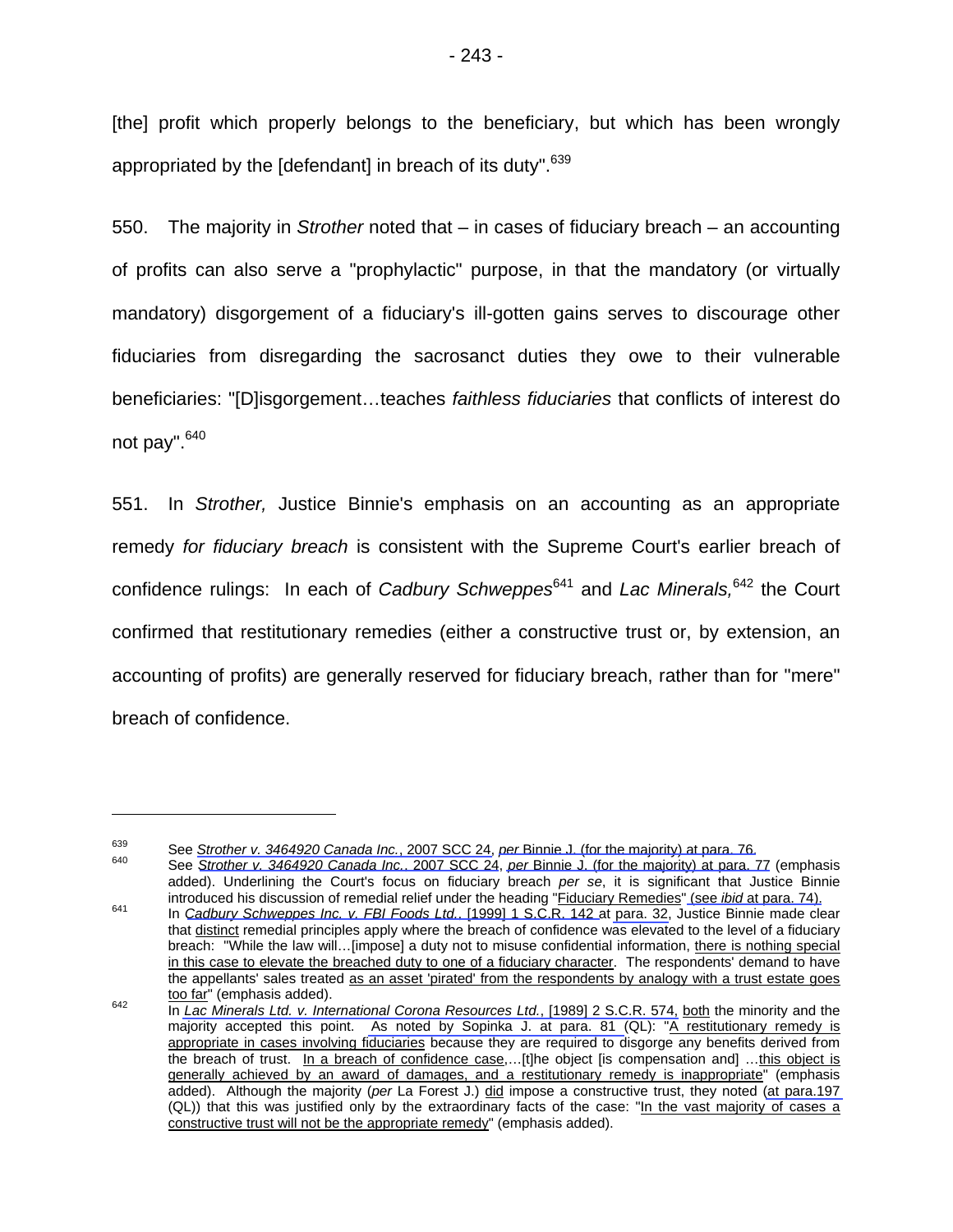[the] profit which properly belongs to the beneficiary, but which has been wrongly appropriated by the [defendant] in breach of its duty".<sup>639</sup>

550. The majority in *Strother* noted that – in cases of fiduciary breach – an accounting of profits can also serve a "prophylactic" purpose, in that the mandatory (or virtually mandatory) disgorgement of a fiduciary's ill-gotten gains serves to discourage other fiduciaries from disregarding the sacrosanct duties they owe to their vulnerable beneficiaries: "[D]isgorgement…teaches *faithless fiduciaries* that conflicts of interest do not pay".<sup>640</sup>

551. In *Strother,* Justice Binnie's emphasis on an accounting as an appropriate remedy *for fiduciary breach* is consistent with the Supreme Court's earlier breach of confidence rulings: In each of *Cadbury Schweppes*<sup>641</sup> and *Lac Minerals,*<sup>642</sup> the Court confirmed that restitutionary remedies (either a constructive trust or, by extension, an accounting of profits) are generally reserved for fiduciary breach, rather than for "mere" breach of confidence.

<sup>&</sup>lt;sup>639</sup> See Strother v. 3464920 Canada Inc., 2007 SCC 24, per [Binnie J. \(for the majority\) at para. 76.](#page-35-0)<br><sup>640</sup> See Strother v. 3464920 Canada Inc., 2007 SCC 24, per Binnie J. (for the majority) at para. 77 (emphasis

added). Underlining the Court's focus on fiduciary breach *per se*, it is significant that Justice Binnie introduced his discussion of remedial relief under the heading "Fiduciary Remedies" (see *ibid* at para. 74). <sup>641</sup> In Cadbury Schweppes Inc. v. FBI Foods Ltd., [1999] 1 S.C.R. 142 at para. 32, Justice Binnie made clear that distinct remedial principles apply where the breach of confidence was elevated to the level of a fiduciary breach: "While the law will…[impose] a duty not to misuse confidential information, there is nothing special in this case to elevate the breached duty to one of a fiduciary character. The respondents' demand to have the appellants' sales treated as an asset 'pirated' from the respondents by analogy with a trust estate goes

too far" (emphasis added).<br><sup>642</sup> In *Lac Minerals Ltd. v. International Corona Resources Ltd.*, [1989] 2 S.C.R. 574, both the minority and the majority accepted this point. [As noted by Sopinka J. at para. 81](#page-33-0) (QL): "A restitutionary remedy is appropriate in cases involving fiduciaries because they are required to disgorge any benefits derived from the breach of trust. In a breach of confidence case,…[t]he object [is compensation and] …this object is generally achieved by an award of damages, and a restitutionary remedy is inappropriate" (emphasis added). Although the majority (*per* La Forest J.) did impose a constructive trust, they noted [\(at para.197](#page-76-0)  (QL)) that this was justified only by the extraordinary facts of the case: "In the vast majority of cases a constructive trust will not be the appropriate remedy" (emphasis added).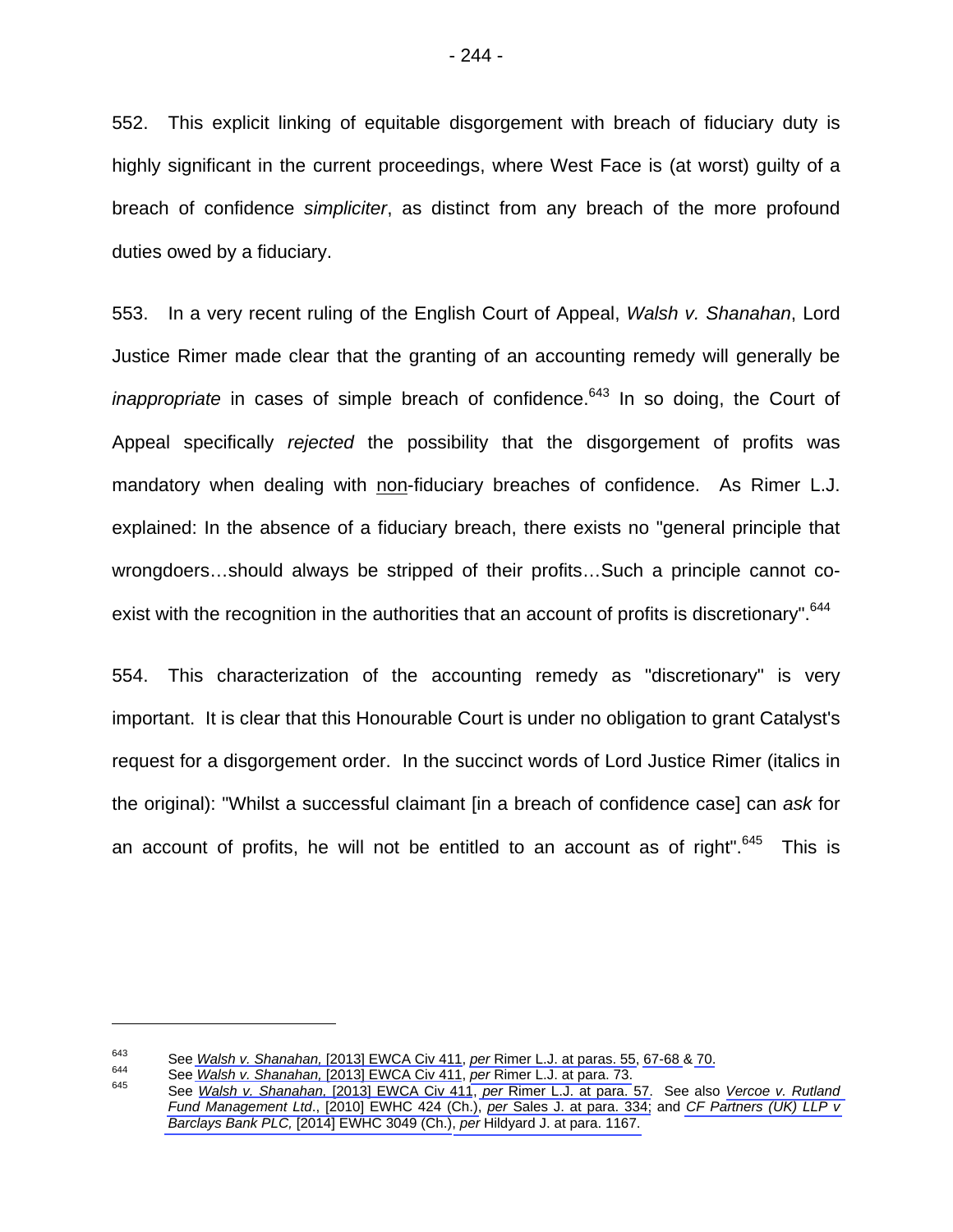552. This explicit linking of equitable disgorgement with breach of fiduciary duty is highly significant in the current proceedings, where West Face is (at worst) guilty of a breach of confidence *simpliciter*, as distinct from any breach of the more profound duties owed by a fiduciary.

553. In a very recent ruling of the English Court of Appeal, *Walsh v. Shanahan*, Lord Justice Rimer made clear that the granting of an accounting remedy will generally be *inappropriate* in cases of simple breach of confidence.<sup>643</sup> In so doing, the Court of Appeal specifically *rejected* the possibility that the disgorgement of profits was mandatory when dealing with non-fiduciary breaches of confidence. As Rimer L.J. explained: In the absence of a fiduciary breach, there exists no "general principle that wrongdoers…should always be stripped of their profits…Such a principle cannot coexist with the recognition in the authorities that an account of profits is discretionary".<sup>644</sup>

554. This characterization of the accounting remedy as "discretionary" is very important. It is clear that this Honourable Court is under no obligation to grant Catalyst's request for a disgorgement order. In the succinct words of Lord Justice Rimer (italics in the original): "Whilst a successful claimant [in a breach of confidence case] can *ask* for an account of profits, he will not be entitled to an account as of right". $645$  This is

<sup>&</sup>lt;sup>643</sup> See Walsh v. Shanahan, [2013] EWCA Civ 411, per [Rimer L.J. at paras. 55,](#page-16-0) [67-68](#page-20-0) & [70.](#page-20-0)<br><sup>644</sup> See Walsh v. Shanahan, [2013] EWCA Civ 411, per [Rimer L.J. at para. 73.](#page-21-0)<br><sup>645</sup> See Walsh v. Shanahan, [2013] EWCA Civ 411, pe *Fund Management Ltd*., [2010] EWHC 424 (Ch.), *per* [Sales J. at para. 334;](#page-104-0) and *CF Partners (UK) LLP v Barclays Bank PLC,* [2014] EWHC 3049 (Ch.), *per* Hildyard J. [at para. 1167.](#page-271-0)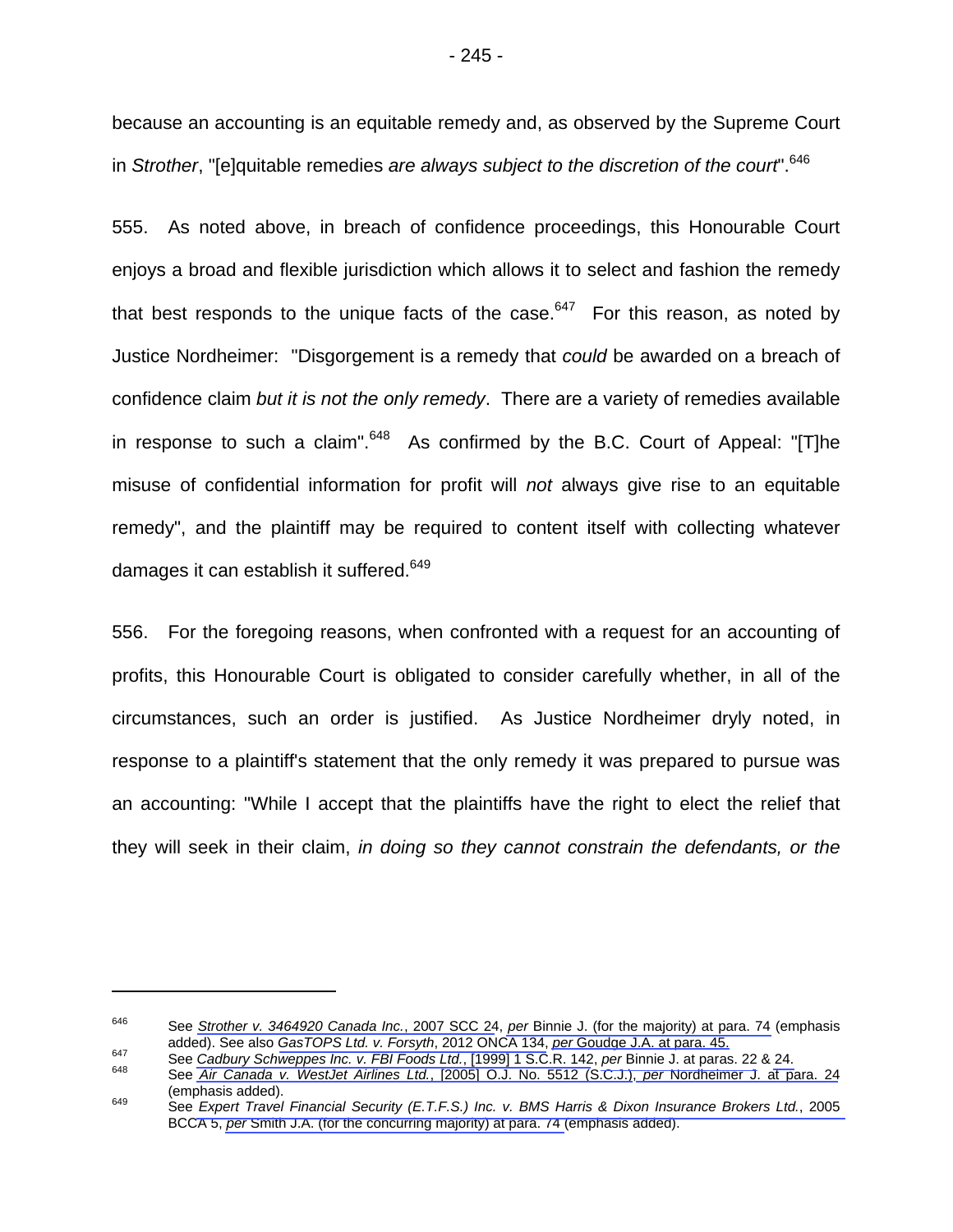because an accounting is an equitable remedy and, as observed by the Supreme Court in *Strother*, "[e]quitable remedies are always subject to the discretion of the court".<sup>646</sup>

555. As noted above, in breach of confidence proceedings, this Honourable Court enjoys a broad and flexible jurisdiction which allows it to select and fashion the remedy that best responds to the unique facts of the case. $647$  For this reason, as noted by Justice Nordheimer: "Disgorgement is a remedy that *could* be awarded on a breach of confidence claim *but it is not the only remedy*. There are a variety of remedies available in response to such a claim". $648$  As confirmed by the B.C. Court of Appeal: "[T]he misuse of confidential information for profit will *not* always give rise to an equitable remedy", and the plaintiff may be required to content itself with collecting whatever damages it can establish it suffered.<sup>649</sup>

556. For the foregoing reasons, when confronted with a request for an accounting of profits, this Honourable Court is obligated to consider carefully whether, in all of the circumstances, such an order is justified. As Justice Nordheimer dryly noted, in response to a plaintiff's statement that the only remedy it was prepared to pursue was an accounting: "While I accept that the plaintiffs have the right to elect the relief that they will seek in their claim, *in doing so they cannot constrain the defendants, or the* 

<sup>646</sup> See *Strother v. 3464920 Canada Inc.*, 2007 SCC 24, *per* [Binnie J. \(for the majority\) at para. 74](#page-34-0) (emphasis

<sup>&</sup>lt;sup>647</sup> See Cadbury Schweppes Inc. v. FBI Foods Ltd., [1999] 1 S.C.R. 142, per [Binnie J. at paras. 22](#page-11-0) [&](#page-7-0) 24.<br><sup>648</sup> See Air Canada v. WestJet Airlines Ltd., [2005] O.J. No. 5512 (S.C.J.), per Nordheimer J. at para. 24

<sup>(</sup>emphasis added). 649 See *Expert Travel Financial Security (E.T.F.S.) Inc. v. BMS Harris & Dixon Insurance Brokers Ltd.*, 2005

BCCA 5, *per* [Smith J.A. \(for the concurring majority\) at para. 74 \(](#page-28-0)emphasis added).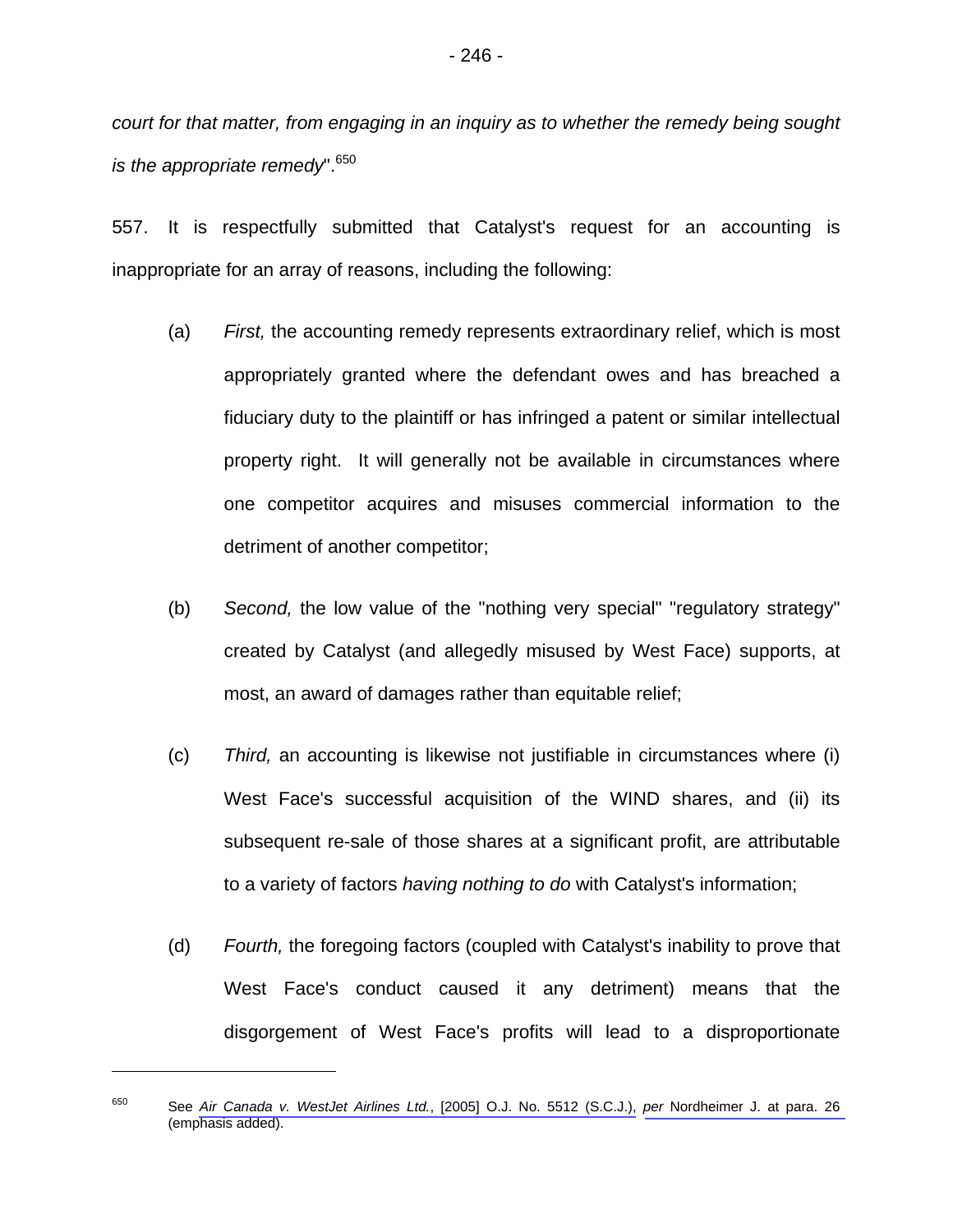*court for that matter, from engaging in an inquiry as to whether the remedy being sought is the appropriate remedy*".<sup>650</sup>

557. It is respectfully submitted that Catalyst's request for an accounting is inappropriate for an array of reasons, including the following:

- (a) *First,* the accounting remedy represents extraordinary relief, which is most appropriately granted where the defendant owes and has breached a fiduciary duty to the plaintiff or has infringed a patent or similar intellectual property right. It will generally not be available in circumstances where one competitor acquires and misuses commercial information to the detriment of another competitor;
- (b) *Second,* the low value of the "nothing very special" "regulatory strategy" created by Catalyst (and allegedly misused by West Face) supports, at most, an award of damages rather than equitable relief;
- (c) *Third,* an accounting is likewise not justifiable in circumstances where (i) West Face's successful acquisition of the WIND shares, and (ii) its subsequent re-sale of those shares at a significant profit, are attributable to a variety of factors *having nothing to do* with Catalyst's information;
- (d) *Fourth,* the foregoing factors (coupled with Catalyst's inability to prove that West Face's conduct caused it any detriment) means that the disgorgement of West Face's profits will lead to a disproportionate

<sup>650</sup> See *Air Canada v. WestJet Airlines Ltd.*, [2005] O.J. No. 5512 (S.C.J.), *per* [Nordheimer J. at para. 26](#page-8-0)  (emphasis added).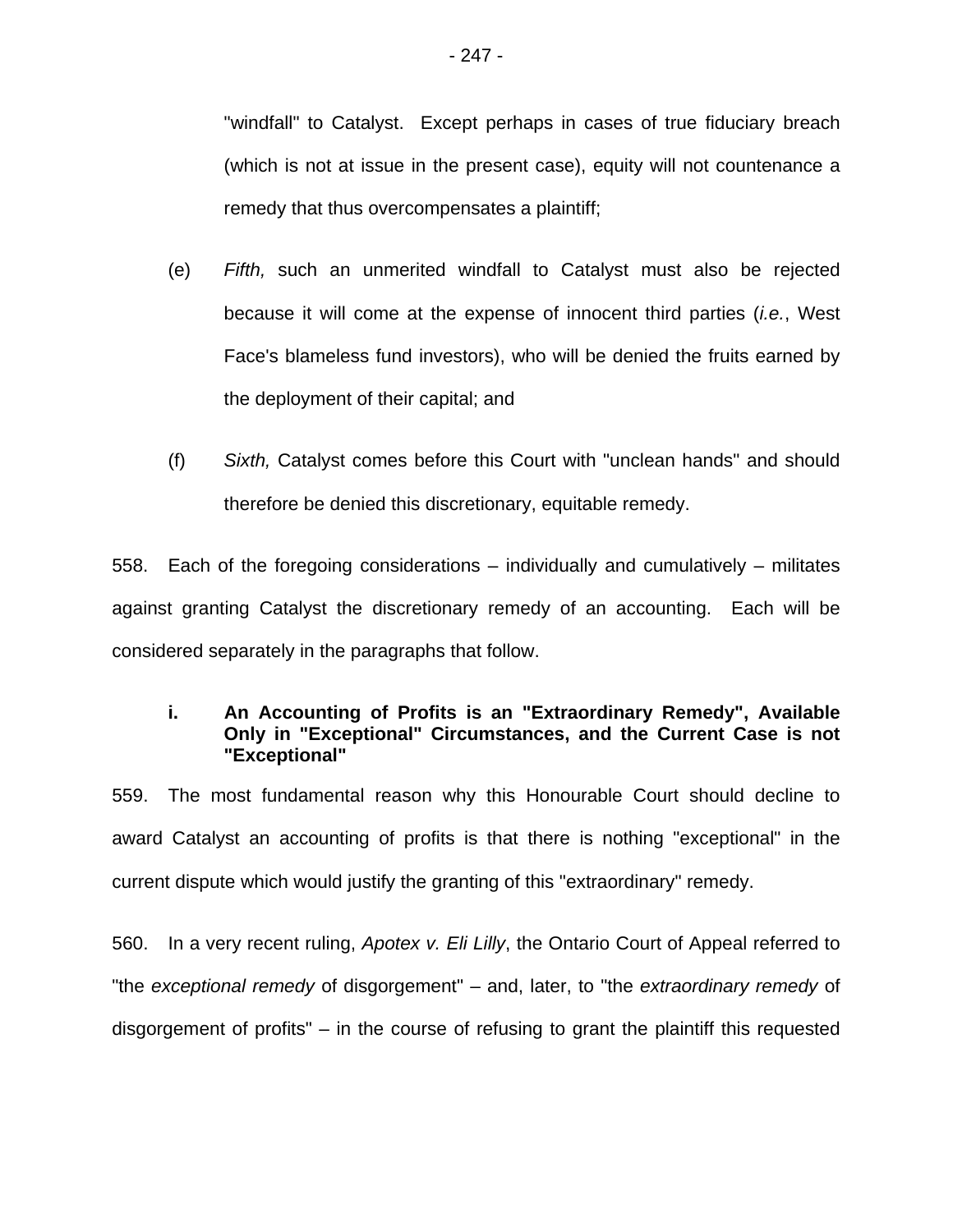"windfall" to Catalyst. Except perhaps in cases of true fiduciary breach (which is not at issue in the present case), equity will not countenance a remedy that thus overcompensates a plaintiff;

- (e) *Fifth,* such an unmerited windfall to Catalyst must also be rejected because it will come at the expense of innocent third parties (*i.e.*, West Face's blameless fund investors), who will be denied the fruits earned by the deployment of their capital; and
- (f) *Sixth,* Catalyst comes before this Court with "unclean hands" and should therefore be denied this discretionary, equitable remedy.

558. Each of the foregoing considerations – individually and cumulatively – militates against granting Catalyst the discretionary remedy of an accounting. Each will be considered separately in the paragraphs that follow.

### **i. An Accounting of Profits is an "Extraordinary Remedy", Available Only in "Exceptional" Circumstances, and the Current Case is not "Exceptional"**

559. The most fundamental reason why this Honourable Court should decline to award Catalyst an accounting of profits is that there is nothing "exceptional" in the current dispute which would justify the granting of this "extraordinary" remedy.

560. In a very recent ruling, *Apotex v. Eli Lilly*, the Ontario Court of Appeal referred to "the *exceptional remedy* of disgorgement" – and, later, to "the *extraordinary remedy* of disgorgement of profits" – in the course of refusing to grant the plaintiff this requested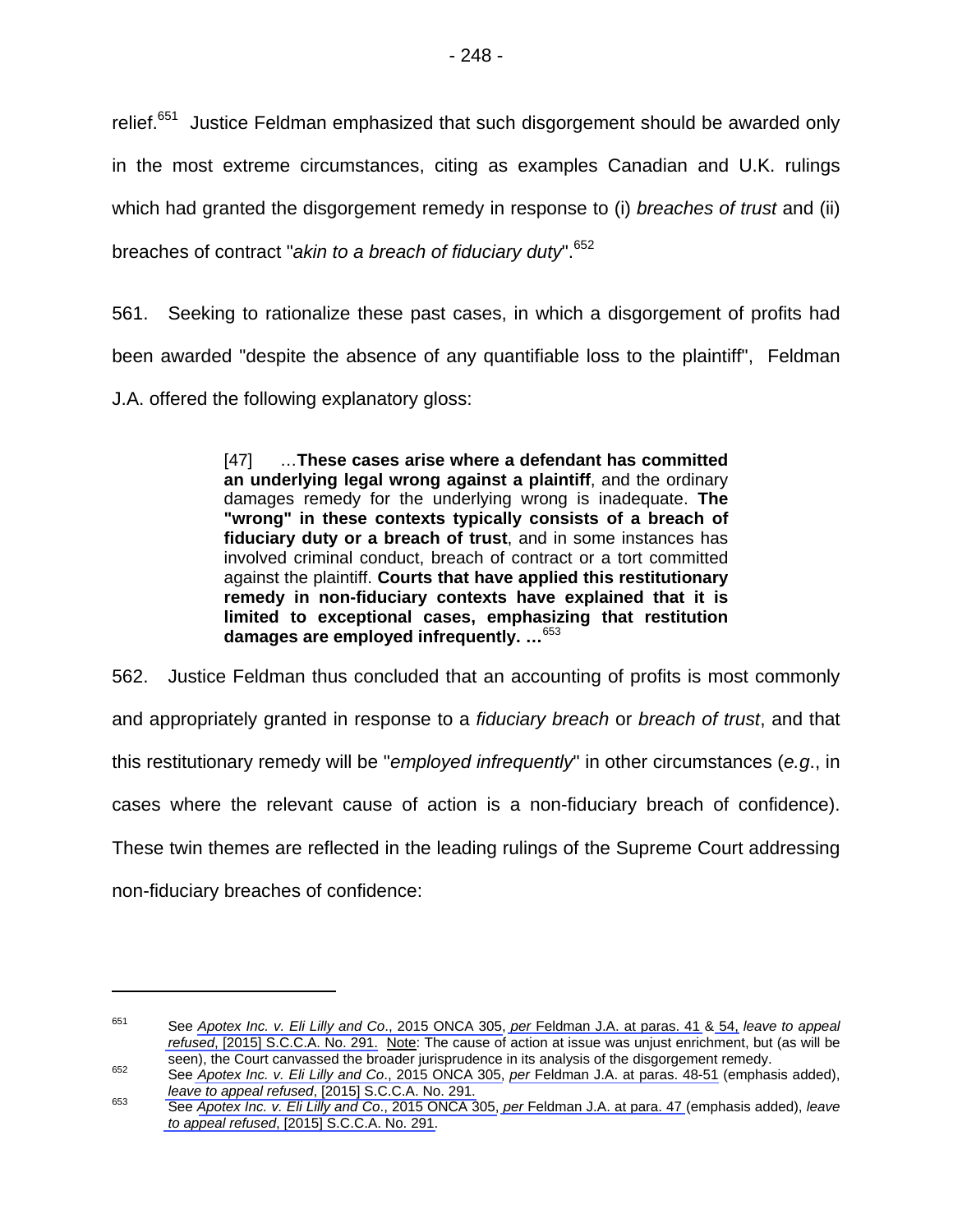relief.<sup>651</sup> Justice Feldman emphasized that such disgorgement should be awarded only in the most extreme circumstances, citing as examples Canadian and U.K. rulings which had granted the disgorgement remedy in response to (i) *breaches of trust* and (ii) breaches of contract "*akin to a breach of fiduciary duty*".652

561. Seeking to rationalize these past cases, in which a disgorgement of profits had been awarded "despite the absence of any quantifiable loss to the plaintiff", Feldman J.A. offered the following explanatory gloss:

> [47] …**These cases arise where a defendant has committed an underlying legal wrong against a plaintiff**, and the ordinary damages remedy for the underlying wrong is inadequate. **The "wrong" in these contexts typically consists of a breach of fiduciary duty or a breach of trust**, and in some instances has involved criminal conduct, breach of contract or a tort committed against the plaintiff. **Courts that have applied this restitutionary remedy in non-fiduciary contexts have explained that it is limited to exceptional cases, emphasizing that restitution damages are employed infrequently. …**<sup>653</sup>

562. Justice Feldman thus concluded that an accounting of profits is most commonly and appropriately granted in response to a *fiduciary breach* or *breach of trust*, and that this restitutionary remedy will be "*employed infrequently*" in other circumstances (*e.g*., in cases where the relevant cause of action is a non-fiduciary breach of confidence). These twin themes are reflected in the leading rulings of the Supreme Court addressing non-fiduciary breaches of confidence:

<sup>651</sup> See *Apotex Inc. v. Eli Lilly and Co*., 2015 ONCA 305, *per* [Feldman J.A. at paras. 41](#page-9-0) [& 54,](#page-12-0) *leave to appeal refused*, [2015] S.C.C.A. No. 291. Note: The cause of action at issue was unjust enrichment, but (as will be

seen), the Court canvassed the broader jurisprudence [in its analysis of the disgorgement](#page-11-0) remedy.<br>
See *Apotex Inc. v. Eli Lilly and Co.*, 2015 ONCA 305, *per* Feldman J.A. at paras. 48-51 (emphasis added),<br> *leave to appea* 

*leave to appeal refused*, [2015] S.C.C.A. No. 291. 653 See *Apotex Inc. v. Eli Lilly and Co*., 2015 ONCA 305, *per* [Feldman J.A. at para. 47](#page-10-0) (emphasis added), *leave to appeal refused*, [2015] S.C.C.A. No. 291.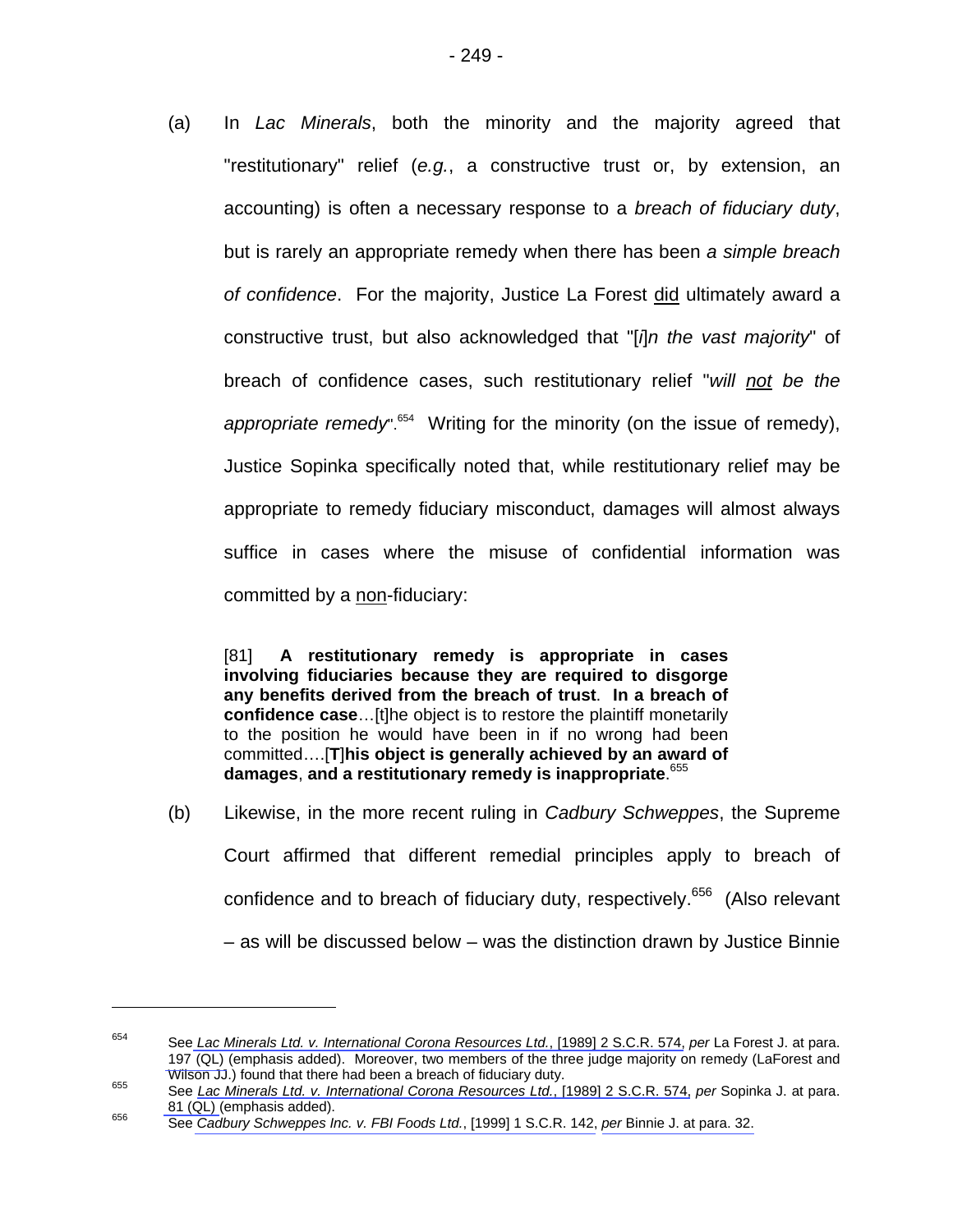(a) In *Lac Minerals*, both the minority and the majority agreed that "restitutionary" relief (*e.g.*, a constructive trust or, by extension, an accounting) is often a necessary response to a *breach of fiduciary duty*, but is rarely an appropriate remedy when there has been *a simple breach of confidence*. For the majority, Justice La Forest did ultimately award a constructive trust, but also acknowledged that "[*i*]*n the vast majority*" of breach of confidence cases, such restitutionary relief "*will not be the*  appropriate remedy<sup>".654</sup> Writing for the minority (on the issue of remedy), Justice Sopinka specifically noted that, while restitutionary relief may be appropriate to remedy fiduciary misconduct, damages will almost always suffice in cases where the misuse of confidential information was committed by a non-fiduciary:

[81] **A restitutionary remedy is appropriate in cases involving fiduciaries because they are required to disgorge any benefits derived from the breach of trust**. **In a breach of confidence case**…[t]he object is to restore the plaintiff monetarily to the position he would have been in if no wrong had been committed….[**T**]**his object is generally achieved by an award of damages**, **and a restitutionary remedy is inappropriate**. 655

(b) Likewise, in the more recent ruling in *Cadbury Schweppes*, the Supreme Court affirmed that different remedial principles apply to breach of confidence and to breach of fiduciary duty, respectively.<sup>656</sup> (Also relevant – as will be discussed below – was the distinction drawn by Justice Binnie

<sup>654</sup> See *Lac Minerals Ltd. v. International Corona Resources Ltd.*, [1989] 2 S.C.R. 574, *per* La Forest J. at para. [197 \(QL\)](#page-76-0) (emphasis added). Moreover, two members of the three judge majority on remedy (LaForest and Wilson JJ.) found that there had been a breach of fiduciary duty.<br><sup>655</sup> See *Lac Minerals Ltd. v. International Corona Resources Ltd.*, [1989] 2 S.C.R. 574, *per* Sopinka J. at para.

[<sup>81 \(</sup>QL\)](#page-33-0) (emphasis added). 656 See *Cadbury Schweppes Inc. v. FBI Foods Ltd.*, [1999] 1 S.C.R. 142, *per* [Binnie J. at para. 32.](#page-15-0)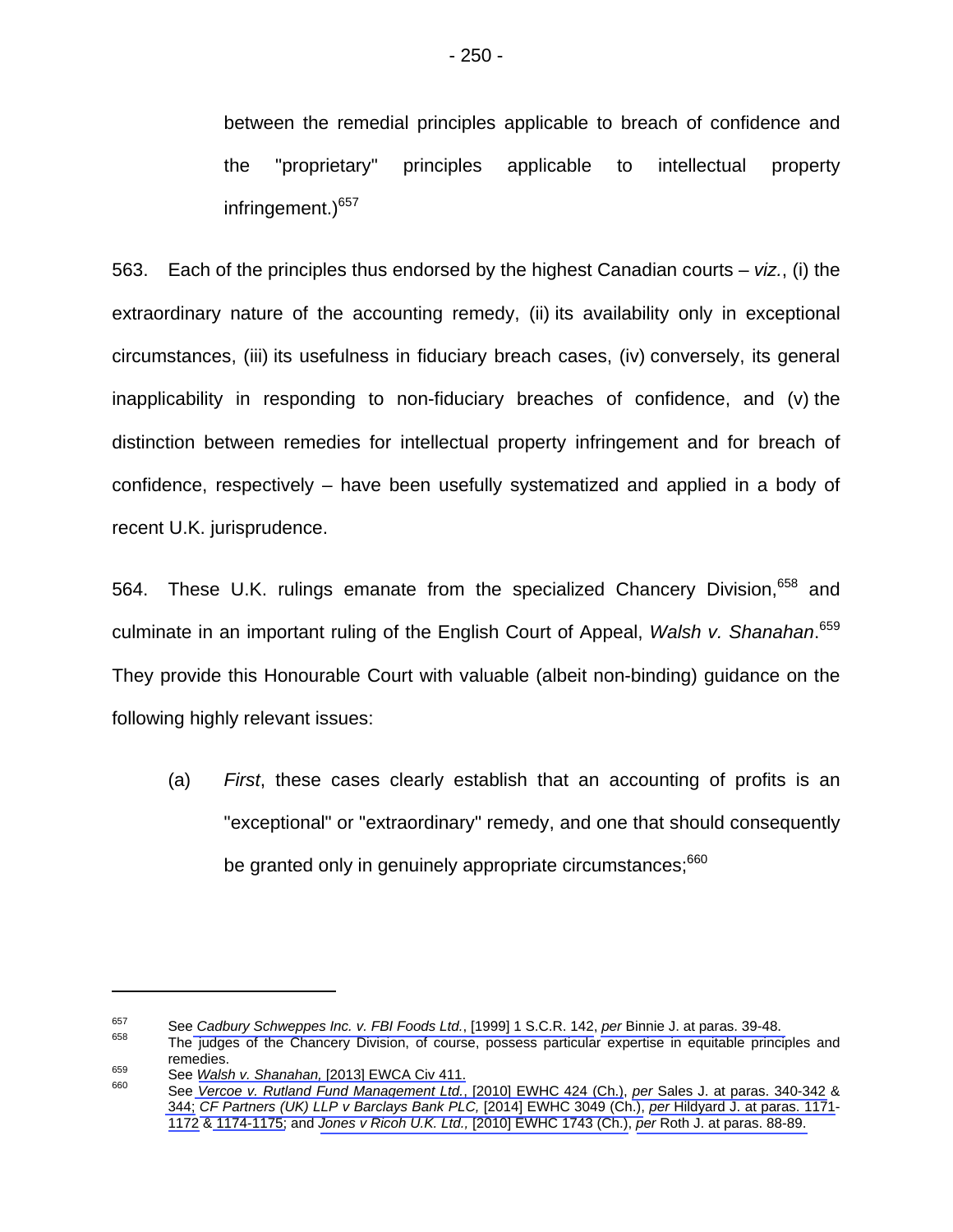between the remedial principles applicable to breach of confidence and the "proprietary" principles applicable to intellectual property infringement.)<sup>657</sup>

563. Each of the principles thus endorsed by the highest Canadian courts – *viz.*, (i) the extraordinary nature of the accounting remedy, (ii) its availability only in exceptional circumstances, (iii) its usefulness in fiduciary breach cases, (iv) conversely, its general inapplicability in responding to non-fiduciary breaches of confidence, and (v) the distinction between remedies for intellectual property infringement and for breach of confidence, respectively – have been usefully systematized and applied in a body of recent U.K. jurisprudence.

564. These U.K. rulings emanate from the specialized Chancery Division.<sup>658</sup> and culminate in an important ruling of the English Court of Appeal, *Walsh v. Shanahan*. 659 They provide this Honourable Court with valuable (albeit non-binding) guidance on the following highly relevant issues:

(a) *First*, these cases clearly establish that an accounting of profits is an "exceptional" or "extraordinary" remedy, and one that should consequently be granted only in genuinely appropriate circumstances;<sup>660</sup>

<sup>&</sup>lt;sup>657</sup> See *Cadbury Schweppes Inc. v. FBI Foods Ltd.*, [1999] 1 S.C.R. 142, *per* Binnie J. at paras. 39-48.<br><sup>658</sup> The judges of the Chancery Division, of course, possess particular expertise in equitable principles and

remedies.<br><sup>659</sup> See *Walsh v. Shanahan,* [2013] EWCA Civ 411.<br><sup>660</sup> See *Vercoe v. Rutland Fund Management Ltd.*, [2010] EWHC 424 (Ch.), *per* [Sales J. at paras. 340-342](#page-107-0) &

[<sup>344;</sup>](#page-108-0) *CF Partners (UK) LLP v Barclays Bank PLC,* [2014] EWHC 3049 (Ch.), *per* Hildyard J. [at paras. 1171-](#page-271-0) [1172](#page-272-0) & [1174-1175;](#page-272-0) and *Jones v Ricoh U.K. Ltd.,* [2010] EWHC 1743 (Ch.), *per* [Roth J. at paras. 88-89.](#page-28-0)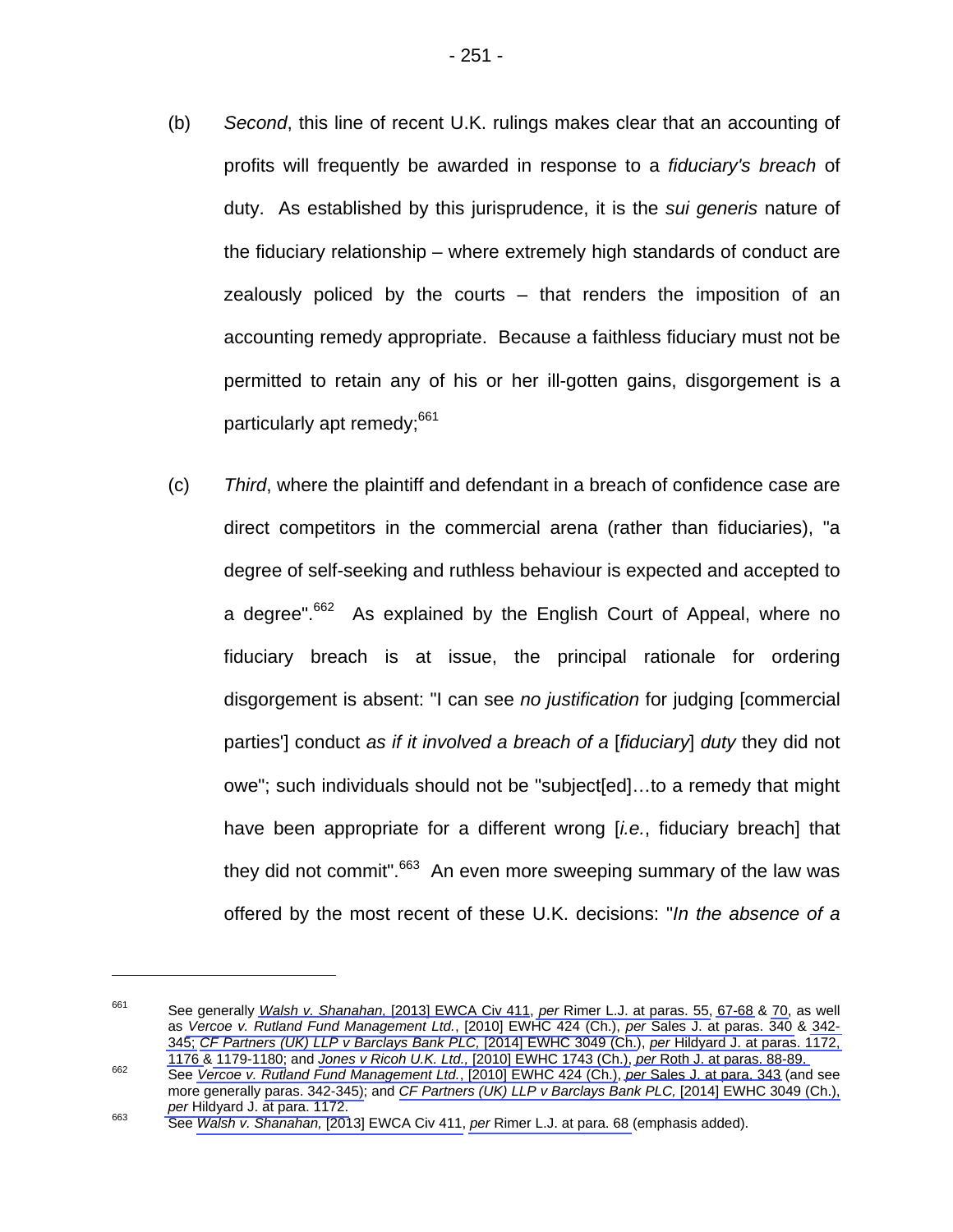- (b) *Second*, this line of recent U.K. rulings makes clear that an accounting of profits will frequently be awarded in response to a *fiduciary's breach* of duty. As established by this jurisprudence, it is the *sui generis* nature of the fiduciary relationship – where extremely high standards of conduct are zealously policed by the courts – that renders the imposition of an accounting remedy appropriate. Because a faithless fiduciary must not be permitted to retain any of his or her ill-gotten gains, disgorgement is a particularly apt remedy;<sup>661</sup>
- (c) *Third*, where the plaintiff and defendant in a breach of confidence case are direct competitors in the commercial arena (rather than fiduciaries), "a degree of self-seeking and ruthless behaviour is expected and accepted to a degree".<sup>662</sup> As explained by the English Court of Appeal, where no fiduciary breach is at issue, the principal rationale for ordering disgorgement is absent: "I can see *no justification* for judging [commercial parties'] conduct *as if it involved a breach of a* [*fiduciary*] *duty* they did not owe"; such individuals should not be "subject[ed]…to a remedy that might have been appropriate for a different wrong [*i.e.*, fiduciary breach] that they did not commit".<sup>663</sup> An even more sweeping summary of the law was offered by the most recent of these U.K. decisions: "*In the absence of a*

<sup>661</sup> See generally *Walsh v. Shanahan,* [2013] EWCA Civ 411, *per* [Rimer L.J. at paras. 55,](#page-16-0) [67-68](#page-20-0) & [70,](#page-20-0) as well as *Vercoe v. Rutland Fund Management Ltd.*, [2010] EWHC 424 (Ch.), *per* [Sales J. at paras. 340](#page-107-0) & [342-](#page-108-0) [345;](#page-108-0) *CF Partners (UK) LLP v Barclays Bank PLC,* [2014] EWHC 3049 (Ch.), *per* Hildyard J. [at paras. 1172,](#page-272-0) 

<sup>&</sup>lt;sup>662</sup> See *Vercoe v. Rutland Fund Management Ltd.*, [2010] EWHC 424 (Ch.), *per Sales J. at para.* 343 (and see more generally [paras. 342-345\);](#page-108-0) and *CF Partners (UK) LLP v Barclays Bank PLC,* [2014] EWHC 3049 (Ch.), *per* Hildyard J. at para. 1172.<br><sup>663</sup> [See](#page-272-0) *Walsh v. Shanahan,* [2013] EWCA Civ 411, *per* [Rimer L.J. at para. 68](#page-20-0) (emphasis added).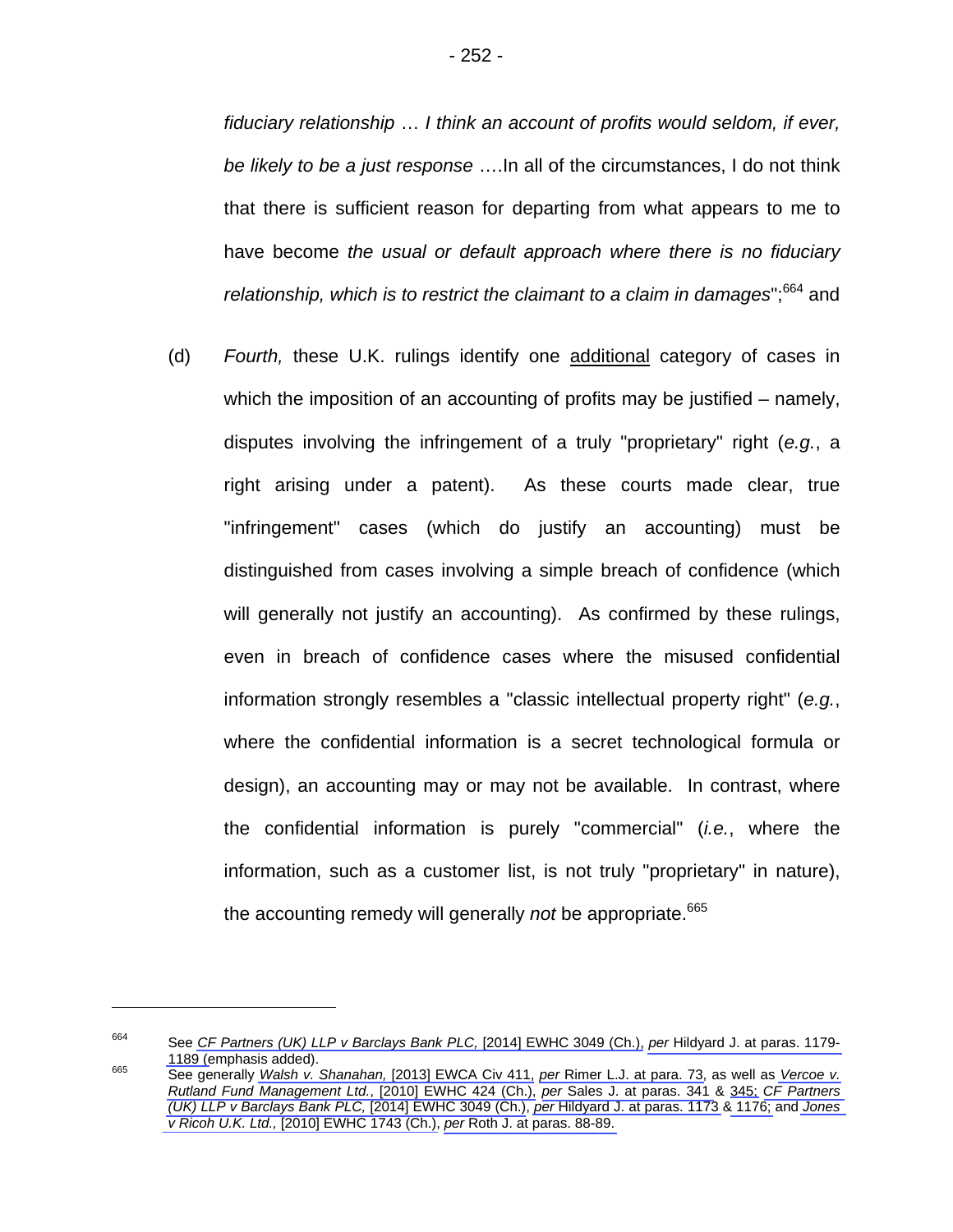*fiduciary relationship* … *I think an account of profits would seldom, if ever, be likely to be a just response* ….In all of the circumstances, I do not think that there is sufficient reason for departing from what appears to me to have become *the usual or default approach where there is no fiduciary*  relationship, which is to restrict the claimant to a claim in damages";<sup>664</sup> and

(d) *Fourth,* these U.K. rulings identify one additional category of cases in which the imposition of an accounting of profits may be justified – namely, disputes involving the infringement of a truly "proprietary" right (*e.g.*, a right arising under a patent). As these courts made clear, true "infringement" cases (which do justify an accounting) must be distinguished from cases involving a simple breach of confidence (which will generally not justify an accounting). As confirmed by these rulings, even in breach of confidence cases where the misused confidential information strongly resembles a "classic intellectual property right" (*e.g.*, where the confidential information is a secret technological formula or design), an accounting may or may not be available. In contrast, where the confidential information is purely "commercial" (*i.e.*, where the information, such as a customer list, is not truly "proprietary" in nature), the accounting remedy will generally *not* be appropriate.<sup>665</sup>

<sup>664</sup> See *CF Partners (UK) LLP v Barclays Bank PLC,* [2014] EWHC 3049 (Ch.), *per* Hildyard J. [at paras. 1179-](#page-273-0) [1189 \(e](#page-273-0)mphasis added). 665 See generally *Walsh v. Shanahan,* [2013] EWCA Civ 411, *per* [Rimer L.J. at para. 73,](#page-21-0) as well as *Vercoe v.* 

*Rutland Fund Management Ltd.*, [2010] EWHC 424 (Ch.), *per* [Sales J. at paras. 341](#page-107-0) & [345;](#page-109-0) *CF Partners (UK) LLP v Barclays Bank PLC,* [2014] EWHC 3049 (Ch.), *per* Hildyard J. [at paras. 1173 & 1176;](#page-272-0) and *Jones v Ricoh U.K. Ltd.,* [2010] EWHC 1743 (Ch.), *per* [Roth J. at paras. 88-89.](#page-28-0)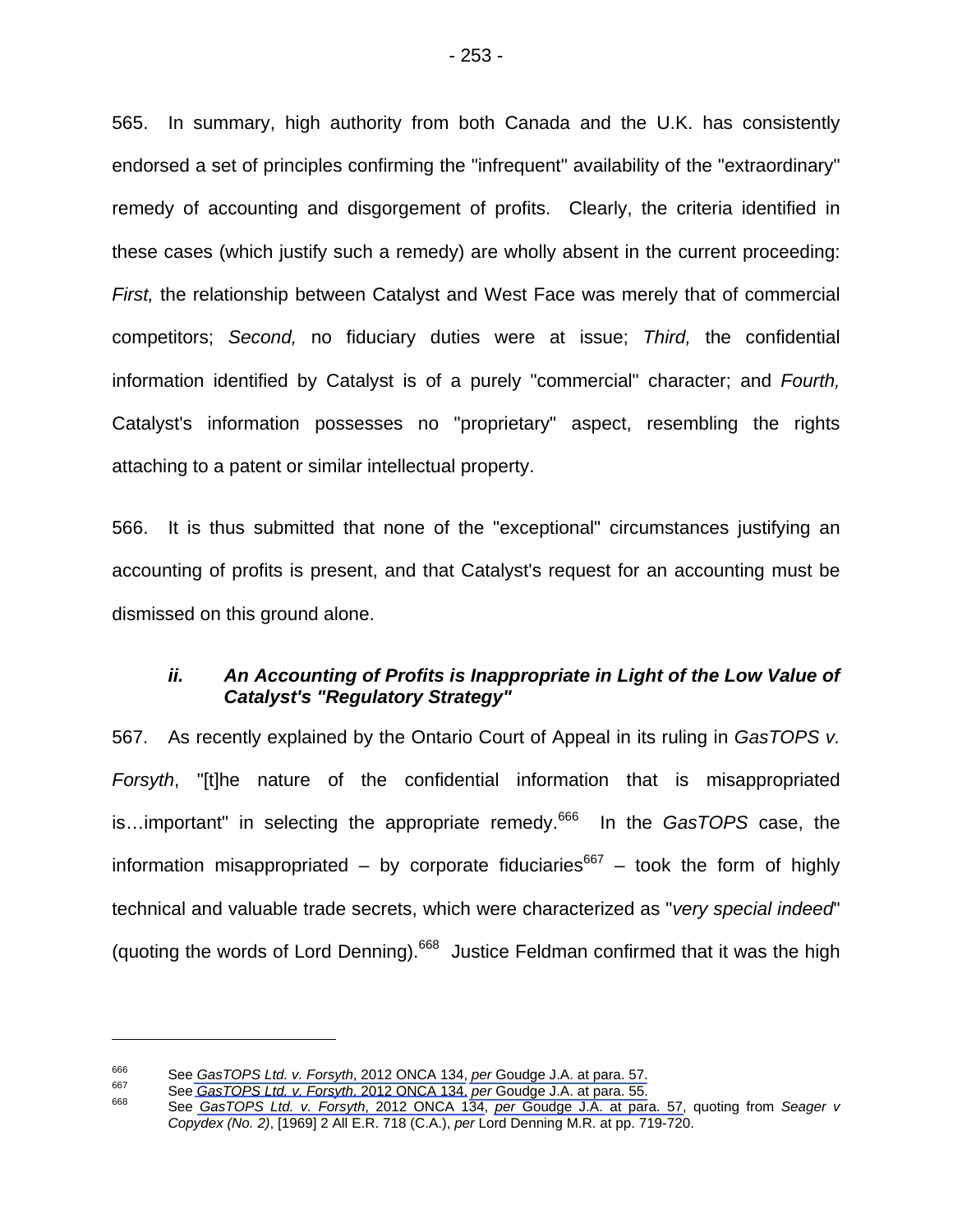565. In summary, high authority from both Canada and the U.K. has consistently endorsed a set of principles confirming the "infrequent" availability of the "extraordinary" remedy of accounting and disgorgement of profits. Clearly, the criteria identified in these cases (which justify such a remedy) are wholly absent in the current proceeding: *First,* the relationship between Catalyst and West Face was merely that of commercial competitors; *Second,* no fiduciary duties were at issue; *Third,* the confidential information identified by Catalyst is of a purely "commercial" character; and *Fourth,*  Catalyst's information possesses no "proprietary" aspect, resembling the rights attaching to a patent or similar intellectual property.

566. It is thus submitted that none of the "exceptional" circumstances justifying an accounting of profits is present, and that Catalyst's request for an accounting must be dismissed on this ground alone.

### *ii. An Accounting of Profits is Inappropriate in Light of the Low Value of Catalyst's "Regulatory Strategy"*

567. As recently explained by the Ontario Court of Appeal in its ruling in *GasTOPS v. Forsyth*, "[t]he nature of the confidential information that is misappropriated is…important" in selecting the appropriate remedy.666 In the *GasTOPS* case, the information misappropriated – by corporate fiduciaries<sup>667</sup> – took the form of highly technical and valuable trade secrets, which were characterized as "*very special indeed*" (quoting the words of Lord Denning).<sup>668</sup> Justice Feldman confirmed that it was the high

<sup>&</sup>lt;sup>666</sup> See GasTOPS Ltd. v. Forsyth, 2012 ONCA 134, per [Goudge J.A. at para. 57.](#page-12-0)<br><sup>667</sup> See GasTOPS Ltd. v. Forsyth, 2012 ONCA 134, per Goudge J.A. at para. 55.<br><sup>668</sup> See GasTOPS Ltd. v. Forsyth, 2012 ONCA 134, per Goudge J.A *Copydex (No. 2)*, [1969] 2 All E.R. 718 (C.A.), *per* Lord Denning M.R. at pp. 719-720.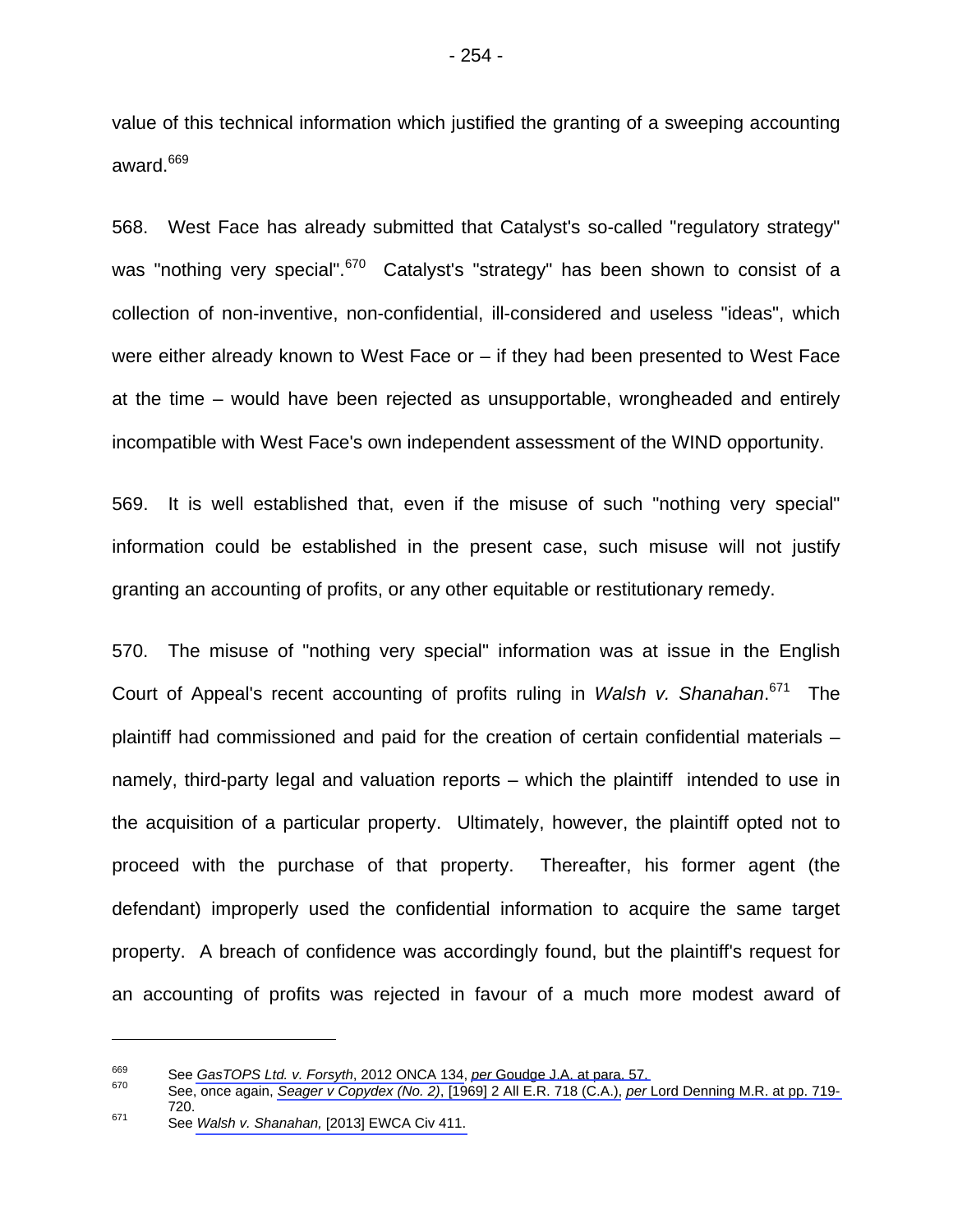value of this technical information which justified the granting of a sweeping accounting award.<sup>669</sup>

568. West Face has already submitted that Catalyst's so-called "regulatory strategy" was "nothing very special".<sup>670</sup> Catalyst's "strategy" has been shown to consist of a collection of non-inventive, non-confidential, ill-considered and useless "ideas", which were either already known to West Face or – if they had been presented to West Face at the time – would have been rejected as unsupportable, wrongheaded and entirely incompatible with West Face's own independent assessment of the WIND opportunity.

569. It is well established that, even if the misuse of such "nothing very special" information could be established in the present case, such misuse will not justify granting an accounting of profits, or any other equitable or restitutionary remedy.

570. The misuse of "nothing very special" information was at issue in the English Court of Appeal's recent accounting of profits ruling in *Walsh v. Shanahan*. <sup>671</sup>The plaintiff had commissioned and paid for the creation of certain confidential materials – namely, third-party legal and valuation reports – which the plaintiff intended to use in the acquisition of a particular property. Ultimately, however, the plaintiff opted not to proceed with the purchase of that property. Thereafter, his former agent (the defendant) improperly used the confidential information to acquire the same target property. A breach of confidence was accordingly found, but the plaintiff's request for an accounting of profits was rejected in favour of a much more modest award of

<sup>&</sup>lt;sup>669</sup> See *GasTOPS Ltd. v. Forsyth*, 2012 ONCA 134, *per* Goudge J.A. at para. 57.<br><sup>670</sup> See, once again, *Seager v Copydex (No. 2)*, [1969] 2 All E.R. 718 (C.A.), *per* [Lord Denning M.R. at pp. 719-](#page-3-0) 720. 671 See *Walsh v. Shanahan,* [2013] EWCA Civ 411.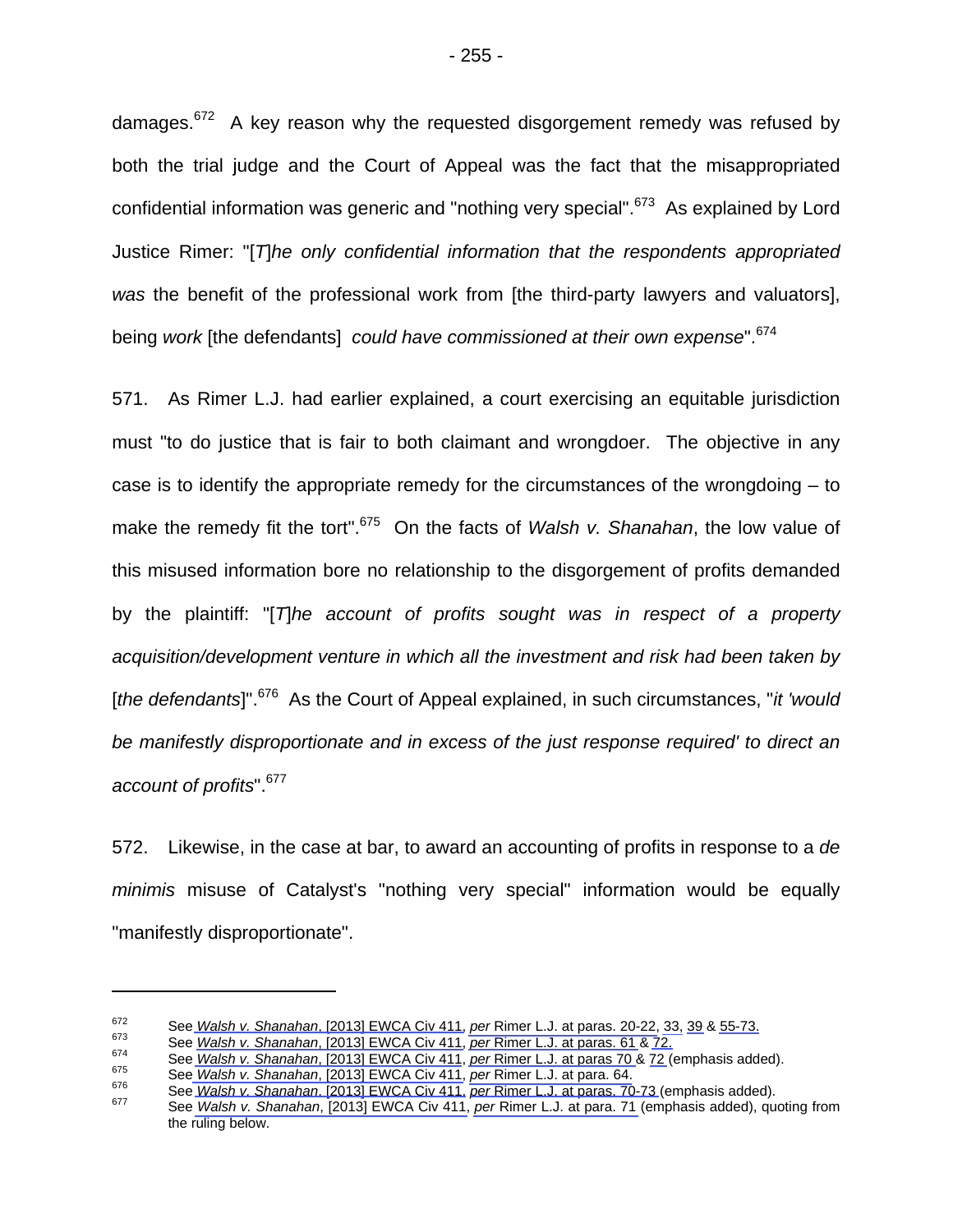damages.<sup>672</sup> A key reason why the requested disgorgement remedy was refused by both the trial judge and the Court of Appeal was the fact that the misappropriated confidential information was generic and "nothing very special".<sup>673</sup> As explained by Lord Justice Rimer: "[*T*]*he only confidential information that the respondents appropriated was* the benefit of the professional work from [the third-party lawyers and valuators], being *work* [the defendants] *could have commissioned at their own expense*".<sup>674</sup>

571. As Rimer L.J. had earlier explained, a court exercising an equitable jurisdiction must "to do justice that is fair to both claimant and wrongdoer. The objective in any case is to identify the appropriate remedy for the circumstances of the wrongdoing – to make the remedy fit the tort".<sup>675</sup> On the facts of *Walsh v. Shanahan*, the low value of this misused information bore no relationship to the disgorgement of profits demanded by the plaintiff: "[*T*]*he account of profits sought was in respect of a property acquisition/development venture in which all the investment and risk had been taken by*  [*the defendants*]".676 As the Court of Appeal explained, in such circumstances, "*it 'would be manifestly disproportionate and in excess of the just response required' to direct an account of profits*".677

572. Likewise, in the case at bar, to award an accounting of profits in response to a *de minimis* misuse of Catalyst's "nothing very special" information would be equally "manifestly disproportionate".

See Walsh v. Shanahan, [2013] EWCA Civ 411, per [Rimer L.J. at paras. 20-22,](#page-5-0) [33,](#page-8-0) [39](#page-11-0) & [55-73.](#page-16-0)<br>
See Walsh v. Shanahan, [2013] EWCA Civ 411, per Rimer L.J. at paras. 61 & 72.<br>
See Walsh v. Shanahan, [2013] EWCA Civ 411, per R

the ruling below.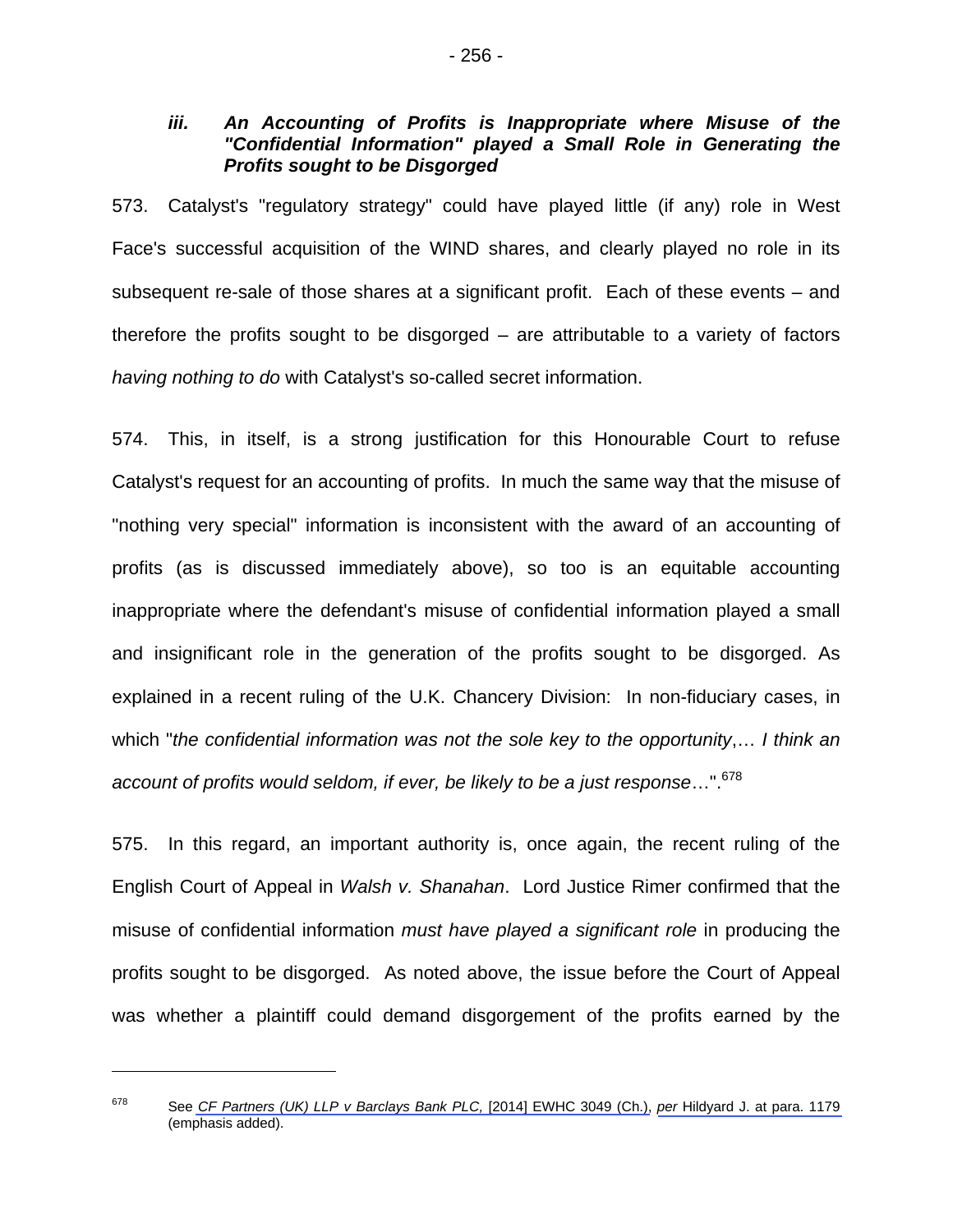### *iii. An Accounting of Profits is Inappropriate where Misuse of the "Confidential Information" played a Small Role in Generating the Profits sought to be Disgorged*

573. Catalyst's "regulatory strategy" could have played little (if any) role in West Face's successful acquisition of the WIND shares, and clearly played no role in its subsequent re-sale of those shares at a significant profit. Each of these events – and therefore the profits sought to be disgorged – are attributable to a variety of factors *having nothing to do* with Catalyst's so-called secret information.

574. This, in itself, is a strong justification for this Honourable Court to refuse Catalyst's request for an accounting of profits. In much the same way that the misuse of "nothing very special" information is inconsistent with the award of an accounting of profits (as is discussed immediately above), so too is an equitable accounting inappropriate where the defendant's misuse of confidential information played a small and insignificant role in the generation of the profits sought to be disgorged. As explained in a recent ruling of the U.K. Chancery Division: In non-fiduciary cases, in which "*the confidential information was not the sole key to the opportunity*,… *I think an*  account of profits would seldom, if ever, be likely to be a just response...".<sup>678</sup>

575. In this regard, an important authority is, once again, the recent ruling of the English Court of Appeal in *Walsh v. Shanahan*. Lord Justice Rimer confirmed that the misuse of confidential information *must have played a significant role* in producing the profits sought to be disgorged.As noted above, the issue before the Court of Appeal was whether a plaintiff could demand disgorgement of the profits earned by the

<sup>678</sup> See *CF Partners (UK) LLP v Barclays Bank PLC,* [2014] EWHC 3049 (Ch.), *per* Hildyard J. [at para. 1179](#page-273-0)  (emphasis added).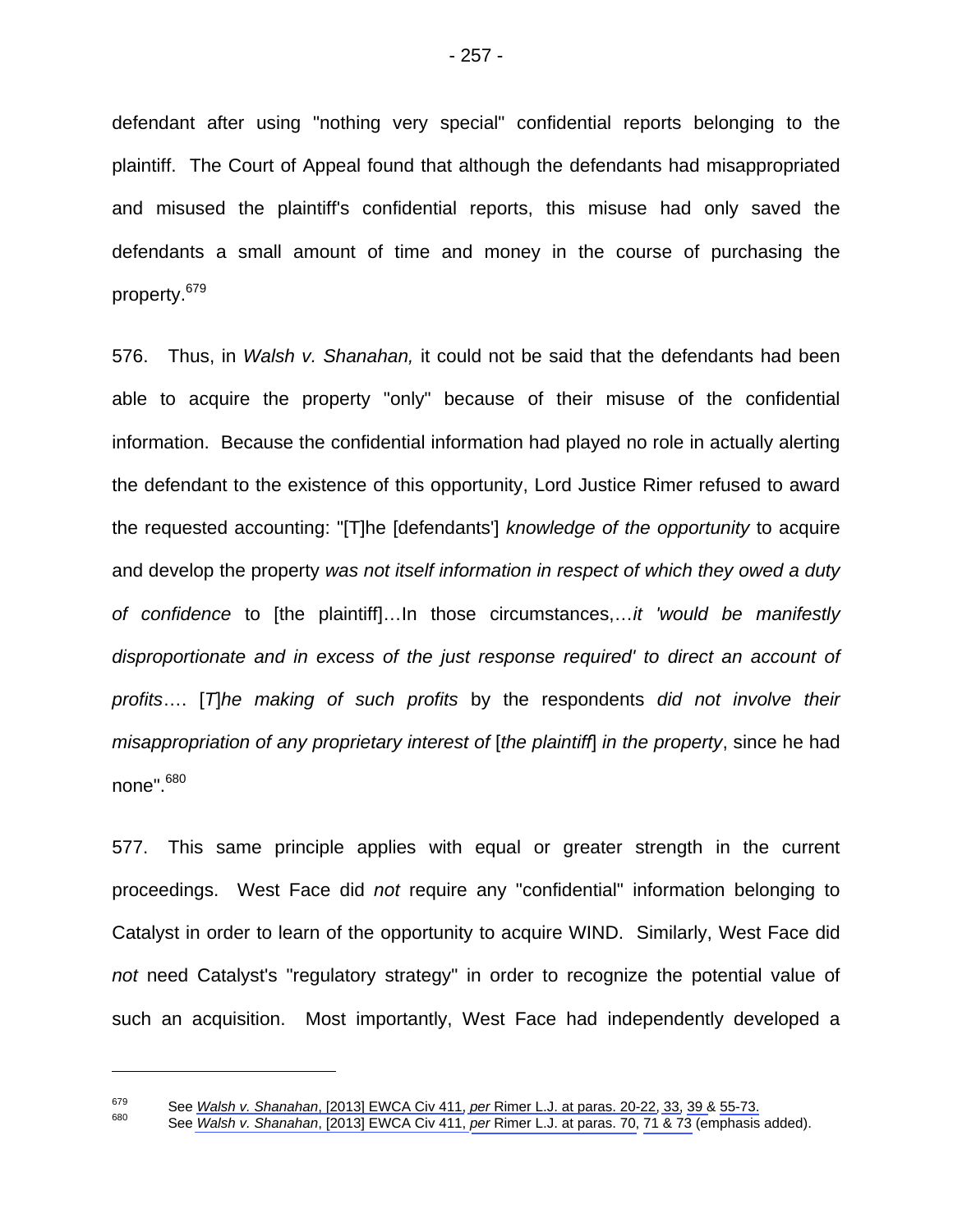defendant after using "nothing very special" confidential reports belonging to the plaintiff. The Court of Appeal found that although the defendants had misappropriated and misused the plaintiff's confidential reports, this misuse had only saved the defendants a small amount of time and money in the course of purchasing the property.679

576. Thus, in *Walsh v. Shanahan,* it could not be said that the defendants had been able to acquire the property "only" because of their misuse of the confidential information. Because the confidential information had played no role in actually alerting the defendant to the existence of this opportunity, Lord Justice Rimer refused to award the requested accounting: "[T]he [defendants'] *knowledge of the opportunity* to acquire and develop the property *was not itself information in respect of which they owed a duty of confidence* to [the plaintiff]…In those circumstances,…*it 'would be manifestly disproportionate and in excess of the just response required' to direct an account of profits*…. [*T*]*he making of such profits* by the respondents *did not involve their misappropriation of any proprietary interest of* [*the plaintiff*] *in the property*, since he had none".<sup>680</sup>

577. This same principle applies with equal or greater strength in the current proceedings. West Face did *not* require any "confidential" information belonging to Catalyst in order to learn of the opportunity to acquire WIND. Similarly, West Face did *not* need Catalyst's "regulatory strategy" in order to recognize the potential value of such an acquisition. Most importantly, West Face had independently developed a

<sup>&</sup>lt;sup>679</sup> See *Walsh v. Shanahan*, [2013] EWCA Civ 411, *per* [Rimer L.J. at paras. 20-22,](#page-5-0) [33,](#page-8-0) [39 &](#page-11-0) [55-73.](#page-16-0)<br><sup>680</sup> See *Walsh v. Shanahan*, [2013] EWCA Civ 411, *per* Rimer L.J. at paras. 70, 71 & 73 (emphasis added).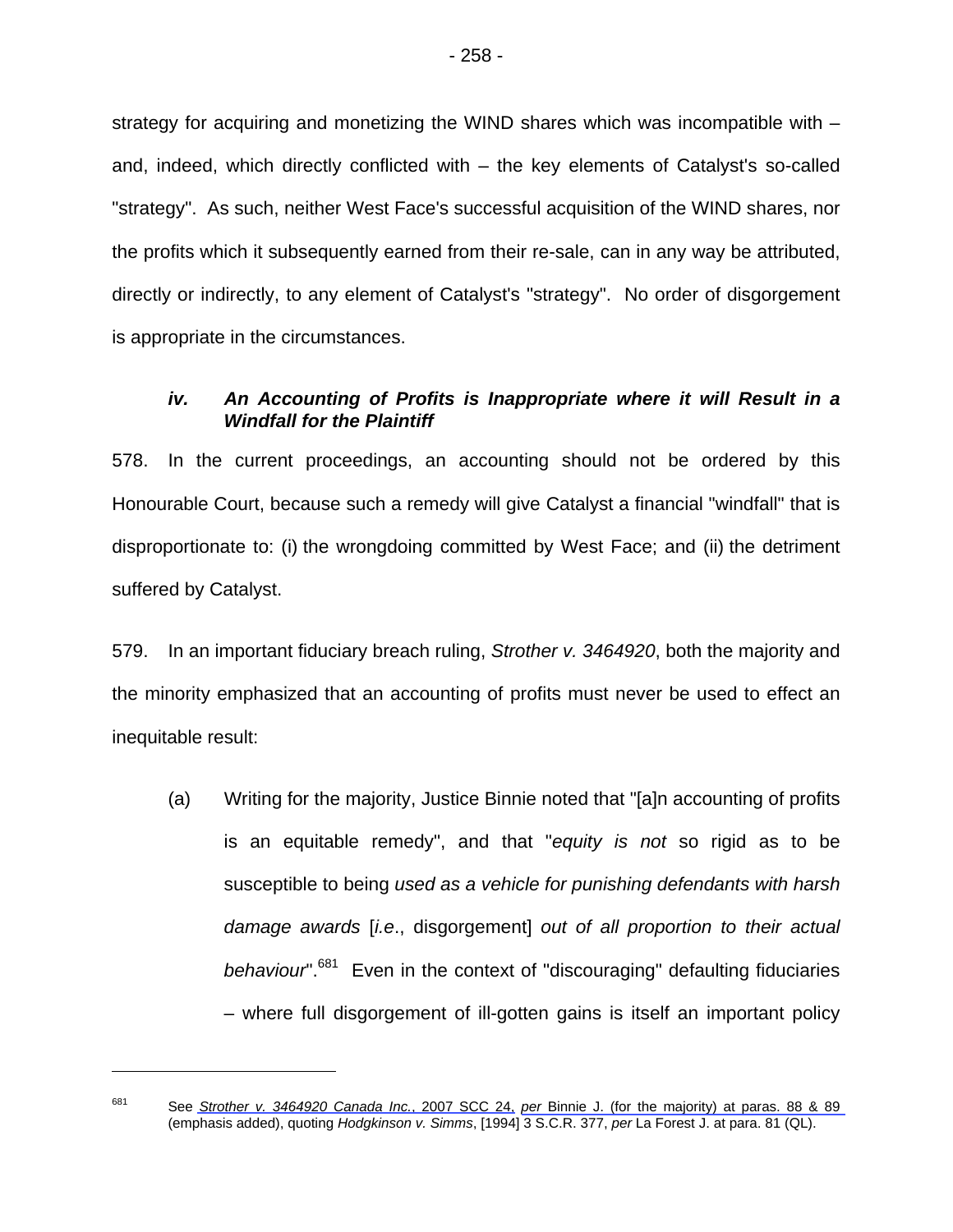strategy for acquiring and monetizing the WIND shares which was incompatible with – and, indeed, which directly conflicted with – the key elements of Catalyst's so-called "strategy". As such, neither West Face's successful acquisition of the WIND shares, nor the profits which it subsequently earned from their re-sale, can in any way be attributed, directly or indirectly, to any element of Catalyst's "strategy". No order of disgorgement is appropriate in the circumstances.

#### *iv.* An Accounting of Profits is Inappropriate where it will Result in a *Windfall for the Plaintiff*

578. In the current proceedings, an accounting should not be ordered by this Honourable Court, because such a remedy will give Catalyst a financial "windfall" that is disproportionate to: (i) the wrongdoing committed by West Face; and (ii) the detriment suffered by Catalyst.

579. In an important fiduciary breach ruling, *Strother v. 3464920*, both the majority and the minority emphasized that an accounting of profits must never be used to effect an inequitable result:

(a) Writing for the majority, Justice Binnie noted that "[a]n accounting of profits is an equitable remedy", and that "*equity is not* so rigid as to be susceptible to being *used as a vehicle for punishing defendants with harsh damage awards* [*i.e*., disgorgement] *out of all proportion to their actual behaviour*".681 Even in the context of "discouraging" defaulting fiduciaries – where full disgorgement of ill-gotten gains is itself an important policy

<sup>681</sup> See *Strother v. 3464920 Canada Inc.*, 2007 SCC 24, *per* [Binnie J. \(for the majority\) at paras. 88 & 89](#page-37-0)  (emphasis added), quoting *Hodgkinson v. Simms*, [1994] 3 S.C.R. 377, *per* La Forest J. at para. 81 (QL).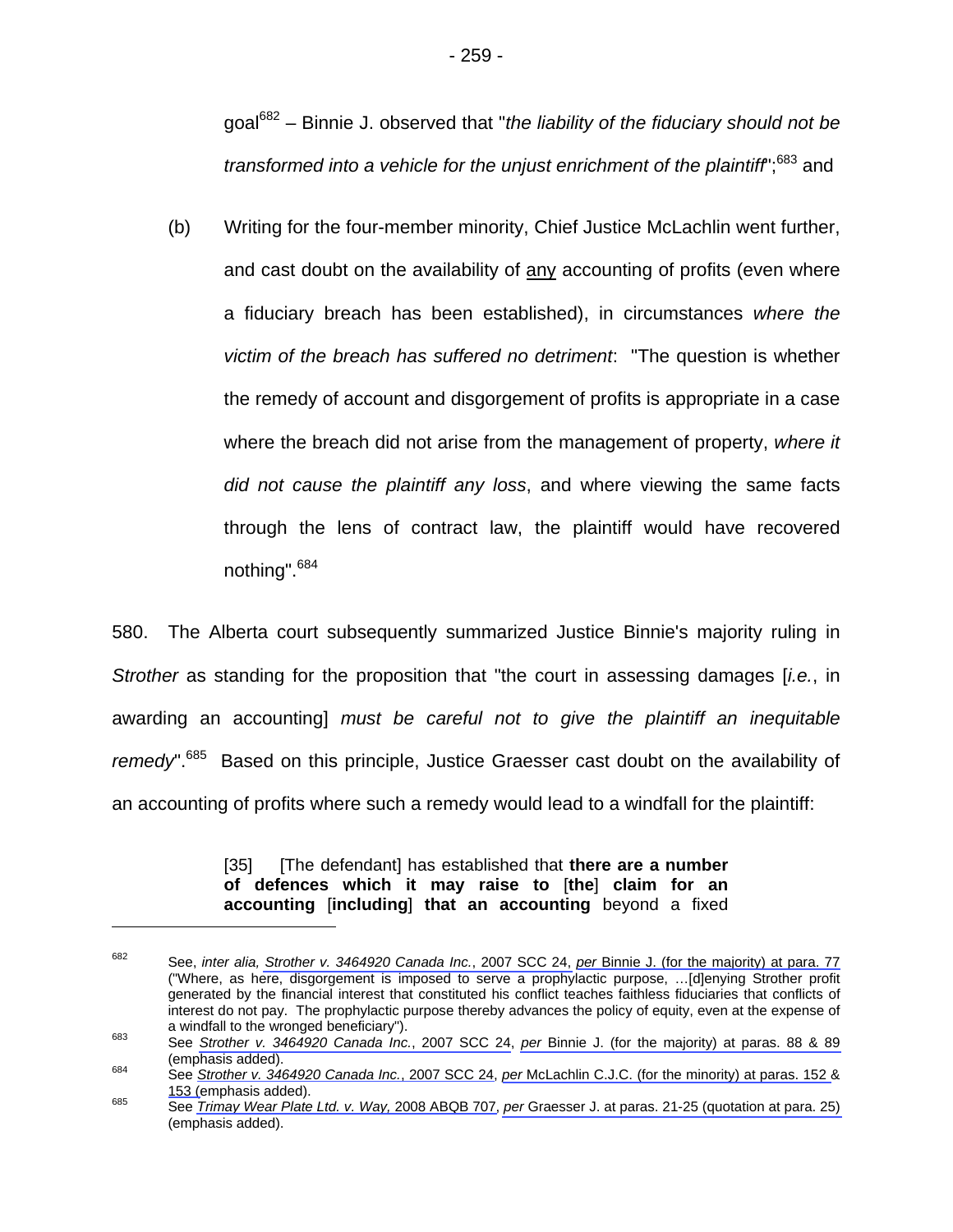goal682 – Binnie J. observed that "*the liability of the fiduciary should not be transformed into a vehicle for the unjust enrichment of the plaintiff*";683 and

(b) Writing for the four-member minority, Chief Justice McLachlin went further, and cast doubt on the availability of any accounting of profits (even where a fiduciary breach has been established), in circumstances *where the victim of the breach has suffered no detriment*: "The question is whether the remedy of account and disgorgement of profits is appropriate in a case where the breach did not arise from the management of property, *where it did not cause the plaintiff any loss*, and where viewing the same facts through the lens of contract law, the plaintiff would have recovered nothing".<sup>684</sup>

580. The Alberta court subsequently summarized Justice Binnie's majority ruling in *Strother* as standing for the proposition that "the court in assessing damages [*i.e.*, in awarding an accounting] *must be careful not to give the plaintiff an inequitable*  remedv".<sup>685</sup> Based on this principle, Justice Graesser cast doubt on the availability of an accounting of profits where such a remedy would lead to a windfall for the plaintiff:

#### [35] [The defendant] has established that **there are a number of defences which it may raise to** [**the**] **claim for an accounting** [**including**] **that an accounting** beyond a fixed

<sup>682</sup> See, *inter alia, Strother v. 3464920 Canada Inc.*, 2007 SCC 24, *per* [Binnie J. \(for the majority\) at para. 77](#page-35-0)  ("Where, as here, disgorgement is imposed to serve a prophylactic purpose, …[d]enying Strother profit generated by the financial interest that constituted his conflict teaches faithless fiduciaries that conflicts of interest do not pay. The prophylactic purpose thereby advances the policy of equity, even at the expense of a windfall to the wronged beneficiary").<br><sup>683</sup> See *Strother v. 3464920 Canada Inc.*, 2007 SCC 24, *per* Binnie J. (for the majority) at paras. 88 & 89

<sup>(</sup>emphasis added). 684 See *Strother v. 3464920 Canada Inc.*, 2007 SCC 24, *per* [McLachlin C.J.C. \(for the minority\) at paras. 152 &](#page-53-0)

[<sup>153 \(</sup>e](#page-54-0)mphasis added). 685 See *Trimay Wear Plate Ltd. v. Way,* 2008 ABQB 707, *per* [Graesser J. at paras. 21-25 \(quotation at para. 25\)](#page-6-0) 

<sup>(</sup>emphasis added).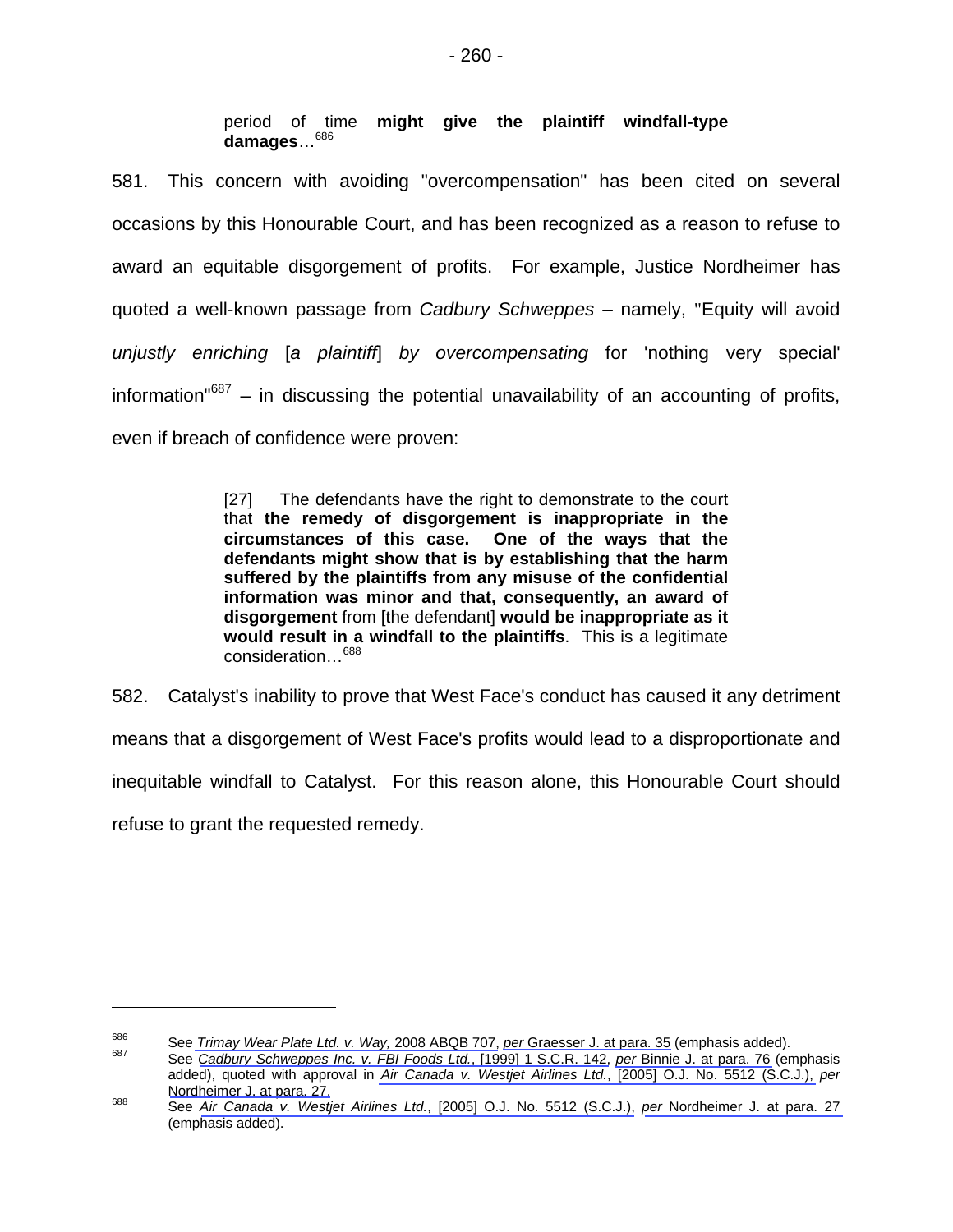period of time **might give the plaintiff windfall-type damages**…686

581. This concern with avoiding "overcompensation" has been cited on several occasions by this Honourable Court, and has been recognized as a reason to refuse to award an equitable disgorgement of profits. For example, Justice Nordheimer has quoted a well-known passage from *Cadbury Schweppes* – namely, "Equity will avoid *unjustly enriching* [*a plaintiff*] *by overcompensating* for 'nothing very special' information" $687 -$  in discussing the potential unavailability of an accounting of profits, even if breach of confidence were proven:

> [27] The defendants have the right to demonstrate to the court that **the remedy of disgorgement is inappropriate in the circumstances of this case. One of the ways that the defendants might show that is by establishing that the harm suffered by the plaintiffs from any misuse of the confidential information was minor and that, consequently, an award of disgorgement** from [the defendant] **would be inappropriate as it would result in a windfall to the plaintiffs**. This is a legitimate consideration…<sup>688</sup>

582. Catalyst's inability to prove that West Face's conduct has caused it any detriment means that a disgorgement of West Face's profits would lead to a disproportionate and inequitable windfall to Catalyst. For this reason alone, this Honourable Court should refuse to grant the requested remedy.

<sup>&</sup>lt;sup>686</sup> See Trimay Wear Plate Ltd. v. Way, 2008 ABQB 707, per [Graesser J. at para. 35](#page-7-0) [\(emphasis adde](#page-28-0)d).<br><sup>687</sup> See Cadbury Schweppes Inc. v. FBI Foods Ltd., [1999] 1 S.C.R. 142, per Binnie J. at para. 76 (emphasis

added), quoted with approval in *Air Canada v. Westjet Airlines Ltd.*, [2005] O.J. No. 5512 (S.C.J.), *per*  [Nordheimer J. at para. 27.](#page-8-0)<br><sup>688</sup> See *Air Canada v. Westjet Airlines Ltd.*, [2005] O.J. No. 5512 (S.C.J.), *per* Nordheimer J. at para. 27

<sup>(</sup>emphasis added).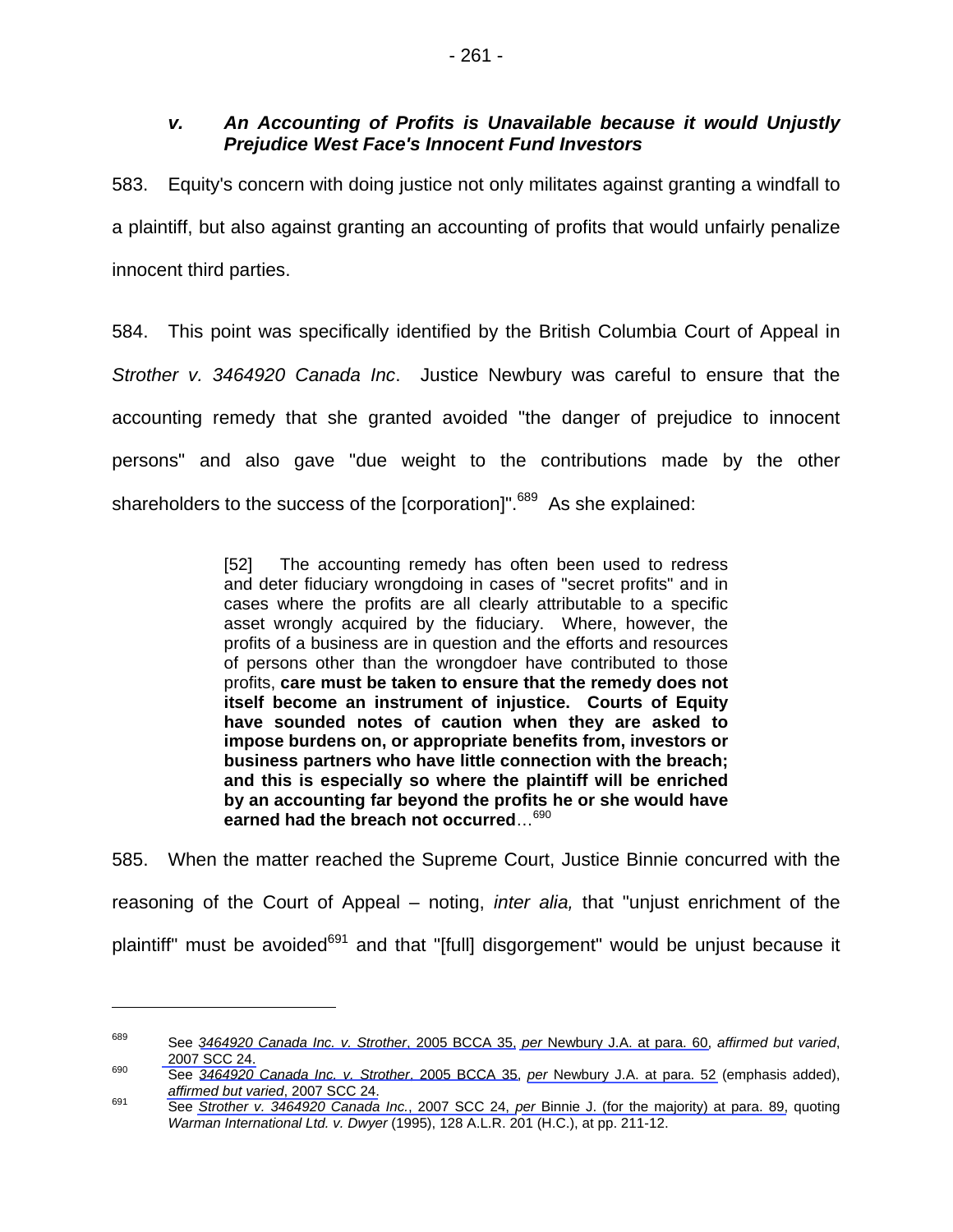583. Equity's concern with doing justice not only militates against granting a windfall to a plaintiff, but also against granting an accounting of profits that would unfairly penalize innocent third parties.

584. This point was specifically identified by the British Columbia Court of Appeal in *Strother v. 3464920 Canada Inc*. Justice Newbury was careful to ensure that the accounting remedy that she granted avoided "the danger of prejudice to innocent persons" and also gave "due weight to the contributions made by the other shareholders to the success of the [corporation]".<sup>689</sup> As she explained:

> [52] The accounting remedy has often been used to redress and deter fiduciary wrongdoing in cases of "secret profits" and in cases where the profits are all clearly attributable to a specific asset wrongly acquired by the fiduciary. Where, however, the profits of a business are in question and the efforts and resources of persons other than the wrongdoer have contributed to those profits, **care must be taken to ensure that the remedy does not itself become an instrument of injustice. Courts of Equity have sounded notes of caution when they are asked to impose burdens on, or appropriate benefits from, investors or business partners who have little connection with the breach; and this is especially so where the plaintiff will be enriched by an accounting far beyond the profits he or she would have earned had the breach not occurred**…<sup>690</sup>

585. When the matter reached the Supreme Court, Justice Binnie concurred with the reasoning of the Court of Appeal – noting, *inter alia,* that "unjust enrichment of the plaintiff" must be avoided<sup>691</sup> and that "[full] disgorgement" would be unjust because it

<sup>689</sup> See *3464920 Canada Inc. v. Strother*, 2005 BCCA 35, *per* [Newbury J.A. at para. 60,](#page-31-0) *affirmed but varied*, 2007 SCC 24. 690 See *3464920 Canada Inc. v. Strother*, 2005 BCCA 35, *per* [Newbury J.A. at para. 52](#page-28-0) (emphasis added),

*affirmed but varied*, 2007 SCC 24.<br><sup>691</sup> See *Strother v. 3464920 Canada Inc.*, 2007 SCC 24, *per* [Binnie J. \(for the majority\) at para. 89,](#page-38-0) quoting

*Warman International Ltd. v. Dwyer* (1995), 128 A.L.R. 201 (H.C.), at pp. 211-12.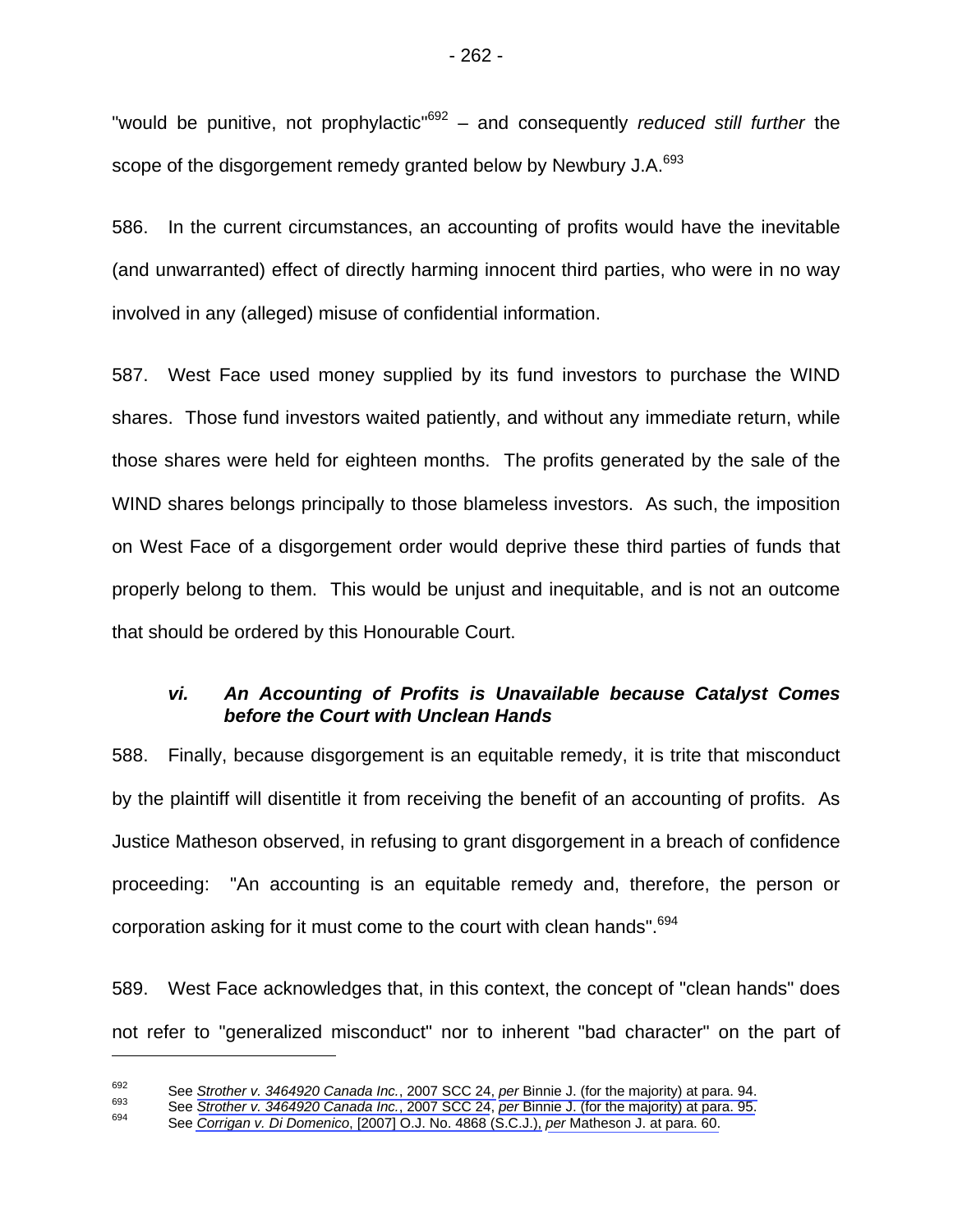"would be punitive, not prophylactic"692 – and consequently *reduced still further* the scope of the disgorgement remedy granted below by Newbury J.A.<sup>693</sup>

586. In the current circumstances, an accounting of profits would have the inevitable (and unwarranted) effect of directly harming innocent third parties, who were in no way involved in any (alleged) misuse of confidential information.

587. West Face used money supplied by its fund investors to purchase the WIND shares. Those fund investors waited patiently, and without any immediate return, while those shares were held for eighteen months. The profits generated by the sale of the WIND shares belongs principally to those blameless investors. As such, the imposition on West Face of a disgorgement order would deprive these third parties of funds that properly belong to them. This would be unjust and inequitable, and is not an outcome that should be ordered by this Honourable Court.

# *vi. An Accounting of Profits is Unavailable because Catalyst Comes before the Court with Unclean Hands*

588. Finally, because disgorgement is an equitable remedy, it is trite that misconduct by the plaintiff will disentitle it from receiving the benefit of an accounting of profits. As Justice Matheson observed, in refusing to grant disgorgement in a breach of confidence proceeding: "An accounting is an equitable remedy and, therefore, the person or corporation asking for it must come to the court with clean hands".<sup>694</sup>

589. West Face acknowledges that, in this context, the concept of "clean hands" does not refer to "generalized misconduct" nor to inherent "bad character" on the part of

<sup>&</sup>lt;sup>692</sup> See Strother v. 3464920 Canada Inc., 2007 SCC 24, per Binnie J. (for the majority) at para. 94.<br>
See Strother v. 3464920 Canada Inc., 2007 SCC 24, per [Binnie J. \(for the majority\) at para. 95.](#page-39-0)<br>
See Corrigan v. Di Do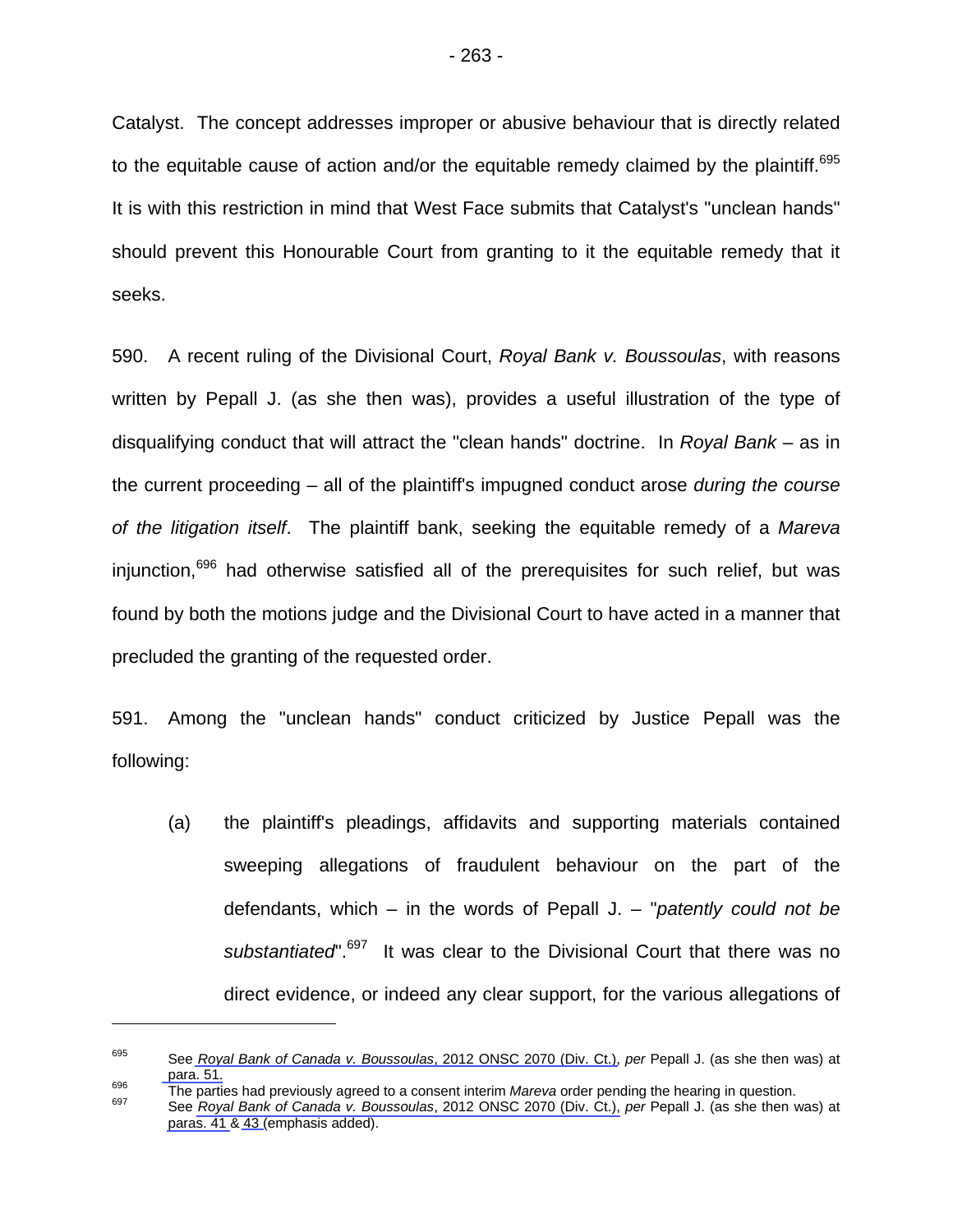Catalyst. The concept addresses improper or abusive behaviour that is directly related to the equitable cause of action and/or the equitable remedy claimed by the plaintiff.<sup>695</sup> It is with this restriction in mind that West Face submits that Catalyst's "unclean hands" should prevent this Honourable Court from granting to it the equitable remedy that it seeks.

590. A recent ruling of the Divisional Court, *Royal Bank v. Boussoulas*, with reasons written by Pepall J. (as she then was), provides a useful illustration of the type of disqualifying conduct that will attract the "clean hands" doctrine. In *Royal Bank* – as in the current proceeding – all of the plaintiff's impugned conduct arose *during the course of the litigation itself*. The plaintiff bank, seeking the equitable remedy of a *Mareva*  injunction.<sup>696</sup> had otherwise satisfied all of the prerequisites for such relief, but was found by both the motions judge and the Divisional Court to have acted in a manner that precluded the granting of the requested order.

591. Among the "unclean hands" conduct criticized by Justice Pepall was the following:

(a) the plaintiff's pleadings, affidavits and supporting materials contained sweeping allegations of fraudulent behaviour on the part of the defendants, which – in the words of Pepall J. – "*patently could not be substantiated*".697 It was clear to the Divisional Court that there was no direct evidence, or indeed any clear support, for the various allegations of

<sup>695</sup> See *Royal Bank of Canada v. Boussoulas*, 2012 ONSC 2070 (Div. Ct.), *per* Pepall J. (as she then was) at [para. 51.](#page-12-0)<br>The parties had previously agreed to a consent interim Mareva order pending the hearing in question.<br><sup>697</sup> See *Royal Bank of Canada v. Boussoulas*, 2012 ONSC 2070 (Div. Ct.), *per* Pepall J. (as she then was) at

[paras. 41](#page-9-0) & [43 \(](#page-10-0)emphasis added).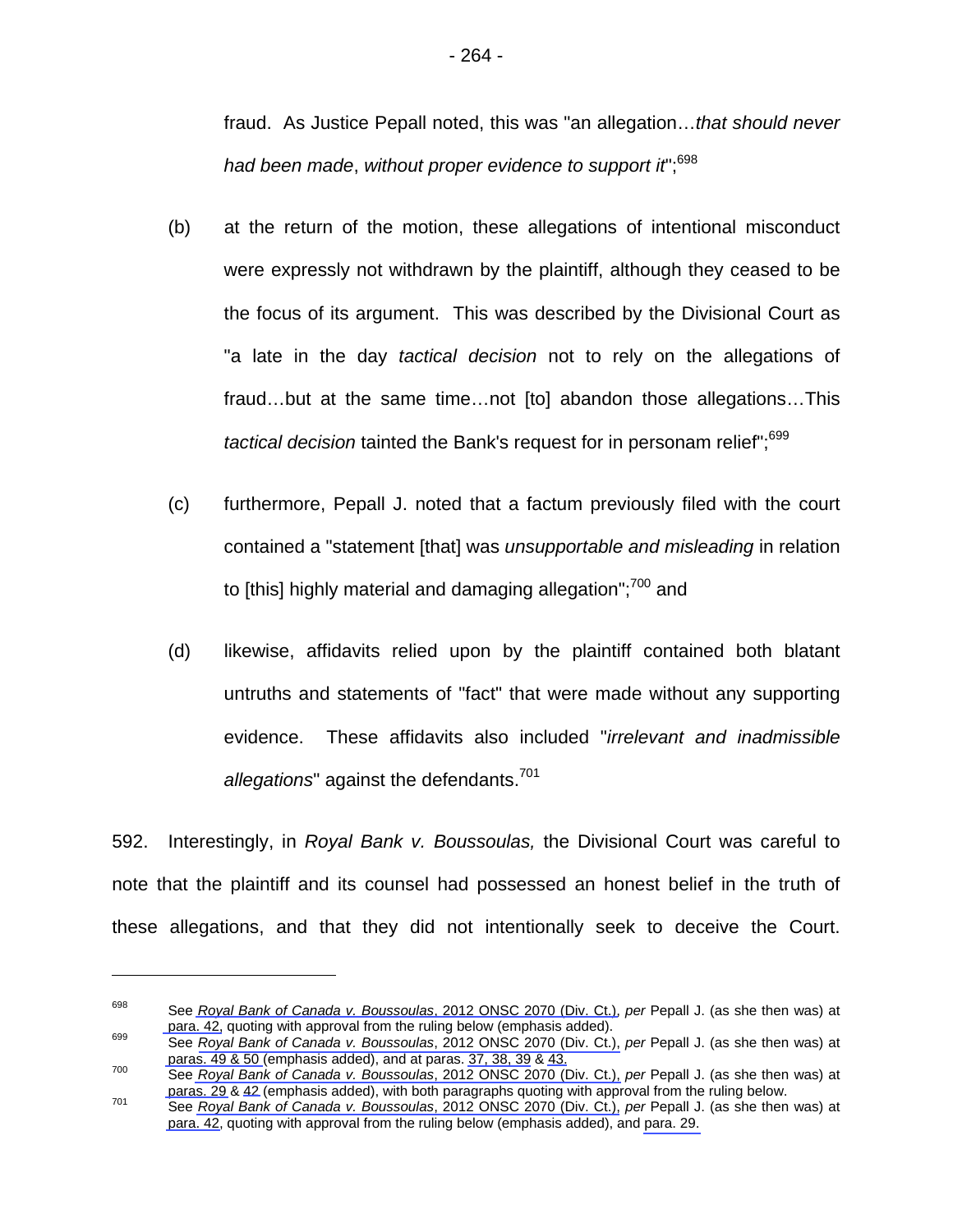fraud. As Justice Pepall noted, this was "an allegation…*that should never had been made*, *without proper evidence to support it*";698

- (b) at the return of the motion, these allegations of intentional misconduct were expressly not withdrawn by the plaintiff, although they ceased to be the focus of its argument. This was described by the Divisional Court as "a late in the day *tactical decision* not to rely on the allegations of fraud…but at the same time…not [to] abandon those allegations…This *tactical decision* tainted the Bank's request for in personam relief";<sup>699</sup>
- (c) furthermore, Pepall J. noted that a factum previously filed with the court contained a "statement [that] was *unsupportable and misleading* in relation to [this] highly material and damaging allegation";<sup>700</sup> and
- (d) likewise, affidavits relied upon by the plaintiff contained both blatant untruths and statements of "fact" that were made without any supporting evidence. These affidavits also included "*irrelevant and inadmissible*  allegations" against the defendants.<sup>701</sup>

592. Interestingly, in *Royal Bank v. Boussoulas,* the Divisional Court was careful to note that the plaintiff and its counsel had possessed an honest belief in the truth of these allegations, and that they did not intentionally seek to deceive the Court.

<sup>698</sup> See *Royal Bank of Canada v. Boussoulas*, 2012 ONSC 2070 (Div. Ct.), *per* Pepall J. (as she then was) at

[para. 42,](#page-9-0) quoting with approval from the ruling below (emphasis added). 699 See *Royal Bank of Canada v. Boussoulas*, 2012 ONSC 2070 (Div. Ct.), *per* Pepall J. (as she then was) at

[paras. 49 & 50](#page-12-0) (emphasis added), and at paras. [37, 38, 39](#page-8-0) & [43.](#page-10-0)<br>700 See *Royal Bank of Canada v. Boussoulas*, 2012 ONSC 2070 (Div. Ct.), *per* Pepall J. (as she then was) at paras. 29 & 42 (emphasis added), with both parag

[paras. 29](#page-5-0) & [42](#page-9-0) (emphasis added), with both paragraphs quoting with approval from the ruling below. 701 See *Royal Bank of Canada v. Boussoulas*, 2012 ONSC 2070 (Div. Ct.), *per* Pepall J. (as she then was) at [para. 42,](#page-9-0) quoting with approval from the ruling below (emphasis added), and [para. 29.](#page-5-0)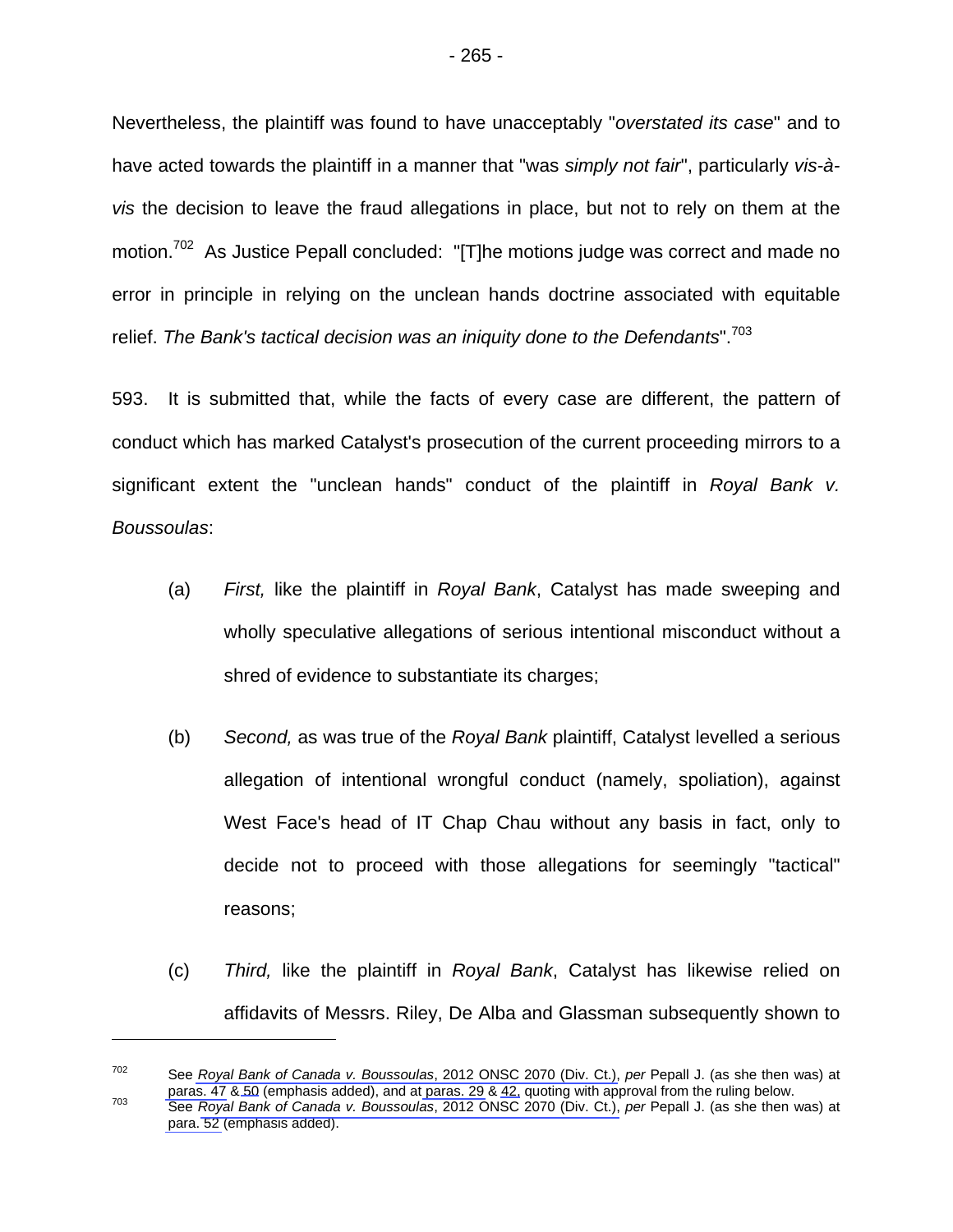Nevertheless, the plaintiff was found to have unacceptably "*overstated its case*" and to have acted towards the plaintiff in a manner that "was *simply not fair*", particularly *vis-àvis* the decision to leave the fraud allegations in place, but not to rely on them at the motion.<sup>702</sup> As Justice Pepall concluded: "[T]he motions judge was correct and made no error in principle in relying on the unclean hands doctrine associated with equitable relief. *The Bank's tactical decision was an iniquity done to the Defendants*".<sup>703</sup>

593. It is submitted that, while the facts of every case are different, the pattern of conduct which has marked Catalyst's prosecution of the current proceeding mirrors to a significant extent the "unclean hands" conduct of the plaintiff in *Royal Bank v. Boussoulas*:

- (a) *First,* like the plaintiff in *Royal Bank*, Catalyst has made sweeping and wholly speculative allegations of serious intentional misconduct without a shred of evidence to substantiate its charges;
- (b) *Second,* as was true of the *Royal Bank* plaintiff, Catalyst levelled a serious allegation of intentional wrongful conduct (namely, spoliation), against West Face's head of IT Chap Chau without any basis in fact, only to decide not to proceed with those allegations for seemingly "tactical" reasons;
- (c) *Third,* like the plaintiff in *Royal Bank*, Catalyst has likewise relied on affidavits of Messrs. Riley, De Alba and Glassman subsequently shown to

<sup>702</sup> See *Royal Bank of Canada v. Boussoulas*, 2012 ONSC 2070 (Div. Ct.), *per* Pepall J. (as she then was) at

[paras. 47](#page-11-0) & [50](#page-12-0) (emphasis added), and at [paras. 29](#page-5-0) & [42,](#page-9-0) quoting with approval from the ruling below. 703 See *Royal Bank of Canada v. Boussoulas*, 2012 ONSC 2070 (Div. Ct.), *per* Pepall J. (as she then was) at [para. 52](#page-13-0) (emphasis added).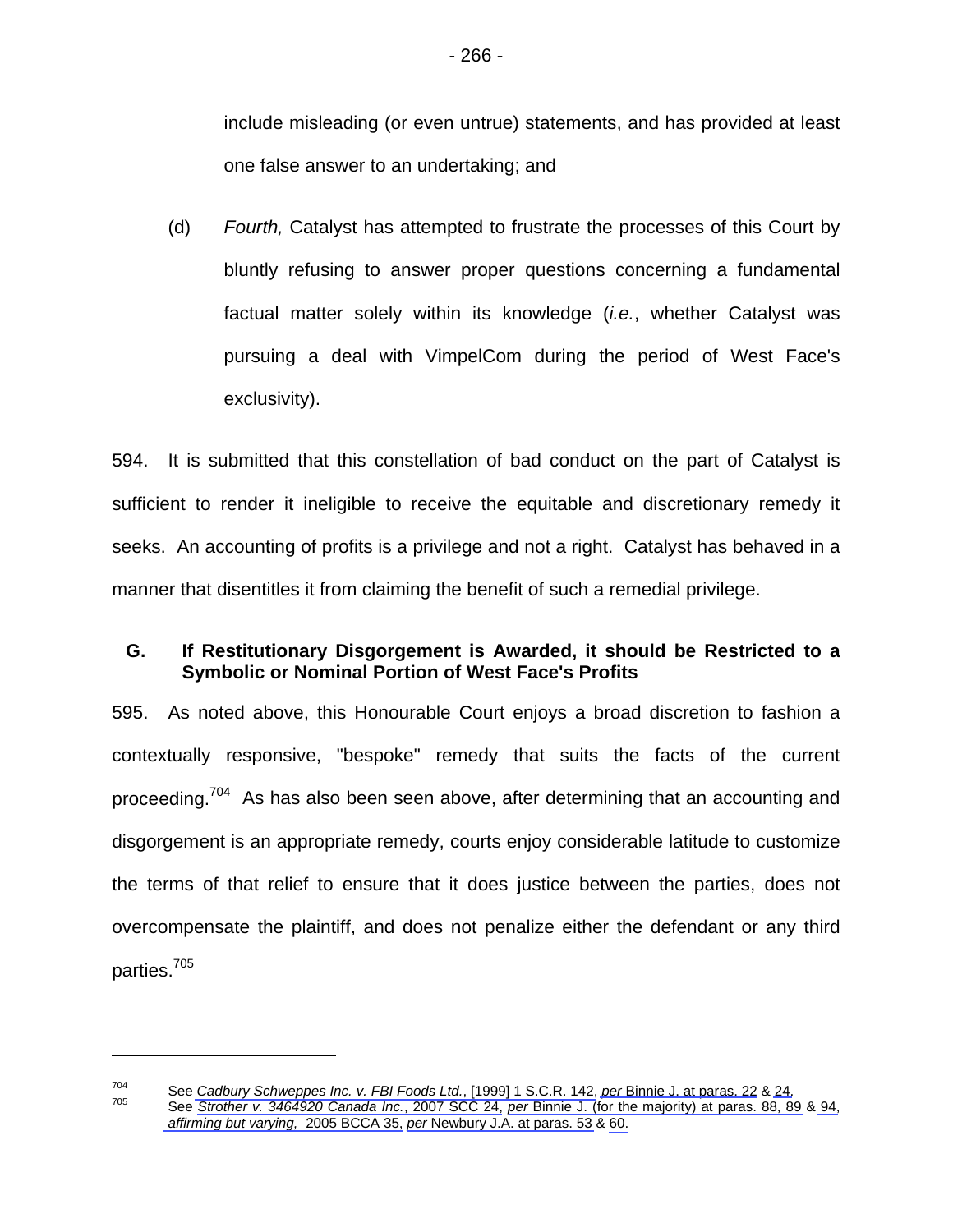<span id="page-271-0"></span>include misleading (or even untrue) statements, and has provided at least one false answer to an undertaking; and

(d) *Fourth,* Catalyst has attempted to frustrate the processes of this Court by bluntly refusing to answer proper questions concerning a fundamental factual matter solely within its knowledge (*i.e.*, whether Catalyst was pursuing a deal with VimpelCom during the period of West Face's exclusivity).

594. It is submitted that this constellation of bad conduct on the part of Catalyst is sufficient to render it ineligible to receive the equitable and discretionary remedy it seeks. An accounting of profits is a privilege and not a right. Catalyst has behaved in a manner that disentitles it from claiming the benefit of such a remedial privilege.

## **G. If Restitutionary Disgorgement is Awarded, it should be Restricted to a Symbolic or Nominal Portion of West Face's Profits**

595. As noted above, this Honourable Court enjoys a broad discretion to fashion a contextually responsive, "bespoke" remedy that suits the facts of the current proceeding.<sup>704</sup> As has also been seen above, after determining that an accounting and disgorgement is an appropriate remedy, courts enjoy considerable latitude to customize the terms of that relief to ensure that it does justice between the parties, does not overcompensate the plaintiff, and does not penalize either the defendant or any third parties.<sup>705</sup>

<sup>&</sup>lt;sup>704</sup> See Cadbury Schweppes Inc. v. FBI Foods Ltd., [1999] 1 S.C.R. 142, per [Binnie J. at paras. 22](#page-11-0) & [24.](#page-12-0)<br><sup>705</sup> See Strother v. 3464920 Canada Inc., 2007 SCC 24, per Binnie J. (for the majority) at paras. 88, 89 & [94,](#page-39-0) *affirming but varying,* 2005 BCCA 35, *per* [Newbury J.A. at paras. 53](#page-29-0) & [60.](#page-31-0)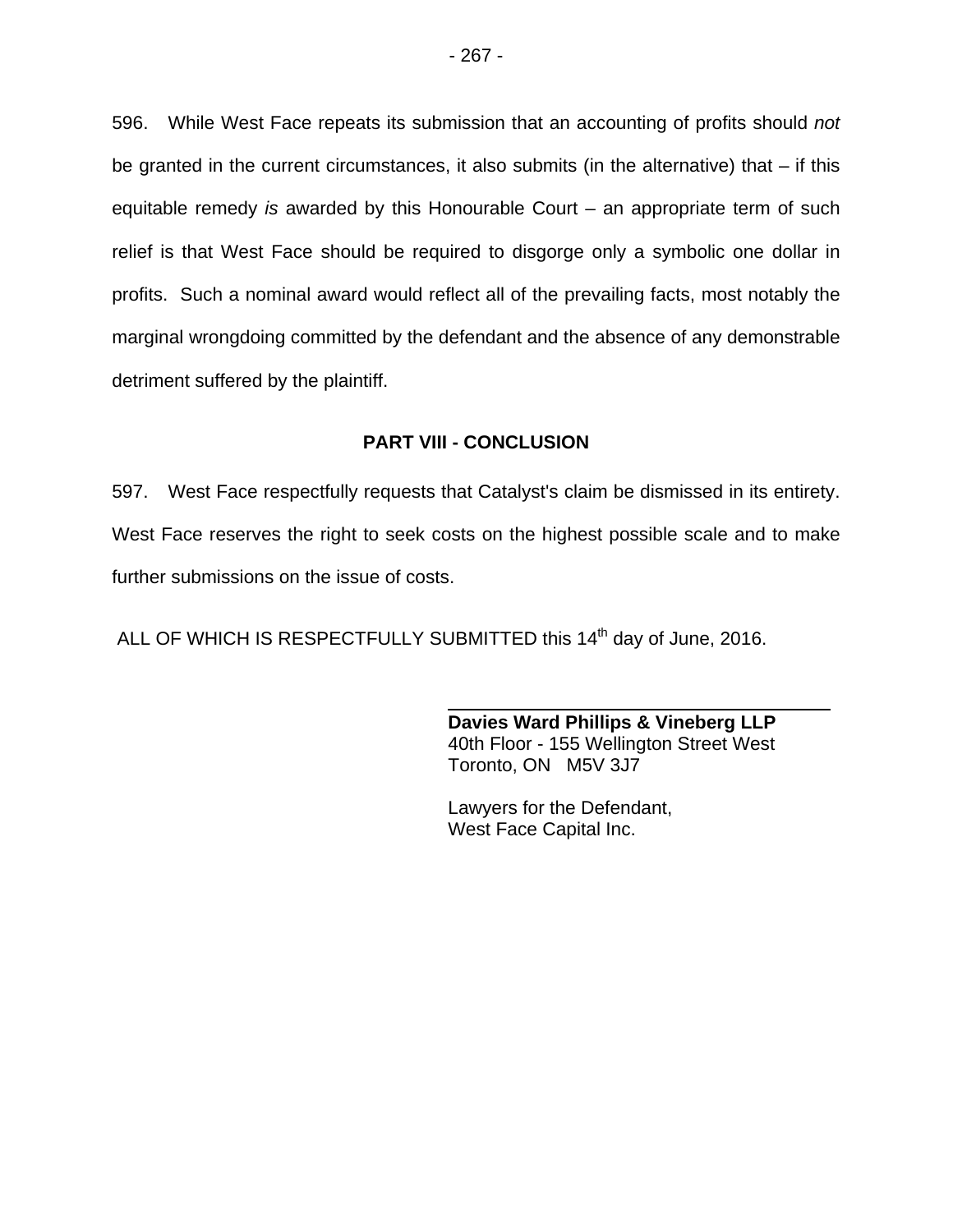<span id="page-272-0"></span>596. While West Face repeats its submission that an accounting of profits should *not* be granted in the current circumstances, it also submits (in the alternative) that – if this equitable remedy *is* awarded by this Honourable Court – an appropriate term of such relief is that West Face should be required to disgorge only a symbolic one dollar in profits. Such a nominal award would reflect all of the prevailing facts, most notably the marginal wrongdoing committed by the defendant and the absence of any demonstrable detriment suffered by the plaintiff.

## **PART VIII - CONCLUSION**

597. West Face respectfully requests that Catalyst's claim be dismissed in its entirety. West Face reserves the right to seek costs on the highest possible scale and to make further submissions on the issue of costs.

ALL OF WHICH IS RESPECTFULLY SUBMITTED this 14<sup>th</sup> day of June, 2016.

**Davies Ward Phillips & Vineberg LLP**  40th Floor - 155 Wellington Street West Toronto, ON M5V 3J7

 Lawyers for the Defendant, West Face Capital Inc.